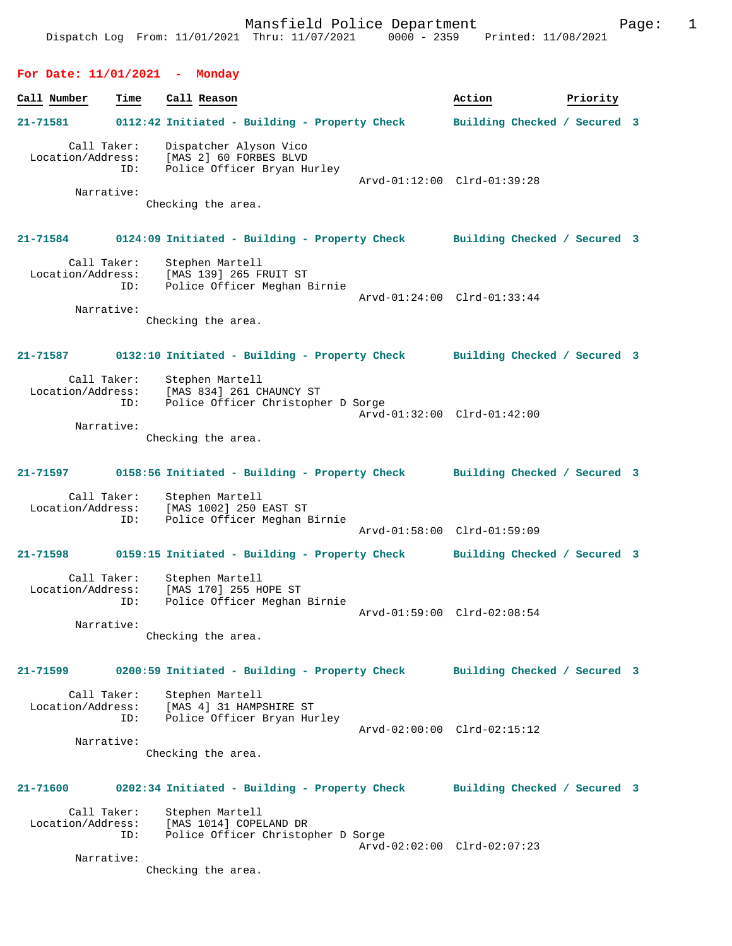**For Date: 11/01/2021 - Monday Call Number Time Call Reason Action Action Priority 21-71581 0112:42 Initiated - Building - Property Check Building Checked / Secured 3** Call Taker: Dispatcher Alyson Vico Location/Address: [MAS 2] 60 FORBES BLVD ID: Police Officer Bryan Hurley Arvd-01:12:00 Clrd-01:39:28 Narrative: Checking the area. **21-71584 0124:09 Initiated - Building - Property Check Building Checked / Secured 3** Call Taker: Stephen Martell Location/Address: [MAS 139] 265 FRUIT ST ID: Police Officer Meghan Birnie Arvd-01:24:00 Clrd-01:33:44 Narrative: Checking the area. **21-71587 0132:10 Initiated - Building - Property Check Building Checked / Secured 3** Call Taker: Stephen Martell<br>Location/Address: [MAS 834] 261 C [MAS 834] 261 CHAUNCY ST ID: Police Officer Christopher D Sorge Arvd-01:32:00 Clrd-01:42:00 Narrative: Checking the area. **21-71597 0158:56 Initiated - Building - Property Check Building Checked / Secured 3** Call Taker: Stephen Martell<br>Location/Address: [MAS 1002] 250 [MAS 1002] 250 EAST ST ID: Police Officer Meghan Birnie Arvd-01:58:00 Clrd-01:59:09 **21-71598 0159:15 Initiated - Building - Property Check Building Checked / Secured 3** Call Taker: Stephen Martell Location/Address: [MAS 170] 255 HOPE ST ID: Police Officer Meghan Birnie Arvd-01:59:00 Clrd-02:08:54 Narrative: Checking the area. **21-71599 0200:59 Initiated - Building - Property Check Building Checked / Secured 3** Call Taker: Stephen Martell<br>Location/Address: [MAS 4] 31 HAMP Location/Address: [MAS 4] 31 HAMPSHIRE ST ID: Police Officer Bryan Hurley Arvd-02:00:00 Clrd-02:15:12 Narrative: Checking the area.

Dispatch Log From: 11/01/2021 Thru: 11/07/2021 0000 - 2359 Printed: 11/08/2021

Mansfield Police Department Fage: 1

**21-71600 0202:34 Initiated - Building - Property Check Building Checked / Secured 3** Call Taker: Stephen Martell

 Location/Address: [MAS 1014] COPELAND DR ID: Police Officer Christopher D Sorge Arvd-02:02:00 Clrd-02:07:23 Narrative:

Checking the area.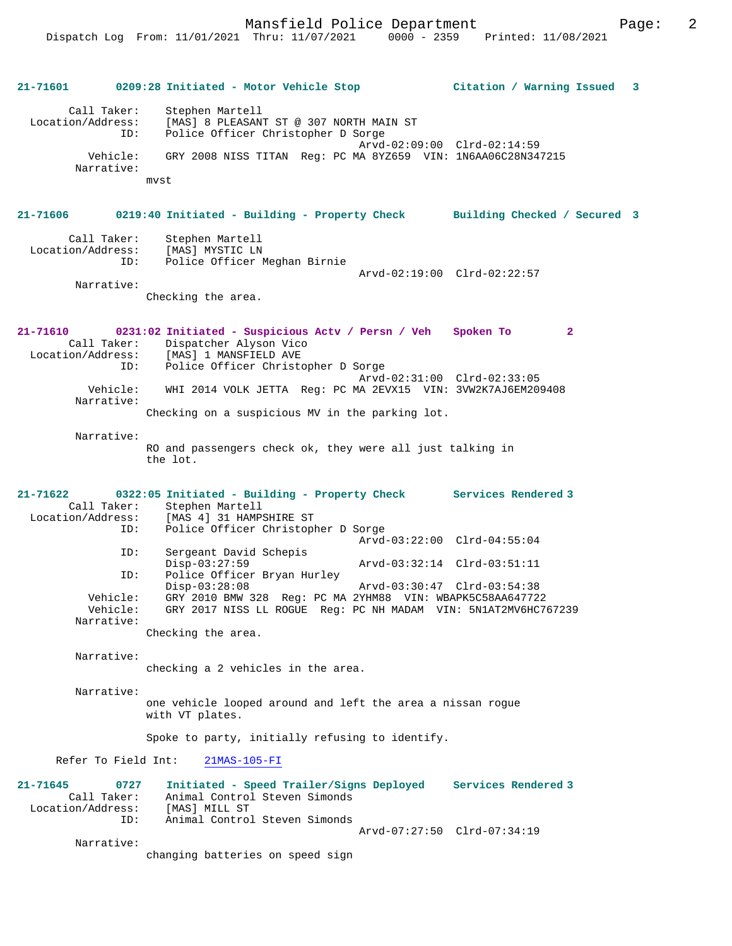|                                                          | 21-71601 0209:28 Initiated - Motor Vehicle Stop                                                                                      | Citation / Warning Issued 3 |
|----------------------------------------------------------|--------------------------------------------------------------------------------------------------------------------------------------|-----------------------------|
| Call Taker:<br>Location/Address:<br>ID:                  | Stephen Martell<br>[MAS] 8 PLEASANT ST @ 307 NORTH MAIN ST<br>Police Officer Christopher D Sorge                                     |                             |
| Vehicle:<br>Narrative:                                   | GRY 2008 NISS TITAN Req: PC MA 8YZ659 VIN: 1N6AA06C28N347215                                                                         | Arvd-02:09:00 Clrd-02:14:59 |
|                                                          | mvst                                                                                                                                 |                             |
| 21-71606                                                 | 0219:40 Initiated - Building - Property Check Building Checked / Secured 3                                                           |                             |
| Call Taker:<br>Location/Address:<br>ID:                  | Stephen Martell<br>[MAS] MYSTIC LN<br>Police Officer Meghan Birnie                                                                   | Arvd-02:19:00 Clrd-02:22:57 |
| Narrative:                                               |                                                                                                                                      |                             |
|                                                          | Checking the area.                                                                                                                   |                             |
| 21-71610<br>Call Taker:                                  | 0231:02 Initiated - Suspicious Actv / Persn / Veh Spoken To<br>Dispatcher Alyson Vico<br>Location/Address: [MAS] 1 MANSFIELD AVE     | $\mathbf{2}$                |
| ID:                                                      | Police Officer Christopher D Sorge                                                                                                   | Arvd-02:31:00 Clrd-02:33:05 |
| Vehicle:<br>Narrative:                                   | WHI 2014 VOLK JETTA Reg: PC MA 2EVX15 VIN: 3VW2K7AJ6EM209408                                                                         |                             |
|                                                          | Checking on a suspicious MV in the parking lot.                                                                                      |                             |
| Narrative:                                               |                                                                                                                                      |                             |
|                                                          | RO and passengers check ok, they were all just talking in<br>the lot.                                                                |                             |
| 21-71622<br>Call Taker:                                  | 0322:05 Initiated - Building - Property Check Services Rendered 3                                                                    |                             |
| Location/Address:<br>ID:                                 | Stephen Martell<br>[MAS 4] 31 HAMPSHIRE ST<br>Police Officer Christopher D Sorge                                                     |                             |
|                                                          |                                                                                                                                      | Arvd-03:22:00 Clrd-04:55:04 |
| ID:                                                      | Sergeant David Schepis<br>$Disp-03:27:59$                                                                                            | Arvd-03:32:14 Clrd-03:51:11 |
| ID:                                                      | Police Officer Bryan Hurley<br>$Disp-03:28:08$                                                                                       | Arvd-03:30:47 Clrd-03:54:38 |
| Vehicle:                                                 | GRY 2010 BMW 328 Req: PC MA 2YHM88 VIN: WBAPK5C58AA647722<br>Vehicle: GRY 2017 NISS LL ROGUE Reg: PC NH MADAM VIN: 5N1AT2MV6HC767239 |                             |
| Narrative:                                               | Checking the area.                                                                                                                   |                             |
| Narrative:                                               | checking a 2 vehicles in the area.                                                                                                   |                             |
| Narrative:                                               |                                                                                                                                      |                             |
|                                                          | one vehicle looped around and left the area a nissan rogue<br>with VT plates.                                                        |                             |
|                                                          | Spoke to party, initially refusing to identify.                                                                                      |                             |
| Refer To Field Int:                                      | $21MAS-105-FI$                                                                                                                       |                             |
| $21 - 71645$<br>0727<br>Call Taker:<br>Location/Address: | Initiated - Speed Trailer/Signs Deployed<br>Animal Control Steven Simonds<br>[MAS] MILL ST                                           | Services Rendered 3         |
| ID:                                                      | Animal Control Steven Simonds                                                                                                        | Arvd-07:27:50 Clrd-07:34:19 |
| Narrative:                                               | changing batteries on speed sign                                                                                                     |                             |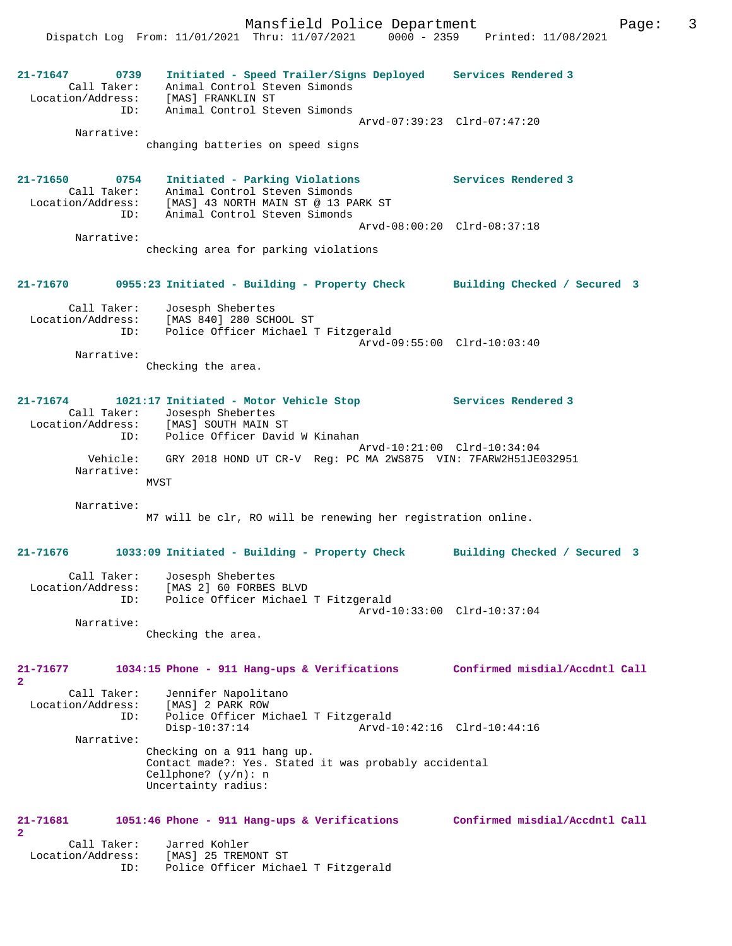**21-71647 0739 Initiated - Speed Trailer/Signs Deployed Services Rendered 3**  Call Taker: Animal Control Steven Simonds Location/Address: [MAS] FRANKLIN ST ID: Animal Control Steven Simonds Arvd-07:39:23 Clrd-07:47:20 Narrative: changing batteries on speed signs **21-71650 0754 Initiated - Parking Violations Services Rendered 3**  Call Taker: Animal Control Steven Simonds Location/Address: [MAS] 43 NORTH MAIN ST @ 13 PARK ST ID: Animal Control Steven Simonds Arvd-08:00:20 Clrd-08:37:18 Narrative: checking area for parking violations **21-71670 0955:23 Initiated - Building - Property Check Building Checked / Secured 3** Call Taker: Josesph Shebertes Location/Address: [MAS 840] 280 SCHOOL ST ID: Police Officer Michael T Fitzgerald Arvd-09:55:00 Clrd-10:03:40 Narrative: Checking the area. **21-71674 1021:17 Initiated - Motor Vehicle Stop Services Rendered 3**  Call Taker: Josesph Shebertes Location/Address: [MAS] SOUTH MAIN ST ID: Police Officer David W Kinahan Arvd-10:21:00 Clrd-10:34:04 Vehicle: GRY 2018 HOND UT CR-V Reg: PC MA 2WS875 VIN: 7FARW2H51JE032951 Narrative: MVST Narrative: M7 will be clr, RO will be renewing her registration online. **21-71676 1033:09 Initiated - Building - Property Check Building Checked / Secured 3** Call Taker: Josesph Shebertes Location/Address: [MAS 2] 60 FORBES BLVD ID: Police Officer Michael T Fitzgerald Arvd-10:33:00 Clrd-10:37:04 Narrative: Checking the area. **21-71677 1034:15 Phone - 911 Hang-ups & Verifications Confirmed misdial/Accdntl Call 2**  Call Taker: Jennifer Napolitano Location/Address: [MAS] 2 PARK ROW ID: Police Officer Michael T Fitzgerald Disp-10:37:14 Arvd-10:42:16 Clrd-10:44:16 Narrative: Checking on a 911 hang up. Contact made?: Yes. Stated it was probably accidental Cellphone? (y/n): n Uncertainty radius: **21-71681 1051:46 Phone - 911 Hang-ups & Verifications Confirmed misdial/Accdntl Call 2**  Call Taker: Jarred Kohler Location/Address: [MAS] 25 TREMONT ST ID: Police Officer Michael T Fitzgerald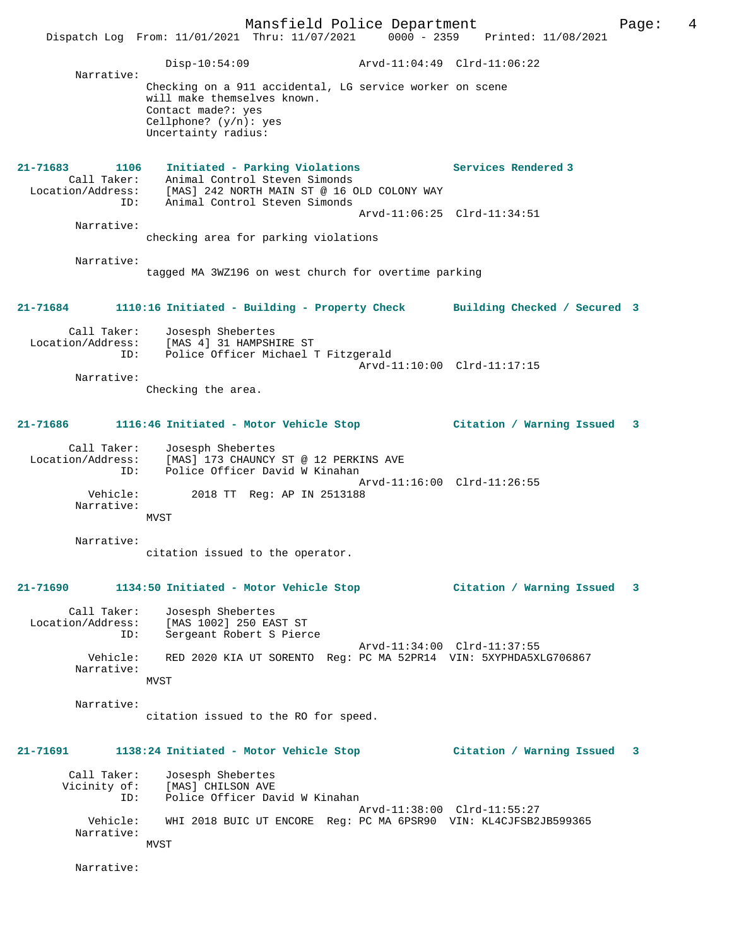|                                              | Mansfield Police Department<br>Dispatch Log From: 11/01/2021 Thru: 11/07/2021 0000 - 2359 Printed: 11/08/2021                                                     | Page:                                              | 4 |
|----------------------------------------------|-------------------------------------------------------------------------------------------------------------------------------------------------------------------|----------------------------------------------------|---|
|                                              | $Disp-10:54:09$                                                                                                                                                   | Arvd-11:04:49 Clrd-11:06:22                        |   |
| Narrative:                                   | Checking on a 911 accidental, LG service worker on scene<br>will make themselves known.<br>Contact made?: yes<br>Cellphone? $(y/n)$ : yes<br>Uncertainty radius:  |                                                    |   |
| $21 - 71683$<br>1106<br>Call Taker:<br>ID:   | Initiated - Parking Violations<br>Animal Control Steven Simonds<br>Location/Address: [MAS] 242 NORTH MAIN ST @ 16 OLD COLONY WAY<br>Animal Control Steven Simonds | Services Rendered 3<br>Arvd-11:06:25 Clrd-11:34:51 |   |
| Narrative:                                   | checking area for parking violations                                                                                                                              |                                                    |   |
| Narrative:                                   | tagged MA 3WZ196 on west church for overtime parking                                                                                                              |                                                    |   |
| 21-71684                                     | 1110:16 Initiated - Building - Property Check                                                                                                                     | Building Checked / Secured 3                       |   |
| Narrative:                                   | Call Taker: Josesph Shebertes<br>Location/Address: [MAS 4] 31 HAMPSHIRE ST<br>Police Officer Michael T Fitzgerald<br>ID:<br>Checking the area.                    | Arvd-11:10:00 Clrd-11:17:15                        |   |
| 21-71686                                     | 1116:46 Initiated - Motor Vehicle Stop                                                                                                                            | Citation / Warning Issued<br>3                     |   |
| Call Taker:<br>ID:<br>Vehicle:<br>Narrative: | Josesph Shebertes<br>Location/Address: [MAS] 173 CHAUNCY ST @ 12 PERKINS AVE<br>Police Officer David W Kinahan<br>2018 TT Reg: AP IN 2513188<br>MVST              | Arvd-11:16:00 Clrd-11:26:55                        |   |
| Narrative:                                   | citation issued to the operator.                                                                                                                                  |                                                    |   |
| 21-71690                                     | 1134:50 Initiated - Motor Vehicle Stop                                                                                                                            | Citation / Warning Issued<br>3                     |   |
| Call Taker:<br>Location/Address:<br>ID:      | Josesph Shebertes<br>[MAS 1002] 250 EAST ST<br>Sergeant Robert S Pierce                                                                                           | Arvd-11:34:00 Clrd-11:37:55                        |   |
| Vehicle:<br>Narrative:                       | RED 2020 KIA UT SORENTO Req: PC MA 52PR14 VIN: 5XYPHDA5XLG706867<br>MVST                                                                                          |                                                    |   |
| Narrative:                                   | citation issued to the RO for speed.                                                                                                                              |                                                    |   |
| 21-71691                                     | 1138:24 Initiated - Motor Vehicle Stop                                                                                                                            | Citation / Warning Issued<br>3                     |   |
| Call Taker:<br>Vicinity of:<br>ID:           | Josesph Shebertes<br>[MAS] CHILSON AVE<br>Police Officer David W Kinahan                                                                                          | Arvd-11:38:00 Clrd-11:55:27                        |   |
| Vehicle:<br>Narrative:                       | WHI 2018 BUIC UT ENCORE Reg: PC MA 6PSR90 VIN: KL4CJFSB2JB599365<br><b>MVST</b>                                                                                   |                                                    |   |
| Narrative:                                   |                                                                                                                                                                   |                                                    |   |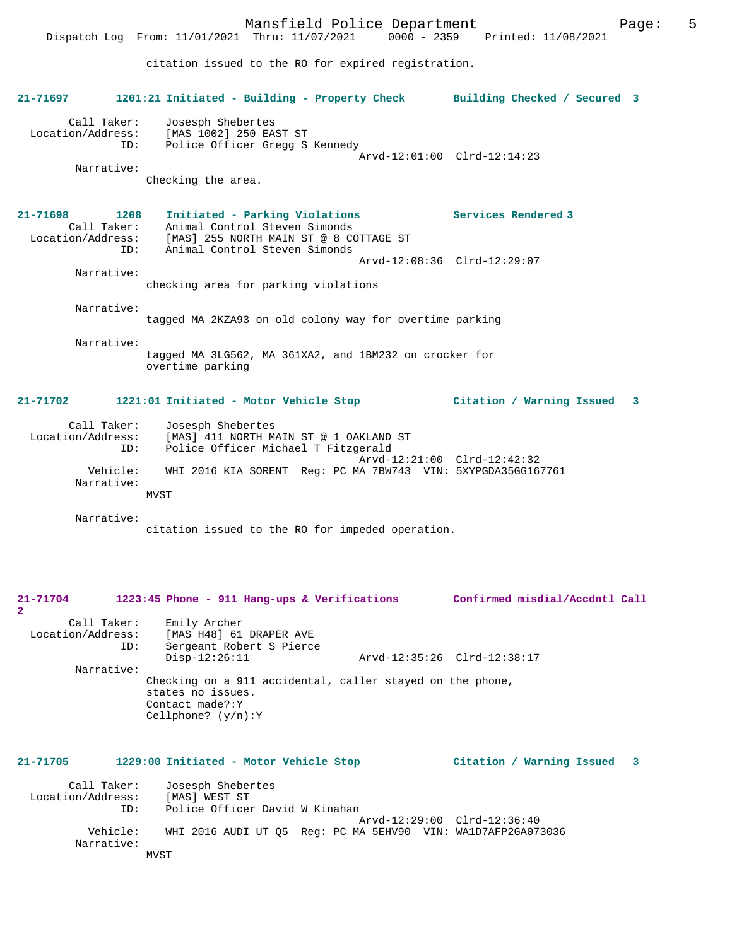Mansfield Police Department Form Page: 5 Dispatch Log From: 11/01/2021 Thru: 11/07/2021 0000 - 2359 Printed: 11/08/2021 citation issued to the RO for expired registration. **21-71697 1201:21 Initiated - Building - Property Check Building Checked / Secured 3** Call Taker: Josesph Shebertes Location/Address: [MAS 1002] 250 EAST ST ID: Police Officer Gregg S Kennedy Arvd-12:01:00 Clrd-12:14:23 Narrative: Checking the area. **21-71698 1208 Initiated - Parking Violations Services Rendered 3**  Call Taker: Animal Control Steven Simonds Location/Address: [MAS] 255 NORTH MAIN ST @ 8 COTTAGE ST ID: Animal Control Steven Simonds Arvd-12:08:36 Clrd-12:29:07 Narrative: checking area for parking violations Narrative: tagged MA 2KZA93 on old colony way for overtime parking Narrative: tagged MA 3LG562, MA 361XA2, and 1BM232 on crocker for overtime parking **21-71702 1221:01 Initiated - Motor Vehicle Stop Citation / Warning Issued 3** Call Taker: Josesph Shebertes Location/Address: [MAS] 411 NORTH MAIN ST @ 1 OAKLAND ST Police Officer Michael T Fitzgerald Arvd-12:21:00 Clrd-12:42:32<br>Vehicle: WHI 2016 KIA SORENT Reg: PC MA 7BW743 VIN: 5XYPGDA35GG16 WHI 2016 KIA SORENT Reg: PC MA 7BW743 VIN: 5XYPGDA35GG167761 Narrative: MVST Narrative: citation issued to the RO for impeded operation. **21-71704 1223:45 Phone - 911 Hang-ups & Verifications Confirmed misdial/Accdntl Call 2**  Call Taker: Emily Archer<br>Location/Address: [MAS H48] 61 ess: [MAS H48] 61 DRAPER AVE<br>ID: Sergeant Robert S Pierc Sergeant Robert S Pierce<br>Disp-12:26:11 Disp-12:26:11 Arvd-12:35:26 Clrd-12:38:17 Narrative: Checking on a 911 accidental, caller stayed on the phone, states no issues. Contact made?:Y Cellphone? (y/n):Y **21-71705 1229:00 Initiated - Motor Vehicle Stop Citation / Warning Issued 3**

Call Taker: Josesph Shebertes<br>ion/Address: [MAS] WEST ST Location/Address: ID: Police Officer David W Kinahan Arvd-12:29:00 Clrd-12:36:40 Vehicle: WHI 2016 AUDI UT Q5 Reg: PC MA 5EHV90 VIN: WA1D7AFP2GA073036 Narrative: MVST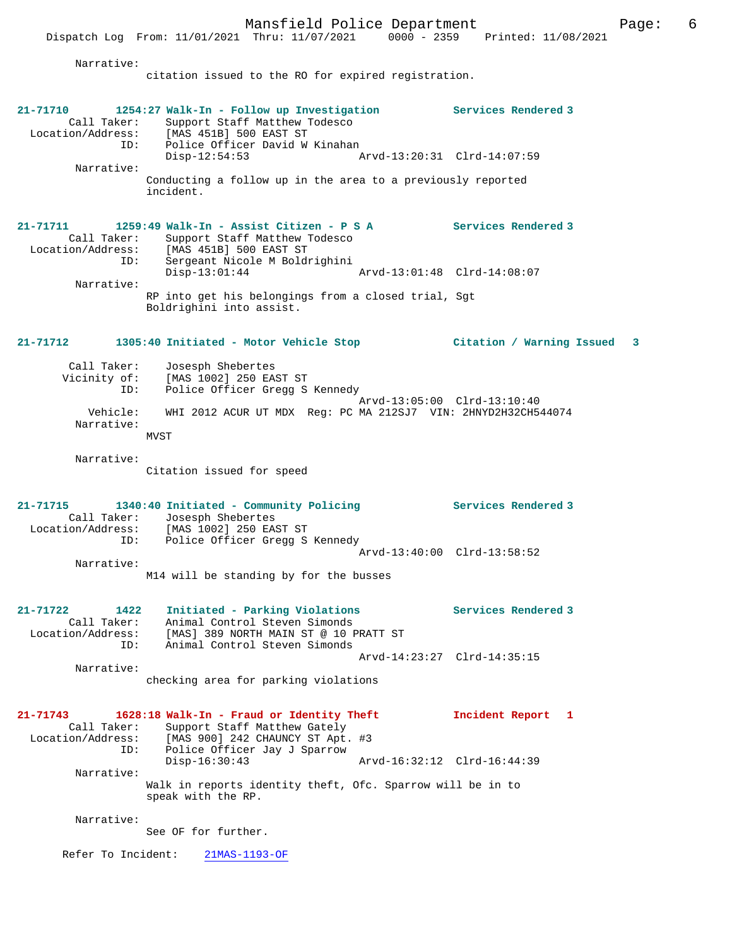Narrative:

citation issued to the RO for expired registration.

| 21-71710<br>Call Taker:<br>Location/Address:<br>ID:<br>Narrative:               | 1254:27 Walk-In - Follow up Investigation<br>Support Staff Matthew Todesco<br>[MAS 451B] 500 EAST ST<br>Police Officer David W Kinahan<br>$Disp-12:54:53$<br>Conducting a follow up in the area to a previously reported<br>incident.                                     | <b>Services Rendered 3</b><br>Arvd-13:20:31 Clrd-14:07:59 |   |
|---------------------------------------------------------------------------------|---------------------------------------------------------------------------------------------------------------------------------------------------------------------------------------------------------------------------------------------------------------------------|-----------------------------------------------------------|---|
| $21 - 71711$<br>Call Taker:<br>ID:<br>Narrative:                                | 1259:49 Walk-In - Assist Citizen - P S A<br>Support Staff Matthew Todesco<br>Location/Address: [MAS 451B] 500 EAST ST<br>Sergeant Nicole M Boldrighini<br>$Disp-13:01:44$<br>RP into get his belongings from a closed trial, Sgt<br>Boldrighini into assist.              | <b>Services Rendered 3</b><br>Arvd-13:01:48 Clrd-14:08:07 |   |
| 21-71712<br>Call Taker:<br>Vicinity of:<br>ID:<br>Vehicle:<br>Narrative:        | 1305:40 Initiated - Motor Vehicle Stop<br>Josesph Shebertes<br>[MAS 1002] 250 EAST ST<br>Police Officer Gregg S Kennedy<br>WHI 2012 ACUR UT MDX Reg: PC MA 212SJ7 VIN: 2HNYD2H32CH544074<br>MVST                                                                          | Citation / Warning Issued<br>Arvd-13:05:00 Clrd-13:10:40  | 3 |
| Narrative:<br>21-71715<br>Call Taker:<br>Location/Address:<br>ID:<br>Narrative: | Citation issued for speed<br>1340:40 Initiated - Community Policing<br>Josesph Shebertes<br>[MAS 1002] 250 EAST ST<br>Police Officer Gregg S Kennedy<br>M14 will be standing by for the busses                                                                            | Services Rendered 3<br>Arvd-13:40:00 Clrd-13:58:52        |   |
| $21 - 71722$<br>1422<br>Call Taker:<br>Location/Address:<br>ID:<br>Narrative:   | Initiated - Parking Violations<br>Animal Control Steven Simonds<br>[MAS] 389 NORTH MAIN ST @ 10 PRATT ST<br>Animal Control Steven Simonds<br>checking area for parking violations                                                                                         | Services Rendered 3<br>Arvd-14:23:27 Clrd-14:35:15        |   |
| 21-71743<br>Call Taker:<br>Location/Address:<br>ID:<br>Narrative:<br>Narrative: | 1628:18 Walk-In - Fraud or Identity Theft<br>Support Staff Matthew Gately<br>[MAS 900] 242 CHAUNCY ST Apt. #3<br>Police Officer Jay J Sparrow<br>Disp-16:30:43<br>Walk in reports identity theft, Ofc. Sparrow will be in to<br>speak with the RP.<br>See OF for further. | Incident Report<br>1<br>Arvd-16:32:12 Clrd-16:44:39       |   |
| Refer To Incident:                                                              | $21MAS-1193-OF$                                                                                                                                                                                                                                                           |                                                           |   |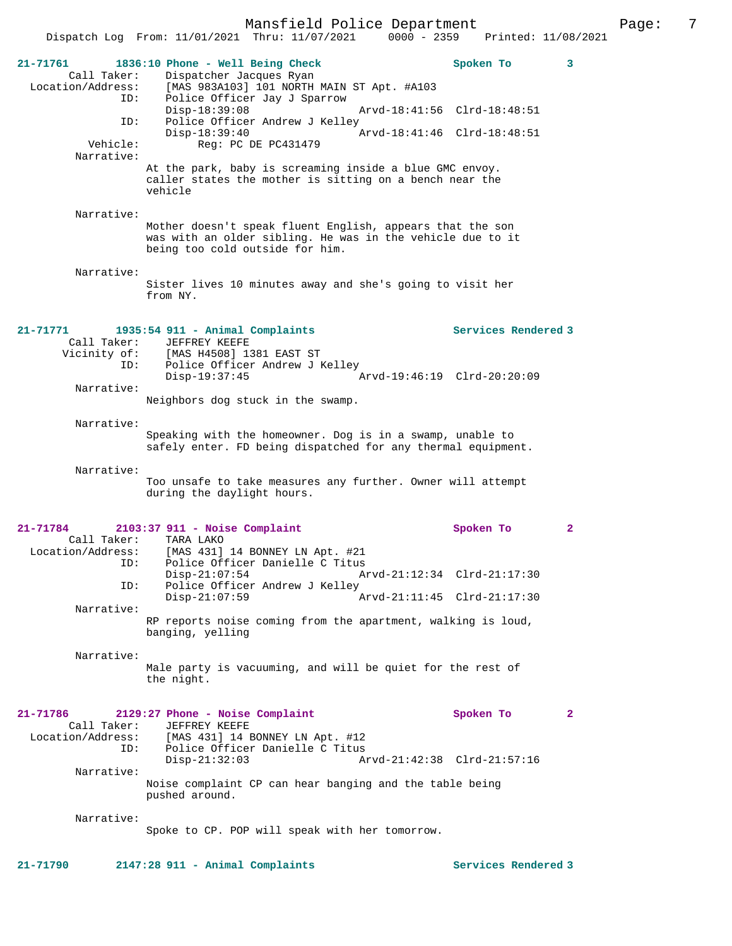|                                                     |                                                                                                                                                            | Mansfield Police Department |  |                                                            |                                 |
|-----------------------------------------------------|------------------------------------------------------------------------------------------------------------------------------------------------------------|-----------------------------|--|------------------------------------------------------------|---------------------------------|
|                                                     | Dispatch Log From: 11/01/2021 Thru: 11/07/2021                                                                                                             |                             |  |                                                            | 0000 - 2359 Printed: 11/08/2021 |
| 21-71761<br>Call Taker:<br>Location/Address:<br>ID: | 1836:10 Phone - Well Being Check<br>Dispatcher Jacques Ryan<br>[MAS 983A103] 101 NORTH MAIN ST Apt. #A103<br>Police Officer Jay J Sparrow                  |                             |  | Spoken To                                                  | 3                               |
| ID:                                                 | $Disp-18:39:08$<br>Police Officer Andrew J Kelley                                                                                                          |                             |  | Arvd-18:41:56 Clrd-18:48:51                                |                                 |
| Vehicle:<br>Narrative:                              | $Disp-18:39:40$                                                                                                                                            | Reg: PC DE PC431479         |  | Arvd-18:41:46 Clrd-18:48:51                                |                                 |
|                                                     | At the park, baby is screaming inside a blue GMC envoy.<br>caller states the mother is sitting on a bench near the<br>vehicle                              |                             |  |                                                            |                                 |
| Narrative:                                          | Mother doesn't speak fluent English, appears that the son<br>was with an older sibling. He was in the vehicle due to it<br>being too cold outside for him. |                             |  |                                                            |                                 |
| Narrative:                                          | Sister lives 10 minutes away and she's going to visit her<br>from NY.                                                                                      |                             |  |                                                            |                                 |
| 21-71771<br>Call Taker:                             | 1935:54 911 - Animal Complaints<br>JEFFREY KEEFE                                                                                                           |                             |  | Services Rendered 3                                        |                                 |
| Vicinity of:<br>ID:                                 | [MAS H4508] 1381 EAST ST<br>Police Officer Andrew J Kelley<br>Disp-19:37:45                                                                                |                             |  | Arvd-19:46:19 Clrd-20:20:09                                |                                 |
| Narrative:                                          | Neighbors dog stuck in the swamp.                                                                                                                          |                             |  |                                                            |                                 |
| Narrative:                                          | Speaking with the homeowner. Dog is in a swamp, unable to<br>safely enter. FD being dispatched for any thermal equipment.                                  |                             |  |                                                            |                                 |
| Narrative:                                          | Too unsafe to take measures any further. Owner will attempt<br>during the daylight hours.                                                                  |                             |  |                                                            |                                 |
| 21-71784<br>Call Taker:<br>Location/Address:<br>ID: | $2103:37$ 911 - Noise Complaint<br>TARA LAKO<br>[MAS 431] 14 BONNEY LN Apt. #21<br>Police Officer Danielle C Titus                                         |                             |  | Spoken To                                                  | $\mathbf{2}$                    |
| ID:                                                 | $Disp-21:07:54$<br>Police Officer Andrew J Kelley                                                                                                          |                             |  | Arvd-21:12:34 Clrd-21:17:30<br>Arvd-21:11:45 Clrd-21:17:30 |                                 |
| Narrative:                                          | $Disp-21:07:59$<br>RP reports noise coming from the apartment, walking is loud,                                                                            |                             |  |                                                            |                                 |
|                                                     | banging, yelling                                                                                                                                           |                             |  |                                                            |                                 |
| Narrative:                                          | Male party is vacuuming, and will be quiet for the rest of<br>the night.                                                                                   |                             |  |                                                            |                                 |
| 21-71786<br>Call Taker:<br>Location/Address:<br>ID: | 2129:27 Phone - Noise Complaint<br>JEFFREY KEEFE<br>[MAS 431] 14 BONNEY LN Apt. #12<br>Police Officer Danielle C Titus<br>$Disp-21:32:03$                  |                             |  | Spoken To<br>Arvd-21:42:38 Clrd-21:57:16                   | $\mathbf{2}$                    |
| Narrative:                                          | Noise complaint CP can hear banging and the table being<br>pushed around.                                                                                  |                             |  |                                                            |                                 |
| Narrative:                                          | Spoke to CP. POP will speak with her tomorrow.                                                                                                             |                             |  |                                                            |                                 |

Page: 7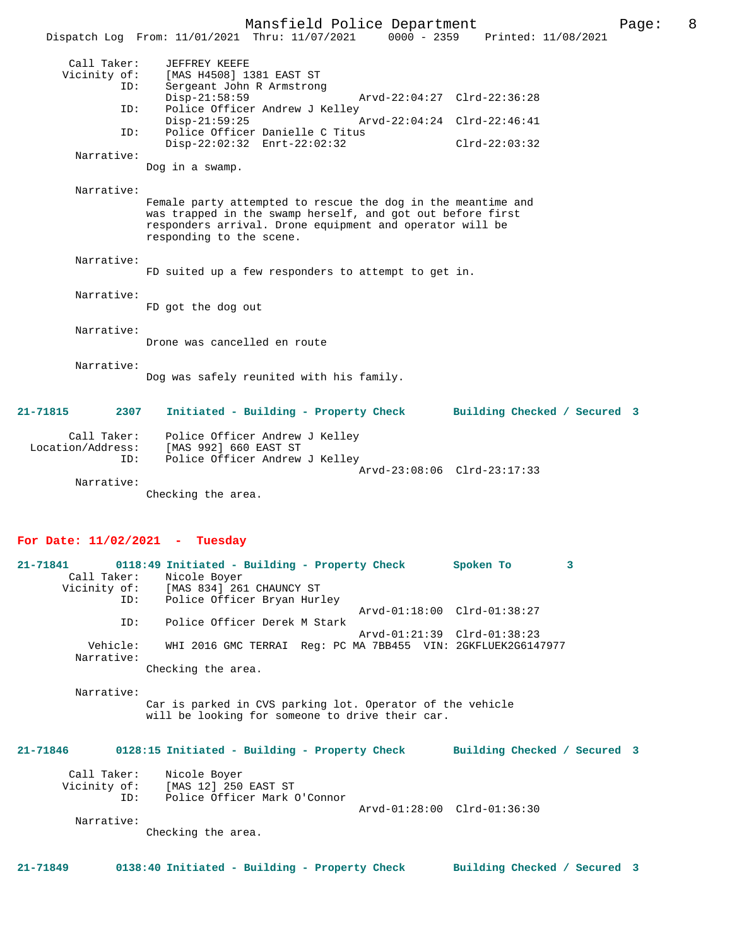|                                         |                                                                                                                                                                                                                    | Mansfield Police Department |                                 |                 |                              | Page: | 8 |
|-----------------------------------------|--------------------------------------------------------------------------------------------------------------------------------------------------------------------------------------------------------------------|-----------------------------|---------------------------------|-----------------|------------------------------|-------|---|
|                                         | Dispatch Log From: 11/01/2021 Thru: 11/07/2021                                                                                                                                                                     |                             | 0000 - 2359 Printed: 11/08/2021 |                 |                              |       |   |
| Call Taker:<br>Vicinity of:<br>ID:      | JEFFREY KEEFE<br>[MAS H4508] 1381 EAST ST<br>Sergeant John R Armstrong                                                                                                                                             |                             |                                 |                 |                              |       |   |
|                                         | $Disp-21:58:59$                                                                                                                                                                                                    |                             | Arvd-22:04:27 Clrd-22:36:28     |                 |                              |       |   |
| ID:                                     | Police Officer Andrew J Kelley<br>$Disp-21:59:25$                                                                                                                                                                  |                             | Arvd-22:04:24 Clrd-22:46:41     |                 |                              |       |   |
| ID:                                     | Police Officer Danielle C Titus<br>$Disp-22:02:32$ $Enrt-22:02:32$                                                                                                                                                 |                             |                                 | $Clrd-22:03:32$ |                              |       |   |
| Narrative:                              | Dog in a swamp.                                                                                                                                                                                                    |                             |                                 |                 |                              |       |   |
| Narrative:                              |                                                                                                                                                                                                                    |                             |                                 |                 |                              |       |   |
|                                         | Female party attempted to rescue the dog in the meantime and<br>was trapped in the swamp herself, and got out before first<br>responders arrival. Drone equipment and operator will be<br>responding to the scene. |                             |                                 |                 |                              |       |   |
| Narrative:                              | FD suited up a few responders to attempt to get in.                                                                                                                                                                |                             |                                 |                 |                              |       |   |
| Narrative:                              | FD got the dog out                                                                                                                                                                                                 |                             |                                 |                 |                              |       |   |
| Narrative:                              | Drone was cancelled en route                                                                                                                                                                                       |                             |                                 |                 |                              |       |   |
| Narrative:                              | Dog was safely reunited with his family.                                                                                                                                                                           |                             |                                 |                 |                              |       |   |
| 21-71815<br>2307                        | Initiated - Building - Property Check                                                                                                                                                                              |                             |                                 |                 | Building Checked / Secured 3 |       |   |
| Call Taker:<br>Location/Address:<br>ID: | Police Officer Andrew J Kelley<br>[MAS 992] 660 EAST ST<br>Police Officer Andrew J Kelley                                                                                                                          |                             |                                 |                 |                              |       |   |
| Narrative:                              | Checking the area.                                                                                                                                                                                                 |                             | Arvd-23:08:06 Clrd-23:17:33     |                 |                              |       |   |
| For Date: 11/02/2021 - Tuesday          |                                                                                                                                                                                                                    |                             |                                 |                 |                              |       |   |
| 21-71841<br>Call Taker:<br>ID:          | 0118:49 Initiated - Building - Property Check<br>Nicole Boyer<br>Vicinity of: [MAS 834] 261 CHAUNCY ST<br>Police Officer Bryan Hurley                                                                              |                             |                                 | Spoken To       | 3                            |       |   |
| ID:                                     | Police Officer Derek M Stark                                                                                                                                                                                       |                             | Arvd-01:18:00 Clrd-01:38:27     |                 |                              |       |   |
| Vehicle:                                | WHI 2016 GMC TERRAI Req: PC MA 7BB455 VIN: 2GKFLUEK2G6147977                                                                                                                                                       |                             | Arvd-01:21:39 Clrd-01:38:23     |                 |                              |       |   |
| Narrative:                              | Checking the area.                                                                                                                                                                                                 |                             |                                 |                 |                              |       |   |
| Narrative:                              |                                                                                                                                                                                                                    |                             |                                 |                 |                              |       |   |
|                                         | Car is parked in CVS parking lot. Operator of the vehicle<br>will be looking for someone to drive their car.                                                                                                       |                             |                                 |                 |                              |       |   |
| 21-71846                                | 0128:15 Initiated - Building - Property Check                                                                                                                                                                      |                             |                                 |                 | Building Checked / Secured 3 |       |   |
| Call Taker:<br>Vicinity of:<br>ID:      | Nicole Boyer<br>[MAS 12] 250 EAST ST<br>Police Officer Mark O'Connor                                                                                                                                               |                             |                                 |                 |                              |       |   |
| Narrative:                              |                                                                                                                                                                                                                    |                             | Arvd-01:28:00 Clrd-01:36:30     |                 |                              |       |   |

Checking the area.

**21-71849 0138:40 Initiated - Building - Property Check Building Checked / Secured 3**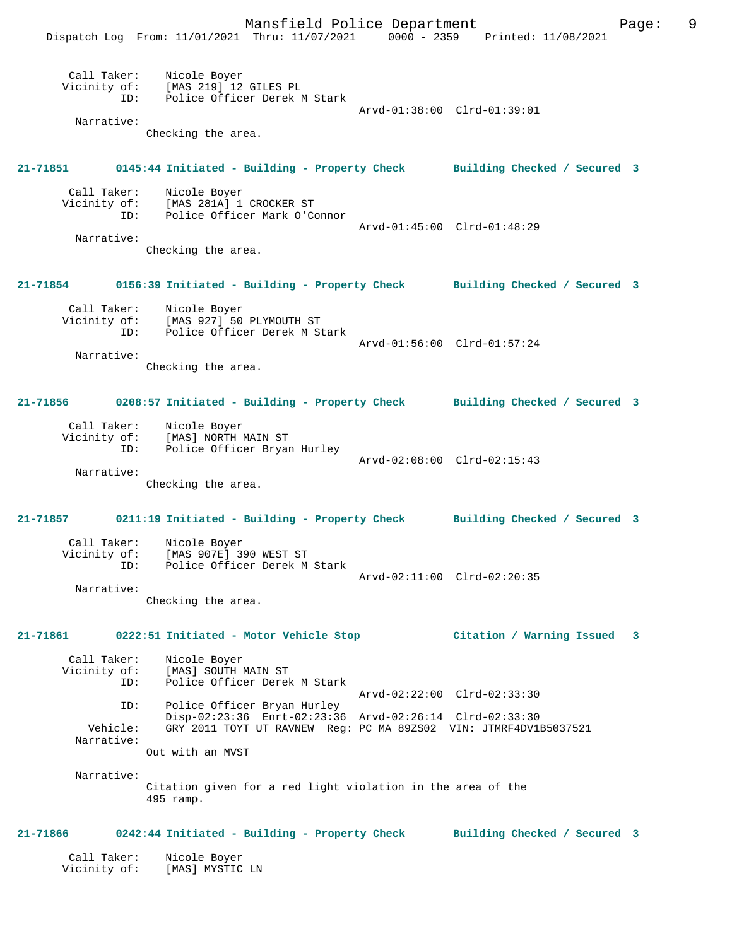Mansfield Police Department Fage: 9 Dispatch Log From: 11/01/2021 Thru: 11/07/2021 0000 - 2359 Printed: 11/08/2021 Call Taker: Nicole Boyer Vicinity of: [MAS 219] 12 GILES PL ID: Police Officer Derek M Stark Arvd-01:38:00 Clrd-01:39:01 Narrative: Checking the area. **21-71851 0145:44 Initiated - Building - Property Check Building Checked / Secured 3** Call Taker: Nicole Boyer Vicinity of: [MAS 281A] 1 CROCKER ST<br>ID: Police Officer Mark O'C Police Officer Mark O'Connor Arvd-01:45:00 Clrd-01:48:29 Narrative: Checking the area. **21-71854 0156:39 Initiated - Building - Property Check Building Checked / Secured 3** Call Taker: Nicole Boyer Vicinity of: [MAS 927] 50 PLYMOUTH ST ID: Police Officer Derek M Stark Arvd-01:56:00 Clrd-01:57:24 Narrative: Checking the area. **21-71856 0208:57 Initiated - Building - Property Check Building Checked / Secured 3** Call Taker: Nicole Boyer Vicinity of: [MAS] NORTH MAIN ST<br>ID: Police Officer Brvan Police Officer Bryan Hurley Arvd-02:08:00 Clrd-02:15:43 Narrative: Checking the area. **21-71857 0211:19 Initiated - Building - Property Check Building Checked / Secured 3** Call Taker: Nicole Boyer<br>Vicinity of: [MAS 907E] 3 [MAS 907E] 390 WEST ST ID: Police Officer Derek M Stark Arvd-02:11:00 Clrd-02:20:35 Narrative: Checking the area. **21-71861 0222:51 Initiated - Motor Vehicle Stop Citation / Warning Issued 3** Call Taker: Nicole Boyer<br>Vicinity of: [MAS] SOUTH 1 of: [MAS] SOUTH MAIN ST<br>ID: Police Officer Derel Police Officer Derek M Stark Arvd-02:22:00 Clrd-02:33:30 ID: Police Officer Bryan Hurley Disp-02:23:36 Enrt-02:23:36 Arvd-02:26:14 Clrd-02:33:30<br>Vehicle: GRY 2011 TOYT UT RAVNEW Reg: PC MA 89ZS02 VIN: JTMRF4DV1E GRY 2011 TOYT UT RAVNEW Reg: PC MA 89ZS02 VIN: JTMRF4DV1B5037521 Narrative: Out with an MVST Narrative: Citation given for a red light violation in the area of the 495 ramp. **21-71866 0242:44 Initiated - Building - Property Check Building Checked / Secured 3** Call Taker: Nicole Boyer Vicinity of: [MAS] MYSTIC LN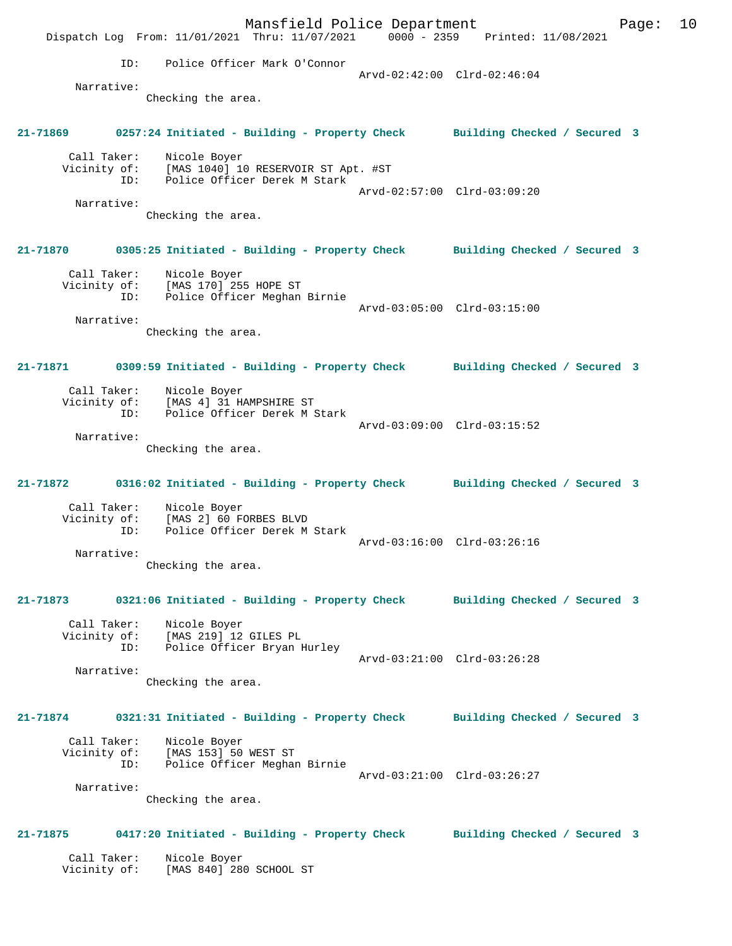Mansfield Police Department Form Page: 10 Dispatch Log From: 11/01/2021 Thru: 11/07/2021 0000 - 2359 Printed: 11/08/2021 ID: Police Officer Mark O'Connor Arvd-02:42:00 Clrd-02:46:04 Narrative: Checking the area. **21-71869 0257:24 Initiated - Building - Property Check Building Checked / Secured 3** Call Taker: Nicole Boyer Vicinity of: [MAS 1040] 10 RESERVOIR ST Apt. #ST ID: Police Officer Derek M Stark Arvd-02:57:00 Clrd-03:09:20 Narrative: Checking the area. **21-71870 0305:25 Initiated - Building - Property Check Building Checked / Secured 3** Call Taker: Nicole Boyer Vicinity of: [MAS 170] 255 HOPE ST ID: Police Officer Meghan Birnie Arvd-03:05:00 Clrd-03:15:00 Narrative: Checking the area. **21-71871 0309:59 Initiated - Building - Property Check Building Checked / Secured 3** Call Taker: Nicole Boyer Vicinity of: [MAS 4] 31 HAMPSHIRE ST ID: Police Officer Derek M Stark Arvd-03:09:00 Clrd-03:15:52 Narrative: Checking the area. **21-71872 0316:02 Initiated - Building - Property Check Building Checked / Secured 3** Call Taker: Nicole Boyer Vicinity of: [MAS 2] 60 FORBES BLVD<br>ID: Police Officer Derek M Police Officer Derek M Stark Arvd-03:16:00 Clrd-03:26:16 Narrative: Checking the area. **21-71873 0321:06 Initiated - Building - Property Check Building Checked / Secured 3** Call Taker: Nicole Boyer Vicinity of: [MAS 219] 12 GILES PL ID: Police Officer Bryan Hurley Arvd-03:21:00 Clrd-03:26:28 Narrative: Checking the area. **21-71874 0321:31 Initiated - Building - Property Check Building Checked / Secured 3** Call Taker: Nicole Boyer Vicinity of: [MAS 153] 50 WEST ST<br>ID: Police Officer Meghar Police Officer Meghan Birnie Arvd-03:21:00 Clrd-03:26:27 Narrative: Checking the area. **21-71875 0417:20 Initiated - Building - Property Check Building Checked / Secured 3** Call Taker: Nicole Boyer<br>Vicinity of: [MAS 840] 280 [MAS 840] 280 SCHOOL ST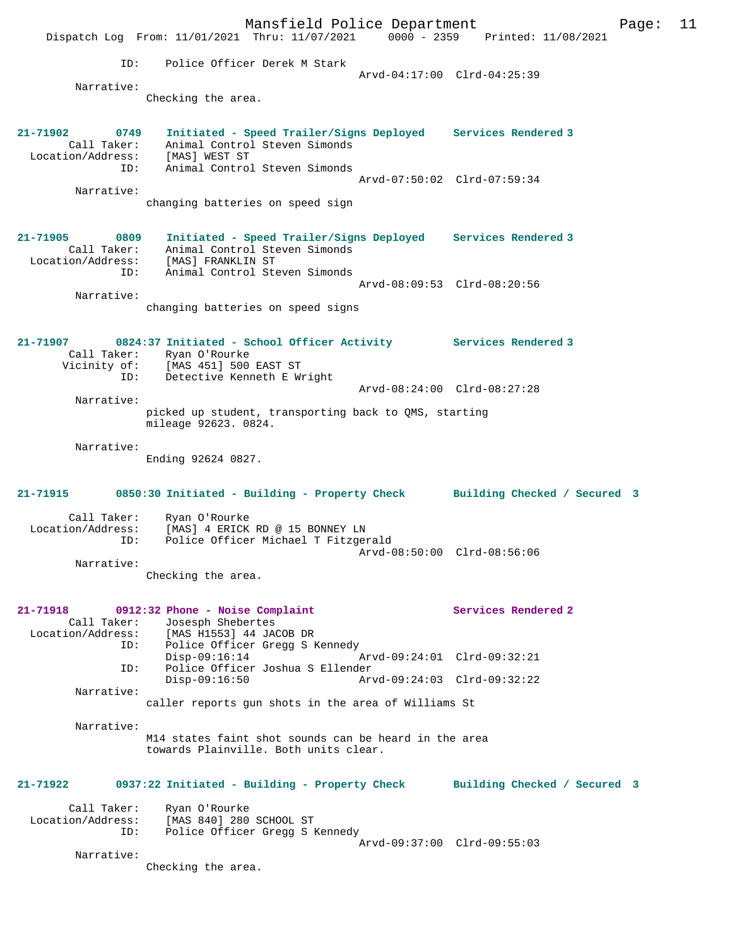Mansfield Police Department Page: 11 Dispatch Log From: 11/01/2021 Thru: 11/07/2021 0000 - 2359 Printed: 11/08/2021 ID: Police Officer Derek M Stark Arvd-04:17:00 Clrd-04:25:39 Narrative: Checking the area. **21-71902 0749 Initiated - Speed Trailer/Signs Deployed Services Rendered 3**  Call Taker: Animal Control Steven Simonds Location/Address: [MAS] WEST ST ID: Animal Control Steven Simonds Arvd-07:50:02 Clrd-07:59:34 Narrative: changing batteries on speed sign **21-71905 0809 Initiated - Speed Trailer/Signs Deployed Services Rendered 3**  Call Taker: Animal Control Steven Simonds Location/Address: [MAS] FRANKLIN ST ID: Animal Control Steven Simonds Arvd-08:09:53 Clrd-08:20:56 Narrative: changing batteries on speed signs **21-71907 0824:37 Initiated - School Officer Activity Services Rendered 3**  Call Taker: Ryan O'Rourke<br>Vicinity of: [MAS 451] 500 EAST ST Vicinity of: [MAS 451] 500 EAST ST ID: Detective Kenneth E Wright Arvd-08:24:00 Clrd-08:27:28 Narrative: picked up student, transporting back to QMS, starting mileage 92623. 0824. Narrative: Ending 92624 0827. **21-71915 0850:30 Initiated - Building - Property Check Building Checked / Secured 3** Call Taker: Ryan O'Rourke Location/Address: [MAS] 4 ERICK RD @ 15 BONNEY LN ID: Police Officer Michael T Fitzgerald Arvd-08:50:00 Clrd-08:56:06 Narrative: Checking the area. **21-71918 0912:32 Phone - Noise Complaint Services Rendered 2**  Call Taker: Josesph Shebertes Location/Address: [MAS H1553] 44 JACOB DR ID: Police Officer Gregg S Kennedy Disp-09:16:14 <br>The Disp-09:16:14  $\frac{1}{2}$  Arvd-09:24:01 Clrd-09:32:21 ID: Police Officer Joshua S Ellender Disp-09:16:50 Arvd-09:24:03 Clrd-09:32:22 Narrative: caller reports gun shots in the area of Williams St Narrative: M14 states faint shot sounds can be heard in the area towards Plainville. Both units clear. **21-71922 0937:22 Initiated - Building - Property Check Building Checked / Secured 3** Call Taker: Ryan O'Rourke<br>Location/Address: [MAS 840] 280 Location/Address: [MAS 840] 280 SCHOOL ST ID: Police Officer Gregg S Kennedy Arvd-09:37:00 Clrd-09:55:03 Narrative: Checking the area.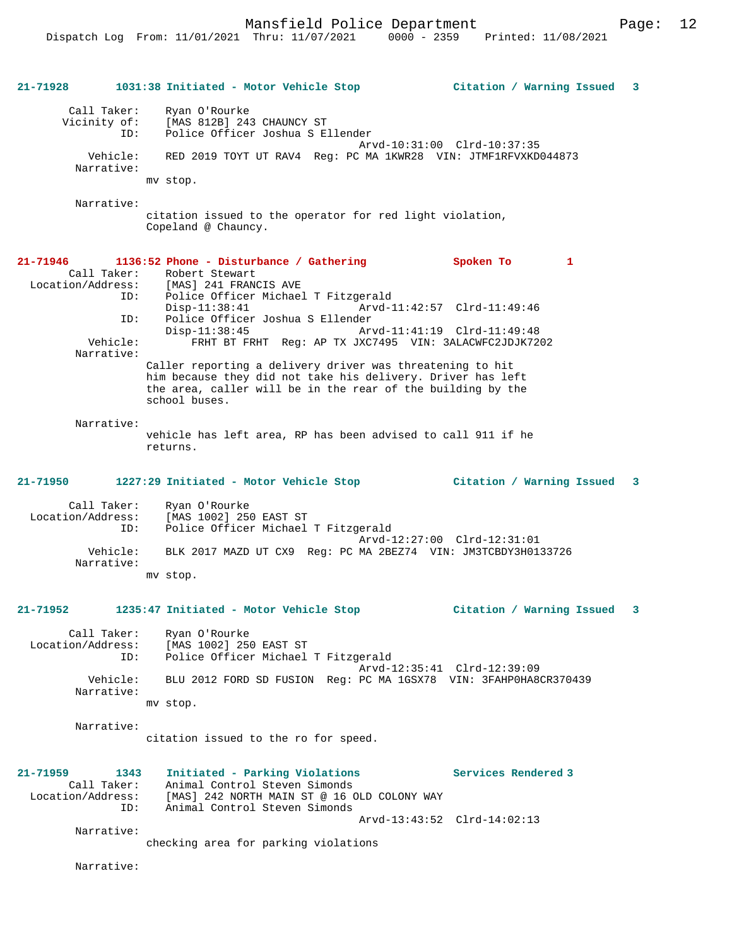Mansfield Police Department Fage: 12

| 21-71928     |                                                                          | 1031:38 Initiated - Motor Vehicle Stop                                                                                                                                                                                                                                                                                                                                                                                                                                                  | Citation / Warning Issued 3                   |
|--------------|--------------------------------------------------------------------------|-----------------------------------------------------------------------------------------------------------------------------------------------------------------------------------------------------------------------------------------------------------------------------------------------------------------------------------------------------------------------------------------------------------------------------------------------------------------------------------------|-----------------------------------------------|
|              | Call Taker:<br>Vicinity of:<br>ID:<br>Vehicle:<br>Narrative:             | Ryan O'Rourke<br>[MAS 812B] 243 CHAUNCY ST<br>Police Officer Joshua S Ellender<br>RED 2019 TOYT UT RAV4 Reg: PC MA 1KWR28 VIN: JTMF1RFVXKD044873                                                                                                                                                                                                                                                                                                                                        | Arvd-10:31:00 Clrd-10:37:35                   |
|              |                                                                          | mv stop.                                                                                                                                                                                                                                                                                                                                                                                                                                                                                |                                               |
|              | Narrative:                                                               | citation issued to the operator for red light violation,<br>Copeland @ Chauncy.                                                                                                                                                                                                                                                                                                                                                                                                         |                                               |
| 21-71946     | Call Taker:<br>Location/Address:<br>ID:<br>ID:<br>Vehicle:<br>Narrative: | 1136:52 Phone - Disturbance / Gathering<br>Robert Stewart<br>[MAS] 241 FRANCIS AVE<br>Police Officer Michael T Fitzgerald<br>$Disp-11:38:41$<br>Police Officer Joshua S Ellender<br>$Disp-11:38:45$<br>Arvd-11:41:19 Clrd-11:49:48<br>FRHT BT FRHT Req: AP TX JXC7495 VIN: 3ALACWFC2JDJK7202<br>Caller reporting a delivery driver was threatening to hit<br>him because they did not take his delivery. Driver has left<br>the area, caller will be in the rear of the building by the | Spoken To<br>1<br>Arvd-11:42:57 Clrd-11:49:46 |
|              | Narrative:                                                               | school buses.<br>vehicle has left area, RP has been advised to call 911 if he                                                                                                                                                                                                                                                                                                                                                                                                           |                                               |
|              |                                                                          | returns.                                                                                                                                                                                                                                                                                                                                                                                                                                                                                |                                               |
| 21-71950     |                                                                          | 1227:29 Initiated - Motor Vehicle Stop                                                                                                                                                                                                                                                                                                                                                                                                                                                  | Citation / Warning Issued 3                   |
|              | Call Taker:<br>Location/Address:<br>ID:                                  | Ryan O'Rourke<br>[MAS 1002] 250 EAST ST<br>Police Officer Michael T Fitzgerald                                                                                                                                                                                                                                                                                                                                                                                                          | Arvd-12:27:00 Clrd-12:31:01                   |
|              | Vehicle:<br>Narrative:                                                   | BLK 2017 MAZD UT CX9 Req: PC MA 2BEZ74 VIN: JM3TCBDY3H0133726<br>mv stop.                                                                                                                                                                                                                                                                                                                                                                                                               |                                               |
| $21 - 71952$ |                                                                          | 1235:47 Initiated - Motor Vehicle Stop                                                                                                                                                                                                                                                                                                                                                                                                                                                  | Citation / Warning Issued 3                   |
|              | Location/Address:<br>ID:                                                 | Call Taker: Ryan O'Rourke<br>[MAS 1002] 250 EAST ST<br>Police Officer Michael T Fitzgerald                                                                                                                                                                                                                                                                                                                                                                                              |                                               |
|              | Vehicle:<br>Narrative:                                                   | BLU 2012 FORD SD FUSION Reg: PC MA 1GSX78 VIN: 3FAHP0HA8CR370439<br>mv stop.                                                                                                                                                                                                                                                                                                                                                                                                            | Arvd-12:35:41 Clrd-12:39:09                   |
|              | Narrative:                                                               | citation issued to the ro for speed.                                                                                                                                                                                                                                                                                                                                                                                                                                                    |                                               |
| 21-71959     | 1343<br>Call Taker:<br>Location/Address:<br>ID:                          | Initiated - Parking Violations<br>Animal Control Steven Simonds<br>[MAS] 242 NORTH MAIN ST @ 16 OLD COLONY WAY<br>Animal Control Steven Simonds                                                                                                                                                                                                                                                                                                                                         | Services Rendered 3                           |
|              | Narrative:                                                               | checking area for parking violations                                                                                                                                                                                                                                                                                                                                                                                                                                                    | Arvd-13:43:52 Clrd-14:02:13                   |
|              | Narrative:                                                               |                                                                                                                                                                                                                                                                                                                                                                                                                                                                                         |                                               |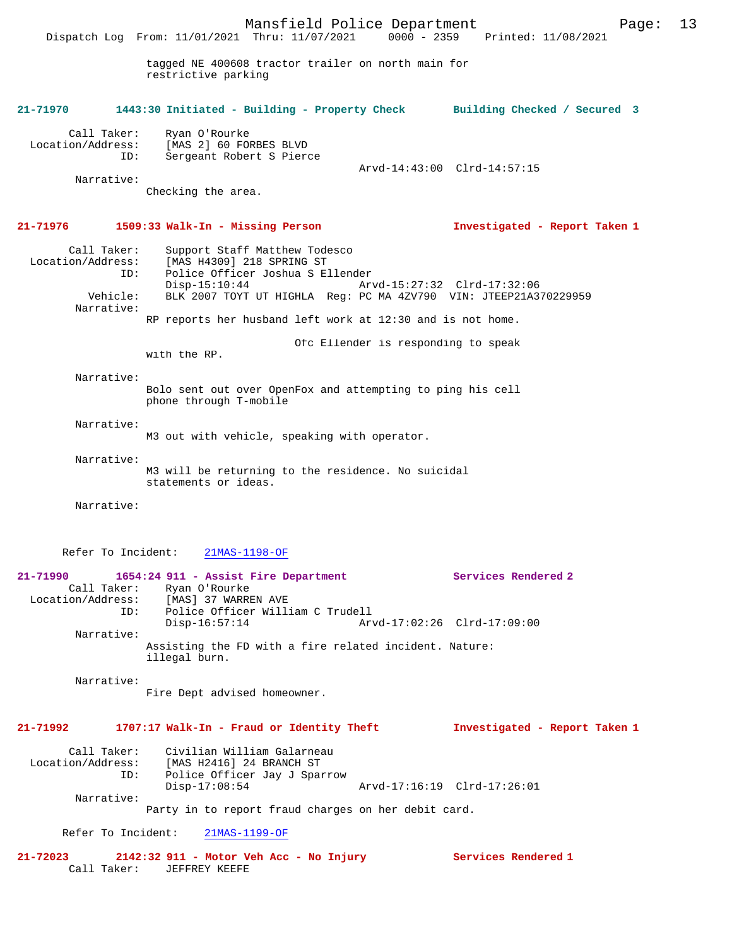Mansfield Police Department Page: 13 Dispatch Log From: 11/01/2021 Thru: 11/07/2021 tagged NE 400608 tractor trailer on north main for restrictive parking **21-71970 1443:30 Initiated - Building - Property Check Building Checked / Secured 3** Call Taker: Ryan O'Rourke<br>Location/Address: [MAS 2] 60 FOI ess: [MAS 2] 60 FORBES BLVD<br>ID: Sergeant Robert S Pierd Sergeant Robert S Pierce Arvd-14:43:00 Clrd-14:57:15 Narrative: Checking the area. **21-71976 1509:33 Walk-In - Missing Person Investigated - Report Taken 1** Call Taker: Support Staff Matthew Todesco<br>Location/Address: [MAS H4309] 218 SPRING ST ess: [MAS H4309] 218 SPRING ST<br>ID: Police Officer Joshua S.E. Police Officer Joshua S Ellender<br>Disp-15:10:44 Ar Disp-15:10:44 Arvd-15:27:32 Clrd-17:32:06<br>Vehicle: BLK 2007 TOYT UT HIGHLA Reg: PC MA 4ZV790 VIN: JTEEP21A3 BLK 2007 TOYT UT HIGHLA Reg: PC MA 4ZV790 VIN: JTEEP21A370229959 Narrative: RP reports her husband left work at 12:30 and is not home. Ofc Ellender is responding to speak with the RP. Narrative: Bolo sent out over OpenFox and attempting to ping his cell phone through T-mobile Narrative: M3 out with vehicle, speaking with operator. Narrative: M3 will be returning to the residence. No suicidal statements or ideas. Narrative: Refer To Incident: 21MAS-1198-OF **21-71990 1654:24 911 - Assist Fire Department Services Rendered 2**  Call Taker: Ryan O'Rourke<br>Location/Address: [MAS] 37 WARRI ess: [MAS] 37 WARREN AVE<br>ID: Police Officer Willi Police Officer William C Trudell<br>Disp-16:57:14 Arv Disp-16:57:14 Arvd-17:02:26 Clrd-17:09:00 Narrative: Assisting the FD with a fire related incident. Nature: illegal burn. Narrative: Fire Dept advised homeowner.

**21-71992 1707:17 Walk-In - Fraud or Identity Theft Investigated - Report Taken 1**

Call Taker: Civilian William Galarneau<br>Location/Address: [MAS H2416] 24 BRANCH ST ess: [MAS H2416] 24 BRANCH ST<br>ID: Police Officer Jav J Spal Police Officer Jay J Sparrow<br>Disp-17:08:54 Disp-17:08:54 Arvd-17:16:19 Clrd-17:26:01 Narrative:

Party in to report fraud charges on her debit card.

Refer To Incident: 21MAS-1199-OF

**21-72023 2142:32 911 - Motor Veh Acc - No Injury Services Rendered 1**  Call Taker: JEFFREY KEEFE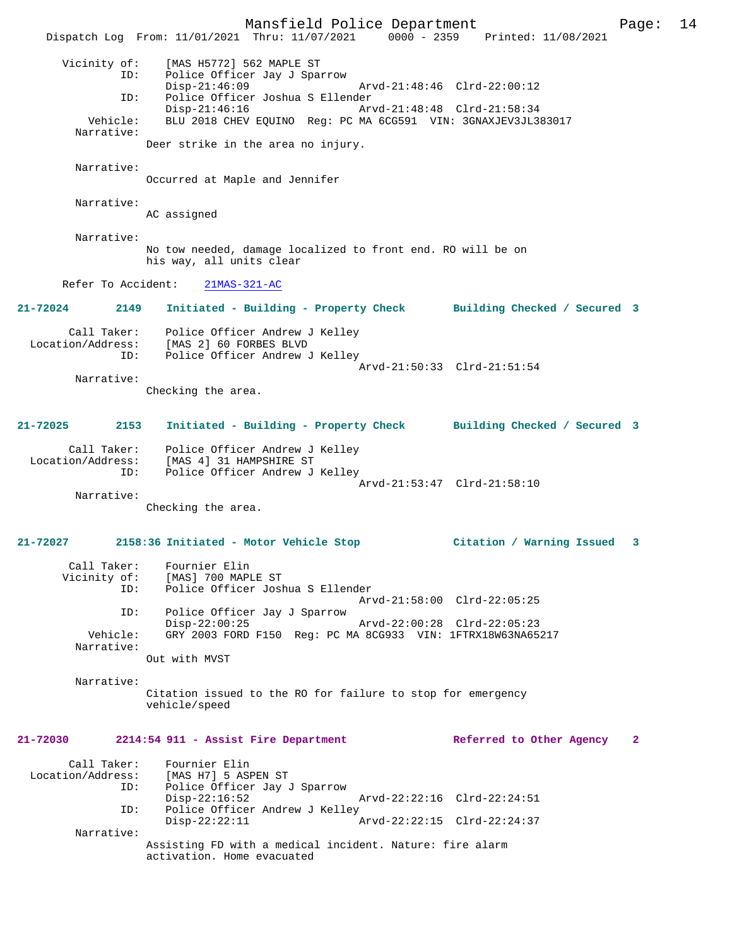Mansfield Police Department Page: 14 Dispatch Log From: 11/01/2021 Thru: 11/07/2021 0000 - 2359 Printed: 11/08/2021 Vicinity of: [MAS H5772] 562 MAPLE ST ID: Police Officer Jay J Sparrow Disp-21:46:09 Arvd-21:48:46 Clrd-22:00:12<br>TD: Police Officer Joshua S Ellender ID: Police Officer Joshua S Ellender Arvd-21:48:48 Clrd-21:58:34 Vehicle: BLU 2018 CHEV EQUINO Reg: PC MA 6CG591 VIN: 3GNAXJEV3JL383017 Narrative: Deer strike in the area no injury. Narrative: Occurred at Maple and Jennifer Narrative: AC assigned Narrative: No tow needed, damage localized to front end. RO will be on his way, all units clear Refer To Accident: 21MAS-321-AC **21-72024 2149 Initiated - Building - Property Check Building Checked / Secured 3** Call Taker: Police Officer Andrew J Kelley Location/Address: [MAS 2] 60 FORBES BLVD ID: Police Officer Andrew J Kelley Arvd-21:50:33 Clrd-21:51:54 Narrative: Checking the area. **21-72025 2153 Initiated - Building - Property Check Building Checked / Secured 3** Call Taker: Police Officer Andrew J Kelley Location/Address: [MAS 4] 31 HAMPSHIRE ST ID: Police Officer Andrew J Kelley Arvd-21:53:47 Clrd-21:58:10 Narrative: Checking the area. **21-72027 2158:36 Initiated - Motor Vehicle Stop Citation / Warning Issued 3** Call Taker: Fournier Elin Vicinity of: [MAS] 700 MAPLE ST ID: Police Officer Joshua S Ellender Arvd-21:58:00 Clrd-22:05:25 ID: Police Officer Jay J Sparrow Disp-22:00:25 Arvd-22:00:28 Clrd-22:05:23<br>Vehicle: GRY 2003 FORD F150 Reg: PC MA 8CG933 VIN: 1FTRX18W63NA652 GRY 2003 FORD F150 Reg: PC MA 8CG933 VIN: 1FTRX18W63NA65217 Narrative: Out with MVST Narrative: Citation issued to the RO for failure to stop for emergency vehicle/speed **21-72030 2214:54 911 - Assist Fire Department Referred to Other Agency 2** Call Taker: Fournier Elin Location/Address: [MAS H7] 5 ASPEN ST ID: Police Officer Jay J Sparrow Disp-22:16:52 Arvd-22:22:16 Clrd-22:24:51<br>ID: Police Officer Andrew J Kelley Police Officer Andrew J Kelley<br>Disp-22:22:11 A Arvd-22:22:15 Clrd-22:24:37 Narrative: Assisting FD with a medical incident. Nature: fire alarm activation. Home evacuated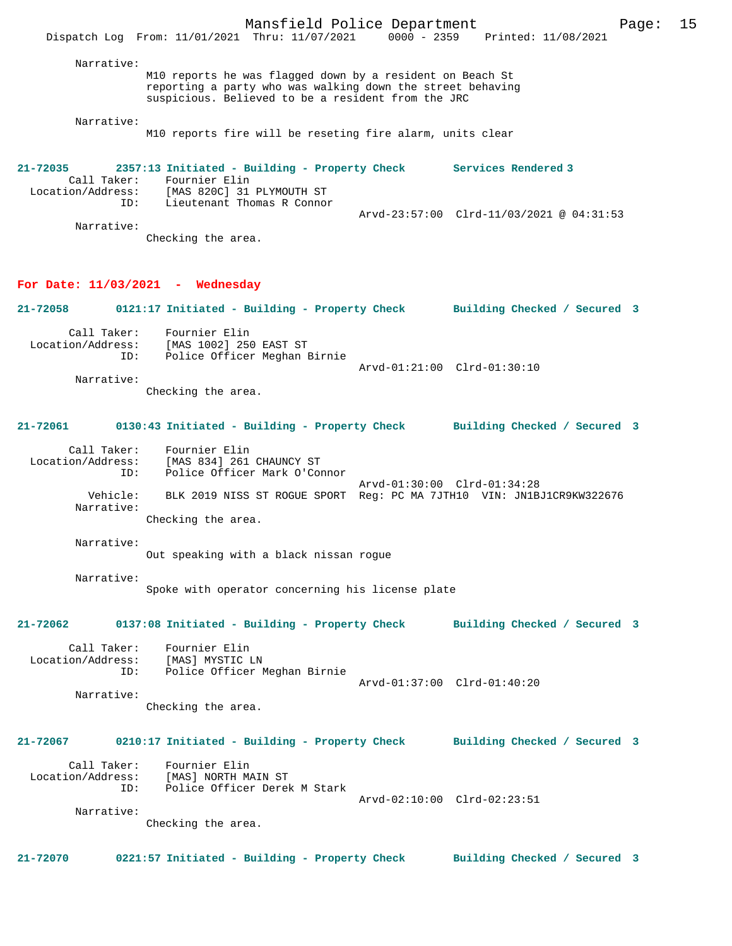M10 reports he was flagged down by a resident on Beach St reporting a party who was walking down the street behaving suspicious. Believed to be a resident from the JRC

Narrative:

M10 reports fire will be reseting fire alarm, units clear

**21-72035 2357:13 Initiated - Building - Property Check Services Rendered 3**  Call Taker: Fournier Elin<br>Location/Address: [MAS 820C] 31 ess: [MAS 820C] 31 PLYMOUTH ST<br>ID: Lieutenant Thomas R Connor Lieutenant Thomas R Connor Arvd-23:57:00 Clrd-11/03/2021 @ 04:31:53 Narrative: Checking the area.

#### **For Date: 11/03/2021 - Wednesday**

**21-72058 0121:17 Initiated - Building - Property Check Building Checked / Secured 3**

 Call Taker: Fournier Elin Location/Address: [MAS 1002] 250 EAST ST ID: Police Officer Meghan Birnie Arvd-01:21:00 Clrd-01:30:10 Narrative:

Checking the area.

### **21-72061 0130:43 Initiated - Building - Property Check Building Checked / Secured 3**

 Call Taker: Fournier Elin Location/Address: [MAS 834] 261 CHAUNCY ST Police Officer Mark O'Connor Arvd-01:30:00 Clrd-01:34:28 Vehicle: BLK 2019 NISS ST ROGUE SPORT Reg: PC MA 7JTH10 VIN: JN1BJ1CR9KW322676 Narrative: Checking the area.

Narrative:

Out speaking with a black nissan rogue

 Narrative: Spoke with operator concerning his license plate

**21-72062 0137:08 Initiated - Building - Property Check Building Checked / Secured 3**

 Call Taker: Fournier Elin Location/Address: [MAS] MYSTIC LN ID: Police Officer Meghan Birnie Arvd-01:37:00 Clrd-01:40:20

Narrative:

Checking the area.

## **21-72067 0210:17 Initiated - Building - Property Check Building Checked / Secured 3**

 Call Taker: Fournier Elin Location/Address: [MAS] NORTH MAIN ST Police Officer Derek M Stark Arvd-02:10:00 Clrd-02:23:51

Narrative:

Checking the area.

#### **21-72070 0221:57 Initiated - Building - Property Check Building Checked / Secured 3**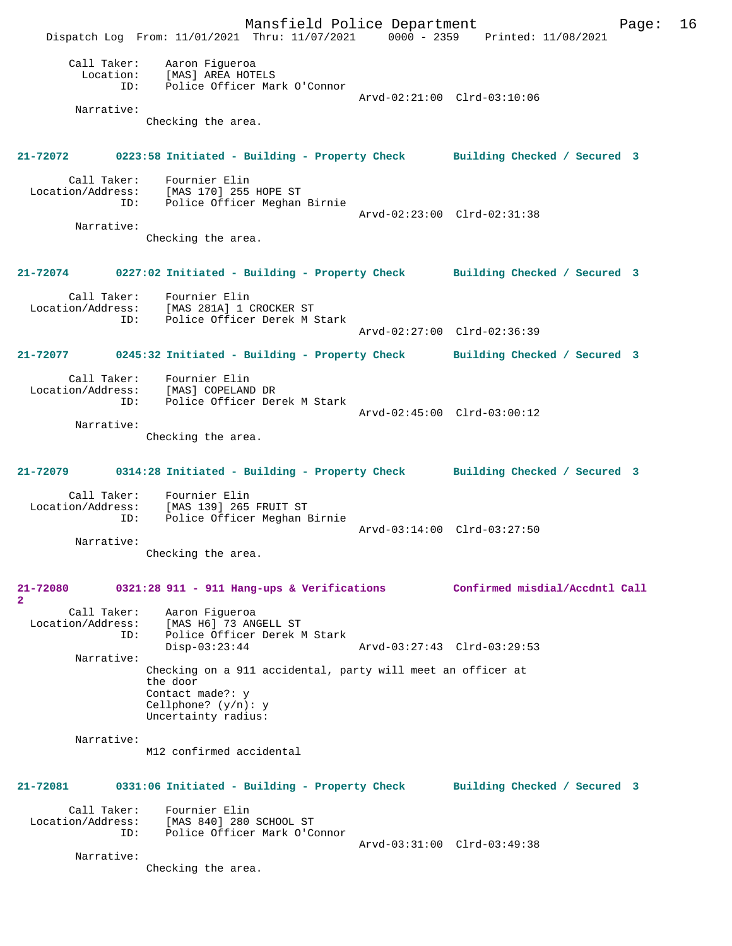Mansfield Police Department Page: 16 Dispatch Log From: 11/01/2021 Thru: 11/07/2021 0000 - 2359 Printed: 11/08/2021 Call Taker: Aaron Figueroa Location: [MAS] AREA HOTELS ID: Police Officer Mark O'Connor Arvd-02:21:00 Clrd-03:10:06 Narrative: Checking the area. **21-72072 0223:58 Initiated - Building - Property Check Building Checked / Secured 3** Call Taker: Fournier Elin Location/Address: [MAS 170] 255 HOPE ST ID: Police Officer Meghan Birnie Arvd-02:23:00 Clrd-02:31:38 Narrative: Checking the area. **21-72074 0227:02 Initiated - Building - Property Check Building Checked / Secured 3** Call Taker: Fournier Elin<br>Location/Address: [MAS 281A] 1 ( ess: [MAS 281A] 1 CROCKER ST<br>ID: Police Officer Derek M Police Officer Derek M Stark Arvd-02:27:00 Clrd-02:36:39 **21-72077 0245:32 Initiated - Building - Property Check Building Checked / Secured 3** Call Taker: Fournier Elin Location/Address: [MAS] COPELAND DR ID: Police Officer Derek M Stark Arvd-02:45:00 Clrd-03:00:12 Narrative: Checking the area. **21-72079 0314:28 Initiated - Building - Property Check Building Checked / Secured 3** Call Taker: Fournier Elin Location/Address: [MAS 139] 265 FRUIT ST ID: Police Officer Meghan Birnie Arvd-03:14:00 Clrd-03:27:50 Narrative: Checking the area. **21-72080 0321:28 911 - 911 Hang-ups & Verifications Confirmed misdial/Accdntl Call 2**  Call Taker:<br>Location/Address: Aaron Figueroa<br>[MAS H6] 73 ANGELL ST ID: Police Officer Derek M Stark<br>Disp-03:23:44 Disp-03:23:44 Arvd-03:27:43 Clrd-03:29:53 Narrative: Checking on a 911 accidental, party will meet an officer at the door Contact made?: y Cellphone? (y/n): y Uncertainty radius: Narrative: M12 confirmed accidental **21-72081 0331:06 Initiated - Building - Property Check Building Checked / Secured 3** Call Taker: Fournier Elin Location/Address: [MAS 840] 280 SCHOOL ST ID: Police Officer Mark O'Connor Arvd-03:31:00 Clrd-03:49:38 Narrative: Checking the area.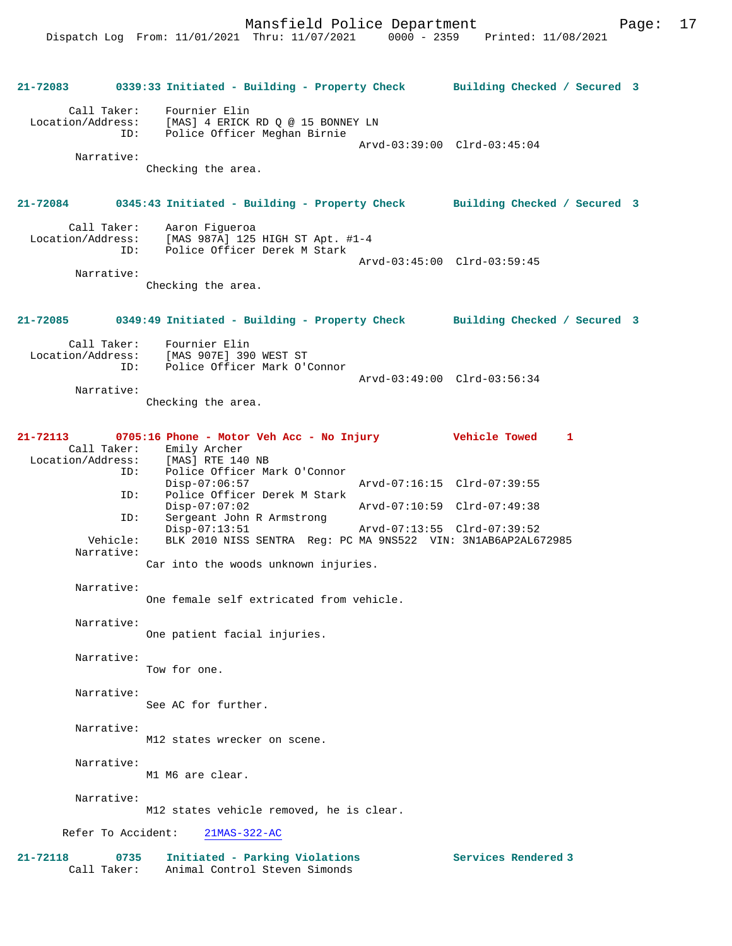|                             |                        | 21-72083 0339:33 Initiated - Building - Property Check Building Checked / Secured 3                                  |                             |  |
|-----------------------------|------------------------|----------------------------------------------------------------------------------------------------------------------|-----------------------------|--|
| Call Taker:                 | ID:                    | Fournier Elin<br>Location/Address: [MAS] 4 ERICK RD Q @ 15 BONNEY LN<br>Police Officer Meghan Birnie                 | Arvd-03:39:00 Clrd-03:45:04 |  |
|                             | Narrative:             |                                                                                                                      |                             |  |
|                             |                        | Checking the area.                                                                                                   |                             |  |
|                             |                        | 21-72084 0345:43 Initiated - Building - Property Check Building Checked / Secured 3                                  |                             |  |
|                             |                        | Call Taker: Aaron Figueroa<br>Location/Address: [MAS 987A] 125 HIGH ST Apt. #1-4<br>ID: Police Officer Derek M Stark |                             |  |
|                             | Narrative:             |                                                                                                                      | Arvd-03:45:00 Clrd-03:59:45 |  |
|                             |                        | Checking the area.                                                                                                   |                             |  |
| $21 - 72085$                |                        | 0349:49 Initiated - Building - Property Check Building Checked / Secured 3                                           |                             |  |
| Call Taker:                 |                        | Fournier Elin<br>Location/Address: [MAS 907E] 390 WEST ST<br>ID: Police Officer Mark O'Connor                        |                             |  |
|                             | Narrative:             |                                                                                                                      | Arvd-03:49:00 Clrd-03:56:34 |  |
|                             |                        | Checking the area.                                                                                                   |                             |  |
| 21-72113<br>Call Taker:     |                        | 0705:16 Phone - Motor Veh Acc - No Injury Vehicle Towed<br>Emily Archer                                              | 1                           |  |
| Location/Address:           | ID:                    | [MAS] RTE 140 NB<br>Police Officer Mark O'Connor                                                                     |                             |  |
|                             | ID:                    | $Disp-07:06:57$<br>Police Officer Derek M Stark                                                                      | Arvd-07:16:15 Clrd-07:39:55 |  |
|                             |                        | $Disp-07:07:02$                                                                                                      | Arvd-07:10:59 Clrd-07:49:38 |  |
|                             | ID:                    | Sergeant John R Armstrong<br>$Disp-07:13:51$                                                                         | Arvd-07:13:55 Clrd-07:39:52 |  |
|                             | Vehicle:<br>Narrative: | BLK 2010 NISS SENTRA Reg: PC MA 9NS522 VIN: 3N1AB6AP2AL672985                                                        |                             |  |
|                             |                        | Car into the woods unknown injuries.                                                                                 |                             |  |
|                             | Narrative:             | One female self extricated from vehicle.                                                                             |                             |  |
| Narrative:                  |                        | One patient facial injuries.                                                                                         |                             |  |
|                             | Narrative:             | Tow for one.                                                                                                         |                             |  |
|                             | Narrative:             | See AC for further.                                                                                                  |                             |  |
|                             | Narrative:             | M12 states wrecker on scene.                                                                                         |                             |  |
|                             | Narrative:             | M1 M6 are clear.                                                                                                     |                             |  |
|                             | Narrative:             | M12 states vehicle removed, he is clear.                                                                             |                             |  |
| Refer To Accident:          |                        | $21MAS-322-AC$                                                                                                       |                             |  |
| $21 - 72118$<br>Call Taker: | 0735                   | Initiated - Parking Violations<br>Animal Control Steven Simonds                                                      | Services Rendered 3         |  |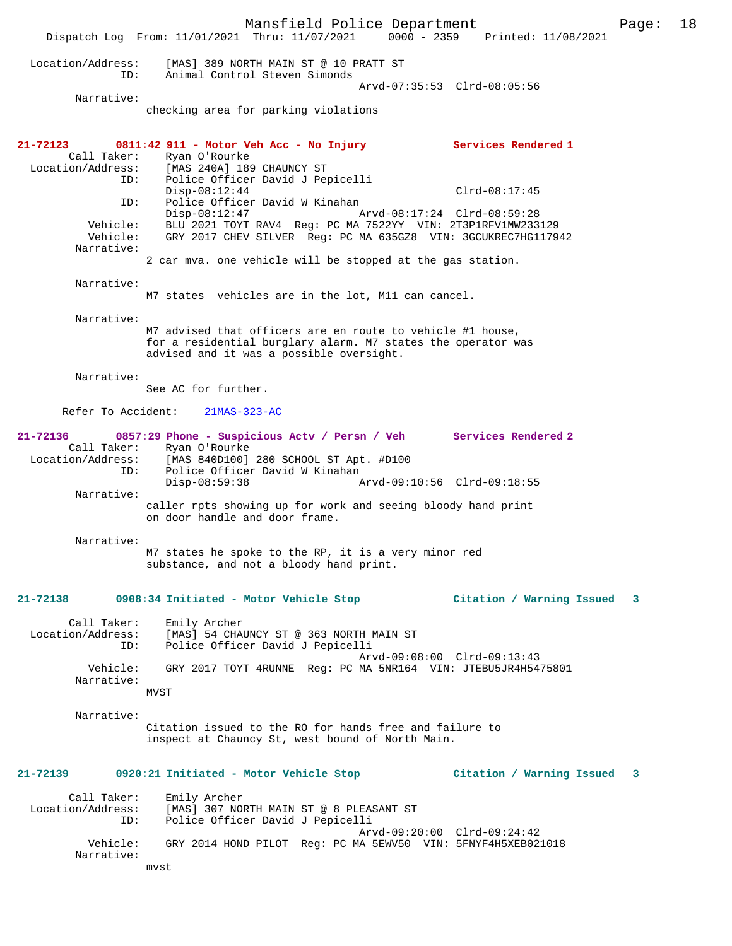Mansfield Police Department Page: 18 Dispatch Log From: 11/01/2021 Thru: 11/07/2021 0000 - 2359 Printed: 11/08/2021 Location/Address: [MAS] 389 NORTH MAIN ST @ 10 PRATT ST ID: Animal Control Steven Simonds Arvd-07:35:53 Clrd-08:05:56 Narrative: checking area for parking violations **21-72123 0811:42 911 - Motor Veh Acc - No Injury Services Rendered 1**  Call Taker: Ryan O'Rourke Location/Address: [MAS 240A] 189 CHAUNCY ST ID: Police Officer David J Pepicelli Disp-08:12:44 Clrd-08:17:45 ID: Police Officer David W Kinahan Disp-08:12:47 Arvd-08:17:24 Clrd-08:59:28 Vehicle: BLU 2021 TOYT RAV4 Reg: PC MA 7522YY VIN: 2T3P1RFV1MW233129 Vehicle: GRY 2017 CHEV SILVER Reg: PC MA 635GZ8 VIN: 3GCUKREC7HG117942 Narrative: 2 car mva. one vehicle will be stopped at the gas station. Narrative: M7 states vehicles are in the lot, M11 can cancel. Narrative: M7 advised that officers are en route to vehicle #1 house, for a residential burglary alarm. M7 states the operator was advised and it was a possible oversight. Narrative: See AC for further. Refer To Accident: 21MAS-323-AC **21-72136 0857:29 Phone - Suspicious Actv / Persn / Veh Services Rendered 2**  Call Taker: Ryan O'Rourke<br>Location/Address: [MAS 840D100] ess: [MAS 840D100] 280 SCHOOL ST Apt. #D100<br>ID: Police Officer David W Kinahan ID: Police Officer David W Kinahan Disp-08:59:38 Arvd-09:10:56 Clrd-09:18:55 Narrative: caller rpts showing up for work and seeing bloody hand print on door handle and door frame. Narrative: M7 states he spoke to the RP, it is a very minor red substance, and not a bloody hand print. **21-72138 0908:34 Initiated - Motor Vehicle Stop Citation / Warning Issued 3** Call Taker: Emily Archer Location/Address: [MAS] 54 CHAUNCY ST @ 363 NORTH MAIN ST ID: Police Officer David J Pepicelli Arvd-09:08:00 Clrd-09:13:43<br>Vebicle: GRY 2017 TOYT 4RUNNE Req: PC MA 5NR164 VIN: JTERU5JR4454 Vehicle: GRY 2017 TOYT 4RUNNE Reg: PC MA 5NR164 VIN: JTEBU5JR4H5475801 Narrative: MVST Narrative: Citation issued to the RO for hands free and failure to inspect at Chauncy St, west bound of North Main. **21-72139 0920:21 Initiated - Motor Vehicle Stop Citation / Warning Issued 3** Call Taker: Emily Archer Location/Address: [MAS] 307 NORTH MAIN ST @ 8 PLEASANT ST Police Officer David J Pepicelli Arvd-09:20:00 Clrd-09:24:42 Vehicle: GRY 2014 HOND PILOT Reg: PC MA 5EWV50 VIN: 5FNYF4H5XEB021018 Narrative: mvst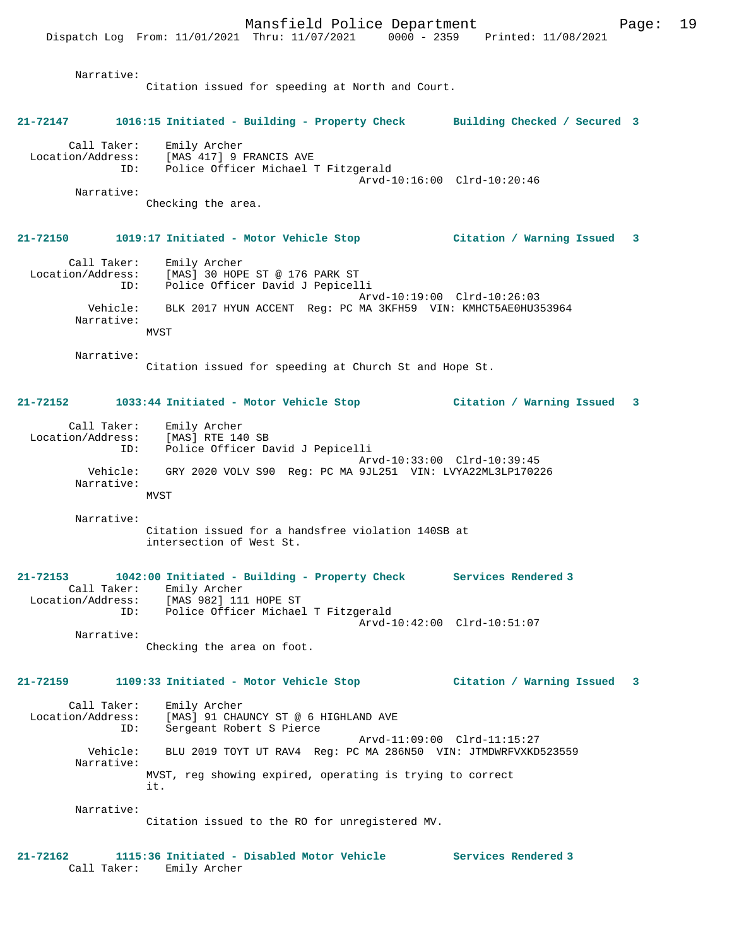Dispatch Log From: 11/01/2021 Thru: 11/07/2021 0000 - 2359 Printed: 11/08/2021 Narrative: Citation issued for speeding at North and Court. **21-72147 1016:15 Initiated - Building - Property Check Building Checked / Secured 3** Call Taker: Emily Archer Location/Address: [MAS 417] 9 FRANCIS AVE ID: Police Officer Michael T Fitzgerald Arvd-10:16:00 Clrd-10:20:46 Narrative: Checking the area. **21-72150 1019:17 Initiated - Motor Vehicle Stop Citation / Warning Issued 3** Call Taker: Emily Archer Location/Address: [MAS] 30 HOPE ST @ 176 PARK ST ID: Police Officer David J Pepicelli Arvd-10:19:00 Clrd-10:26:03 Vehicle: BLK 2017 HYUN ACCENT Reg: PC MA 3KFH59 VIN: KMHCT5AE0HU353964 Narrative: MVST Narrative: Citation issued for speeding at Church St and Hope St. **21-72152 1033:44 Initiated - Motor Vehicle Stop Citation / Warning Issued 3** Call Taker: Emily Archer Location/Address: [MAS] RTE 140 SB Police Officer David J Pepicelli Arvd-10:33:00 Clrd-10:39:45 Vehicle: GRY 2020 VOLV S90 Reg: PC MA 9JL251 VIN: LVYA22ML3LP170226 Narrative: MVST Narrative: Citation issued for a handsfree violation 140SB at intersection of West St. **21-72153 1042:00 Initiated - Building - Property Check Services Rendered 3**  Call Taker: Emily Archer Location/Address: [MAS 982] 111 HOPE ST ID: Police Officer Michael T Fitzgerald Arvd-10:42:00 Clrd-10:51:07 Narrative: Checking the area on foot. **21-72159 1109:33 Initiated - Motor Vehicle Stop Citation / Warning Issued 3** Call Taker: Emily Archer Location/Address: [MAS] 91 CHAUNCY ST @ 6 HIGHLAND AVE ID: Sergeant Robert S Pierce Arvd-11:09:00 Clrd-11:15:27 Vehicle: BLU 2019 TOYT UT RAV4 Reg: PC MA 286N50 VIN: JTMDWRFVXKD523559 Narrative: MVST, reg showing expired, operating is trying to correct it. Narrative: Citation issued to the RO for unregistered MV. **21-72162 1115:36 Initiated - Disabled Motor Vehicle Services Rendered 3**  Call Taker: Emily Archer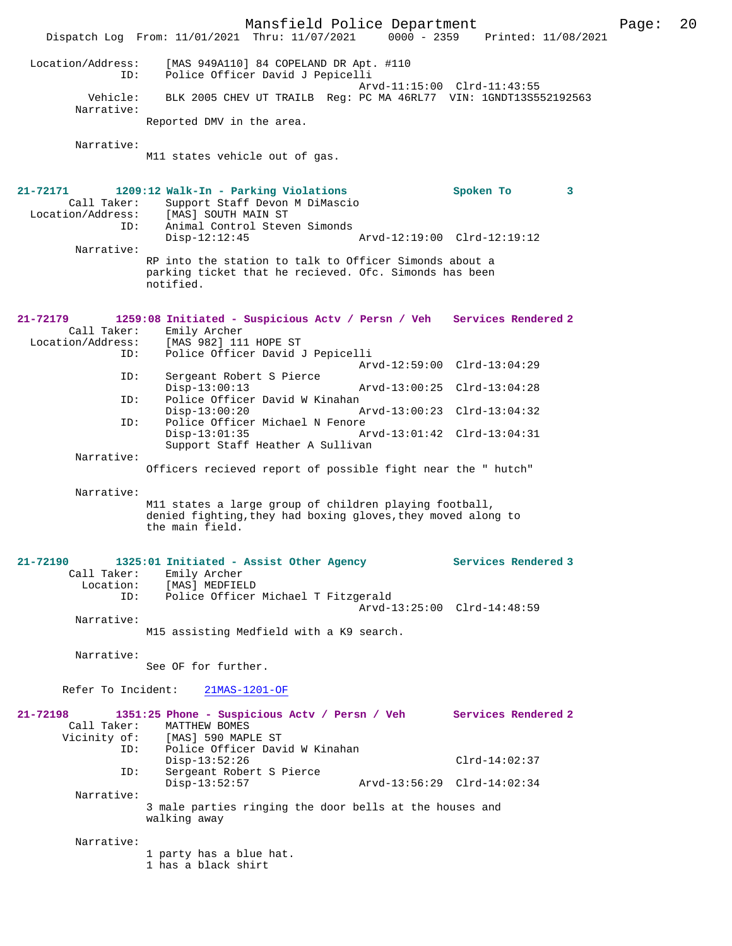Mansfield Police Department Page: 20 Dispatch Log From:  $11/01/2021$  Thru:  $11/07/2021$  0000 - 2359 Location/Address: [MAS 949A110] 84 COPELAND DR Apt. #110 ID: Police Officer David J Pepicelli Arvd-11:15:00 Clrd-11:43:55<br>Vehicle: BLK 2005 CHEV UT TRAILB Reg: PC MA 46RL77 VIN: 1GNDT13S5 BLK 2005 CHEV UT TRAILB Reg: PC MA 46RL77 VIN: 1GNDT13S552192563 Narrative: Reported DMV in the area. Narrative: M11 states vehicle out of gas. **21-72171 1209:12 Walk-In - Parking Violations Spoken To 3**  Call Taker: Support Staff Devon M DiMascio<br>Location/Address: [MAS] SOUTH MAIN ST Location<br>[MAS] SOUTH MAIN ST ID: Animal Control Steven Simonds Disp-12:12:45 Arvd-12:19:00 Clrd-12:19:12 Narrative: RP into the station to talk to Officer Simonds about a parking ticket that he recieved. Ofc. Simonds has been notified. **21-72179 1259:08 Initiated - Suspicious Actv / Persn / Veh Services Rendered 2**  Call Taker: Emily Archer<br>Location/Address: [MAS 982] 11 ess: [MAS 982] 111 HOPE ST<br>ID: Police Officer David J Police Officer David J Pepicelli Arvd-12:59:00 Clrd-13:04:29<br>TD: Sergeant Robert S Pierce Sergeant Robert S Pierce<br>Disp-13:00:13 Disp-13:00:13 Arvd-13:00:25 Clrd-13:04:28<br>ID: Police Officer David W Kinahan ID: Police Officer David W Kinahan Disp-13:00:20 Arvd-13:00:23 Clrd-13:04:32 ID: Police Officer Michael N Fenore Disp-13:01:35 Arvd-13:01:42 Clrd-13:04:31 Support Staff Heather A Sullivan Narrative: Officers recieved report of possible fight near the " hutch" Narrative: M11 states a large group of children playing football, denied fighting,they had boxing gloves,they moved along to the main field. **21-72190 1325:01 Initiated - Assist Other Agency Services Rendered 3**  Call Taker: Emily Archer Location: [MAS] MEDFIELD ID: Police Officer Michael T Fitzgerald Arvd-13:25:00 Clrd-14:48:59 Narrative: M15 assisting Medfield with a K9 search. Narrative: See OF for further. Refer To Incident: 21MAS-1201-OF **21-72198 1351:25 Phone - Suspicious Actv / Persn / Veh Services Rendered 2**  Call Taker: MATTHEW BOMES<br>Vicinity of: [MAS] 590 MAP of: [MAS] 590 MAPLE ST<br>ID: Police Officer Dav Police Officer David W Kinahan Disp-13:52:26 Clrd-14:02:37 ID: Sergeant Robert S Pierce Disp-13:52:57 Arvd-13:56:29 Clrd-14:02:34 Narrative: 3 male parties ringing the door bells at the houses and walking away Narrative: 1 party has a blue hat. 1 has a black shirt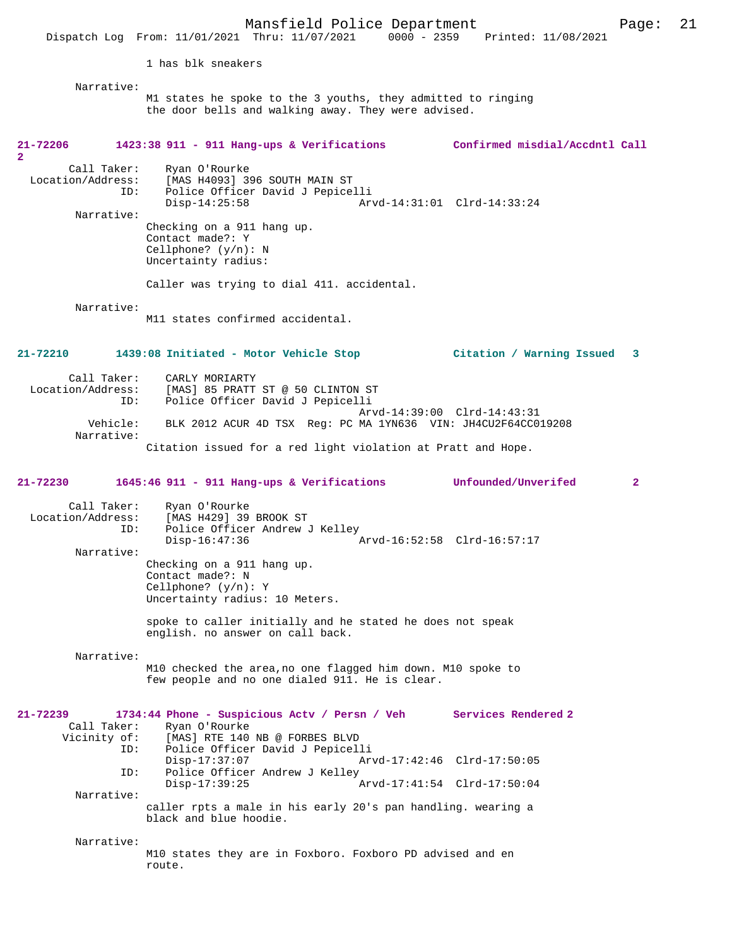1 has blk sneakers

Narrative:

M1 states he spoke to the 3 youths, they admitted to ringing the door bells and walking away. They were advised.

| 21-72206<br>2                                         | 1423:38 911 - 911 Hang-ups & Verifications                                                                                           | Confirmed misdial/Accdntl Call |                |
|-------------------------------------------------------|--------------------------------------------------------------------------------------------------------------------------------------|--------------------------------|----------------|
| Call Taker:<br>Location/Address:<br>ID:<br>Narrative: | Ryan O'Rourke<br>[MAS H4093] 396 SOUTH MAIN ST<br>Police Officer David J Pepicelli<br>$Disp-14:25:58$                                | Arvd-14:31:01 Clrd-14:33:24    |                |
|                                                       | Checking on a 911 hang up.<br>Contact made?: Y<br>Cellphone? $(y/n): N$<br>Uncertainty radius:                                       |                                |                |
|                                                       | Caller was trying to dial 411. accidental.                                                                                           |                                |                |
| Narrative:                                            | M11 states confirmed accidental.                                                                                                     |                                |                |
| 21-72210                                              | 1439:08 Initiated - Motor Vehicle Stop                                                                                               | Citation / Warning Issued 3    |                |
| Call Taker:<br>Location/Address:<br>ID:               | CARLY MORIARTY<br>[MAS] 85 PRATT ST @ 50 CLINTON ST<br>Police Officer David J Pepicelli                                              |                                |                |
| Vehicle:<br>Narrative:                                | BLK 2012 ACUR 4D TSX Reg: PC MA 1YN636 VIN: JH4CU2F64CC019208                                                                        | Arvd-14:39:00 Clrd-14:43:31    |                |
|                                                       | Citation issued for a red light violation at Pratt and Hope.                                                                         |                                |                |
| 21-72230                                              | 1645:46 911 - 911 Hang-ups & Verifications Unfounded/Unverifed                                                                       |                                | $\overline{2}$ |
| Call Taker:<br>Location/Address:<br>ID:               | Ryan O'Rourke<br>[MAS H429] 39 BROOK ST<br>Police Officer Andrew J Kelley<br>$Disp-16:47:36$                                         | Arvd-16:52:58 Clrd-16:57:17    |                |
| Narrative:                                            | Checking on a 911 hang up.<br>Contact made?: N<br>Cellphone? $(y/n): Y$<br>Uncertainty radius: 10 Meters.                            |                                |                |
|                                                       | spoke to caller initially and he stated he does not speak<br>english. no answer on call back.                                        |                                |                |
| Narrative:                                            |                                                                                                                                      |                                |                |
|                                                       | M10 checked the area, no one flagged him down. M10 spoke to<br>few people and no one dialed 911. He is clear.                        |                                |                |
| 21-72239<br>Call Taker:<br>Vicinity of:<br>ID:        | 1734:44 Phone - Suspicious Actv / Persn / Veh<br>Ryan O'Rourke<br>[MAS] RTE 140 NB @ FORBES BLVD<br>Police Officer David J Pepicelli | Services Rendered 2            |                |
| ID:                                                   | $Disp-17:37:07$<br>Police Officer Andrew J Kelley                                                                                    | Arvd-17:42:46 Clrd-17:50:05    |                |
| Narrative:                                            | $Disp-17:39:25$                                                                                                                      | Arvd-17:41:54 Clrd-17:50:04    |                |
|                                                       | caller rpts a male in his early 20's pan handling. wearing a<br>black and blue hoodie.                                               |                                |                |
| Narrative:                                            | M10 states they are in Foxboro. Foxboro PD advised and en<br>route.                                                                  |                                |                |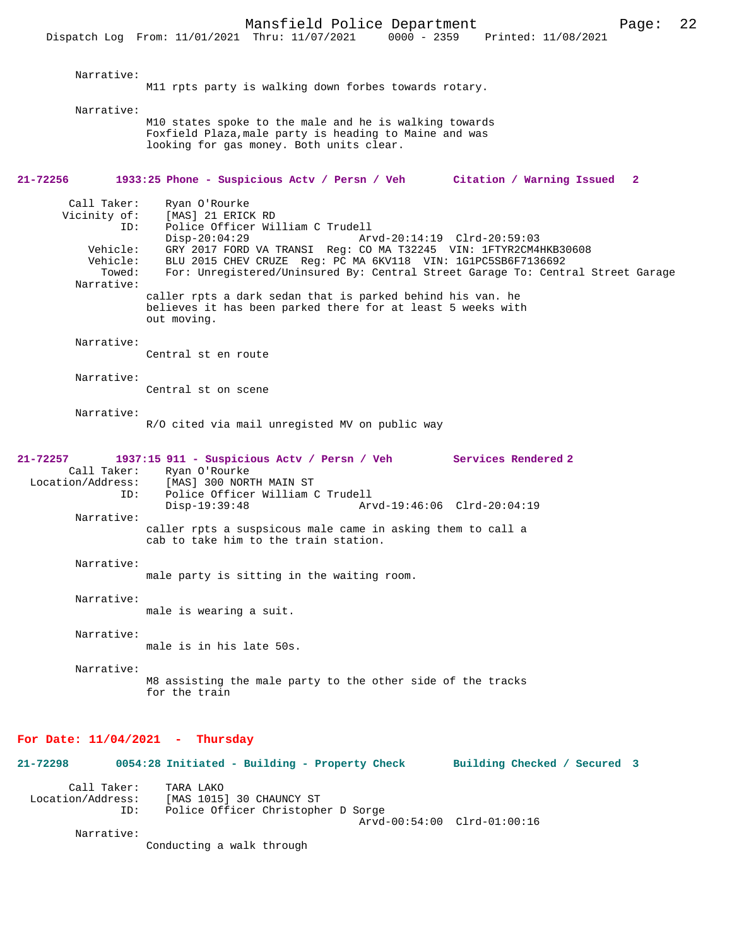Mansfield Police Department Page: 22 Dispatch Log From: 11/01/2021 Thru: 11/07/2021 Narrative: M11 rpts party is walking down forbes towards rotary. Narrative: M10 states spoke to the male and he is walking towards Foxfield Plaza,male party is heading to Maine and was looking for gas money. Both units clear. **21-72256 1933:25 Phone - Suspicious Actv / Persn / Veh Citation / Warning Issued 2** Call Taker: Ryan O'Rourke<br>Vicinity of: [MAS] 21 ERICI of: [MAS] 21 ERICK RD<br>ID: Police Officer Wil Police Officer William C Trudell Disp-20:04:29 Arvd-20:14:19 Clrd-20:59:03<br>Vehicle: GRY 2017 FORD VA TRANSI Reg: CO MA T32245 VIN: 1FTYR2CM4H GRY 2017 FORD VA TRANSI Reg: CO MA T32245 VIN: 1FTYR2CM4HKB30608 Vehicle: BLU 2015 CHEV CRUZE Reg: PC MA 6KV118 VIN: 1G1PC5SB6F7136692<br>Towed: For: Unregistered/Uningured Ry: Central Street Garage To: Centr For: Unregistered/Uninsured By: Central Street Garage To: Central Street Garage Narrative: caller rpts a dark sedan that is parked behind his van. he believes it has been parked there for at least 5 weeks with out moving. Narrative: Central st en route Narrative: Central st on scene Narrative: R/O cited via mail unregisted MV on public way **21-72257 1937:15 911 - Suspicious Actv / Persn / Veh Services Rendered 2**  Call Taker: Ryan O'Rourke<br>Location/Address: [MAS] 300 NOR [MAS] 300 NORTH MAIN ST ID: Police Officer William C Trudell Disp-19:39:48 Arvd-19:46:06 Clrd-20:04:19 Narrative: caller rpts a suspsicous male came in asking them to call a cab to take him to the train station. Narrative: male party is sitting in the waiting room. Narrative: male is wearing a suit. Narrative: male is in his late 50s. Narrative: M8 assisting the male party to the other side of the tracks for the train

#### **For Date: 11/04/2021 - Thursday**

**21-72298 0054:28 Initiated - Building - Property Check Building Checked / Secured 3** Call Taker: TARA LAKO<br>Location/Address: [MAS 1015 [MAS 1015] 30 CHAUNCY ST ID: Police Officer Christopher D Sorge Arvd-00:54:00 Clrd-01:00:16 Narrative: Conducting a walk through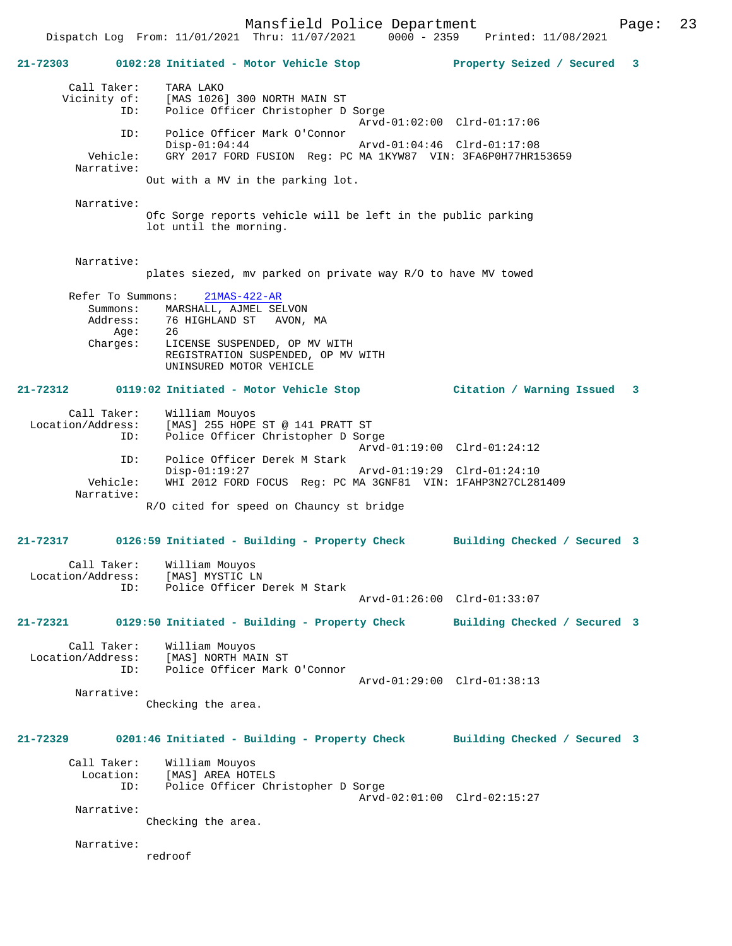Mansfield Police Department Fage: 23

 Dispatch Log From: 11/01/2021 Thru: 11/07/2021 0000 - 2359 Printed: 11/08/2021 **21-72303 0102:28 Initiated - Motor Vehicle Stop Property Seized / Secured 3** Call Taker: TARA LAKO Vicinity of: [MAS 1026] 300 NORTH MAIN ST ID: Police Officer Christopher D Sorge Arvd-01:02:00 Clrd-01:17:06 ID: Police Officer Mark O'Connor Disp-01:04:44 Arvd-01:04:46 Clrd-01:17:08<br>Vehicle: GRY 2017 FORD FUSION Reg: PC MA 1KYW87 VIN: 3FA6P0H77HR1 GRY 2017 FORD FUSION Reg: PC MA 1KYW87 VIN: 3FA6P0H77HR153659 Narrative: Out with a MV in the parking lot. Narrative: Ofc Sorge reports vehicle will be left in the public parking lot until the morning. Narrative: plates siezed, mv parked on private way R/O to have MV towed Refer To Summons: 21MAS-422-AR Summons: MARSHALL, AJMEL SELVON Address: 76 HIGHLAND ST AVON, MA<br>Age: 26 Age:<br>:Charges LICENSE SUSPENDED, OP MV WITH REGISTRATION SUSPENDED, OP MV WITH UNINSURED MOTOR VEHICLE **21-72312 0119:02 Initiated - Motor Vehicle Stop Citation / Warning Issued 3** Call Taker: William Mouyos Location/Address: [MAS] 255 HOPE ST @ 141 PRATT ST Police Officer Christopher D Sorge Arvd-01:19:00 Clrd-01:24:12 ID: Police Officer Derek M Stark Disp-01:19:27 Arvd-01:19:29 Clrd-01:24:10<br>Vehicle: WHI 2012 FORD FOCUS Reg: PC MA 3GNF81 VIN: 1FAHP3N27CL28 WHI 2012 FORD FOCUS Reg: PC MA 3GNF81 VIN: 1FAHP3N27CL281409 Narrative: R/O cited for speed on Chauncy st bridge **21-72317 0126:59 Initiated - Building - Property Check Building Checked / Secured 3** Call Taker: William Mouyos Location/Address: [MAS] MYSTIC LN Police Officer Derek M Stark Arvd-01:26:00 Clrd-01:33:07 **21-72321 0129:50 Initiated - Building - Property Check Building Checked / Secured 3** Call Taker: William Mouyos<br>Location/Address: [MAS] NORTH MA ess: [MAS] NORTH MAIN ST:<br>ID: Police Officer Mark Police Officer Mark O'Connor Arvd-01:29:00 Clrd-01:38:13 Narrative: Checking the area. **21-72329 0201:46 Initiated - Building - Property Check Building Checked / Secured 3** Call Taker: William Mouyos Location: [MAS] AREA HOTELS ID: Police Officer Christopher D Sorge Arvd-02:01:00 Clrd-02:15:27 Narrative: Checking the area. Narrative:

redroof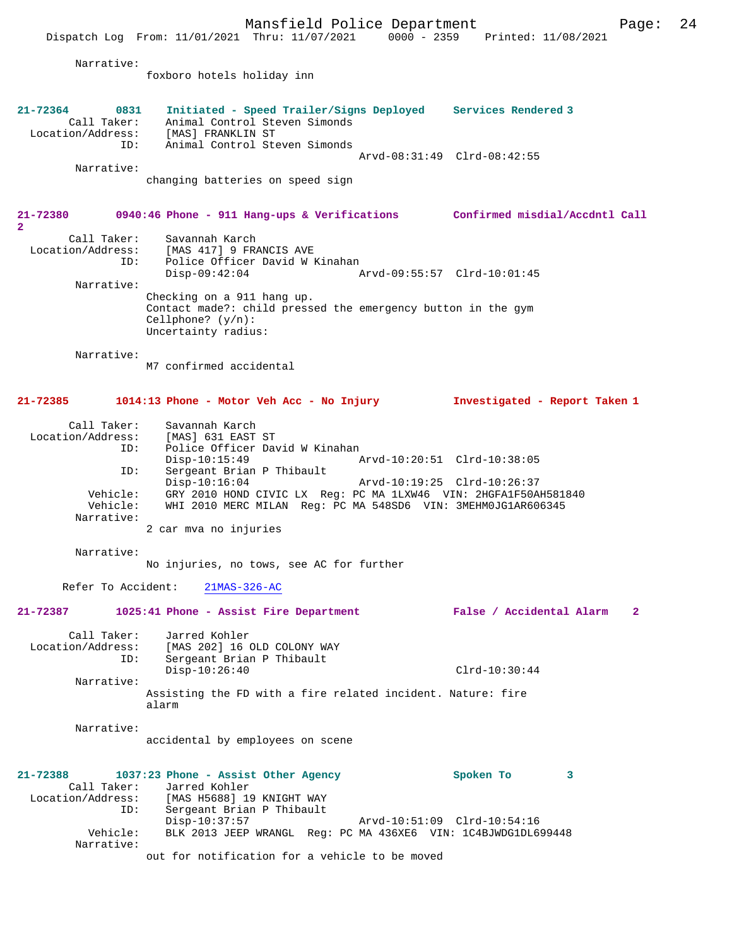Mansfield Police Department Page: 24 Dispatch Log From: 11/01/2021 Thru: 11/07/2021 0000 - 2359 Printed: 11/08/2021 Narrative: foxboro hotels holiday inn **21-72364 0831 Initiated - Speed Trailer/Signs Deployed Services Rendered 3**  Call Taker: Animal Control Steven Simonds Location/Address: [MAS] FRANKLIN ST ID: Animal Control Steven Simonds Arvd-08:31:49 Clrd-08:42:55 Narrative: changing batteries on speed sign **21-72380 0940:46 Phone - 911 Hang-ups & Verifications Confirmed misdial/Accdntl Call 2**  Call Taker: Savannah Karch Location/Address: [MAS 417] 9 FRANCIS AVE ID: Police Officer David W Kinahan<br>Disp-09:42:04 Disp-09:42:04 Arvd-09:55:57 Clrd-10:01:45 Narrative: Checking on a 911 hang up. Contact made?: child pressed the emergency button in the gym Cellphone? (y/n): Uncertainty radius: Narrative: M7 confirmed accidental **21-72385 1014:13 Phone - Motor Veh Acc - No Injury Investigated - Report Taken 1** Call Taker: Savannah Karch Location/Address: [MAS] 631 EAST ST<br>TD: Police Officer Day Police Officer David W Kinahan<br>Disp-10:15:49 Disp-10:15:49 Arvd-10:20:51 Clrd-10:38:05 ID: Sergeant Brian P Thibault<br>Disp-10:16:04 Disp-10:16:04 Arvd-10:19:25 Clrd-10:26:37 Vehicle: GRY 2010 HOND CIVIC LX Reg: PC MA 1LXW46 VIN: 2HGFA1F50AH581840 Vehicle: WHI 2010 MERC MILAN Reg: PC MA 548SD6 VIN: 3MEHM0JG1AR606345 Narrative: 2 car mva no injuries Narrative: No injuries, no tows, see AC for further Refer To Accident: 21MAS-326-AC **21-72387 1025:41 Phone - Assist Fire Department False / Accidental Alarm 2** Call Taker: Jarred Kohler Location/Address: [MAS 202] 16 OLD COLONY WAY ID: Sergeant Brian P Thibault Disp-10:26:40 Clrd-10:30:44 Narrative: Assisting the FD with a fire related incident. Nature: fire alarm Narrative: accidental by employees on scene **21-72388 1037:23 Phone - Assist Other Agency Spoken To 3**  Call Taker: Jarred Kohler<br>Location/Address: [MAS H5688] 19 [MAS H5688] 19 KNIGHT WAY ID: Sergeant Brian P Thibault Disp-10:37:57 Arvd-10:51:09 Clrd-10:54:16 Vehicle: BLK 2013 JEEP WRANGL Reg: PC MA 436XE6 VIN: 1C4BJWDG1DL699448 Narrative: out for notification for a vehicle to be moved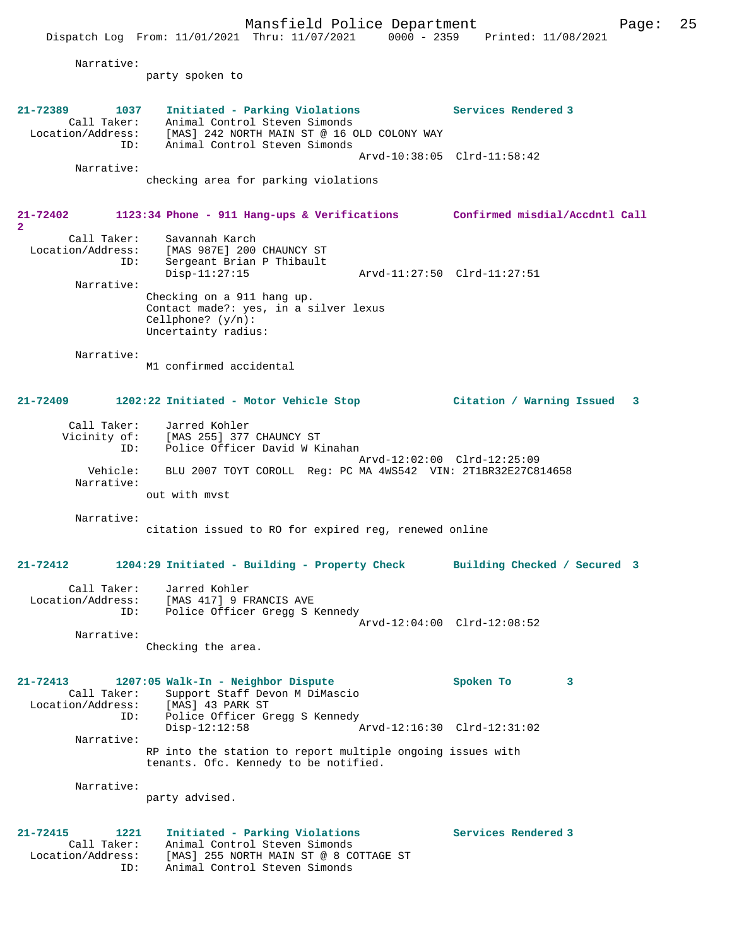Mansfield Police Department Page: 25 Dispatch Log From: 11/01/2021 Thru: 11/07/2021 0000 - 2359 Printed: 11/08/2021 Narrative: party spoken to **21-72389 1037 Initiated - Parking Violations Services Rendered 3**  Call Taker: Animal Control Steven Simonds Location/Address: [MAS] 242 NORTH MAIN ST @ 16 OLD COLONY WAY ID: Animal Control Steven Simonds Arvd-10:38:05 Clrd-11:58:42 Narrative: checking area for parking violations **21-72402 1123:34 Phone - 911 Hang-ups & Verifications Confirmed misdial/Accdntl Call 2**  Call Taker: Savannah Karch Location/Address: [MAS 987E] 200 CHAUNCY ST ID: Sergeant Brian P Thibault Disp-11:27:15 Arvd-11:27:50 Clrd-11:27:51 Narrative: Checking on a 911 hang up. Contact made?: yes, in a silver lexus Cellphone? (y/n): Uncertainty radius: Narrative: M1 confirmed accidental **21-72409 1202:22 Initiated - Motor Vehicle Stop Citation / Warning Issued 3** Call Taker: Jarred Kohler Vicinity of: [MAS 255] 377 CHAUNCY ST ID: Police Officer David W Kinahan Arvd-12:02:00 Clrd-12:25:09 Vehicle: BLU 2007 TOYT COROLL Reg: PC MA 4WS542 VIN: 2T1BR32E27C814658 Narrative: out with mvst Narrative: citation issued to RO for expired reg, renewed online **21-72412 1204:29 Initiated - Building - Property Check Building Checked / Secured 3** Call Taker: Jarred Kohler Location/Address: [MAS 417] 9 FRANCIS AVE ID: Police Officer Gregg S Kennedy Arvd-12:04:00 Clrd-12:08:52 Narrative: Checking the area. **21-72413 1207:05 Walk-In - Neighbor Dispute Spoken To 3**  Call Taker: Support Staff Devon M DiMascio Location/Address: [MAS] 43 PARK ST ID: Police Officer Gregg S Kennedy<br>Disp-12:12:58  $Arvd-12:16:30$   $Clrd-12:31:02$  Narrative: RP into the station to report multiple ongoing issues with tenants. Ofc. Kennedy to be notified. Narrative: party advised. **21-72415 1221 Initiated - Parking Violations Services Rendered 3**  Call Taker: Animal Control Steven Simonds Location/Address: [MAS] 255 NORTH MAIN ST @ 8 COTTAGE ST

ID: Animal Control Steven Simonds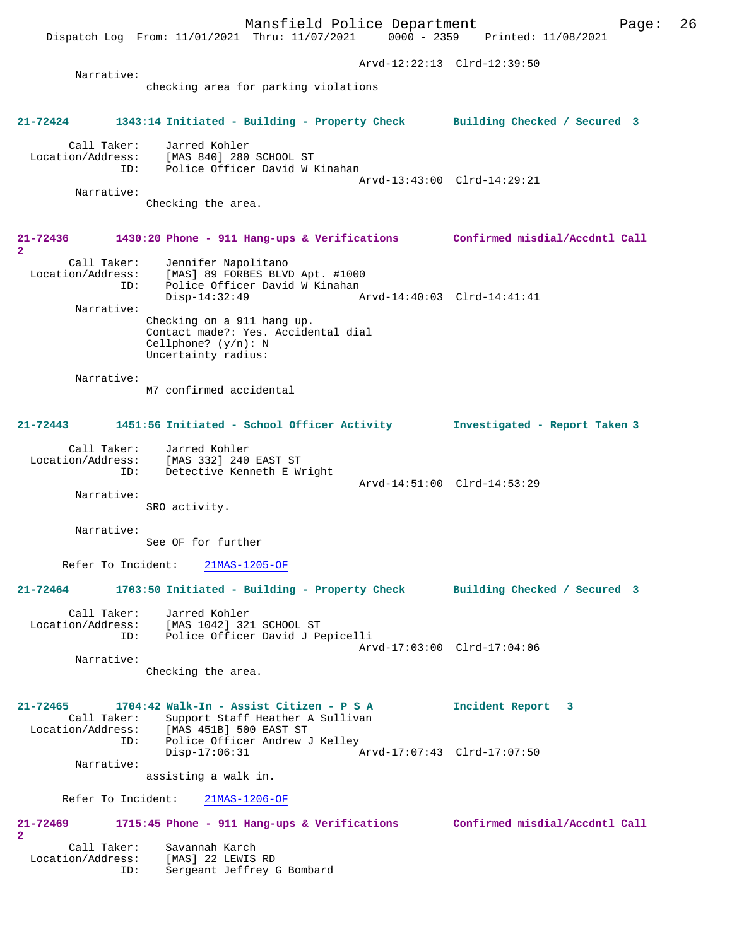Dispatch Log From: 11/01/2021 Thru: 11/07/2021 0000 - 2359 Printed: 11/08/2021 Arvd-12:22:13 Clrd-12:39:50 Narrative: checking area for parking violations **21-72424 1343:14 Initiated - Building - Property Check Building Checked / Secured 3** Call Taker: Jarred Kohler Location/Address: [MAS 840] 280 SCHOOL ST ID: Police Officer David W Kinahan Arvd-13:43:00 Clrd-14:29:21 Narrative: Checking the area. **21-72436 1430:20 Phone - 911 Hang-ups & Verifications Confirmed misdial/Accdntl Call 2**  Call Taker: Jennifer Napolitano Location/Address: [MAS] 89 FORBES BLVD Apt. #1000 ID: Police Officer David W Kinahan<br>Disp-14:32:49 Disp-14:32:49 Arvd-14:40:03 Clrd-14:41:41 Narrative: Checking on a 911 hang up. Contact made?: Yes. Accidental dial Cellphone? (y/n): N Uncertainty radius: Narrative: M7 confirmed accidental **21-72443 1451:56 Initiated - School Officer Activity Investigated - Report Taken 3** Call Taker: Jarred Kohler Location/Address: [MAS 332] 240 EAST ST ID: Detective Kenneth E Wright Arvd-14:51:00 Clrd-14:53:29 Narrative: SRO activity. Narrative: See OF for further Refer To Incident: 21MAS-1205-OF **21-72464 1703:50 Initiated - Building - Property Check Building Checked / Secured 3** Call Taker: Jarred Kohler Location/Address: [MAS 1042] 321 SCHOOL ST ID: Police Officer David J Pepicelli Arvd-17:03:00 Clrd-17:04:06 Narrative: Checking the area. **21-72465 1704:42 Walk-In - Assist Citizen - P S A Incident Report 3**  Call Taker: Support Staff Heather A Sullivan Location/Address: [MAS 451B] 500 EAST ST ID: Police Officer Andrew J Kelley Disp-17:06:31 Arvd-17:07:43 Clrd-17:07:50 Narrative: assisting a walk in. Refer To Incident: 21MAS-1206-OF **21-72469 1715:45 Phone - 911 Hang-ups & Verifications Confirmed misdial/Accdntl Call 2**  Call Taker: Savannah Karch Location/Address: [MAS] 22 LEWIS RD ID: Sergeant Jeffrey G Bombard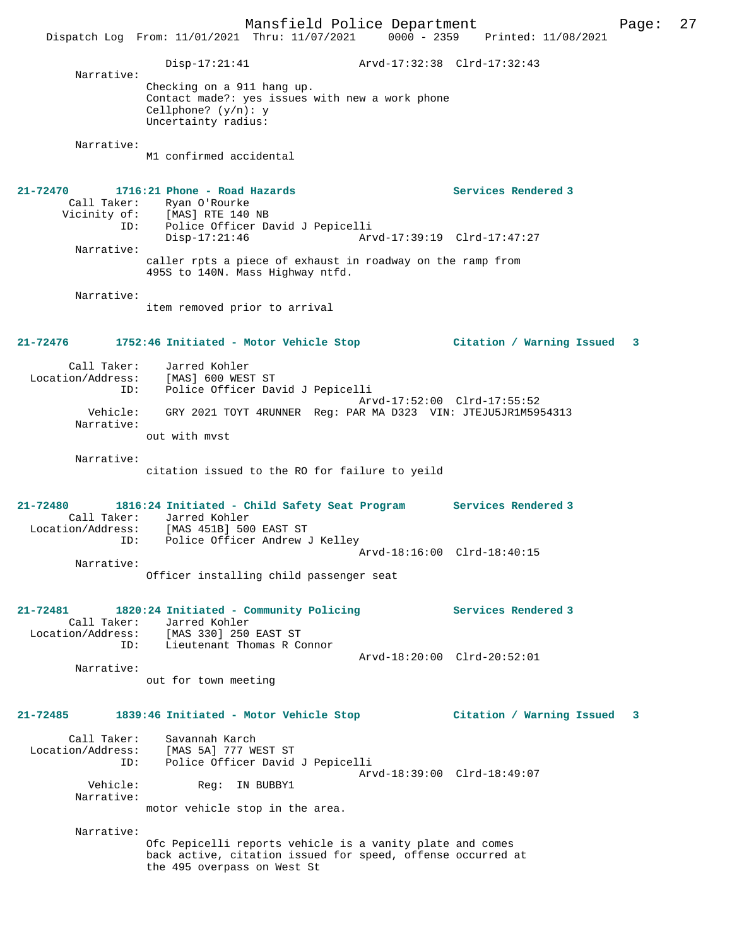Mansfield Police Department Page: 27 Dispatch Log From: 11/01/2021 Thru: 11/07/2021 0000 - 2359 Printed: 11/08/2021 Disp-17:21:41 Arvd-17:32:38 Clrd-17:32:43 Narrative: Checking on a 911 hang up. Contact made?: yes issues with new a work phone Cellphone? (y/n): y Uncertainty radius: Narrative: M1 confirmed accidental **21-72470 1716:21 Phone - Road Hazards Services Rendered 3**  Call Taker: Ryan O'Rourke<br>Vicinity of: [MAS] RTE 140 Vicinity of: [MAS] RTE 140 NB ID: Police Officer David J Pepicelli Disp-17:21:46 Arvd-17:39:19 Clrd-17:47:27 Narrative: caller rpts a piece of exhaust in roadway on the ramp from 495S to 140N. Mass Highway ntfd. Narrative: item removed prior to arrival **21-72476 1752:46 Initiated - Motor Vehicle Stop Citation / Warning Issued 3** Call Taker: Jarred Kohler Location/Address: [MAS] 600 WEST ST ID: Police Officer David J Pepicelli Arvd-17:52:00 Clrd-17:55:52 Vehicle: GRY 2021 TOYT 4RUNNER Reg: PAR MA D323 VIN: JTEJU5JR1M5954313 Narrative: out with mvst Narrative: citation issued to the RO for failure to yeild **21-72480 1816:24 Initiated - Child Safety Seat Program Services Rendered 3**  Call Taker: Jarred Kohler<br>Location/Address: [MAS 451B] 500 EAST ST Location/Address: [MAS 451B] 500 EAST ST ID: Police Officer Andrew J Kelley Arvd-18:16:00 Clrd-18:40:15 Narrative: Officer installing child passenger seat **21-72481 1820:24 Initiated - Community Policing Services Rendered 3**  Call Taker: Jarred Kohler Location/Address: [MAS 330] 250 EAST ST ID: Lieutenant Thomas R Connor Arvd-18:20:00 Clrd-20:52:01 Narrative: out for town meeting **21-72485 1839:46 Initiated - Motor Vehicle Stop Citation / Warning Issued 3** Call Taker: Savannah Karch Location/Address: [MAS 5A] 777 WEST ST ID: Police Officer David J Pepicelli  $X = \text{R}$ <br>  $X = \text{R}$ Reg: IN BUBBY1 Narrative: motor vehicle stop in the area. Narrative: Ofc Pepicelli reports vehicle is a vanity plate and comes back active, citation issued for speed, offense occurred at the 495 overpass on West St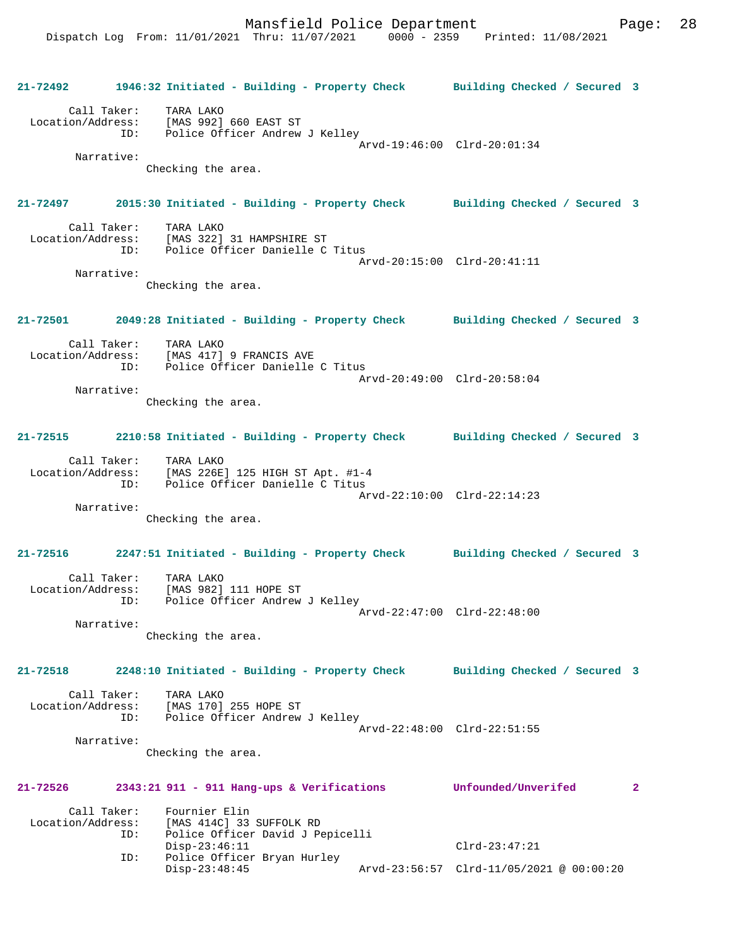**21-72492 1946:32 Initiated - Building - Property Check Building Checked / Secured 3** Call Taker: TARA LAKO Location/Address: [MAS 992] 660 EAST ST ID: Police Officer Andrew J Kelley Arvd-19:46:00 Clrd-20:01:34 Narrative: Checking the area. **21-72497 2015:30 Initiated - Building - Property Check Building Checked / Secured 3** Call Taker: TARA LAKO<br>Location/Address: [MAS 322] [MAS 322] 31 HAMPSHIRE ST ID: Police Officer Danielle C Titus Arvd-20:15:00 Clrd-20:41:11 Narrative: Checking the area. **21-72501 2049:28 Initiated - Building - Property Check Building Checked / Secured 3** Call Taker: TARA LAKO Location/Address: [MAS 417] 9 FRANCIS AVE ID: Police Officer Danielle C Titus Arvd-20:49:00 Clrd-20:58:04 Narrative: Checking the area. **21-72515 2210:58 Initiated - Building - Property Check Building Checked / Secured 3** Call Taker: TARA LAKO Location/Address: [MAS 226E] 125 HIGH ST Apt. #1-4 ID: Police Officer Danielle C Titus Arvd-22:10:00 Clrd-22:14:23 Narrative: Checking the area. **21-72516 2247:51 Initiated - Building - Property Check Building Checked / Secured 3** Call Taker: TARA LAKO Location/Address: [MAS 982] 111 HOPE ST ID: Police Officer Andrew J Kelley Arvd-22:47:00 Clrd-22:48:00 Narrative: Checking the area. **21-72518 2248:10 Initiated - Building - Property Check Building Checked / Secured 3** Call Taker: TARA LAKO Location/Address: [MAS 170] 255 HOPE ST Police Officer Andrew J Kelley Arvd-22:48:00 Clrd-22:51:55 Narrative: Checking the area. **21-72526 2343:21 911 - 911 Hang-ups & Verifications Unfounded/Unverifed 2** Call Taker: Fournier Elin<br>Location/Address: [MAS 414C] 33 [MAS 414C] 33 SUFFOLK RD ID: Police Officer David J Pepicelli Disp-23:46:11 Clrd-23:47:21<br>ID: Police Officer Bryan Hurley Police Officer Bryan Hurley Disp-23:48:45 Arvd-23:56:57 Clrd-11/05/2021 @ 00:00:20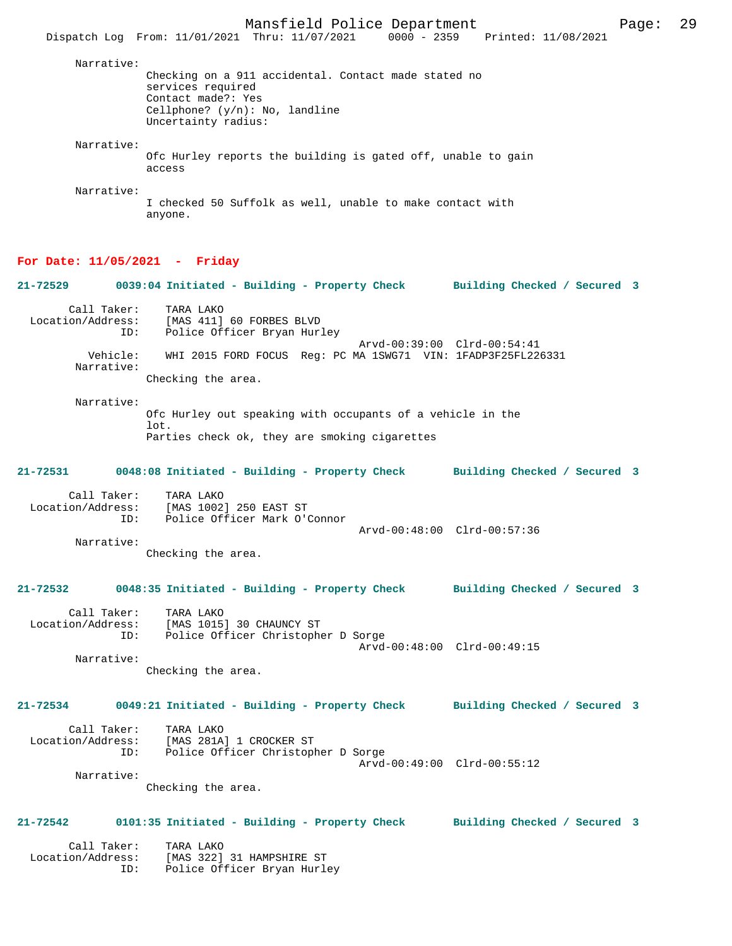Mansfield Police Department Page: 29 Dispatch Log From: 11/01/2021 Thru: 11/07/2021 0000 - 2359 Printed: 11/08/2021 Narrative: Checking on a 911 accidental. Contact made stated no services required Contact made?: Yes Cellphone? (y/n): No, landline Uncertainty radius: Narrative: Ofc Hurley reports the building is gated off, unable to gain access Narrative: I checked 50 Suffolk as well, unable to make contact with anyone.

#### **For Date: 11/05/2021 - Friday**

**21-72529 0039:04 Initiated - Building - Property Check Building Checked / Secured 3** Call Taker: TARA LAKO<br>Location/Address: [MAS 411] [MAS 411] 60 FORBES BLVD ID: Police Officer Bryan Hurley Arvd-00:39:00 Clrd-00:54:41 Vehicle: WHI 2015 FORD FOCUS Reg: PC MA 1SWG71 VIN: 1FADP3F25FL226331 Narrative: Checking the area. Narrative: Ofc Hurley out speaking with occupants of a vehicle in the lot. Parties check ok, they are smoking cigarettes **21-72531 0048:08 Initiated - Building - Property Check Building Checked / Secured 3** Call Taker: TARA LAKO<br>Location/Address: [MAS 1002 ess: [MAS 1002] 250 EAST ST<br>ID: Police Officer Mark O'O Police Officer Mark O'Connor Arvd-00:48:00 Clrd-00:57:36 Narrative: Checking the area. **21-72532 0048:35 Initiated - Building - Property Check Building Checked / Secured 3** Call Taker: TARA LAKO<br>Location/Address: [MAS 1015 Location/Address: [MAS 1015] 30 CHAUNCY ST ID: Police Officer Christopher D Sorge ID: Police Officer Christopher D Sorge<br>Arvd-00:48:00 Clrd-00:49:15 Narrative: Checking the area. **21-72534 0049:21 Initiated - Building - Property Check Building Checked / Secured 3** Call Taker: TARA LAKO Location/Address: [MAS 281A] 1 CROCKER ST ID: Police Officer Christopher D Sorge Arvd-00:49:00 Clrd-00:55:12 Narrative: Checking the area. **21-72542 0101:35 Initiated - Building - Property Check Building Checked / Secured 3** Call Taker: TARA LAKO<br>Location/Address: [MAS 322] [MAS 322] 31 HAMPSHIRE ST ID: Police Officer Bryan Hurley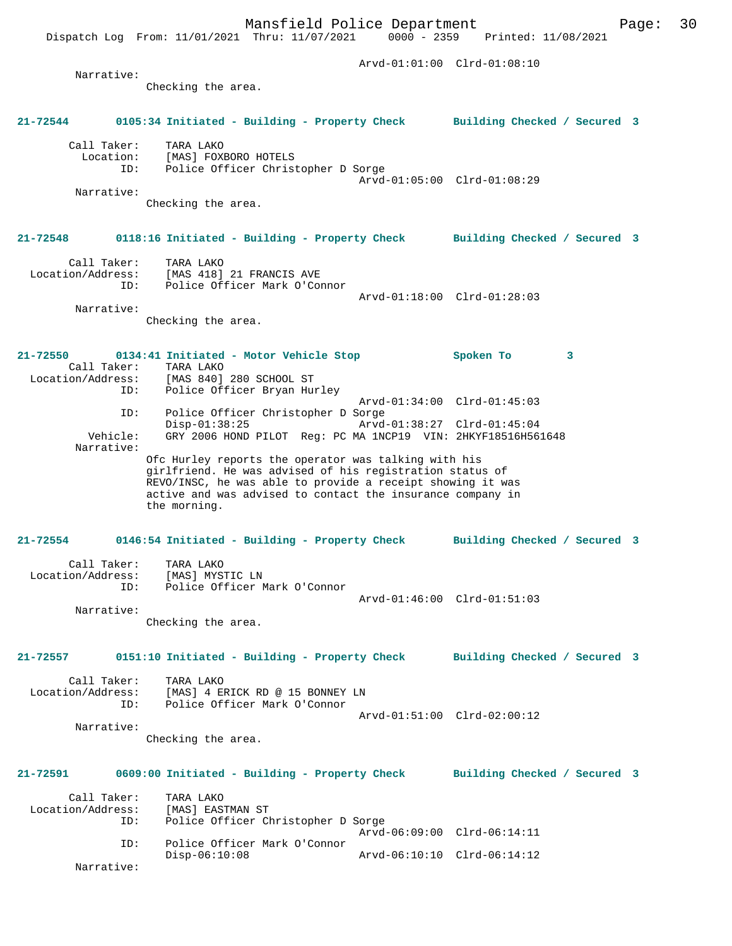Arvd-01:01:00 Clrd-01:08:10 Narrative: Checking the area. **21-72544 0105:34 Initiated - Building - Property Check Building Checked / Secured 3** Call Taker: TARA LAKO Location: [MAS] FOXBORO HOTELS ID: Police Officer Christopher D Sorge Arvd-01:05:00 Clrd-01:08:29 Narrative: Checking the area. **21-72548 0118:16 Initiated - Building - Property Check Building Checked / Secured 3** Call Taker: TARA LAKO Location/Address: [MAS 418] 21 FRANCIS AVE ID: Police Officer Mark O'Connor Arvd-01:18:00 Clrd-01:28:03 Narrative: Checking the area. **21-72550 0134:41 Initiated - Motor Vehicle Stop Spoken To 3**  Call Taker: TARA LAKO<br>Location/Address: [MAS 840]  $[MAS 840] 280$  SCHOOL ST ID: Police Officer Bryan Hurley Arvd-01:34:00 Clrd-01:45:03 ID: Police Officer Christopher D Sorge Disp-01:38:25 Arvd-01:38:27 Clrd-01:45:04 Vehicle: GRY 2006 HOND PILOT Reg: PC MA 1NCP19 VIN: 2HKYF18516H561648 Narrative: Ofc Hurley reports the operator was talking with his girlfriend. He was advised of his registration status of REVO/INSC, he was able to provide a receipt showing it was active and was advised to contact the insurance company in the morning. **21-72554 0146:54 Initiated - Building - Property Check Building Checked / Secured 3** Call Taker: TARA LAKO Location/Address: [MAS] MYSTIC LN ID: Police Officer Mark O'Connor Arvd-01:46:00 Clrd-01:51:03 Narrative: Checking the area. **21-72557 0151:10 Initiated - Building - Property Check Building Checked / Secured 3** Call Taker: TARA LAKO<br>Location/Address: [MAS] 4 E [MAS] 4 ERICK RD @ 15 BONNEY LN ID: Police Officer Mark O'Connor Arvd-01:51:00 Clrd-02:00:12 Narrative: Checking the area. **21-72591 0609:00 Initiated - Building - Property Check Building Checked / Secured 3** Call Taker: TARA LAKO Location/Address: [MAS] EASTMAN ST<br>TD: Police Officer Cl Police Officer Christopher D Sorge Arvd-06:09:00 Clrd-06:14:11 ID: Police Officer Mark O'Connor Disp-06:10:08 Arvd-06:10:10 Clrd-06:14:12 Narrative: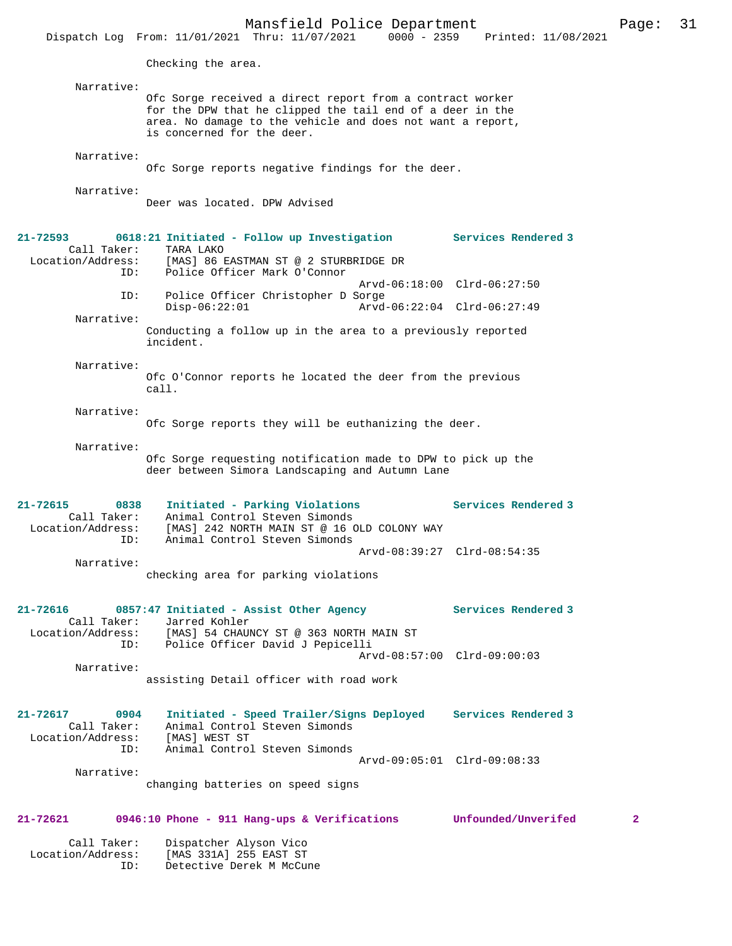|                                                             | Mansfield Police Department<br>Dispatch Log From: 11/01/2021 Thru: 11/07/2021                                                                                                                                      | 0000 - 2359 Printed: 11/08/2021                            | Page: | 31 |
|-------------------------------------------------------------|--------------------------------------------------------------------------------------------------------------------------------------------------------------------------------------------------------------------|------------------------------------------------------------|-------|----|
|                                                             | Checking the area.                                                                                                                                                                                                 |                                                            |       |    |
| Narrative:                                                  | Ofc Sorge received a direct report from a contract worker<br>for the DPW that he clipped the tail end of a deer in the<br>area. No damage to the vehicle and does not want a report,<br>is concerned for the deer. |                                                            |       |    |
| Narrative:                                                  | Ofc Sorge reports negative findings for the deer.                                                                                                                                                                  |                                                            |       |    |
| Narrative:                                                  | Deer was located. DPW Advised                                                                                                                                                                                      |                                                            |       |    |
| $21 - 72593$<br>Call Taker:<br>Location/Address:<br>ID:     | 0618:21 Initiated - Follow up Investigation<br>TARA LAKO<br>[MAS] 86 EASTMAN ST @ 2 STURBRIDGE DR<br>Police Officer Mark O'Connor                                                                                  | <b>Services Rendered 3</b>                                 |       |    |
| ID:<br>Narrative:                                           | Police Officer Christopher D Sorge<br>$Disp-06:22:01$<br>Conducting a follow up in the area to a previously reported                                                                                               | Arvd-06:18:00 Clrd-06:27:50<br>Arvd-06:22:04 Clrd-06:27:49 |       |    |
| Narrative:                                                  | incident.<br>Ofc O'Connor reports he located the deer from the previous<br>$cal1$ .                                                                                                                                |                                                            |       |    |
| Narrative:                                                  | Ofc Sorge reports they will be euthanizing the deer.                                                                                                                                                               |                                                            |       |    |
| Narrative:                                                  | Ofc Sorge requesting notification made to DPW to pick up the<br>deer between Simora Landscaping and Autumn Lane                                                                                                    |                                                            |       |    |
| 21-72615<br>0838<br>Call Taker:<br>Location/Address:<br>ID: | Initiated - Parking Violations<br>Animal Control Steven Simonds<br>[MAS] 242 NORTH MAIN ST @ 16 OLD COLONY WAY<br>Animal Control Steven Simonds                                                                    | Services Rendered 3                                        |       |    |
| Narrative:                                                  | checking area for parking violations                                                                                                                                                                               | Arvd-08:39:27 Clrd-08:54:35                                |       |    |
| 21-72616<br>Call Taker:<br>ID:                              | 0857:47 Initiated - Assist Other Agency<br>Jarred Kohler<br>Location/Address: [MAS] 54 CHAUNCY ST @ 363 NORTH MAIN ST<br>Police Officer David J Pepicelli                                                          | Services Rendered 3                                        |       |    |
| Narrative:                                                  | assisting Detail officer with road work                                                                                                                                                                            | Arvd-08:57:00 Clrd-09:00:03                                |       |    |
| 21-72617<br>0904<br>Call Taker:<br>Location/Address:<br>ID: | Initiated - Speed Trailer/Signs Deployed Services Rendered 3<br>Animal Control Steven Simonds<br>[MAS] WEST ST<br>Animal Control Steven Simonds                                                                    |                                                            |       |    |
| Narrative:                                                  |                                                                                                                                                                                                                    | Arvd-09:05:01 Clrd-09:08:33                                |       |    |

changing batteries on speed signs

# **21-72621 0946:10 Phone - 911 Hang-ups & Verifications Unfounded/Unverifed 2**

| Call Taker:       | Dispatcher Alyson Vico   |
|-------------------|--------------------------|
| Location/Address: | [MAS 331A] 255 EAST ST   |
| TD:               | Detective Derek M McCune |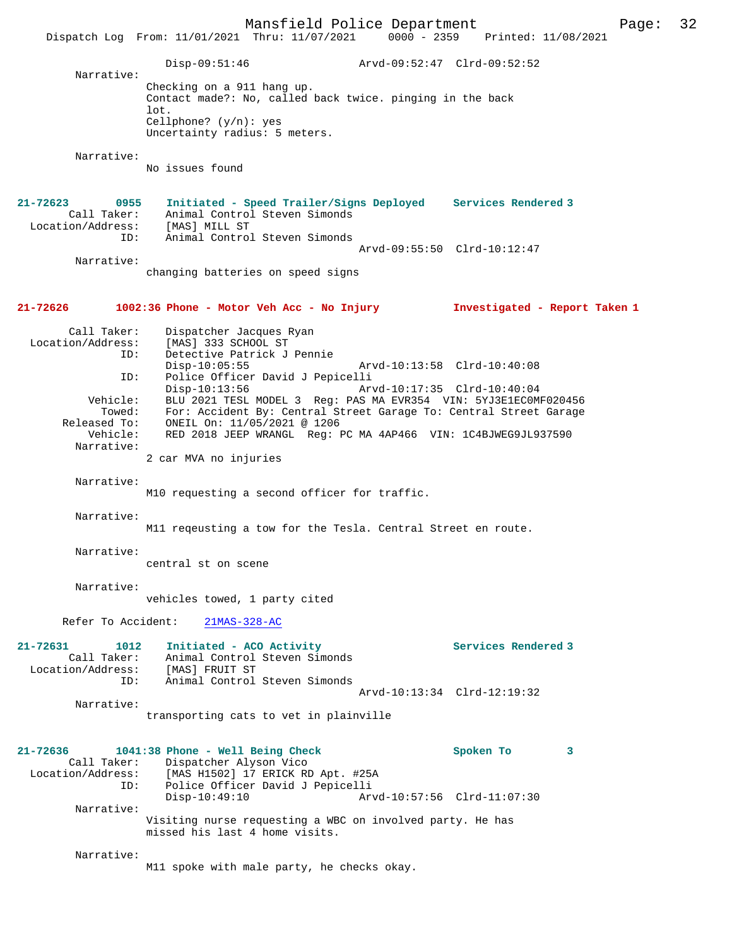Mansfield Police Department Page: 32 Dispatch Log From: 11/01/2021 Thru: 11/07/2021 Disp-09:51:46 Arvd-09:52:47 Clrd-09:52:52 Narrative: Checking on a 911 hang up. Contact made?: No, called back twice. pinging in the back lot. Cellphone? (y/n): yes Uncertainty radius: 5 meters. Narrative: No issues found **21-72623 0955 Initiated - Speed Trailer/Signs Deployed Services Rendered 3**  Call Taker: Animal Control Steven Simonds Location/Address: [MAS] MILL ST ID: Animal Control Steven Simonds Arvd-09:55:50 Clrd-10:12:47 Narrative: changing batteries on speed signs **21-72626 1002:36 Phone - Motor Veh Acc - No Injury Investigated - Report Taken 1** Call Taker: Dispatcher Jacques Ryan<br>Location/Address: [MAS] 333 SCHOOL ST ess: [MAS] 333 SCHOOL ST<br>ID: Detective Patrick J Detective Patrick J Pennie<br>Disp-10:05:55 Disp-10:05:55 Arvd-10:13:58 Clrd-10:40:08<br>ID: Police Officer David J Pepicelli ID: Police Officer David J Pepicelli Arvd-10:17:35 Clrd-10:40:04 Vehicle: BLU 2021 TESL MODEL 3 Reg: PAS MA EVR354 VIN: 5YJ3E1EC0MF020456 Towed: For: Accident By: Central Street Garage To: Central Street Garage Released To: ONEIL On: 11/05/2021 @ 1206 Vehicle: RED 2018 JEEP WRANGL Reg: PC MA 4AP466 VIN: 1C4BJWEG9JL937590 Narrative: 2 car MVA no injuries Narrative: M10 requesting a second officer for traffic. Narrative: M11 reqeusting a tow for the Tesla. Central Street en route. Narrative: central st on scene Narrative: vehicles towed, 1 party cited Refer To Accident: 21MAS-328-AC **21-72631 1012 Initiated - ACO Activity Services Rendered 3**  Call Taker: Animal Control Steven Simonds<br>Location/Address: [MAS] FRUIT ST ess: [MAS] FRUIT ST:<br>ID: Animal Control Animal Control Steven Simonds Arvd-10:13:34 Clrd-12:19:32 Narrative: transporting cats to vet in plainville **21-72636 1041:38 Phone - Well Being Check Spoken To 3**  Call Taker: Dispatcher Alyson Vico<br>Location/Address: [MAS H1502] 17 ERICK RI ess: [MAS H1502] 17 ERICK RD Apt. #25A<br>ID: Police Officer David J Pepicelli Police Officer David J Pepicelli Disp-10:49:10 Arvd-10:57:56 Clrd-11:07:30 Narrative: Visiting nurse requesting a WBC on involved party. He has missed his last 4 home visits. Narrative: M11 spoke with male party, he checks okay.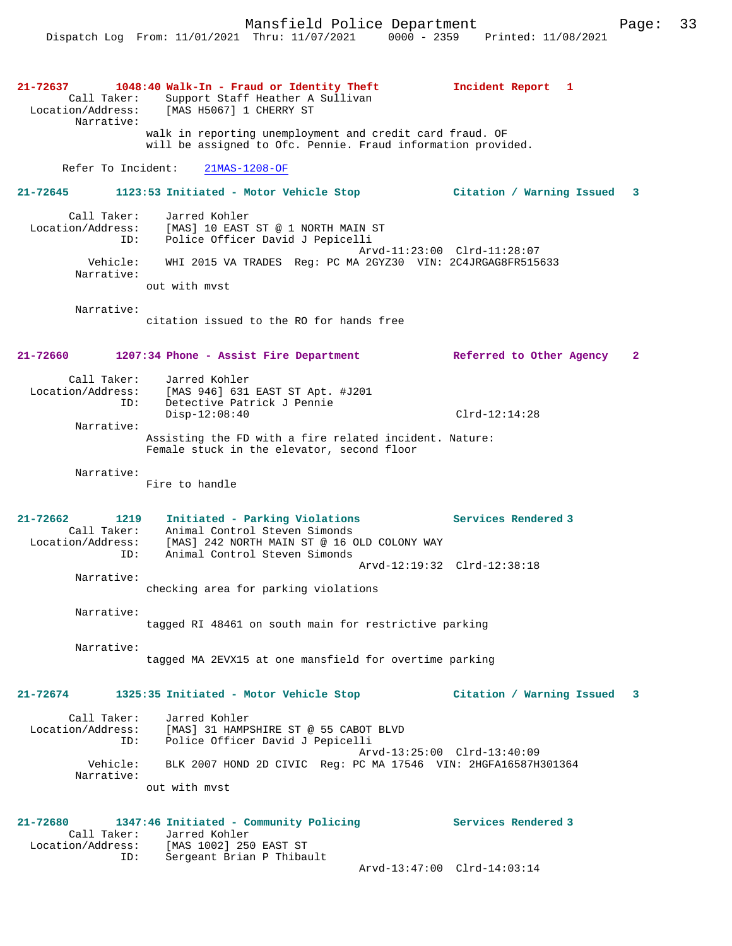Mansfield Police Department Page: 33

**21-72637 1048:40 Walk-In - Fraud or Identity Theft Incident Report 1**  Call Taker: Support Staff Heather A Sullivan Location/Address: [MAS H5067] 1 CHERRY ST Narrative: walk in reporting unemployment and credit card fraud. OF will be assigned to Ofc. Pennie. Fraud information provided. Refer To Incident: 21MAS-1208-OF **21-72645 1123:53 Initiated - Motor Vehicle Stop Citation / Warning Issued 3** Call Taker: Jarred Kohler Location/Address: [MAS] 10 EAST ST @ 1 NORTH MAIN ST ID: Police Officer David J Pepicelli Arvd-11:23:00 Clrd-11:28:07 Vehicle: WHI 2015 VA TRADES Reg: PC MA 2GYZ30 VIN: 2C4JRGAG8FR515633 Narrative: out with mvst Narrative: citation issued to the RO for hands free **21-72660 1207:34 Phone - Assist Fire Department Referred to Other Agency 2** Call Taker: Jarred Kohler<br>Location/Address: [MAS 946] 631 Location/Address: [MAS 946] 631 EAST ST Apt. #J201 Detective Patrick J Pennie ess: [MAS 946] المصدر محمد محمد العام .<br>Disp-12:08:40 Clrd-12:14:28 Clrd-12:14:28 Narrative: Assisting the FD with a fire related incident. Nature: Female stuck in the elevator, second floor Narrative: Fire to handle **21-72662 1219 Initiated - Parking Violations Services Rendered 3**  Call Taker: Animal Control Steven Simonds Location/Address: [MAS] 242 NORTH MAIN ST @ 16 OLD COLONY WAY ID: Animal Control Steven Simonds Arvd-12:19:32 Clrd-12:38:18 Narrative: checking area for parking violations Narrative: tagged RI 48461 on south main for restrictive parking Narrative: tagged MA 2EVX15 at one mansfield for overtime parking **21-72674 1325:35 Initiated - Motor Vehicle Stop Citation / Warning Issued 3** Call Taker: Jarred Kohler Location/Address: [MAS] 31 HAMPSHIRE ST @ 55 CABOT BLVD ID: Police Officer David J Pepicelli Arvd-13:25:00 Clrd-13:40:09 Vehicle: BLK 2007 HOND 2D CIVIC Reg: PC MA 17546 VIN: 2HGFA16587H301364 Narrative: out with mvst **21-72680 1347:46 Initiated - Community Policing Services Rendered 3**  Call Taker: Jarred Kohler<br>Location/Address: [MAS 1002] 250 ess: [MAS 1002] 250 EAST ST<br>ID: Sergeant Brian P Thiba Sergeant Brian P Thibault Arvd-13:47:00 Clrd-14:03:14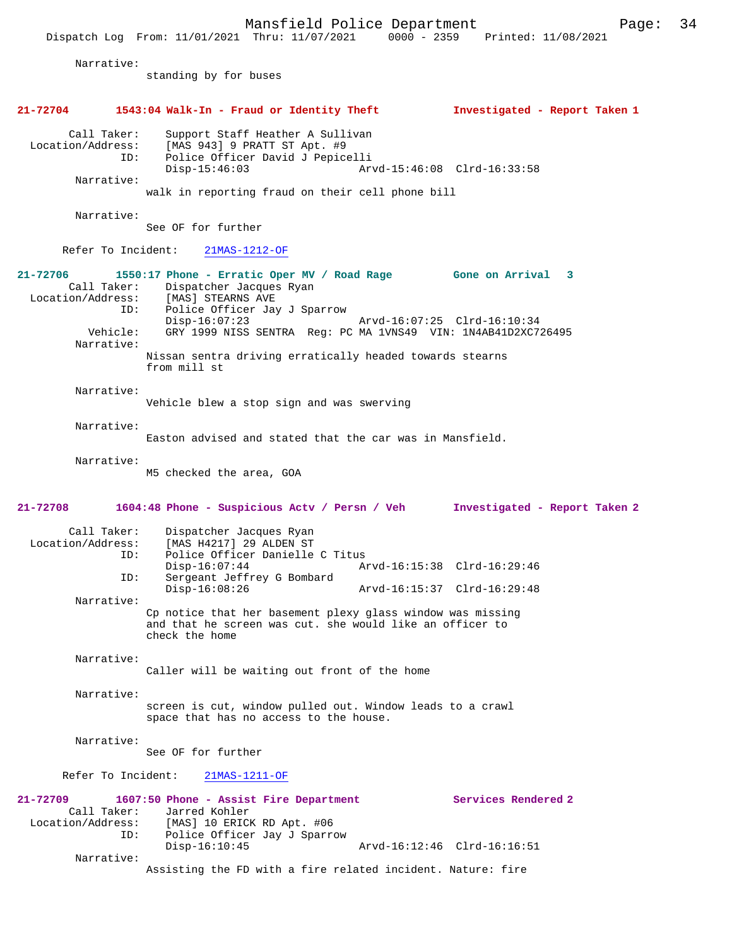|                                                                               | Mansfield Police Department<br>Dispatch Log From: 11/01/2021 Thru: 11/07/2021 0000 - 2359 Printed: 11/08/2021                                                                                                                                                                                                 | Page:                         | 34 |
|-------------------------------------------------------------------------------|---------------------------------------------------------------------------------------------------------------------------------------------------------------------------------------------------------------------------------------------------------------------------------------------------------------|-------------------------------|----|
| Narrative:                                                                    | standing by for buses                                                                                                                                                                                                                                                                                         |                               |    |
| $21 - 72704$                                                                  | 1543:04 Walk-In - Fraud or Identity Theft                                                                                                                                                                                                                                                                     | Investigated - Report Taken 1 |    |
| Call Taker:<br>Location/Address:<br>ID:<br>Narrative:                         | Support Staff Heather A Sullivan<br>[MAS 943] 9 PRATT ST Apt. #9<br>Police Officer David J Pepicelli<br>$Disp-15:46:03$<br>walk in reporting fraud on their cell phone bill                                                                                                                                   | Arvd-15:46:08 Clrd-16:33:58   |    |
| Narrative:                                                                    | See OF for further                                                                                                                                                                                                                                                                                            |                               |    |
| Refer To Incident:                                                            | 21MAS-1212-OF                                                                                                                                                                                                                                                                                                 |                               |    |
| 21-72706<br>Call Taker:<br>Location/Address:<br>TD:<br>Vehicle:<br>Narrative: | 1550:17 Phone - Erratic Oper MV / Road Rage Gone on Arrival 3<br>Dispatcher Jacques Ryan<br>[MAS] STEARNS AVE<br>Police Officer Jay J Sparrow<br>$Disp-16:07:23$<br>GRY 1999 NISS SENTRA Req: PC MA 1VNS49 VIN: 1N4AB41D2XC726495<br>Nissan sentra driving erratically headed towards stearns<br>from mill st | Arvd-16:07:25 Clrd-16:10:34   |    |
| Narrative:                                                                    | Vehicle blew a stop sign and was swerving                                                                                                                                                                                                                                                                     |                               |    |
| Narrative:                                                                    | Easton advised and stated that the car was in Mansfield.                                                                                                                                                                                                                                                      |                               |    |
| Narrative:                                                                    | M5 checked the area, GOA                                                                                                                                                                                                                                                                                      |                               |    |
| $21 - 72708$                                                                  | 1604:48 Phone - Suspicious Actv / Persn / Veh                                                                                                                                                                                                                                                                 | Investigated - Report Taken 2 |    |

| Call Taker:<br>Location/Address:<br>ID: | Dispatcher Jacques Ryan<br>[MAS H4217] 29 ALDEN ST<br>Police Officer Danielle C Titus |                             |  |
|-----------------------------------------|---------------------------------------------------------------------------------------|-----------------------------|--|
|                                         | $Disp-16:07:44$                                                                       | Arvd-16:15:38 Clrd-16:29:46 |  |
| ID:                                     | Sergeant Jeffrey G Bombard                                                            |                             |  |
|                                         | $Disp-16:08:26$                                                                       | Arvd-16:15:37 Clrd-16:29:48 |  |
| Narrative:                              |                                                                                       |                             |  |
|                                         | Cp notice that her basement plexy glass window was missing                            |                             |  |

and that he screen was cut. she would like an officer to check the home

Narrative:

Caller will be waiting out front of the home

Narrative:

screen is cut, window pulled out. Window leads to a crawl space that has no access to the house.

Narrative:

See OF for further

Refer To Incident: 21MAS-1211-OF

**21-72709 1607:50 Phone - Assist Fire Department Services Rendered 2**  Call Taker: Jarred Kohler<br>Location/Address: [MAS] 10 ERICH [MAS] 10 ERICK RD Apt. #06 ID: Police Officer Jay J Sparrow Disp-16:10:45 Arvd-16:12:46 Clrd-16:16:51 Narrative: Assisting the FD with a fire related incident. Nature: fire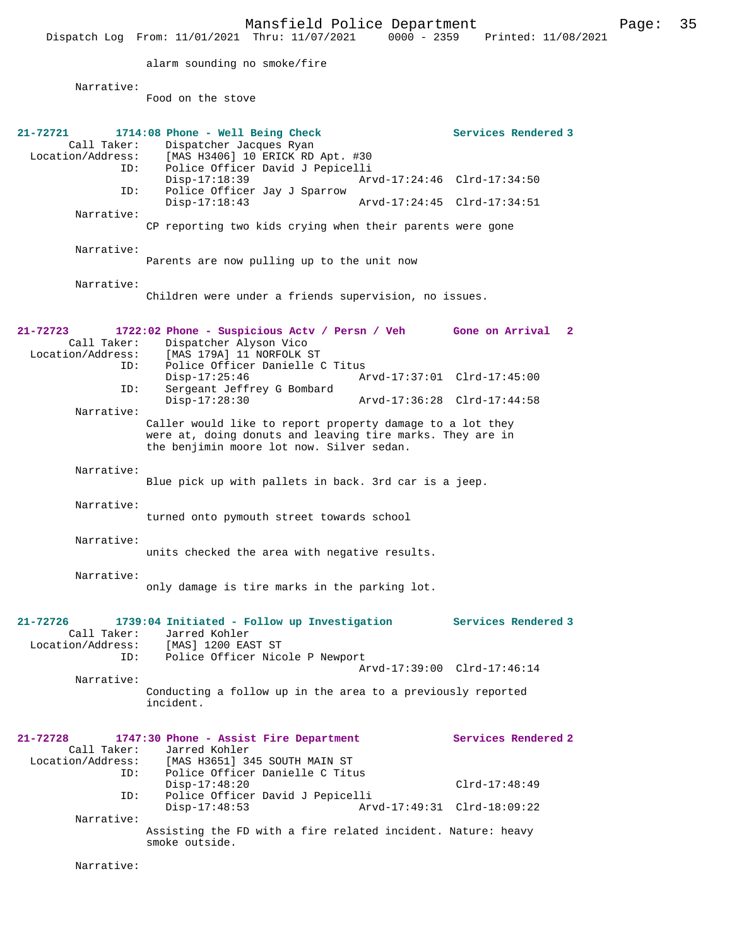Mansfield Police Department Page: 35 Dispatch Log From: 11/01/2021 Thru: 11/07/2021 alarm sounding no smoke/fire Narrative: Food on the stove **21-72721 1714:08 Phone - Well Being Check Services Rendered 3**  Call Taker: Dispatcher Jacques Ryan<br>Location/Address: [MAS H3406] 10 ERICK RD [MAS H3406] 10 ERICK RD Apt. #30 ID: Police Officer David J Pepicelli Disp-17:18:39 Arvd-17:24:46 Clrd-17:34:50<br>TD: Police Officer Jav J Sparrow Police Officer Jay J Sparrow<br>Disp-17:18:43 Arvd-17:24:45 Clrd-17:34:51 Narrative: CP reporting two kids crying when their parents were gone Narrative: Parents are now pulling up to the unit now Narrative: Children were under a friends supervision, no issues. **21-72723 1722:02 Phone - Suspicious Actv / Persn / Veh Gone on Arrival 2**  Call Taker: Dispatcher Alyson Vico Location/Address: [MAS 179A] 11 NORFOLK ST Police Officer Danielle C Titus Disp-17:25:46 Arvd-17:37:01 Clrd-17:45:00<br>TD: Sergeant Jeffrey G Bombard Sergeant Jeffrey G Bombard<br>Disp-17:28:30 Disp-17:28:30 Arvd-17:36:28 Clrd-17:44:58 Narrative: Caller would like to report property damage to a lot they were at, doing donuts and leaving tire marks. They are in the benjimin moore lot now. Silver sedan. Narrative: Blue pick up with pallets in back. 3rd car is a jeep. Narrative: turned onto pymouth street towards school Narrative: units checked the area with negative results. Narrative: only damage is tire marks in the parking lot. **21-72726 1739:04 Initiated - Follow up Investigation Services Rendered 3**  Call Taker: Jarred Kohler Location/Address: [MAS] 1200 EAST ST Police Officer Nicole P Newport Arvd-17:39:00 Clrd-17:46:14 Narrative: Conducting a follow up in the area to a previously reported incident. **21-72728 1747:30 Phone - Assist Fire Department Services Rendered 2**  Call Taker: Jarred Kohler<br>Location/Address: [MAS H3651] 3 ess: [MAS H3651] 345 SOUTH MAIN ST<br>ID: Police Officer Danielle C Titu Police Officer Danielle C Titus Disp-17:48:20 Clrd-17:48:49 ID: Police Officer David J Pepicelli Disp-17:48:53 Arvd-17:49:31 Clrd-18:09:22 Narrative: Assisting the FD with a fire related incident. Nature: heavy smoke outside. Narrative: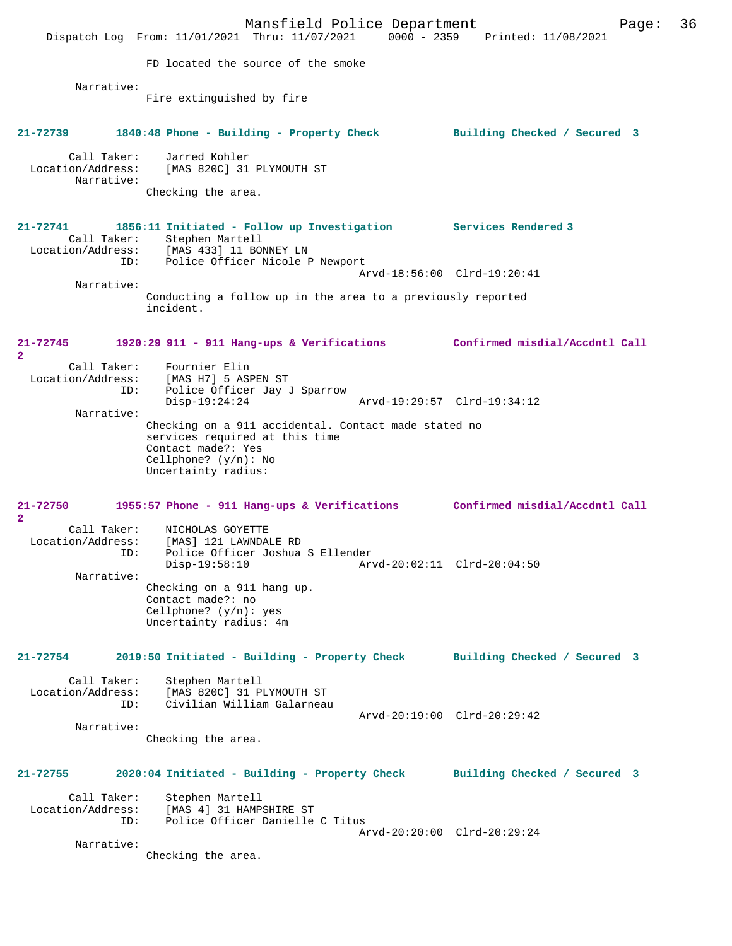Mansfield Police Department Page: 36 Dispatch Log From: 11/01/2021 Thru: 11/07/2021 0000 - 2359 Printed: 11/08/2021 FD located the source of the smoke Narrative: Fire extinguished by fire **21-72739 1840:48 Phone - Building - Property Check Building Checked / Secured 3** Call Taker: Jarred Kohler Location/Address: [MAS 820C] 31 PLYMOUTH ST Narrative: Checking the area. **21-72741 1856:11 Initiated - Follow up Investigation Services Rendered 3**  Call Taker: Stephen Martell Location/Address: [MAS 433] 11 BONNEY LN ID: Police Officer Nicole P Newport Arvd-18:56:00 Clrd-19:20:41 Narrative: Conducting a follow up in the area to a previously reported incident. **21-72745 1920:29 911 - 911 Hang-ups & Verifications Confirmed misdial/Accdntl Call 2**  Call Taker: Fournier Elin<br>Location/Address: [MAS H7] 5 ASI [MAS H7] 5 ASPEN ST ID: Police Officer Jay J Sparrow Disp-19:24:24 Arvd-19:29:57 Clrd-19:34:12 Narrative: Checking on a 911 accidental. Contact made stated no services required at this time Contact made?: Yes Cellphone? (y/n): No Uncertainty radius: **21-72750 1955:57 Phone - 911 Hang-ups & Verifications Confirmed misdial/Accdntl Call 2**  Call Taker: NICHOLAS GOYETTE Location/Address: [MAS] 121 LAWNDALE RD ID: Police Officer Joshua S Ellender Disp-19:58:10 Arvd-20:02:11 Clrd-20:04:50 Narrative: Checking on a 911 hang up. Contact made?: no Cellphone? (y/n): yes Uncertainty radius: 4m **21-72754 2019:50 Initiated - Building - Property Check Building Checked / Secured 3** Call Taker: Stephen Martell Location/Address: [MAS 820C] 31 PLYMOUTH ST ID: Civilian William Galarneau Arvd-20:19:00 Clrd-20:29:42 Narrative: Checking the area. **21-72755 2020:04 Initiated - Building - Property Check Building Checked / Secured 3** Call Taker: Stephen Martell Location/Address: [MAS 4] 31 HAMPSHIRE ST Police Officer Danielle C Titus Arvd-20:20:00 Clrd-20:29:24 Narrative: Checking the area.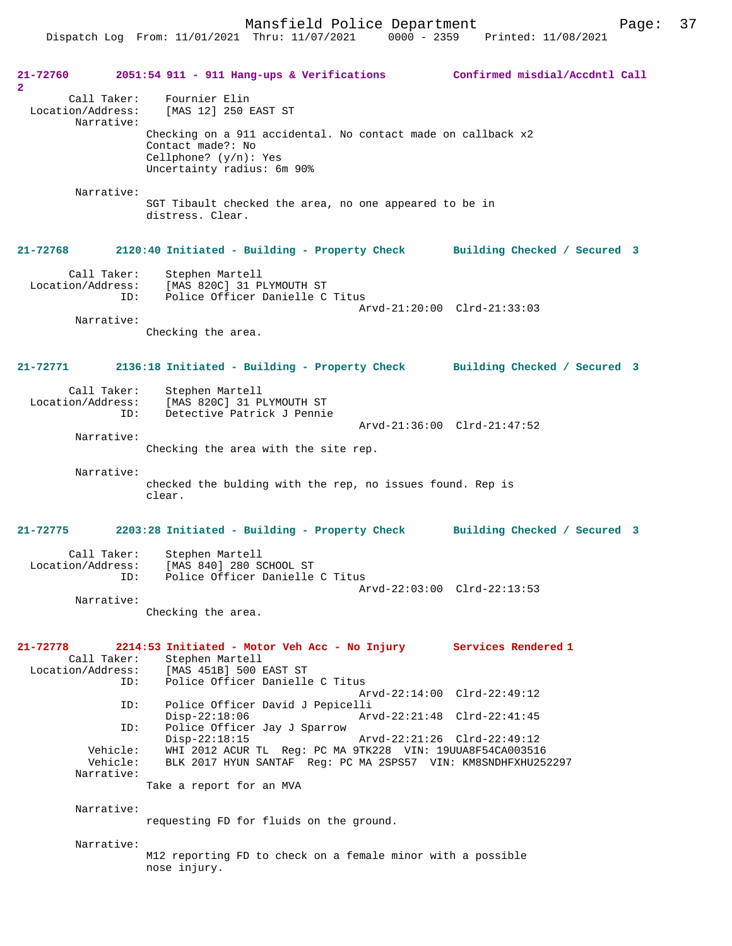Dispatch Log From: 11/01/2021 Thru: 11/07/2021 0000 - 2359 Printed: 11/08/2021

| 21-72760<br>$\mathbf{2}$                       | $2051:54$ 911 - 911 Hang-ups & Verifications                                                                                                | Confirmed misdial/Accdntl Call |
|------------------------------------------------|---------------------------------------------------------------------------------------------------------------------------------------------|--------------------------------|
| Call Taker:<br>Location/Address:<br>Narrative: | Fournier Elin<br>[MAS 12] 250 EAST ST                                                                                                       |                                |
|                                                | Checking on a 911 accidental. No contact made on callback x2<br>Contact made?: No<br>Cellphone? $(y/n)$ : Yes<br>Uncertainty radius: 6m 90% |                                |
| Narrative:                                     | SGT Tibault checked the area, no one appeared to be in<br>distress. Clear.                                                                  |                                |
| 21-72768                                       | 2120:40 Initiated - Building - Property Check Building Checked / Secured 3                                                                  |                                |
| Call Taker:                                    | Stephen Martell<br>Location/Address: [MAS 820C] 31 PLYMOUTH ST<br>Police Officer Danielle C Titus<br>ID:                                    | Arvd-21:20:00 Clrd-21:33:03    |
| Narrative:                                     | Checking the area.                                                                                                                          |                                |
| 21-72771                                       | 2136:18 Initiated - Building - Property Check Building Checked / Secured 3                                                                  |                                |
| Call Taker:<br>ID:                             | Stephen Martell<br>Location/Address: [MAS 820C] 31 PLYMOUTH ST<br>Detective Patrick J Pennie                                                | Arvd-21:36:00 Clrd-21:47:52    |
| Narrative:                                     | Checking the area with the site rep.                                                                                                        |                                |
| Narrative:                                     |                                                                                                                                             |                                |
|                                                | checked the bulding with the rep, no issues found. Rep is<br>clear.                                                                         |                                |
| 21-72775                                       | 2203:28 Initiated - Building - Property Check Building Checked / Secured 3                                                                  |                                |
| Call Taker:<br>Location/Address:<br>ID:        | Stephen Martell<br>[MAS 840] 280 SCHOOL ST<br>Police Officer Danielle C Titus                                                               | Arvd-22:03:00 Clrd-22:13:53    |
| Narrative:                                     | Checking the area.                                                                                                                          |                                |
| 21-72778<br>Call Taker:                        | 2214:53 Initiated - Motor Veh Acc - No Injury Services Rendered 1<br>Stephen Martell                                                        |                                |
| Location/Address:<br>ID:                       | [MAS 451B] 500 EAST ST<br>Police Officer Danielle C Titus                                                                                   | Arvd-22:14:00 Clrd-22:49:12    |
| ID:                                            | Police Officer David J Pepicelli<br>$Disp-22:18:06$                                                                                         | Arvd-22:21:48 Clrd-22:41:45    |
| ID:                                            | Police Officer Jay J Sparrow<br>$Disp-22:18:15$                                                                                             | Arvd-22:21:26 Clrd-22:49:12    |
| Vehicle:<br>Vehicle:<br>Narrative:             | WHI 2012 ACUR TL Reg: PC MA 9TK228 VIN: 19UUA8F54CA003516<br>BLK 2017 HYUN SANTAF Reg: PC MA 2SPS57 VIN: KM8SNDHFXHU252297                  |                                |
|                                                | Take a report for an MVA                                                                                                                    |                                |
| Narrative:                                     | requesting FD for fluids on the ground.                                                                                                     |                                |
| Narrative:                                     | M12 reporting FD to check on a female minor with a possible<br>nose injury.                                                                 |                                |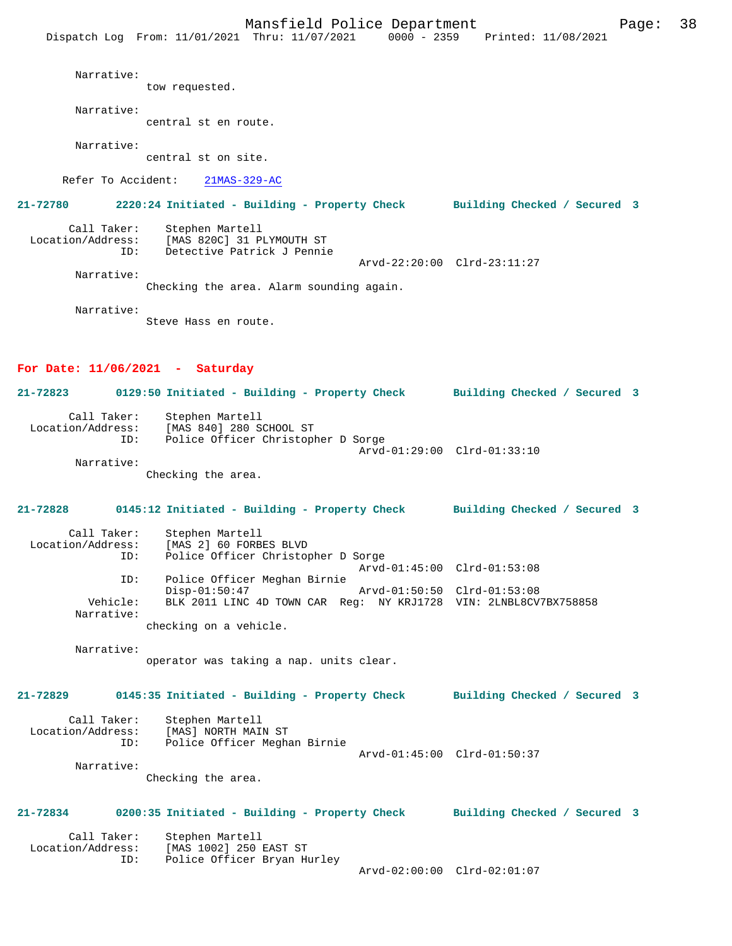Dispatch Log From: 11/01/2021 Thru: 11/07/2021 0000 - 2359 Printed: 11/08/2021 Narrative: tow requested. Narrative: central st en route. Narrative: central st on site. Refer To Accident: 21MAS-329-AC **21-72780 2220:24 Initiated - Building - Property Check Building Checked / Secured 3** Call Taker: Stephen Martell<br>Location/Address: [MAS 820C] 31 P للحصوص المحصوص المحصوص المحصوص المحمول Ss:<br>Location (Address: [MAS 820C] 31 PLYMOUTH ST<br>ID: Detective Patrick J Pennic Detective Patrick J Pennie Arvd-22:20:00 Clrd-23:11:27 Narrative: Checking the area. Alarm sounding again. Narrative: Steve Hass en route. **For Date: 11/06/2021 - Saturday 21-72823 0129:50 Initiated - Building - Property Check Building Checked / Secured 3** Call Taker: Stephen Martell<br>Location/Address: [MAS 840] 280 S [MAS 840] 280 SCHOOL ST ID: Police Officer Christopher D Sorge Arvd-01:29:00 Clrd-01:33:10 Narrative: Checking the area. **21-72828 0145:12 Initiated - Building - Property Check Building Checked / Secured 3** Call Taker: Stephen Martell<br>Location/Address: [MAS 2] 60 FORB ess: [MAS 2] 60 FORBES BLVD<br>ID: Police Officer Christop Police Officer Christopher D Sorge Arvd-01:45:00 Clrd-01:53:08<br>ID: Police Officer Meghan Birnie Police Officer Meghan Birnie<br>Disp-01:50:47 Disp-01:50:47 Arvd-01:50:50 Clrd-01:53:08<br>Vehicle: BLK 2011 LINC 4D TOWN CAR Reg: NY KRJ1728 VIN: 2LNBL8CV Vehicle: BLK 2011 LINC 4D TOWN CAR Reg: NY KRJ1728 VIN: 2LNBL8CV7BX758858 Narrative: checking on a vehicle. Narrative: operator was taking a nap. units clear. **21-72829 0145:35 Initiated - Building - Property Check Building Checked / Secured 3** Call Taker: Stephen Martell<br>Location/Address: [MAS] NORTH MAI ess: [MAS] NORTH MAIN ST<br>ID: Police Officer Mecha Police Officer Meghan Birnie Arvd-01:45:00 Clrd-01:50:37 Narrative: Checking the area. **21-72834 0200:35 Initiated - Building - Property Check Building Checked / Secured 3** Call Taker: Stephen Martell Location/Address: [MAS 1002] 250 EAST ST ID: Police Officer Bryan Hurley

Arvd-02:00:00 Clrd-02:01:07

Mansfield Police Department Fage: 38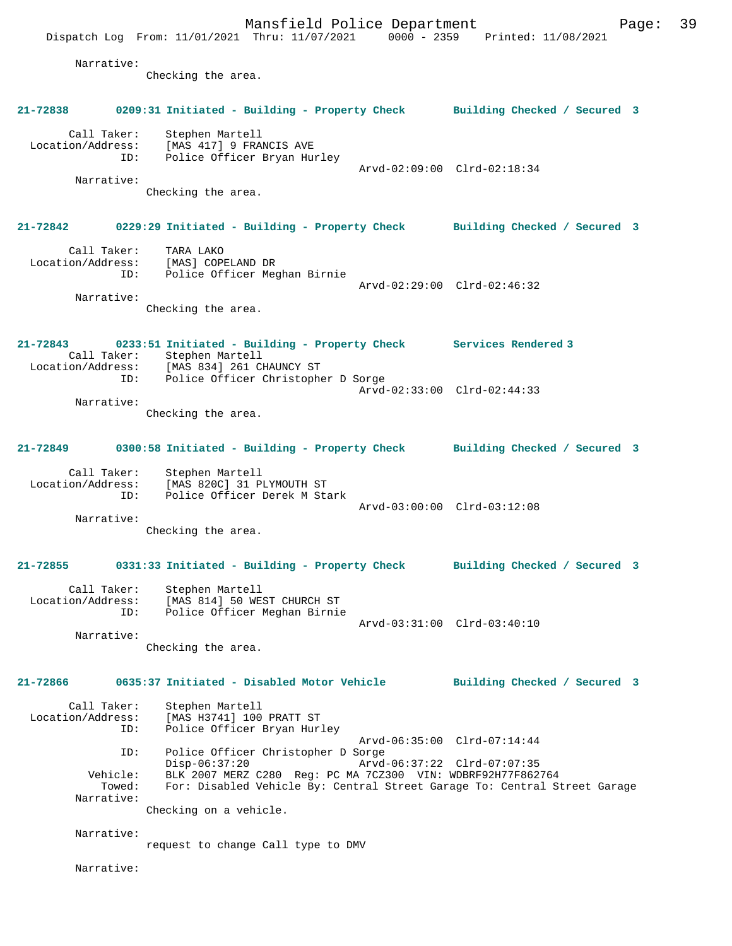Mansfield Police Department Page: 39 Dispatch Log From: 11/01/2021 Thru: 11/07/2021 0000 - 2359 Printed: 11/08/2021 Narrative: Checking the area. **21-72838 0209:31 Initiated - Building - Property Check Building Checked / Secured 3** Call Taker: Stephen Martell Location/Address: [MAS 417] 9 FRANCIS AVE ID: Police Officer Bryan Hurley Arvd-02:09:00 Clrd-02:18:34 Narrative: Checking the area. **21-72842 0229:29 Initiated - Building - Property Check Building Checked / Secured 3** Call Taker: TARA LAKO Location/Address: [MAS] COPELAND DR ID: Police Officer Meghan Birnie Arvd-02:29:00 Clrd-02:46:32 Narrative: Checking the area. **21-72843 0233:51 Initiated - Building - Property Check Services Rendered 3**  Call Taker: Stephen Martell<br>Location/Address: [MAS 834] 261 C [MAS 834] 261 CHAUNCY ST ID: Police Officer Christopher D Sorge Arvd-02:33:00 Clrd-02:44:33 Narrative: Checking the area. **21-72849 0300:58 Initiated - Building - Property Check Building Checked / Secured 3** Call Taker: Stephen Martell Location/Address: [MAS 820C] 31 PLYMOUTH ST ID: Police Officer Derek M Stark Arvd-03:00:00 Clrd-03:12:08 Narrative: Checking the area. **21-72855 0331:33 Initiated - Building - Property Check Building Checked / Secured 3** Call Taker: Stephen Martell Location/Address: [MAS 814] 50 WEST CHURCH ST ID: Police Officer Meghan Birnie Arvd-03:31:00 Clrd-03:40:10 Narrative: Checking the area. **21-72866 0635:37 Initiated - Disabled Motor Vehicle Building Checked / Secured 3** Call Taker: Stephen Martell Location/Address: [MAS H3741] 100 PRATT ST Police Officer Bryan Hurley Arvd-06:35:00 Clrd-07:14:44 ID: Police Officer Christopher D Sorge Disp-06:37:20 Arvd-06:37:22 Clrd-07:07:35<br>Vehicle: BLK 2007 MERZ C280 Reg: PC MA 7CZ300 VIN: WDBRF92H77F862 ehicle: BLK 2007 MERZ C280 Reg: PC MA 7CZ300 VIN: WDBRF92H77F862764<br>Towed: For: Disabled Vebicle By: Central Street Garage To: Central St For: Disabled Vehicle By: Central Street Garage To: Central Street Garage Narrative: Checking on a vehicle. Narrative: request to change Call type to DMV Narrative: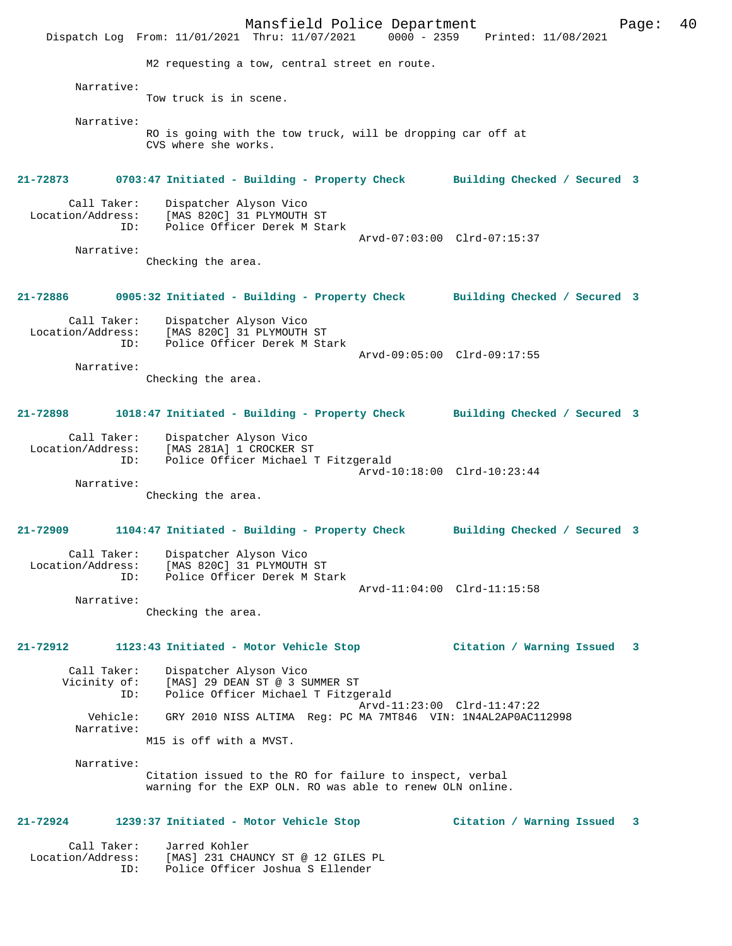Mansfield Police Department Page: 40 Dispatch Log From: 11/01/2021 Thru: 11/07/2021 M2 requesting a tow, central street en route. Narrative: Tow truck is in scene. Narrative: RO is going with the tow truck, will be dropping car off at CVS where she works. **21-72873 0703:47 Initiated - Building - Property Check Building Checked / Secured 3** Call Taker: Dispatcher Alyson Vico<br>Location/Address: [MAS 820C] 31 PLYMOUTH ess: [MAS 820C] 31 PLYMOUTH ST<br>ID: Police Officer Derek M Sta Police Officer Derek M Stark Arvd-07:03:00 Clrd-07:15:37 Narrative: Checking the area. **21-72886 0905:32 Initiated - Building - Property Check Building Checked / Secured 3** Call Taker: Dispatcher Alyson Vico<br>Location/Address: [MAS 820C] 31 PLYMOUTH [MAS 820C] 31 PLYMOUTH ST ID: Police Officer Derek M Stark Arvd-09:05:00 Clrd-09:17:55 Narrative: Checking the area. **21-72898 1018:47 Initiated - Building - Property Check Building Checked / Secured 3** Call Taker: Dispatcher Alyson Vico Location/Address: [MAS 281A] 1 CROCKER ST Police Officer Michael T Fitzgerald Arvd-10:18:00 Clrd-10:23:44 Narrative: Checking the area. **21-72909 1104:47 Initiated - Building - Property Check Building Checked / Secured 3** Call Taker: Dispatcher Alyson Vico Location/Address: [MAS 820C] 31 PLYMOUTH ST<br>TD: Police Officer Derek M Sta Police Officer Derek M Stark Arvd-11:04:00 Clrd-11:15:58 Narrative: Checking the area. **21-72912 1123:43 Initiated - Motor Vehicle Stop Citation / Warning Issued 3** Call Taker: Dispatcher Alyson Vico<br>Vicinity of: [MAS] 29 DEAN ST @ 3 S of: [MAS] 29 DEAN ST @ 3 SUMMER ST<br>ID: Police Officer Michael T Fitzge Police Officer Michael T Fitzgerald Arvd-11:23:00 Clrd-11:47:22<br>Vebicle: GRY 2010 NISS ALTIMA Reg: PC MA 7MT846 VIN: 1N4AL2AP0AC1 GRY 2010 NISS ALTIMA Reg: PC MA 7MT846 VIN: 1N4AL2AP0AC112998 Narrative: M15 is off with a MVST. Narrative: Citation issued to the RO for failure to inspect, verbal warning for the EXP OLN. RO was able to renew OLN online. **21-72924 1239:37 Initiated - Motor Vehicle Stop Citation / Warning Issued 3** Call Taker: Jarred Kohler<br>Location/Address: [MAS] 231 CHA

ess: [MAS] 231 CHAUNCY ST @ 12 GILES PL<br>ID: Police Officer Joshua S Ellender Police Officer Joshua S Ellender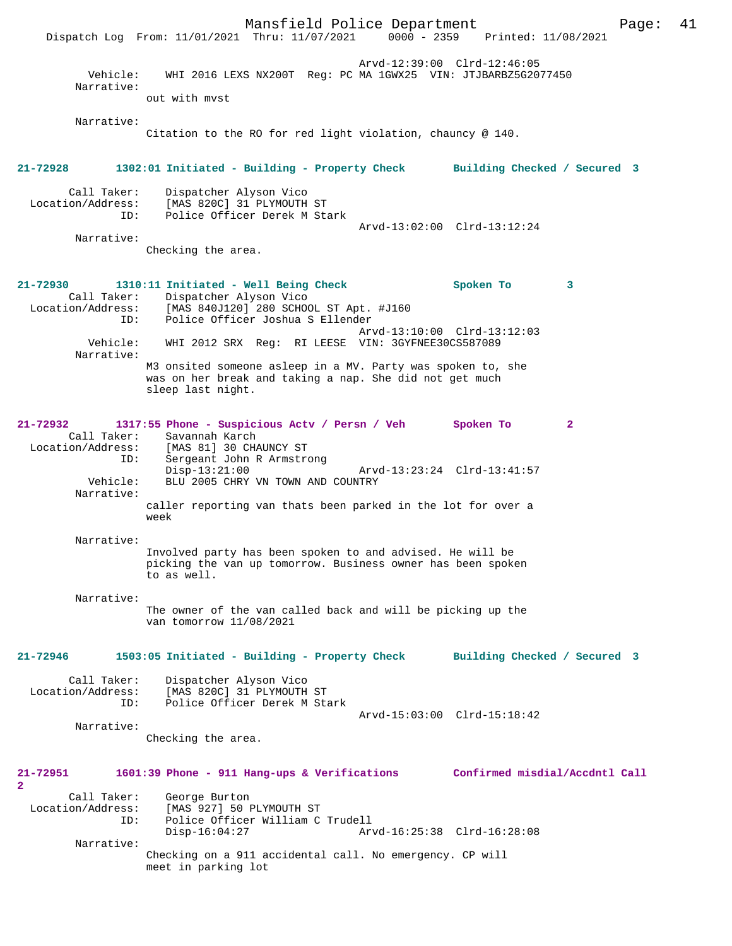Mansfield Police Department Page: 41 Dispatch Log From: 11/01/2021 Thru: 11/07/2021 Arvd-12:39:00 Clrd-12:46:05 Vehicle: WHI 2016 LEXS NX200T Reg: PC MA 1GWX25 VIN: JTJBARBZ5G2077450 Narrative: out with mvst Narrative: Citation to the RO for red light violation, chauncy @ 140. **21-72928 1302:01 Initiated - Building - Property Check Building Checked / Secured 3** Call Taker: Dispatcher Alyson Vico Location/Address: [MAS 820C] 31 PLYMOUTH ST Police Officer Derek M Stark Arvd-13:02:00 Clrd-13:12:24 Narrative: Checking the area. **21-72930 1310:11 Initiated - Well Being Check Spoken To 3**  Call Taker: Dispatcher Alyson Vico<br>Location/Address: [MAS 840J120] 280 SCHO ess: [MAS 840J120] 280 SCHOOL ST Apt. #J160<br>ID: Police Officer Joshua S Ellender Police Officer Joshua S Ellender Arvd-13:10:00 Clrd-13:12:03 Vehicle: WHI 2012 SRX Reg: RI LEESE VIN: 3GYFNEE30CS587089 Narrative: M3 onsited someone asleep in a MV. Party was spoken to, she was on her break and taking a nap. She did not get much sleep last night. **21-72932 1317:55 Phone - Suspicious Actv / Persn / Veh Spoken To 2**  Call Taker: Savannah Karch Location/Address: [MAS 81] 30 CHAUNCY ST ID: Sergeant John R Armstrong<br>Disp-13:21:00 Disp-13:21:00 Arvd-13:23:24 Clrd-13:41:57<br>Vehicle: BLU 2005 CHRY VN TOWN AND COUNTRY BLU 2005 CHRY VN TOWN AND COUNTRY Narrative: caller reporting van thats been parked in the lot for over a week Narrative: Involved party has been spoken to and advised. He will be picking the van up tomorrow. Business owner has been spoken to as well. Narrative: The owner of the van called back and will be picking up the van tomorrow 11/08/2021 **21-72946 1503:05 Initiated - Building - Property Check Building Checked / Secured 3** Call Taker: Dispatcher Alyson Vico Location/Address: [MAS 820C] 31 PLYMOUTH ST<br>TD: Police Officer Derek M Sta Police Officer Derek M Stark Arvd-15:03:00 Clrd-15:18:42 Narrative: Checking the area. **21-72951 1601:39 Phone - 911 Hang-ups & Verifications Confirmed misdial/Accdntl Call 2**  Call Taker: George Burton Location/Address: [MAS 927] 50 PLYMOUTH ST Police Officer William C Trudell<br>Disp-16:04:27 Ar Disp-16:04:27 Arvd-16:25:38 Clrd-16:28:08 Narrative: Checking on a 911 accidental call. No emergency. CP will meet in parking lot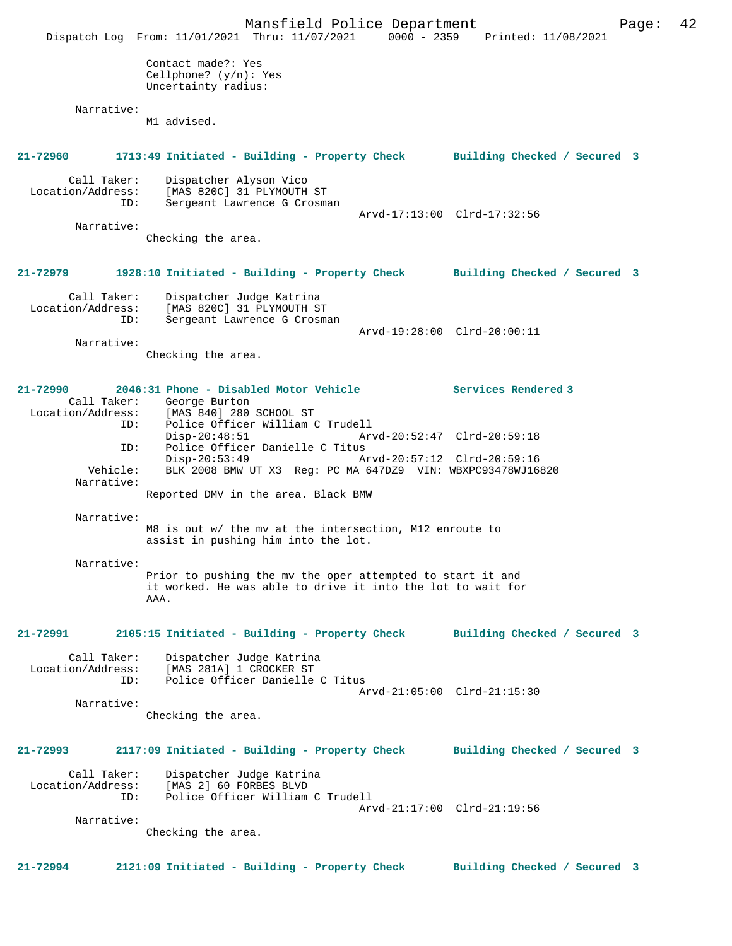|                                                     | Mansfield Police Department<br>Dispatch Log From: 11/01/2021 Thru: 11/07/2021                                                     | 0000 - 2359 Printed: 11/08/2021 | Page: | 42 |
|-----------------------------------------------------|-----------------------------------------------------------------------------------------------------------------------------------|---------------------------------|-------|----|
|                                                     | Contact made?: Yes<br>Cellphone? $(y/n): Yes$<br>Uncertainty radius:                                                              |                                 |       |    |
| Narrative:                                          | M1 advised.                                                                                                                       |                                 |       |    |
| 21-72960                                            | 1713:49 Initiated - Building - Property Check Building Checked / Secured 3                                                        |                                 |       |    |
| Call Taker:<br>Location/Address:<br>ID:             | Dispatcher Alyson Vico<br>[MAS 820C] 31 PLYMOUTH ST<br>Sergeant Lawrence G Crosman                                                |                                 |       |    |
| Narrative:                                          |                                                                                                                                   | Arvd-17:13:00 Clrd-17:32:56     |       |    |
|                                                     | Checking the area.                                                                                                                |                                 |       |    |
| 21-72979                                            | 1928:10 Initiated - Building - Property Check Building Checked / Secured 3                                                        |                                 |       |    |
| Call Taker:<br>Location/Address:<br>ID:             | Dispatcher Judge Katrina<br>[MAS 820C] 31 PLYMOUTH ST<br>Sergeant Lawrence G Crosman                                              |                                 |       |    |
| Narrative:                                          |                                                                                                                                   | Arvd-19:28:00 Clrd-20:00:11     |       |    |
|                                                     | Checking the area.                                                                                                                |                                 |       |    |
| 21-72990<br>Call Taker:<br>Location/Address:<br>ID: | 2046:31 Phone - Disabled Motor Vehicle<br>George Burton<br>[MAS 840] 280 SCHOOL ST<br>Police Officer William C Trudell            | Services Rendered 3             |       |    |
| ID:                                                 | $Disp-20:48:51$<br>Police Officer Danielle C Titus                                                                                | Arvd-20:52:47 Clrd-20:59:18     |       |    |
| Vehicle:                                            | $Disp-20:53:49$<br>BLK 2008 BMW UT X3 Req: PC MA 647DZ9 VIN: WBXPC93478WJ16820                                                    | Arvd-20:57:12 Clrd-20:59:16     |       |    |
| Narrative:                                          | Reported DMV in the area. Black BMW                                                                                               |                                 |       |    |
| Narrative:                                          |                                                                                                                                   |                                 |       |    |
|                                                     | M8 is out w/ the mv at the intersection, M12 enroute to<br>assist in pushing him into the lot.                                    |                                 |       |    |
| Narrative:                                          | Prior to pushing the mv the oper attempted to start it and<br>it worked. He was able to drive it into the lot to wait for<br>AAA. |                                 |       |    |
| 21-72991                                            | 2105:15 Initiated - Building - Property Check                                                                                     | Building Checked / Secured 3    |       |    |
| Call Taker:<br>Location/Address:<br>ID:             | Dispatcher Judge Katrina<br>[MAS 281A] 1 CROCKER ST<br>Police Officer Danielle C Titus                                            | Arvd-21:05:00 Clrd-21:15:30     |       |    |
| Narrative:                                          | Checking the area.                                                                                                                |                                 |       |    |
| 21-72993                                            | 2117:09 Initiated - Building - Property Check                                                                                     | Building Checked / Secured 3    |       |    |
| Call Taker:<br>Location/Address:<br>ID:             | Dispatcher Judge Katrina<br>[MAS 2] 60 FORBES BLVD<br>Police Officer William C Trudell                                            | Arvd-21:17:00 Clrd-21:19:56     |       |    |
| Narrative:                                          | Checking the area.                                                                                                                |                                 |       |    |
|                                                     |                                                                                                                                   |                                 |       |    |
| 21-72994                                            | 2121:09 Initiated - Building - Property Check                                                                                     | Building Checked / Secured 3    |       |    |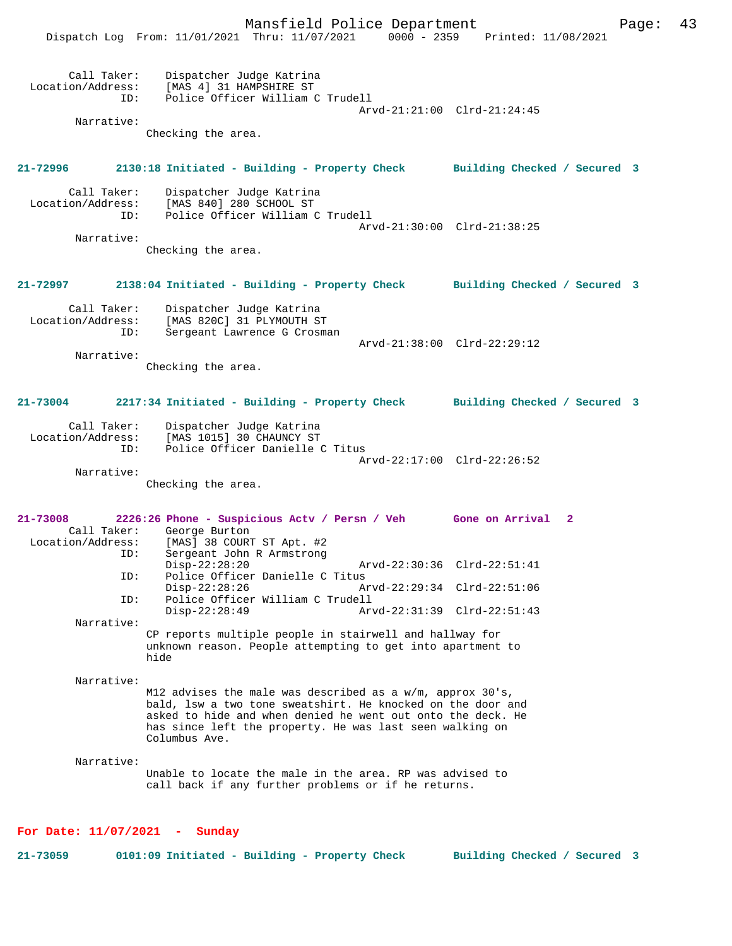Mansfield Police Department Fage: 43 Dispatch Log From: 11/01/2021 Thru: 11/07/2021 0000 - 2359 Printed: 11/08/2021 Call Taker: Dispatcher Judge Katrina Location/Address: [MAS 4] 31 HAMPSHIRE ST<br>ID: Police Officer William ( Police Officer William C Trudell Arvd-21:21:00 Clrd-21:24:45 Narrative: Checking the area. **21-72996 2130:18 Initiated - Building - Property Check Building Checked / Secured 3** Call Taker: Dispatcher Judge Katrina Location/Address: [MAS 840] 280 SCHOOL ST Police Officer William C Trudell Arvd-21:30:00 Clrd-21:38:25 Narrative: Checking the area. **21-72997 2138:04 Initiated - Building - Property Check Building Checked / Secured 3** Call Taker: Dispatcher Judge Katrina<br>Location/Address: [MAS 820C] 31 PLYMOUTH ST ess: [MAS 820C] 31 PLYMOUTH ST<br>ID: Sergeant Lawrence G Crosma Sergeant Lawrence G Crosman Arvd-21:38:00 Clrd-22:29:12 Narrative: Checking the area. **21-73004 2217:34 Initiated - Building - Property Check Building Checked / Secured 3** Call Taker: Dispatcher Judge Katrina Location/Address: [MAS 1015] 30 CHAUNCY ST Police Officer Danielle C Titus Arvd-22:17:00 Clrd-22:26:52 Narrative: Checking the area. **21-73008 2226:26 Phone - Suspicious Actv / Persn / Veh Gone on Arrival 2**  Call Taker: George Burton<br>Location/Address: [MAS] 38 COURT [MAS] 38 COURT ST Apt. #2 ID: Sergeant John R Armstrong Disp-22:28:20 Arvd-22:30:36 Clrd-22:51:41 ID: Police Officer Danielle C Titus Disp-22:28:26 Arvd-22:29:34 Clrd-22:51:06<br>TD: Police Officer William C Trudell Police Officer William C Trudell<br>Disp-22:28:49 Arv Disp-22:28:49 Arvd-22:31:39 Clrd-22:51:43 Narrative: CP reports multiple people in stairwell and hallway for unknown reason. People attempting to get into apartment to hide Narrative: M12 advises the male was described as a w/m, approx 30's, bald, lsw a two tone sweatshirt. He knocked on the door and asked to hide and when denied he went out onto the deck. He has since left the property. He was last seen walking on Columbus Ave. Narrative: Unable to locate the male in the area. RP was advised to call back if any further problems or if he returns. **For Date: 11/07/2021 - Sunday**

**21-73059 0101:09 Initiated - Building - Property Check Building Checked / Secured 3**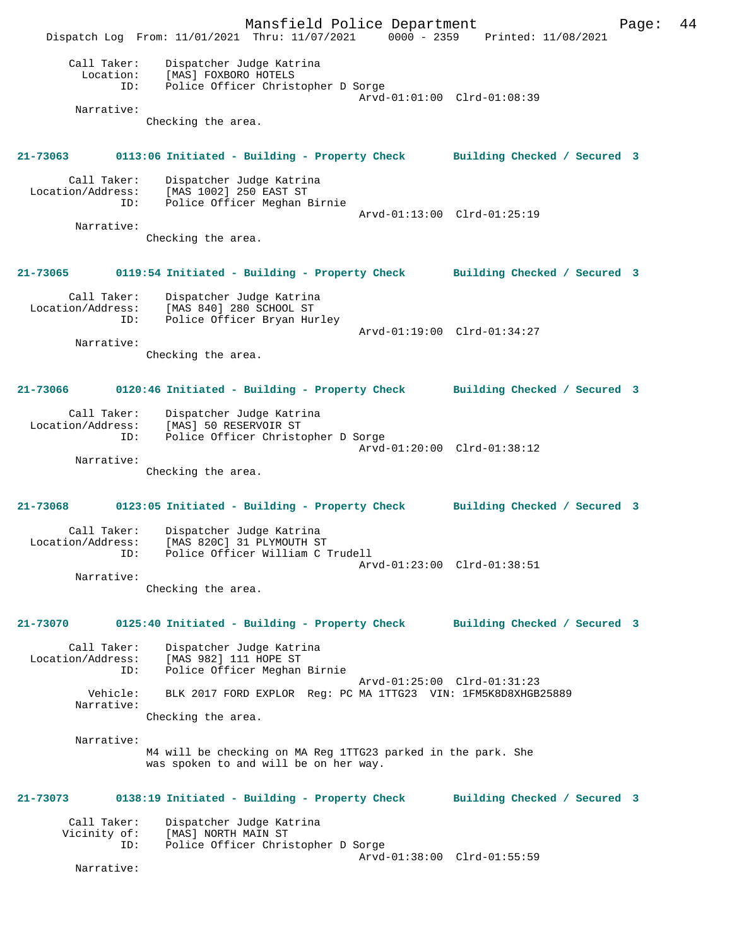Mansfield Police Department Page: 44 Dispatch Log From: 11/01/2021 Thru: 11/07/2021 0000 - 2359 Printed: 11/08/2021 Call Taker: Dispatcher Judge Katrina<br>Iogation: [MAS] FOYBORO HOTELS Location: [MAS] FOXBORO HOTELS<br>ID: Police Officer Christ Police Officer Christopher D Sorge Arvd-01:01:00 Clrd-01:08:39 Narrative: Checking the area. **21-73063 0113:06 Initiated - Building - Property Check Building Checked / Secured 3** Call Taker: Dispatcher Judge Katrina<br>Location/Address: [MAS 1002] 250 EAST ST ess: [MAS 1002] 250 EAST ST<br>ID: Police Officer Meghan B Police Officer Meghan Birnie Arvd-01:13:00 Clrd-01:25:19 Narrative: Checking the area. **21-73065 0119:54 Initiated - Building - Property Check Building Checked / Secured 3** Call Taker: Dispatcher Judge Katrina Location/Address: [MAS 840] 280 SCHOOL ST ID: Police Officer Bryan Hurley Arvd-01:19:00 Clrd-01:34:27 Narrative: Checking the area. **21-73066 0120:46 Initiated - Building - Property Check Building Checked / Secured 3** Call Taker: Dispatcher Judge Katrina Location/Address: [MAS] 50 RESERVOIR ST ID: Police Officer Christopher D Sorge Arvd-01:20:00 Clrd-01:38:12 Narrative: Checking the area. **21-73068 0123:05 Initiated - Building - Property Check Building Checked / Secured 3** Call Taker: Dispatcher Judge Katrina<br>Location/Address: [MAS 820C] 31 PLYMOUTH ST [MAS 820C] 31 PLYMOUTH ST ID: Police Officer William C Trudell Arvd-01:23:00 Clrd-01:38:51 Narrative: Checking the area. **21-73070 0125:40 Initiated - Building - Property Check Building Checked / Secured 3** Call Taker: Dispatcher Judge Katrina Location/Address: [MAS 982] 111 HOPE ST ID: Police Officer Meghan Birnie Arvd-01:25:00 Clrd-01:31:23 Vehicle: BLK 2017 FORD EXPLOR Reg: PC MA 1TTG23 VIN: 1FM5K8D8XHGB25889 Narrative: Checking the area. Narrative: M4 will be checking on MA Reg 1TTG23 parked in the park. She was spoken to and will be on her way. **21-73073 0138:19 Initiated - Building - Property Check Building Checked / Secured 3** Call Taker: Dispatcher Judge Katrina<br>Vicinity of: [MAS] NORTH MAIN ST of: [MAS] NORTH MAIN ST<br>ID: Police Officer Chris Police Officer Christopher D Sorge Arvd-01:38:00 Clrd-01:55:59 Narrative: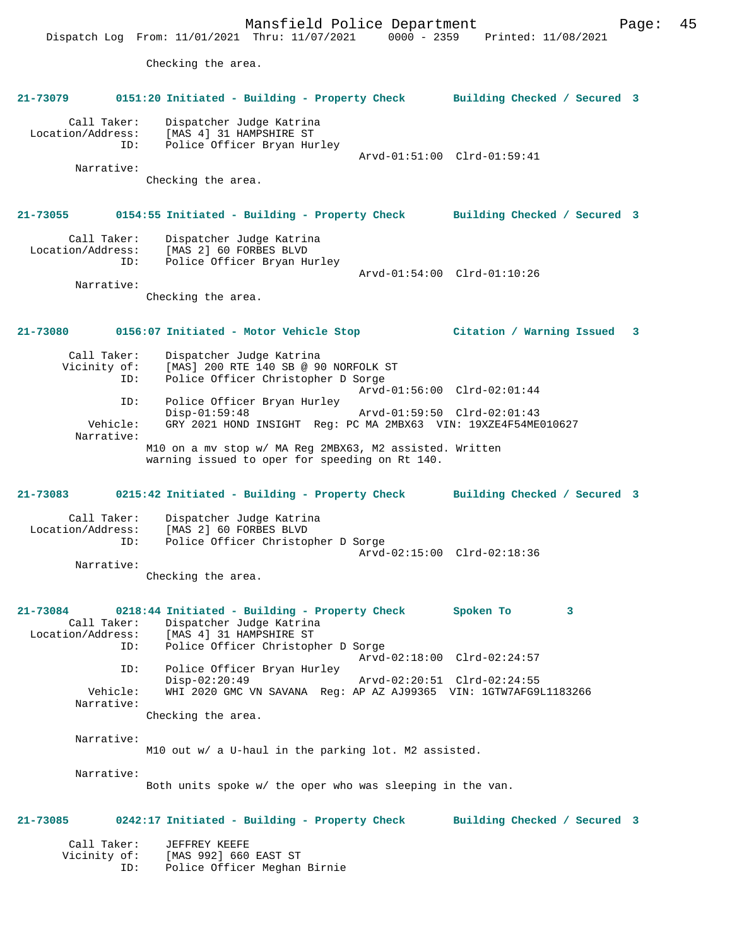Mansfield Police Department Form Page: 45 Dispatch Log From: 11/01/2021 Thru: 11/07/2021 0000 - 2359 Printed: 11/08/2021 Checking the area. **21-73079 0151:20 Initiated - Building - Property Check Building Checked / Secured 3** Call Taker: Dispatcher Judge Katrina Location/Address: [MAS 4] 31 HAMPSHIRE ST<br>TD: Police Officer Bryan Hum Police Officer Bryan Hurley Arvd-01:51:00 Clrd-01:59:41 Narrative: Checking the area. **21-73055 0154:55 Initiated - Building - Property Check Building Checked / Secured 3** Call Taker: Dispatcher Judge Katrina Location/Address: [MAS 2] 60 FORBES BLVD ID: Police Officer Bryan Hurley Arvd-01:54:00 Clrd-01:10:26 Narrative: Checking the area. **21-73080 0156:07 Initiated - Motor Vehicle Stop Citation / Warning Issued 3** Call Taker: Dispatcher Judge Katrina<br>Vicinity of: [MAS] 200 RTE 140 SB @ 9 of: [MAS] 200 RTE 140 SB @ 90 NORFOLK ST<br>ID: Police Officer Christopher D Sorge Police Officer Christopher D Sorge Arvd-01:56:00 Clrd-02:01:44<br>TD: Police Officer Bryan Hurley Police Officer Bryan Hurley<br>Disp-01:59:48 Disp-01:59:48 Arvd-01:59:50 Clrd-02:01:43<br>Vehicle: GRY 2021 HOND INSIGHT Reg: PC MA 2MRX63 VIN: 19XZE4F54ME Vehicle: GRY 2021 HOND INSIGHT Reg: PC MA 2MBX63 VIN: 19XZE4F54ME010627 Narrative: M10 on a mv stop w/ MA Reg 2MBX63, M2 assisted. Written warning issued to oper for speeding on Rt 140. **21-73083 0215:42 Initiated - Building - Property Check Building Checked / Secured 3** Call Taker: Dispatcher Judge Katrina<br>Location/Address: [MAS 2] 60 FORBES BLVD [MAS 2] 60 FORBES BLVD ID: Police Officer Christopher D Sorge Arvd-02:15:00 Clrd-02:18:36 Narrative: Checking the area. **21-73084 0218:44 Initiated - Building - Property Check Spoken To 3**  Call Taker: Dispatcher Judge Katrina<br>Location/Address: [MAS 4] 31 HAMPSHIRE ST [MAS 4] 31 HAMPSHIRE ST ID: Police Officer Christopher D Sorge Arvd-02:18:00 Clrd-02:24:57<br>ID: Police Officer Brvan Hurley Police Officer Bryan Hurley Disp-02:20:49 Arvd-02:20:51 Clrd-02:24:55 Vehicle: WHI 2020 GMC VN SAVANA Reg: AP AZ AJ99365 VIN: 1GTW7AFG9L1183266 Narrative: Checking the area. Narrative: M10 out w/ a U-haul in the parking lot. M2 assisted. Narrative: Both units spoke w/ the oper who was sleeping in the van. **21-73085 0242:17 Initiated - Building - Property Check Building Checked / Secured 3** Call Taker: JEFFREY KEEFE<br>Vicinity of: [MAS 992] 660 [MAS 992] 660 EAST ST ID: Police Officer Meghan Birnie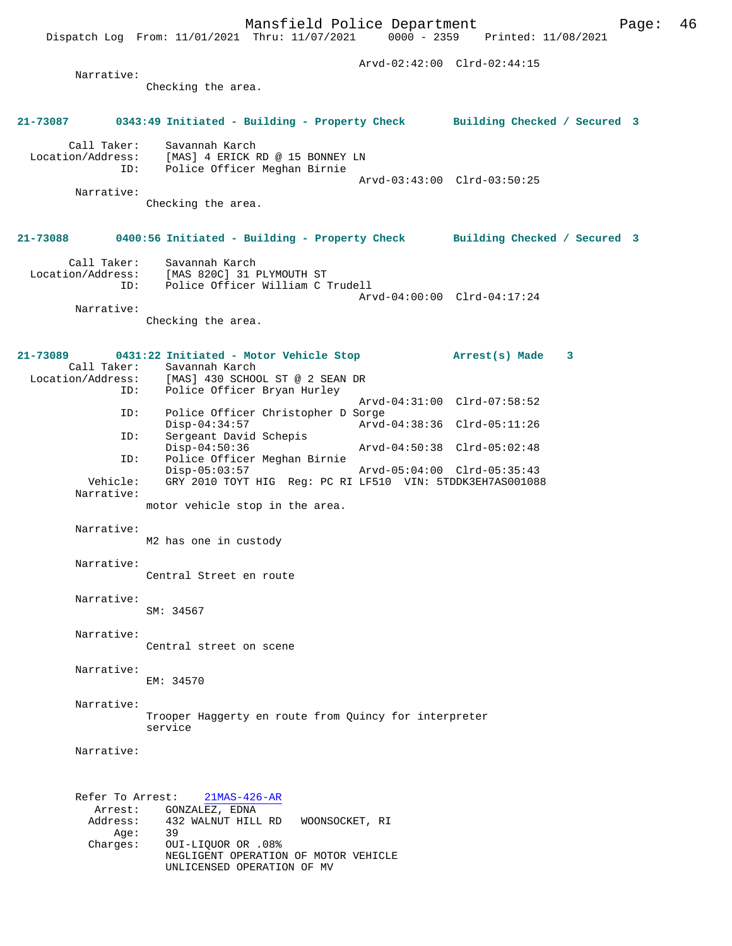Dispatch Log From:  $11/01/2021$  Thru:  $11/07/2021$  0000 - 2359

 Arvd-02:42:00 Clrd-02:44:15 Narrative: Checking the area. **21-73087 0343:49 Initiated - Building - Property Check Building Checked / Secured 3** Call Taker: Savannah Karch Location/Address: [MAS] 4 ERICK RD @ 15 BONNEY LN ID: Police Officer Meghan Birnie Arvd-03:43:00 Clrd-03:50:25 Narrative: Checking the area. **21-73088 0400:56 Initiated - Building - Property Check Building Checked / Secured 3** Call Taker: Savannah Karch Location/Address: [MAS 820C] 31 PLYMOUTH ST ID: Police Officer William C Trudell Arvd-04:00:00 Clrd-04:17:24 Narrative: Checking the area. **21-73089 0431:22 Initiated - Motor Vehicle Stop Arrest(s) Made 3**  Call Taker: Savannah Karch<br>Location/Address: [MAS] 430 SCHOO [MAS] 430 SCHOOL ST @ 2 SEAN DR<br>Polise Off. ID: Police Officer Bryan Hurley Arvd-04:31:00 Clrd-07:58:52<br>TD: Police Officer Christopher D Sorge Police Officer Christopher D Sorge<br>Disp-04:34:57 Arvd Disp-04:34:57 Arvd-04:38:36 Clrd-05:11:26<br>ID: Sergeant David Schepis Sergeant David Schepis<br>Disp-04:50:36 Disp-04:50:36 Arvd-04:50:38 Clrd-05:02:48 ID: Police Officer Meghan Birnie Disp-05:03:57 Arvd-05:04:00 Clrd-05:35:43 Vehicle: GRY 2010 TOYT HIG Reg: PC RI LF510 VIN: 5TDDK3EH7AS001088 Narrative: motor vehicle stop in the area. Narrative: M2 has one in custody Narrative: Central Street en route Narrative: SM: 34567 Narrative: Central street on scene Narrative: EM: 34570 Narrative: Trooper Haggerty en route from Quincy for interpreter service Narrative: Refer To Arrest: 21MAS-426-AR Arrest: GONZALEZ, EDNA<br>Address: 432 WALNUT HILL Address: 432 WALNUT HILL RD WOONSOCKET, RI  $Age:$  Charges: OUI-LIQUOR OR .08% NEGLIGENT OPERATION OF MOTOR VEHICLE UNLICENSED OPERATION OF MV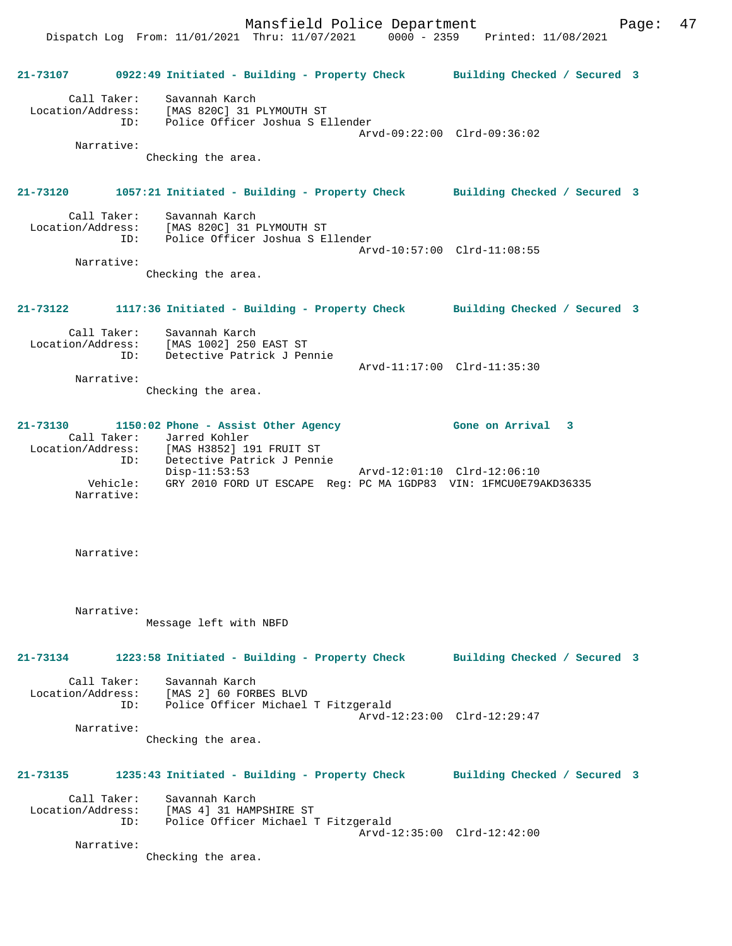Dispatch Log From: 11/01/2021 Thru: 11/07/2021 0000 - 2359 Printed: 11/08/2021 **21-73107 0922:49 Initiated - Building - Property Check Building Checked / Secured 3** Call Taker: Savannah Karch Location/Address: [MAS 820C] 31 PLYMOUTH ST ID: Police Officer Joshua S Ellender Arvd-09:22:00 Clrd-09:36:02 Narrative: Checking the area. **21-73120 1057:21 Initiated - Building - Property Check Building Checked / Secured 3** Call Taker: Savannah Karch Location/Address: [MAS 820C] 31 PLYMOUTH ST ID: Police Officer Joshua S Ellender Arvd-10:57:00 Clrd-11:08:55 Narrative: Checking the area. **21-73122 1117:36 Initiated - Building - Property Check Building Checked / Secured 3** Call Taker: Savannah Karch Location/Address: [MAS 1002] 250 EAST ST ID: Detective Patrick J Pennie Arvd-11:17:00 Clrd-11:35:30 Narrative: Checking the area. **21-73130 1150:02 Phone - Assist Other Agency Gone on Arrival 3**  Call Taker: Jarred Kohler Location/Address: [MAS H3852] 191 FRUIT ST ID: Detective Patrick J Pennie Disp-11:53:53 Arvd-12:01:10 Clrd-12:06:10 Vehicle: GRY 2010 FORD UT ESCAPE Reg: PC MA 1GDP83 VIN: 1FMCU0E79AKD36335 Narrative: Narrative: Narrative: Message left with NBFD **21-73134 1223:58 Initiated - Building - Property Check Building Checked / Secured 3** Call Taker: Savannah Karch Location/Address: [MAS 2] 60 FORBES BLVD ID: Police Officer Michael T Fitzgerald Arvd-12:23:00 Clrd-12:29:47 Narrative: Checking the area. **21-73135 1235:43 Initiated - Building - Property Check Building Checked / Secured 3** Call Taker: Savannah Karch Location/Address: [MAS 4] 31 HAMPSHIRE ST ID: Police Officer Michael T Fitzgerald Arvd-12:35:00 Clrd-12:42:00 Narrative: Checking the area.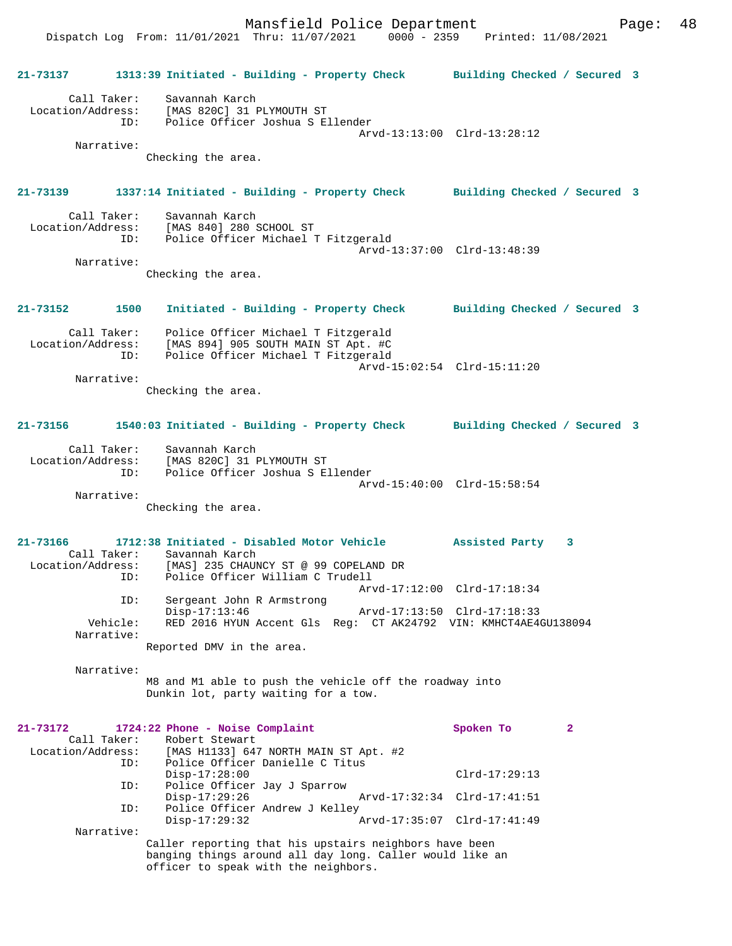|                                              | 21-73137 1313:39 Initiated - Building - Property Check Building Checked / Secured 3                                                                                                                 |                             |              |
|----------------------------------------------|-----------------------------------------------------------------------------------------------------------------------------------------------------------------------------------------------------|-----------------------------|--------------|
|                                              | Call Taker: Savannah Karch<br>Location/Address: [MAS 820C] 31 PLYMOUTH ST<br>ID: Police Officer Joshua S Ellender                                                                                   |                             |              |
| Narrative:                                   | Checking the area.                                                                                                                                                                                  | Arvd-13:13:00 Clrd-13:28:12 |              |
|                                              | 21-73139 1337:14 Initiated - Building - Property Check Building Checked / Secured 3                                                                                                                 |                             |              |
|                                              | Call Taker: Savannah Karch<br>Location/Address: [MAS 840] 280 SCHOOL ST<br>ID: Police Officer Michael T Fitzgerald                                                                                  | Arvd-13:37:00 Clrd-13:48:39 |              |
| Narrative:                                   | Checking the area.                                                                                                                                                                                  |                             |              |
|                                              | 21-73152 1500 Initiated - Building - Property Check Building Checked / Secured 3                                                                                                                    |                             |              |
|                                              | Call Taker: Police Officer Michael T Fitzgerald<br>Location/Address: [MAS 894] 905 SOUTH MAIN ST Apt. #C<br>ID: Police Officer Michael T Fitzgerald                                                 | Arvd-15:02:54 Clrd-15:11:20 |              |
| Narrative:                                   |                                                                                                                                                                                                     |                             |              |
|                                              | Checking the area.                                                                                                                                                                                  |                             |              |
| 21-73156                                     | 1540:03 Initiated - Building - Property Check Building Checked / Secured 3                                                                                                                          |                             |              |
|                                              | Call Taker: Savannah Karch<br>Location/Address: [MAS 820C] 31 PLYMOUTH ST<br>ID: Police Officer Joshua S Ellender                                                                                   |                             |              |
| Narrative:                                   |                                                                                                                                                                                                     | Arvd-15:40:00 Clrd-15:58:54 |              |
|                                              | Checking the area.                                                                                                                                                                                  |                             |              |
|                                              | 21-73166 1712:38 Initiated - Disabled Motor Vehicle Assisted Party<br>Call Taker: Savannah Karch<br>Location/Address: [MAS] 235 CHAUNCY ST @ 99 COPELAND DR<br>ID: Police Officer William C Trudell |                             | 3            |
| ID:                                          | Sergeant John R Armstrong                                                                                                                                                                           | Arvd-17:12:00 Clrd-17:18:34 |              |
| Vehicle:                                     | $Disp-17:13:46$<br>RED 2016 HYUN Accent Gls Req: CT AK24792 VIN: KMHCT4AE4GU138094                                                                                                                  | Arvd-17:13:50 Clrd-17:18:33 |              |
| Narrative:                                   | Reported DMV in the area.                                                                                                                                                                           |                             |              |
| Narrative:                                   | M8 and M1 able to push the vehicle off the roadway into<br>Dunkin lot, party waiting for a tow.                                                                                                     |                             |              |
| 21-73172<br>Call Taker:<br>Location/Address: | 1724:22 Phone - Noise Complaint<br>Robert Stewart<br>[MAS H1133] 647 NORTH MAIN ST Apt. #2                                                                                                          | Spoken To                   | $\mathbf{2}$ |
| ID:<br>ID:                                   | Police Officer Danielle C Titus<br>$Disp-17:28:00$<br>Police Officer Jay J Sparrow                                                                                                                  | $Clrd-17:29:13$             |              |
| ID:                                          | $Disp-17:29:26$<br>Police Officer Andrew J Kelley                                                                                                                                                   | Arvd-17:32:34 Clrd-17:41:51 |              |
| Narrative:                                   | $Disp-17:29:32$                                                                                                                                                                                     | Arvd-17:35:07 Clrd-17:41:49 |              |
|                                              | Caller reporting that his upstairs neighbors have been<br>banging things around all day long. Caller would like an<br>officer to speak with the neighbors.                                          |                             |              |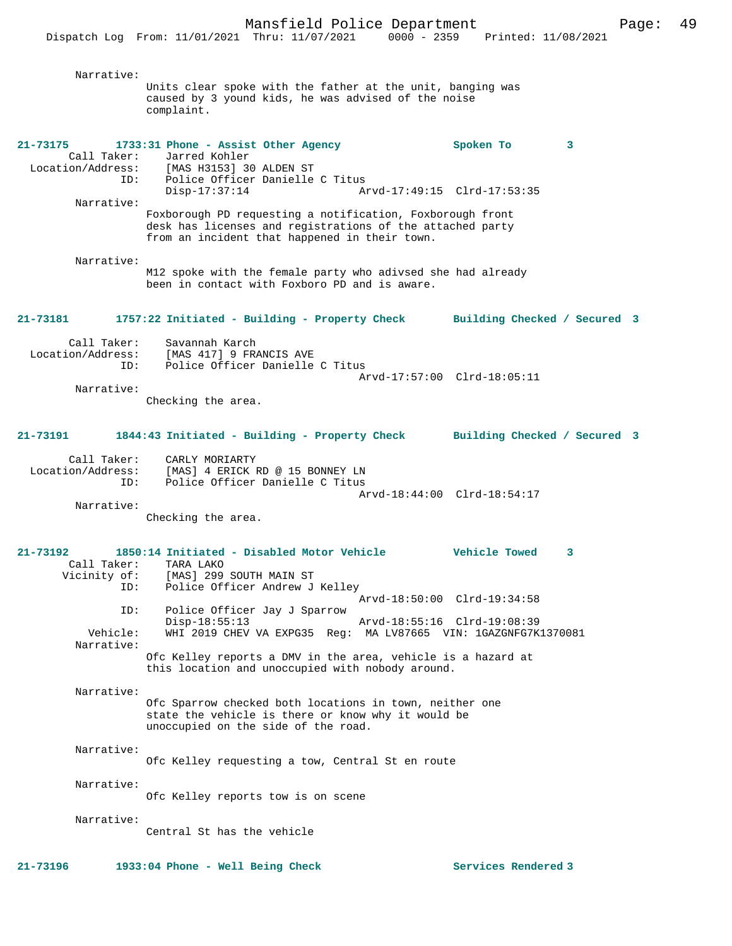Narrative: Units clear spoke with the father at the unit, banging was caused by 3 yound kids, he was advised of the noise complaint. **21-73175 1733:31 Phone - Assist Other Agency Spoken To 3**  Call Taker: Jarred Kohler Location/Address: [MAS H3153] 30 ALDEN ST ID: Police Officer Danielle C Titus Arvd-17:49:15 Clrd-17:53:35 Narrative: Foxborough PD requesting a notification, Foxborough front desk has licenses and registrations of the attached party from an incident that happened in their town. Narrative: M12 spoke with the female party who adivsed she had already been in contact with Foxboro PD and is aware. **21-73181 1757:22 Initiated - Building - Property Check Building Checked / Secured 3** Call Taker: Savannah Karch Location/Address: [MAS 417] 9 FRANCIS AVE<br>ID: Police Officer Danielle Police Officer Danielle C Titus Arvd-17:57:00 Clrd-18:05:11 Narrative: Checking the area. **21-73191 1844:43 Initiated - Building - Property Check Building Checked / Secured 3** Call Taker: CARLY MORIARTY Location/Address: [MAS] 4 ERICK RD @ 15 BONNEY LN ID: Police Officer Danielle C Titus Arvd-18:44:00 Clrd-18:54:17 Narrative: Checking the area. **21-73192 1850:14 Initiated - Disabled Motor Vehicle Vehicle Towed 3**  Call Taker: TARA LAKO Vicinity of: [MAS] 299 SOUTH MAIN ST ID: Police Officer Andrew J Kelley Arvd-18:50:00 Clrd-19:34:58 ID: Police Officer Jay J Sparrow Disp-18:55:13 Arvd-18:55:16 Clrd-19:08:39<br>Vehicle: WHI 2019 CHEV VA EXPG35 Req: MA LV87665 VIN: 1GAZGNFG7K WHI 2019 CHEV VA EXPG35 Reg: MA LV87665 VIN: 1GAZGNFG7K1370081 Narrative: Ofc Kelley reports a DMV in the area, vehicle is a hazard at this location and unoccupied with nobody around. Narrative: Ofc Sparrow checked both locations in town, neither one state the vehicle is there or know why it would be unoccupied on the side of the road. Narrative: Ofc Kelley requesting a tow, Central St en route Narrative: Ofc Kelley reports tow is on scene Narrative: Central St has the vehicle **21-73196 1933:04 Phone - Well Being Check Services Rendered 3**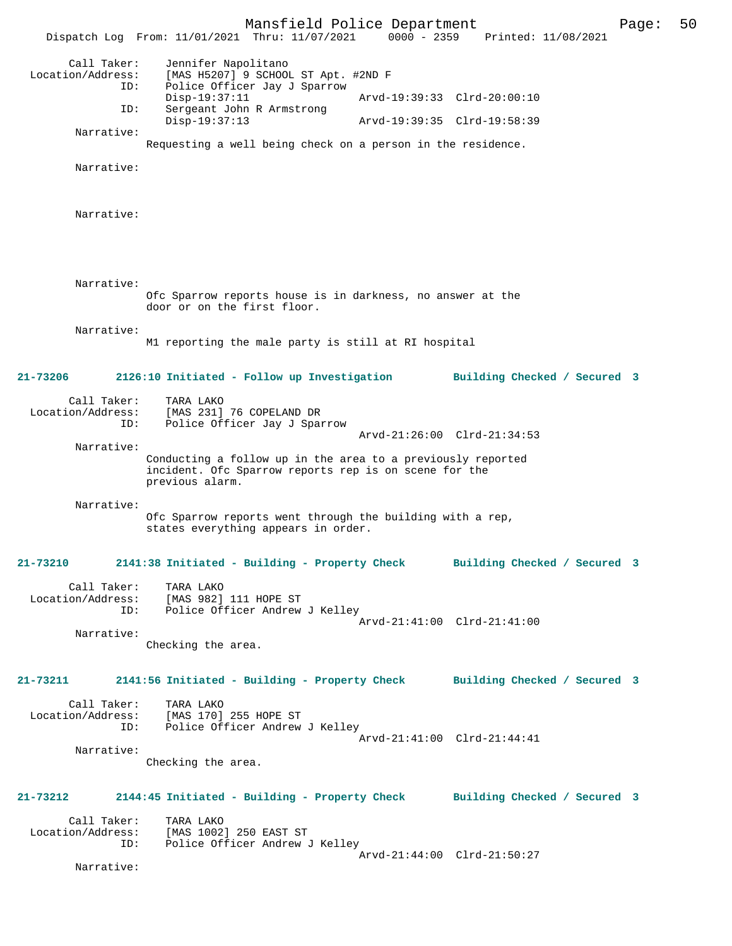Mansfield Police Department Page: 50 Dispatch Log From: 11/01/2021 Thru: 11/07/2021 Call Taker: Jennifer Napolitano Location/Address: [MAS H5207] 9 SCHOOL ST Apt. #2ND F Police Officer Jay J Sparrow<br>Disp-19:37:11 Disp-19:37:11 <br>TD: Sergeant John R Armstrong Marvd-19:39:33 Clrd-20:00:10 Sergeant John R Armstrong<br>Disp-19:37:13 Disp-19:37:13 Arvd-19:39:35 Clrd-19:58:39 Narrative: Requesting a well being check on a person in the residence. Narrative: Narrative: Narrative: Ofc Sparrow reports house is in darkness, no answer at the door or on the first floor. Narrative: M1 reporting the male party is still at RI hospital **21-73206 2126:10 Initiated - Follow up Investigation Building Checked / Secured 3** Call Taker: TARA LAKO<br>Location/Address: [MAS 231] ess: [MAS 231] 76 COPELAND DR<br>ID: Police Officer Jay J Spa Police Officer Jay J Sparrow Arvd-21:26:00 Clrd-21:34:53 Narrative: Conducting a follow up in the area to a previously reported incident. Ofc Sparrow reports rep is on scene for the previous alarm. Narrative: Ofc Sparrow reports went through the building with a rep, states everything appears in order. **21-73210 2141:38 Initiated - Building - Property Check Building Checked / Secured 3** Call Taker: TARA LAKO<br>Location/Address: [MAS 982] ess: [MAS 982] 111 HOPE ST<br>ID: Police Officer Andrew Police Officer Andrew J Kelley Arvd-21:41:00 Clrd-21:41:00 Narrative: Checking the area. **21-73211 2141:56 Initiated - Building - Property Check Building Checked / Secured 3** Call Taker: TARA LAKO Location/Address: [MAS 170] 255 HOPE ST ID: Police Officer Andrew J Kelley Arvd-21:41:00 Clrd-21:44:41 Narrative: Checking the area. **21-73212 2144:45 Initiated - Building - Property Check Building Checked / Secured 3** Call Taker: TARA LAKO<br>Location/Address: [MAS 1002 [MAS 1002] 250 EAST ST ID: Police Officer Andrew J Kelley Arvd-21:44:00 Clrd-21:50:27 Narrative: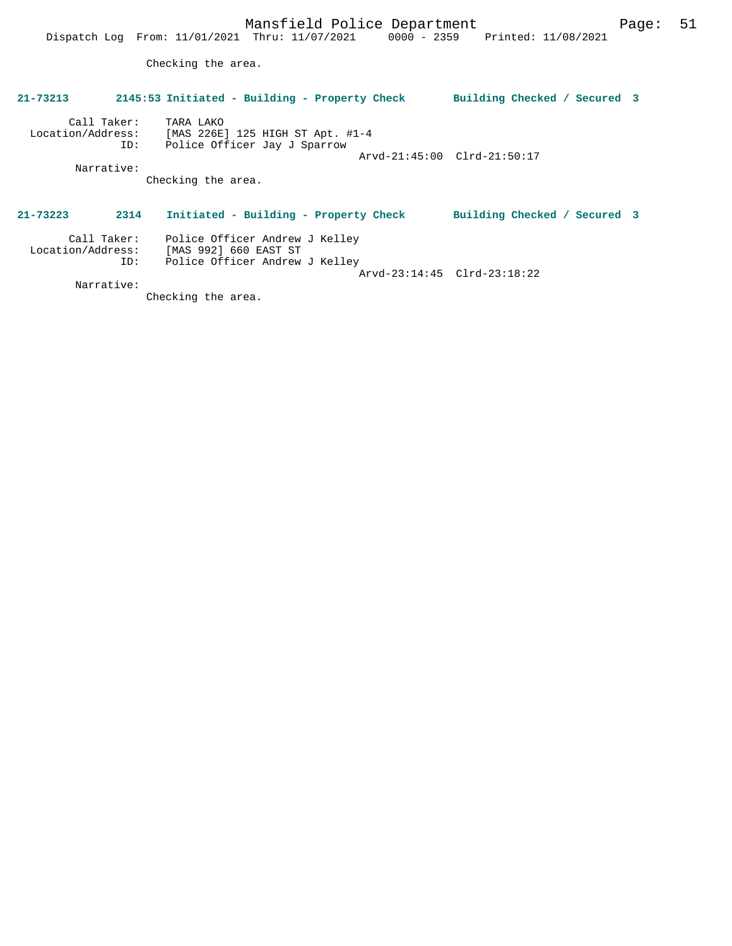Checking the area.

# **21-73213 2145:53 Initiated - Building - Property Check Building Checked / Secured 3** Call Taker: TARA LAKO Location/Address: [MAS 226E] 125 HIGH ST Apt. #1-4 ID: Police Officer Jay J Sparrow Arvd-21:45:00 Clrd-21:50:17 Narrative: Checking the area. **21-73223 2314 Initiated - Building - Property Check Building Checked / Secured 3** Call Taker: Police Officer Andrew J Kelley Location/Address: [MAS 992] 660 EAST ST ID: Police Officer Andrew J Kelley Arvd-23:14:45 Clrd-23:18:22

Narrative:

Checking the area.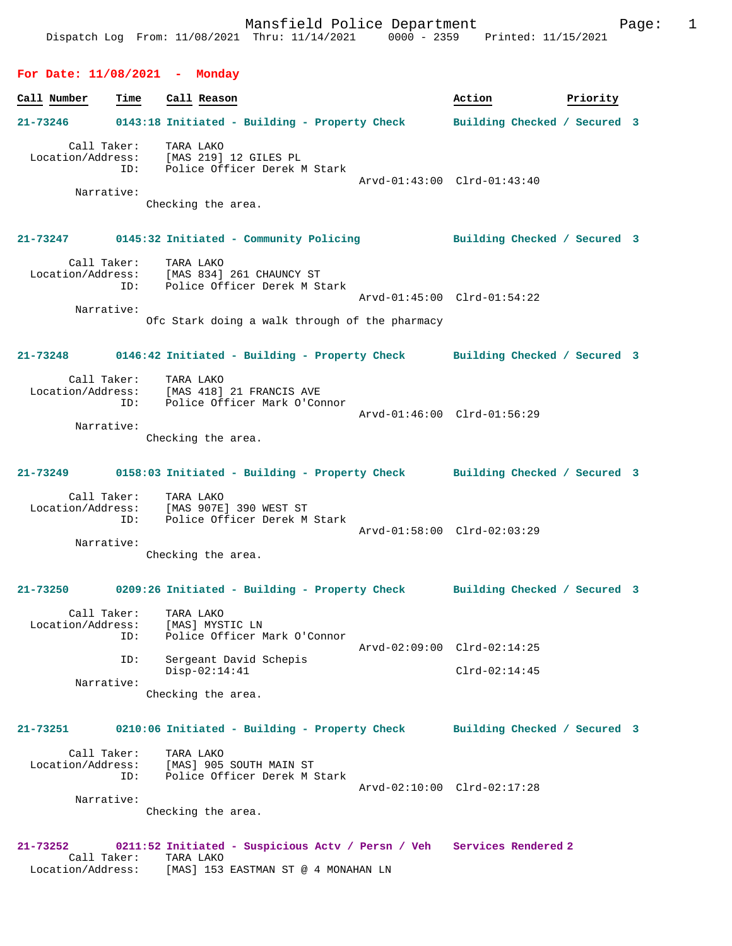**Call Number Time Call Reason Action Action Priority 21-73246 0143:18 Initiated - Building - Property Check Building Checked / Secured 3** Call Taker: TARA LAKO Location/Address: [MAS 219] 12 GILES PL ID: Police Officer Derek M Stark Arvd-01:43:00 Clrd-01:43:40 Narrative: Checking the area. **21-73247 0145:32 Initiated - Community Policing Building Checked / Secured 3** Call Taker: TARA LAKO Location/Address: [MAS 834] 261 CHAUNCY ST ID: Police Officer Derek M Stark Arvd-01:45:00 Clrd-01:54:22 Narrative: Ofc Stark doing a walk through of the pharmacy **21-73248 0146:42 Initiated - Building - Property Check Building Checked / Secured 3** Call Taker: TARA LAKO<br>Location/Address: [MAS 418]  $[MAS 418] 21$  FRANCIS AVE ID: Police Officer Mark O'Connor Arvd-01:46:00 Clrd-01:56:29 Narrative: Checking the area. **21-73249 0158:03 Initiated - Building - Property Check Building Checked / Secured 3** Call Taker: TARA LAKO Location/Address: [MAS 907E] 390 WEST ST ID: Police Officer Derek M Stark Arvd-01:58:00 Clrd-02:03:29 Narrative: Checking the area. **21-73250 0209:26 Initiated - Building - Property Check Building Checked / Secured 3** Call Taker: TARA LAKO<br>Location/Address: [MAS] MYS Location/Address: [MAS] MYSTIC LN ID: Police Officer Mark O'Connor Arvd-02:09:00 Clrd-02:14:25 ID: Sergeant David Schepis Disp-02:14:41 Clrd-02:14:45 Narrative: Checking the area. **21-73251 0210:06 Initiated - Building - Property Check Building Checked / Secured 3** Call Taker: TARA LAKO Location/Address: [MAS] 905 SOUTH MAIN ST ID: Police Officer Derek M Stark Arvd-02:10:00 Clrd-02:17:28 Narrative: Checking the area.

**21-73252 0211:52 Initiated - Suspicious Actv / Persn / Veh Services Rendered 2**  Call Taker: TARA LAKO Location/Address: [MAS] 153 EASTMAN ST @ 4 MONAHAN LN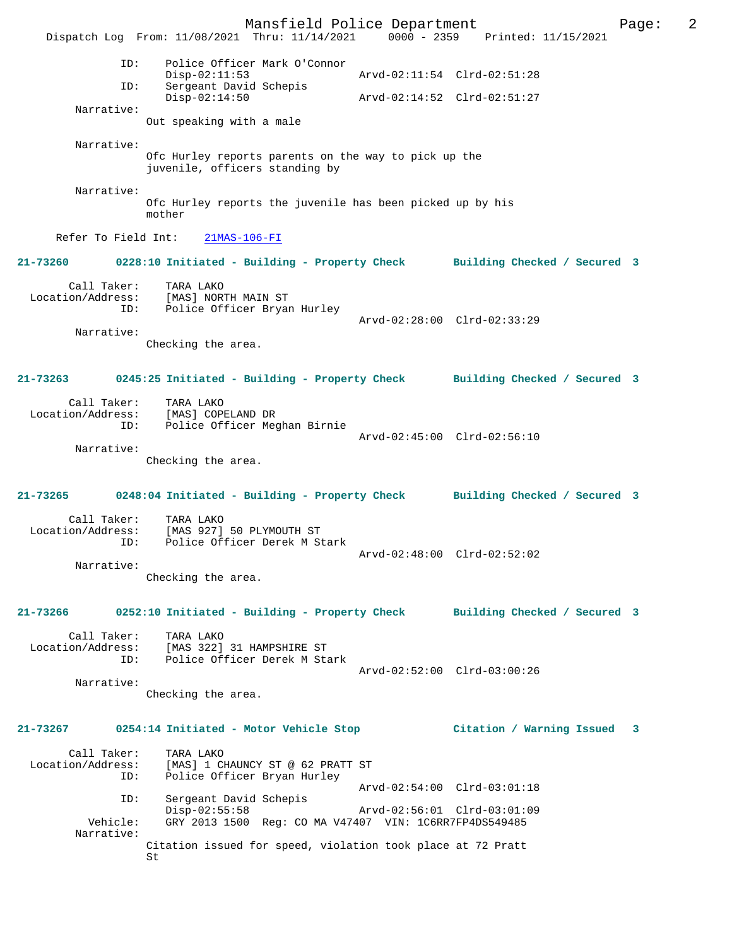Mansfield Police Department Page: 2 Dispatch Log From: 11/08/2021 Thru: 11/14/2021 0000 - 2359 Printed: 11/15/2021 ID: Police Officer Mark O'Connor Disp-02:11:53 <br>
Dispresent David Schepis<br>
Dispresent David Schepis Sergeant David Schepis<br>Disp-02:14:50 Disp-02:14:50 Arvd-02:14:52 Clrd-02:51:27 Narrative: Out speaking with a male Narrative: Ofc Hurley reports parents on the way to pick up the juvenile, officers standing by Narrative: Ofc Hurley reports the juvenile has been picked up by his mother Refer To Field Int: 21MAS-106-FI **21-73260 0228:10 Initiated - Building - Property Check Building Checked / Secured 3** Call Taker: TARA LAKO Location/Address: [MAS] NORTH MAIN ST Police Officer Bryan Hurley Arvd-02:28:00 Clrd-02:33:29 Narrative: Checking the area. **21-73263 0245:25 Initiated - Building - Property Check Building Checked / Secured 3** Call Taker: TARA LAKO Location/Address: [MAS] COPELAND DR ID: Police Officer Meghan Birnie Arvd-02:45:00 Clrd-02:56:10 Narrative: Checking the area. **21-73265 0248:04 Initiated - Building - Property Check Building Checked / Secured 3** Call Taker: TARA LAKO Location/Address: [MAS 927] 50 PLYMOUTH ST ID: Police Officer Derek M Stark Arvd-02:48:00 Clrd-02:52:02 Narrative: Checking the area. **21-73266 0252:10 Initiated - Building - Property Check Building Checked / Secured 3** Call Taker: TARA LAKO Location/Address: [MAS 322] 31 HAMPSHIRE ST ID: Police Officer Derek M Stark Arvd-02:52:00 Clrd-03:00:26 Narrative: Checking the area. **21-73267 0254:14 Initiated - Motor Vehicle Stop Citation / Warning Issued 3** Call Taker: TARA LAKO Location/Address: [MAS] 1 CHAUNCY ST @ 62 PRATT ST Police Officer Bryan Hurley Arvd-02:54:00 Clrd-03:01:18<br>TD: Sergeant David Schepis Sergeant David Schepis<br>Disp-02:55:58 Disp-02:55:58 Arvd-02:56:01 Clrd-03:01:09 Vehicle: GRY 2013 1500 Reg: CO MA V47407 VIN: 1C6RR7FP4DS549485 Narrative: Citation issued for speed, violation took place at 72 Pratt St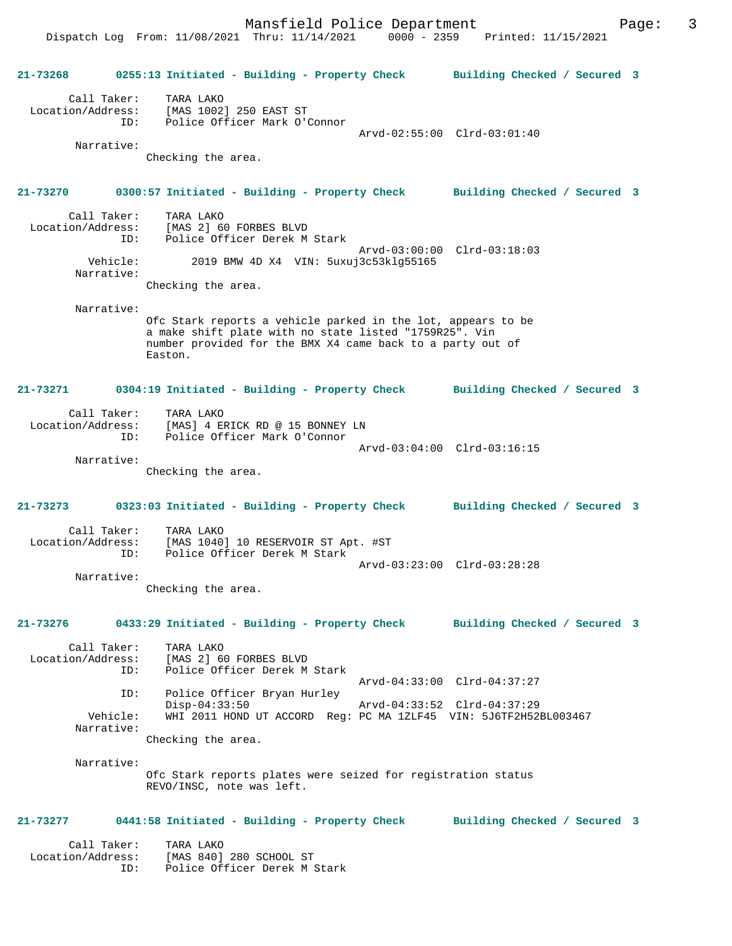**21-73268 0255:13 Initiated - Building - Property Check Building Checked / Secured 3** Call Taker: TARA LAKO Location/Address: [MAS 1002] 250 EAST ST ID: Police Officer Mark O'Connor Arvd-02:55:00 Clrd-03:01:40 Narrative: Checking the area. **21-73270 0300:57 Initiated - Building - Property Check Building Checked / Secured 3** Call Taker: TARA LAKO<br>Location/Address: [MAS 2] 6 لمستقدر المصدر المصدر .....<br>Ess: [MAS 2] 60 FORBES BLVD<br>ID: Police Officer Derek M Police Officer Derek M Stark Arvd-03:00:00 Clrd-03:18:03<br>Vehicle: 2019 BMW 4D X4 VIN: 5uxui3c53kla55165 2019 BMW 4D X4 VIN: 5uxuj3c53klg55165 Narrative: Checking the area. Narrative: Ofc Stark reports a vehicle parked in the lot, appears to be a make shift plate with no state listed "1759R25". Vin number provided for the BMX X4 came back to a party out of Easton. **21-73271 0304:19 Initiated - Building - Property Check Building Checked / Secured 3** Call Taker: TARA LAKO Location/Address: [MAS] 4 ERICK RD @ 15 BONNEY LN ID: Police Officer Mark O'Connor Arvd-03:04:00 Clrd-03:16:15 Narrative: Checking the area. **21-73273 0323:03 Initiated - Building - Property Check Building Checked / Secured 3** Call Taker: TARA LAKO<br>Location/Address: [MAS 1040 [MAS 1040] 10 RESERVOIR ST Apt. #ST ID: Police Officer Derek M Stark Arvd-03:23:00 Clrd-03:28:28 Narrative: Checking the area. **21-73276 0433:29 Initiated - Building - Property Check Building Checked / Secured 3** Call Taker: TARA LAKO Location/Address: [MAS 2] 60 FORBES BLVD ID: Police Officer Derek M Stark Arvd-04:33:00 Clrd-04:37:27 ID: Police Officer Bryan Hurley Disp-04:33:50 Arvd-04:33:52 Clrd-04:37:29 Vehicle: WHI 2011 HOND UT ACCORD Reg: PC MA 1ZLF45 VIN: 5J6TF2H52BL003467 Narrative: Checking the area. Narrative: Ofc Stark reports plates were seized for registration status REVO/INSC, note was left. **21-73277 0441:58 Initiated - Building - Property Check Building Checked / Secured 3** Call Taker: TARA LAKO Location/Address: [MAS 840] 280 SCHOOL ST ID: Police Officer Derek M Stark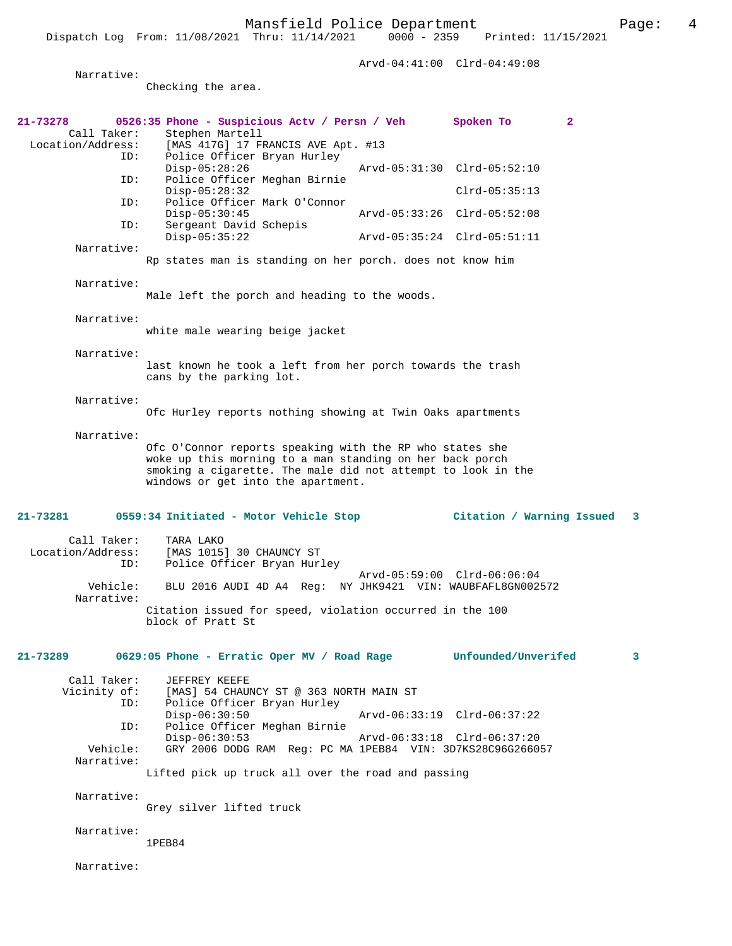Arvd-04:41:00 Clrd-04:49:08 Narrative: Checking the area. **21-73278 0526:35 Phone - Suspicious Actv / Persn / Veh Spoken To 2**  Call Taker: Stephen Martell<br>Location/Address: [MAS 417G] 17 FI ess: [MAS 417G] 17 FRANCIS AVE Apt. #13<br>ID: Police Officer Bryan Hurley Police Officer Bryan Hurley<br>Disp-05:28:26 Disp-05:28:26 Arvd-05:31:30 Clrd-05:52:10<br>ID: Police Officer Meghan Birnie Police Officer Meghan Birnie Disp-05:28:32 Clrd-05:35:13<br>TD: Police Officer Mark O'Connor Police Officer Mark O'Connor<br>Disp-05:30:45 Disp-05:30:45 Arvd-05:33:26 Clrd-05:52:08 ID: Sergeant David Schepis<br>Disp-05:35:22 Disp-05:35:22 Arvd-05:35:24 Clrd-05:51:11 Narrative: Rp states man is standing on her porch. does not know him Narrative: Male left the porch and heading to the woods. Narrative: white male wearing beige jacket Narrative: last known he took a left from her porch towards the trash cans by the parking lot. Narrative: Ofc Hurley reports nothing showing at Twin Oaks apartments Narrative: Ofc O'Connor reports speaking with the RP who states she woke up this morning to a man standing on her back porch smoking a cigarette. The male did not attempt to look in the windows or get into the apartment. **21-73281 0559:34 Initiated - Motor Vehicle Stop Citation / Warning Issued 3** Call Taker: TARA LAKO Location/Address: [MAS 1015] 30 CHAUNCY ST Police Officer Bryan Hurley Arvd-05:59:00 Clrd-06:06:04<br>Vehicle: BLU 2016 AUDI 4D A4 Reg: NY JHK9421 VIN: WAUBFAFL8GN002 BLU 2016 AUDI 4D A4 Reg: NY JHK9421 VIN: WAUBFAFL8GN002572 Narrative: Citation issued for speed, violation occurred in the 100 block of Pratt St **21-73289 0629:05 Phone - Erratic Oper MV / Road Rage Unfounded/Unverifed 3** Call Taker: JEFFREY KEEFE Vicinity of: [MAS] 54 CHAUNCY ST @ 363 NORTH MAIN ST<br>ID: Police Officer Bryan Hurley Police Officer Bryan Hurley<br>Disp-06:30:50 Disp-06:30:50 Arvd-06:33:19 Clrd-06:37:22<br>ID: Police Officer Meghan Birnie Police Officer Meghan Birnie Disp-06:30:53 Arvd-06:33:18 Clrd-06:37:20 Vehicle: GRY 2006 DODG RAM Reg: PC MA 1PEB84 VIN: 3D7KS28C96G266057 Narrative: Lifted pick up truck all over the road and passing Narrative: Grey silver lifted truck Narrative: 1PEB84

Narrative: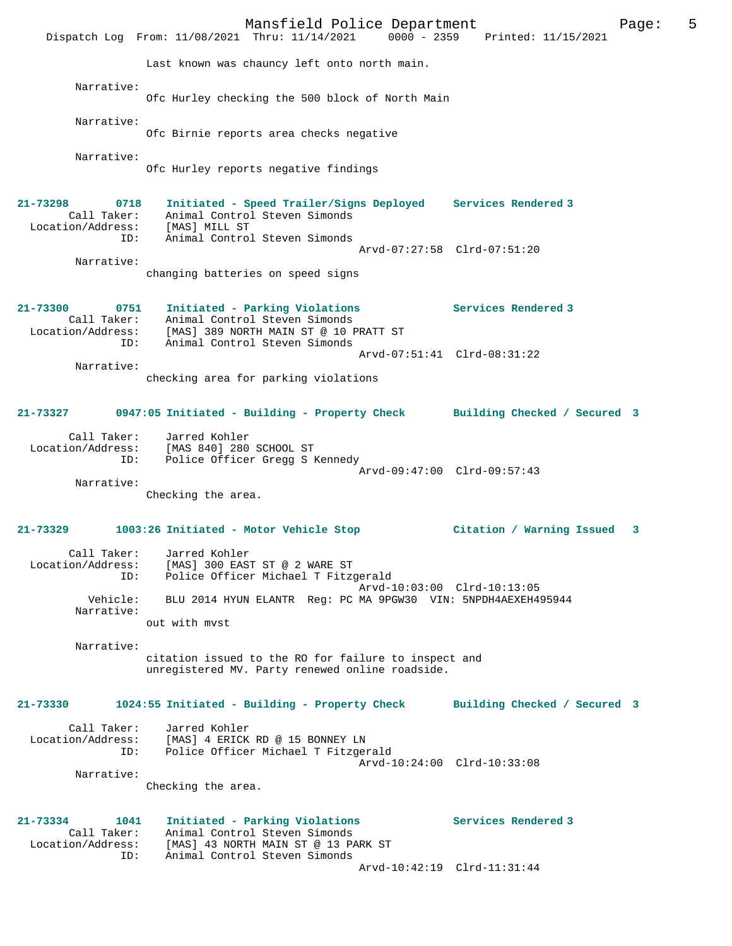Mansfield Police Department Fage: 5 Dispatch Log From: 11/08/2021 Thru: 11/14/2021 0000 - 2359 Printed: 11/15/2021 Last known was chauncy left onto north main. Narrative: Ofc Hurley checking the 500 block of North Main Narrative: Ofc Birnie reports area checks negative Narrative: Ofc Hurley reports negative findings **21-73298 0718 Initiated - Speed Trailer/Signs Deployed Services Rendered 3**  Call Taker: Animal Control Steven Simonds Location/Address: [MAS] MILL ST ID: Animal Control Steven Simonds Arvd-07:27:58 Clrd-07:51:20 Narrative: changing batteries on speed signs **21-73300 0751 Initiated - Parking Violations Services Rendered 3**  Call Taker: Animal Control Steven Simonds Location/Address: [MAS] 389 NORTH MAIN ST @ 10 PRATT ST ID: Animal Control Steven Simonds Arvd-07:51:41 Clrd-08:31:22 Narrative: checking area for parking violations **21-73327 0947:05 Initiated - Building - Property Check Building Checked / Secured 3** Call Taker: Jarred Kohler Location/Address: [MAS 840] 280 SCHOOL ST ID: Police Officer Gregg S Kennedy Arvd-09:47:00 Clrd-09:57:43 Narrative: Checking the area. **21-73329 1003:26 Initiated - Motor Vehicle Stop Citation / Warning Issued 3** Call Taker: Jarred Kohler Location/Address: [MAS] 300 EAST ST @ 2 WARE ST ID: Police Officer Michael T Fitzgerald Arvd-10:03:00 Clrd-10:13:05 Vehicle: BLU 2014 HYUN ELANTR Reg: PC MA 9PGW30 VIN: 5NPDH4AEXEH495944 Narrative: out with mvst Narrative: citation issued to the RO for failure to inspect and unregistered MV. Party renewed online roadside. **21-73330 1024:55 Initiated - Building - Property Check Building Checked / Secured 3** Call Taker: Jarred Kohler Location/Address: [MAS] 4 ERICK RD @ 15 BONNEY LN ID: Police Officer Michael T Fitzgerald Arvd-10:24:00 Clrd-10:33:08 Narrative: Checking the area. **21-73334 1041 Initiated - Parking Violations Services Rendered 3**  Call Taker: Animal Control Steven Simonds<br>Location/Address: [MAS] 43 NORTH MAIN ST @ 13 PA Location/Address: [MAS] 43 NORTH MAIN ST @ 13 PARK ST ID: Animal Control Steven Simonds Arvd-10:42:19 Clrd-11:31:44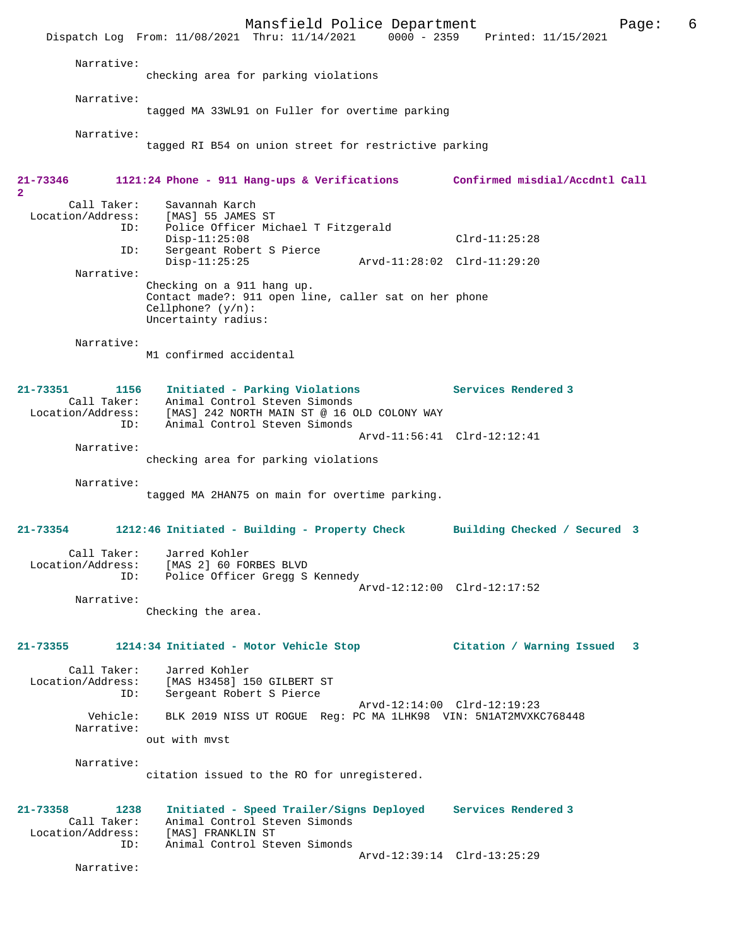Mansfield Police Department Page: 6 Dispatch Log From: 11/08/2021 Thru: 11/14/2021 0000 - 2359 Printed: 11/15/2021 Narrative: checking area for parking violations Narrative: tagged MA 33WL91 on Fuller for overtime parking Narrative: tagged RI B54 on union street for restrictive parking **21-73346 1121:24 Phone - 911 Hang-ups & Verifications Confirmed misdial/Accdntl Call 2**  Call Taker: Savannah Karch<br>Location/Address: [MAS] 55 JAMES ess: [MAS] 55 JAMES ST<br>ID: Police Officer Mic Police Officer Michael T Fitzgerald Disp-11:25:08 Clrd-11:25:28<br>ID: Sergeant Robert S Pierce Sergeant Robert S Pierce<br>Disp-11:25:25 Disp-11:25:25 Arvd-11:28:02 Clrd-11:29:20 Narrative: Checking on a 911 hang up. Contact made?: 911 open line, caller sat on her phone Cellphone? (y/n): Uncertainty radius: Narrative: M1 confirmed accidental **21-73351 1156 Initiated - Parking Violations Services Rendered 3**  Call Taker: Animal Control Steven Simonds Location/Address: [MAS] 242 NORTH MAIN ST @ 16 OLD COLONY WAY ID: Animal Control Steven Simonds Arvd-11:56:41 Clrd-12:12:41 Narrative: checking area for parking violations Narrative: tagged MA 2HAN75 on main for overtime parking. **21-73354 1212:46 Initiated - Building - Property Check Building Checked / Secured 3** Call Taker: Jarred Kohler Location/Address: [MAS 2] 60 FORBES BLVD ID: Police Officer Gregg S Kennedy Arvd-12:12:00 Clrd-12:17:52 Narrative: Checking the area. **21-73355 1214:34 Initiated - Motor Vehicle Stop Citation / Warning Issued 3** Call Taker: Jarred Kohler Location/Address: [MAS H3458] 150 GILBERT ST Sergeant Robert S Pierce Arvd-12:14:00 Clrd-12:19:23 Vehicle: BLK 2019 NISS UT ROGUE Reg: PC MA 1LHK98 VIN: 5N1AT2MVXKC768448 Narrative: out with mvst Narrative: citation issued to the RO for unregistered. **21-73358 1238 Initiated - Speed Trailer/Signs Deployed Services Rendered 3**  Call Taker: Animal Control Steven Simonds<br>ion/Address: [MAS] FRANKLIN ST Location/Address:<br>ID: Animal Control Steven Simonds Arvd-12:39:14 Clrd-13:25:29 Narrative: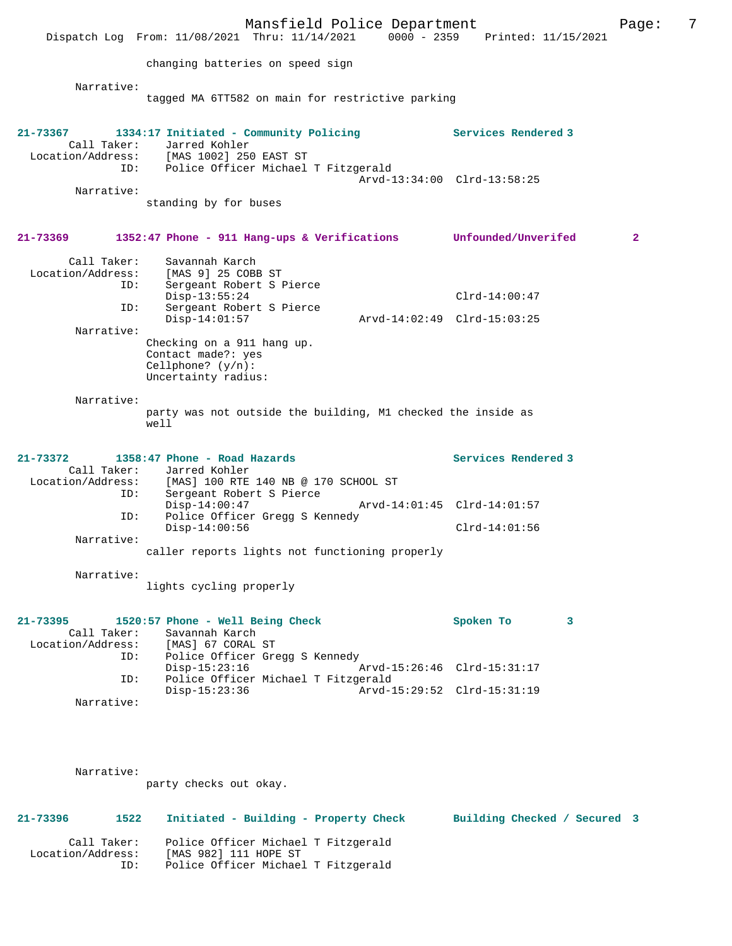|                                         | Mansfield Police Department                                                                                                   |                                                | Page:        | 7 |
|-----------------------------------------|-------------------------------------------------------------------------------------------------------------------------------|------------------------------------------------|--------------|---|
|                                         | Dispatch Log From: 11/08/2021 Thru: 11/14/2021 0000 - 2359 Printed: 11/15/2021                                                |                                                |              |   |
|                                         | changing batteries on speed sign                                                                                              |                                                |              |   |
| Narrative:                              | tagged MA 6TT582 on main for restrictive parking                                                                              |                                                |              |   |
| 21-73367<br>Call Taker:                 | 1334:17 Initiated - Community Policing<br>Jarred Kohler<br>Location/Address: [MAS 1002] 250 EAST ST                           | Services Rendered 3                            |              |   |
| ID:                                     | Police Officer Michael T Fitzgerald                                                                                           | Arvd-13:34:00 Clrd-13:58:25                    |              |   |
| Narrative:                              | standing by for buses                                                                                                         |                                                |              |   |
| 21-73369                                | 1352:47 Phone - 911 Hang-ups & Verifications Unfounded/Unverifed                                                              |                                                | $\mathbf{2}$ |   |
| Call Taker:<br>Location/Address:<br>ID: | Savannah Karch<br>[MAS 9] 25 COBB ST<br>Sergeant Robert S Pierce                                                              |                                                |              |   |
| ID:                                     | $Disp-13:55:24$<br>Sergeant Robert S Pierce<br>$Disp-14:01:57$                                                                | $Clrd-14:00:47$<br>Arvd-14:02:49 Clrd-15:03:25 |              |   |
| Narrative:                              |                                                                                                                               |                                                |              |   |
|                                         | Checking on a 911 hang up.<br>Contact made?: yes<br>Cellphone? $(y/n)$ :<br>Uncertainty radius:                               |                                                |              |   |
| Narrative:                              | party was not outside the building, M1 checked the inside as<br>well                                                          |                                                |              |   |
| 21-73372<br>Location/Address:<br>ID:    | 1358:47 Phone - Road Hazards<br>Call Taker: Jarred Kohler<br>[MAS] 100 RTE 140 NB @ 170 SCHOOL ST<br>Sergeant Robert S Pierce | Services Rendered 3                            |              |   |
| ID:                                     | $Disp-14:00:47$<br>Police Officer Gregg S Kennedy                                                                             | Arvd-14:01:45 Clrd-14:01:57                    |              |   |
| Narrative:                              | $Disp-14:00:56$                                                                                                               | $Clrd-14:01:56$                                |              |   |
|                                         | caller reports lights not functioning properly                                                                                |                                                |              |   |
| Narrative:                              | lights cycling properly                                                                                                       |                                                |              |   |
| 21-73395<br>Call Taker:<br>ID:          | 1520:57 Phone - Well Being Check<br>Savannah Karch<br>Location/Address: [MAS] 67 CORAL ST<br>Police Officer Gregg S Kennedy   | Spoken To<br>3                                 |              |   |
| ID:                                     | $Disp-15:23:16$<br>Police Officer Michael T Fitzgerald                                                                        | Arvd-15:26:46 Clrd-15:31:17                    |              |   |
| Narrative:                              | $Disp-15:23:36$                                                                                                               | Arvd-15:29:52 Clrd-15:31:19                    |              |   |
|                                         |                                                                                                                               |                                                |              |   |
| Narrative:                              | party checks out okay.                                                                                                        |                                                |              |   |
|                                         |                                                                                                                               |                                                |              |   |

**21-73396 1522 Initiated - Building - Property Check Building Checked / Secured 3**

 Call Taker: Police Officer Michael T Fitzgerald Location/Address: [MAS 982] 111 HOPE ST ID: Police Officer Michael T Fitzgerald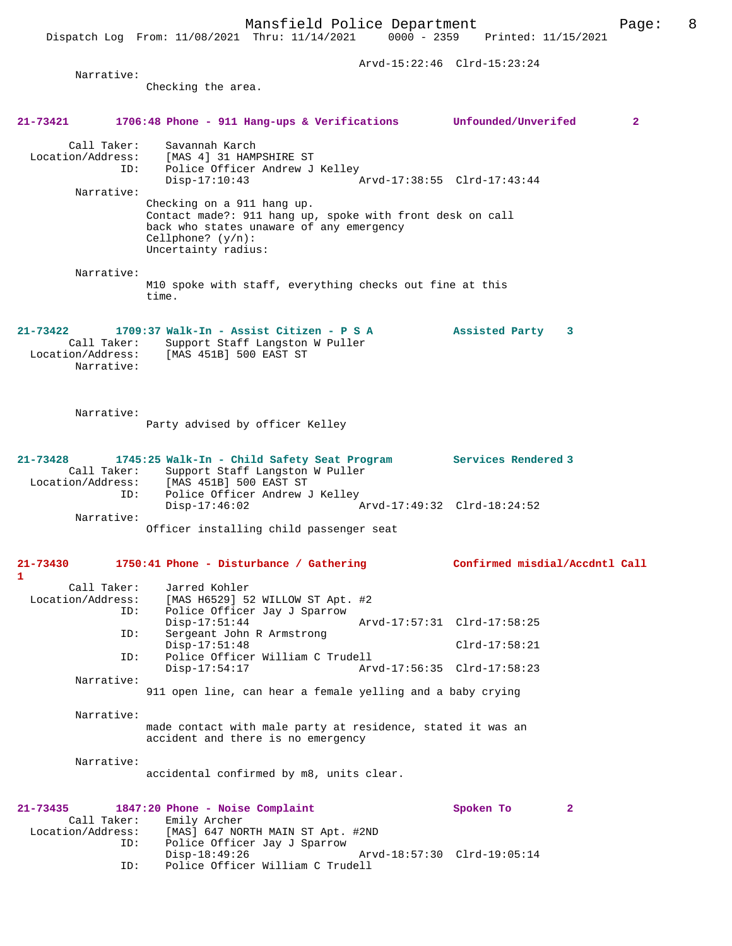Dispatch Log From: 11/08/2021 Thru: 11/14/2021 0000 - 2359 Printed: 11/15/2021

|                                  |                                                                                                   | Arvd-15:22:46 Clrd-15:23:24    |              |
|----------------------------------|---------------------------------------------------------------------------------------------------|--------------------------------|--------------|
| Narrative:                       |                                                                                                   |                                |              |
|                                  | Checking the area.                                                                                |                                |              |
|                                  |                                                                                                   |                                |              |
| 21-73421                         | 1706:48 Phone - 911 Hang-ups & Verifications Unfounded/Unverifed                                  |                                | $\mathbf{2}$ |
|                                  |                                                                                                   |                                |              |
| Call Taker:<br>Location/Address: | Savannah Karch<br>[MAS 4] 31 HAMPSHIRE ST                                                         |                                |              |
| ID:                              | Police Officer Andrew J Kelley                                                                    |                                |              |
|                                  | $Disp-17:10:43$                                                                                   | Arvd-17:38:55 Clrd-17:43:44    |              |
| Narrative:                       |                                                                                                   |                                |              |
|                                  | Checking on a 911 hang up.                                                                        |                                |              |
|                                  | Contact made?: 911 hang up, spoke with front desk on call                                         |                                |              |
|                                  | back who states unaware of any emergency<br>Cellphone? $(y/n)$ :                                  |                                |              |
|                                  | Uncertainty radius:                                                                               |                                |              |
|                                  |                                                                                                   |                                |              |
| Narrative:                       |                                                                                                   |                                |              |
|                                  | M10 spoke with staff, everything checks out fine at this                                          |                                |              |
|                                  | time.                                                                                             |                                |              |
|                                  |                                                                                                   |                                |              |
| $21 - 73422$                     | 1709:37 Walk-In - Assist Citizen - P S A                                                          | Assisted Party<br>3            |              |
| Call Taker:                      | Support Staff Langston W Puller                                                                   |                                |              |
| Location/Address:                | [MAS 451B] 500 EAST ST                                                                            |                                |              |
| Narrative:                       |                                                                                                   |                                |              |
|                                  |                                                                                                   |                                |              |
|                                  |                                                                                                   |                                |              |
| Narrative:                       |                                                                                                   |                                |              |
|                                  | Party advised by officer Kelley                                                                   |                                |              |
|                                  |                                                                                                   |                                |              |
| $21 - 73428$                     | 1745:25 Walk-In - Child Safety Seat Program                                                       | Services Rendered 3            |              |
| Call Taker:                      | Support Staff Langston W Puller                                                                   |                                |              |
| Location/Address:                | [MAS 451B] 500 EAST ST                                                                            |                                |              |
| ID:                              | Police Officer Andrew J Kelley<br>$Disp-17:46:02$                                                 | Arvd-17:49:32 Clrd-18:24:52    |              |
| Narrative:                       |                                                                                                   |                                |              |
|                                  | Officer installing child passenger seat                                                           |                                |              |
|                                  |                                                                                                   |                                |              |
| $21 - 73430$                     | 1750:41 Phone - Disturbance / Gathering                                                           | Confirmed misdial/Accdntl Call |              |
| 1                                |                                                                                                   |                                |              |
| Call Taker:                      | Jarred Kohler                                                                                     |                                |              |
| Location/Address:                | [MAS H6529] 52 WILLOW ST Apt. #2                                                                  |                                |              |
| ID:                              | Police Officer Jay J Sparrow<br>$Disp-17:51:44$                                                   | Arvd-17:57:31 Clrd-17:58:25    |              |
| ID:                              | Sergeant John R Armstrong                                                                         |                                |              |
|                                  | $Disp-17:51:48$                                                                                   | $Clrd-17:58:21$                |              |
| ID:                              | Police Officer William C Trudell                                                                  |                                |              |
| Narrative:                       | $Disp-17:54:17$                                                                                   | Arvd-17:56:35 Clrd-17:58:23    |              |
|                                  | 911 open line, can hear a female yelling and a baby crying                                        |                                |              |
|                                  |                                                                                                   |                                |              |
| Narrative:                       |                                                                                                   |                                |              |
|                                  | made contact with male party at residence, stated it was an<br>accident and there is no emergency |                                |              |
|                                  |                                                                                                   |                                |              |
| Narrative:                       |                                                                                                   |                                |              |
|                                  | accidental confirmed by m8, units clear.                                                          |                                |              |
|                                  |                                                                                                   |                                |              |
| $21 - 73435$                     | 1847:20 Phone - Noise Complaint                                                                   | Spoken To                      | $\mathbf{2}$ |
| Call Taker:                      | Emily Archer                                                                                      |                                |              |
| Location/Address:                | [MAS] 647 NORTH MAIN ST Apt. #2ND                                                                 |                                |              |
| ID:                              | Police Officer Jay J Sparrow<br>$Disp-18:49:26$                                                   | Arvd-18:57:30 Clrd-19:05:14    |              |
| ID:                              | Police Officer William C Trudell                                                                  |                                |              |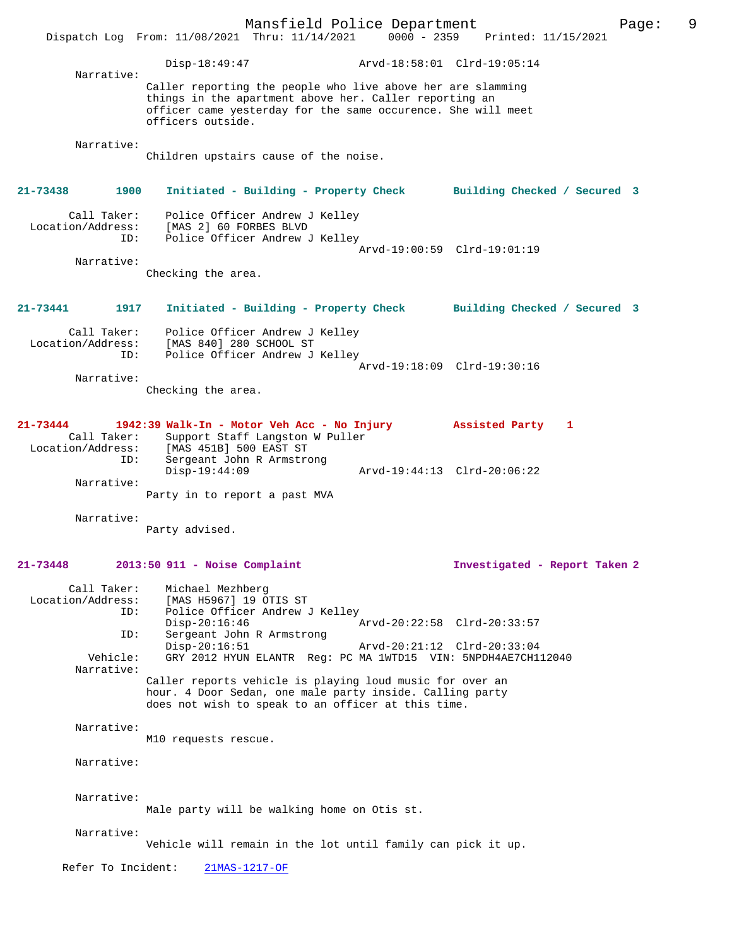Mansfield Police Department Page: 9 Dispatch Log From: 11/08/2021 Thru: 11/14/2021 Disp-18:49:47 Arvd-18:58:01 Clrd-19:05:14 Narrative: Caller reporting the people who live above her are slamming things in the apartment above her. Caller reporting an officer came yesterday for the same occurence. She will meet officers outside. Narrative: Children upstairs cause of the noise. **21-73438 1900 Initiated - Building - Property Check Building Checked / Secured 3** Call Taker: Police Officer Andrew J Kelley Location/Address: [MAS 2] 60 FORBES BLVD ID: Police Officer Andrew J Kelley Arvd-19:00:59 Clrd-19:01:19 Narrative: Checking the area. **21-73441 1917 Initiated - Building - Property Check Building Checked / Secured 3** Call Taker: Police Officer Andrew J Kelley Location/Address: [MAS 840] 280 SCHOOL ST ID: Police Officer Andrew J Kelley Arvd-19:18:09 Clrd-19:30:16 Narrative: Checking the area. **21-73444 1942:39 Walk-In - Motor Veh Acc - No Injury Assisted Party 1**  Call Taker: Support Staff Langston W Puller<br>Location/Address: [MAS 451B] 500 EAST ST ess: [MAS 451B] 500 EAST ST<br>ID: Sergeant John R Armstro Sergeant John R Armstrong<br>Disp-19:44:09 Disp-19:44:09 Arvd-19:44:13 Clrd-20:06:22 Narrative: Party in to report a past MVA Narrative: Party advised. **21-73448 2013:50 911 - Noise Complaint Investigated - Report Taken 2** Call Taker: Michael Mezhberg Location/Address: [MAS H5967] 19 OTIS ST<br>TD: Police Officer Andrew J Police Officer Andrew J Kelley Disp-20:16:46 Arvd-20:22:58 Clrd-20:33:57<br>TD: Sergeant John R Armstrong Sergeant John R Armstrong<br>Disp-20:16:51 Disp-20:16:51 Arvd-20:21:12 Clrd-20:33:04<br>Vehicle: GRY 2012 HYUN ELANTR Reg: PC MA 1WTD15 VIN: 5NPDH4AE7CH1 GRY 2012 HYUN ELANTR Reg: PC MA 1WTD15 VIN: 5NPDH4AE7CH112040 Narrative: Caller reports vehicle is playing loud music for over an hour. 4 Door Sedan, one male party inside. Calling party does not wish to speak to an officer at this time. Narrative: M10 requests rescue. Narrative: Narrative: Male party will be walking home on Otis st. Narrative: Vehicle will remain in the lot until family can pick it up. Refer To Incident: 21MAS-1217-OF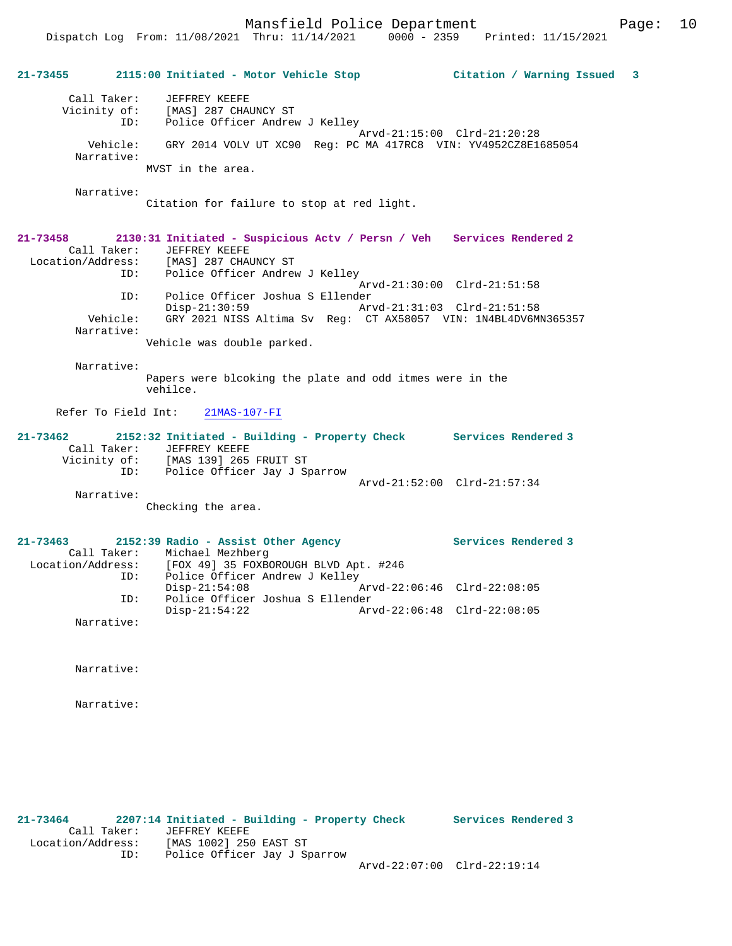Mansfield Police Department Form Page: 10

## **21-73455 2115:00 Initiated - Motor Vehicle Stop Citation / Warning Issued 3**

 Call Taker: JEFFREY KEEFE Vicinity of: [MAS] 287 CHAUNCY ST ID: Police Officer Andrew J Kelley Arvd-21:15:00 Clrd-21:20:28 Vehicle: GRY 2014 VOLV UT XC90 Reg: PC MA 417RC8 VIN: YV4952CZ8E1685054 Narrative: MVST in the area.

Narrative:

Citation for failure to stop at red light.

#### **21-73458 2130:31 Initiated - Suspicious Actv / Persn / Veh Services Rendered 2**  Call Taker: JEFFREY KEEFE<br>Location/Address: [MAS] 287 CHAI [MAS] 287 CHAUNCY ST ID: Police Officer Andrew J Kelley Arvd-21:30:00 Clrd-21:51:58 ID: Police Officer Joshua S Ellender Disp-21:30:59 Arvd-21:31:03 Clrd-21:51:58 Vehicle: GRY 2021 NISS Altima Sv Reg: CT AX58057 VIN: 1N4BL4DV6MN365357 Narrative:

Vehicle was double parked.

Narrative:

Papers were blcoking the plate and odd itmes were in the vehilce.

Refer To Field Int: 21MAS-107-FI

| $21 - 73462$ |             | 2152:32 Initiated - Building - Property Check |                             | Services Rendered 3 |
|--------------|-------------|-----------------------------------------------|-----------------------------|---------------------|
|              | Call Taker: | JEFFREY KEEFE                                 |                             |                     |
| Vicinity of: |             | [MAS 139] 265 FRUIT ST                        |                             |                     |
|              | ID:         | Police Officer Jay J Sparrow                  |                             |                     |
|              |             |                                               | Arvd-21:52:00 Clrd-21:57:34 |                     |
|              | Narrative:  |                                               |                             |                     |

Checking the area.

## **21-73463 2152:39 Radio - Assist Other Agency Services Rendered 3**  Call Taker: Michael Mezhberg Location/Address: [FOX 49] 35 FOXBOROUGH BLVD Apt. #246 ID: Police Officer Andrew J Kelley<br>Disp-21:54:08 F Disp-21:54:08 Arvd-22:06:46 Clrd-22:08:05<br>TD: Police Officer Joshua S Ellender Police Officer Joshua S Ellender<br>Disp-21:54:22 Ar Arvd-22:06:48 Clrd-22:08:05 Narrative:

Narrative:

Narrative:

**21-73464 2207:14 Initiated - Building - Property Check Services Rendered 3**  Call Taker: JEFFREY KEEFE Location/Address: [MAS 1002] 250 EAST ST ID: Police Officer Jay J Sparrow Arvd-22:07:00 Clrd-22:19:14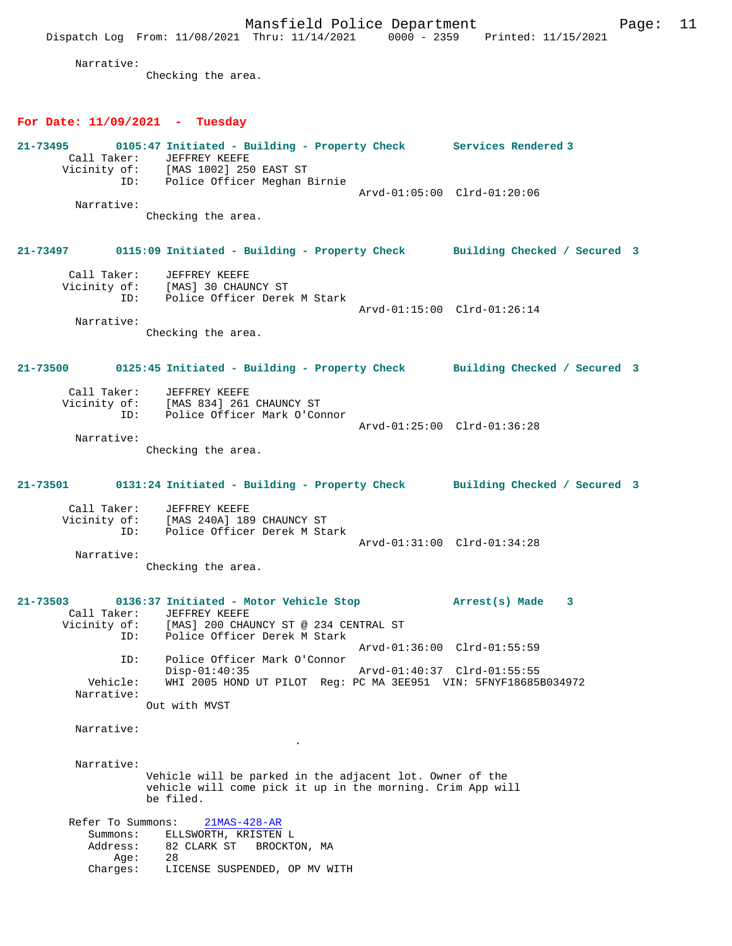Dispatch Log From: 11/08/2021 Thru: 11/14/2021 0000 - 2359 Printed: 11/15/2021 Narrative: Checking the area. **For Date: 11/09/2021 - Tuesday 21-73495 0105:47 Initiated - Building - Property Check Services Rendered 3**  Call Taker: JEFFREY KEEFE Vicinity of: [MAS 1002] 250 EAST ST ID: Police Officer Meghan Birnie Arvd-01:05:00 Clrd-01:20:06 Narrative: Checking the area. **21-73497 0115:09 Initiated - Building - Property Check Building Checked / Secured 3** Call Taker: JEFFREY KEEFE Vicinity of: [MAS] 30 CHAUNCY ST ID: Police Officer Derek M Stark Arvd-01:15:00 Clrd-01:26:14 Narrative: Checking the area. **21-73500 0125:45 Initiated - Building - Property Check Building Checked / Secured 3** Call Taker: JEFFREY KEEFE<br>Vicinity of: [MAS 834] 261 of: [MAS 834] 261 CHAUNCY ST<br>ID: Police Officer Mark O'Co Police Officer Mark O'Connor Arvd-01:25:00 Clrd-01:36:28 Narrative: Checking the area. **21-73501 0131:24 Initiated - Building - Property Check Building Checked / Secured 3** Call Taker: JEFFREY KEEFE Vicinity of: [MAS 240A] 189 CHAUNCY ST ID: Police Officer Derek M Stark Arvd-01:31:00 Clrd-01:34:28 Narrative: Checking the area. **21-73503 0136:37 Initiated - Motor Vehicle Stop Arrest(s) Made 3**  Call Taker: JEFFREY KEEFE<br>Vicinity of: [MAS] 200 CHAI Vicinity of: [MAS] 200 CHAUNCY ST @ 234 CENTRAL ST ID: Police Officer Derek M Stark Arvd-01:36:00 Clrd-01:55:59 ID: Police Officer Mark O'Connor Arvd-01:40:37 Clrd-01:55:55 Vehicle: WHI 2005 HOND UT PILOT Reg: PC MA 3EE951 VIN: 5FNYF18685B034972 Narrative: Out with MVST Narrative: . Narrative: Vehicle will be parked in the adjacent lot. Owner of the vehicle will come pick it up in the morning. Crim App will be filed. Refer To Summons: 21MAS-428-AR Summons: ELLSWORTH, KRISTEN L<br>Address: 82 CLARK ST BROCKT 82 CLARK ST BROCKTON, MA<br>28 Age:<br>:Charges LICENSE SUSPENDED, OP MV WITH

Mansfield Police Department Page: 11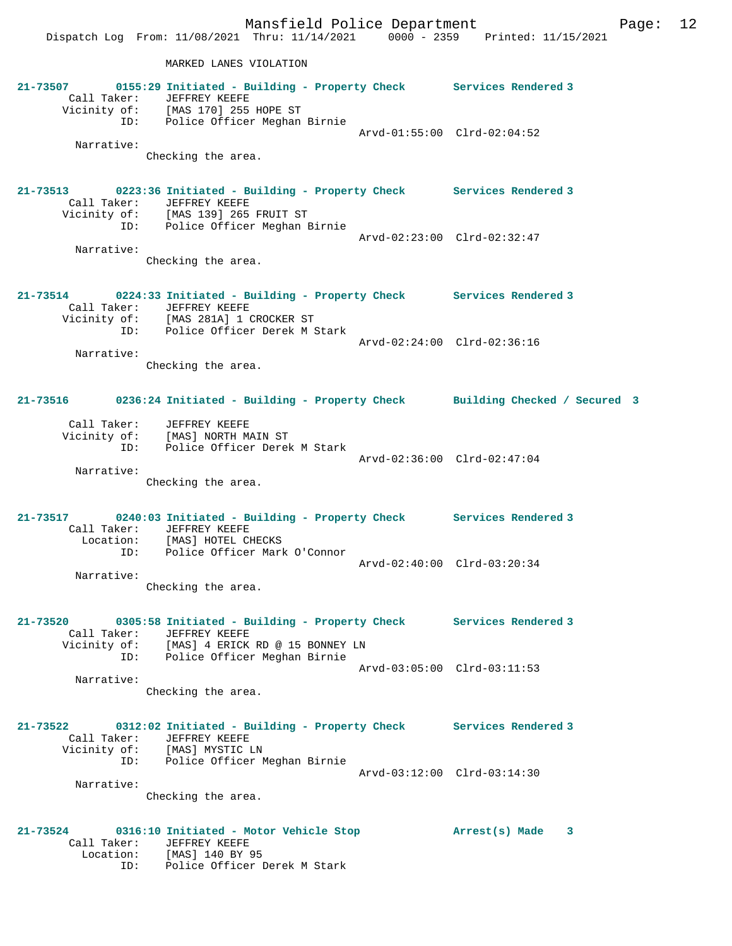MARKED LANES VIOLATION

|                         | 21-73507 0155:29 Initiated - Building - Property Check Services Rendered 3                              |                             |
|-------------------------|---------------------------------------------------------------------------------------------------------|-----------------------------|
|                         | Call Taker: JEFFREY KEEFE                                                                               |                             |
|                         | Vicinity of: [MAS 170] 255 HOPE ST<br>ID: Police Officer Meghan Birnie                                  |                             |
|                         |                                                                                                         |                             |
|                         |                                                                                                         | Arvd-01:55:00 Clrd-02:04:52 |
| Narrative:              |                                                                                                         |                             |
|                         | Checking the area.                                                                                      |                             |
|                         |                                                                                                         |                             |
| $21 - 73513$            | 0223:36 Initiated - Building - Property Check Services Rendered 3                                       |                             |
|                         | Call Taker: JEFFREY KEEFE                                                                               |                             |
|                         | Vicinity of: [MAS 139] 265 FRUIT ST                                                                     |                             |
|                         | ID: Police Officer Meghan Birnie                                                                        |                             |
|                         |                                                                                                         | Arvd-02:23:00 Clrd-02:32:47 |
| Narrative:              |                                                                                                         |                             |
|                         | Checking the area.                                                                                      |                             |
|                         |                                                                                                         |                             |
|                         |                                                                                                         |                             |
|                         | 21-73514 0224:33 Initiated - Building - Property Check Services Rendered 3<br>Call Taker: JEFFREY KEEFE |                             |
|                         | Vicinity of: [MAS 281A] 1 CROCKER ST                                                                    |                             |
|                         | ID: Police Officer Derek M Stark                                                                        |                             |
|                         |                                                                                                         | Arvd-02:24:00 Clrd-02:36:16 |
| Narrative:              |                                                                                                         |                             |
|                         | Checking the area.                                                                                      |                             |
|                         |                                                                                                         |                             |
|                         |                                                                                                         |                             |
|                         | 21-73516 0236:24 Initiated - Building - Property Check Building Checked / Secured 3                     |                             |
|                         |                                                                                                         |                             |
|                         | Call Taker: JEFFREY KEEFE<br>Vicinity of: [MAS] NORTH MAIN ST                                           |                             |
|                         |                                                                                                         |                             |
|                         | ID: Police Officer Derek M Stark                                                                        |                             |
| Narrative:              |                                                                                                         | Arvd-02:36:00 Clrd-02:47:04 |
|                         | Checking the area.                                                                                      |                             |
|                         |                                                                                                         |                             |
|                         |                                                                                                         |                             |
|                         | 21-73517 0240:03 Initiated - Building - Property Check Services Rendered 3                              |                             |
|                         | Call Taker: JEFFREY KEEFE                                                                               |                             |
|                         | Location: [MAS] HOTEL CHECKS                                                                            |                             |
|                         | ID: Police Officer Mark O'Connor                                                                        |                             |
|                         |                                                                                                         | Arvd-02:40:00 Clrd-03:20:34 |
| Narrative:              |                                                                                                         |                             |
|                         | Checking the area.                                                                                      |                             |
|                         |                                                                                                         |                             |
|                         |                                                                                                         |                             |
| 21-73520<br>Call Taker: | 0305:58 Initiated - Building - Property Check<br>JEFFREY KEEFE                                          | Services Rendered 3         |
| Vicinity of:            | [MAS] 4 ERICK RD @ 15 BONNEY LN                                                                         |                             |
|                         | ID: Police Officer Meghan Birnie                                                                        |                             |
|                         |                                                                                                         | Arvd-03:05:00 Clrd-03:11:53 |
| Narrative:              |                                                                                                         |                             |
|                         | Checking the area.                                                                                      |                             |
|                         |                                                                                                         |                             |
|                         |                                                                                                         |                             |
| 21-73522                | 0312:02 Initiated - Building - Property Check Services Rendered 3                                       |                             |
| Call Taker:             | JEFFREY KEEFE                                                                                           |                             |
|                         | Vicinity of: [MAS] MYSTIC LN                                                                            |                             |
|                         | ID: Police Officer Meghan Birnie                                                                        |                             |
|                         |                                                                                                         | Arvd-03:12:00 Clrd-03:14:30 |
| Narrative:              |                                                                                                         |                             |
|                         | Checking the area.                                                                                      |                             |
|                         |                                                                                                         |                             |
| 21-73524                | 0316:10 Initiated - Motor Vehicle Stop                                                                  | Arrest(s) Made<br>3         |
|                         | Call Taker: JEFFREY KEEFE                                                                               |                             |
|                         |                                                                                                         |                             |
|                         | Location: [MAS] 140 BY 95<br>ID: Police Officer 1<br>Police Officer Derek M Stark                       |                             |
|                         |                                                                                                         |                             |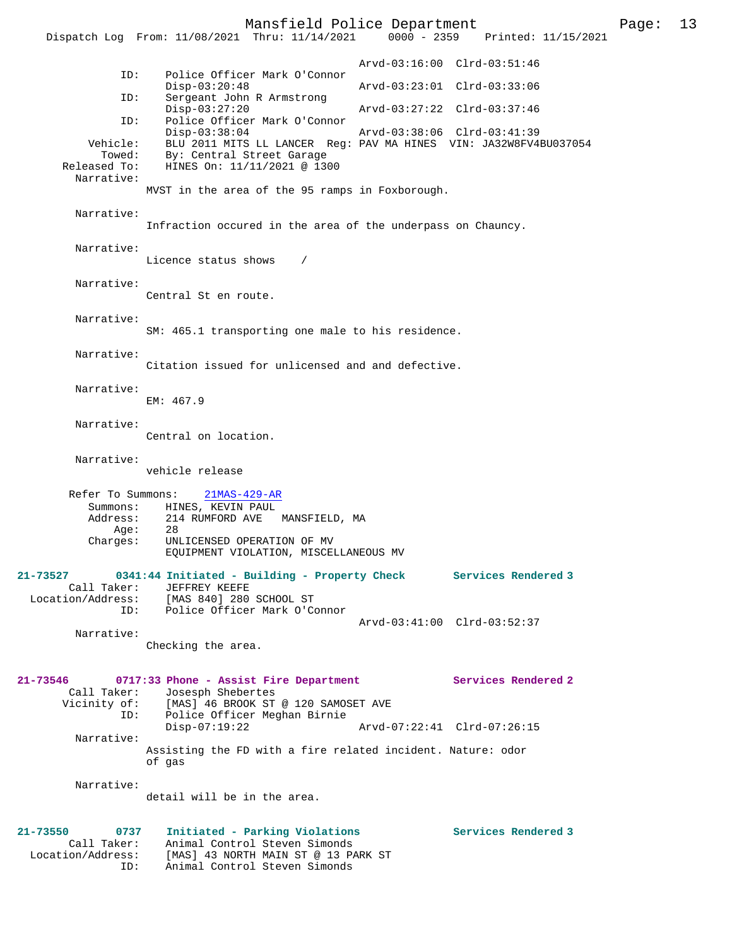Mansfield Police Department Page: 13 Dispatch Log From: 11/08/2021 Thru: 11/14/2021 Arvd-03:16:00 Clrd-03:51:46 ID: Police Officer Mark O'Connor Disp-03:20:48 Arvd-03:23:01 Clrd-03:33:06<br>ID: Sergeant John R Armstrong Sergeant John R Armstrong<br>Disp-03:27:20 Disp-03:27:20 Arvd-03:27:22 Clrd-03:37:46<br>ID: Police Officer Mark O'Connor ID: Police Officer Mark O'Connor Disp-03:38:04 Arvd-03:38:06 Clrd-03:41:39 Vehicle: BLU 2011 MITS LL LANCER Reg: PAV MA HINES VIN: JA32W8FV4BU037054 Towed: By: Central Street Garage Released To: HINES On: 11/11/2021 @ 1300 Narrative: MVST in the area of the 95 ramps in Foxborough. Narrative: Infraction occured in the area of the underpass on Chauncy. Narrative: Licence status shows / Narrative: Central St en route. Narrative: SM: 465.1 transporting one male to his residence. Narrative: Citation issued for unlicensed and and defective. Narrative: EM: 467.9 Narrative: Central on location. Narrative: vehicle release Refer To Summons: 21MAS-429-AR Summons: HINES, KEVIN PAUL<br>Address: 214 RUMFORD AVE 214 RUMFORD AVE MANSFIELD, MA Age:<br>:Charges UNLICENSED OPERATION OF MV EQUIPMENT VIOLATION, MISCELLANEOUS MV **21-73527 0341:44 Initiated - Building - Property Check Services Rendered 3**  Call Taker: JEFFREY KEEFE<br>Location/Address: [MAS 840] 280 Location/Address: [MAS 840] 280 SCHOOL ST ID: Police Officer Mark O'Connor Arvd-03:41:00 Clrd-03:52:37 Narrative: Checking the area. **21-73546 0717:33 Phone - Assist Fire Department Services Rendered 2**  Call Taker: Josesph Shebertes<br>Vicinity of: [MAS] 46 BROOK ST [MAS] 46 BROOK ST @ 120 SAMOSET AVE ID: Police Officer Meghan Birnie Disp-07:19:22 Arvd-07:22:41 Clrd-07:26:15 Narrative: Assisting the FD with a fire related incident. Nature: odor of gas Narrative: detail will be in the area. **21-73550 0737 Initiated - Parking Violations Services Rendered 3**  Call Taker: Animal Control Steven Simonds Location/Address: [MAS] 43 NORTH MAIN ST @ 13 PARK ST ID: Animal Control Steven Simonds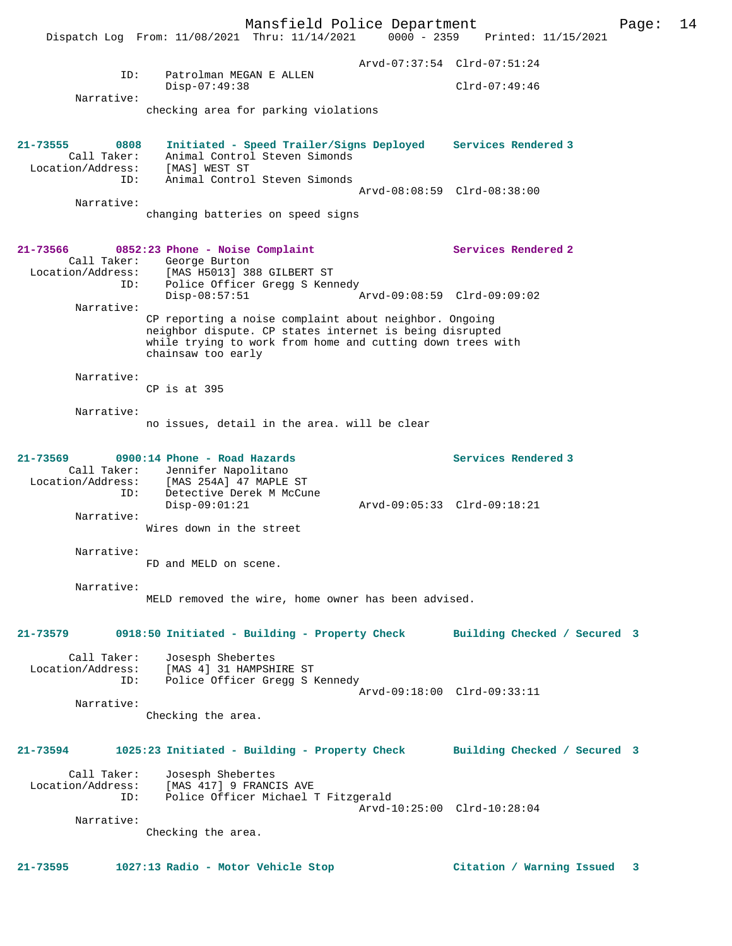Mansfield Police Department Page: 14 Dispatch Log From: 11/08/2021 Thru: 11/14/2021 0000 - 2359 Printed: 11/15/2021 Arvd-07:37:54 Clrd-07:51:24 ID: Patrolman MEGAN E ALLEN Disp-07:49:38 Clrd-07:49:46 Narrative: checking area for parking violations **21-73555 0808 Initiated - Speed Trailer/Signs Deployed Services Rendered 3**  Call Taker: Animal Control Steven Simonds Location/Address: [MAS] WEST ST ID: Animal Control Steven Simonds Arvd-08:08:59 Clrd-08:38:00 Narrative: changing batteries on speed signs **21-73566 0852:23 Phone - Noise Complaint Services Rendered 2**  Call Taker: George Burton<br>Location/Address: [MAS H5013] 38 Location/Address: [MAS H5013] 388 GILBERT ST ID: Police Officer Gregg S Kennedy Disp-08:57:51 Arvd-09:08:59 Clrd-09:09:02 Narrative: CP reporting a noise complaint about neighbor. Ongoing neighbor dispute. CP states internet is being disrupted while trying to work from home and cutting down trees with chainsaw too early Narrative: CP is at 395 Narrative: no issues, detail in the area. will be clear **21-73569 0900:14 Phone - Road Hazards Services Rendered 3**  Call Taker: Jennifer Napolitano Location/Address: [MAS 254A] 47 MAPLE ST ID: Detective Derek M McCune Disp-09:01:21 Arvd-09:05:33 Clrd-09:18:21 Narrative: Wires down in the street Narrative: FD and MELD on scene. Narrative: MELD removed the wire, home owner has been advised. **21-73579 0918:50 Initiated - Building - Property Check Building Checked / Secured 3** Call Taker: Josesph Shebertes<br>Location/Address: [MAS 4] 31 HAMPSH: [MAS 4] 31 HAMPSHIRE ST ID: Police Officer Gregg S Kennedy Arvd-09:18:00 Clrd-09:33:11 Narrative: Checking the area. **21-73594 1025:23 Initiated - Building - Property Check Building Checked / Secured 3** Call Taker: Josesph Shebertes Location/Address: [MAS 417] 9 FRANCIS AVE ID: Police Officer Michael T Fitzgerald Arvd-10:25:00 Clrd-10:28:04 Narrative: Checking the area. **21-73595 1027:13 Radio - Motor Vehicle Stop Citation / Warning Issued 3**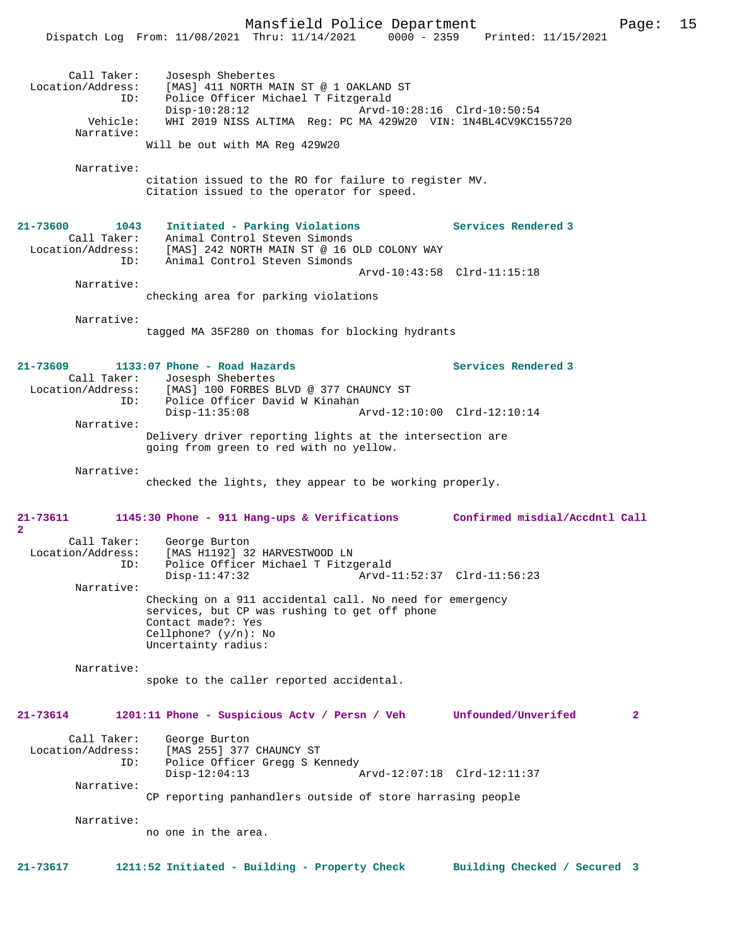Mansfield Police Department Page: 15 Dispatch Log From: 11/08/2021 Thru: 11/14/2021 Call Taker: Josesph Shebertes<br>Location/Address: [MAS] 411 NORTH M [MAS] 411 NORTH MAIN ST @ 1 OAKLAND ST ID: Police Officer Michael T Fitzgerald Disp-10:28:12 Arvd-10:28:16 Clrd-10:50:54 Vehicle: WHI 2019 NISS ALTIMA Reg: PC MA 429W20 VIN: 1N4BL4CV9KC155720 Narrative: Will be out with MA Reg 429W20 Narrative: citation issued to the RO for failure to register MV. Citation issued to the operator for speed. **21-73600 1043 Initiated - Parking Violations Services Rendered 3**  Call Taker: Animal Control Steven Simonds Location/Address: [MAS] 242 NORTH MAIN ST @ 16 OLD COLONY WAY ID: Animal Control Steven Simonds Arvd-10:43:58 Clrd-11:15:18 Narrative: checking area for parking violations Narrative: tagged MA 35F280 on thomas for blocking hydrants **21-73609 1133:07 Phone - Road Hazards Services Rendered 3**  Call Taker: Josesph Shebertes Location/Address: [MAS] 100 FORBES BLVD @ 377 CHAUNCY ST ID: Police Officer David W Kinahan<br>Disp-11:35:08 A Disp-11:35:08 Arvd-12:10:00 Clrd-12:10:14 Narrative: Delivery driver reporting lights at the intersection are going from green to red with no yellow. Narrative: checked the lights, they appear to be working properly. **21-73611 1145:30 Phone - 911 Hang-ups & Verifications Confirmed misdial/Accdntl Call 2**  Call Taker: George Burton<br>Location/Address: [MAS H1192] 32 ess: [MAS H1192] 32 HARVESTWOOD LN<br>TD: Police Officer Michael T Fitzg Police Officer Michael T Fitzgerald<br>Disp-11:47:32 Arvd-1 Arvd-11:52:37 Clrd-11:56:23 Narrative: Checking on a 911 accidental call. No need for emergency services, but CP was rushing to get off phone Contact made?: Yes Cellphone? (y/n): No Uncertainty radius: Narrative: spoke to the caller reported accidental. **21-73614 1201:11 Phone - Suspicious Actv / Persn / Veh Unfounded/Unverifed 2** Call Taker: George Burton<br>Location/Address: [MAS 255] 377 ess: [MAS 255] 377 CHAUNCY ST<br>ID: Police Officer Gregg S Ke Police Officer Gregg S Kennedy Disp-12:04:13 Arvd-12:07:18 Clrd-12:11:37 Narrative: CP reporting panhandlers outside of store harrasing people Narrative: no one in the area.

**21-73617 1211:52 Initiated - Building - Property Check Building Checked / Secured 3**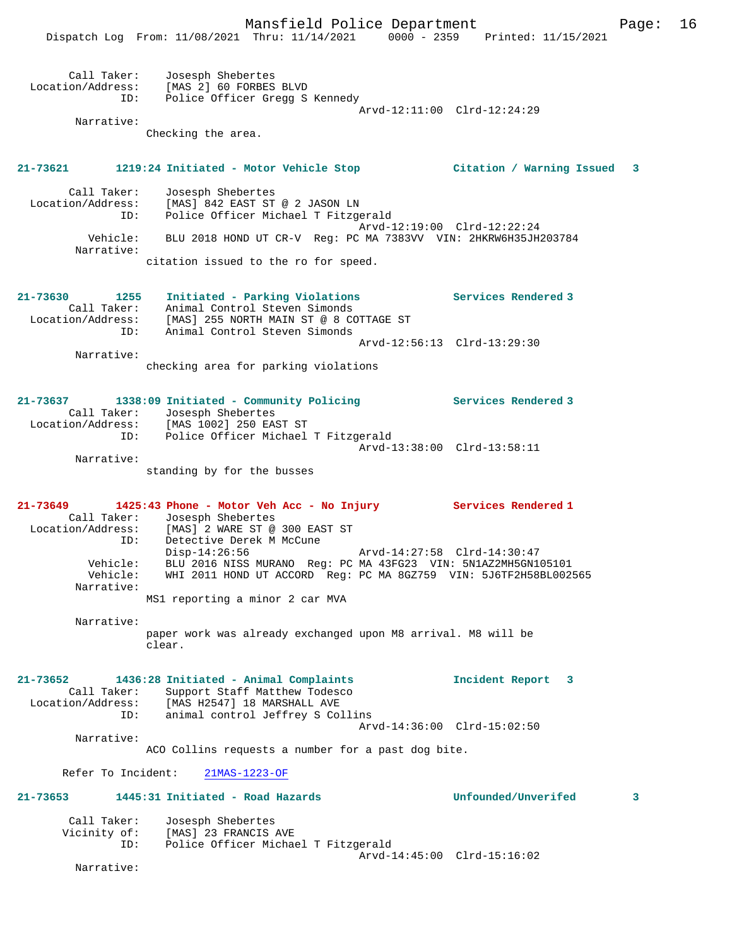|                                                     | Dispatch Log From: 11/08/2021 Thru: 11/14/2021 0000 - 2359                                                                                                                              | Printed: 11/15/2021         |  |
|-----------------------------------------------------|-----------------------------------------------------------------------------------------------------------------------------------------------------------------------------------------|-----------------------------|--|
| Call Taker:<br>ID:                                  | Josesph Shebertes<br>Location/Address: [MAS 2] 60 FORBES BLVD<br>Police Officer Gregg S Kennedy                                                                                         | Arvd-12:11:00 Clrd-12:24:29 |  |
| Narrative:                                          | Checking the area.                                                                                                                                                                      |                             |  |
|                                                     | 21-73621 1219:24 Initiated - Motor Vehicle Stop 6 (Citation / Warning Issued 3                                                                                                          |                             |  |
| Call Taker:<br>Location/Address:<br>ID:             | Josesph Shebertes<br>[MAS] 842 EAST ST @ 2 JASON LN<br>Police Officer Michael T Fitzgerald                                                                                              | Arvd-12:19:00 Clrd-12:22:24 |  |
| Vehicle:<br>Narrative:                              | BLU 2018 HOND UT CR-V Reg: PC MA 7383VV VIN: 2HKRW6H35JH203784<br>citation issued to the ro for speed.                                                                                  |                             |  |
|                                                     |                                                                                                                                                                                         |                             |  |
| 21-73630<br>1255                                    | Initiated - Parking Violations<br>Call Taker: Animal Control Steven Simonds<br>Location/Address: [MAS] 255 NORTH MAIN ST @ 8 COTTAGE ST                                                 | Services Rendered 3         |  |
| ID:                                                 | Animal Control Steven Simonds                                                                                                                                                           | Arvd-12:56:13 Clrd-13:29:30 |  |
| Narrative:                                          | checking area for parking violations                                                                                                                                                    |                             |  |
| 21-73637                                            | 1338:09 Initiated - Community Policing Theorem Services Rendered 3<br>Call Taker: Josesph Shebertes<br>Location/Address: [MAS 1002] 250 EAST ST                                         |                             |  |
|                                                     | ID: Police Officer Michael T Fitzgerald                                                                                                                                                 | Arvd-13:38:00 Clrd-13:58:11 |  |
| Narrative:                                          | standing by for the busses                                                                                                                                                              |                             |  |
| 21-73649<br>Call Taker:<br>Location/Address:<br>ID: | 1425:43 Phone - Motor Veh Acc - No Injury Services Rendered 1<br>Josesph Shebertes<br>[MAS] 2 WARE ST @ 300 EAST ST<br>Detective Derek M McCune                                         |                             |  |
| Vehicle:<br>Vehicle:<br>Narrative:                  | $Disp-14:26:56$<br>BLU 2016 NISS MURANO Req: PC MA 43FG23 VIN: 5N1AZ2MH5GN105101<br>WHI 2011 HOND UT ACCORD Reg: PC MA 8GZ759 VIN: 5J6TF2H58BL002565<br>MS1 reporting a minor 2 car MVA | Arvd-14:27:58 Clrd-14:30:47 |  |
| Narrative:                                          | paper work was already exchanged upon M8 arrival. M8 will be<br>clear.                                                                                                                  |                             |  |
|                                                     |                                                                                                                                                                                         |                             |  |
| 21-73652<br>Call Taker:<br>ID:                      | 1436:28 Initiated - Animal Complaints<br>Support Staff Matthew Todesco<br>Location/Address: [MAS H2547] 18 MARSHALL AVE<br>animal control Jeffrey S Collins                             | Incident Report 3           |  |
| Narrative:                                          |                                                                                                                                                                                         | Arvd-14:36:00 Clrd-15:02:50 |  |
|                                                     | ACO Collins requests a number for a past dog bite.                                                                                                                                      |                             |  |
| Refer To Incident:<br>21-73653                      | 21MAS-1223-OF<br>1445:31 Initiated - Road Hazards                                                                                                                                       | Unfounded/Unverifed<br>3    |  |
|                                                     |                                                                                                                                                                                         |                             |  |
| Call Taker:<br>ID:                                  | Josesph Shebertes<br>Vicinity of: [MAS] 23 FRANCIS AVE<br>Police Officer Michael T Fitzgerald                                                                                           |                             |  |
| Narrative:                                          |                                                                                                                                                                                         | Arvd-14:45:00 Clrd-15:16:02 |  |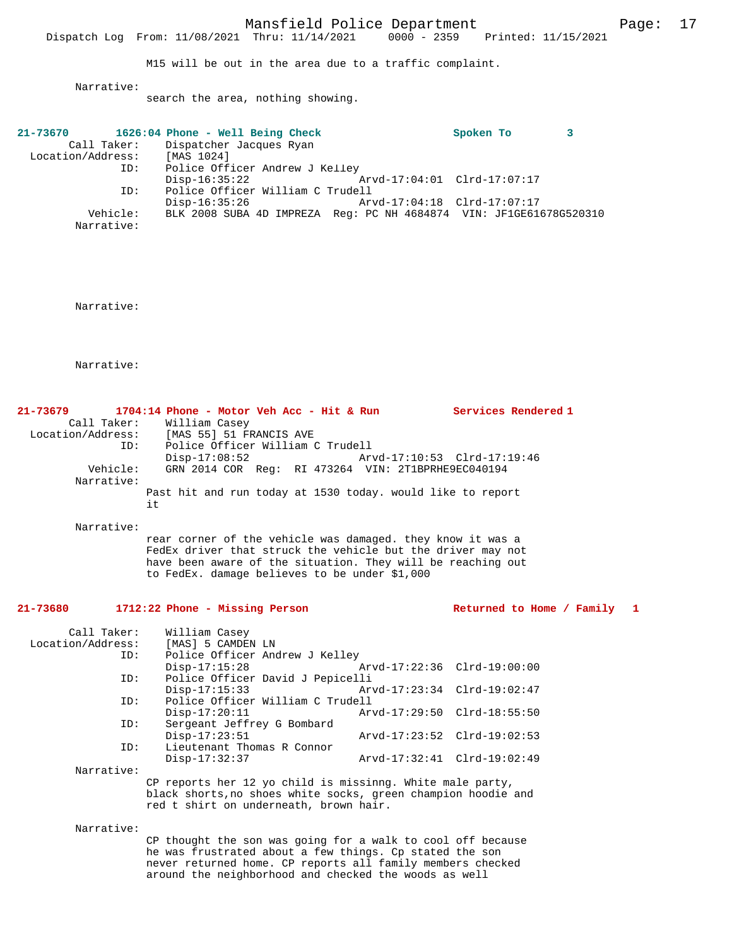Mansfield Police Department Page: 17 Dispatch Log From: 11/08/2021 Thru: 11/14/2021

M15 will be out in the area due to a traffic complaint.

Narrative:

search the area, nothing showing.

| 21-73670          |            | 1626:04 Phone - Well Being Check    |                                                                    | Spoken To |  |
|-------------------|------------|-------------------------------------|--------------------------------------------------------------------|-----------|--|
|                   |            | Call Taker: Dispatcher Jacques Ryan |                                                                    |           |  |
| Location/Address: |            | [MAS 1024]                          |                                                                    |           |  |
|                   | ID:        | Police Officer Andrew J Kelley      |                                                                    |           |  |
|                   |            | Disp-16:35:22                       | Arvd-17:04:01 Clrd-17:07:17                                        |           |  |
|                   | ID:        | Police Officer William C Trudell    |                                                                    |           |  |
|                   |            | Disp-16:35:26                       | Arvd-17:04:18 Clrd-17:07:17                                        |           |  |
|                   | Vehicle:   |                                     | BLK 2008 SUBA 4D IMPREZA Req: PC NH 4684874 VIN: JF1GE61678G520310 |           |  |
|                   | Narrative: |                                     |                                                                    |           |  |

Narrative:

Narrative:

| $21 - 73679$      |     | 1704:14 Phone - Motor Veh Acc - Hit & Run |  |                                                            | Services Rendered 1 |
|-------------------|-----|-------------------------------------------|--|------------------------------------------------------------|---------------------|
| Call Taker:       |     | William Casey                             |  |                                                            |                     |
| Location/Address: |     | [MAS 55] 51 FRANCIS AVE                   |  |                                                            |                     |
|                   | ID: | Police Officer William C Trudell          |  |                                                            |                     |
|                   |     | Disp-17:08:52                             |  | Arvd-17:10:53 Clrd-17:19:46                                |                     |
| Vehicle:          |     |                                           |  | GRN 2014 COR Req: RI 473264 VIN: 2T1BPRHE9EC040194         |                     |
| Narrative:        |     |                                           |  |                                                            |                     |
|                   | it  |                                           |  | Past hit and run today at 1530 today. would like to report |                     |

Narrative:

rear corner of the vehicle was damaged. they know it was a FedEx driver that struck the vehicle but the driver may not have been aware of the situation. They will be reaching out to FedEx. damage believes to be under \$1,000

# **21-73680 1712:22 Phone - Missing Person Returned to Home / Family 1**

| Call Taker:       | William Casey                                                 |                             |                             |  |  |
|-------------------|---------------------------------------------------------------|-----------------------------|-----------------------------|--|--|
| Location/Address: | [MAS] 5 CAMDEN LN                                             |                             |                             |  |  |
| ID:               | Police Officer Andrew J Kelley                                |                             |                             |  |  |
|                   | $Disp-17:15:28$                                               | Arvd-17:22:36 Clrd-19:00:00 |                             |  |  |
| ID:               | Police Officer David J Pepicelli                              |                             |                             |  |  |
|                   | $Disp-17:15:33$                                               |                             |                             |  |  |
| ID:               | Police Officer William C Trudell                              |                             |                             |  |  |
|                   | $Disp-17:20:11$                                               |                             | Arvd-17:29:50 Clrd-18:55:50 |  |  |
| ID:               | Sergeant Jeffrey G Bombard                                    |                             |                             |  |  |
|                   | $Disp-17:23:51$                                               |                             | Arvd-17:23:52 Clrd-19:02:53 |  |  |
| ID:               | Lieutenant Thomas R Connor                                    |                             |                             |  |  |
|                   | $Disp-17:32:37$                                               |                             | Arvd-17:32:41 Clrd-19:02:49 |  |  |
| Narrative:        |                                                               |                             |                             |  |  |
|                   | CP reports her 12 yo child is missinng. White male party,     |                             |                             |  |  |
|                   | black shorts, no shoes white socks, green champion hoodie and |                             |                             |  |  |
|                   | red t shirt on underneath, brown hair.                        |                             |                             |  |  |
|                   |                                                               |                             |                             |  |  |

Narrative:

CP thought the son was going for a walk to cool off because he was frustrated about a few things. Cp stated the son never returned home. CP reports all family members checked around the neighborhood and checked the woods as well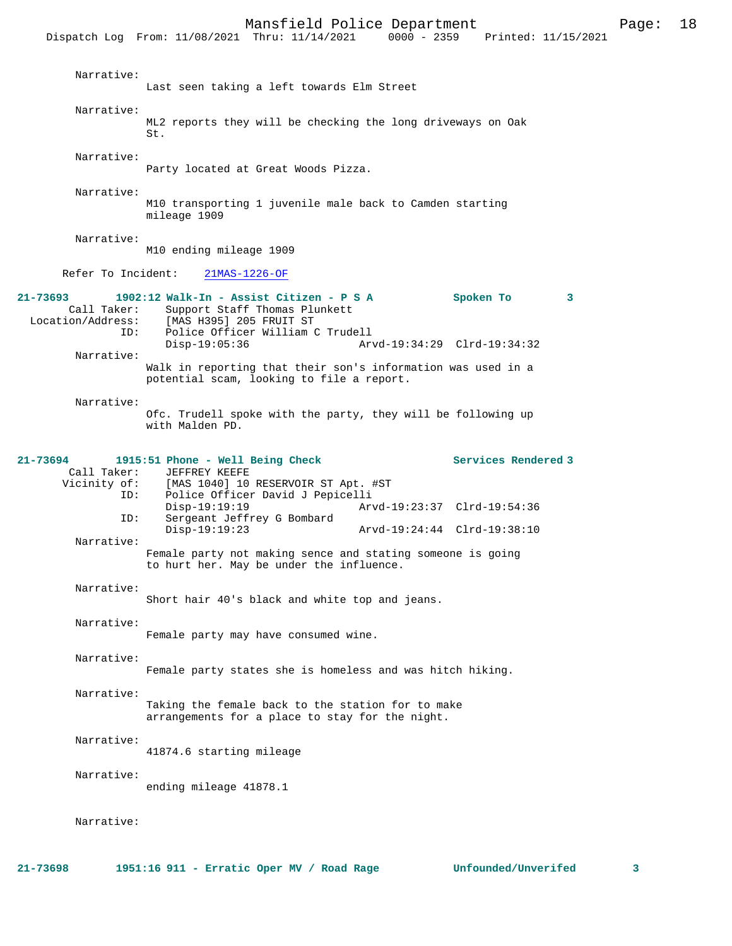Mansfield Police Department<br>Thru: 11/14/2021 0000 - 2359 Printed: 11/15/2021 Dispatch Log From: 11/08/2021 Thru: 11/14/2021 Narrative: Last seen taking a left towards Elm Street Narrative: ML2 reports they will be checking the long driveways on Oak St. Narrative: Party located at Great Woods Pizza. Narrative: M10 transporting 1 juvenile male back to Camden starting mileage 1909 Narrative: M10 ending mileage 1909 Refer To Incident: 21MAS-1226-OF **21-73693 1902:12 Walk-In - Assist Citizen - P S A Spoken To 3**  Call Taker: Support Staff Thomas Plunkett<br>Location/Address: [MAS H395] 205 FRUIT ST ess: [MAS H395] 205 FRUIT ST<br>ID: Police Officer William ( Police Officer William C Trudell<br>Disp-19:05:36 Ary Disp-19:05:36 Arvd-19:34:29 Clrd-19:34:32 Narrative: Walk in reporting that their son's information was used in a potential scam, looking to file a report. Narrative: Ofc. Trudell spoke with the party, they will be following up with Malden PD. **21-73694 1915:51 Phone - Well Being Check Services Rendered 3**  Call Taker: JEFFREY KEEFE<br>Vicinity of: [MAS 1040] 10 of: [MAS 1040] 10 RESERVOIR ST Apt. #ST<br>ID: Police Officer David J Pepicelli Police Officer David J Pepicelli<br>Disp-19:19:19 Disp-19:19:19<br>Th: Sergeant Jeffrey G Bombard<br>Th: Sergeant Jeffrey G Bombard Sergeant Jeffrey G Bombard<br>Disp-19:19:23 Disp-19:19:23 Arvd-19:24:44 Clrd-19:38:10 Narrative: Female party not making sence and stating someone is going to hurt her. May be under the influence. Narrative: Short hair 40's black and white top and jeans. Narrative: Female party may have consumed wine. Narrative: Female party states she is homeless and was hitch hiking. Narrative: Taking the female back to the station for to make arrangements for a place to stay for the night. Narrative: 41874.6 starting mileage Narrative: ending mileage 41878.1 Narrative:

**21-73698 1951:16 911 - Erratic Oper MV / Road Rage Unfounded/Unverifed 3**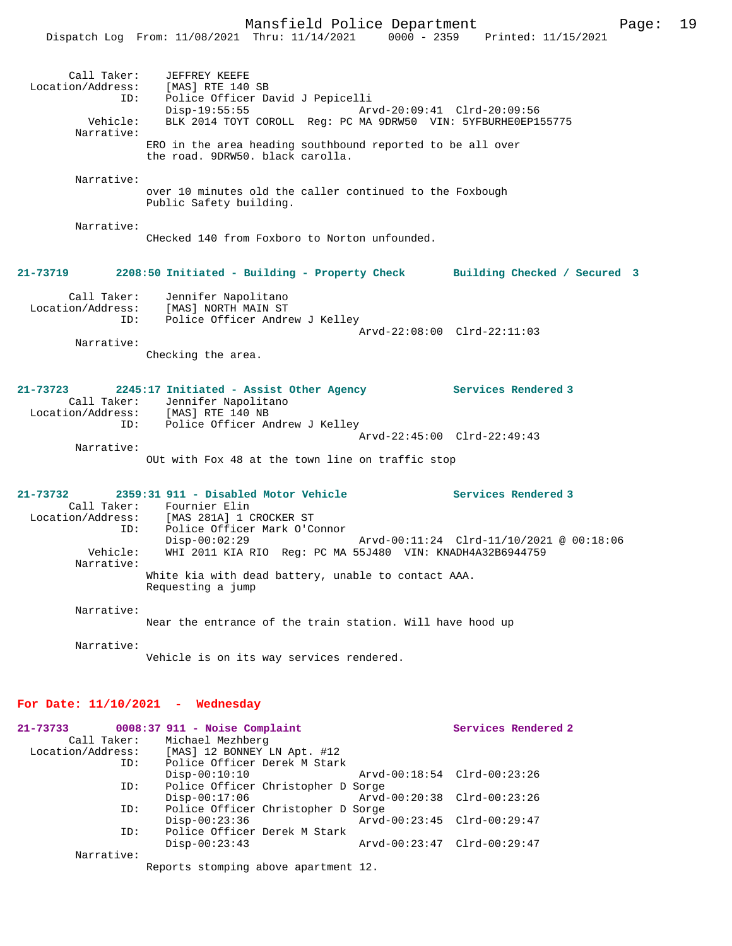|                                                     | Dispatch Log From: 11/08/2021 Thru: 11/14/2021 0000 - 2359 Printed: 11/15/2021                                                         |                                                               |                                 |  |  |  |  |  |
|-----------------------------------------------------|----------------------------------------------------------------------------------------------------------------------------------------|---------------------------------------------------------------|---------------------------------|--|--|--|--|--|
| Call Taker:<br>ID:                                  | JEFFREY KEEFE<br>Location/Address: [MAS] RTE 140 SB<br>Police Officer David J Pepicelli<br>$Disp-19:55:55$                             | Arvd-20:09:41 Clrd-20:09:56                                   |                                 |  |  |  |  |  |
| Vehicle:<br>Narrative:                              |                                                                                                                                        | BLK 2014 TOYT COROLL Req: PC MA 9DRW50 VIN: 5YFBURHE0EP155775 |                                 |  |  |  |  |  |
|                                                     | ERO in the area heading southbound reported to be all over<br>the road. 9DRW50. black carolla.                                         |                                                               |                                 |  |  |  |  |  |
| Narrative:                                          | over 10 minutes old the caller continued to the Foxbough<br>Public Safety building.                                                    |                                                               |                                 |  |  |  |  |  |
| Narrative:                                          | CHecked 140 from Foxboro to Norton unfounded.                                                                                          |                                                               |                                 |  |  |  |  |  |
| 21-73719                                            | 2208:50 Initiated - Building - Property Check                                                                                          |                                                               | Building Checked / Secured 3    |  |  |  |  |  |
| Call Taker:<br>ID:                                  | Jennifer Napolitano<br>Location/Address: [MAS] NORTH MAIN ST<br>Police Officer Andrew J Kelley                                         |                                                               |                                 |  |  |  |  |  |
| Narrative:                                          |                                                                                                                                        |                                                               | $Arvd-22:08:00$ $Clrd-22:11:03$ |  |  |  |  |  |
|                                                     | Checking the area.                                                                                                                     |                                                               |                                 |  |  |  |  |  |
| 21-73723<br>Call Taker:<br>ID:                      | 2245:17 Initiated - Assist Other Agency<br>Jennifer Napolitano<br>Location/Address: [MAS] RTE 140 NB<br>Police Officer Andrew J Kelley |                                                               | Services Rendered 3             |  |  |  |  |  |
|                                                     |                                                                                                                                        |                                                               | Arvd-22:45:00 Clrd-22:49:43     |  |  |  |  |  |
| Narrative:                                          | OUt with Fox 48 at the town line on traffic stop                                                                                       |                                                               |                                 |  |  |  |  |  |
| 21-73732                                            | 2359:31 911 - Disabled Motor Vehicle<br>Call Taker: Fournier Elin<br>Location/Address: [MAS 281A] 1 CROCKER ST                         |                                                               | Services Rendered 3             |  |  |  |  |  |
| ID:<br>Vehicle:                                     | Police Officer Mark O'Connor<br>$Disp-00:02:29$<br>WHI 2011 KIA RIO Reg: PC MA 55J480 VIN: KNADH4A32B6944759                           |                                                               |                                 |  |  |  |  |  |
| Narrative:                                          | White kia with dead battery, unable to contact AAA.<br>Requesting a jump                                                               |                                                               |                                 |  |  |  |  |  |
| Narrative:                                          | Near the entrance of the train station. Will have hood up                                                                              |                                                               |                                 |  |  |  |  |  |
| Narrative:                                          | Vehicle is on its way services rendered.                                                                                               |                                                               |                                 |  |  |  |  |  |
| For Date: $11/10/2021$ - Wednesday                  |                                                                                                                                        |                                                               |                                 |  |  |  |  |  |
| 21-73733<br>Call Taker:<br>Location/Address:<br>ID: | $0008:37$ 911 - Noise Complaint<br>Michael Mezhberg<br>[MAS] 12 BONNEY LN Apt. #12<br>Police Officer Derek M Stark                     |                                                               | Services Rendered 2             |  |  |  |  |  |
|                                                     | $Disp-00:10:10$                                                                                                                        |                                                               | Arvd-00:18:54 Clrd-00:23:26     |  |  |  |  |  |
| ID:                                                 | Police Officer Christopher D Sorge<br>$Disp-00:17:06$                                                                                  | Arvd-00:20:38                                                 | $Clrd-00:23:26$                 |  |  |  |  |  |
| ID:                                                 | Police Officer Christopher D Sorge<br>$Disp-00:23:36$                                                                                  |                                                               | Arvd-00:23:45 Clrd-00:29:47     |  |  |  |  |  |
| ID:                                                 | Police Officer Derek M Stark<br>$Disp-00:23:43$                                                                                        |                                                               | Arvd-00:23:47 Clrd-00:29:47     |  |  |  |  |  |

Narrative:

Reports stomping above apartment 12.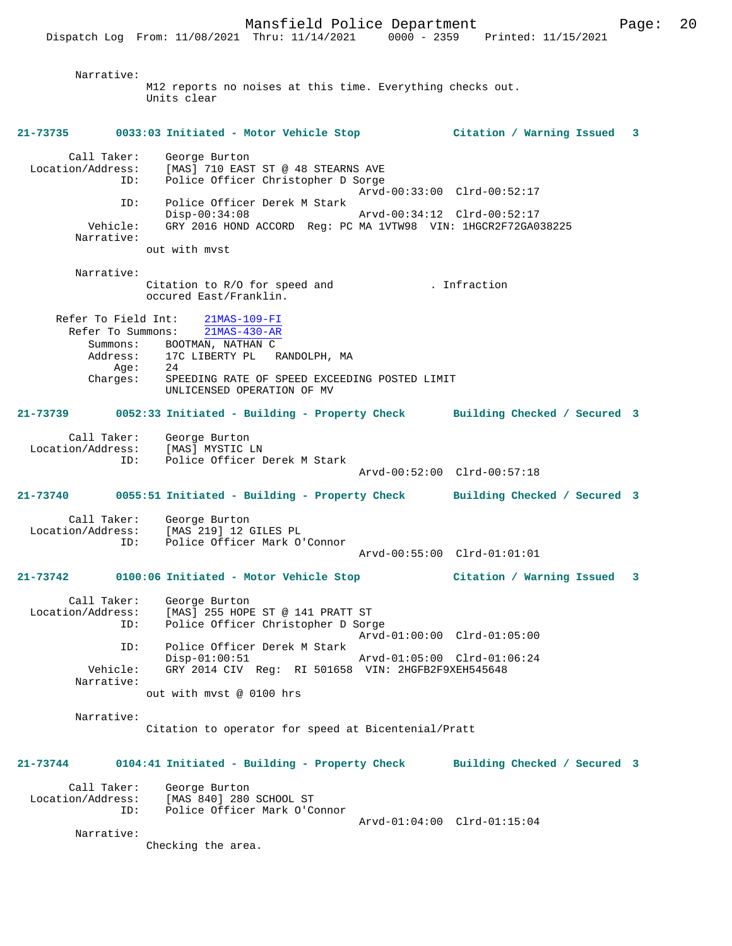Narrative: M12 reports no noises at this time. Everything checks out. Units clear **21-73735 0033:03 Initiated - Motor Vehicle Stop Citation / Warning Issued 3** Call Taker: George Burton Location/Address: [MAS] 710 EAST ST @ 48 STEARNS AVE ID: Police Officer Christopher D Sorge Arvd-00:33:00 Clrd-00:52:17 ID: Police Officer Derek M Stark Disp-00:34:08 Arvd-00:34:12 Clrd-00:52:17 Vehicle: GRY 2016 HOND ACCORD Reg: PC MA 1VTW98 VIN: 1HGCR2F72GA038225 Narrative: out with mvst Narrative: Citation to R/O for speed and . Infraction occured East/Franklin. Refer To Field Int:  $\frac{21\text{MAS} - 109 - \text{FI}}{21\text{MAS} - 430 - \text{AR}}$ Refer To Summons: Summons: BOOTMAN, NATHAN C Address: 17C LIBERTY PL RANDOLPH, MA Age: 24<br>Charges: SPE SPEEDING RATE OF SPEED EXCEEDING POSTED LIMIT UNLICENSED OPERATION OF MV **21-73739 0052:33 Initiated - Building - Property Check Building Checked / Secured 3** Call Taker: George Burton Location/Address: [MAS] MYSTIC LN<br>TD: Police Officer D Police Officer Derek M Stark Arvd-00:52:00 Clrd-00:57:18 **21-73740 0055:51 Initiated - Building - Property Check Building Checked / Secured 3** Call Taker: George Burton Location/Address: [MAS 219] 12 GILES PL<br>TD: Police Officer Mark O' Police Officer Mark O'Connor Arvd-00:55:00 Clrd-01:01:01 **21-73742 0100:06 Initiated - Motor Vehicle Stop Citation / Warning Issued 3** Call Taker: George Burton Location/Address: [MAS] 255 HOPE ST @ 141 PRATT ST ID: Police Officer Christopher D Sorge Arvd-01:00:00 Clrd-01:05:00 ID: Police Officer Derek M Stark Disp-01:00:51 Arvd-01:05:00 Clrd-01:06:24 Vehicle: GRY 2014 CIV Reg: RI 501658 VIN: 2HGFB2F9XEH545648 Narrative: out with mvst @ 0100 hrs Narrative: Citation to operator for speed at Bicentenial/Pratt **21-73744 0104:41 Initiated - Building - Property Check Building Checked / Secured 3** Call Taker: George Burton Location/Address: [MAS 840] 280 SCHOOL ST ID: Police Officer Mark O'Connor Arvd-01:04:00 Clrd-01:15:04 Narrative:

Checking the area.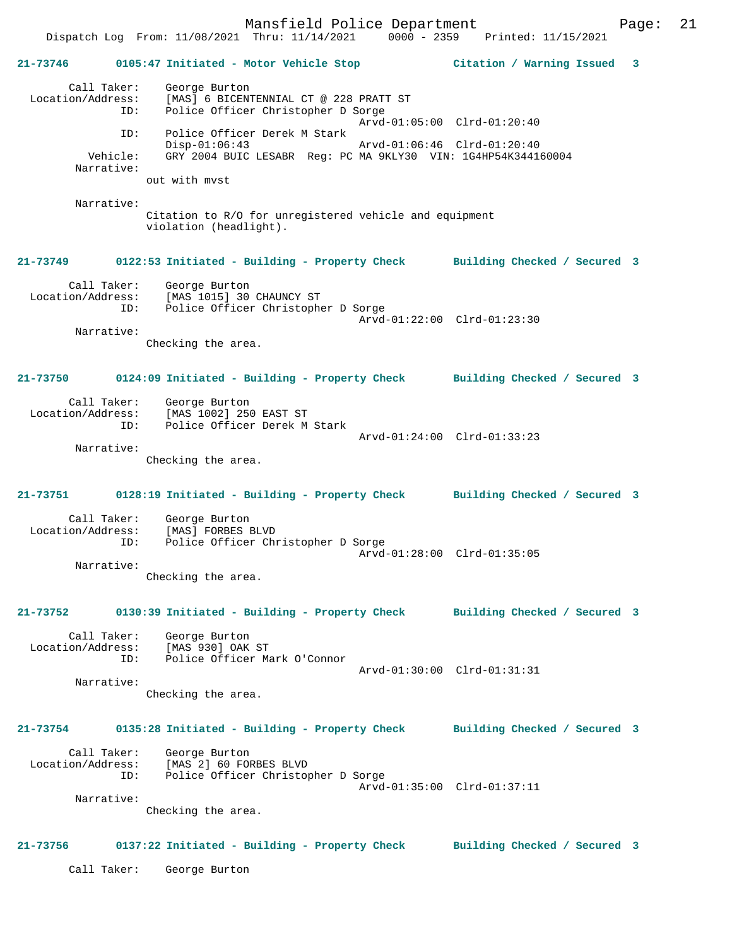Mansfield Police Department Form Page: 21 Dispatch Log From: 11/08/2021 Thru: 11/14/2021 0000 - 2359 Printed: 11/15/2021 **21-73746 0105:47 Initiated - Motor Vehicle Stop Citation / Warning Issued 3** Call Taker: George Burton Location/Address: [MAS] 6 BICENTENNIAL CT @ 228 PRATT ST ID: Police Officer Christopher D Sorge Arvd-01:05:00 Clrd-01:20:40 ID: Police Officer Derek M Stark Disp-01:06:43 Arvd-01:06:46 Clrd-01:20:40<br>Vehicle: GRY 2004 BUIC LESABR Reg: PC MA 9KLY30 VIN: 1G4HP54K34414 GRY 2004 BUIC LESABR Reg: PC MA 9KLY30 VIN: 1G4HP54K344160004 Narrative: out with mvst Narrative: Citation to R/O for unregistered vehicle and equipment violation (headlight). **21-73749 0122:53 Initiated - Building - Property Check Building Checked / Secured 3** Call Taker: George Burton Location/Address: [MAS 1015] 30 CHAUNCY ST ID: Police Officer Christopher D Sorge Arvd-01:22:00 Clrd-01:23:30 Narrative: Checking the area. **21-73750 0124:09 Initiated - Building - Property Check Building Checked / Secured 3** Call Taker: George Burton Location/Address: [MAS 1002] 250 EAST ST ID: Police Officer Derek M Stark Arvd-01:24:00 Clrd-01:33:23 Narrative: Checking the area. **21-73751 0128:19 Initiated - Building - Property Check Building Checked / Secured 3** Call Taker: George Burton Location/Address: [MAS] FORBES BLVD<br>ID: Police Officer Chi Police Officer Christopher D Sorge Arvd-01:28:00 Clrd-01:35:05 Narrative: Checking the area. **21-73752 0130:39 Initiated - Building - Property Check Building Checked / Secured 3** Call Taker: George Burton Location/Address: [MAS 930] OAK ST ID: Police Officer Mark O'Connor Arvd-01:30:00 Clrd-01:31:31 Narrative: Checking the area. **21-73754 0135:28 Initiated - Building - Property Check Building Checked / Secured 3** Call Taker: George Burton Location/Address: [MAS<sup>7</sup>2] 60 FORBES BLVD<br>TD: Police Officer Christon Police Officer Christopher D Sorge Arvd-01:35:00 Clrd-01:37:11 Narrative: Checking the area. **21-73756 0137:22 Initiated - Building - Property Check Building Checked / Secured 3** Call Taker: George Burton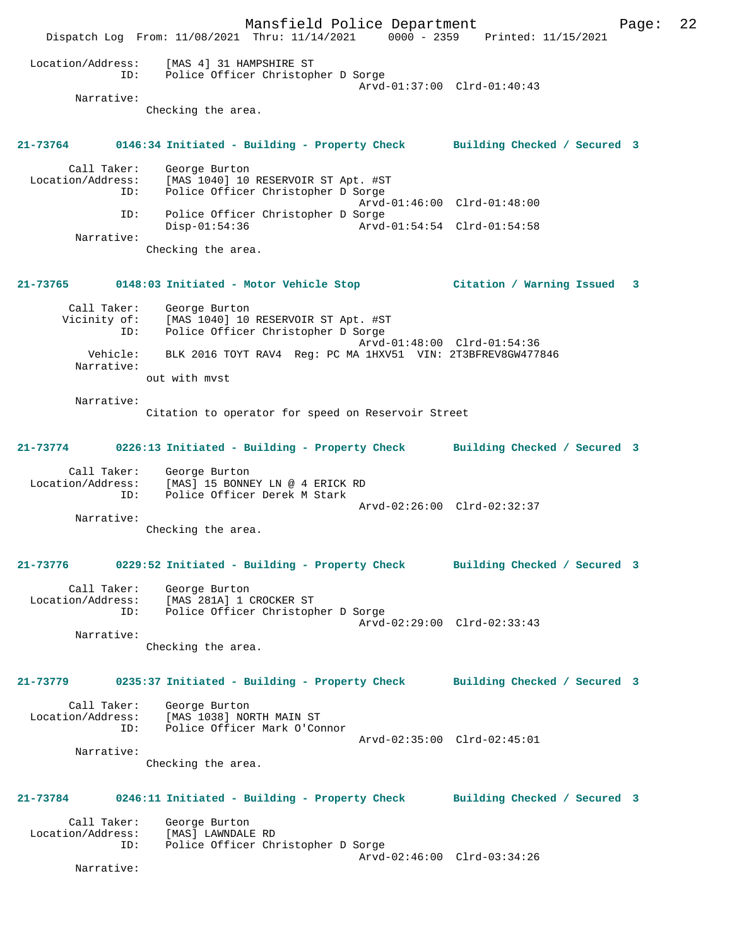Mansfield Police Department Page: 22 Dispatch Log From: 11/08/2021 Thru: 11/14/2021 0000 - 2359 Printed: 11/15/2021 Location/Address: [MAS 4] 31 HAMPSHIRE ST ID: Police Officer Christopher D Sorge Arvd-01:37:00 Clrd-01:40:43 Narrative: Checking the area. **21-73764 0146:34 Initiated - Building - Property Check Building Checked / Secured 3** Call Taker: George Burton Location/Address: [MAS 1040] 10 RESERVOIR ST Apt. #ST ID: Police Officer Christopher D Sorge Arvd-01:46:00 Clrd-01:48:00 ID: Police Officer Christopher D Sorge Disp-01:54:36 Arvd-01:54:54 Clrd-01:54:58 Narrative: Checking the area. **21-73765 0148:03 Initiated - Motor Vehicle Stop Citation / Warning Issued 3** Call Taker: George Burton Vicinity of: [MAS 1040] 10 RESERVOIR ST Apt. #ST ID: Police Officer Christopher D Sorge Arvd-01:48:00 Clrd-01:54:36 Vehicle: BLK 2016 TOYT RAV4 Reg: PC MA 1HXV51 VIN: 2T3BFREV8GW477846 Narrative: out with mvst Narrative: Citation to operator for speed on Reservoir Street **21-73774 0226:13 Initiated - Building - Property Check Building Checked / Secured 3** Call Taker: George Burton Location/Address: [MAS] 15 BONNEY LN @ 4 ERICK RD ID: Police Officer Derek M Stark Arvd-02:26:00 Clrd-02:32:37 Narrative: Checking the area. **21-73776 0229:52 Initiated - Building - Property Check Building Checked / Secured 3** Call Taker: George Burton Location/Address: [MAS 281A] 1 CROCKER ST ID: Police Officer Christopher D Sorge Arvd-02:29:00 Clrd-02:33:43 Narrative: Checking the area. **21-73779 0235:37 Initiated - Building - Property Check Building Checked / Secured 3** Call Taker: George Burton Location/Address: [MAS 1038] NORTH MAIN ST ID: Police Officer Mark O'Connor Arvd-02:35:00 Clrd-02:45:01 Narrative: Checking the area. **21-73784 0246:11 Initiated - Building - Property Check Building Checked / Secured 3** Call Taker: George Burton Location/Address: [MAS] LAWNDALE RD<br>ID: Police Officer Chi Police Officer Christopher D Sorge Arvd-02:46:00 Clrd-03:34:26 Narrative: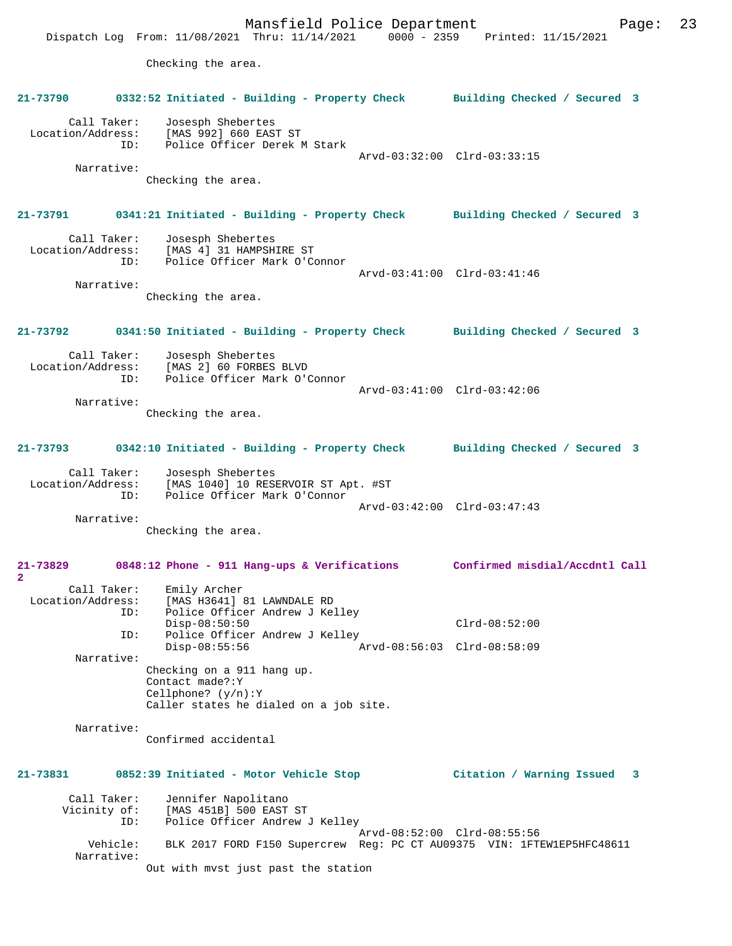Mansfield Police Department Page: 23 Dispatch Log From: 11/08/2021 Thru: 11/14/2021 0000 - 2359 Printed: 11/15/2021 Checking the area. **21-73790 0332:52 Initiated - Building - Property Check Building Checked / Secured 3** Call Taker: Josesph Shebertes Location/Address: [MAS 992] 660 EAST ST<br>TD: Police Officer Derek N Police Officer Derek M Stark Arvd-03:32:00 Clrd-03:33:15 Narrative: Checking the area. **21-73791 0341:21 Initiated - Building - Property Check Building Checked / Secured 3** Call Taker: Josesph Shebertes Location/Address: [MAS 4] 31 HAMPSHIRE ST ID: Police Officer Mark O'Connor Arvd-03:41:00 Clrd-03:41:46 Narrative: Checking the area. **21-73792 0341:50 Initiated - Building - Property Check Building Checked / Secured 3** Call Taker: Josesph Shebertes<br>Location/Address: [MAS 2] 60 FORBES ess: [MAS 2] 60 FORBES BLVD<br>ID: Police Officer Mark O'O Police Officer Mark O'Connor Arvd-03:41:00 Clrd-03:42:06 Narrative: Checking the area. **21-73793 0342:10 Initiated - Building - Property Check Building Checked / Secured 3** Call Taker: Josesph Shebertes Location/Address: [MAS 1040] 10 RESERVOIR ST Apt. #ST ID: Police Officer Mark O'Connor Arvd-03:42:00 Clrd-03:47:43 Narrative: Checking the area. **21-73829 0848:12 Phone - 911 Hang-ups & Verifications Confirmed misdial/Accdntl Call 2**  Call Taker: Emily Archer Location/Address: [MAS H3641] 81 LAWNDALE RD ID: Police Officer Andrew J Kelley Disp-08:50:50 Clrd-08:52:00<br>TD: Police Officer Andrew J Kelley Police Officer Andrew J Kelley<br>Disp-08:55:56 A Disp-08:55:56 Arvd-08:56:03 Clrd-08:58:09 Narrative: Checking on a 911 hang up. Contact made?:Y Cellphone? (y/n):Y Caller states he dialed on a job site. Narrative: Confirmed accidental **21-73831 0852:39 Initiated - Motor Vehicle Stop Citation / Warning Issued 3** Call Taker: Jennifer Napolitano<br>Vicinity of: [MAS 451B] 500 EAST of: [MAS 451B] 500 EAST ST<br>ID: Police Officer Andrew Police Officer Andrew J Kelley Arvd-08:52:00 Clrd-08:55:56<br>Vehicle: BLK 2017 FORD F150 Supercrew Reg: PC CT AU09375 VIN: 1FTI BLK 2017 FORD F150 Supercrew Reg: PC CT AU09375 VIN: 1FTEW1EP5HFC48611 Narrative: Out with mvst just past the station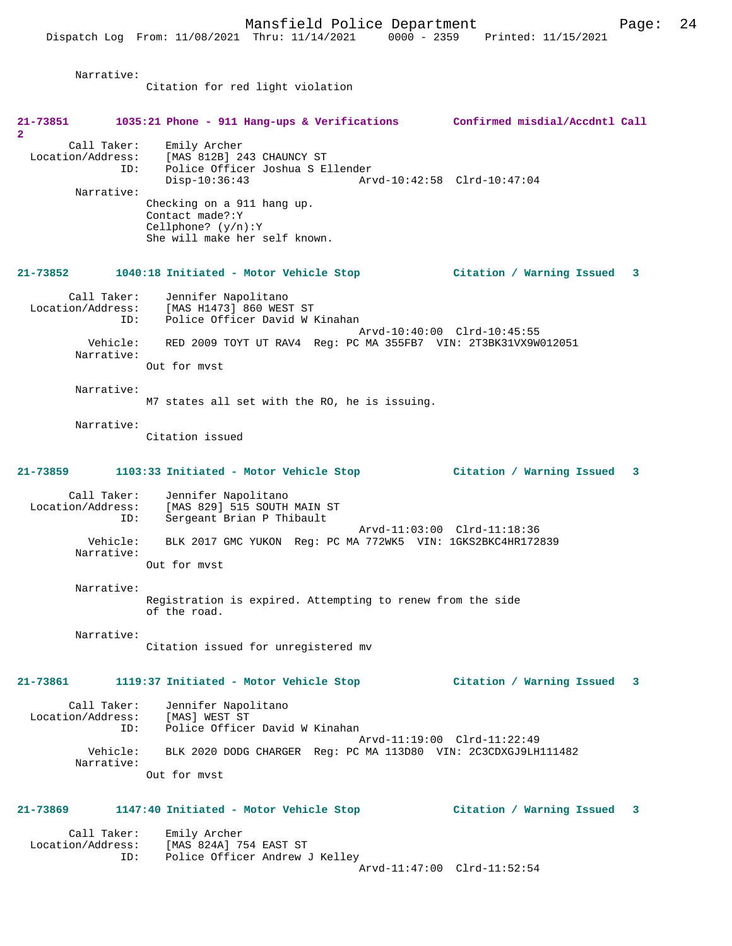Narrative: Citation for red light violation **21-73851 1035:21 Phone - 911 Hang-ups & Verifications Confirmed misdial/Accdntl Call 2**  Call Taker: Emily Archer Location/Address: [MAS 812B] 243 CHAUNCY ST<br>ID: Police Officer Joshua S E ID: Police Officer Joshua S Ellender Disp-10:36:43 Arvd-10:42:58 Clrd-10:47:04 Narrative: Checking on a 911 hang up. Contact made?:Y Cellphone? (y/n):Y She will make her self known. **21-73852 1040:18 Initiated - Motor Vehicle Stop Citation / Warning Issued 3** Call Taker: Jennifer Napolitano Location/Address: [MAS H1473] 860 WEST ST ID: Police Officer David W Kinahan Arvd-10:40:00 Clrd-10:45:55 Vehicle: RED 2009 TOYT UT RAV4 Reg: PC MA 355FB7 VIN: 2T3BK31VX9W012051 Narrative: Out for mvst Narrative: M7 states all set with the RO, he is issuing. Narrative: Citation issued **21-73859 1103:33 Initiated - Motor Vehicle Stop Citation / Warning Issued 3** Call Taker: Jennifer Napolitano<br>Location/Address: [MAS 829] 515 SOUTH ess: [MAS 829] 515 SOUTH MAIN ST<br>ID: Sergeant Brian P Thibault Sergeant Brian P Thibault Arvd-11:03:00 Clrd-11:18:36 Vehicle: BLK 2017 GMC YUKON Reg: PC MA 772WK5 VIN: 1GKS2BKC4HR172839 Narrative: Out for mvst Narrative: Registration is expired. Attempting to renew from the side of the road. Narrative: Citation issued for unregistered mv **21-73861 1119:37 Initiated - Motor Vehicle Stop Citation / Warning Issued 3** Call Taker: Jennifer Napolitano<br>.on/Address: [MAS] WEST ST Location/Address:<br>ID: Police Officer David W Kinahan Arvd-11:19:00 Clrd-11:22:49 Vehicle: BLK 2020 DODG CHARGER Reg: PC MA 113D80 VIN: 2C3CDXGJ9LH111482 Narrative: Out for mvst **21-73869 1147:40 Initiated - Motor Vehicle Stop Citation / Warning Issued 3** Call Taker: Emily Archer<br>Location/Address: [MAS 824A] 7! [MAS 824A] 754 EAST ST ID: Police Officer Andrew J Kelley Arvd-11:47:00 Clrd-11:52:54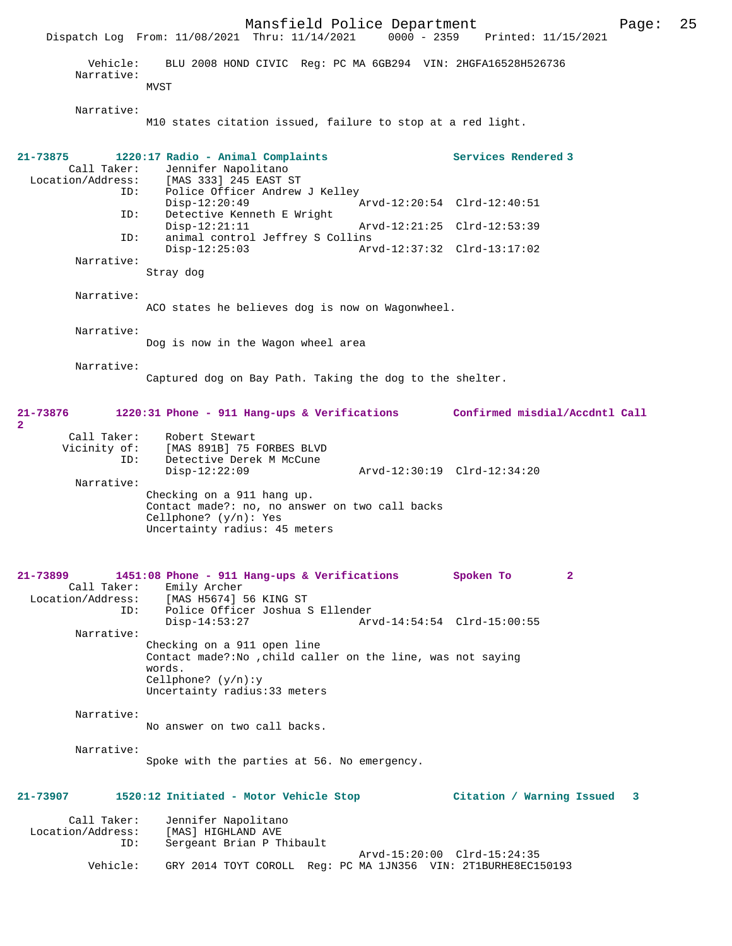Mansfield Police Department Page: 25 Dispatch Log From: 11/08/2021 Thru: 11/14/2021 Vehicle: BLU 2008 HOND CIVIC Reg: PC MA 6GB294 VIN: 2HGFA16528H526736 Narrative: MVST Narrative: M10 states citation issued, failure to stop at a red light. **21-73875 1220:17 Radio - Animal Complaints Services Rendered 3**  Call Taker: Jennifer Napolitano<br>Location/Address: [MAS 333] 245 EAST 9 ess: [MAS 333] 245 EAST ST<br>ID: Police Officer Andrew Police Officer Andrew J Kelley<br>Disp-12:20:49 Disp-12:20:49 Arvd-12:20:54 Clrd-12:40:51<br>ID: Detective Kenneth E Wright Detective Kenneth E Wright<br>Disp-12:21:11 Disp-12:21:11 Arvd-12:21:25 Clrd-12:53:39<br>ID: animal control Jeffrey S Collins animal control Jeffrey S Collins<br>Disp-12:25:03 Ary Disp-12:25:03 Arvd-12:37:32 Clrd-13:17:02 Narrative: Stray dog Narrative: ACO states he believes dog is now on Wagonwheel. Narrative: Dog is now in the Wagon wheel area Narrative: Captured dog on Bay Path. Taking the dog to the shelter. **21-73876 1220:31 Phone - 911 Hang-ups & Verifications Confirmed misdial/Accdntl Call 2**  Call Taker: Robert Stewart<br>Vicinity of: [MAS 891B] 75 : of: [MAS 891B] 75 FORBES BLVD<br>ID: Detective Derek M McCune Detective Derek M McCune<br>Disp-12:22:09 Disp-12:22:09 Arvd-12:30:19 Clrd-12:34:20 Narrative: Checking on a 911 hang up. Contact made?: no, no answer on two call backs Cellphone? (y/n): Yes Uncertainty radius: 45 meters **21-73899 1451:08 Phone - 911 Hang-ups & Verifications Spoken To 2**  Call Taker: Emily Archer<br>Location/Address: [MAS H5674] ess: [MAS H5674] 56 KING ST<br>ID: Police Officer Joshua S Police Officer Joshua S Ellender<br>Disp-14:53:27 Ary Arvd-14:54:54 Clrd-15:00:55 Narrative: Checking on a 911 open line Contact made?:No ,child caller on the line, was not saying words. Cellphone? (y/n):y Uncertainty radius:33 meters Narrative: No answer on two call backs. Narrative: Spoke with the parties at 56. No emergency. **21-73907 1520:12 Initiated - Motor Vehicle Stop Citation / Warning Issued 3** Call Taker: Jennifer Napolitano<br>Location/Address: [MAS] HIGHLAND AVE ess: [MAS] HIGHLAND AVE<br>ID: Sergeant Brian P Tl Sergeant Brian P Thibault Arvd-15:20:00 Clrd-15:24:35<br>Vehicle: GRY 2014 TOYT COROLL Reg: PC MA 1JN356 VIN: 2T1BURHE8EC1 Vehicle: GRY 2014 TOYT COROLL Reg: PC MA 1JN356 VIN: 2T1BURHE8EC150193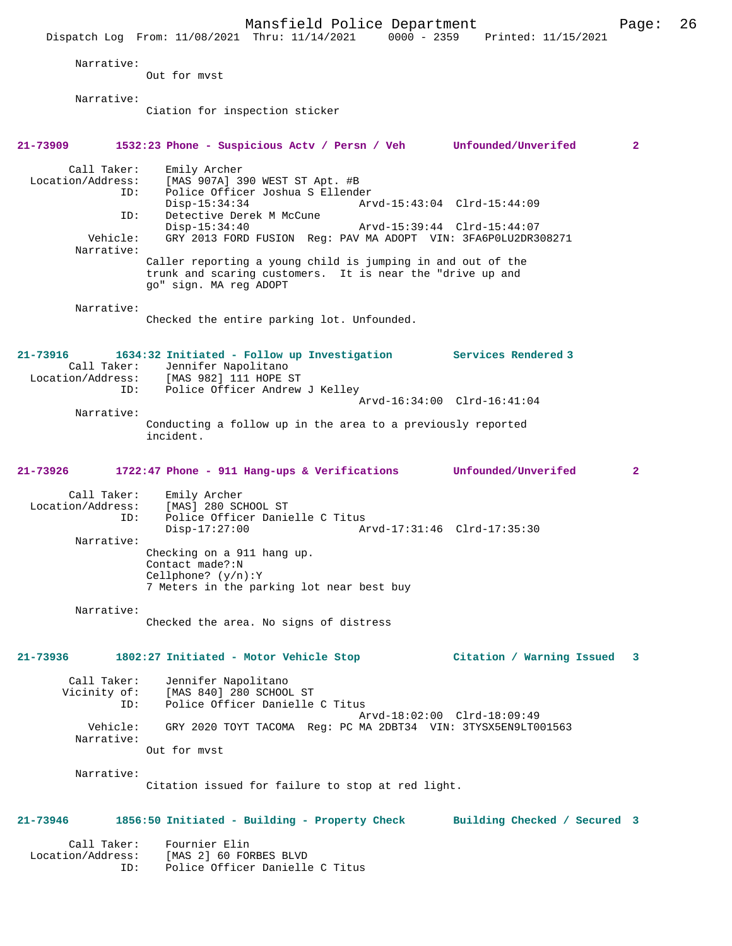Mansfield Police Department Form Page: 26 Dispatch Log From: 11/08/2021 Thru: 11/14/2021 0000 - 2359 Printed: 11/15/2021 Narrative: Out for mvst Narrative: Ciation for inspection sticker **21-73909 1532:23 Phone - Suspicious Actv / Persn / Veh Unfounded/Unverifed 2** Call Taker: Emily Archer<br>Location/Address: [MAS 907A] 3 ess: [MAS 907A] 390 WEST ST Apt. #B<br>ID: Police Officer Joshua S Ellende Police Officer Joshua S Ellender Disp-15:34:34 Arvd-15:43:04 Clrd-15:44:09<br>ID: Detective Derek M McCune Detective Derek M McCune<br>Disp-15:34:40 Disp-15:34:40 Arvd-15:39:44 Clrd-15:44:07<br>Vehicle: GRY 2013 FORD FUSION Req: PAV MA ADOPT VIN: 3FA6P0LU2DR3 GRY 2013 FORD FUSION Reg: PAV MA ADOPT VIN: 3FA6P0LU2DR308271 Narrative: Caller reporting a young child is jumping in and out of the trunk and scaring customers. It is near the "drive up and go" sign. MA reg ADOPT Narrative: Checked the entire parking lot. Unfounded. **21-73916 1634:32 Initiated - Follow up Investigation Services Rendered 3**  Call Taker: Jennifer Napolitano<br>Location/Address: [MAS 982] 111 HOPE 9 [MAS 982] 111 HOPE ST ID: Police Officer Andrew J Kelley Arvd-16:34:00 Clrd-16:41:04 Narrative: Conducting a follow up in the area to a previously reported incident. **21-73926 1722:47 Phone - 911 Hang-ups & Verifications Unfounded/Unverifed 2** Call Taker: Emily Archer<br>Location/Address: [MAS] 280 SC ess: [MAS] 280 SCHOOL ST<br>ID: Police Officer Danie Police Officer Danielle C Titus<br>Disp-17:27:00 Am Disp-17:27:00 Arvd-17:31:46 Clrd-17:35:30 Narrative: Checking on a 911 hang up. Contact made?:N Cellphone? (y/n):Y 7 Meters in the parking lot near best buy Narrative: Checked the area. No signs of distress **21-73936 1802:27 Initiated - Motor Vehicle Stop Citation / Warning Issued 3** Call Taker: Jennifer Napolitano Vicinity of: [MAS 840] 280 SCHOOL ST<br>ID: Police Officer Danielle Police Officer Danielle C Titus Arvd-18:02:00 Clrd-18:09:49 Vehicle: GRY 2020 TOYT TACOMA Reg: PC MA 2DBT34 VIN: 3TYSX5EN9LT001563 Narrative: Out for mvst Narrative: Citation issued for failure to stop at red light. **21-73946 1856:50 Initiated - Building - Property Check Building Checked / Secured 3** Call Taker: Fournier Elin Location/Address: [MAS 2] 60 FORBES BLVD ID: Police Officer Danielle C Titus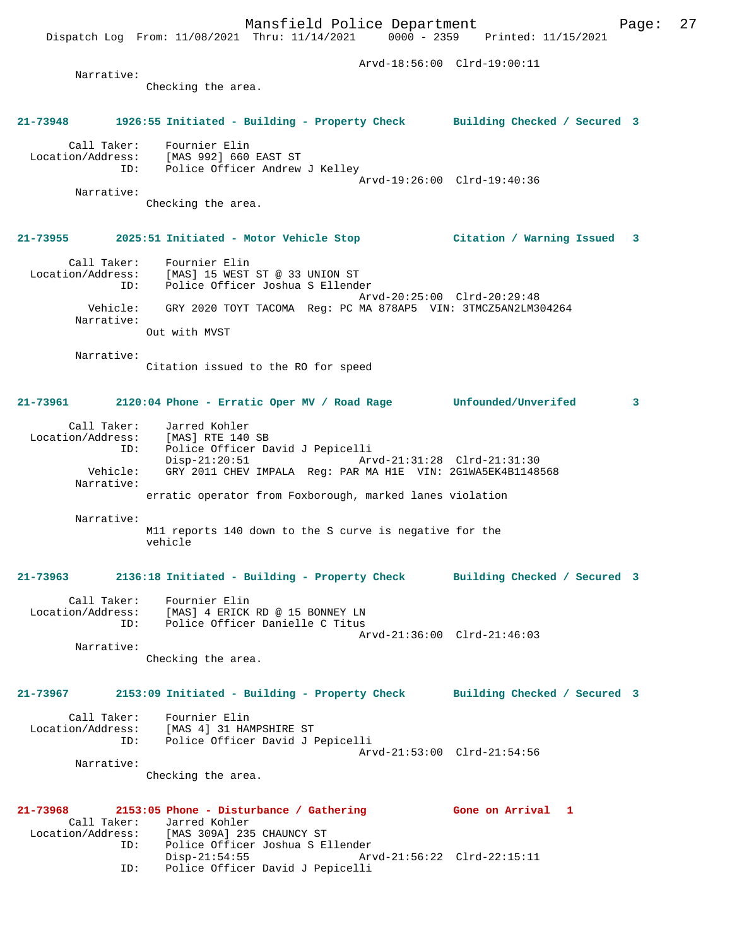Arvd-18:56:00 Clrd-19:00:11 Narrative: Checking the area. **21-73948 1926:55 Initiated - Building - Property Check Building Checked / Secured 3** Call Taker: Fournier Elin Location/Address: [MAS 992] 660 EAST ST ID: Police Officer Andrew J Kelley Arvd-19:26:00 Clrd-19:40:36 Narrative: Checking the area. **21-73955 2025:51 Initiated - Motor Vehicle Stop Citation / Warning Issued 3** Call Taker: Fournier Elin Location/Address: [MAS] 15 WEST ST @ 33 UNION ST ID: Police Officer Joshua S Ellender Arvd-20:25:00 Clrd-20:29:48 Vehicle: GRY 2020 TOYT TACOMA Reg: PC MA 878AP5 VIN: 3TMCZ5AN2LM304264 Narrative: Out with MVST Narrative: Citation issued to the RO for speed **21-73961 2120:04 Phone - Erratic Oper MV / Road Rage Unfounded/Unverifed 3** Call Taker: Jarred Kohler Location/Address: [MAS] RTE 140 SB<br>ID: Police Officer Da Police Officer David J Pepicelli<br>Disp-21:20:51 Ar Disp-21:20:51 Arvd-21:31:28 Clrd-21:31:30<br>Vehicle: GRY 2011 CHEV IMPALA Reg: PAR MA H1E VIN: 2G1WA5EK4B1148! GRY 2011 CHEV IMPALA Reg: PAR MA H1E VIN: 2G1WA5EK4B1148568 Narrative: erratic operator from Foxborough, marked lanes violation Narrative: M11 reports 140 down to the S curve is negative for the vehicle **21-73963 2136:18 Initiated - Building - Property Check Building Checked / Secured 3** Call Taker: Fournier Elin Location/Address: [MAS] 4 ERICK RD @ 15 BONNEY LN ID: Police Officer Danielle C Titus Arvd-21:36:00 Clrd-21:46:03 Narrative: Checking the area. **21-73967 2153:09 Initiated - Building - Property Check Building Checked / Secured 3** Call Taker: Fournier Elin Location/Address: [MAS 4] 31 HAMPSHIRE ST ID: Police Officer David J Pepicelli Arvd-21:53:00 Clrd-21:54:56 Narrative: Checking the area. **21-73968 2153:05 Phone - Disturbance / Gathering Gone on Arrival 1**  Call Taker: Jarred Kohler<br>Location/Address: [MAS 309A] 23! ess: [MAS 309A] 235 CHAUNCY ST<br>ID: Police Officer Joshua S E.<br>Disp-21:54:55 Police Officer Joshua S Ellender Disp-21:54:55 Arvd-21:56:22 Clrd-22:15:11

ID: Police Officer David J Pepicelli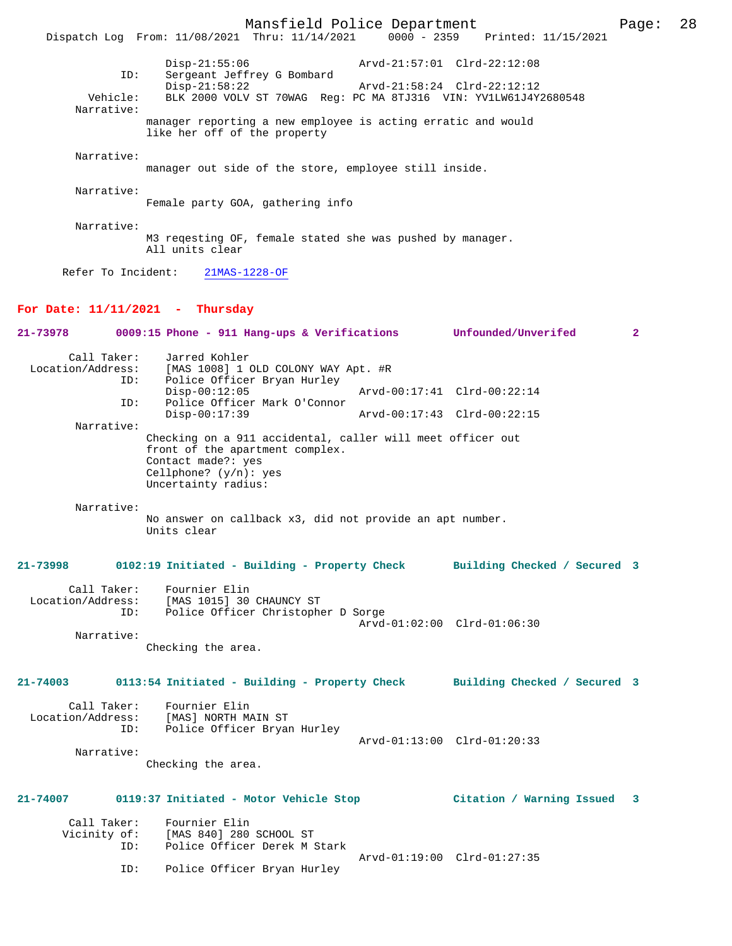Mansfield Police Department Page: 28 Dispatch Log From: 11/08/2021 Thru: 11/14/2021 Disp-21:55:06 Arvd-21:57:01 Clrd-22:12:08 ID: Sergeant Jeffrey G Bombard Disp-21:58:22 <br>Vehicle: BLK 2000 VOLV ST 70WAG Reg: PC MA 8TJ316 VIN: YV1LW61J4Y BLK 2000 VOLV ST 70WAG Reg: PC MA 8TJ316 VIN: YV1LW61J4Y2680548 Narrative: manager reporting a new employee is acting erratic and would like her off of the property Narrative: manager out side of the store, employee still inside. Narrative: Female party GOA, gathering info Narrative: M3 reqesting OF, female stated she was pushed by manager. All units clear Refer To Incident: 21MAS-1228-OF **For Date: 11/11/2021 - Thursday 21-73978 0009:15 Phone - 911 Hang-ups & Verifications Unfounded/Unverifed 2** Call Taker: Jarred Kohler Location/Address: [MAS 1008] 1 OLD COLONY WAY Apt. #R ID: Police Officer Bryan Hurley<br>Disp-00:12:05 Disp-00:12:05 Arvd-00:17:41 Clrd-00:22:14<br>ID: Police Officer Mark O'Connor Police Officer Mark O'Connor<br>Disp-00:17:39 Arvd-00:17:43 Clrd-00:22:15 Narrative: Checking on a 911 accidental, caller will meet officer out front of the apartment complex. Contact made?: yes Cellphone? (y/n): yes Uncertainty radius: Narrative: No answer on callback x3, did not provide an apt number. Units clear **21-73998 0102:19 Initiated - Building - Property Check Building Checked / Secured 3** Call Taker: Fournier Elin Location/Address: [MAS 1015] 30 CHAUNCY ST ID: Police Officer Christopher D Sorge Arvd-01:02:00 Clrd-01:06:30 Narrative: Checking the area. **21-74003 0113:54 Initiated - Building - Property Check Building Checked / Secured 3** Call Taker: Fournier Elin Location/Address: [MAS] NORTH MAIN ST<br>TD: Police Officer Bryan Police Officer Bryan Hurley Arvd-01:13:00 Clrd-01:20:33 Narrative: Checking the area. **21-74007 0119:37 Initiated - Motor Vehicle Stop Citation / Warning Issued 3** Call Taker: Fournier Elin Vicinity of: [MAS 840] 280 SCHOOL ST<br>TD: Police Officer Derek M Police Officer Derek M Stark Arvd-01:19:00 Clrd-01:27:35 ID: Police Officer Bryan Hurley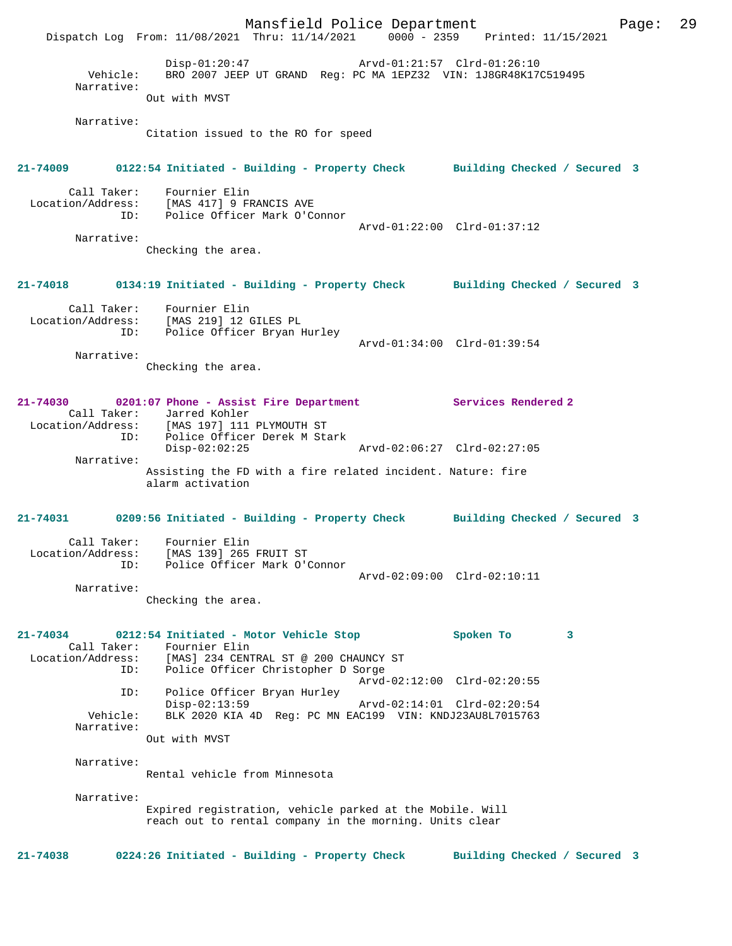Mansfield Police Department Page: 29 Dispatch Log From: 11/08/2021 Thru: 11/14/2021 0000 - 2359 Printed: 11/15/2021 Disp-01:20:47 Arvd-01:21:57 Clrd-01:26:10 Vehicle: BRO 2007 JEEP UT GRAND Reg: PC MA 1EPZ32 VIN: 1J8GR48K17C519495 Narrative: Out with MVST Narrative: Citation issued to the RO for speed **21-74009 0122:54 Initiated - Building - Property Check Building Checked / Secured 3** Call Taker: Fournier Elin Location/Address: [MAS 417] 9 FRANCIS AVE Police Officer Mark O'Connor Arvd-01:22:00 Clrd-01:37:12 Narrative: Checking the area. **21-74018 0134:19 Initiated - Building - Property Check Building Checked / Secured 3** Call Taker: Fournier Elin Location/Address: [MAS 219] 12 GILES PL ID: Police Officer Bryan Hurley Arvd-01:34:00 Clrd-01:39:54 Narrative: Checking the area. **21-74030 0201:07 Phone - Assist Fire Department Services Rendered 2**  Call Taker: Jarred Kohler Location/Address: [MAS 197] 111 PLYMOUTH ST ID: Police Officer Derek M Stark Disp-02:02:25 Arvd-02:06:27 Clrd-02:27:05 Narrative: Assisting the FD with a fire related incident. Nature: fire alarm activation **21-74031 0209:56 Initiated - Building - Property Check Building Checked / Secured 3** Call Taker: Fournier Elin Location/Address: [MAS 139] 265 FRUIT ST ID: Police Officer Mark O'Connor Arvd-02:09:00 Clrd-02:10:11 Narrative: Checking the area. **21-74034 0212:54 Initiated - Motor Vehicle Stop Spoken To 3**  Call Taker: Fournier Elin<br>Location/Address: [MAS] 234 CENT [MAS] 234 CENTRAL ST @ 200 CHAUNCY ST ID: Police Officer Christopher D Sorge Arvd-02:12:00 Clrd-02:20:55 ID: Police Officer Bryan Hurley Disp-02:13:59 Arvd-02:14:01 Clrd-02:20:54<br>Vehicle: BLK 2020 KIA 4D Reg: PC MN EAC199 VIN: KNDJ23AU8L7015763 BLK 2020 KIA 4D Reg: PC MN EAC199 VIN: KNDJ23AU8L7015763 Narrative: Out with MVST Narrative: Rental vehicle from Minnesota Narrative: Expired registration, vehicle parked at the Mobile. Will reach out to rental company in the morning. Units clear **21-74038 0224:26 Initiated - Building - Property Check Building Checked / Secured 3**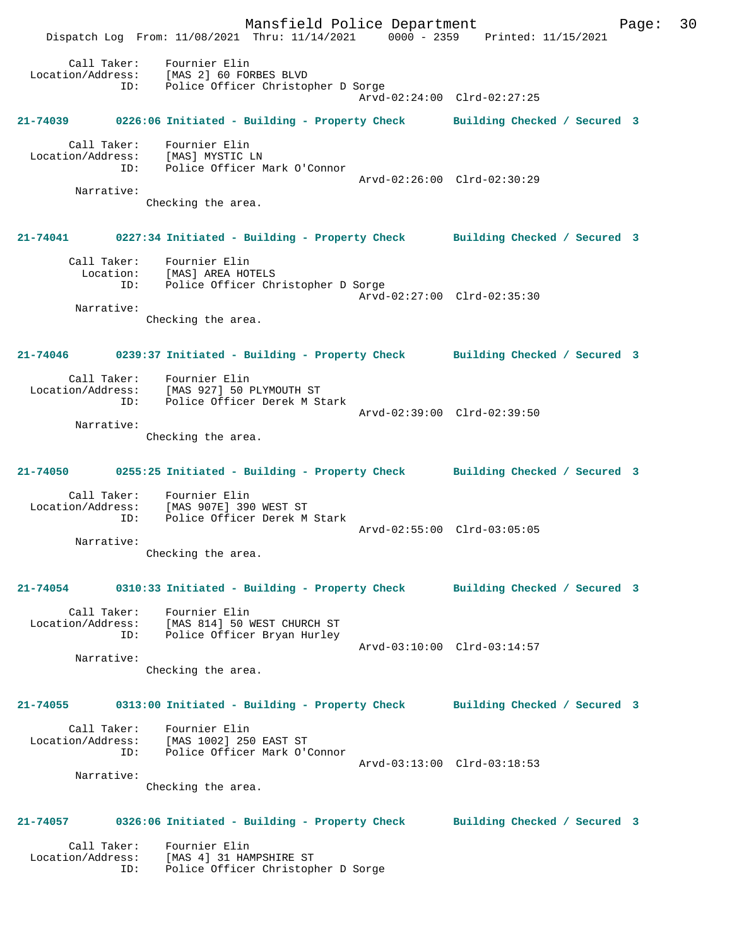Mansfield Police Department Page: 30 Dispatch Log From: 11/08/2021 Thru: 11/14/2021 0000 - 2359 Printed: 11/15/2021 Call Taker: Fournier Elin Location/Address: [MAS 2] 60 FORBES BLVD ID: Police Officer Christopher D Sorge Arvd-02:24:00 Clrd-02:27:25 **21-74039 0226:06 Initiated - Building - Property Check Building Checked / Secured 3** Call Taker: Fournier Elin Location/Address: [MAS] MYSTIC LN ID: Police Officer Mark O'Connor Arvd-02:26:00 Clrd-02:30:29 Narrative: Checking the area. **21-74041 0227:34 Initiated - Building - Property Check Building Checked / Secured 3** Call Taker: Fournier Elin Location: [MAS] AREA HOTELS ID: Police Officer Christopher D Sorge Arvd-02:27:00 Clrd-02:35:30 Narrative: Checking the area. **21-74046 0239:37 Initiated - Building - Property Check Building Checked / Secured 3** Call Taker: Fournier Elin Location/Address: [MAS 927] 50 PLYMOUTH ST ID: Police Officer Derek M Stark Arvd-02:39:00 Clrd-02:39:50 Narrative: Checking the area. **21-74050 0255:25 Initiated - Building - Property Check Building Checked / Secured 3** Call Taker: Fournier Elin Location/Address: [MAS 907E] 390 WEST ST ID: Police Officer Derek M Stark Arvd-02:55:00 Clrd-03:05:05 Narrative: Checking the area. **21-74054 0310:33 Initiated - Building - Property Check Building Checked / Secured 3** Call Taker: Fournier Elin Location/Address: [MAS 814] 50 WEST CHURCH ST ID: Police Officer Bryan Hurley Arvd-03:10:00 Clrd-03:14:57 Narrative: Checking the area. **21-74055 0313:00 Initiated - Building - Property Check Building Checked / Secured 3** Call Taker: Fournier Elin Location/Address: [MAS 1002] 250 EAST ST ID: Police Officer Mark O'Connor Arvd-03:13:00 Clrd-03:18:53 Narrative: Checking the area. **21-74057 0326:06 Initiated - Building - Property Check Building Checked / Secured 3** Call Taker: Fournier Elin Location/Address: [MAS 4] 31 HAMPSHIRE ST ID: Police Officer Christopher D Sorge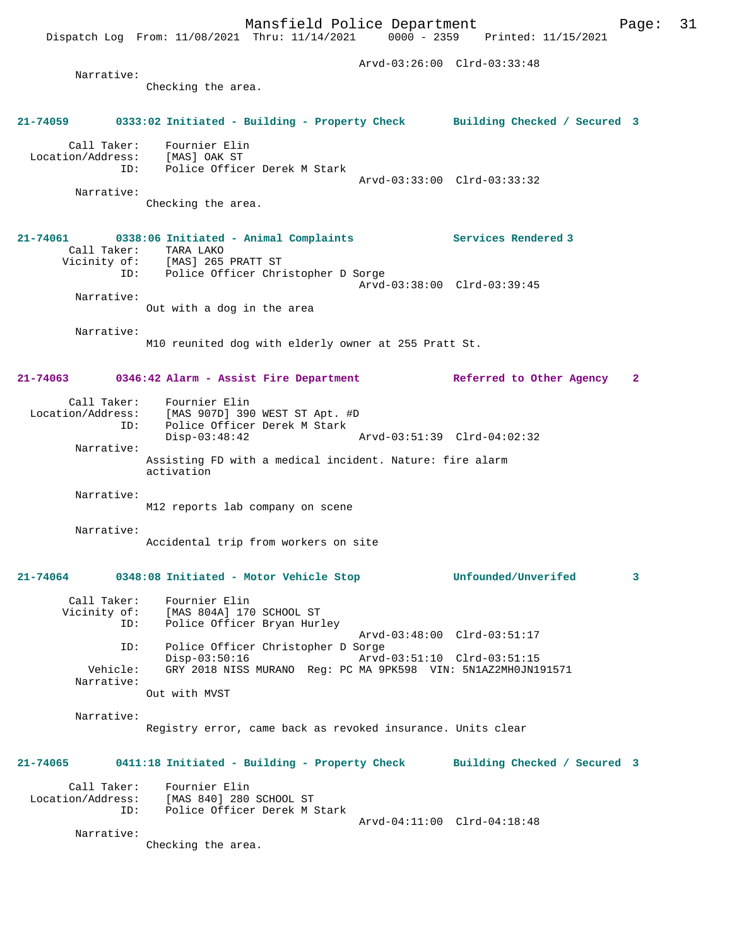Dispatch Log From: 11/08/2021 Thru: 11/14/2021 0000 - 2359 Printed: 11/15/2021 Arvd-03:26:00 Clrd-03:33:48 Narrative: Checking the area. **21-74059 0333:02 Initiated - Building - Property Check Building Checked / Secured 3** Call Taker: Fournier Elin Location/Address: [MAS] OAK ST ID: Police Officer Derek M Stark Arvd-03:33:00 Clrd-03:33:32 Narrative: Checking the area. **21-74061 0338:06 Initiated - Animal Complaints Services Rendered 3**  Call Taker: TARA LAKO Vicinity of: [MAS] 265 PRATT ST ID: Police Officer Christopher D Sorge Arvd-03:38:00 Clrd-03:39:45 Narrative: Out with a dog in the area Narrative: M10 reunited dog with elderly owner at 255 Pratt St. **21-74063 0346:42 Alarm - Assist Fire Department Referred to Other Agency 2** Call Taker: Fournier Elin Location/Address: [MAS 907D] 390 WEST ST Apt. #D ID: Police Officer Derek M Stark Disp-03:48:42 Arvd-03:51:39 Clrd-04:02:32 Narrative: Assisting FD with a medical incident. Nature: fire alarm activation Narrative: M12 reports lab company on scene Narrative: Accidental trip from workers on site **21-74064 0348:08 Initiated - Motor Vehicle Stop Unfounded/Unverifed 3** Call Taker: Fournier Elin<br>Vicinity of: [MAS 804A] 170 Vicinity of: [MAS 804A] 170 SCHOOL ST ID: Police Officer Bryan Hurley Arvd-03:48:00 Clrd-03:51:17 ID: Police Officer Christopher D Sorge Disp-03:50:16 Arvd-03:51:10 Clrd-03:51:15 Vehicle: GRY 2018 NISS MURANO Reg: PC MA 9PK598 VIN: 5N1AZ2MH0JN191571 Narrative: Out with MVST Narrative: Registry error, came back as revoked insurance. Units clear **21-74065 0411:18 Initiated - Building - Property Check Building Checked / Secured 3**

 Call Taker: Fournier Elin Location/Address: [MAS 840] 280 SCHOOL ST ID: Police Officer Derek M Stark Arvd-04:11:00 Clrd-04:18:48

Narrative:

Checking the area.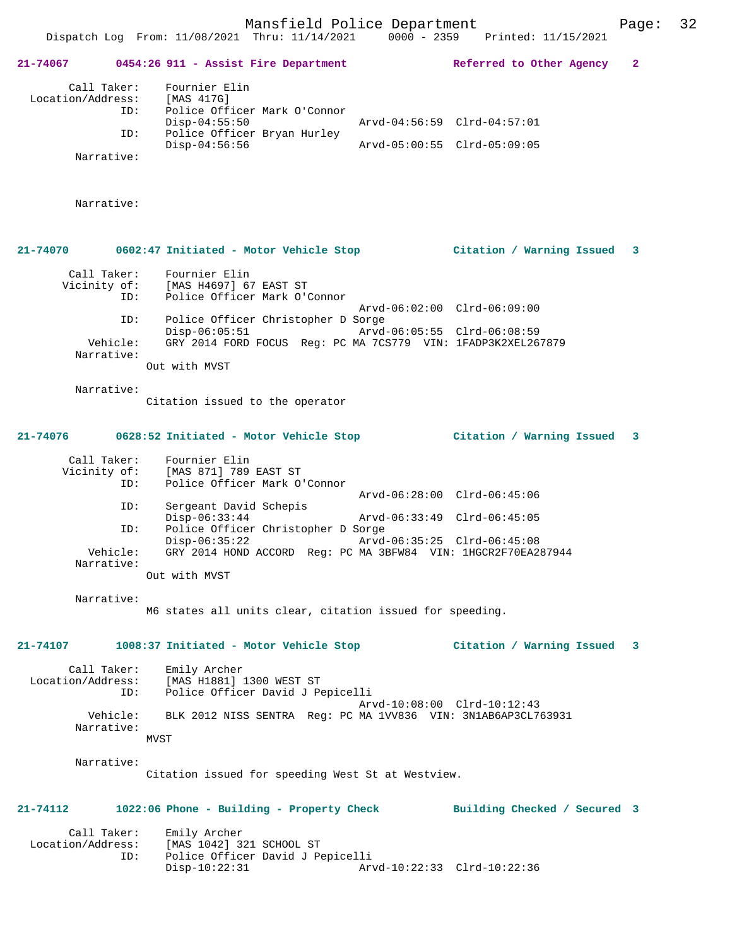**21-74067 0454:26 911 - Assist Fire Department Referred to Other Agency 2**

| Location/Address: [MAS 417G]<br>ID:<br>ID:<br>Narrative: | Call Taker: Fournier Elin<br>Police Officer Mark O'Connor<br>$Disp-04:55:50$<br>Police Officer Bryan Hurley<br>$Disp-04:56:56$ | Arvd-04:56:59 Clrd-04:57:01<br>Arvd-05:00:55 Clrd-05:09:05 |                           |   |
|----------------------------------------------------------|--------------------------------------------------------------------------------------------------------------------------------|------------------------------------------------------------|---------------------------|---|
| Narrative:                                               |                                                                                                                                |                                                            |                           |   |
|                                                          | 21-74070 0602:47 Initiated - Motor Vehicle Stop Citation / Warning Issued                                                      |                                                            |                           | 3 |
| Call Taker:<br>ID:                                       | Fournier Elin<br>Vicinity of: [MAS H4697] 67 EAST ST<br>Police Officer Mark O'Connor                                           |                                                            |                           |   |
| ID:                                                      | Police Officer Christopher D Sorge                                                                                             | Arvd-06:02:00 Clrd-06:09:00                                |                           |   |
| Vehicle:<br>Narrative:                                   | $Disp-06:05:51$<br>GRY 2014 FORD FOCUS Req: PC MA 7CS779 VIN: 1FADP3K2XEL267879<br>Out with MVST                               |                                                            |                           |   |
| Narrative:                                               | Citation issued to the operator                                                                                                |                                                            |                           |   |
|                                                          | 21-74076 0628:52 Initiated - Motor Vehicle Stop Citation / Warning Issued                                                      |                                                            |                           | 3 |
| ID:                                                      | Call Taker: Fournier Elin<br>Vicinity of: [MAS 871] 789 EAST ST<br>Police Officer Mark O'Connor                                | Arvd-06:28:00 Clrd-06:45:06                                |                           |   |
| ID:                                                      | Sergeant David Schepis                                                                                                         |                                                            |                           |   |
| ID:                                                      | $Disp-06:33:44$<br>Police Officer Christopher D Sorge<br>$Disp-06:35:22$                                                       | Arvd-06:33:49 Clrd-06:45:05<br>Arvd-06:35:25 Clrd-06:45:08 |                           |   |
| Vehicle:<br>Narrative:                                   | GRY 2014 HOND ACCORD Reg: PC MA 3BFW84 VIN: 1HGCR2F70EA287944                                                                  |                                                            |                           |   |
|                                                          | Out with MVST                                                                                                                  |                                                            |                           |   |
| Narrative:                                               | M6 states all units clear, citation issued for speeding.                                                                       |                                                            |                           |   |
|                                                          | 21-74107 1008:37 Initiated - Motor Vehicle Stop                                                                                |                                                            | Citation / Warning Issued | 3 |
| Call Taker:<br>Location/Address:<br>ID:                  | Emily Archer<br>[MAS H1881] 1300 WEST ST<br>Police Officer David J Pepicelli                                                   | Arvd-10:08:00 Clrd-10:12:43                                |                           |   |
| Vehicle:<br>Narrative:                                   | BLK 2012 NISS SENTRA Reg: PC MA 1VV836 VIN: 3N1AB6AP3CL763931<br>MVST                                                          |                                                            |                           |   |
| Narrative:                                               | Citation issued for speeding West St at Westview.                                                                              |                                                            |                           |   |
| 21-74112                                                 | 1022:06 Phone - Building - Property Check Building Checked / Secured 3                                                         |                                                            |                           |   |
| Call Taker:<br>ID:                                       | Emily Archer<br>Location/Address: [MAS 1042] 321 SCHOOL ST<br>Police Officer David J Pepicelli<br>$Disp-10:22:31$              | Arvd-10:22:33 Clrd-10:22:36                                |                           |   |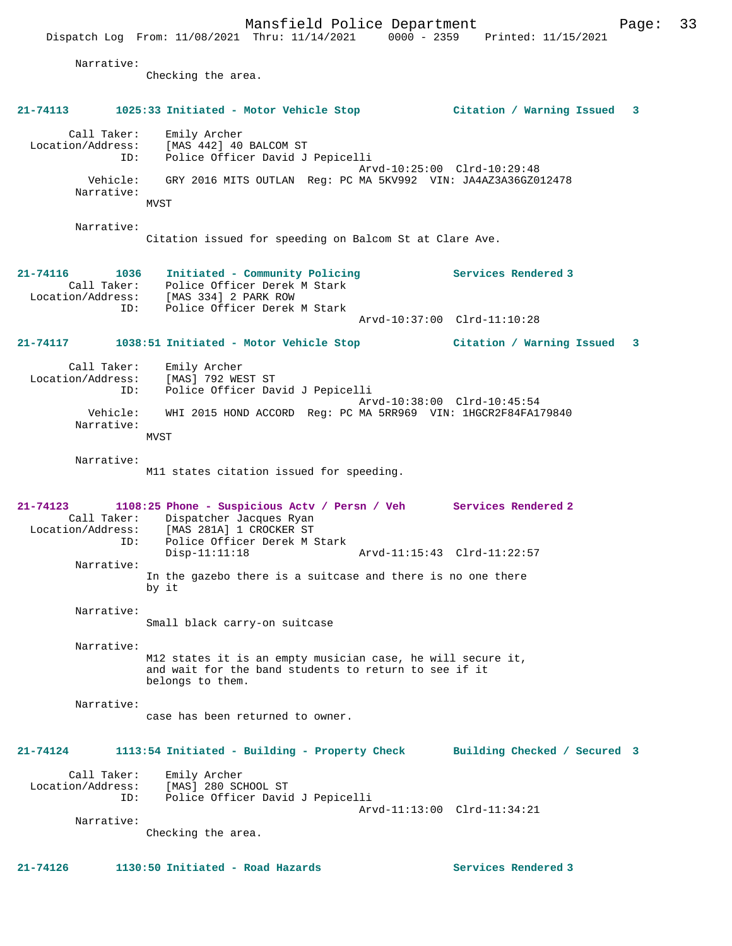Mansfield Police Department Page: 33 Dispatch Log From: 11/08/2021 Thru: 11/14/2021 0000 - 2359 Printed: 11/15/2021 Narrative: Checking the area. **21-74113 1025:33 Initiated - Motor Vehicle Stop Citation / Warning Issued 3** Call Taker: Emily Archer Location/Address: [MAS 442] 40 BALCOM ST ID: Police Officer David J Pepicelli Arvd-10:25:00 Clrd-10:29:48 Vehicle: GRY 2016 MITS OUTLAN Reg: PC MA 5KV992 VIN: JA4AZ3A36GZ012478 Narrative: MVST Narrative: Citation issued for speeding on Balcom St at Clare Ave. **21-74116 1036 Initiated - Community Policing Services Rendered 3**  Call Taker: Police Officer Derek M Stark Location/Address: [MAS 334] 2 PARK ROW ID: Police Officer Derek M Stark Arvd-10:37:00 Clrd-11:10:28 **21-74117 1038:51 Initiated - Motor Vehicle Stop Citation / Warning Issued 3** Call Taker: Emily Archer Location/Address: [MAS] 792 WEST ST ID: Police Officer David J Pepicelli Arvd-10:38:00 Clrd-10:45:54 Vehicle: WHI 2015 HOND ACCORD Reg: PC MA 5RR969 VIN: 1HGCR2F84FA179840 Narrative: MVST Narrative: M11 states citation issued for speeding. **21-74123 1108:25 Phone - Suspicious Actv / Persn / Veh Services Rendered 2**  Call Taker: Dispatcher Jacques Ryan<br>Location/Address: [MAS 281A] 1 CROCKER ST Location/Address: [MAS 281A] 1 CROCKER ST ID: Police Officer Derek M Stark Disp-11:11:18 Arvd-11:15:43 Clrd-11:22:57 Narrative: In the gazebo there is a suitcase and there is no one there by it Narrative: Small black carry-on suitcase Narrative: M12 states it is an empty musician case, he will secure it, and wait for the band students to return to see if it belongs to them. Narrative: case has been returned to owner. **21-74124 1113:54 Initiated - Building - Property Check Building Checked / Secured 3** Call Taker: Emily Archer Location/Address: [MAS] 280 SCHOOL ST ID: Police Officer David J Pepicelli Arvd-11:13:00 Clrd-11:34:21 Narrative: Checking the area. **21-74126 1130:50 Initiated - Road Hazards Services Rendered 3**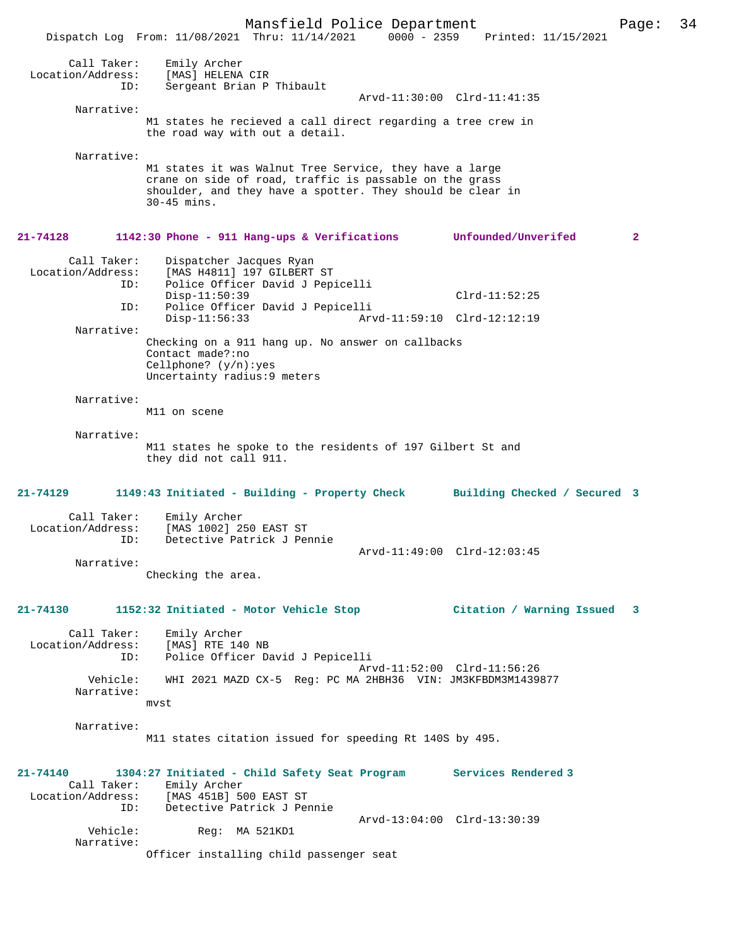Mansfield Police Department Page: 34 Dispatch Log From: 11/08/2021 Thru: 11/14/2021 0000 - 2359 Printed: 11/15/2021 Call Taker: Emily Archer Location/Address: [MAS] HELENA CIR<br>ID: Sergeant Brian D Sergeant Brian P Thibault Arvd-11:30:00 Clrd-11:41:35 Narrative: M1 states he recieved a call direct regarding a tree crew in the road way with out a detail. Narrative: M1 states it was Walnut Tree Service, they have a large crane on side of road, traffic is passable on the grass shoulder, and they have a spotter. They should be clear in 30-45 mins. **21-74128 1142:30 Phone - 911 Hang-ups & Verifications Unfounded/Unverifed 2** Call Taker: Dispatcher Jacques Ryan<br>Location/Address: [MAS H4811] 197 GILBERT ess: [MAS H4811] 197 GILBERT ST<br>ID: Police Officer David J Pep Police Officer David J Pepicelli Disp-11:50:39 Clrd-11:52:25<br>ID: Police Officer David J Pepicelli Police Officer David J Pepicelli Disp-11:56:33 Arvd-11:59:10 Clrd-12:12:19 Narrative: Checking on a 911 hang up. No answer on callbacks Contact made?:no Cellphone? (y/n):yes Uncertainty radius:9 meters Narrative: M11 on scene Narrative: M11 states he spoke to the residents of 197 Gilbert St and they did not call 911. **21-74129 1149:43 Initiated - Building - Property Check Building Checked / Secured 3** Call Taker: Emily Archer<br>on/Address: The Contract on Contract of Location/Address: [MAS 1002] 250 EAST ST ID: Detective Patrick J Pennie Arvd-11:49:00 Clrd-12:03:45 Narrative: Checking the area. **21-74130 1152:32 Initiated - Motor Vehicle Stop Citation / Warning Issued 3** Call Taker: Emily Archer<br>.on/Address: [MAS] RTE 140 NB Location/Address:<br>ID: Police Officer David J Pepicelli Arvd-11:52:00 Clrd-11:56:26 Vehicle: WHI 2021 MAZD CX-5 Reg: PC MA 2HBH36 VIN: JM3KFBDM3M1439877 Narrative: mvst Narrative: M11 states citation issued for speeding Rt 140S by 495. **21-74140 1304:27 Initiated - Child Safety Seat Program Services Rendered 3**  Call Taker: Emily Archer Location/Address: [MAS 451B] 500 EAST ST<br>ID: Detective Patrick J Per Detective Patrick J Pennie Arvd-13:04:00 Clrd-13:30:39 Vehicle: Reg: MA 521KD1 Narrative: Officer installing child passenger seat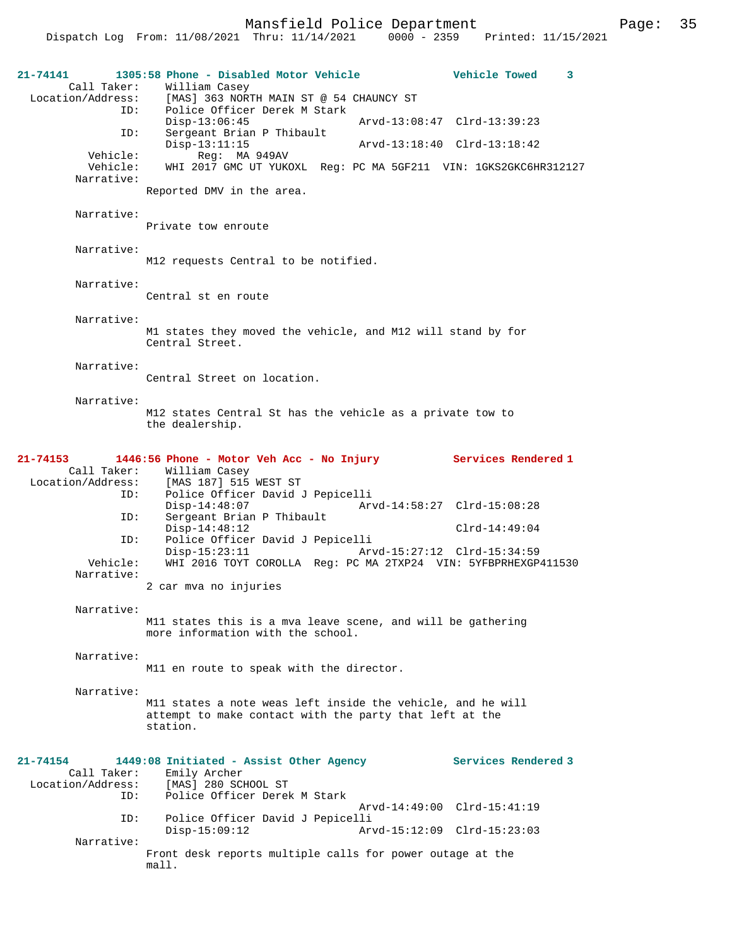Dispatch Log From: 11/08/2021 Thru: 11/14/2021 0000 - 2359 Printed: 11/15/2021

| 21-74141<br>Call Taker:                 | 1305:58 Phone - Disabled Motor Vehicle<br>William Casey                                                                            | <b>Vehicle Towed</b><br>3   |
|-----------------------------------------|------------------------------------------------------------------------------------------------------------------------------------|-----------------------------|
| Location/Address:<br>ID:                | [MAS] 363 NORTH MAIN ST @ 54 CHAUNCY ST<br>Police Officer Derek M Stark                                                            |                             |
| ID:                                     | $Disp-13:06:45$<br>Sergeant Brian P Thibault                                                                                       | Arvd-13:08:47 Clrd-13:39:23 |
| Vehicle:                                | $Disp-13:11:15$<br>Reg: MA 949AV                                                                                                   | Arvd-13:18:40 Clrd-13:18:42 |
| Vehicle:<br>Narrative:                  | WHI 2017 GMC UT YUKOXL Reg: PC MA 5GF211 VIN: 1GKS2GKC6HR312127                                                                    |                             |
|                                         | Reported DMV in the area.                                                                                                          |                             |
| Narrative:                              | Private tow enroute                                                                                                                |                             |
| Narrative:                              | M12 requests Central to be notified.                                                                                               |                             |
| Narrative:                              | Central st en route                                                                                                                |                             |
| Narrative:                              | M1 states they moved the vehicle, and M12 will stand by for<br>Central Street.                                                     |                             |
| Narrative:                              | Central Street on location.                                                                                                        |                             |
| Narrative:                              |                                                                                                                                    |                             |
|                                         | M12 states Central St has the vehicle as a private tow to<br>the dealership.                                                       |                             |
| 21-74153                                | 1446:56 Phone - Motor Veh Acc - No Injury                                                                                          | Services Rendered 1         |
| Call Taker:                             | William Casey<br>Location/Address: [MAS 187] 515 WEST ST                                                                           |                             |
| ID:<br>ID:                              | Police Officer David J Pepicelli<br>$Disp-14:48:07$<br>Sergeant Brian P Thibault                                                   | Arvd-14:58:27 Clrd-15:08:28 |
| ID:                                     | $Disp-14:48:12$<br>Police Officer David J Pepicelli                                                                                | $Clrd-14:49:04$             |
| Vehicle:                                | Disp-15:23:11<br>WHI 2016 TOYT COROLLA Req: PC MA 2TXP24 VIN: 5YFBPRHEXGP411530                                                    | Arvd-15:27:12 Clrd-15:34:59 |
| Narrative:                              | 2 car mva no injuries                                                                                                              |                             |
| Narrative:                              | M11 states this is a mva leave scene, and will be gathering<br>more information with the school.                                   |                             |
| Narrative:                              |                                                                                                                                    |                             |
|                                         | M11 en route to speak with the director.                                                                                           |                             |
| Narrative:                              | M11 states a note weas left inside the vehicle, and he will<br>attempt to make contact with the party that left at the<br>station. |                             |
| $21 - 74154$                            | 1449:08 Initiated - Assist Other Agency                                                                                            | Services Rendered 3         |
| Call Taker:<br>Location/Address:<br>ID: | Emily Archer<br>[MAS] 280 SCHOOL ST<br>Police Officer Derek M Stark                                                                | Arvd-14:49:00 Clrd-15:41:19 |
| ID:                                     | Police Officer David J Pepicelli<br>$Disp-15:09:12$                                                                                | Arvd-15:12:09 Clrd-15:23:03 |
| Narrative:                              | Front desk reports multiple calls for power outage at the                                                                          |                             |
|                                         | mall.                                                                                                                              |                             |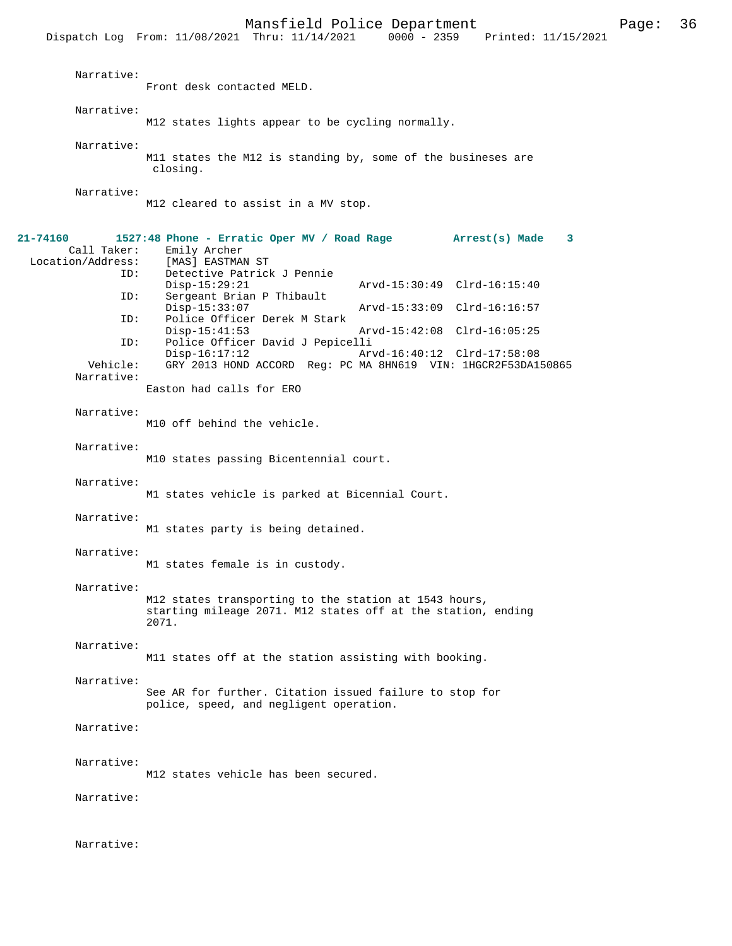|                                                                               | 10110122022202200<br>- - - -<br>Dispatch Log From: 11/08/2021 Thru: 11/14/2021 0000 - 2359 Printed: 11/15/2021                                                                                                                                                                                                                                                                                                                                                                                                                                      |
|-------------------------------------------------------------------------------|-----------------------------------------------------------------------------------------------------------------------------------------------------------------------------------------------------------------------------------------------------------------------------------------------------------------------------------------------------------------------------------------------------------------------------------------------------------------------------------------------------------------------------------------------------|
| Narrative:                                                                    | Front desk contacted MELD.                                                                                                                                                                                                                                                                                                                                                                                                                                                                                                                          |
| Narrative:                                                                    | M12 states lights appear to be cycling normally.                                                                                                                                                                                                                                                                                                                                                                                                                                                                                                    |
| Narrative:                                                                    | M11 states the M12 is standing by, some of the busineses are<br>closing.                                                                                                                                                                                                                                                                                                                                                                                                                                                                            |
| Narrative:                                                                    | M12 cleared to assist in a MV stop.                                                                                                                                                                                                                                                                                                                                                                                                                                                                                                                 |
| 21-74160<br>Call Taker:<br>ID:<br>ID:<br>ID:<br>ID:<br>Vehicle:<br>Narrative: | 1527:48 Phone - Erratic Oper MV / Road Rage Arrest(s) Made<br>3<br>Emily Archer<br>Location/Address: [MAS] EASTMAN ST<br>Detective Patrick J Pennie<br>Arvd-15:30:49 Clrd-16:15:40<br>Disp-15:29:21<br>Sergeant Brian P Thibault<br>Disp-15:33:07<br>Arvd-15:33:09 Clrd-16:16:57<br>Police Officer Derek M Stark<br>Arvd-15:42:08 Clrd-16:05:25<br>$Disp-15:41:53$<br>Police Officer David J Pepicelli<br>Disp-16:17:12<br>Arvd-16:40:12 Clrd-17:58:08<br>GRY 2013 HOND ACCORD Reg: PC MA 8HN619 VIN: 1HGCR2F53DA150865<br>Easton had calls for ERO |
| Narrative:                                                                    | M10 off behind the vehicle.                                                                                                                                                                                                                                                                                                                                                                                                                                                                                                                         |
| Narrative:                                                                    | M10 states passing Bicentennial court.                                                                                                                                                                                                                                                                                                                                                                                                                                                                                                              |
| Narrative:                                                                    | M1 states vehicle is parked at Bicennial Court.                                                                                                                                                                                                                                                                                                                                                                                                                                                                                                     |
| Narrative:                                                                    | M1 states party is being detained.                                                                                                                                                                                                                                                                                                                                                                                                                                                                                                                  |
| Narrative:                                                                    | M1 states female is in custody.                                                                                                                                                                                                                                                                                                                                                                                                                                                                                                                     |
| Narrative:                                                                    | M12 states transporting to the station at 1543 hours,<br>starting mileage 2071. M12 states off at the station, ending<br>2071.                                                                                                                                                                                                                                                                                                                                                                                                                      |
| Narrative:                                                                    | M11 states off at the station assisting with booking.                                                                                                                                                                                                                                                                                                                                                                                                                                                                                               |
| Narrative:                                                                    | See AR for further. Citation issued failure to stop for<br>police, speed, and negligent operation.                                                                                                                                                                                                                                                                                                                                                                                                                                                  |
| Narrative:                                                                    |                                                                                                                                                                                                                                                                                                                                                                                                                                                                                                                                                     |
| Narrative:                                                                    | M12 states vehicle has been secured.                                                                                                                                                                                                                                                                                                                                                                                                                                                                                                                |
| Narrative:                                                                    |                                                                                                                                                                                                                                                                                                                                                                                                                                                                                                                                                     |
| Narrative:                                                                    |                                                                                                                                                                                                                                                                                                                                                                                                                                                                                                                                                     |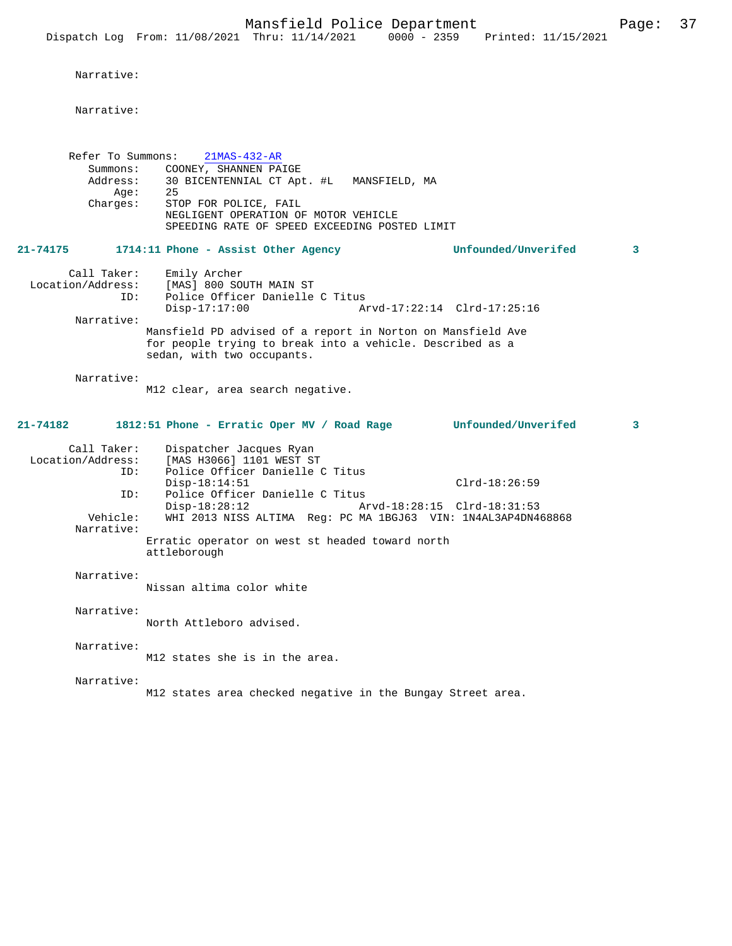## Narrative:

Narrative:

| Refer To Summons:<br>Summons:<br>Address:<br>Age:<br>Charges: | $21MAS-432-AR$<br>COONEY, SHANNEN PAIGE<br>30 BICENTENNIAL CT Apt. #L MANSFIELD, MA<br>25<br>STOP FOR POLICE, FAIL<br>NEGLIGENT OPERATION OF MOTOR VEHICLE<br>SPEEDING RATE OF SPEED EXCEEDING POSTED LIMIT |   |
|---------------------------------------------------------------|-------------------------------------------------------------------------------------------------------------------------------------------------------------------------------------------------------------|---|
| 21-74175                                                      | Unfounded/Unverifed<br>1714:11 Phone - Assist Other Agency                                                                                                                                                  | 3 |
| Call Taker:<br>ID:<br>Narrative:                              | Emily Archer<br>Location/Address: [MAS] 800 SOUTH MAIN ST<br>Police Officer Danielle C Titus<br>$Disp-17:17:00$<br>Arvd-17:22:14 Clrd-17:25:16                                                              |   |
|                                                               | Mansfield PD advised of a report in Norton on Mansfield Ave<br>for people trying to break into a vehicle. Described as a<br>sedan, with two occupants.                                                      |   |
| Narrative:                                                    | M12 clear, area search negative.                                                                                                                                                                            |   |
| 21-74182                                                      | 1812:51 Phone - Erratic Oper MV / Road Rage Unfounded/Unverifed                                                                                                                                             | 3 |
| Call Taker:<br>Location/Address:<br>ID:                       | Dispatcher Jacques Ryan<br>[MAS H3066] 1101 WEST ST<br>Police Officer Danielle C Titus<br>$Disp-18:14:51$<br>$Clrd-18:26:59$                                                                                |   |
| ID:<br>Vehicle:                                               | Police Officer Danielle C Titus<br>Disp-18:28:12<br>Arvd-18:28:15 Clrd-18:31:53<br>WHI 2013 NISS ALTIMA Reg: PC MA 1BGJ63 VIN: 1N4AL3AP4DN468868                                                            |   |
| Narrative:                                                    | Erratic operator on west st headed toward north<br>attleborough                                                                                                                                             |   |
| Narrative:                                                    | Nissan altima color white                                                                                                                                                                                   |   |
| Narrative:                                                    | North Attleboro advised.                                                                                                                                                                                    |   |
| Narrative:                                                    | M12 states she is in the area.                                                                                                                                                                              |   |
| Narrative:                                                    | M12 states area checked negative in the Bungay Street area.                                                                                                                                                 |   |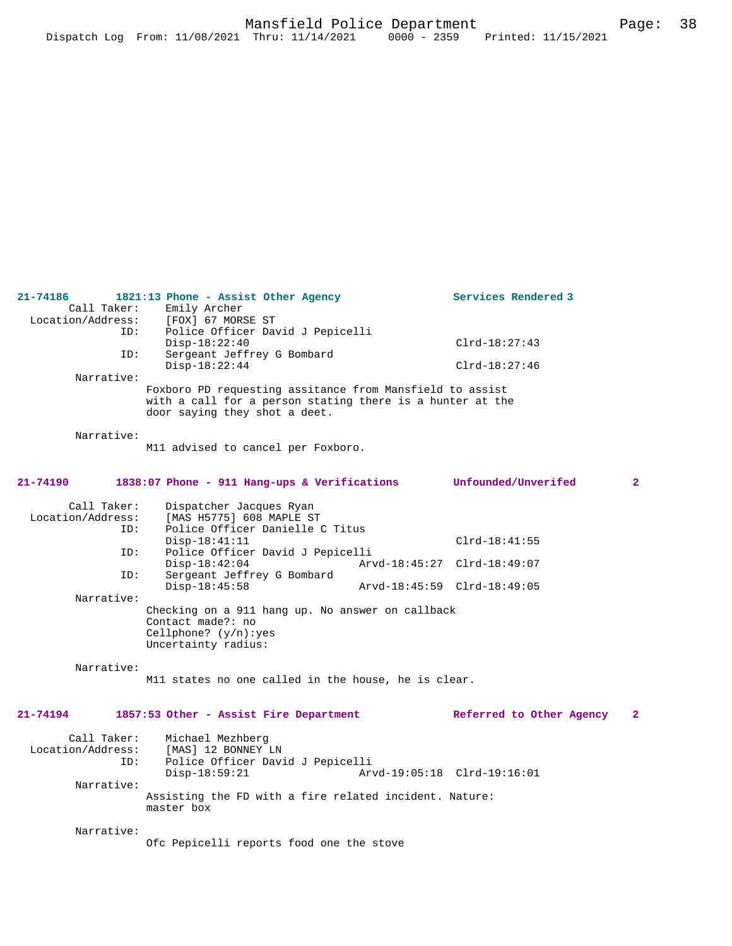| Call Taker:       | Emily Archer                                              |  |                             |                |
|-------------------|-----------------------------------------------------------|--|-----------------------------|----------------|
| Location/Address: | [FOX] 67 MORSE ST                                         |  |                             |                |
| ID:               | Police Officer David J Pepicelli                          |  |                             |                |
|                   | $Disp-18:22:40$                                           |  | $Clrd-18:27:43$             |                |
| ID:               | Sergeant Jeffrey G Bombard                                |  |                             |                |
|                   | $Disp-18:22:44$                                           |  | $Clrd-18:27:46$             |                |
| Narrative:        |                                                           |  |                             |                |
|                   | Foxboro PD requesting assitance from Mansfield to assist  |  |                             |                |
|                   | with a call for a person stating there is a hunter at the |  |                             |                |
|                   | door saying they shot a deet.                             |  |                             |                |
|                   |                                                           |  |                             |                |
| Narrative:        |                                                           |  |                             |                |
|                   | M11 advised to cancel per Foxboro.                        |  |                             |                |
| 21-74190          | 1838:07 Phone - 911 Hang-ups & Verifications              |  | Unfounded/Unverifed         | $\overline{a}$ |
|                   |                                                           |  |                             |                |
| Call Taker:       | Dispatcher Jacques Ryan                                   |  |                             |                |
| Location/Address: | [MAS H5775] 608 MAPLE ST                                  |  |                             |                |
| ID:               | Police Officer Danielle C Titus                           |  |                             |                |
|                   | $Disp-18:41:11$                                           |  | $Clrd-18:41:55$             |                |
| ID:               | Police Officer David J Pepicelli                          |  |                             |                |
|                   | $Disp-18:42:04$                                           |  | Arvd-18:45:27 Clrd-18:49:07 |                |
| TD:               | Sergeant Jeffrey G Bombard                                |  |                             |                |
|                   | $Disp-18:45:58$                                           |  | Arvd-18:45:59 Clrd-18:49:05 |                |
| Narrative:        |                                                           |  |                             |                |
|                   | Checking on a 911 hang up. No answer on callback          |  |                             |                |
|                   | Contact made?: no                                         |  |                             |                |
|                   | Cellphone? $(y/n):yes$                                    |  |                             |                |
|                   | Uncertainty radius:                                       |  |                             |                |
|                   |                                                           |  |                             |                |
| Narrative:        |                                                           |  |                             |                |
|                   | M11 states no one called in the house, he is clear.       |  |                             |                |
|                   |                                                           |  |                             |                |
| $21 - 74194$      | 1857:53 Other - Assist Fire Department                    |  | Referred to Other Agency    | $\mathbf{2}$   |
| Call Taker:       | Michael Mezhberg                                          |  |                             |                |
| Location/Address: | [MAS] 12 BONNEY LN                                        |  |                             |                |
| ID:               | Police Officer David J Pepicelli                          |  |                             |                |
|                   | $Disp-18:59:21$                                           |  | Arvd-19:05:18 Clrd-19:16:01 |                |
| Narrative:        |                                                           |  |                             |                |
|                   | Assisting the FD with a fire related incident. Nature:    |  |                             |                |
|                   | master box                                                |  |                             |                |
|                   |                                                           |  |                             |                |
| Narrative:        |                                                           |  |                             |                |
|                   | Ofc Pepicelli reports food one the stove                  |  |                             |                |
|                   |                                                           |  |                             |                |
|                   |                                                           |  |                             |                |

**21-74186 1821:13 Phone - Assist Other Agency Services Rendered 3**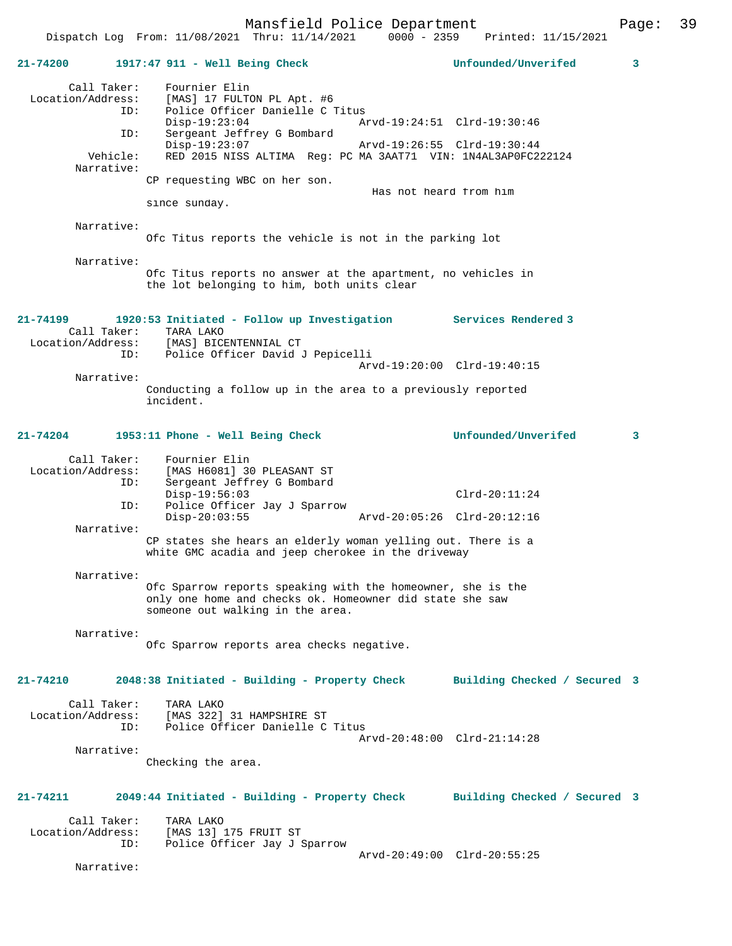| $21 - 74200$      |                           | $1917:47$ 911 - Well Being Check                                                                                                                            | Unfounded/Unverifed                                        | 3 |
|-------------------|---------------------------|-------------------------------------------------------------------------------------------------------------------------------------------------------------|------------------------------------------------------------|---|
| Location/Address: | Call Taker:<br>ID:<br>ID: | Fournier Elin<br>[MAS] 17 FULTON PL Apt. #6<br>Police Officer Danielle C Titus<br>$Disp-19:23:04$<br>Sergeant Jeffrey G Bombard<br>$Disp-19:23:07$          | Arvd-19:24:51 Clrd-19:30:46<br>Arvd-19:26:55 Clrd-19:30:44 |   |
|                   | Vehicle:<br>Narrative:    | RED 2015 NISS ALTIMA Req: PC MA 3AAT71 VIN: 1N4AL3AP0FC222124<br>CP requesting WBC on her son.<br>Has not heard from him<br>since sunday.                   |                                                            |   |
|                   | Narrative:                | Ofc Titus reports the vehicle is not in the parking lot                                                                                                     |                                                            |   |
|                   | Narrative:                | Ofc Titus reports no answer at the apartment, no vehicles in<br>the lot belonging to him, both units clear                                                  |                                                            |   |
| $21 - 74199$      | Call Taker:               | 1920:53 Initiated - Follow up Investigation Services Rendered 3<br>TARA LAKO<br>Location/Address: [MAS] BICENTENNIAL CT                                     |                                                            |   |
|                   | ID:<br>Narrative:         | Police Officer David J Pepicelli                                                                                                                            | Arvd-19:20:00 Clrd-19:40:15                                |   |
|                   |                           | Conducting a follow up in the area to a previously reported<br>incident.                                                                                    |                                                            |   |
| 21-74204          |                           | 1953:11 Phone - Well Being Check                                                                                                                            | Unfounded/Unverifed                                        | 3 |
| Location/Address: | Call Taker:<br>ID:        | Fournier Elin<br>[MAS H6081] 30 PLEASANT ST<br>Sergeant Jeffrey G Bombard<br>$Disp-19:56:03$                                                                | $Clrd-20:11:24$                                            |   |
|                   | ID:                       | Police Officer Jay J Sparrow<br>$Disp-20:03:55$<br>Arvd-20:05:26 Clrd-20:12:16                                                                              |                                                            |   |
|                   | Narrative:                | CP states she hears an elderly woman yelling out. There is a<br>white GMC acadia and jeep cherokee in the driveway                                          |                                                            |   |
|                   | Narrative:                | Ofc Sparrow reports speaking with the homeowner, she is the<br>only one home and checks ok. Homeowner did state she saw<br>someone out walking in the area. |                                                            |   |
|                   | Narrative:                | Ofc Sparrow reports area checks negative.                                                                                                                   |                                                            |   |
| 21-74210          |                           | 2048:38 Initiated - Building - Property Check                                                                                                               | Building Checked / Secured 3                               |   |
| Location/Address: | Call Taker:<br>ID:        | TARA LAKO<br>[MAS 322] 31 HAMPSHIRE ST<br>Police Officer Danielle C Titus                                                                                   |                                                            |   |
|                   | Narrative:                | Checking the area.                                                                                                                                          | Arvd-20:48:00 Clrd-21:14:28                                |   |
| 21-74211          |                           | 2049:44 Initiated - Building - Property Check                                                                                                               | Building Checked / Secured 3                               |   |
| Location/Address: | Call Taker:<br>ID:        | TARA LAKO<br>[MAS 13] 175 FRUIT ST<br>Police Officer Jay J Sparrow                                                                                          |                                                            |   |
|                   | Narrative:                |                                                                                                                                                             | Arvd-20:49:00 Clrd-20:55:25                                |   |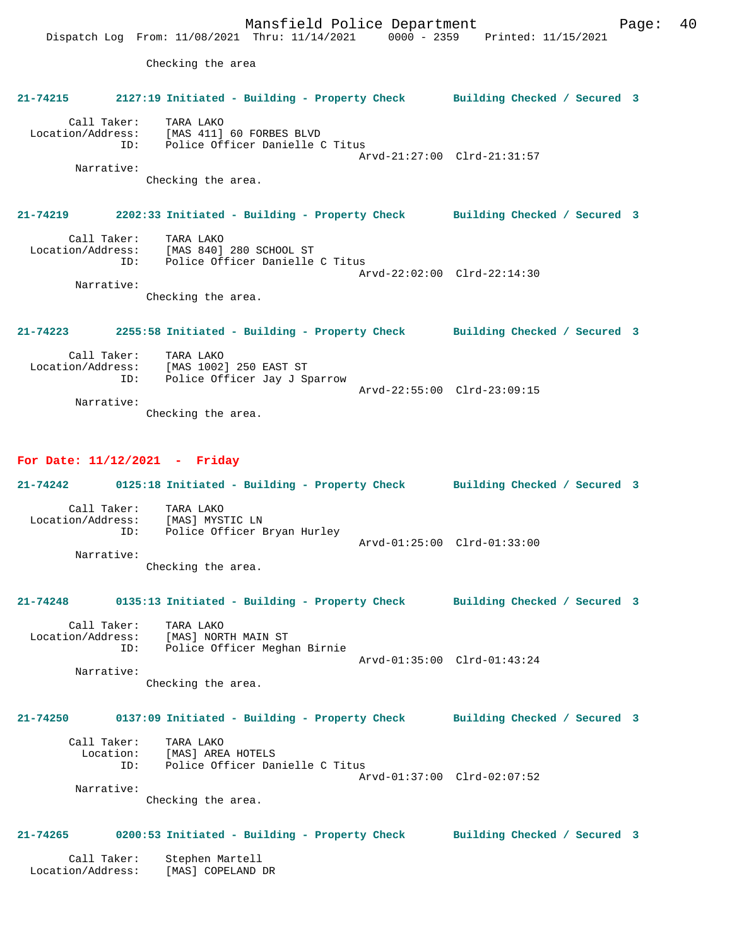Mansfield Police Department Fage: 40 Dispatch Log From: 11/08/2021 Thru: 11/14/2021 0000 - 2359 Printed: 11/15/2021 Checking the area **21-74215 2127:19 Initiated - Building - Property Check Building Checked / Secured 3** Call Taker: TARA LAKO Location/Address: [MAS 411] 60 FORBES BLVD ID: Police Officer Danielle C Titus Arvd-21:27:00 Clrd-21:31:57 Narrative: Checking the area. **21-74219 2202:33 Initiated - Building - Property Check Building Checked / Secured 3** Call Taker: TARA LAKO Location/Address: [MAS 840] 280 SCHOOL ST ID: Police Officer Danielle C Titus Arvd-22:02:00 Clrd-22:14:30 Narrative: Checking the area. **21-74223 2255:58 Initiated - Building - Property Check Building Checked / Secured 3** Call Taker: TARA LAKO Location/Address: [MAS 1002] 250 EAST ST ID: Police Officer Jay J Sparrow Arvd-22:55:00 Clrd-23:09:15 Narrative:

Checking the area.

## **For Date: 11/12/2021 - Friday**

| $21 - 74242$                     |     | 0125:18 Initiated - Building - Property Check               |                             | Building Checked / Secured 3 |  |
|----------------------------------|-----|-------------------------------------------------------------|-----------------------------|------------------------------|--|
| Call Taker:<br>Location/Address: | ID: | TARA LAKO<br>[MAS] MYSTIC LN<br>Police Officer Bryan Hurley | Arvd-01:25:00 Clrd-01:33:00 |                              |  |
| Narrative:                       |     | Checking the area.                                          |                             |                              |  |

#### **21-74248 0135:13 Initiated - Building - Property Check Building Checked / Secured 3**

 Call Taker: TARA LAKO Location/Address: [MAS] NORTH MAIN ST ID: Police Officer Meghan Birnie Arvd-01:35:00 Clrd-01:43:24

 Narrative: Checking the area.

#### **21-74250 0137:09 Initiated - Building - Property Check Building Checked / Secured 3**

| Call Taker: | TARA LAKO                       |
|-------------|---------------------------------|
| Location:   | [MAS] AREA HOTELS               |
| TD:         | Police Officer Danielle C Titus |
|             | Arvd-01:37:00 Clrd-02:07:52     |
| Narrative:  |                                 |

Checking the area.

# **21-74265 0200:53 Initiated - Building - Property Check Building Checked / Secured 3**

 Call Taker: Stephen Martell Location/Address: [MAS] COPELAND DR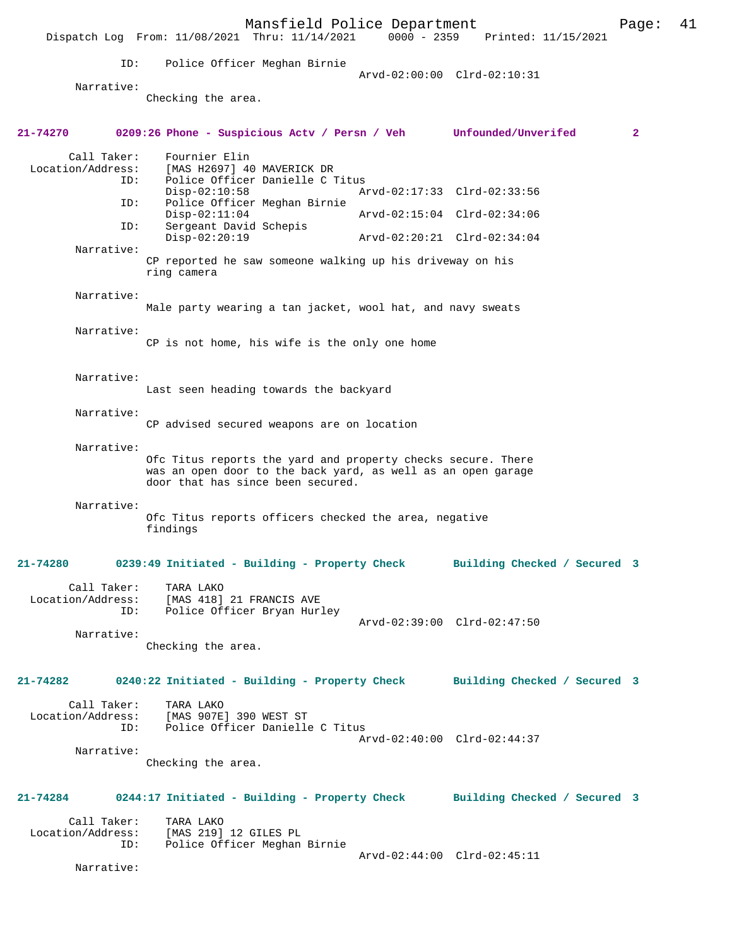Mansfield Police Department Page: 41 Dispatch Log From:  $11/08/2021$  Thru:  $11/14/2021$  0000 - 2359 ID: Police Officer Meghan Birnie Arvd-02:00:00 Clrd-02:10:31 Narrative: Checking the area. **21-74270 0209:26 Phone - Suspicious Actv / Persn / Veh Unfounded/Unverifed 2** Call Taker: Fournier Elin Location/Address: [MAS H2697] 40 MAVERICK DR ID: Police Officer Danielle C Titus Disp-02:10:58 Arvd-02:17:33 Clrd-02:33:56 Police Officer Meghan Birnie<br>Disp-02:11:04 Disp-02:11:04 Arvd-02:15:04 Clrd-02:34:06<br>ID: Sergeant David Schepis Sergeant David Schepis<br>Disp-02:20:19 Disp-02:20:19 Arvd-02:20:21 Clrd-02:34:04 Narrative: CP reported he saw someone walking up his driveway on his ring camera Narrative: Male party wearing a tan jacket, wool hat, and navy sweats Narrative: CP is not home, his wife is the only one home Narrative: Last seen heading towards the backyard Narrative: CP advised secured weapons are on location Narrative: Ofc Titus reports the yard and property checks secure. There was an open door to the back yard, as well as an open garage door that has since been secured. Narrative: Ofc Titus reports officers checked the area, negative findings **21-74280 0239:49 Initiated - Building - Property Check Building Checked / Secured 3** Call Taker: TARA LAKO<br>Location/Address: [MAS 418] Location/Address: [MAS 418] 21 FRANCIS AVE ID: Police Officer Bryan Hurley Arvd-02:39:00 Clrd-02:47:50 Narrative: Checking the area. **21-74282 0240:22 Initiated - Building - Property Check Building Checked / Secured 3** Call Taker: TARA LAKO Location/Address: [MAS 907E] 390 WEST ST Police Officer Danielle C Titus Arvd-02:40:00 Clrd-02:44:37 Narrative: Checking the area. **21-74284 0244:17 Initiated - Building - Property Check Building Checked / Secured 3** Call Taker: TARA LAKO<br>Location/Address: [MAS 219] ess: [MAS 219] 12 GILES PL<br>ID: Police Officer Meghan Police Officer Meghan Birnie Arvd-02:44:00 Clrd-02:45:11 Narrative: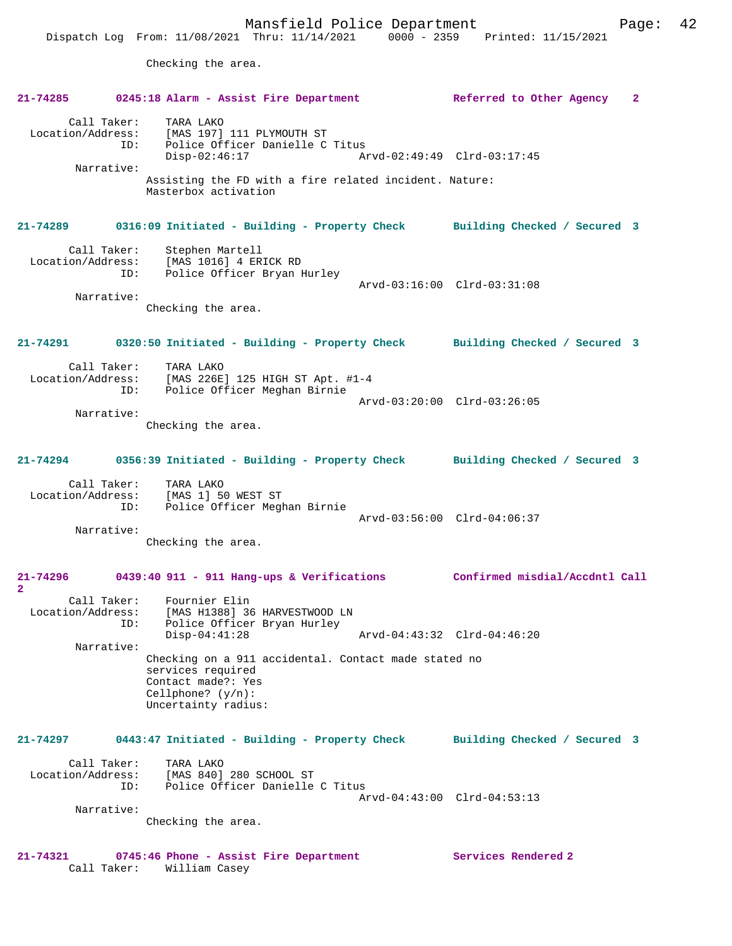Checking the area.

|                          | 21-74285 0245:18 Alarm - Assist Fire Department                                                                                                   | Referred to Other Agency 2   |
|--------------------------|---------------------------------------------------------------------------------------------------------------------------------------------------|------------------------------|
| Call Taker:              | TARA LAKO<br>Location/Address: [MAS 197] 111 PLYMOUTH ST<br>ID: Police Officer Danielle C Titus<br>$Disp-02:46:17$<br>Arvd-02:49:49 Clrd-03:17:45 |                              |
| Narrative:               |                                                                                                                                                   |                              |
|                          | Assisting the FD with a fire related incident. Nature:<br>Masterbox activation                                                                    |                              |
| 21-74289                 | 0316:09 Initiated - Building - Property Check Building Checked / Secured 3                                                                        |                              |
| Call Taker:              | Stephen Martell<br>Location/Address: [MAS 1016] 4 ERICK RD<br>ID: Police Officer Bryan Hurley                                                     |                              |
|                          |                                                                                                                                                   | Arvd-03:16:00 Clrd-03:31:08  |
| Narrative:               | Checking the area.                                                                                                                                |                              |
| 21-74291                 | 0320:50 Initiated - Building - Property Check Building Checked / Secured 3                                                                        |                              |
| Call Taker:              | TARA LAKO<br>Location/Address: [MAS 226E] 125 HIGH ST Apt. #1-4                                                                                   |                              |
|                          | ID: Police Officer Meghan Birnie                                                                                                                  | Arvd-03:20:00 Clrd-03:26:05  |
| Narrative:               | Checking the area.                                                                                                                                |                              |
|                          | 21-74294 0356:39 Initiated - Building - Property Check Building Checked / Secured 3                                                               |                              |
| ID:                      | Call Taker: TARA LAKO<br>Location/Address: [MAS 1] 50 WEST ST<br>Police Officer Meghan Birnie                                                     |                              |
| Narrative:               | Checking the area.                                                                                                                                | Arvd-03:56:00 Clrd-04:06:37  |
| $\mathbf{2}$             | 21-74296 0439:40 911 - 911 Hang-ups & Verifications Confirmed misdial/Accdntl Call                                                                |                              |
| Location/Address:<br>ID: | Call Taker: Fournier Elin<br>[MAS H1388] 36 HARVESTWOOD LN<br>Police Officer Bryan Hurley                                                         |                              |
|                          | $Disp-04:41:28$                                                                                                                                   | Arvd-04:43:32 Clrd-04:46:20  |
| Narrative:               | Checking on a 911 accidental. Contact made stated no<br>services required<br>Contact made?: Yes<br>Cellphone? $(y/n)$ :<br>Uncertainty radius:    |                              |
| $21 - 74297$             | 0443:47 Initiated - Building - Property Check                                                                                                     | Building Checked / Secured 3 |
| Call Taker:              | TARA LAKO                                                                                                                                         |                              |
| Location/Address:<br>ID: | [MAS 840] 280 SCHOOL ST<br>Police Officer Danielle C Titus                                                                                        | Arvd-04:43:00 Clrd-04:53:13  |
| Narrative:               |                                                                                                                                                   |                              |
|                          | Checking the area.                                                                                                                                |                              |
| 21-74321                 | 0745:46 Phone - Assist Fire Department<br>Call Taker: William Casey                                                                               | Services Rendered 2          |

Call Taker: William Casey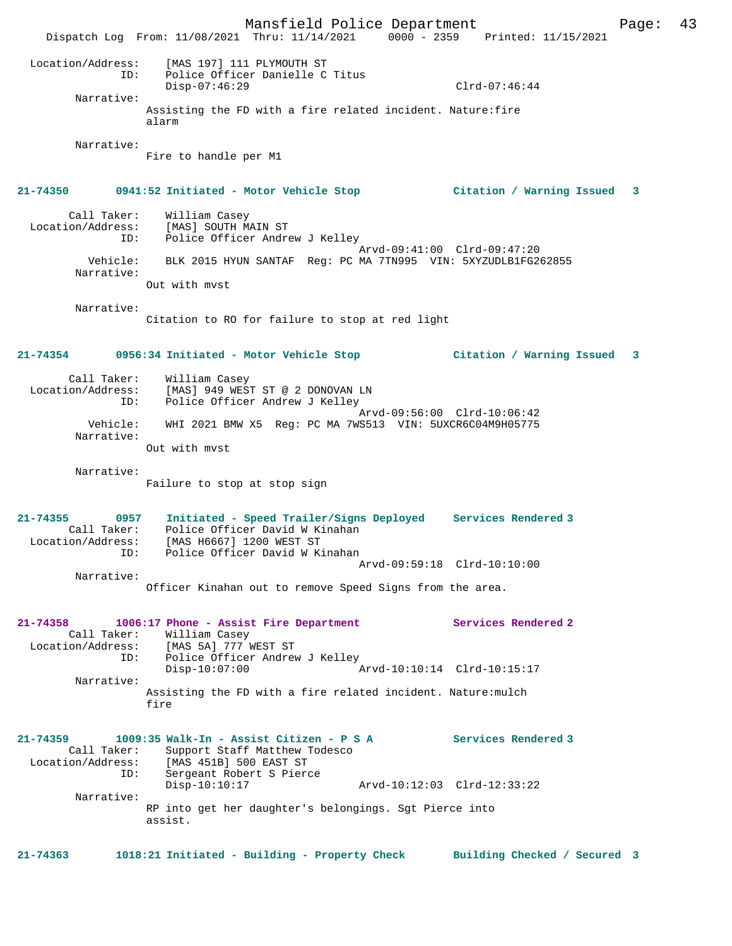Mansfield Police Department Page: 43 Dispatch Log From: 11/08/2021 Thru: 11/14/2021 0000 - 2359 Printed: 11/15/2021 Location/Address: [MAS 197] 111 PLYMOUTH ST ID: Police Officer Danielle C Titus Disp-07:46:29 Clrd-07:46:44 Narrative: Assisting the FD with a fire related incident. Nature:fire alarm Narrative: Fire to handle per M1 **21-74350 0941:52 Initiated - Motor Vehicle Stop Citation / Warning Issued 3** Call Taker: William Casey Location/Address: [MAS] SOUTH MAIN ST ID: Police Officer Andrew J Kelley Arvd-09:41:00 Clrd-09:47:20 Vehicle: BLK 2015 HYUN SANTAF Reg: PC MA 7TN995 VIN: 5XYZUDLB1FG262855 Narrative: Out with mvst Narrative: Citation to RO for failure to stop at red light **21-74354 0956:34 Initiated - Motor Vehicle Stop Citation / Warning Issued 3** Call Taker: William Casey Location/Address: [MAS] 949 WEST ST @ 2 DONOVAN LN<br>ID: Police Officer Andrew J Kellev Police Officer Andrew J Kelley Arvd-09:56:00 Clrd-10:06:42 Vehicle: WHI 2021 BMW X5 Reg: PC MA 7WS513 VIN: 5UXCR6C04M9H05775 Narrative: Out with mvst Narrative: Failure to stop at stop sign **21-74355 0957 Initiated - Speed Trailer/Signs Deployed Services Rendered 3**  Call Taker: Police Officer David W Kinahan<br>ion/ddress: [Mas H6667] 1200 WEST ST Location/Address: [MAS H6667] 1200 WEST ST ID: Police Officer David W Kinahan Arvd-09:59:18 Clrd-10:10:00 Narrative: Officer Kinahan out to remove Speed Signs from the area. **21-74358 1006:17 Phone - Assist Fire Department Services Rendered 2**  Call Taker: William Casey<br>Location/Address: [MAS 5A] 777 \ [MAS 5A] 777 WEST ST ID: Police Officer Andrew J Kelley<br>Disp-10:07:00 Disp-10:07:00 Arvd-10:10:14 Clrd-10:15:17 Narrative: Assisting the FD with a fire related incident. Nature:mulch fire **21-74359 1009:35 Walk-In - Assist Citizen - P S A Services Rendered 3**  Call Taker: Support Staff Matthew Todesco<br>Location/Address: [MAS 451B] 500 EAST ST ess: [MAS 451B] 500 EAST ST<br>ID: Sergeant Robert S Pierc Sergeant Robert S Pierce<br>Disp-10:10:17 Disp-10:10:17 Arvd-10:12:03 Clrd-12:33:22 Narrative: RP into get her daughter's belongings. Sgt Pierce into assist. **21-74363 1018:21 Initiated - Building - Property Check Building Checked / Secured 3**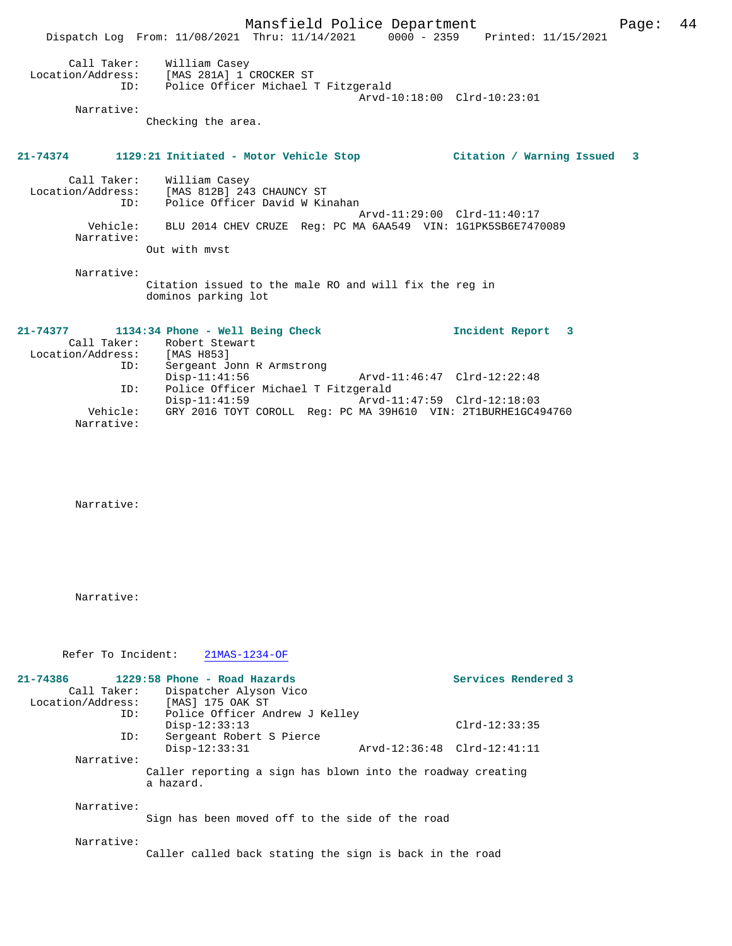Mansfield Police Department Fage: 44 Dispatch Log From: 11/08/2021 Thru: 11/14/2021 0000 - 2359 Printed: 11/15/2021 Call Taker: William Casey Location/Address: [MAS 281A] 1 CROCKER ST ID: Police Officer Michael T Fitzgerald Arvd-10:18:00 Clrd-10:23:01 Narrative: Checking the area. **21-74374 1129:21 Initiated - Motor Vehicle Stop Citation / Warning Issued 3** Call Taker: William Casey Location/Address: [MAS 812B] 243 CHAUNCY ST ID: Police Officer David W Kinahan Arvd-11:29:00 Clrd-11:40:17 Vehicle: BLU 2014 CHEV CRUZE Reg: PC MA 6AA549 VIN: 1G1PK5SB6E7470089 Narrative: Out with mvst Narrative: Citation issued to the male RO and will fix the reg in dominos parking lot **21-74377 1134:34 Phone - Well Being Check Incident Report 3**  Call Taker: Robert Stewart Location/Address: [MAS H853] ID: Sergeant John R Armstrong Disp-11:41:56 Arvd-11:46:47 Clrd-12:22:48 ID: Police Officer Michael T Fitzgerald Disp-11:41:59 Arvd-11:47:59 Clrd-12:18:03 Vehicle: GRY 2016 TOYT COROLL Reg: PC MA 39H610 VIN: 2T1BURHE1GC494760 Narrative: Narrative: Narrative: Refer To Incident: 21MAS-1234-OF **21-74386 1229:58 Phone - Road Hazards Services Rendered 3** 

| 1229:58 Phone - Road Hazards |                                                                                          | Services Rendered 3                                                                                                                                                                                                                                                    |
|------------------------------|------------------------------------------------------------------------------------------|------------------------------------------------------------------------------------------------------------------------------------------------------------------------------------------------------------------------------------------------------------------------|
| Dispatcher Alyson Vico       |                                                                                          |                                                                                                                                                                                                                                                                        |
| [MAS] 175 OAK ST             |                                                                                          |                                                                                                                                                                                                                                                                        |
|                              |                                                                                          |                                                                                                                                                                                                                                                                        |
| $Disp-12:33:13$              |                                                                                          | $Clrd-12:33:35$                                                                                                                                                                                                                                                        |
|                              |                                                                                          |                                                                                                                                                                                                                                                                        |
| $Disp-12:33:31$              |                                                                                          |                                                                                                                                                                                                                                                                        |
|                              |                                                                                          |                                                                                                                                                                                                                                                                        |
| a hazard.                    |                                                                                          |                                                                                                                                                                                                                                                                        |
|                              |                                                                                          |                                                                                                                                                                                                                                                                        |
|                              |                                                                                          |                                                                                                                                                                                                                                                                        |
|                              | Call Taker:<br>Location/Address:<br>ID:<br>ID:<br>Narrative:<br>Narrative:<br>Narrative: | Police Officer Andrew J Kelley<br>Sergeant Robert S Pierce<br>Arvd-12:36:48 Clrd-12:41:11<br>Caller reporting a sign has blown into the roadway creating<br>Sign has been moved off to the side of the road<br>Caller called back stating the sign is back in the road |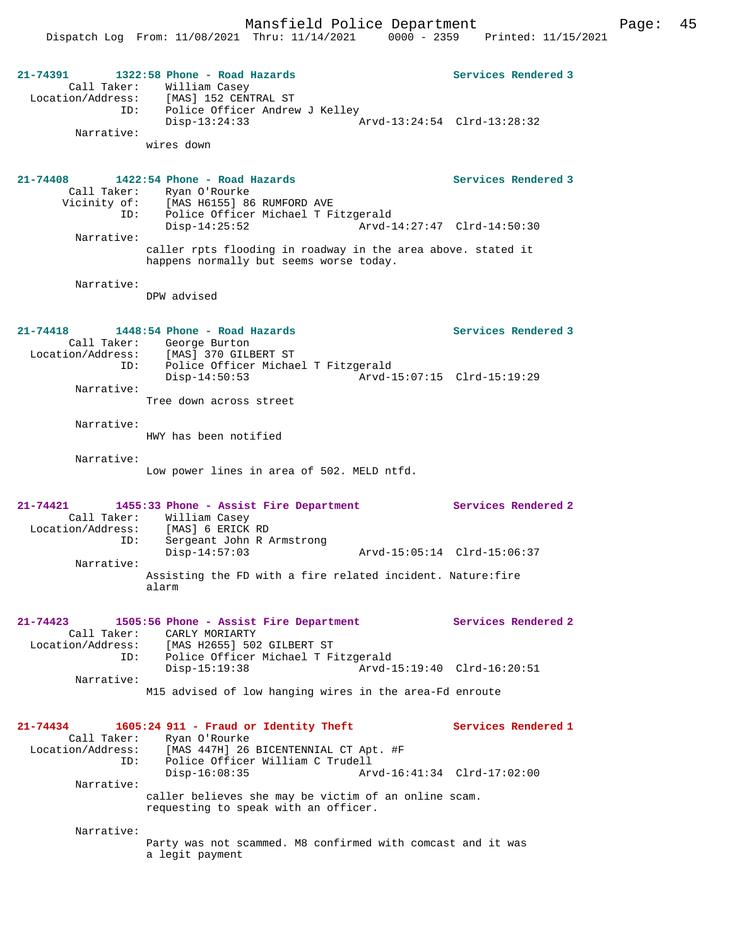Mansfield Police Department Page: 45 Dispatch Log From: 11/08/2021 Thru: 11/14/2021 0000 - 2359 Printed: 11/15/2021 **21-74391 1322:58 Phone - Road Hazards Services Rendered 3**  Call Taker: William Casey Location/Address: [MAS] 152 CENTRAL ST ID: Police Officer Andrew J Kelley Disp-13:24:33 Arvd-13:24:54 Clrd-13:28:32 Narrative: wires down **21-74408 1422:54 Phone - Road Hazards Services Rendered 3**  Call Taker: Ryan O'Rourke Vicinity of: [MAS H6155] 86 RUMFORD AVE ID: Police Officer Michael T Fitzgerald Disp-14:25:52 Arvd-14:27:47 Clrd-14:50:30 Narrative: caller rpts flooding in roadway in the area above. stated it happens normally but seems worse today. Narrative: DPW advised **21-74418 1448:54 Phone - Road Hazards Services Rendered 3**  Call Taker: George Burton Location/Address: [MAS] 370 GILBERT ST ID: Police Officer Michael T Fitzgerald Disp-14:50:53 Arvd-15:07:15 Clrd-15:19:29 Narrative: Tree down across street Narrative: HWY has been notified Narrative: Low power lines in area of 502. MELD ntfd. **21-74421 1455:33 Phone - Assist Fire Department Services Rendered 2**  Call Taker: William Casey<br>Location/Address: [MAS] 6 ERICK Location/Address: [MAS] 6 ERICK RD ID: Sergeant John R Armstrong Disp-14:57:03 Arvd-15:05:14 Clrd-15:06:37 Narrative: Assisting the FD with a fire related incident. Nature:fire alarm **21-74423 1505:56 Phone - Assist Fire Department Services Rendered 2**  Call Taker: CARLY MORIARTY Location/Address: [MAS H2655] 502 GILBERT ST ID: Police Officer Michael T Fitzgerald Disp-15:19:38 Arvd-15:19:40 Clrd-16:20:51 Narrative: M15 advised of low hanging wires in the area-Fd enroute **21-74434 1605:24 911 - Fraud or Identity Theft Services Rendered 1**  Call Taker: Ryan O'Rourke<br>Location/Address: [MAS 447H] 26 ess: [MAS 447H] 26 BICENTENNIAL CT Apt. #F<br>ID: Police Officer William C Trudell Police Officer William C Trudell<br>Disp-16:08:35 Arv

> caller believes she may be victim of an online scam. requesting to speak with an officer.

Narrative:

Narrative:

Party was not scammed. M8 confirmed with comcast and it was a legit payment

Disp-16:08:35 Arvd-16:41:34 Clrd-17:02:00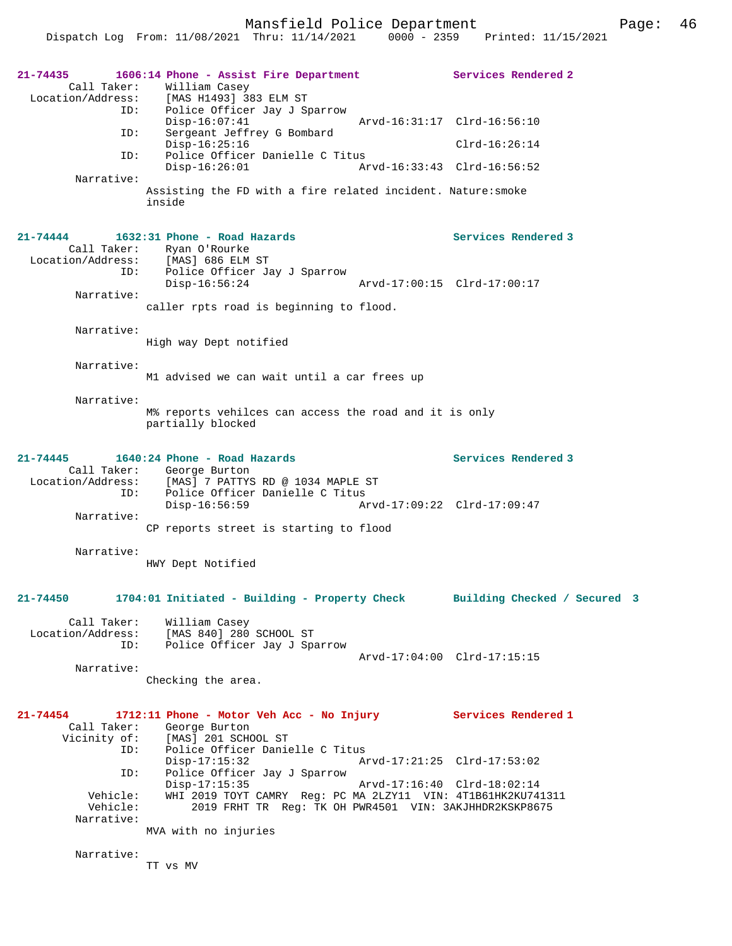Mansfield Police Department Fage: 46

Dispatch Log From: 11/08/2021 Thru: 11/14/2021 0000 - 2359 Printed: 11/15/2021

| 21-74435<br>Call Taker:<br>ID:<br>ID:    | 1606:14 Phone - Assist Fire Department<br>William Casey<br>Location/Address: [MAS H1493] 383 ELM ST<br>Police Officer Jay J Sparrow<br>$Disp-16:07:41$<br>Sergeant Jeffrey G Bombard | Services Rendered 2<br>Arvd-16:31:17 Clrd-16:56:10 |
|------------------------------------------|--------------------------------------------------------------------------------------------------------------------------------------------------------------------------------------|----------------------------------------------------|
|                                          | $Disp-16:25:16$                                                                                                                                                                      | $Clrd-16:26:14$                                    |
| ID:                                      | Police Officer Danielle C Titus<br>$Disp-16:26:01$                                                                                                                                   | Arvd-16:33:43 Clrd-16:56:52                        |
| Narrative:                               | Assisting the FD with a fire related incident. Nature: smoke<br>inside                                                                                                               |                                                    |
| $21 - 74444$<br>Location/Address:<br>ID: | 1632:31 Phone - Road Hazards<br>Call Taker: Ryan O'Rourke<br>[MAS] 686 ELM ST<br>Police Officer Jay J Sparrow                                                                        | Services Rendered 3                                |
|                                          | $Disp-16:56:24$                                                                                                                                                                      | Arvd-17:00:15 Clrd-17:00:17                        |
| Narrative:                               | caller rpts road is beginning to flood.                                                                                                                                              |                                                    |
| Narrative:                               | High way Dept notified                                                                                                                                                               |                                                    |
| Narrative:                               | M1 advised we can wait until a car frees up                                                                                                                                          |                                                    |
| Narrative:                               | M% reports vehilces can access the road and it is only<br>partially blocked                                                                                                          |                                                    |
| 21-74445<br>ID:                          | 1640:24 Phone - Road Hazards<br>Call Taker: George Burton<br>Location/Address: [MAS] 7 PATTYS RD @ 1034 MAPLE ST<br>Police Officer Danielle C Titus<br>$Disp-16:56:59$               | Services Rendered 3<br>Arvd-17:09:22 Clrd-17:09:47 |
| Narrative:                               | CP reports street is starting to flood                                                                                                                                               |                                                    |
| Narrative:                               | HWY Dept Notified                                                                                                                                                                    |                                                    |
| 21-74450                                 | 1704:01 Initiated - Building - Property Check                                                                                                                                        | Building Checked / Secured 3                       |
| Call Taker:<br>Location/Address:<br>ID:  | William Casey<br>[MAS 840] 280 SCHOOL ST<br>Police Officer Jay J Sparrow                                                                                                             |                                                    |
| Narrative:                               |                                                                                                                                                                                      | Arvd-17:04:00 Clrd-17:15:15                        |
|                                          | Checking the area.                                                                                                                                                                   |                                                    |
| 21-74454<br>Call Taker:<br>ID:           | 1712:11 Phone - Motor Veh Acc - No Injury Services Rendered 1<br>George Burton<br>Vicinity of: [MAS] 201 SCHOOL ST<br>Police Officer Danielle C Titus                                |                                                    |
| ID:                                      | $Disp-17:15:32$<br>Police Officer Jay J Sparrow                                                                                                                                      | Arvd-17:21:25 Clrd-17:53:02                        |
| Vehicle:<br>Vehicle:                     | $Disp-17:15:35$<br>WHI 2019 TOYT CAMRY Reg: PC MA 2LZY11 VIN: 4T1B61HK2KU741311<br>2019 FRHT TR Req: TK OH PWR4501 VIN: 3AKJHHDR2KSKP8675                                            | Arvd-17:16:40 Clrd-18:02:14                        |
| Narrative:                               | MVA with no injuries                                                                                                                                                                 |                                                    |
| Narrative:                               | TT vs MV                                                                                                                                                                             |                                                    |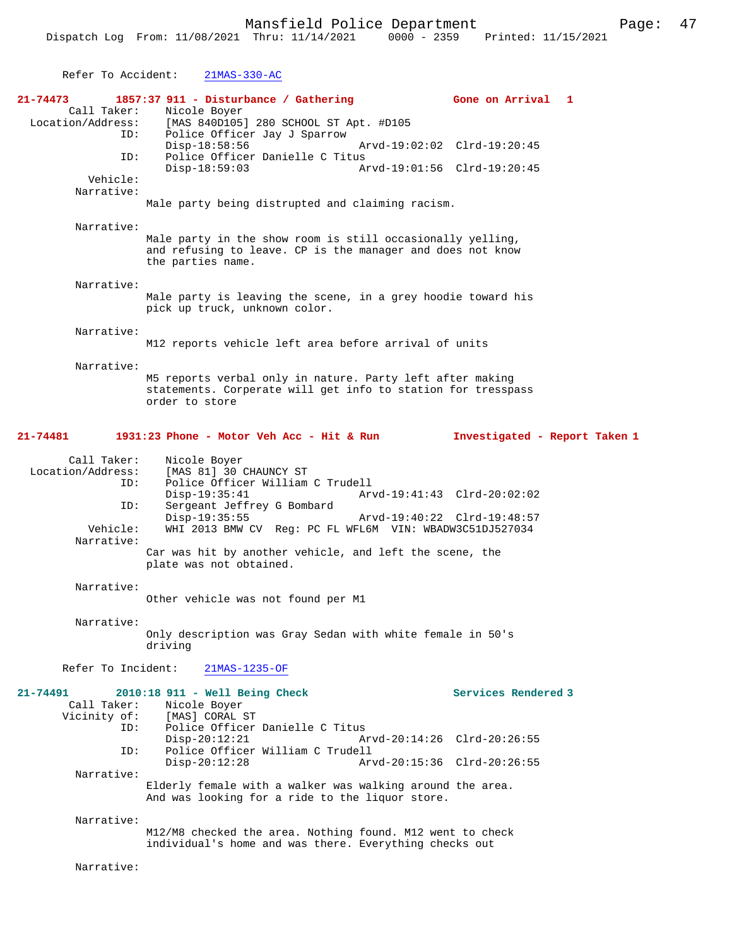| Refer To Accident:                                                       | $21MAS-330-AC$                                                                                                                                                                                                                                                                                                                                                |
|--------------------------------------------------------------------------|---------------------------------------------------------------------------------------------------------------------------------------------------------------------------------------------------------------------------------------------------------------------------------------------------------------------------------------------------------------|
| 21-74473<br>Call Taker:<br>Location/Address:<br>ID:<br>ID:<br>Vehicle:   | 1857:37 911 - Disturbance / Gathering<br>Gone on Arrival 1<br>Nicole Boyer<br>[MAS 840D105] 280 SCHOOL ST Apt. #D105<br>Police Officer Jay J Sparrow<br>$Disp-18:58:56$<br>Arvd-19:02:02 Clrd-19:20:45<br>Police Officer Danielle C Titus<br>$Disp-18:59:03$<br>Arvd-19:01:56 Clrd-19:20:45                                                                   |
| Narrative:                                                               | Male party being distrupted and claiming racism.                                                                                                                                                                                                                                                                                                              |
| Narrative:                                                               | Male party in the show room is still occasionally yelling,<br>and refusing to leave. CP is the manager and does not know<br>the parties name.                                                                                                                                                                                                                 |
| Narrative:                                                               | Male party is leaving the scene, in a grey hoodie toward his<br>pick up truck, unknown color.                                                                                                                                                                                                                                                                 |
| Narrative:                                                               | M12 reports vehicle left area before arrival of units                                                                                                                                                                                                                                                                                                         |
| Narrative:                                                               | M5 reports verbal only in nature. Party left after making<br>statements. Corperate will get info to station for tresspass<br>order to store                                                                                                                                                                                                                   |
| 21-74481                                                                 | 1931:23 Phone - Motor Veh Acc - Hit & Run<br>Investigated - Report Taken 1                                                                                                                                                                                                                                                                                    |
| Call Taker:<br>Location/Address:<br>ID:<br>ID:<br>Vehicle:<br>Narrative: | Nicole Boyer<br>[MAS 81] 30 CHAUNCY ST<br>Police Officer William C Trudell<br>$Disp-19:35:41$<br>Arvd-19:41:43 Clrd-20:02:02<br>Sergeant Jeffrey G Bombard<br>$Disp-19:35:55$<br>Arvd-19:40:22 Clrd-19:48:57<br>WHI 2013 BMW CV Req: PC FL WFL6M VIN: WBADW3C51DJ527034<br>Car was hit by another vehicle, and left the scene, the<br>plate was not obtained. |
| Narrative:                                                               | Other vehicle was not found per M1                                                                                                                                                                                                                                                                                                                            |
| Narrative:                                                               | Only description was Gray Sedan with white female in 50's<br>driving                                                                                                                                                                                                                                                                                          |
| Refer To Incident:                                                       | 21MAS-1235-OF                                                                                                                                                                                                                                                                                                                                                 |
| 21-74491<br>Call Taker:<br>Vicinity of:<br>ID:<br>ID:<br>Narrative:      | 2010:18 911 - Well Being Check<br>Services Rendered 3<br>Nicole Boyer<br>[MAS] CORAL ST<br>Police Officer Danielle C Titus<br>$Disp-20:12:21$<br>Arvd-20:14:26 Clrd-20:26:55<br>Police Officer William C Trudell<br>$Disp-20:12:28$<br>Arvd-20:15:36 Clrd-20:26:55                                                                                            |
|                                                                          | Elderly female with a walker was walking around the area.<br>And was looking for a ride to the liquor store.                                                                                                                                                                                                                                                  |
| Narrative:                                                               | M12/M8 checked the area. Nothing found. M12 went to check<br>individual's home and was there. Everything checks out                                                                                                                                                                                                                                           |

Narrative: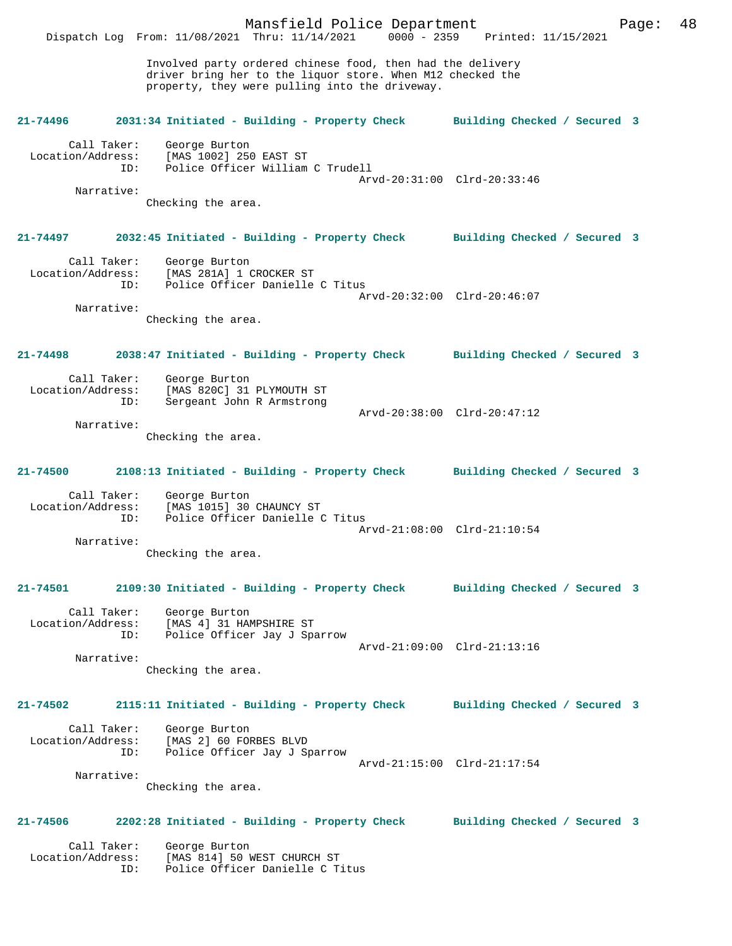Mansfield Police Department Page: 48 Dispatch Log From: 11/08/2021 Thru: 11/14/2021 Involved party ordered chinese food, then had the delivery driver bring her to the liquor store. When M12 checked the property, they were pulling into the driveway. **21-74496 2031:34 Initiated - Building - Property Check Building Checked / Secured 3** Call Taker: George Burton Location/Address: [MAS 1002] 250 EAST ST ID: Police Officer William C Trudell Arvd-20:31:00 Clrd-20:33:46 Narrative: Checking the area. **21-74497 2032:45 Initiated - Building - Property Check Building Checked / Secured 3** Call Taker: George Burton Location/Address: [MAS 281A] 1 CROCKER ST ID: Police Officer Danielle C Titus Arvd-20:32:00 Clrd-20:46:07 Narrative: Checking the area. **21-74498 2038:47 Initiated - Building - Property Check Building Checked / Secured 3** Call Taker: George Burton Location/Address: [MAS 820C] 31 PLYMOUTH ST ID: Sergeant John R Armstrong Arvd-20:38:00 Clrd-20:47:12 Narrative: Checking the area. **21-74500 2108:13 Initiated - Building - Property Check Building Checked / Secured 3** Call Taker: George Burton Location/Address: [MAS 1015] 30 CHAUNCY ST ID: Police Officer Danielle C Titus Arvd-21:08:00 Clrd-21:10:54 Narrative: Checking the area. **21-74501 2109:30 Initiated - Building - Property Check Building Checked / Secured 3** Call Taker: George Burton Location/Address: [MAS 4] 31 HAMPSHIRE ST ID: Police Officer Jay J Sparrow Arvd-21:09:00 Clrd-21:13:16 Narrative: Checking the area. **21-74502 2115:11 Initiated - Building - Property Check Building Checked / Secured 3** Call Taker: George Burton Location/Address: [MAS 2] 60 FORBES BLVD ID: Police Officer Jay J Sparrow Arvd-21:15:00 Clrd-21:17:54 Narrative: Checking the area. **21-74506 2202:28 Initiated - Building - Property Check Building Checked / Secured 3** Call Taker: George Burton<br>ion/Address: [MAS 814] 50 M Location/Address: [MAS 814] 50 WEST CHURCH ST ID: Police Officer Danielle C Titus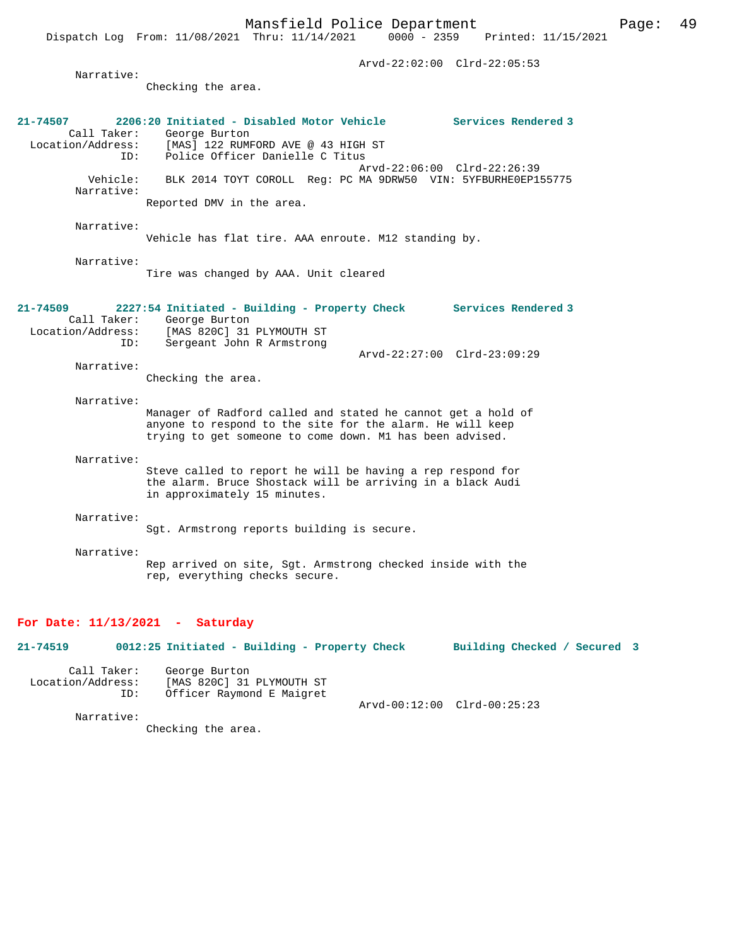Dispatch Log From: 11/08/2021 Thru: 11/14/2021 0000 - 2359 Printed: 11/15/2021

 Arvd-22:02:00 Clrd-22:05:53 Narrative: Checking the area. **21-74507 2206:20 Initiated - Disabled Motor Vehicle Services Rendered 3**  Call Taker: George Burton<br>Location/Address: [MAS] 122 RUME Location/Address: [MAS] 122 RUMFORD AVE @ 43 HIGH ST ID: Police Officer Danielle C Titus Arvd-22:06:00 Clrd-22:26:39 Vehicle: BLK 2014 TOYT COROLL Reg: PC MA 9DRW50 VIN: 5YFBURHE0EP155775 Narrative: Reported DMV in the area. Narrative: Vehicle has flat tire. AAA enroute. M12 standing by. Narrative: Tire was changed by AAA. Unit cleared **21-74509 2227:54 Initiated - Building - Property Check Services Rendered 3**  Call Taker: George Burton Location/Address: [MAS 820C] 31 PLYMOUTH ST ID: Sergeant John R Armstrong Arvd-22:27:00 Clrd-23:09:29 Narrative: Checking the area. Narrative: Manager of Radford called and stated he cannot get a hold of anyone to respond to the site for the alarm. He will keep trying to get someone to come down. M1 has been advised. Narrative: Steve called to report he will be having a rep respond for the alarm. Bruce Shostack will be arriving in a black Audi in approximately 15 minutes. Narrative: Sgt. Armstrong reports building is secure. Narrative: Rep arrived on site, Sgt. Armstrong checked inside with the rep, everything checks secure.

### **For Date: 11/13/2021 - Saturday**

**21-74519 0012:25 Initiated - Building - Property Check Building Checked / Secured 3** Call Taker: George Burton Location/Address: [MAS 820C] 31 PLYMOUTH ST Officer Raymond E Maigret Arvd-00:12:00 Clrd-00:25:23

Narrative:

Checking the area.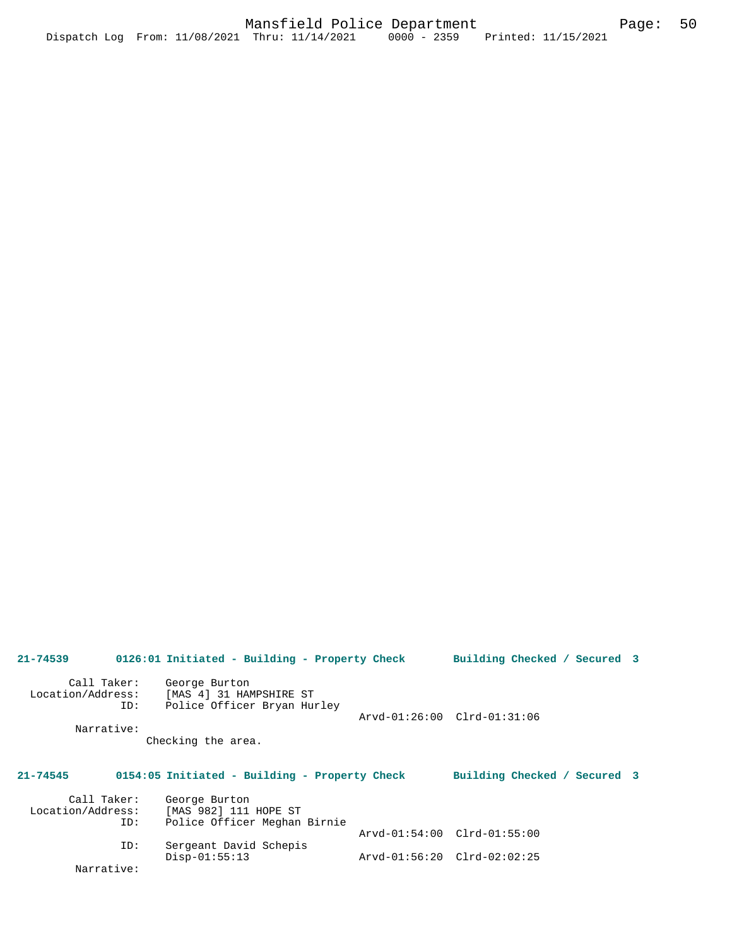| $21 - 74539$                            |             | 0126:01 Initiated - Building - Property Check                           |                             | Building Checked / Secured 3 |  |
|-----------------------------------------|-------------|-------------------------------------------------------------------------|-----------------------------|------------------------------|--|
| Call Taker:<br>Location/Address:<br>ID: |             | George Burton<br>[MAS 4] 31 HAMPSHIRE ST<br>Police Officer Bryan Hurley | Arvd-01:26:00 Clrd-01:31:06 |                              |  |
|                                         | Narrative:  |                                                                         |                             |                              |  |
|                                         |             | Checking the area.                                                      |                             |                              |  |
|                                         |             |                                                                         |                             |                              |  |
| $21 - 74545$                            |             | 0154:05 Initiated - Building - Property Check                           |                             | Building Checked / Secured 3 |  |
|                                         | Call Taker: | George Burton                                                           |                             |                              |  |
| Location/Address:                       |             | [MAS 982] 111 HOPE ST                                                   |                             |                              |  |
|                                         | ID:         | Police Officer Meghan Birnie                                            |                             |                              |  |
|                                         |             |                                                                         | Arvd-01:54:00 Clrd-01:55:00 |                              |  |
|                                         | ID:         | Sergeant David Schepis                                                  |                             |                              |  |
|                                         |             | $Disp-01:55:13$                                                         | Arvd-01:56:20 Clrd-02:02:25 |                              |  |

Narrative: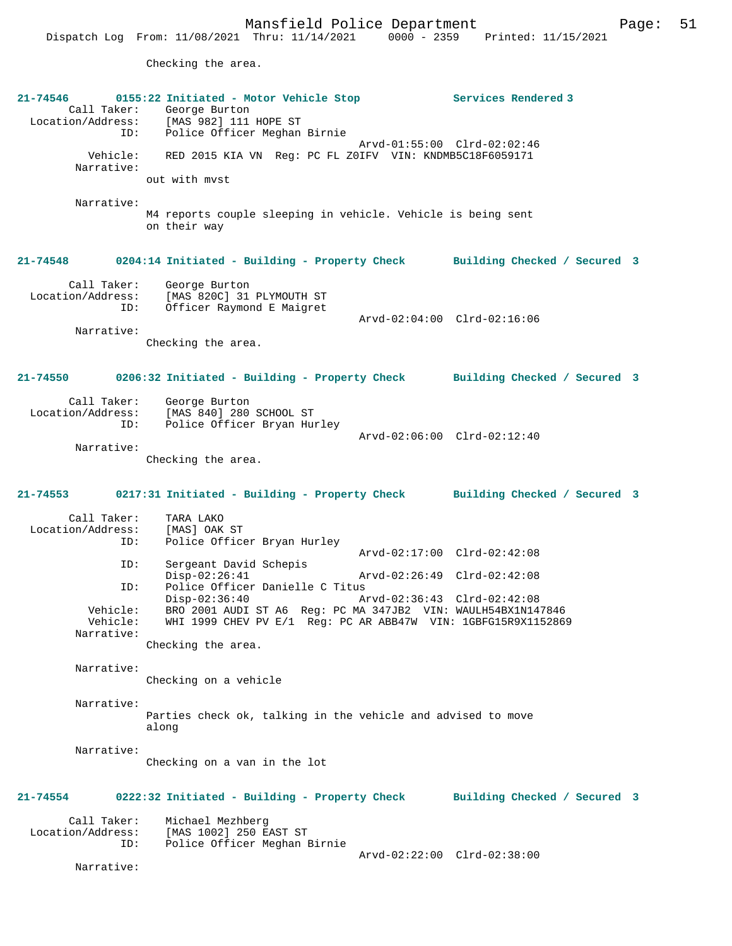Checking the area.

| $21 - 74546$<br>ID:<br>Vehicle:<br>Narrative:<br>Narrative:           | 0155:22 Initiated - Motor Vehicle Stop<br>Call Taker: George Burton<br>Location/Address: [MAS 982] 111 HOPE ST<br>Police Officer Meghan Birnie<br>RED 2015 KIA VN Reg: PC FL ZOIFV VIN: KNDMB5C18F6059171<br>out with myst<br>M4 reports couple sleeping in vehicle. Vehicle is being sent<br>on their way | Services Rendered 3<br>Arvd-01:55:00 Clrd-02:02:46                                                                        |
|-----------------------------------------------------------------------|------------------------------------------------------------------------------------------------------------------------------------------------------------------------------------------------------------------------------------------------------------------------------------------------------------|---------------------------------------------------------------------------------------------------------------------------|
| 21-74548<br>Call Taker:<br>Location/Address:<br>ID:<br>Narrative:     | George Burton<br>[MAS 820C] 31 PLYMOUTH ST<br>Officer Raymond E Maigret                                                                                                                                                                                                                                    | 0204:14 Initiated - Building - Property Check Building Checked / Secured 3<br>Arvd-02:04:00 Clrd-02:16:06                 |
| $21 - 74550$<br>Call Taker:<br>Location/Address:<br>ID:<br>Narrative: | Checking the area.<br>George Burton<br>[MAS 840] 280 SCHOOL ST<br>Police Officer Bryan Hurley                                                                                                                                                                                                              | 0206:32 Initiated - Building - Property Check Building Checked / Secured 3<br>Arvd-02:06:00 Clrd-02:12:40                 |
| 21-74553<br>Call Taker:<br>Location/Address:<br>ID:<br>ID:<br>ID:     | Checking the area.<br>0217:31 Initiated - Building - Property Check<br>TARA LAKO<br>[MAS] OAK ST<br>Police Officer Bryan Hurley<br>Sergeant David Schepis<br>$Disp-02:26:41$<br>Police Officer Danielle C Titus<br>$Disp-02:36:40$                                                                         | Building Checked / Secured 3<br>Arvd-02:17:00 Clrd-02:42:08<br>Arvd-02:26:49 Clrd-02:42:08<br>Arvd-02:36:43 Clrd-02:42:08 |
| Vehicle:<br>Vehicle:<br>Narrative:<br>Narrative:                      | BRO 2001 AUDI ST A6 Reg: PC MA 347JB2 VIN: WAULH54BX1N147846<br>WHI 1999 CHEV PV E/1 Reg: PC AR ABB47W VIN: 1GBFG15R9X1152869<br>Checking the area.<br>Checking on a vehicle                                                                                                                               |                                                                                                                           |
| Narrative:<br>Narrative:                                              | Parties check ok, talking in the vehicle and advised to move<br>along<br>Checking on a van in the lot                                                                                                                                                                                                      |                                                                                                                           |
| 21-74554<br>Call Taker:<br>Location/Address:<br>ID:<br>Narrative:     | 0222:32 Initiated - Building - Property Check<br>Michael Mezhberg<br>[MAS 1002] 250 EAST ST<br>Police Officer Meghan Birnie                                                                                                                                                                                | Building Checked / Secured 3<br>Arvd-02:22:00 Clrd-02:38:00                                                               |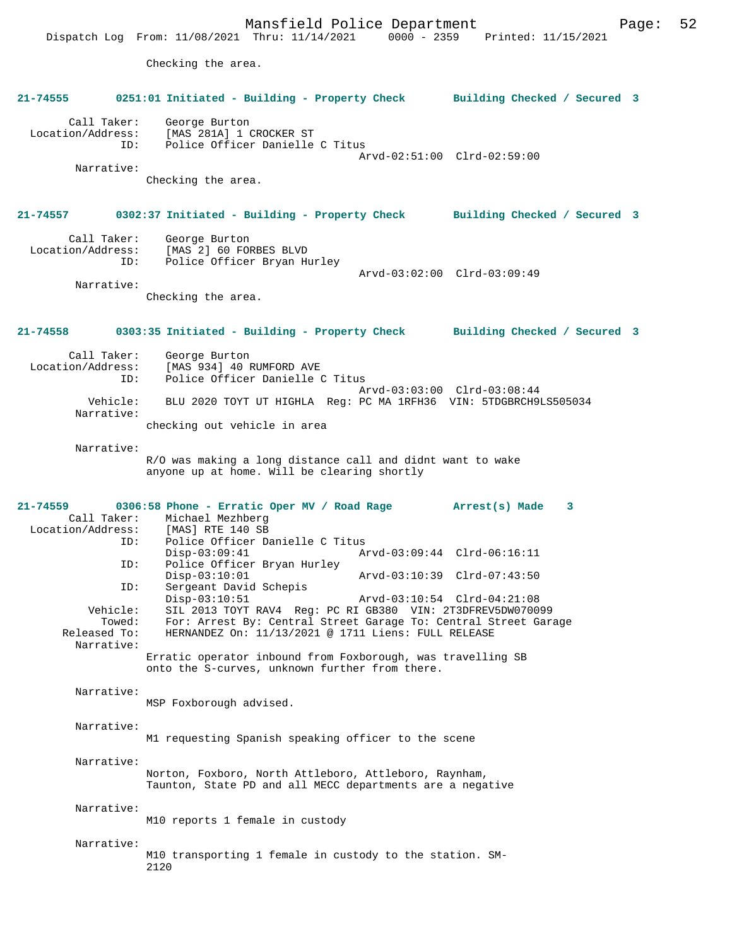Mansfield Police Department<br>Thru:  $11/14/2021$  0000 - 2359 Printed:  $11/15/2021$ Dispatch Log From:  $11/08/2021$  Thru:  $11/14/2021$  0000 - 2359 Checking the area. **21-74555 0251:01 Initiated - Building - Property Check Building Checked / Secured 3** Call Taker: George Burton Location/Address: [MAS 281A] 1 CROCKER ST Police Officer Danielle C Titus Arvd-02:51:00 Clrd-02:59:00 Narrative: Checking the area. **21-74557 0302:37 Initiated - Building - Property Check Building Checked / Secured 3** Call Taker: George Burton Location/Address: [MAS 2] 60 FORBES BLVD ID: Police Officer Bryan Hurley Arvd-03:02:00 Clrd-03:09:49 Narrative: Checking the area. **21-74558 0303:35 Initiated - Building - Property Check Building Checked / Secured 3** Call Taker: George Burton<br>Location/Address: [MAS 934] 40 1 ess: [MAS 934] 40 RUMFORD AVE<br>ID: Police Officer Danielle ( Police Officer Danielle C Titus Arvd-03:03:00 Clrd-03:08:44<br>Vebicle: BLU 2020 TOYT UT HIGHLA Reg: PC MA 1REH36 VIN: 5TDGBRCH93 BLU 2020 TOYT UT HIGHLA Reg: PC MA 1RFH36 VIN: 5TDGBRCH9LS505034 Narrative: checking out vehicle in area Narrative: R/O was making a long distance call and didnt want to wake anyone up at home. Will be clearing shortly **21-74559 0306:58 Phone - Erratic Oper MV / Road Rage Arrest(s) Made 3**  Call Taker: Michael Mezhberg Location/Address: ID: Police Officer Danielle C Titus<br>Disp-03:09:41 A Disp-03:09:41 Arvd-03:09:44 Clrd-06:16:11<br>TD: Police Officer Brvan Hurley Police Officer Bryan Hurley<br>Disp-03:10:01 Disp-03:10:01 Arvd-03:10:39 Clrd-07:43:50 ID: Sergeant David Schepis<br>Disp-03:10:51 Disp-03:10:51 Arvd-03:10:54 Clrd-04:21:08<br>Vehicle: SIL 2013 TOYT RAV4 Reg: PC RI GB380 VIN: 2T3DFREV5DW0700 ehicle: SIL 2013 TOYT RAV4 Reg: PC RI GB380 VIN: 2T3DFREV5DW070099:<br>Towed: For: Arrest By: Central Street Garage To: Central Street Gar Towed: For: Arrest By: Central Street Garage To: Central Street Garage<br>Released To: HERNANDEZ On: 11/13/2021 @ 1711 Liens: FULL RELEASE HERNANDEZ On: 11/13/2021 @ 1711 Liens: FULL RELEASE Narrative: Erratic operator inbound from Foxborough, was travelling SB onto the S-curves, unknown further from there. Narrative: MSP Foxborough advised. Narrative: M1 requesting Spanish speaking officer to the scene Narrative: Norton, Foxboro, North Attleboro, Attleboro, Raynham, Taunton, State PD and all MECC departments are a negative Narrative: M10 reports 1 female in custody Narrative: M10 transporting 1 female in custody to the station. SM-2120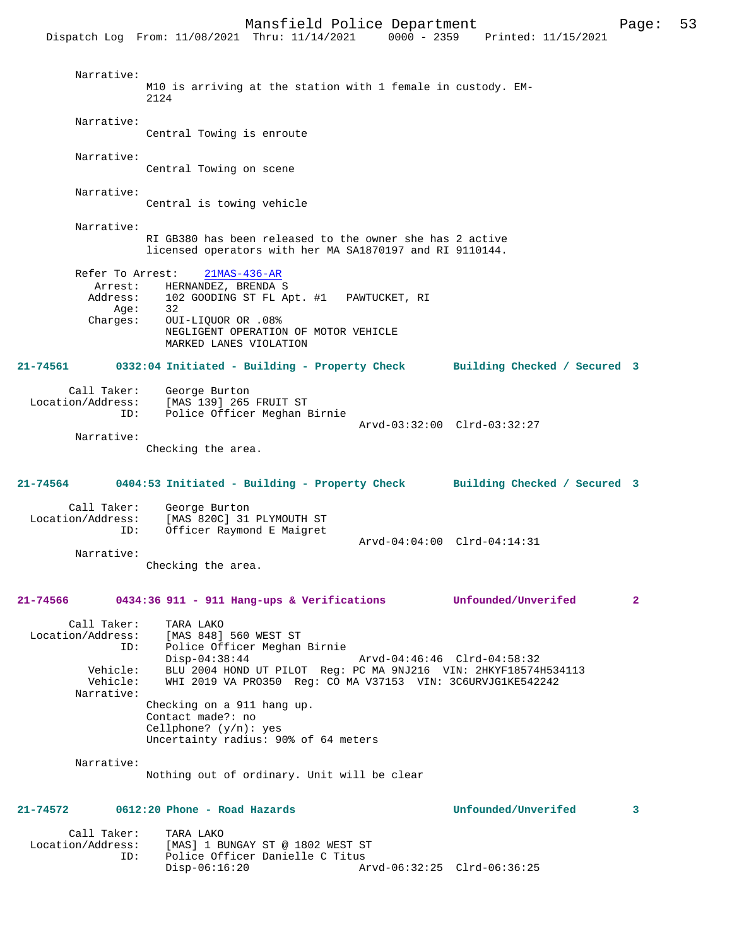|          |                                                             | Dispatch Log From: 11/08/2021 Thru: 11/14/2021                                                                                                                                                                                            | $0000 - 2359$<br>Printed: 11/15/2021 |              |
|----------|-------------------------------------------------------------|-------------------------------------------------------------------------------------------------------------------------------------------------------------------------------------------------------------------------------------------|--------------------------------------|--------------|
|          | Narrative:                                                  | M10 is arriving at the station with 1 female in custody. EM-<br>2124                                                                                                                                                                      |                                      |              |
|          | Narrative:                                                  | Central Towing is enroute                                                                                                                                                                                                                 |                                      |              |
|          | Narrative:                                                  | Central Towing on scene                                                                                                                                                                                                                   |                                      |              |
|          | Narrative:                                                  | Central is towing vehicle                                                                                                                                                                                                                 |                                      |              |
|          | Narrative:                                                  | RI GB380 has been released to the owner she has 2 active<br>licensed operators with her MA SA1870197 and RI 9110144.                                                                                                                      |                                      |              |
|          | Refer To Arrest:<br>Arrest:<br>Address:<br>Age:<br>Charges: | $21MAS - 436 - AR$<br>HERNANDEZ, BRENDA S<br>102 GOODING ST FL Apt. #1 PAWTUCKET, RI<br>32<br>OUI-LIQUOR OR .08%<br>NEGLIGENT OPERATION OF MOTOR VEHICLE<br>MARKED LANES VIOLATION                                                        |                                      |              |
| 21-74561 |                                                             | 0332:04 Initiated - Building - Property Check Building Checked / Secured 3                                                                                                                                                                |                                      |              |
|          | Call Taker:<br>Location/Address:<br>ID:                     | George Burton<br>[MAS 139] 265 FRUIT ST<br>Police Officer Meghan Birnie                                                                                                                                                                   | Arvd-03:32:00 Clrd-03:32:27          |              |
|          | Narrative:                                                  | Checking the area.                                                                                                                                                                                                                        |                                      |              |
| 21-74564 |                                                             | 0404:53 Initiated - Building - Property Check Building Checked / Secured 3                                                                                                                                                                |                                      |              |
|          | Call Taker:<br>Location/Address:<br>ID:                     | George Burton<br>[MAS 820C] 31 PLYMOUTH ST<br>Officer Raymond E Maigret                                                                                                                                                                   |                                      |              |
|          | Narrative:                                                  | Checking the area.                                                                                                                                                                                                                        | Arvd-04:04:00 Clrd-04:14:31          |              |
| 21-74566 |                                                             | 0434:36 911 - 911 Hang-ups & Verifications Unfounded/Unverifed                                                                                                                                                                            |                                      | $\mathbf{2}$ |
|          | Call Taker:<br>ID:<br>Vehicle:<br>Vehicle:<br>Narrative:    | TARA LAKO<br>Location/Address: [MAS 848] 560 WEST ST<br>Police Officer Meghan Birnie<br>$Disp-04:38:44$<br>BLU 2004 HOND UT PILOT Reg: PC MA 9NJ216 VIN: 2HKYF18574H534113<br>WHI 2019 VA PRO350 Req: CO MA V37153 VIN: 3C6URVJG1KE542242 | Arvd-04:46:46 Clrd-04:58:32          |              |
|          |                                                             | Checking on a 911 hang up.<br>Contact made?: no<br>Cellphone? $(y/n):$ yes<br>Uncertainty radius: 90% of 64 meters                                                                                                                        |                                      |              |
|          | Narrative:                                                  | Nothing out of ordinary. Unit will be clear                                                                                                                                                                                               |                                      |              |
| 21-74572 |                                                             | 0612:20 Phone - Road Hazards                                                                                                                                                                                                              | Unfounded/Unverifed                  | 3            |

| Call Taker:       | TARA LAKO                        |                             |  |
|-------------------|----------------------------------|-----------------------------|--|
| Location/Address: | [MAS] 1 BUNGAY ST @ 1802 WEST ST |                             |  |
| TD:               | Police Officer Danielle C Titus  |                             |  |
|                   | Disp-06:16:20                    | Arvd-06:32:25 Clrd-06:36:25 |  |
|                   |                                  |                             |  |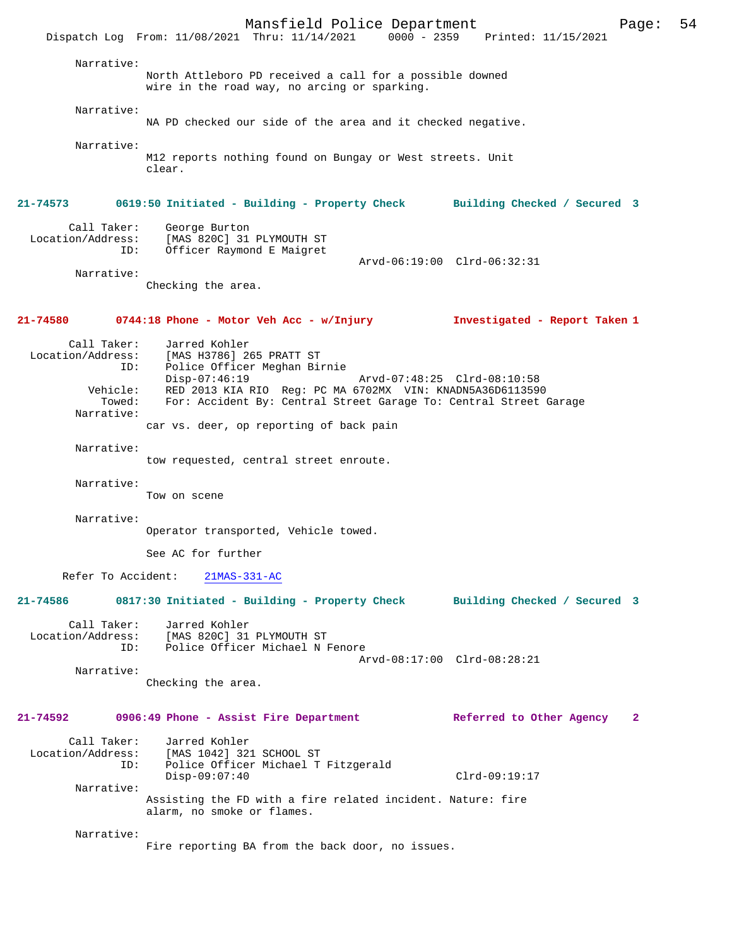Mansfield Police Department Page: 54 Dispatch Log From:  $11/08/2021$  Thru:  $11/14/2021$  0000 - 2359 Narrative: North Attleboro PD received a call for a possible downed wire in the road way, no arcing or sparking. Narrative: NA PD checked our side of the area and it checked negative. Narrative: M12 reports nothing found on Bungay or West streets. Unit clear. **21-74573 0619:50 Initiated - Building - Property Check Building Checked / Secured 3** Call Taker: George Burton<br>Location/Address: [MAS 820C] 31 [MAS 820C] 31 PLYMOUTH ST ID: Officer Raymond E Maigret Arvd-06:19:00 Clrd-06:32:31 Narrative: Checking the area. **21-74580 0744:18 Phone - Motor Veh Acc - w/Injury Investigated - Report Taken 1** Call Taker: Jarred Kohler<br>Location/Address: [MAS H3786] 2 ess: [MAS H3786] 265 PRATT ST<br>ID: Police Officer Meghan Bi<sub>l</sub> Police Officer Meghan Birnie<br>Disp-07:46:19 Disp-07:46:19 Arvd-07:48:25 Clrd-08:10:58 Vehicle: RED 2013 KIA RIO Reg: PC MA 6702MX VIN: KNADN5A36D6113590 Towed: For: Accident By: Central Street Garage To: Central Street Garage Narrative: car vs. deer, op reporting of back pain Narrative: tow requested, central street enroute. Narrative: Tow on scene Narrative: Operator transported, Vehicle towed. See AC for further Refer To Accident: 21MAS-331-AC **21-74586 0817:30 Initiated - Building - Property Check Building Checked / Secured 3** Call Taker: Jarred Kohler<br>Location/Address: [MAS 820C] 31 ess: [MAS 820C] 31 PLYMOUTH ST<br>ID: Police Officer Michael N Police Officer Michael N Fenore Arvd-08:17:00 Clrd-08:28:21 Narrative: Checking the area. **21-74592 0906:49 Phone - Assist Fire Department Referred to Other Agency 2** Call Taker: Jarred Kohler<br>Location/Address: [MAS 1042] 32 [MAS 1042] 321 SCHOOL ST ID: Police Officer Michael T Fitzgerald Disp-09:07:40 Clrd-09:19:17 Narrative: Assisting the FD with a fire related incident. Nature: fire alarm, no smoke or flames. Narrative: Fire reporting BA from the back door, no issues.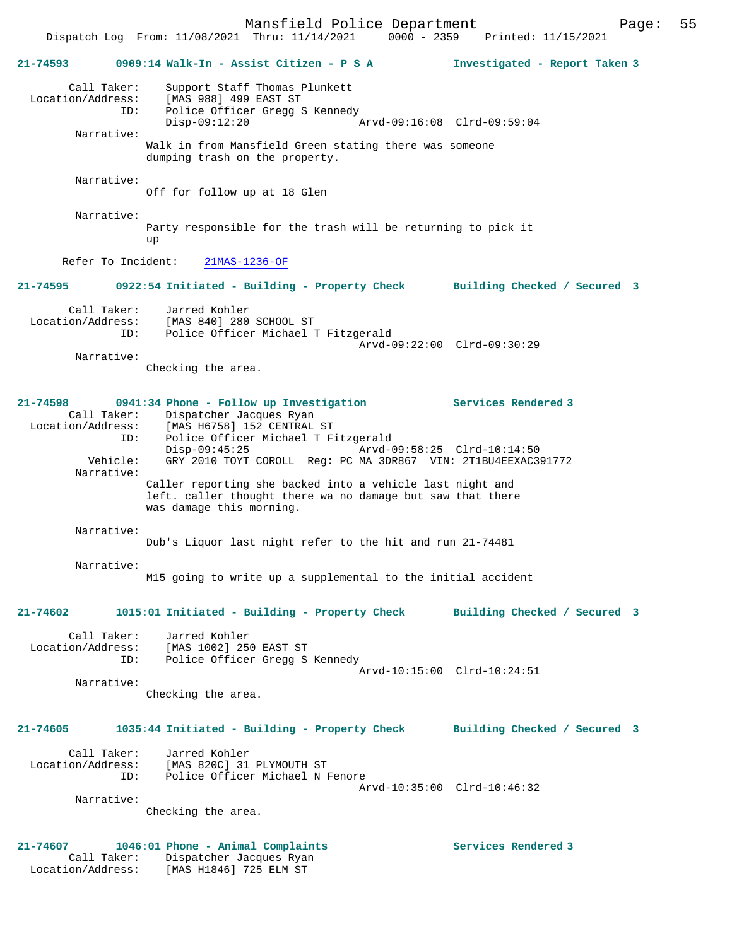Mansfield Police Department Page: 55 Dispatch Log From:  $11/08/2021$  Thru:  $11/14/2021$  0000 - 2359 **21-74593 0909:14 Walk-In - Assist Citizen - P S A Investigated - Report Taken 3** Call Taker: Support Staff Thomas Plunkett Location/Address: [MAS 988] 499 EAST ST ID: Police Officer Gregg S Kennedy Disp-09:12:20 Arvd-09:16:08 Clrd-09:59:04 Narrative: Walk in from Mansfield Green stating there was someone dumping trash on the property. Narrative: Off for follow up at 18 Glen Narrative: Party responsible for the trash will be returning to pick it up Refer To Incident: 21MAS-1236-OF **21-74595 0922:54 Initiated - Building - Property Check Building Checked / Secured 3** Call Taker: Jarred Kohler<br>Location/Address: [MAS 840] 280 Location/Address: [MAS 840] 280 SCHOOL ST ID: Police Officer Michael T Fitzgerald Arvd-09:22:00 Clrd-09:30:29 Narrative: Checking the area. **21-74598 0941:34 Phone - Follow up Investigation Services Rendered 3**  Call Taker: Dispatcher Jacques Ryan Location/Address: [MAS H6758] 152 CENTRAL ST ID: Police Officer Michael T Fitzgerald Disp-09:45:25 25 Arvd-09:58:25 Clrd-10:14:50<br>Vehicle: GRY 2010 TOYT COROLL Reg: PC MA 3DR867 VIN: 2T1BU4EEXAC3 Vehicle: GRY 2010 TOYT COROLL Reg: PC MA 3DR867 VIN: 2T1BU4EEXAC391772 Narrative: Caller reporting she backed into a vehicle last night and left. caller thought there wa no damage but saw that there was damage this morning. Narrative: Dub's Liquor last night refer to the hit and run 21-74481 Narrative: M15 going to write up a supplemental to the initial accident **21-74602 1015:01 Initiated - Building - Property Check Building Checked / Secured 3** Call Taker: Jarred Kohler Location/Address: [MAS 1002] 250 EAST ST ID: Police Officer Gregg S Kennedy Arvd-10:15:00 Clrd-10:24:51 Narrative: Checking the area. **21-74605 1035:44 Initiated - Building - Property Check Building Checked / Secured 3** Call Taker: Jarred Kohler Location/Address: [MAS 820C] 31 PLYMOUTH ST ID: Police Officer Michael N Fenore Arvd-10:35:00 Clrd-10:46:32 Narrative: Checking the area. **21-74607 1046:01 Phone - Animal Complaints Services Rendered 3**  Call Taker: Dispatcher Jacques Ryan Location/Address: [MAS H1846] 725 ELM ST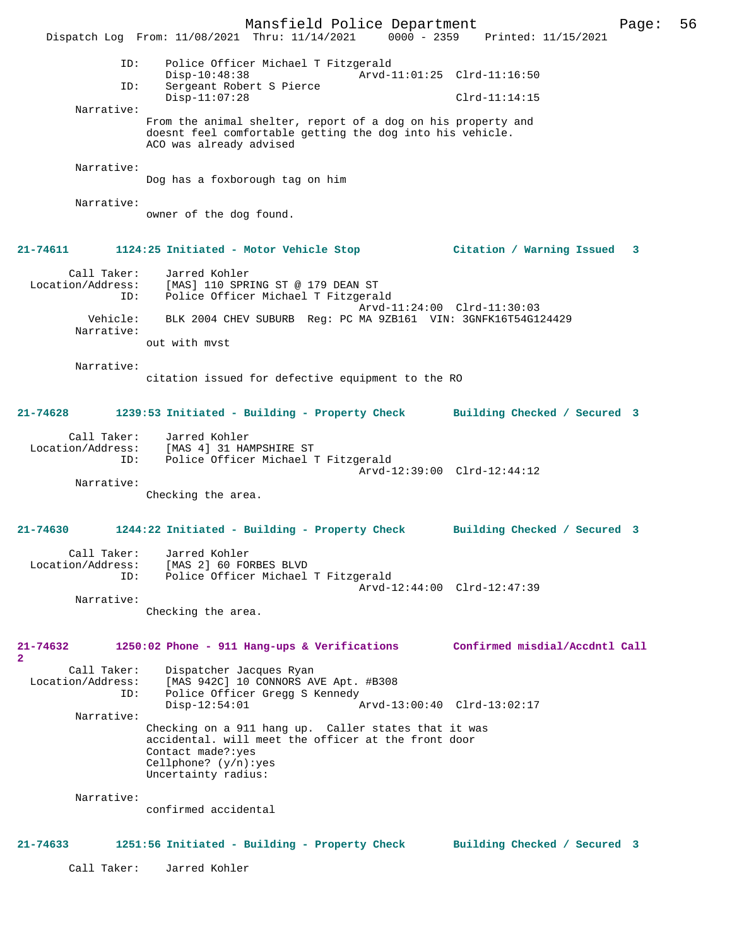Mansfield Police Department Page: 56 Dispatch Log From: 11/08/2021 Thru: 11/14/2021 0000 - 2359 ID: Police Officer Michael T Fitzgerald Disp-10:48:38 Arvd-11:01:25 Clrd-11:16:50<br>TD: Sergeant Robert S Pierce Sergeant Robert S Pierce Disp-11:07:28 Clrd-11:14:15 Narrative: From the animal shelter, report of a dog on his property and doesnt feel comfortable getting the dog into his vehicle. ACO was already advised Narrative: Dog has a foxborough tag on him Narrative: owner of the dog found. **21-74611 1124:25 Initiated - Motor Vehicle Stop Citation / Warning Issued 3** Call Taker: Jarred Kohler<br>Location/Address: [MAS] 110 SPR ess: [MAS] 110 SPRING ST @ 179 DEAN ST<br>ID: Police Officer Michael T Fitzgera Police Officer Michael T Fitzgerald Arvd-11:24:00 Clrd-11:30:03 Vehicle: BLK 2004 CHEV SUBURB Reg: PC MA 9ZB161 VIN: 3GNFK16T54G124429 Narrative: out with mvst Narrative: citation issued for defective equipment to the RO **21-74628 1239:53 Initiated - Building - Property Check Building Checked / Secured 3** Call Taker: Jarred Kohler<br>Location/Address: [MAS 4] 31 HAI ess: [MAS 4] 31 HAMPSHIRE ST<br>ID: Police Officer Michael Police Officer Michael T Fitzgerald Arvd-12:39:00 Clrd-12:44:12 Narrative: Checking the area. **21-74630 1244:22 Initiated - Building - Property Check Building Checked / Secured 3** Call Taker: Jarred Kohler Location/Address: [MAS 2] 60 FORBES BLVD ID: Police Officer Michael T Fitzgerald Arvd-12:44:00 Clrd-12:47:39 Narrative: Checking the area. **21-74632 1250:02 Phone - 911 Hang-ups & Verifications Confirmed misdial/Accdntl Call 2**  Call Taker: Dispatcher Jacques Ryan<br>Location/Address: [MAS 942C] 10 CONNORS AN ess: [MAS 942C] 10 CONNORS AVE Apt. #B308<br>ID: Police Officer Gregg S Kennedy Police Officer Gregg S Kennedy<br>Disp-12:54:01 Disp-12:54:01 Arvd-13:00:40 Clrd-13:02:17 Narrative: Checking on a 911 hang up. Caller states that it was accidental. will meet the officer at the front door Contact made?:yes Cellphone? (y/n):yes Uncertainty radius: Narrative: confirmed accidental **21-74633 1251:56 Initiated - Building - Property Check Building Checked / Secured 3** Call Taker: Jarred Kohler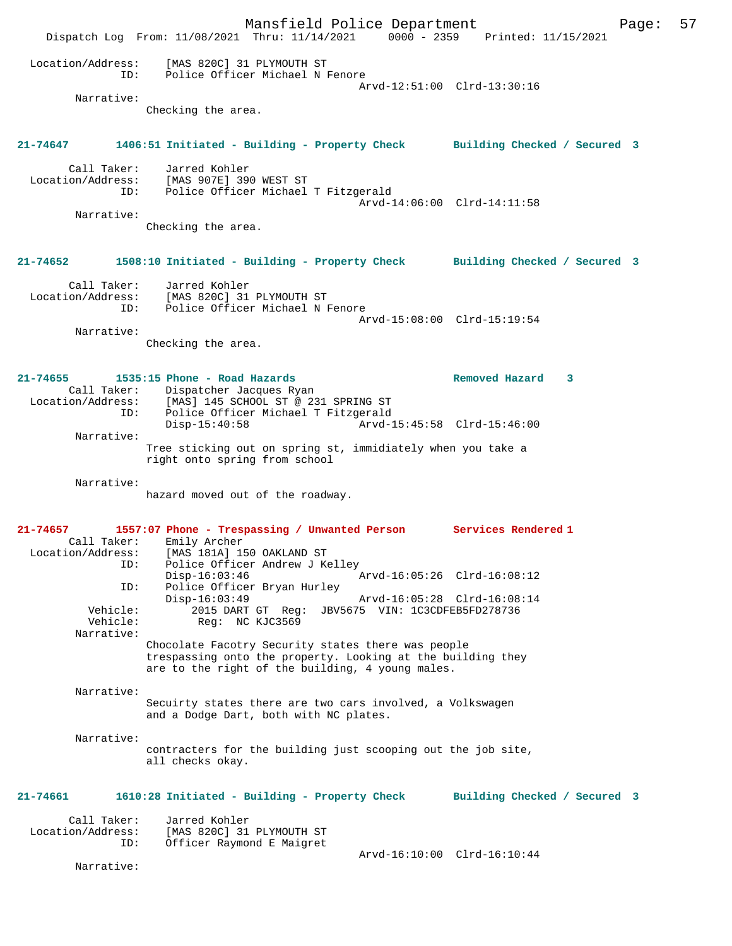Mansfield Police Department Page: 57 Dispatch Log From: 11/08/2021 Thru: 11/14/2021 0000 - 2359 Printed: 11/15/2021 Location/Address: [MAS 820C] 31 PLYMOUTH ST ID: Police Officer Michael N Fenore Arvd-12:51:00 Clrd-13:30:16 Narrative: Checking the area. **21-74647 1406:51 Initiated - Building - Property Check Building Checked / Secured 3** Call Taker: Jarred Kohler Location/Address: [MAS 907E] 390 WEST ST ID: Police Officer Michael T Fitzgerald Arvd-14:06:00 Clrd-14:11:58 Narrative: Checking the area. **21-74652 1508:10 Initiated - Building - Property Check Building Checked / Secured 3** Call Taker: Jarred Kohler Location/Address: [MAS 820C] 31 PLYMOUTH ST ID: Police Officer Michael N Fenore Arvd-15:08:00 Clrd-15:19:54 Narrative: Checking the area. **21-74655 1535:15 Phone - Road Hazards Removed Hazard 3**  Call Taker: Dispatcher Jacques Ryan Location/Address: [MAS] 145 SCHOOL ST @ 231 SPRING ST ID: Police Officer Michael T Fitzgerald Disp-15:40:58 Arvd-15:45:58 Clrd-15:46:00 Narrative: Tree sticking out on spring st, immidiately when you take a right onto spring from school Narrative: hazard moved out of the roadway. **21-74657 1557:07 Phone - Trespassing / Unwanted Person Services Rendered 1**  Call Taker: Emily Archer Location/Address: [MAS 181A] 150 OAKLAND ST ID: Police Officer Andrew J Kelley Disp-16:03:46 Arvd-16:05:26 Clrd-16:08:12 ID: Police Officer Bryan Hurley Disp-16:03:49 Arvd-16:05:28 Clrd-16:08:14 Vehicle: 2015 DART GT Reg: JBV5675 VIN: 1C3CDFEB5FD278736 Vehicle: Req: NC KJC3569 Narrative: Chocolate Facotry Security states there was people trespassing onto the property. Looking at the building they are to the right of the building, 4 young males. Narrative: Secuirty states there are two cars involved, a Volkswagen and a Dodge Dart, both with NC plates. Narrative: contracters for the building just scooping out the job site, all checks okay. **21-74661 1610:28 Initiated - Building - Property Check Building Checked / Secured 3** Call Taker: Jarred Kohler Location/Address: [MAS 820C] 31 PLYMOUTH ST ID: Officer Raymond E Maigret Arvd-16:10:00 Clrd-16:10:44 Narrative: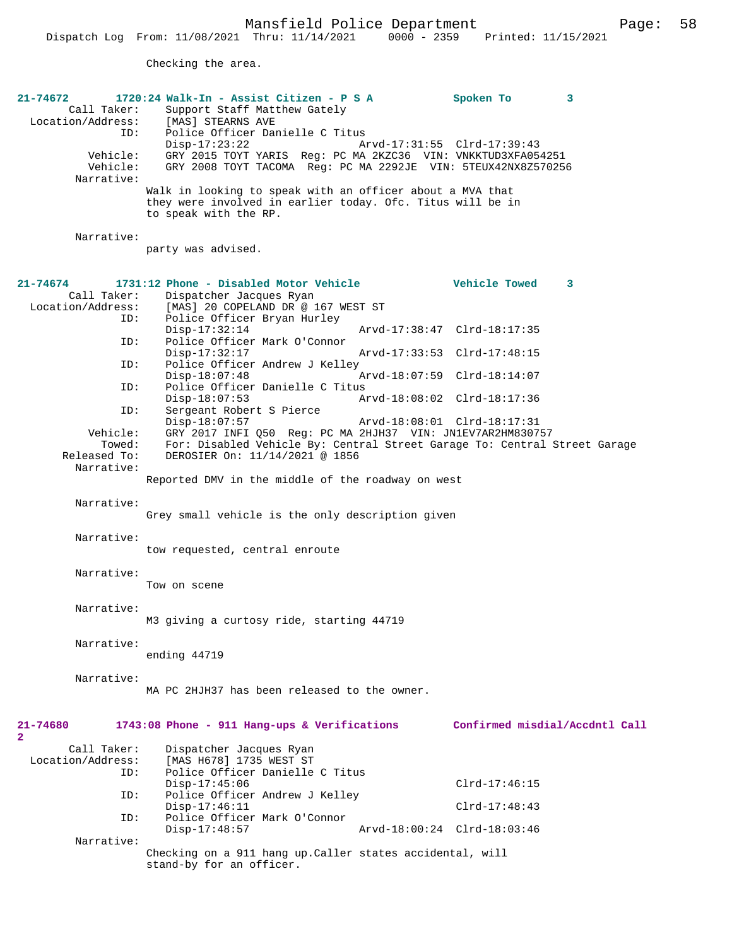Checking the area.

| $21 - 74672$<br>Call Taker:<br>Location/Address:<br>ID:<br>Vehicle:<br>Vehicle:<br>Narrative: | 1720:24 Walk-In - Assist Citizen - P S A<br>Support Staff Matthew Gately<br>[MAS] STEARNS AVE<br>Police Officer Danielle C Titus<br>$Disp-17:23:22$<br>GRY 2015 TOYT YARIS Req: PC MA 2KZC36 VIN: VNKKTUD3XFA054251<br>GRY 2008 TOYT TACOMA Req: PC MA 2292JE VIN: 5TEUX42NX8Z570256<br>Walk in looking to speak with an officer about a MVA that<br>they were involved in earlier today. Ofc. Titus will be in<br>to speak with the RP. | Spoken To<br>Arvd-17:31:55 Clrd-17:39:43 | 3                              |
|-----------------------------------------------------------------------------------------------|------------------------------------------------------------------------------------------------------------------------------------------------------------------------------------------------------------------------------------------------------------------------------------------------------------------------------------------------------------------------------------------------------------------------------------------|------------------------------------------|--------------------------------|
| Narrative:                                                                                    | party was advised.                                                                                                                                                                                                                                                                                                                                                                                                                       |                                          |                                |
|                                                                                               |                                                                                                                                                                                                                                                                                                                                                                                                                                          |                                          |                                |
| 21-74674<br>Call Taker:<br>Location/Address:                                                  | 1731:12 Phone - Disabled Motor Vehicle<br>Dispatcher Jacques Ryan<br>[MAS] 20 COPELAND DR @ 167 WEST ST                                                                                                                                                                                                                                                                                                                                  | <b>Vehicle Towed</b>                     | 3                              |
| ID:<br>ID:                                                                                    | Police Officer Bryan Hurley<br>$Disp-17:32:14$<br>Police Officer Mark O'Connor                                                                                                                                                                                                                                                                                                                                                           | Arvd-17:38:47 Clrd-18:17:35              |                                |
| ID:                                                                                           | $Disp-17:32:17$<br>Police Officer Andrew J Kelley                                                                                                                                                                                                                                                                                                                                                                                        | Arvd-17:33:53 Clrd-17:48:15              |                                |
|                                                                                               | $Disp-18:07:48$                                                                                                                                                                                                                                                                                                                                                                                                                          | Arvd-18:07:59 Clrd-18:14:07              |                                |
| ID:                                                                                           | Police Officer Danielle C Titus<br>$Disp-18:07:53$                                                                                                                                                                                                                                                                                                                                                                                       | Arvd-18:08:02 Clrd-18:17:36              |                                |
| ID:                                                                                           | Sergeant Robert S Pierce<br>$Disp-18:07:57$                                                                                                                                                                                                                                                                                                                                                                                              | Arvd-18:08:01 Clrd-18:17:31              |                                |
| Vehicle:<br>Towed:                                                                            | GRY 2017 INFI 050 Req: PC MA 2HJH37 VIN: JN1EV7AR2HM830757<br>For: Disabled Vehicle By: Central Street Garage To: Central Street Garage                                                                                                                                                                                                                                                                                                  |                                          |                                |
| Released To:                                                                                  | DEROSIER On: 11/14/2021 @ 1856                                                                                                                                                                                                                                                                                                                                                                                                           |                                          |                                |
| Narrative:                                                                                    | Reported DMV in the middle of the roadway on west                                                                                                                                                                                                                                                                                                                                                                                        |                                          |                                |
| Narrative:                                                                                    |                                                                                                                                                                                                                                                                                                                                                                                                                                          |                                          |                                |
|                                                                                               | Grey small vehicle is the only description given                                                                                                                                                                                                                                                                                                                                                                                         |                                          |                                |
| Narrative:                                                                                    | tow requested, central enroute                                                                                                                                                                                                                                                                                                                                                                                                           |                                          |                                |
| Narrative:                                                                                    |                                                                                                                                                                                                                                                                                                                                                                                                                                          |                                          |                                |
|                                                                                               | Tow on scene                                                                                                                                                                                                                                                                                                                                                                                                                             |                                          |                                |
| Narrative:                                                                                    | M3 giving a curtosy ride, starting 44719                                                                                                                                                                                                                                                                                                                                                                                                 |                                          |                                |
| Narrative:                                                                                    | ending 44719                                                                                                                                                                                                                                                                                                                                                                                                                             |                                          |                                |
| Narrative:                                                                                    | MA PC 2HJH37 has been released to the owner.                                                                                                                                                                                                                                                                                                                                                                                             |                                          |                                |
| 21-74680<br>2                                                                                 | 1743:08 Phone - 911 Hang-ups & Verifications                                                                                                                                                                                                                                                                                                                                                                                             |                                          | Confirmed misdial/Accdntl Call |
| Call Taker:<br>Location/Address:<br>ID:                                                       | Dispatcher Jacques Ryan<br>[MAS H678] 1735 WEST ST<br>Police Officer Danielle C Titus                                                                                                                                                                                                                                                                                                                                                    |                                          |                                |
| ID:                                                                                           | $Disp-17:45:06$<br>Police Officer Andrew J Kelley                                                                                                                                                                                                                                                                                                                                                                                        | $Clrd-17:46:15$                          |                                |
| ID:                                                                                           | $Disp-17:46:11$<br>Police Officer Mark O'Connor                                                                                                                                                                                                                                                                                                                                                                                          | $Clrd-17:48:43$                          |                                |
|                                                                                               | $Disp-17:48:57$                                                                                                                                                                                                                                                                                                                                                                                                                          | Arvd-18:00:24 Clrd-18:03:46              |                                |
| Narrative:                                                                                    | Checking on a 911 hang up. Caller states accidental, will<br>stand-by for an officer.                                                                                                                                                                                                                                                                                                                                                    |                                          |                                |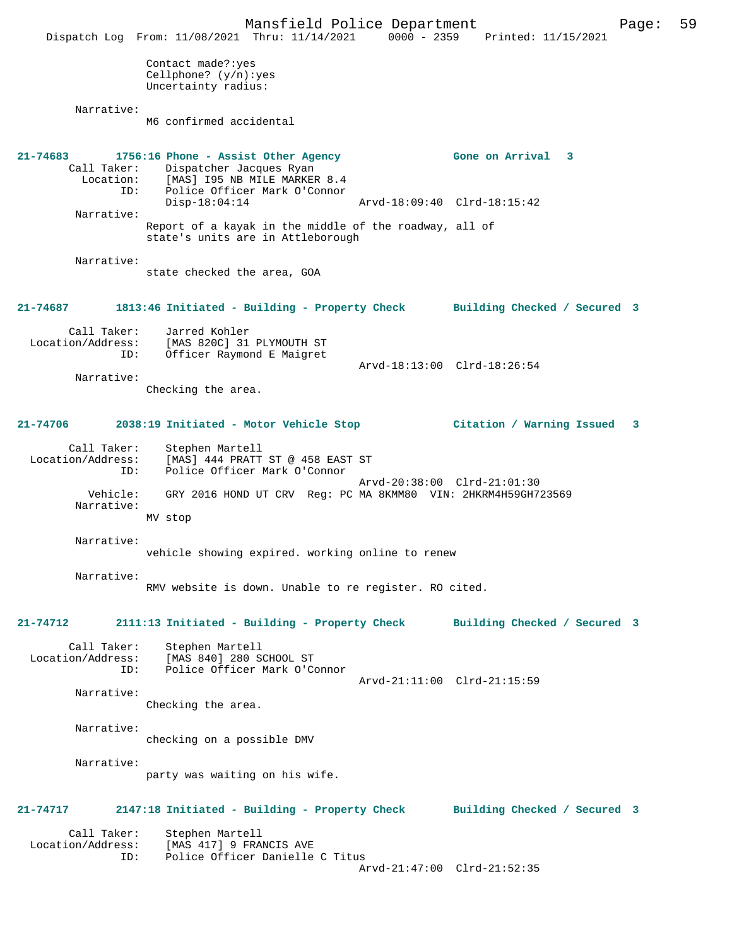Mansfield Police Department Page: 59 Dispatch Log From: 11/08/2021 Thru: 11/14/2021 0000 - 2359 Printed: 11/15/2021 Contact made?:yes Cellphone? (y/n):yes Uncertainty radius: Narrative: M6 confirmed accidental **21-74683 1756:16 Phone - Assist Other Agency Gone on Arrival 3**  Call Taker: Dispatcher Jacques Ryan Location: [MAS] I95 NB MILE MARKER 8.4<br>ID: Police Officer Mark O'Connor Police Officer Mark O'Connor<br>Disp-18:04:14 Disp-18:04:14 Arvd-18:09:40 Clrd-18:15:42 Narrative: Report of a kayak in the middle of the roadway, all of state's units are in Attleborough Narrative: state checked the area, GOA **21-74687 1813:46 Initiated - Building - Property Check Building Checked / Secured 3** Call Taker: Jarred Kohler<br>Location/Address: [MAS 820C] 31 [MAS 820C] 31 PLYMOUTH ST ID: Officer Raymond E Maigret Arvd-18:13:00 Clrd-18:26:54 Narrative: Checking the area. **21-74706 2038:19 Initiated - Motor Vehicle Stop Citation / Warning Issued 3** Call Taker: Stephen Martell Location/Address: [MAS] 444 PRATT ST @ 458 EAST ST ID: Police Officer Mark O'Connor Arvd-20:38:00 Clrd-21:01:30 Vehicle: GRY 2016 HOND UT CRV Reg: PC MA 8KMM80 VIN: 2HKRM4H59GH723569 Narrative: MV stop Narrative: vehicle showing expired. working online to renew Narrative: RMV website is down. Unable to re register. RO cited. **21-74712 2111:13 Initiated - Building - Property Check Building Checked / Secured 3** Call Taker: Stephen Martell Location/Address: [MAS 840] 280 SCHOOL ST ID: Police Officer Mark O'Connor Arvd-21:11:00 Clrd-21:15:59 Narrative: Checking the area. Narrative: checking on a possible DMV Narrative: party was waiting on his wife. **21-74717 2147:18 Initiated - Building - Property Check Building Checked / Secured 3** Call Taker: Stephen Martell<br>Location/Address: [MAS 417] 9 FRA [MAS 417] 9 FRANCIS AVE ID: Police Officer Danielle C Titus Arvd-21:47:00 Clrd-21:52:35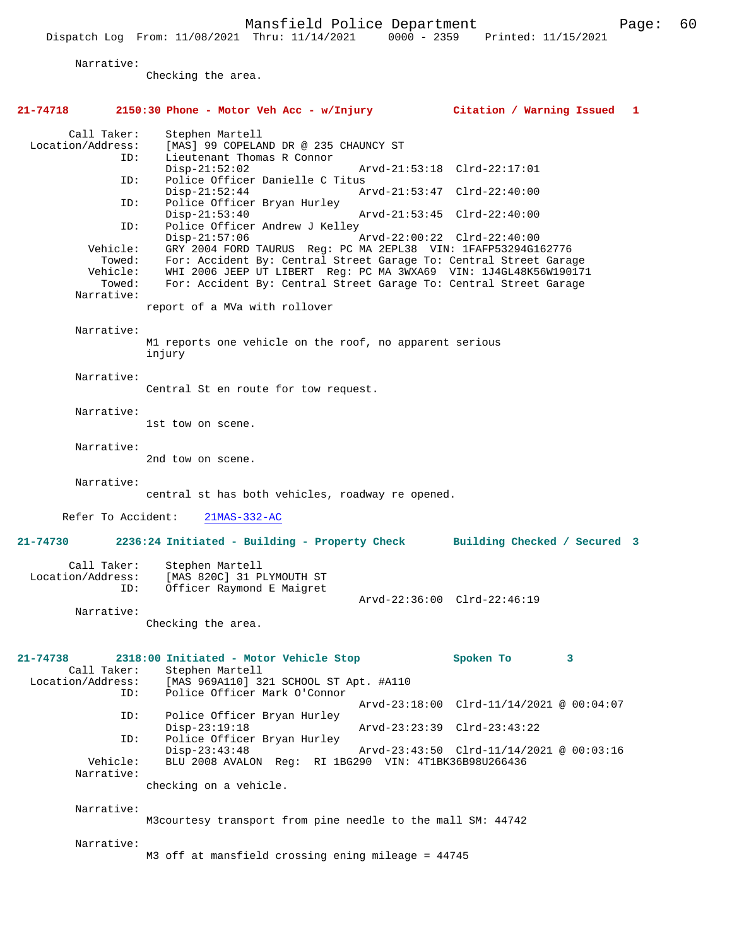Mansfield Police Department Fage: 60

Narrative:

Checking the area.

| 21-74718                                                | 2150:30 Phone - Motor Veh Acc - w/Injury                                                                                                                                                                                                                                                                     | Citation / Warning Issued<br>1           |
|---------------------------------------------------------|--------------------------------------------------------------------------------------------------------------------------------------------------------------------------------------------------------------------------------------------------------------------------------------------------------------|------------------------------------------|
| Call Taker:<br>Location/Address:<br>ID:<br>ID:          | Stephen Martell<br>[MAS] 99 COPELAND DR @ 235 CHAUNCY ST<br>Lieutenant Thomas R Connor<br>$Disp-21:52:02$<br>Police Officer Danielle C Titus                                                                                                                                                                 | Arvd-21:53:18 Clrd-22:17:01              |
| ID:                                                     | $Disp-21:52:44$<br>Police Officer Bryan Hurley                                                                                                                                                                                                                                                               | Arvd-21:53:47 Clrd-22:40:00              |
| ID:                                                     | $Disp-21:53:40$<br>Police Officer Andrew J Kelley<br>$Disp-21:57:06$                                                                                                                                                                                                                                         | Arvd-21:53:45 Clrd-22:40:00              |
| Vehicle:<br>Towed:<br>Vehicle:<br>Towed:<br>Narrative:  | GRY 2004 FORD TAURUS Req: PC MA 2EPL38 VIN: 1FAFP53294G162776<br>For: Accident By: Central Street Garage To: Central Street Garage<br>WHI 2006 JEEP UT LIBERT Reg: PC MA 3WXA69 VIN: 1J4GL48K56W190171<br>For: Accident By: Central Street Garage To: Central Street Garage<br>report of a MVa with rollover | Arvd-22:00:22 Clrd-22:40:00              |
|                                                         |                                                                                                                                                                                                                                                                                                              |                                          |
| Narrative:                                              | M1 reports one vehicle on the roof, no apparent serious<br>injury                                                                                                                                                                                                                                            |                                          |
| Narrative:                                              | Central St en route for tow request.                                                                                                                                                                                                                                                                         |                                          |
| Narrative:                                              | 1st tow on scene.                                                                                                                                                                                                                                                                                            |                                          |
| Narrative:                                              | 2nd tow on scene.                                                                                                                                                                                                                                                                                            |                                          |
| Narrative:                                              | central st has both vehicles, roadway re opened.                                                                                                                                                                                                                                                             |                                          |
| Refer To Accident:                                      | $21MAS-332-AC$                                                                                                                                                                                                                                                                                               |                                          |
| 21-74730                                                | 2236:24 Initiated - Building - Property Check Building Checked / Secured 3                                                                                                                                                                                                                                   |                                          |
| Call Taker:<br>Location/Address:<br>ID:                 | Stephen Martell<br>[MAS 820C] 31 PLYMOUTH ST<br>Officer Raymond E Maigret                                                                                                                                                                                                                                    | Arvd-22:36:00 Clrd-22:46:19              |
| Narrative:                                              | Checking the area.                                                                                                                                                                                                                                                                                           |                                          |
| $21 - 74738$<br>Call Taker:<br>Location/Address:<br>ID: | 2318:00 Initiated - Motor Vehicle Stop<br>Stephen Martell<br>[MAS 969A110] 321 SCHOOL ST Apt. #A110<br>Police Officer Mark O'Connor                                                                                                                                                                          | Spoken To<br>3                           |
| ID:                                                     | Police Officer Bryan Hurley                                                                                                                                                                                                                                                                                  | Arvd-23:18:00 Clrd-11/14/2021 @ 00:04:07 |
| ID:                                                     | $Disp-23:19:18$<br>Police Officer Bryan Hurley                                                                                                                                                                                                                                                               | Arvd-23:23:39 Clrd-23:43:22              |
| Vehicle:                                                | $Disp-23:43:48$<br>BLU 2008 AVALON Req: RI 1BG290 VIN: 4T1BK36B98U266436                                                                                                                                                                                                                                     | Arvd-23:43:50 Clrd-11/14/2021 @ 00:03:16 |
| Narrative:                                              | checking on a vehicle.                                                                                                                                                                                                                                                                                       |                                          |
| Narrative:                                              | M3courtesy transport from pine needle to the mall SM: 44742                                                                                                                                                                                                                                                  |                                          |
| Narrative:                                              | M3 off at mansfield crossing ening mileage = 44745                                                                                                                                                                                                                                                           |                                          |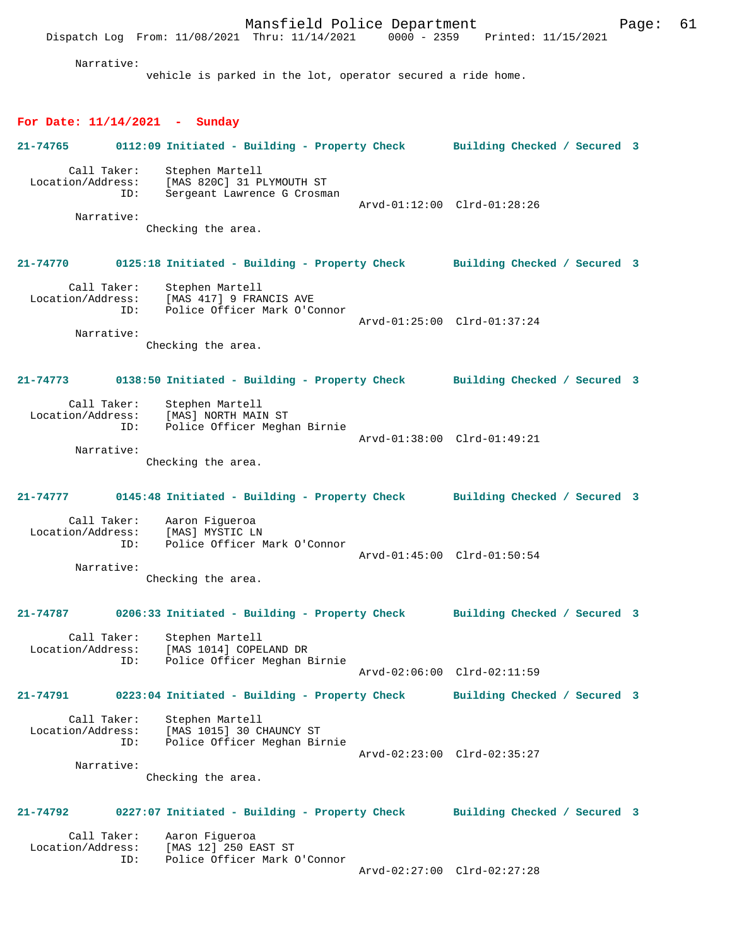Mansfield Police Department Form Page: 61 Dispatch Log From: 11/08/2021 Thru: 11/14/2021 0000 - 2359 Printed: 11/15/2021 Narrative: vehicle is parked in the lot, operator secured a ride home. **For Date: 11/14/2021 - Sunday 21-74765 0112:09 Initiated - Building - Property Check Building Checked / Secured 3** Call Taker: Stephen Martell Location/Address: [MAS 820C] 31 PLYMOUTH ST ID: Sergeant Lawrence G Crosman Arvd-01:12:00 Clrd-01:28:26 Narrative: Checking the area. **21-74770 0125:18 Initiated - Building - Property Check Building Checked / Secured 3** Call Taker: Stephen Martell Location/Address: [MAS 417] 9 FRANCIS AVE<br>TD: Police Officer Mark O'Co Police Officer Mark O'Connor Arvd-01:25:00 Clrd-01:37:24 Narrative: Checking the area. **21-74773 0138:50 Initiated - Building - Property Check Building Checked / Secured 3** Call Taker: Stephen Martell<br>Location/Address: [MAS] NORTH MAIL [MAS] NORTH MAIN ST ID: Police Officer Meghan Birnie Arvd-01:38:00 Clrd-01:49:21 Narrative: Checking the area. **21-74777 0145:48 Initiated - Building - Property Check Building Checked / Secured 3** Call Taker: Aaron Figueroa<br>ion/Address: [MAS] MYSTIC LN Location/Address:<br>ID: Police Officer Mark O'Connor Arvd-01:45:00 Clrd-01:50:54 Narrative: Checking the area. **21-74787 0206:33 Initiated - Building - Property Check Building Checked / Secured 3** Call Taker: Stephen Martell<br>Location/Address: [MAS 1014] COPE [MAS 1014] COPELAND DR ID: Police Officer Meghan Birnie Arvd-02:06:00 Clrd-02:11:59 **21-74791 0223:04 Initiated - Building - Property Check Building Checked / Secured 3** Call Taker: Stephen Martell<br>Location/Address: [MAS 1015] 30 CI [MAS 1015] 30 CHAUNCY ST ID: Police Officer Meghan Birnie Arvd-02:23:00 Clrd-02:35:27 Narrative: Checking the area. **21-74792 0227:07 Initiated - Building - Property Check Building Checked / Secured 3** Call Taker: Aaron Figueroa<br>Location/Address: [MAS 12] 250 E ess: [MAS 12] 250 EAST ST<br>ID: Police Officer Mark ( Police Officer Mark O'Connor Arvd-02:27:00 Clrd-02:27:28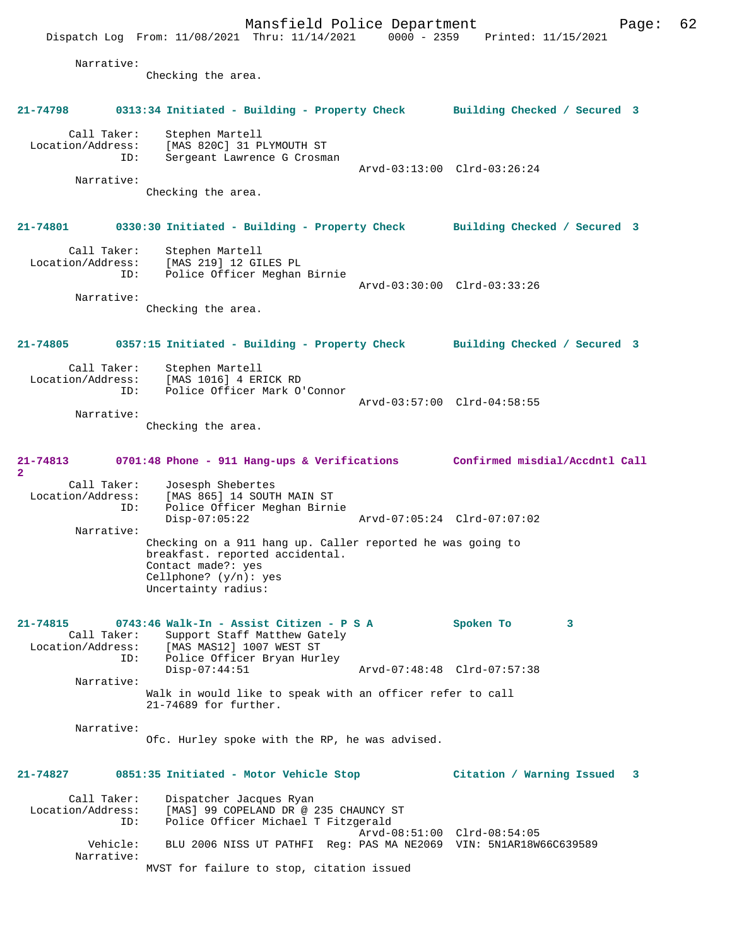Mansfield Police Department Frage: 62 Dispatch Log From: 11/08/2021 Thru: 11/14/2021 0000 - 2359 Printed: 11/15/2021 Narrative: Checking the area. **21-74798 0313:34 Initiated - Building - Property Check Building Checked / Secured 3** Call Taker: Stephen Martell Location/Address: [MAS 820C] 31 PLYMOUTH ST ID: Sergeant Lawrence G Crosman Arvd-03:13:00 Clrd-03:26:24 Narrative: Checking the area. **21-74801 0330:30 Initiated - Building - Property Check Building Checked / Secured 3** Call Taker: Stephen Martell Location/Address: [MAS 219] 12 GILES PL ID: Police Officer Meghan Birnie Arvd-03:30:00 Clrd-03:33:26 Narrative: Checking the area. **21-74805 0357:15 Initiated - Building - Property Check Building Checked / Secured 3** Call Taker: Stephen Martell Location/Address: [MAS 1016] 4 ERICK RD<br>ID: Police Officer Mark O' Police Officer Mark O'Connor Arvd-03:57:00 Clrd-04:58:55 Narrative: Checking the area. **21-74813 0701:48 Phone - 911 Hang-ups & Verifications Confirmed misdial/Accdntl Call 2**  Call Taker: Josesph Shebertes Location/Address: [MAS 865] 14 SOUTH MAIN ST ID: Police Officer Meghan Birnie Disp-07:05:22 Arvd-07:05:24 Clrd-07:07:02 Narrative: Checking on a 911 hang up. Caller reported he was going to breakfast. reported accidental. Contact made?: yes Cellphone?  $(y/n)$ : yes Uncertainty radius: **21-74815 0743:46 Walk-In - Assist Citizen - P S A Spoken To 3**  Call Taker: Support Staff Matthew Gately Location/Address: [MAS MAS12] 1007 WEST ST ID: Police Officer Bryan Hurley Disp-07:44:51 Arvd-07:48:48 Clrd-07:57:38 Narrative: Walk in would like to speak with an officer refer to call 21-74689 for further. Narrative: Ofc. Hurley spoke with the RP, he was advised. **21-74827 0851:35 Initiated - Motor Vehicle Stop Citation / Warning Issued 3** Call Taker: Dispatcher Jacques Ryan<br>: Location/Address: [MAS] 99 COPELAND DR @ 2 [MAS] 99 COPELAND DR @ 235 CHAUNCY ST ID: Police Officer Michael T Fitzgerald Arvd-08:51:00 Clrd-08:54:05 Vehicle: BLU 2006 NISS UT PATHFI Reg: PAS MA NE2069 VIN: 5N1AR18W66C639589 Narrative: MVST for failure to stop, citation issued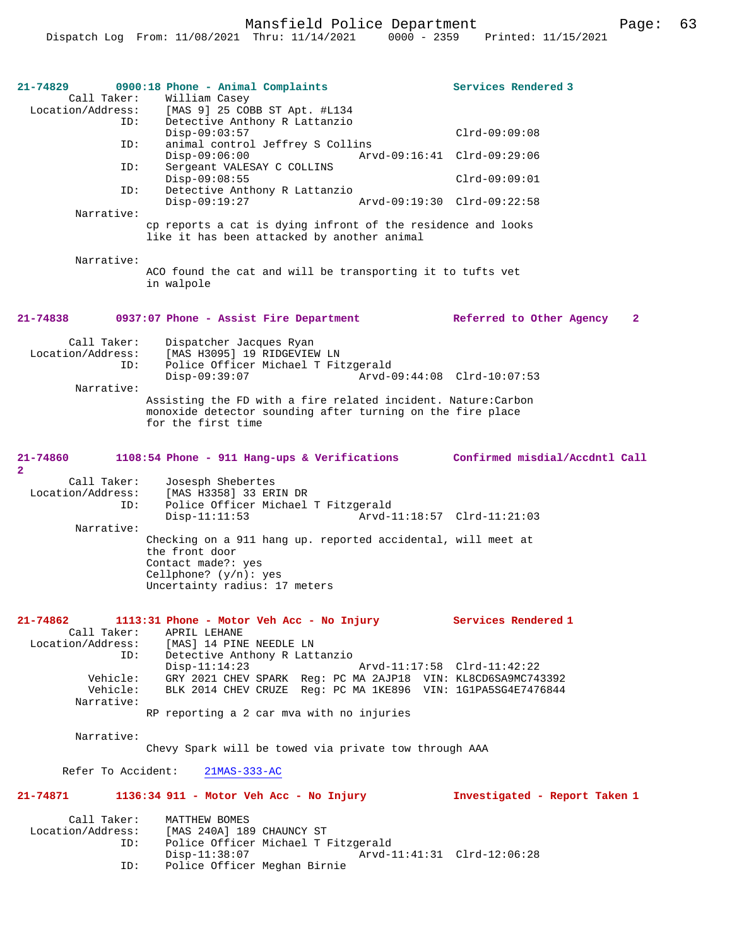| 21-74829<br>Call Taker:                        | 0900:18 Phone - Animal Complaints<br>William Casey<br>Location/Address: [MAS 9] 25 COBB ST Apt. #L134                                                                                                                       | Services Rendered 3                      |
|------------------------------------------------|-----------------------------------------------------------------------------------------------------------------------------------------------------------------------------------------------------------------------------|------------------------------------------|
| ID:                                            | Detective Anthony R Lattanzio<br>$Disp-09:03:57$                                                                                                                                                                            | $Clrd-09:09:08$                          |
| ID:                                            | animal control Jeffrey S Collins<br>$Disp-09:06:00$                                                                                                                                                                         | Arvd-09:16:41 Clrd-09:29:06              |
| ID:                                            | Sergeant VALESAY C COLLINS<br>$Disp-09:08:55$                                                                                                                                                                               | $Clrd-09:09:01$                          |
| ID:                                            | Detective Anthony R Lattanzio<br>$Disp-09:19:27$<br>Arvd-09:19:30 Clrd-09:22:58                                                                                                                                             |                                          |
| Narrative:                                     | cp reports a cat is dying infront of the residence and looks                                                                                                                                                                |                                          |
|                                                | like it has been attacked by another animal                                                                                                                                                                                 |                                          |
| Narrative:                                     | ACO found the cat and will be transporting it to tufts vet<br>in walpole                                                                                                                                                    |                                          |
| 21-74838                                       | 0937:07 Phone - Assist Fire Department                                                                                                                                                                                      | Referred to Other Agency<br>$\mathbf{2}$ |
| Call Taker:<br>Location/Address:<br>ID:        | Dispatcher Jacques Ryan<br>[MAS H3095] 19 RIDGEVIEW LN<br>Police Officer Michael T Fitzgerald<br>$Disp-09:39:07$<br>Arvd-09:44:08 Clrd-10:07:53                                                                             |                                          |
| Narrative:                                     | Assisting the FD with a fire related incident. Nature: Carbon<br>monoxide detector sounding after turning on the fire place<br>for the first time                                                                           |                                          |
| 21-74860<br>$\overline{2}$                     | 1108:54 Phone - 911 Hang-ups & Verifications                                                                                                                                                                                | Confirmed misdial/Accdntl Call           |
| Call Taker:<br>Location/Address:<br>ID:        | Josesph Shebertes<br>[MAS H3358] 33 ERIN DR<br>Police Officer Michael T Fitzgerald<br>$Disp-11:11:53$<br>Arvd-11:18:57 Clrd-11:21:03                                                                                        |                                          |
| Narrative:                                     | Checking on a 911 hang up. reported accidental, will meet at<br>the front door<br>Contact made?: yes<br>Cellphone? $(y/n):$ yes<br>Uncertainty radius: 17 meters                                                            |                                          |
| 21-74862<br>Call Taker:<br>ID:                 | 1113:31 Phone - Motor Veh Acc - No Injury<br>APRIL LEHANE<br>Location/Address: [MAS] 14 PINE NEEDLE LN<br>Detective Anthony R Lattanzio                                                                                     | Services Rendered 1                      |
| Vehicle:<br>Vehicle:<br>Narrative:             | $Disp-11:14:23$<br>Arvd-11:17:58 Clrd-11:42:22<br>GRY 2021 CHEV SPARK Reg: PC MA 2AJP18 VIN: KL8CD6SA9MC743392<br>BLK 2014 CHEV CRUZE Req: PC MA 1KE896 VIN: 1G1PA5SG4E7476844<br>RP reporting a 2 car mva with no injuries |                                          |
| Narrative:                                     | Chevy Spark will be towed via private tow through AAA                                                                                                                                                                       |                                          |
| Refer To Accident:                             | $21MAS-333-AC$                                                                                                                                                                                                              |                                          |
| 21-74871                                       | 1136:34 911 - Motor Veh Acc - No Injury                                                                                                                                                                                     | Investigated - Report Taken 1            |
| Call Taker:<br>Location/Address:<br>ID:<br>ID: | MATTHEW BOMES<br>[MAS 240A] 189 CHAUNCY ST<br>Police Officer Michael T Fitzgerald<br>Disp-11:38:07<br>Arvd-11:41:31 Clrd-12:06:28<br>Police Officer Meghan Birnie                                                           |                                          |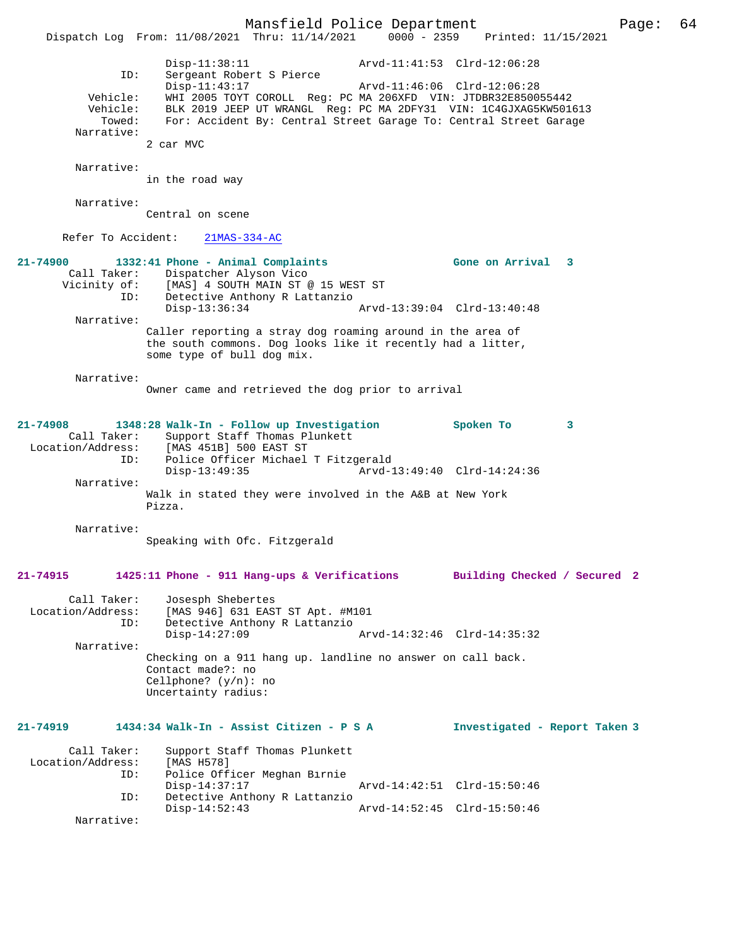Mansfield Police Department Page: 64 Dispatch Log From: 11/08/2021 Thru: 11/14/2021 Disp-11:38:11 Arvd-11:41:53 Clrd-12:06:28 ID: Sergeant Robert S Pierce Disp-11:43:17 Arvd-11:46:06 Clrd-12:06:28 Vehicle: WHI 2005 TOYT COROLL Reg: PC MA 206XFD VIN: JTDBR32E850055442 Vehicle: BLK 2019 JEEP UT WRANGL Reg: PC MA 2DFY31 VIN: 1C4GJXAG5KW501613<br>Towed: For: Accident By: Central Street Garage To: Central Street Garage For: Accident By: Central Street Garage To: Central Street Garage Narrative: 2 car MVC Narrative: in the road way Narrative: Central on scene Refer To Accident: 21MAS-334-AC **21-74900 1332:41 Phone - Animal Complaints Gone on Arrival 3**  Call Taker: Dispatcher Alyson Vico<br>Vicinity of: [MAS] 4 SOUTH MAIN ST @ of: [MAS] 4 SOUTH MAIN ST @ 15 WEST ST<br>TD: Detective Anthony R Lattanzio Detective Anthony R Lattanzio<br>Disp-13:36:34 Disp-13:36:34 Arvd-13:39:04 Clrd-13:40:48 Narrative: Caller reporting a stray dog roaming around in the area of the south commons. Dog looks like it recently had a litter, some type of bull dog mix. Narrative: Owner came and retrieved the dog prior to arrival **21-74908 1348:28 Walk-In - Follow up Investigation Spoken To 3**  Call Taker: Support Staff Thomas Plunkett<br>Location/Address: [MAS 451B] 500 EAST ST ess: [MAS 451B] 500 EAST ST<br>ID: Police Officer Michael Police Officer Michael T Fitzgerald<br>Disp-13:49:35 Arvd- Disp-13:49:35 Arvd-13:49:40 Clrd-14:24:36 Narrative: Walk in stated they were involved in the A&B at New York Pizza. Narrative: Speaking with Ofc. Fitzgerald **21-74915 1425:11 Phone - 911 Hang-ups & Verifications Building Checked / Secured 2** Call Taker: Josesph Shebertes<br>Location/Address: [MAS 946] 631 EAS ess: [MAS 946] 631 EAST ST Apt. #M101<br>ID: Detective Anthony R Lattanzio Detective Anthony R Lattanzio<br>Disp-14:27:09 Disp-14:27:09 Arvd-14:32:46 Clrd-14:35:32 Narrative: Checking on a 911 hang up. landline no answer on call back. Contact made?: no Cellphone? (y/n): no Uncertainty radius: **21-74919 1434:34 Walk-In - Assist Citizen - P S A Investigated - Report Taken 3** Call Taker: Support Staff Thomas Plunkett<br>ion/Address: [MAS H578] Location/Address: ID: Police Officer Meghan Birnie Disp-14:37:17 Arvd-14:42:51 Clrd-15:50:46<br>ID: Detective Anthony R Lattanzio Detective Anthony R Lattanzio<br>Disp-14:52:43 Disp-14:52:43 Arvd-14:52:45 Clrd-15:50:46 Narrative: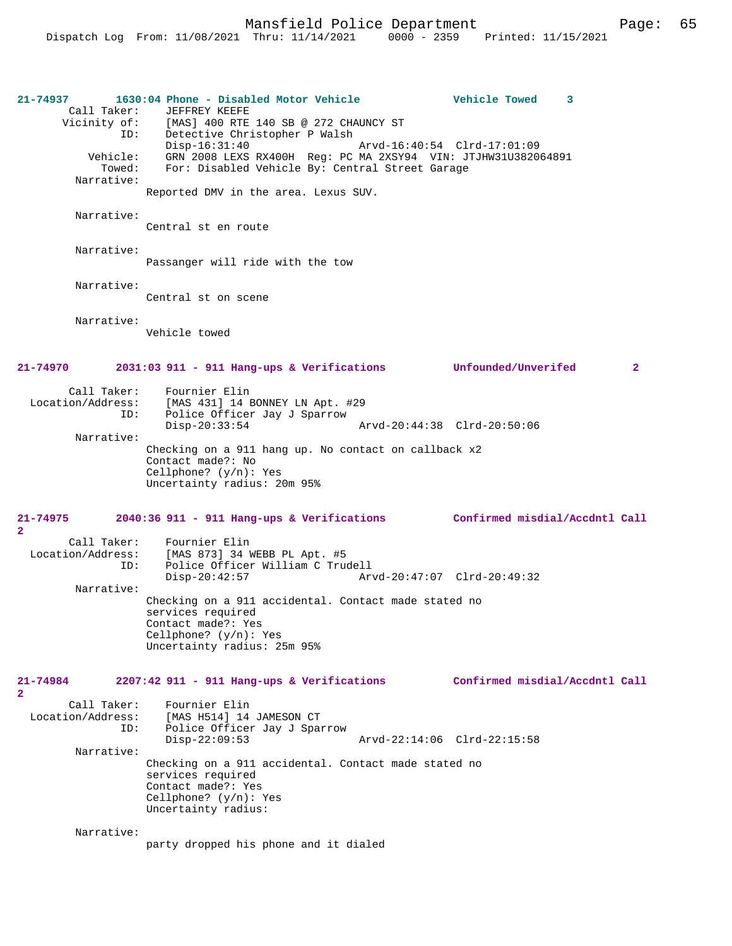Mansfield Police Department Page: 65

**21-74937 1630:04 Phone - Disabled Motor Vehicle Vehicle Towed 3**  Call Taker: JEFFREY KEEFE<br>Vicinity of: [MAS] 400 RTE [MAS] 400 RTE 140 SB @ 272 CHAUNCY ST ID: Detective Christopher P Walsh Disp-16:31:40 Arvd-16:40:54 Clrd-17:01:09 Vehicle: GRN 2008 LEXS RX400H Reg: PC MA 2XSY94 VIN: JTJHW31U382064891 Towed: For: Disabled Vehicle By: Central Street Garage Narrative: Reported DMV in the area. Lexus SUV. Narrative: Central st en route Narrative: Passanger will ride with the tow Narrative: Central st on scene Narrative: Vehicle towed **21-74970 2031:03 911 - 911 Hang-ups & Verifications Unfounded/Unverifed 2** Call Taker: Fournier Elin<br>Location/Address: [MAS 431] 14 E [MAS 431] 14 BONNEY LN Apt. #29 ID: Police Officer Jay J Sparrow<br>Disp-20:33:54 Disp-20:33:54 Arvd-20:44:38 Clrd-20:50:06 Narrative: Checking on a 911 hang up. No contact on callback x2 Contact made?: No Cellphone? (y/n): Yes Uncertainty radius: 20m 95% **21-74975 2040:36 911 - 911 Hang-ups & Verifications Confirmed misdial/Accdntl Call**  $\mathbf{2}$  Call Taker: Fournier Elin Location/Address: [MAS 873] 34 WEBB PL Apt. #5 ID: Police Officer William C Trudell Disp-20:42:57 Arvd-20:47:07 Clrd-20:49:32 Narrative: Checking on a 911 accidental. Contact made stated no services required Contact made?: Yes Cellphone? (y/n): Yes Uncertainty radius: 25m 95% **21-74984 2207:42 911 - 911 Hang-ups & Verifications Confirmed misdial/Accdntl Call 2**  Call Taker: Fournier Elin Location/Address: [MAS H514] 14 JAMESON CT ID: Police Officer Jay J Sparrow Disp-22:09:53 Arvd-22:14:06 Clrd-22:15:58 Narrative: Checking on a 911 accidental. Contact made stated no services required Contact made?: Yes Cellphone? (y/n): Yes Uncertainty radius: Narrative: party dropped his phone and it dialed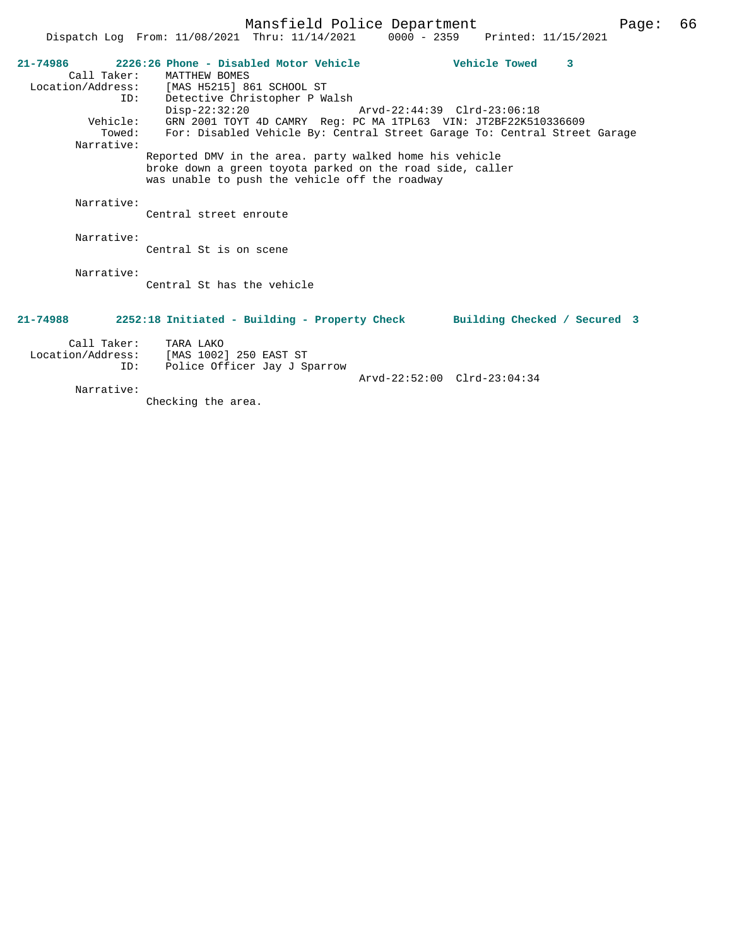|            | 21-74986 2226:26 Phone - Disabled Motor Vehicle                                                                                                                        | Vehicle Towed 3             |  |
|------------|------------------------------------------------------------------------------------------------------------------------------------------------------------------------|-----------------------------|--|
|            | Call Taker: MATTHEW BOMES<br>Location/Address: [MAS H5215] 861 SCHOOL ST                                                                                               |                             |  |
|            | ID: Detective Christopher P Walsh                                                                                                                                      |                             |  |
|            | $Disp-22:32:20$                                                                                                                                                        | Arvd-22:44:39 Clrd-23:06:18 |  |
|            | Vehicle: GRN 2001 TOYT 4D CAMRY Reg: PC MA 1TPL63 VIN: JT2BF22K510336609                                                                                               |                             |  |
| Narrative: | Towed: For: Disabled Vehicle By: Central Street Garage To: Central Street Garage                                                                                       |                             |  |
|            | Reported DMV in the area. party walked home his vehicle<br>broke down a green toyota parked on the road side, caller<br>was unable to push the vehicle off the roadway |                             |  |
| Narrative: |                                                                                                                                                                        |                             |  |
|            | Central street enroute                                                                                                                                                 |                             |  |
| Narrative: |                                                                                                                                                                        |                             |  |
|            | Central St is on scene                                                                                                                                                 |                             |  |
| Narrative: |                                                                                                                                                                        |                             |  |
|            | Central St has the vehicle                                                                                                                                             |                             |  |
|            |                                                                                                                                                                        |                             |  |
| 21-74988   | 2252:18 Initiated - Building - Property Check Building Checked / Secured 3                                                                                             |                             |  |
|            | Call Taker: TARA LAKO                                                                                                                                                  |                             |  |
|            | Location/Address: [MAS 1002] 250 EAST ST                                                                                                                               |                             |  |
| ID:        | Police Officer Jay J Sparrow                                                                                                                                           | Arvd-22:52:00 Clrd-23:04:34 |  |
| Narrative: |                                                                                                                                                                        |                             |  |

Checking the area.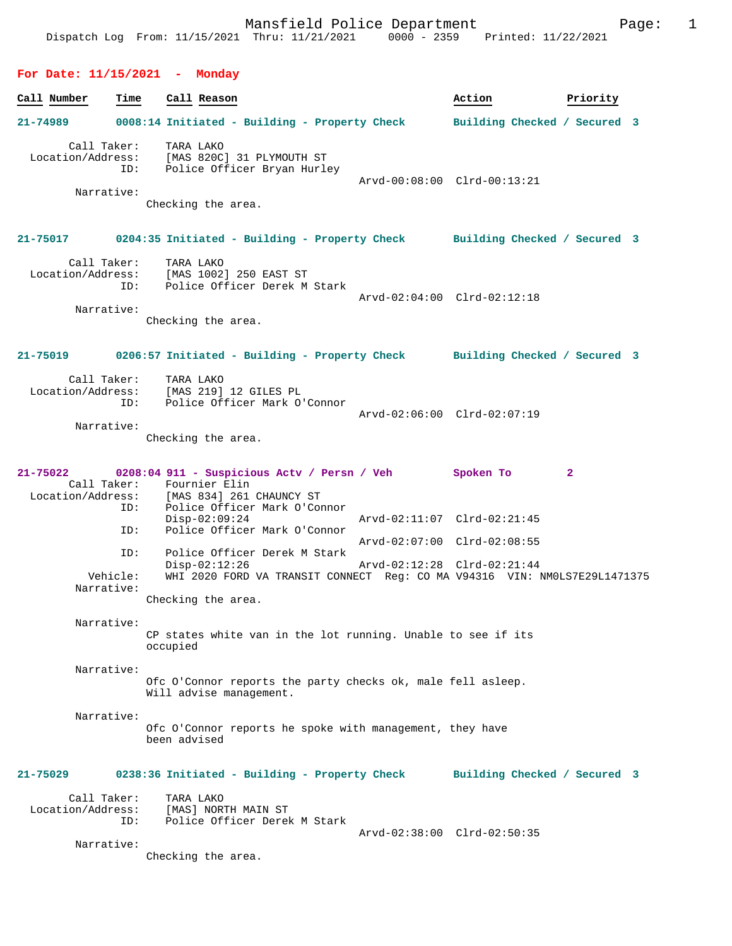# **For Date: 11/15/2021 - Monday**

| Call Number                      | Time               | Call Reason                                                                                                                                            | Action                                                     | Priority     |  |
|----------------------------------|--------------------|--------------------------------------------------------------------------------------------------------------------------------------------------------|------------------------------------------------------------|--------------|--|
| 21-74989                         |                    | 0008:14 Initiated - Building - Property Check                                                                                                          | Building Checked / Secured 3                               |              |  |
| Narrative:                       | Call Taker:<br>ID: | TARA LAKO<br>Location/Address: [MAS 820C] 31 PLYMOUTH ST<br>Police Officer Bryan Hurley<br>Checking the area.                                          | Arvd-00:08:00 Clrd-00:13:21                                |              |  |
| 21-75017                         |                    | 0204:35 Initiated - Building - Property Check Building Checked / Secured 3                                                                             |                                                            |              |  |
| Narrative:                       | Call Taker:<br>ID: | TARA LAKO<br>Location/Address: [MAS 1002] 250 EAST ST<br>Police Officer Derek M Stark<br>Checking the area.                                            | Arvd-02:04:00 Clrd-02:12:18                                |              |  |
| 21-75019                         |                    | 0206:57 Initiated - Building - Property Check Building Checked / Secured 3                                                                             |                                                            |              |  |
| Call Taker:<br>Narrative:        | ID:                | TARA LAKO<br>Location/Address: [MAS 219] 12 GILES PL<br>Police Officer Mark O'Connor<br>Checking the area.                                             | Arvd-02:06:00 Clrd-02:07:19                                |              |  |
| 21-75022                         | ID:                | 0208:04 911 - Suspicious Actv / Persn / Veh<br>Call Taker: Fournier Elin<br>Location/Address: [MAS 834] 261 CHAUNCY ST<br>Police Officer Mark O'Connor | Spoken To                                                  | $\mathbf{2}$ |  |
|                                  | ID:                | $Disp-02:09:24$<br>Police Officer Mark O'Connor                                                                                                        | Arvd-02:11:07 Clrd-02:21:45                                |              |  |
| Narrative:                       | ID:<br>Vehicle:    | Police Officer Derek M Stark<br>$Disp-02:12:26$<br>WHI 2020 FORD VA TRANSIT CONNECT Reg: CO MA V94316 VIN: NM0LS7E29L1471375                           | Arvd-02:07:00 Clrd-02:08:55<br>Arvd-02:12:28 Clrd-02:21:44 |              |  |
| Narrative:                       |                    | Checking the area.<br>CP states white van in the lot running. Unable to see if its<br>occupied                                                         |                                                            |              |  |
| Narrative:                       |                    | Ofc O'Connor reports the party checks ok, male fell asleep.<br>Will advise management.                                                                 |                                                            |              |  |
| Narrative:                       |                    | Ofc O'Connor reports he spoke with management, they have<br>been advised                                                                               |                                                            |              |  |
| 21-75029                         |                    | 0238:36 Initiated - Building - Property Check                                                                                                          | Building Checked / Secured 3                               |              |  |
| Call Taker:<br>Location/Address: | ID:                | TARA LAKO<br>[MAS] NORTH MAIN ST<br>Police Officer Derek M Stark                                                                                       | Arvd-02:38:00 Clrd-02:50:35                                |              |  |
| Narrative:                       |                    | Checking the area.                                                                                                                                     |                                                            |              |  |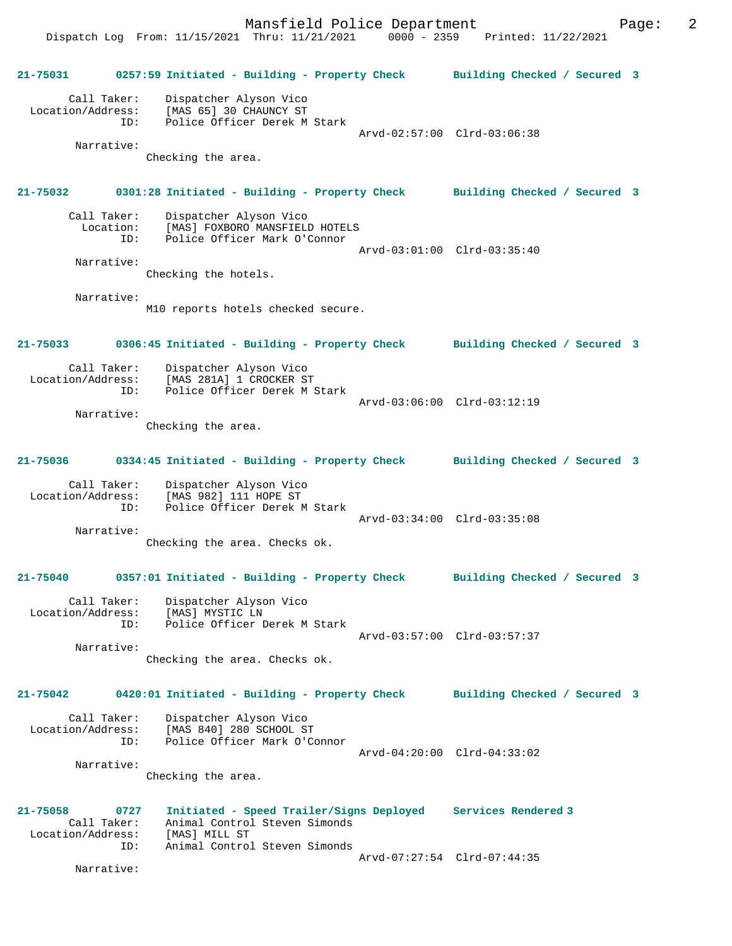Mansfield Police Department Fage: 2

 Dispatch Log From: 11/15/2021 Thru: 11/21/2021 0000 - 2359 Printed: 11/22/2021 **21-75031 0257:59 Initiated - Building - Property Check Building Checked / Secured 3** Call Taker: Dispatcher Alyson Vico Location/Address: [MAS 65] 30 CHAUNCY ST ID: Police Officer Derek M Stark Arvd-02:57:00 Clrd-03:06:38 Narrative: Checking the area. **21-75032 0301:28 Initiated - Building - Property Check Building Checked / Secured 3** Call Taker: Dispatcher Alyson Vico<br>Location: [MAS] FOXBORO MANSFIELD Lon: [MAS] FOXBORO MANSFIELD HOTELS<br>ID: Police Officer Mark O'Connor Police Officer Mark O'Connor Arvd-03:01:00 Clrd-03:35:40 Narrative: Checking the hotels. Narrative: M10 reports hotels checked secure. **21-75033 0306:45 Initiated - Building - Property Check Building Checked / Secured 3** Call Taker: Dispatcher Alyson Vico<br>Location/Address: [MAS 281A] 1 CROCKER S ess: [MAS 281A] 1 CROCKER ST<br>ID: Police Officer Derek M ; Police Officer Derek M Stark Arvd-03:06:00 Clrd-03:12:19 Narrative: Checking the area. **21-75036 0334:45 Initiated - Building - Property Check Building Checked / Secured 3** Call Taker: Dispatcher Alyson Vico Location/Address: [MAS 982] 111 HOPE ST ID: Police Officer Derek M Stark Arvd-03:34:00 Clrd-03:35:08 Narrative: Checking the area. Checks ok. **21-75040 0357:01 Initiated - Building - Property Check Building Checked / Secured 3** Call Taker: Dispatcher Alyson Vico Location/Address: [MAS] MYSTIC LN<br>TD: Police Officer I Police Officer Derek M Stark Arvd-03:57:00 Clrd-03:57:37 Narrative: Checking the area. Checks ok. **21-75042 0420:01 Initiated - Building - Property Check Building Checked / Secured 3** Call Taker: Dispatcher Alyson Vico Location/Address: [MAS 840] 280 SCHOOL ST ID: Police Officer Mark O'Connor Arvd-04:20:00 Clrd-04:33:02 Narrative: Checking the area. **21-75058 0727 Initiated - Speed Trailer/Signs Deployed Services Rendered 3**  Call Taker: Animal Control Steven Simonds Location/Address: [MAS] MILL ST Animal Control Steven Simonds Arvd-07:27:54 Clrd-07:44:35 Narrative: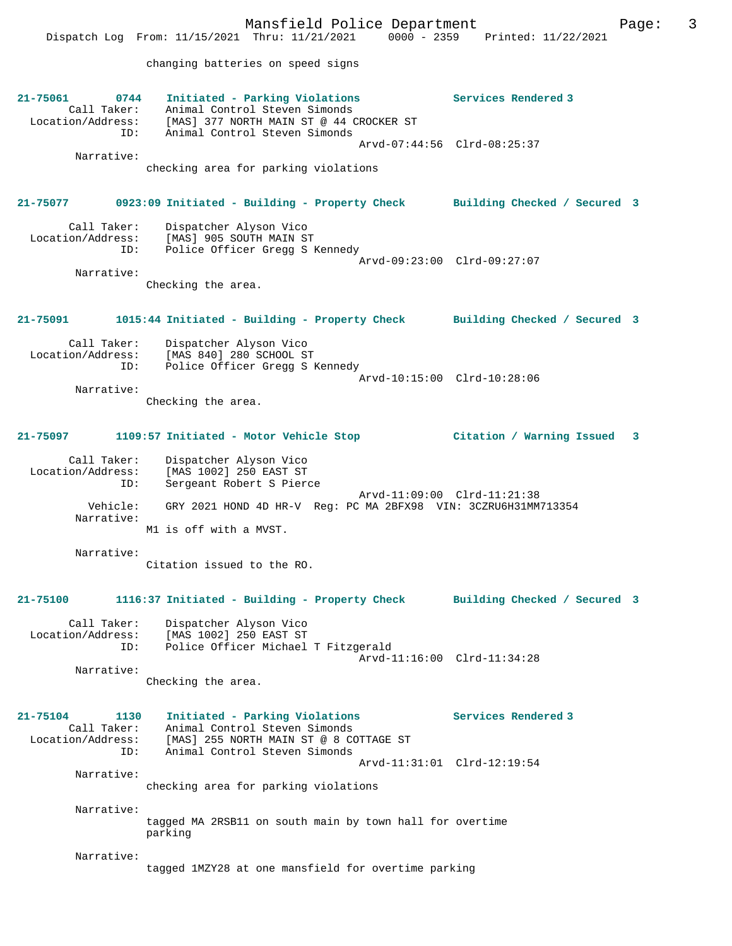Mansfield Police Department Fage: 3 Dispatch Log From: 11/15/2021 Thru: 11/21/2021 0000 - 2359 Printed: 11/22/2021 changing batteries on speed signs **21-75061 0744 Initiated - Parking Violations Services Rendered 3**  Call Taker: Animal Control Steven Simonds Location/Address: [MAS] 377 NORTH MAIN ST @ 44 CROCKER ST ID: Animal Control Steven Simonds Arvd-07:44:56 Clrd-08:25:37 Narrative: checking area for parking violations **21-75077 0923:09 Initiated - Building - Property Check Building Checked / Secured 3** Call Taker: Dispatcher Alyson Vico Location/Address: [MAS] 905 SOUTH MAIN ST ID: Police Officer Gregg S Kennedy Arvd-09:23:00 Clrd-09:27:07 Narrative: Checking the area. **21-75091 1015:44 Initiated - Building - Property Check Building Checked / Secured 3**

 Call Taker: Dispatcher Alyson Vico Location/Address: [MAS 840] 280 SCHOOL ST Police Officer Gregg S Kennedy Arvd-10:15:00 Clrd-10:28:06 Narrative:

Checking the area.

## **21-75097 1109:57 Initiated - Motor Vehicle Stop Citation / Warning Issued 3**

 Call Taker: Dispatcher Alyson Vico Location/Address: [MAS 1002] 250 EAST ST ID: Sergeant Robert S Pierce Arvd-11:09:00 Clrd-11:21:38 Vehicle: GRY 2021 HOND 4D HR-V Reg: PC MA 2BFX98 VIN: 3CZRU6H31MM713354 Narrative: M1 is off with a MVST.

 Narrative: Citation issued to the RO.

### **21-75100 1116:37 Initiated - Building - Property Check Building Checked / Secured 3**

 Call Taker: Dispatcher Alyson Vico Location/Address: [MAS 1002] 250 EAST ST ID: Police Officer Michael T Fitzgerald Arvd-11:16:00 Clrd-11:34:28 Narrative:

Checking the area.

## **21-75104 1130 Initiated - Parking Violations Services Rendered 3**  Call Taker: Animal Control Steven Simonds Location/Address: [MAS] 255 NORTH MAIN ST @ 8 COTTAGE ST ID: Animal Control Steven Simonds Arvd-11:31:01 Clrd-12:19:54 Narrative: checking area for parking violations Narrative:

tagged MA 2RSB11 on south main by town hall for overtime parking

Narrative:

tagged 1MZY28 at one mansfield for overtime parking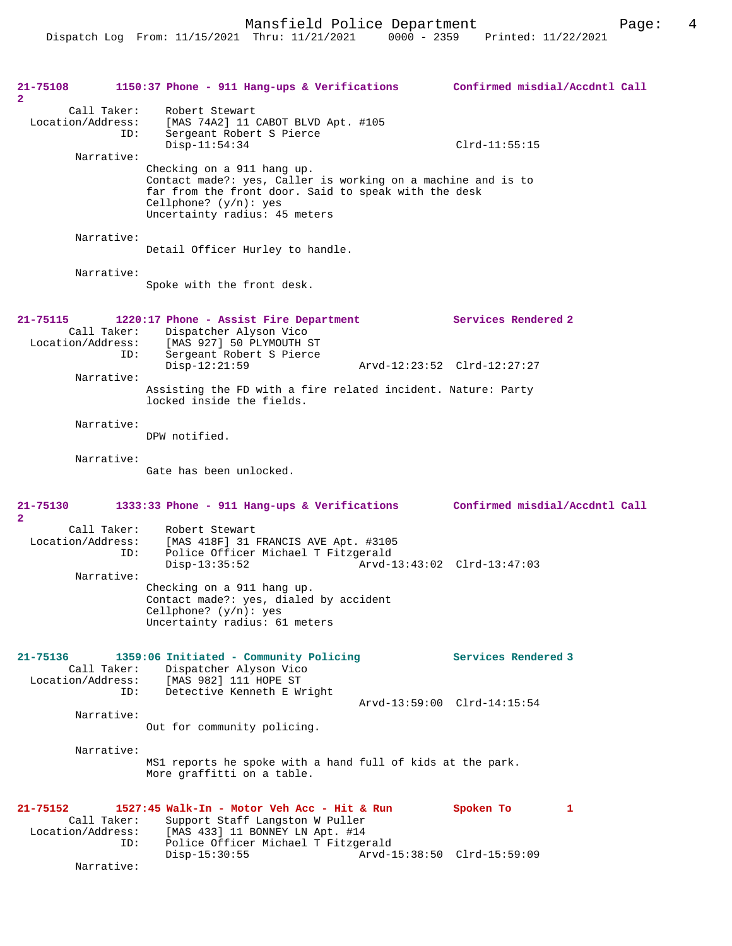| 21-75108<br>$\mathbf{2}$      |                                  | 1150:37 Phone - 911 Hang-ups & Verifications                                                                                                                                                                    | Confirmed misdial/Accdntl Call                |
|-------------------------------|----------------------------------|-----------------------------------------------------------------------------------------------------------------------------------------------------------------------------------------------------------------|-----------------------------------------------|
| Location/Address:             | Call Taker:<br>ID:               | Robert Stewart<br>[MAS 74A2] 11 CABOT BLVD Apt. #105<br>Sergeant Robert S Pierce<br>$Disp-11:54:34$                                                                                                             | $Clrd-11:55:15$                               |
|                               | Narrative:                       | Checking on a 911 hang up.<br>Contact made?: yes, Caller is working on a machine and is to<br>far from the front door. Said to speak with the desk<br>Cellphone? $(y/n)$ : yes<br>Uncertainty radius: 45 meters |                                               |
|                               | Narrative:                       | Detail Officer Hurley to handle.                                                                                                                                                                                |                                               |
|                               | Narrative:                       | Spoke with the front desk.                                                                                                                                                                                      |                                               |
| 21-75115<br>Location/Address: | Call Taker:<br>ID:               | 1220:17 Phone - Assist Fire Department<br>Dispatcher Alyson Vico<br>[MAS 927] 50 PLYMOUTH ST<br>Sergeant Robert S Pierce                                                                                        | Services Rendered 2                           |
|                               | Narrative:                       | $Disp-12:21:59$                                                                                                                                                                                                 | Arvd-12:23:52 Clrd-12:27:27                   |
|                               |                                  | Assisting the FD with a fire related incident. Nature: Party<br>locked inside the fields.                                                                                                                       |                                               |
|                               | Narrative:                       | DPW notified.                                                                                                                                                                                                   |                                               |
|                               | Narrative:                       | Gate has been unlocked.                                                                                                                                                                                         |                                               |
| 21-75130<br>$\mathbf{2}$      |                                  | 1333:33 Phone - 911 Hang-ups & Verifications Confirmed misdial/Accdntl Call                                                                                                                                     |                                               |
| Location/Address:             | Call Taker:<br>ID:<br>Narrative: | Robert Stewart<br>[MAS 418F] 31 FRANCIS AVE Apt. #3105<br>Police Officer Michael T Fitzgerald<br>$Disp-13:35:52$                                                                                                | Arvd-13:43:02 Clrd-13:47:03                   |
|                               |                                  | Checking on a 911 hang up.<br>Contact made?: yes, dialed by accident<br>Cellphone? $(y/n):$ yes<br>Uncertainty radius: 61 meters                                                                                |                                               |
| 21-75136<br>Location/Address: | Call Taker:<br>ID:               | 1359:06 Initiated - Community Policing<br>Dispatcher Alyson Vico<br>[MAS 982] 111 HOPE ST<br>Detective Kenneth E Wright                                                                                         | Services Rendered 3                           |
|                               | Narrative:                       | Out for community policing.                                                                                                                                                                                     | Arvd-13:59:00 Clrd-14:15:54                   |
|                               | Narrative:                       | MS1 reports he spoke with a hand full of kids at the park.<br>More graffitti on a table.                                                                                                                        |                                               |
| 21-75152<br>Location/Address: | Call Taker:<br>ID:               | 1527:45 Walk-In - Motor Veh Acc - Hit & Run<br>Support Staff Langston W Puller<br>[MAS 433] 11 BONNEY LN Apt. #14<br>Police Officer Michael T Fitzgerald<br>$Disp-15:30:55$                                     | Spoken To<br>1<br>Arvd-15:38:50 Clrd-15:59:09 |
|                               | Narrative:                       |                                                                                                                                                                                                                 |                                               |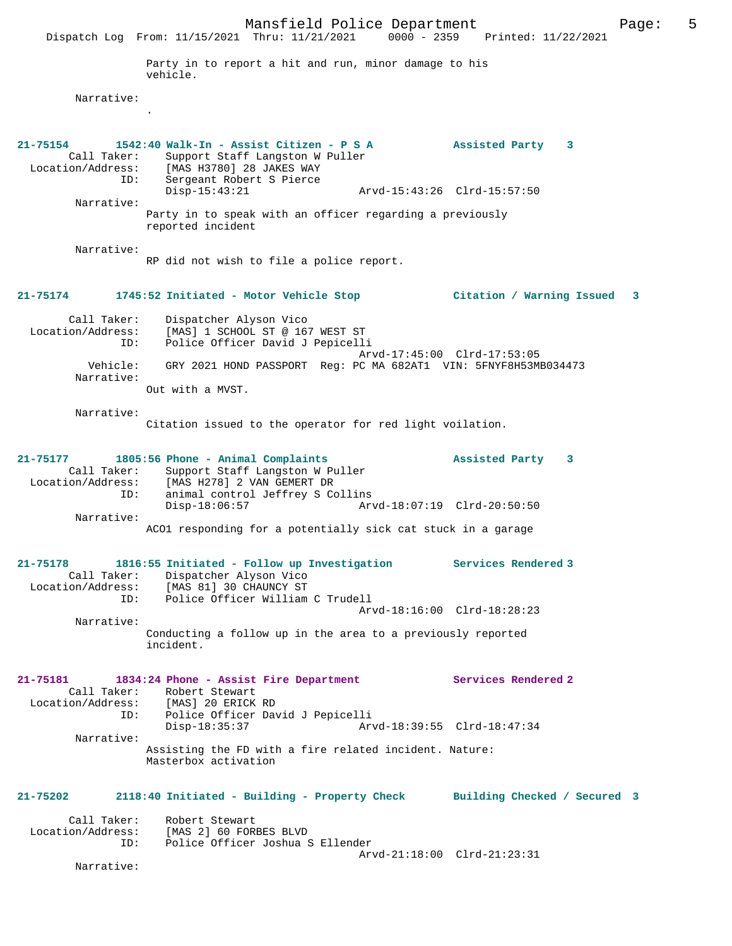Mansfield Police Department<br>
Thru:  $11/21/2021$  0000 - 2359 Printed:  $11/22/2021$ Dispatch Log From: 11/15/2021 Thru: 11/21/2021 Party in to report a hit and run, minor damage to his vehicle. Narrative: . **21-75154 1542:40 Walk-In - Assist Citizen - P S A Assisted Party 3**  Call Taker: Support Staff Langston W Puller Location/Address: [MAS H3780] 28 JAKES WAY ID: Sergeant Robert S Pierce Disp-15:43:21 Arvd-15:43:26 Clrd-15:57:50 Narrative: Party in to speak with an officer regarding a previously reported incident Narrative: RP did not wish to file a police report. **21-75174 1745:52 Initiated - Motor Vehicle Stop Citation / Warning Issued 3** Call Taker: Dispatcher Alyson Vico Location/Address: [MAS] 1 SCHOOL ST @ 167 WEST ST<br>ID: Police Officer David J Pepicell: Police Officer David J Pepicelli Arvd-17:45:00 Clrd-17:53:05<br>Vehicle: GRY 2021 HOND PASSPORT Reg: PC MA 682AT1 VIN: 5FNYF8H53M GRY 2021 HOND PASSPORT Reg: PC MA 682AT1 VIN: 5FNYF8H53MB034473 Narrative: Out with a MVST. Narrative: Citation issued to the operator for red light voilation. **21-75177 1805:56 Phone - Animal Complaints Assisted Party 3**  Call Taker: Support Staff Langston W Puller<br>Location/Address: [MAS H278] 2 VAN GEMERT DR [MAS H278] 2 VAN GEMERT DR ID: animal control Jeffrey S Collins<br>Disp-18:06:57 Arv Disp-18:06:57 Arvd-18:07:19 Clrd-20:50:50 Narrative: ACO1 responding for a potentially sick cat stuck in a garage **21-75178 1816:55 Initiated - Follow up Investigation Services Rendered 3**  Call Taker: Dispatcher Alyson Vico Location/Address: [MAS 81] 30 CHAUNCY ST ID: Police Officer William C Trudell Arvd-18:16:00 Clrd-18:28:23 Narrative: Conducting a follow up in the area to a previously reported incident. **21-75181 1834:24 Phone - Assist Fire Department Services Rendered 2**  Call Taker: Robert Stewart<br>ion/Address: [MAS] 20 ERICK RD Location/Address:<br>ID: ID: Police Officer David J Pepicelli Disp-18:35:37 Arvd-18:39:55 Clrd-18:47:34 Narrative: Assisting the FD with a fire related incident. Nature: Masterbox activation **21-75202 2118:40 Initiated - Building - Property Check Building Checked / Secured 3** Call Taker: Robert Stewart Location/Address: [MAS 2] 60 FORBES BLVD Police Officer Joshua S Ellender Arvd-21:18:00 Clrd-21:23:31 Narrative: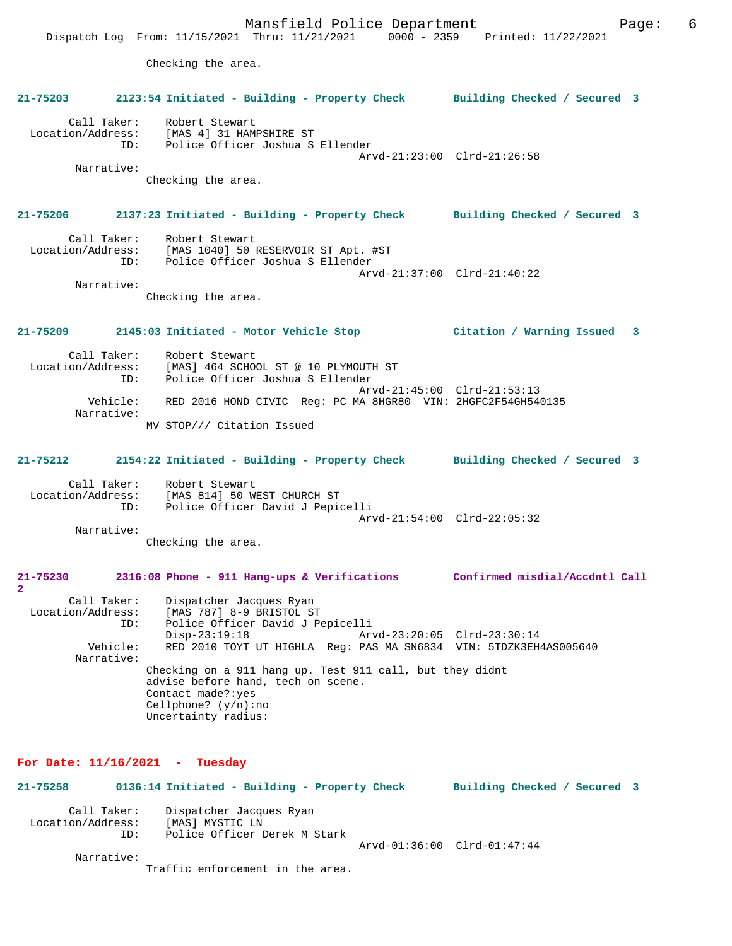Mansfield Police Department Page: 6 Dispatch Log From: 11/15/2021 Thru: 11/21/2021 0000 - 2359 Printed: 11/22/2021 Checking the area. **21-75203 2123:54 Initiated - Building - Property Check Building Checked / Secured 3** Call Taker: Robert Stewart Location/Address: [MAS 4] 31 HAMPSHIRE ST ID: Police Officer Joshua S Ellender Arvd-21:23:00 Clrd-21:26:58 Narrative: Checking the area. **21-75206 2137:23 Initiated - Building - Property Check Building Checked / Secured 3** Call Taker: Robert Stewart Location/Address: [MAS 1040] 50 RESERVOIR ST Apt. #ST ID: Police Officer Joshua S Ellender Arvd-21:37:00 Clrd-21:40:22 Narrative: Checking the area. **21-75209 2145:03 Initiated - Motor Vehicle Stop Citation / Warning Issued 3** Call Taker: Robert Stewart Location/Address: [MAS] 464 SCHOOL ST @ 10 PLYMOUTH ST Police Officer Joshua S Ellender Arvd-21:45:00 Clrd-21:53:13 Vehicle: RED 2016 HOND CIVIC Reg: PC MA 8HGR80 VIN: 2HGFC2F54GH540135 Narrative: MV STOP/// Citation Issued **21-75212 2154:22 Initiated - Building - Property Check Building Checked / Secured 3** Call Taker: Robert Stewart Location/Address: [MAS 814] 50 WEST CHURCH ST ID: Police Officer David J Pepicelli Arvd-21:54:00 Clrd-22:05:32 Narrative: Checking the area. **21-75230 2316:08 Phone - 911 Hang-ups & Verifications Confirmed misdial/Accdntl Call 2**  Call Taker: Dispatcher Jacques Ryan Location/Address: [MAS 787] 8-9 BRISTOL ST<br>TD: Police Officer David J Pe Police Officer David J Pepicelli Disp-23:19:18 Arvd-23:20:05 Clrd-23:30:14<br>Vehicle: RED 2010 TOYT UT HIGHLA Req: PAS MA SN6834 VIN: 5TDZK3EH RED 2010 TOYT UT HIGHLA Reg: PAS MA SN6834 VIN: 5TDZK3EH4AS005640 Narrative: Checking on a 911 hang up. Test 911 call, but they didnt advise before hand, tech on scene. Contact made?:yes Cellphone? (y/n):no Uncertainty radius: **For Date: 11/16/2021 - Tuesday 21-75258 0136:14 Initiated - Building - Property Check Building Checked / Secured 3** Call Taker: Dispatcher Jacques Ryan Location/Address: [MAS] MYSTIC LN ID: Police Officer Derek M Stark Arvd-01:36:00 Clrd-01:47:44 Narrative:

Traffic enforcement in the area.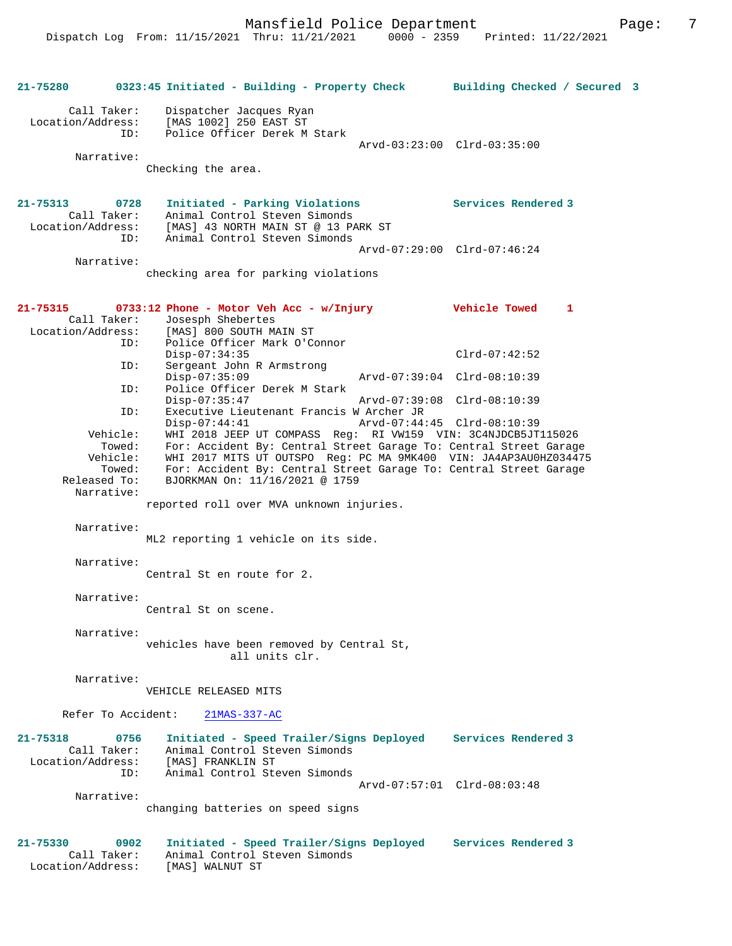**21-75280 0323:45 Initiated - Building - Property Check Building Checked / Secured 3** Call Taker: Dispatcher Jacques Ryan Location/Address: [MAS 1002] 250 EAST ST Police Officer Derek M Stark Arvd-03:23:00 Clrd-03:35:00 Narrative: Checking the area. **21-75313 0728 Initiated - Parking Violations Services Rendered 3**  Call Taker: Animal Control Steven Simonds<br>Location/Address: [MAS] 43 NORTH MAIN ST @ 13 PA ess: [MAS] 43 NORTH MAIN ST @ 13 PARK ST<br>ID: Animal Control Steven Simonds Animal Control Steven Simonds Arvd-07:29:00 Clrd-07:46:24 Narrative: checking area for parking violations **21-75315 0733:12 Phone - Motor Veh Acc - w/Injury Vehicle Towed 1**  Call Taker: Josesph Shebertes<br>Location/Address: [MAS] 800 SOUTH M ess: [MAS] 800 SOUTH MAIN ST<br>ID: Police Officer Mark O'C Police Officer Mark O'Connor Disp-07:34:35 Clrd-07:42:52<br>ID: Sergeant John R Armstrong Sergeant John R Armstrong Disp-07:35:09 Arvd-07:39:04 Clrd-08:10:39<br>TD: Police Officer Derek M Stark Police Officer Derek M Stark<br>Disp-07:35:47 Disp-07:35:47 Arvd-07:39:08 Clrd-08:10:39 ID: Executive Lieutenant Francis W Archer JR Disp-07:44:41 Arvd-07:44:45 Clrd-08:10:39<br>Vehicle: WHI 2018 JEEP UT COMPASS Req: RI VW159 VIN: 3C4NJDCB5JT Vehicle: WHI 2018 JEEP UT COMPASS Reg: RI VW159 VIN: 3C4NJDCB5JT115026 Towed: For: Accident By: Central Street Garage To: Central Street Garage Vehicle: WHI 2017 MITS UT OUTSPO Reg: PC MA 9MK400 VIN: JA4AP3AU0HZ034475 Towed: For: Accident By: Central Street Garage To: Central Street Garage Released To: BJORKMAN On: 11/16/2021 @ 1759 Released To: BJORKMAN On: 11/16/2021 @ 1759 Narrative: reported roll over MVA unknown injuries. Narrative: ML2 reporting 1 vehicle on its side. Narrative: Central St en route for 2. Narrative: Central St on scene. Narrative: vehicles have been removed by Central St, all units clr. Narrative: VEHICLE RELEASED MITS Refer To Accident: 21MAS-337-AC **21-75318 0756 Initiated - Speed Trailer/Signs Deployed Services Rendered 3**  Call Taker: Animal Control Steven Simonds Location/Address: [MAS] FRANKLIN ST ID: Animal Control Steven Simonds Arvd-07:57:01 Clrd-08:03:48 Narrative: changing batteries on speed signs **21-75330 0902 Initiated - Speed Trailer/Signs Deployed Services Rendered 3**  Call Taker: Animal Control Steven Simonds<br>.on/Address: [MAS] WALNUT ST Location/Address: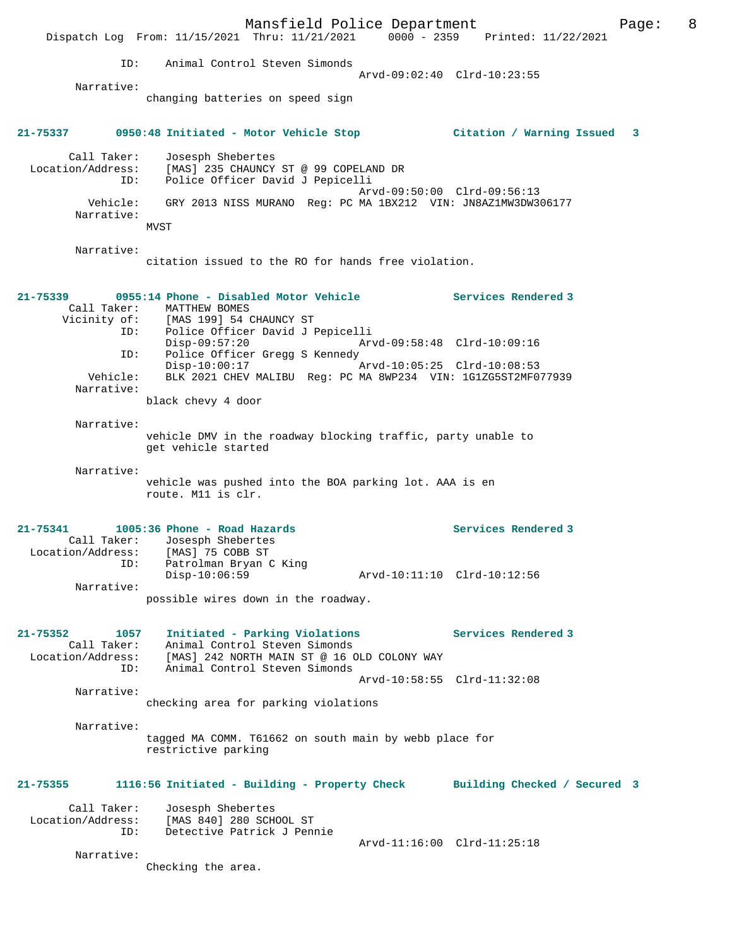Mansfield Police Department Form Page: 8 Dispatch Log From: 11/15/2021 Thru: 11/21/2021 0000 - 2359 Printed: 11/22/2021 ID: Animal Control Steven Simonds Arvd-09:02:40 Clrd-10:23:55 Narrative: changing batteries on speed sign **21-75337 0950:48 Initiated - Motor Vehicle Stop Citation / Warning Issued 3** Call Taker: Josesph Shebertes Location/Address: [MAS] 235 CHAUNCY ST @ 99 COPELAND DR ID: Police Officer David J Pepicelli Arvd-09:50:00 Clrd-09:56:13 Vehicle: GRY 2013 NISS MURANO Reg: PC MA 1BX212 VIN: JN8AZ1MW3DW306177 Narrative: MVST Narrative: citation issued to the RO for hands free violation. **21-75339 0955:14 Phone - Disabled Motor Vehicle Services Rendered 3**  Call Taker: MATTHEW BOMES Vicinity of: [MAS 199] 54 CHAUNCY ST ID: Police Officer David J Pepicelli Disp-09:57:20 Arvd-09:58:48 Clrd-10:09:16 ID: Police Officer Gregg S Kennedy Disp-10:00:17 Arvd-10:05:25 Clrd-10:08:53 Vehicle: BLK 2021 CHEV MALIBU Reg: PC MA 8WP234 VIN: 1G1ZG5ST2MF077939 Narrative: black chevy 4 door Narrative: vehicle DMV in the roadway blocking traffic, party unable to get vehicle started Narrative: vehicle was pushed into the BOA parking lot. AAA is en route. M11 is clr. **21-75341 1005:36 Phone - Road Hazards Services Rendered 3**  Call Taker: Josesph Shebertes Location/Address: [MAS] 75 COBB ST ID: Patrolman Bryan C King Disp-10:06:59 Arvd-10:11:10 Clrd-10:12:56 Narrative: possible wires down in the roadway. **21-75352 1057 Initiated - Parking Violations Services Rendered 3**  Call Taker: Animal Control Steven Simonds Location/Address: [MAS] 242 NORTH MAIN ST @ 16 OLD COLONY WAY ID: Animal Control Steven Simonds Arvd-10:58:55 Clrd-11:32:08 Narrative: checking area for parking violations Narrative: tagged MA COMM. T61662 on south main by webb place for restrictive parking **21-75355 1116:56 Initiated - Building - Property Check Building Checked / Secured 3** Call Taker: Josesph Shebertes Location/Address: [MAS 840] 280 SCHOOL ST ID: Detective Patrick J Pennie Arvd-11:16:00 Clrd-11:25:18 Narrative: Checking the area.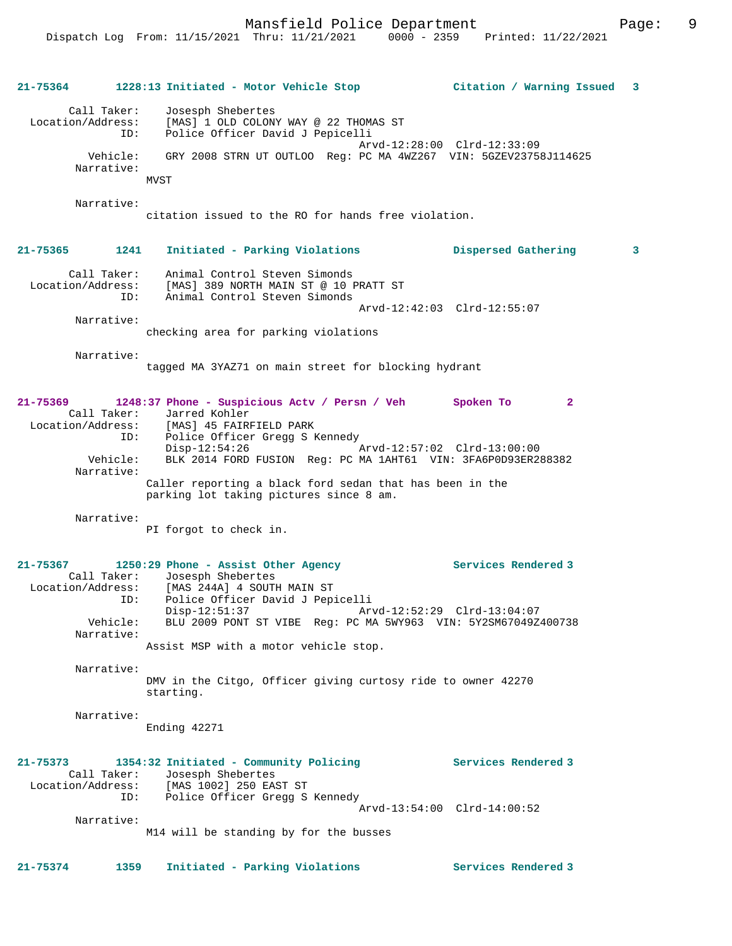| 21-75364     |                                                     | 1228:13 Initiated - Motor Vehicle Stop                                                                                                                                                                                                                                                                                    | Citation / Warning Issued   | 3            |
|--------------|-----------------------------------------------------|---------------------------------------------------------------------------------------------------------------------------------------------------------------------------------------------------------------------------------------------------------------------------------------------------------------------------|-----------------------------|--------------|
|              | Call Taker:<br>Location/Address:<br>ID:<br>Vehicle: | Josesph Shebertes<br>[MAS] 1 OLD COLONY WAY @ 22 THOMAS ST<br>Police Officer David J Pepicelli<br>GRY 2008 STRN UT OUTLOO Reg: PC MA 4WZ267 VIN: 5GZEV23758J114625                                                                                                                                                        | Arvd-12:28:00 Clrd-12:33:09 |              |
|              | Narrative:                                          | MVST                                                                                                                                                                                                                                                                                                                      |                             |              |
|              | Narrative:                                          | citation issued to the RO for hands free violation.                                                                                                                                                                                                                                                                       |                             |              |
| 21-75365     | 1241                                                | Initiated - Parking Violations                                                                                                                                                                                                                                                                                            | Dispersed Gathering         | $\mathbf{3}$ |
|              | Call Taker:<br>Location/Address:<br>ID:             | Animal Control Steven Simonds<br>[MAS] 389 NORTH MAIN ST @ 10 PRATT ST<br>Animal Control Steven Simonds                                                                                                                                                                                                                   |                             |              |
|              | Narrative:                                          | checking area for parking violations                                                                                                                                                                                                                                                                                      | Arvd-12:42:03 Clrd-12:55:07 |              |
|              | Narrative:                                          | tagged MA 3YAZ71 on main street for blocking hydrant                                                                                                                                                                                                                                                                      |                             |              |
| $21 - 75369$ | Location/Address:<br>ID:<br>Vehicle:                | 1248:37 Phone - Suspicious Actv / Persn / Veh<br>Call Taker: Jarred Kohler<br>[MAS] 45 FAIRFIELD PARK<br>Police Officer Gregg S Kennedy<br>$\rho_{\text{1sp}-12:54:26}$ $\rho_{\text{1sp}-12:54:26}$ $\rho_{\text{1sp}-12:57:02}$ $\text{C1rd}-13:00:00$<br>BLK 2014 FORD FUSION Reg: PC MA 1AHT61 VIN: 3FA6P0D93ER288382 | Spoken To<br>$\mathbf{2}$   |              |
|              | Narrative:                                          | Caller reporting a black ford sedan that has been in the<br>parking lot taking pictures since 8 am.                                                                                                                                                                                                                       |                             |              |
|              | Narrative:                                          | PI forgot to check in.                                                                                                                                                                                                                                                                                                    |                             |              |
| 21-75367     | Location/Address:<br>ID:                            | 1250:29 Phone - Assist Other Agency<br>Call Taker: Josesph Shebertes<br>[MAS 244A] 4 SOUTH MAIN ST<br>Police Officer David J Pepicelli                                                                                                                                                                                    | Services Rendered 3         |              |
|              | Vehicle:<br>Narrative:                              | Disp-12:51:37 Arvd-12:52:29 Clrd-13:04:07<br>BLU 2009 PONT ST VIBE Reg: PC MA 5WY963 VIN: 5Y2SM67049Z400738<br>Assist MSP with a motor vehicle stop.                                                                                                                                                                      |                             |              |
|              | Narrative:                                          | DMV in the Citgo, Officer giving curtosy ride to owner 42270<br>starting.                                                                                                                                                                                                                                                 |                             |              |
|              | Narrative:                                          | Ending 42271                                                                                                                                                                                                                                                                                                              |                             |              |
| 21-75373     | Call Taker:<br>ID:                                  | 1354:32 Initiated - Community Policing<br>Josesph Shebertes<br>Location/Address: [MAS 1002] 250 EAST ST<br>Police Officer Gregg S Kennedy                                                                                                                                                                                 | Services Rendered 3         |              |
|              | Narrative:                                          | M14 will be standing by for the busses                                                                                                                                                                                                                                                                                    | Arvd-13:54:00 Clrd-14:00:52 |              |
| 21-75374     | 1359                                                | Initiated - Parking Violations                                                                                                                                                                                                                                                                                            | Services Rendered 3         |              |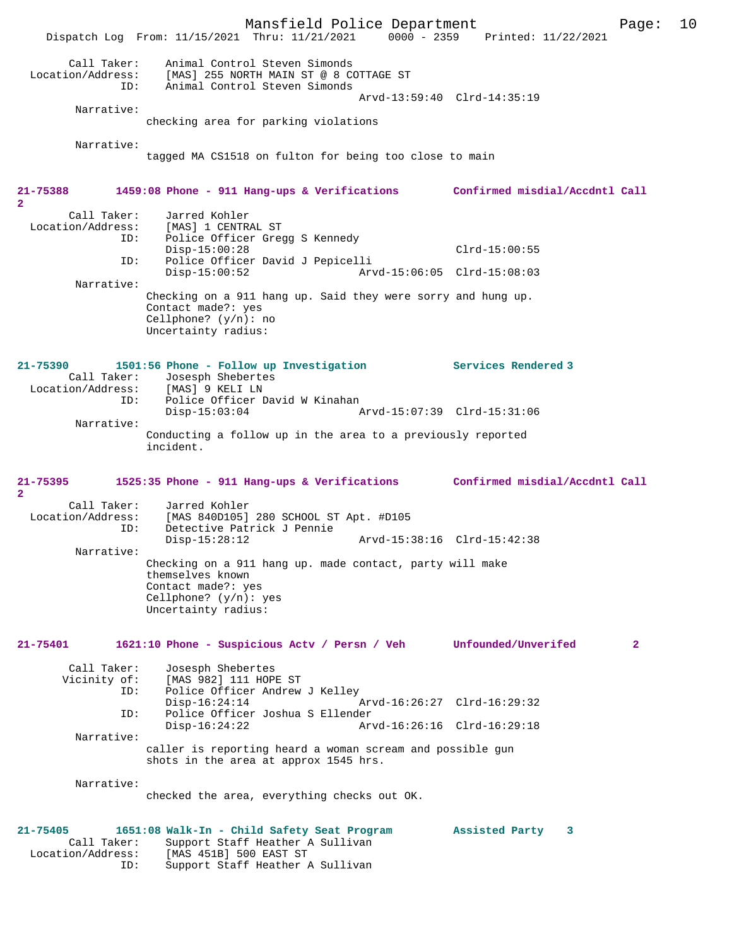Mansfield Police Department Page: 10 Dispatch Log From: 11/15/2021 Thru: 11/21/2021 Call Taker: Animal Control Steven Simonds Location/Address: [MAS] 255 NORTH MAIN ST @ 8 COTTAGE ST ID: Animal Control Steven Simonds Animal Control Steven Simonds Arvd-13:59:40 Clrd-14:35:19 Narrative: checking area for parking violations Narrative: tagged MA CS1518 on fulton for being too close to main **21-75388 1459:08 Phone - 911 Hang-ups & Verifications Confirmed misdial/Accdntl Call 2**  Call Taker: Jarred Kohler<br>Location/Address: [MAS] 1 CENTR ess: [MAS] 1 CENTRAL ST<br>ID: Police Officer Grec Police Officer Gregg S Kennedy Disp-15:00:28 Clrd-15:00:55 ID: Police Officer David J Pepicelli Disp-15:00:52 Arvd-15:06:05 Clrd-15:08:03 Narrative: Checking on a 911 hang up. Said they were sorry and hung up. Contact made?: yes Cellphone? (y/n): no Uncertainty radius: **21-75390 1501:56 Phone - Follow up Investigation Services Rendered 3**  Call Taker: Josesph Shebertes<br>ion/Address: [MAS] 9 KELI LN Location/Address: ID: Police Officer David W Kinahan Disp-15:03:04 Arvd-15:07:39 Clrd-15:31:06 Narrative: Conducting a follow up in the area to a previously reported incident. **21-75395 1525:35 Phone - 911 Hang-ups & Verifications Confirmed misdial/Accdntl Call 2**  Call Taker: Jarred Kohler<br>Location/Address: [MAS 840D105] ess: [MAS 840D105] 280 SCHOOL ST Apt. #D105<br>ID: Detective Patrick J Pennie Detective Patrick J Pennie<br>Disp-15:28:12 Disp-15:28:12 Arvd-15:38:16 Clrd-15:42:38 Narrative: Checking on a 911 hang up. made contact, party will make themselves known Contact made?: yes Cellphone? (y/n): yes Uncertainty radius: **21-75401 1621:10 Phone - Suspicious Actv / Persn / Veh Unfounded/Unverifed 2** Call Taker: Josesph Shebertes Vicinity of: [MAS 982] 111 HOPE ST ID: Police Officer Andrew J Kelley Disp-16:24:14 Arvd-16:26:27 Clrd-16:29:32<br>TD: Police Officer Joshua S Ellender Police Officer Joshua S Ellender<br>Disp-16:24:22 Ary Disp-16:24:22 Arvd-16:26:16 Clrd-16:29:18 Narrative: caller is reporting heard a woman scream and possible gun shots in the area at approx 1545 hrs. Narrative: checked the area, everything checks out OK. **21-75405 1651:08 Walk-In - Child Safety Seat Program Assisted Party 3**  Call Taker: Support Staff Heather A Sullivan<br>Location/Address: [MAS 451B] 500 EAST ST ess: [MAS 451B] 500 EAST ST<br>ID: Support Staff Heather 2 Support Staff Heather A Sullivan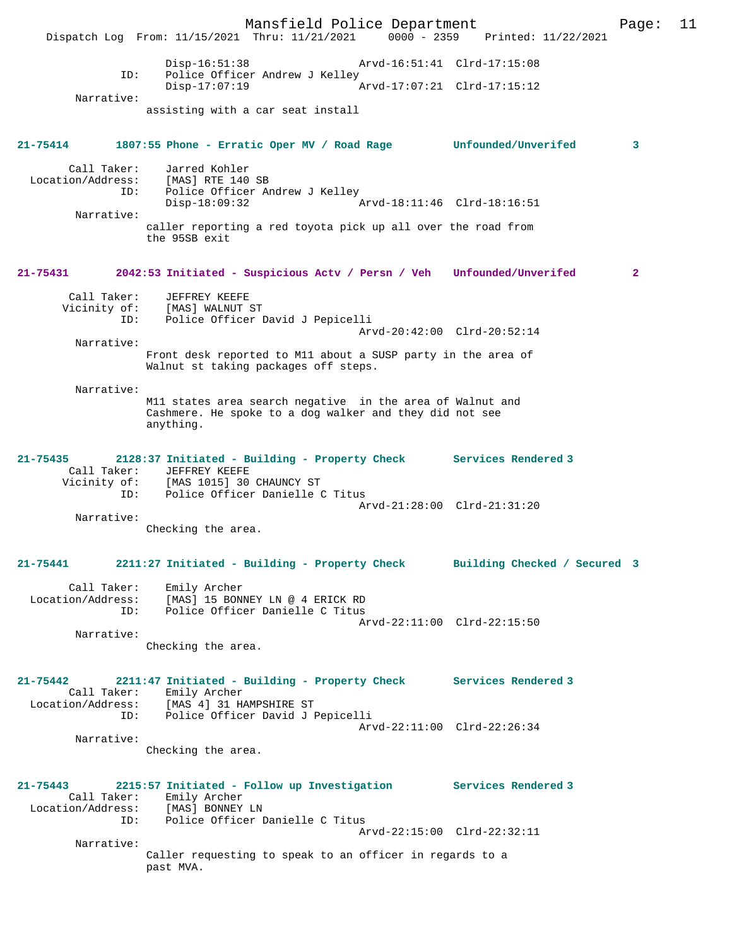Mansfield Police Department Page: 11 Dispatch Log From: 11/15/2021 Thru: 11/21/2021 0000 - 2359 Disp-16:51:38 Arvd-16:51:41 Clrd-17:15:08 ID: Police Officer Andrew J Kelley  $Disp-17:07:19$  Narrative: assisting with a car seat install **21-75414 1807:55 Phone - Erratic Oper MV / Road Rage Unfounded/Unverifed 3** Call Taker: Jarred Kohler Location/Address: [MAS] RTE 140 SB ID: Police Officer Andrew J Kelley<br>Disp-18:09:32 Arvd-18:11:46 Clrd-18:16:51 Narrative: caller reporting a red toyota pick up all over the road from the 95SB exit **21-75431 2042:53 Initiated - Suspicious Actv / Persn / Veh Unfounded/Unverifed 2** Call Taker: JEFFREY KEEFE Vicinity of: [MAS] WALNUT ST OI: IMASI WALNUS LE<br>ID: Police Officer David J Pepicelli Arvd-20:42:00 Clrd-20:52:14 Narrative: Front desk reported to M11 about a SUSP party in the area of Walnut st taking packages off steps. Narrative: M11 states area search negative in the area of Walnut and Cashmere. He spoke to a dog walker and they did not see anything. **21-75435 2128:37 Initiated - Building - Property Check Services Rendered 3**  Call Taker: JEFFREY KEEFE Vicinity of: [MAS 1015] 30 CHAUNCY ST ID: Police Officer Danielle C Titus Arvd-21:28:00 Clrd-21:31:20 Narrative: Checking the area. **21-75441 2211:27 Initiated - Building - Property Check Building Checked / Secured 3** Call Taker: Emily Archer Location/Address: [MAS] 15 BONNEY LN @ 4 ERICK RD ID: Police Officer Danielle C Titus Arvd-22:11:00 Clrd-22:15:50 Narrative: Checking the area. **21-75442 2211:47 Initiated - Building - Property Check Services Rendered 3**  Call Taker: Emily Archer Location/Address: [MAS 4] 31 HAMPSHIRE ST ID: Police Officer David J Pepicelli Arvd-22:11:00 Clrd-22:26:34 Narrative: Checking the area. **21-75443 2215:57 Initiated - Follow up Investigation Services Rendered 3**  Call Taker: Emily Archer<br>ion/Address: [MAS] BONNEY LN Location/Address: ID: Police Officer Danielle C Titus Arvd-22:15:00 Clrd-22:32:11 Narrative: Caller requesting to speak to an officer in regards to a past MVA.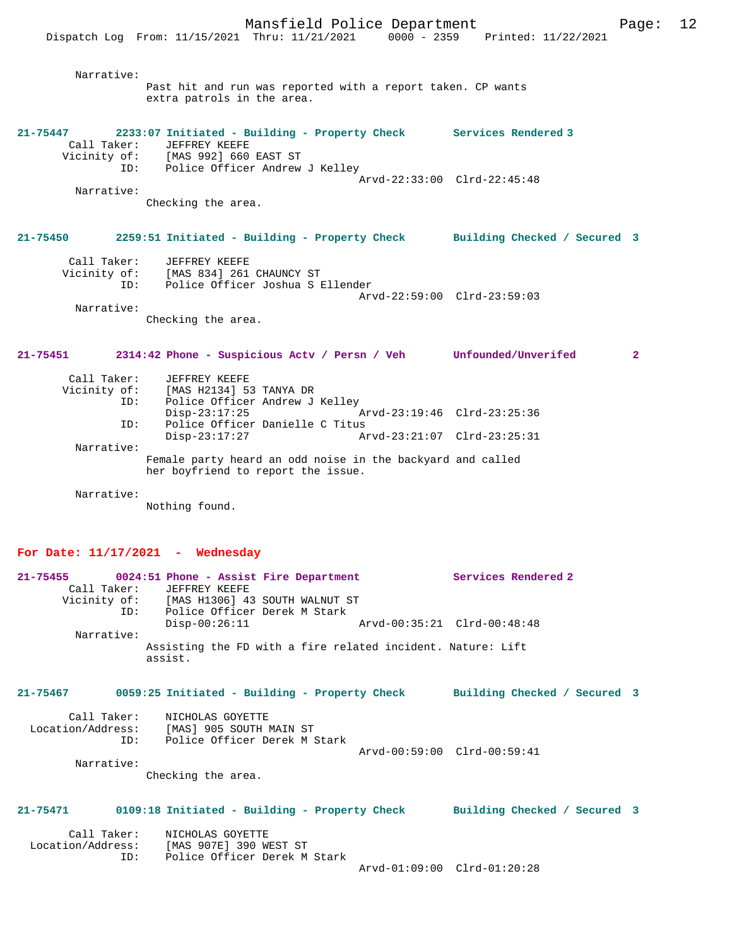Narrative: Past hit and run was reported with a report taken. CP wants extra patrols in the area. **21-75447 2233:07 Initiated - Building - Property Check Services Rendered 3**  Call Taker: JEFFREY KEEFE Vicinity of: [MAS 992] 660 EAST ST ID: Police Officer Andrew J Kelley Arvd-22:33:00 Clrd-22:45:48 Narrative: Checking the area. **21-75450 2259:51 Initiated - Building - Property Check Building Checked / Secured 3** Call Taker: JEFFREY KEEFE Vicinity of: [MAS 834] 261 CHAUNCY ST ID: Police Officer Joshua S Ellender Arvd-22:59:00 Clrd-23:59:03 Narrative: Checking the area. **21-75451 2314:42 Phone - Suspicious Actv / Persn / Veh Unfounded/Unverifed 2** Call Taker: JEFFREY KEEFE Vicinity of: [MAS H2134] 53 TANYA DR<br>ID: Police Officer Andrew J Police Officer Andrew J Kelley<br>Disp-23:17:25 Disp-23:17:25 Arvd-23:19:46 Clrd-23:25:36<br>TD: Police Officer Danielle C Titus ID: Police Officer Danielle C Titus Disp-23:17:27 Arvd-23:21:07 Clrd-23:25:31 Narrative: Female party heard an odd noise in the backyard and called

her boyfriend to report the issue.

Narrative:

Nothing found.

### **For Date: 11/17/2021 - Wednesday**

| 21-75455     |     | 0024:51 Phone - Assist Fire Department |                                                             | Services Rendered 2         |
|--------------|-----|----------------------------------------|-------------------------------------------------------------|-----------------------------|
| Call Taker:  |     | JEFFREY KEEFE                          |                                                             |                             |
| Vicinity of: |     | [MAS H1306] 43 SOUTH WALNUT ST         |                                                             |                             |
|              | ID: | Police Officer Derek M Stark           |                                                             |                             |
|              |     | $Disp-00:26:11$                        |                                                             | Arvd-00:35:21 Clrd-00:48:48 |
| Narrative:   |     |                                        |                                                             |                             |
|              |     | assist.                                | Assisting the FD with a fire related incident. Nature: Lift |                             |

#### **21-75467 0059:25 Initiated - Building - Property Check Building Checked / Secured 3**

| Call Taker:       | NICHOLAS GOYETTE             |                             |  |
|-------------------|------------------------------|-----------------------------|--|
| Location/Address: | [MAS] 905 SOUTH MAIN ST      |                             |  |
| TD:               | Police Officer Derek M Stark |                             |  |
|                   |                              | Arvd-00:59:00 Clrd-00:59:41 |  |
| Narrative:        |                              |                             |  |

Checking the area.

#### **21-75471 0109:18 Initiated - Building - Property Check Building Checked / Secured 3**

| Call Taker:       | NICHOLAS GOYETTE              |
|-------------------|-------------------------------|
| Location/Address: | [MAS 907E] 390 WEST ST        |
| ID:               | Police Officer Derek M Stark  |
|                   | - - - - - - - - - - - - - - - |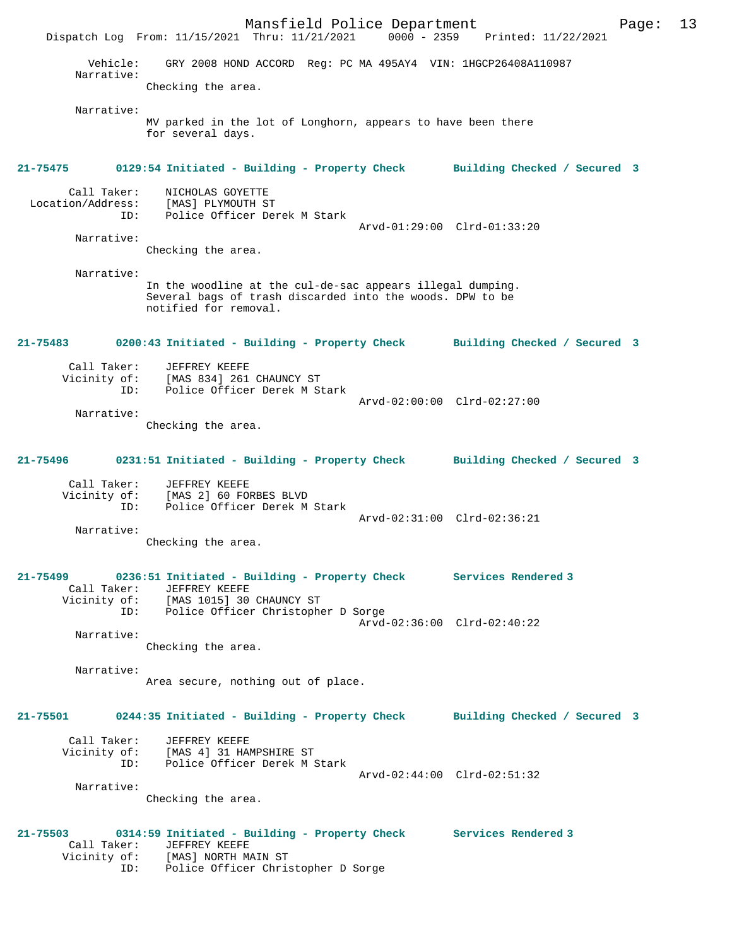Mansfield Police Department Form Page: 13 Dispatch Log From: 11/15/2021 Thru: 11/21/2021 0000 - 2359 Printed: 11/22/2021 Vehicle: GRY 2008 HOND ACCORD Reg: PC MA 495AY4 VIN: 1HGCP26408A110987 Narrative: Checking the area. Narrative: MV parked in the lot of Longhorn, appears to have been there for several days. **21-75475 0129:54 Initiated - Building - Property Check Building Checked / Secured 3** Call Taker: NICHOLAS GOYETTE Location/Address: [MAS] PLYMOUTH ST Police Officer Derek M Stark Arvd-01:29:00 Clrd-01:33:20 Narrative: Checking the area. Narrative: In the woodline at the cul-de-sac appears illegal dumping. Several bags of trash discarded into the woods. DPW to be notified for removal. **21-75483 0200:43 Initiated - Building - Property Check Building Checked / Secured 3** Call Taker: JEFFREY KEEFE Vicinity of: [MAS 834] 261 CHAUNCY ST ID: Police Officer Derek M Stark Arvd-02:00:00 Clrd-02:27:00 Narrative: Checking the area. **21-75496 0231:51 Initiated - Building - Property Check Building Checked / Secured 3** Call Taker: JEFFREY KEEFE Vicinity of: [MAS 2] 60 FORBES BLVD ID: Police Officer Derek M Stark Arvd-02:31:00 Clrd-02:36:21 Narrative: Checking the area. **21-75499 0236:51 Initiated - Building - Property Check Services Rendered 3**  Call Taker: JEFFREY KEEFE Vicinity of: [MAS 1015] 30 CHAUNCY ST ID: Police Officer Christopher D Sorge Arvd-02:36:00 Clrd-02:40:22 Narrative: Checking the area. Narrative: Area secure, nothing out of place. **21-75501 0244:35 Initiated - Building - Property Check Building Checked / Secured 3** Call Taker: JEFFREY KEEFE Vicinity of: [MAS 4] 31 HAMPSHIRE ST<br>TD: Police Officer Derek M.S Police Officer Derek M Stark Arvd-02:44:00 Clrd-02:51:32 Narrative: Checking the area. **21-75503 0314:59 Initiated - Building - Property Check Services Rendered 3**  Call Taker: JEFFREY KEEFE Vicinity of: [MAS] NORTH MAIN ST ID: Police Officer Christopher D Sorge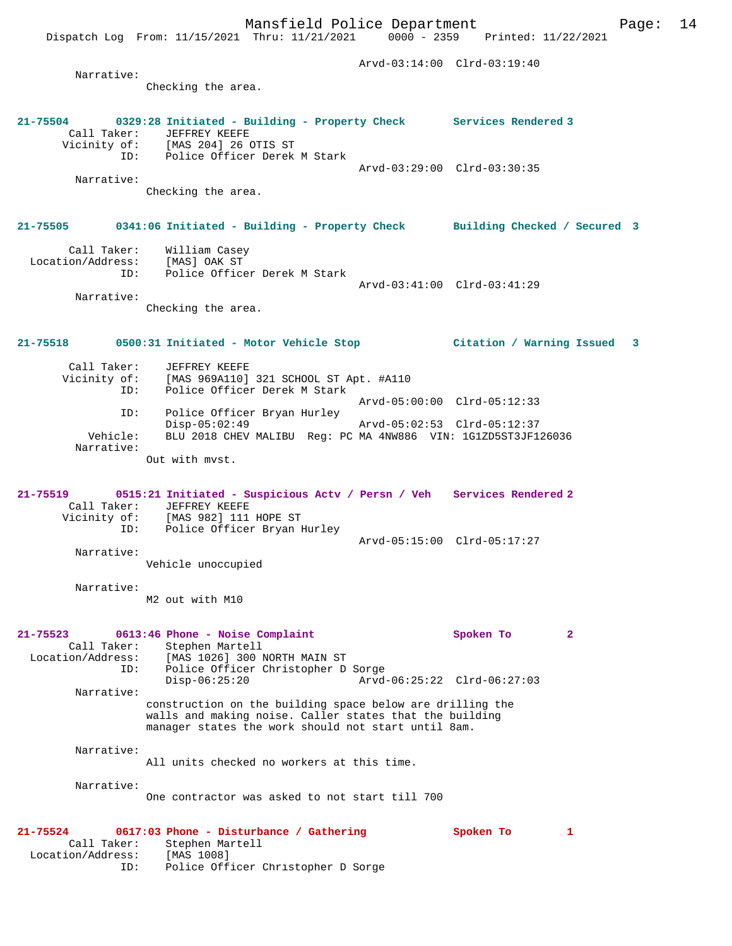Mansfield Police Department Page: 14 Dispatch Log From: 11/15/2021 Thru: 11/21/2021 0000 - 2359 Printed: 11/22/2021 Arvd-03:14:00 Clrd-03:19:40 Narrative: Checking the area. **21-75504 0329:28 Initiated - Building - Property Check Services Rendered 3**  Call Taker: JEFFREY KEEFE Vicinity of: [MAS 204] 26 OTIS ST of: [MAS 204] 26 OTIS ST<br>ID: Police Officer Derek M Stark Arvd-03:29:00 Clrd-03:30:35 Narrative: Checking the area. **21-75505 0341:06 Initiated - Building - Property Check Building Checked / Secured 3** Call Taker: William Casey Location/Address: [MAS] OAK ST ID: Police Officer Derek M Stark Arvd-03:41:00 Clrd-03:41:29 Narrative: Checking the area. **21-75518 0500:31 Initiated - Motor Vehicle Stop Citation / Warning Issued 3** Call Taker: JEFFREY KEEFE Vicinity of: [MAS 969A110] 321 SCHOOL ST Apt. #A110 ID: Police Officer Derek M Stark Arvd-05:00:00 Clrd-05:12:33 ID: Police Officer Bryan Hurley Disp-05:02:49 Arvd-05:02:53 Clrd-05:12:37<br>Vehicle: BLU 2018 CHEV MALIBU Reg: PC MA 4NW886 VIN: 1G1ZD5ST3JF12 BLU 2018 CHEV MALIBU Reg: PC MA 4NW886 VIN: 1G1ZD5ST3JF126036 Narrative: Out with mvst. **21-75519 0515:21 Initiated - Suspicious Actv / Persn / Veh Services Rendered 2**  Call Taker: JEFFREY KEEFE Vicinity of: [MAS 982] 111 HOPE ST ID: Police Officer Bryan Hurley

Arvd-05:15:00 Clrd-05:17:27

 Narrative: Vehicle unoccupied

Narrative:

M2 out with M10

**21-75523 0613:46 Phone - Noise Complaint Spoken To 2**  Call Taker: Stephen Martell<br>Location/Address: [MAS 1026] 300 1 [MAS 1026] 300 NORTH MAIN ST ID: Police Officer Christopher D Sorge Disp-06:25:20 Arvd-06:25:22 Clrd-06:27:03 Narrative: construction on the building space below are drilling the walls and making noise. Caller states that the building manager states the work should not start until 8am. Narrative: All units checked no workers at this time.

 Narrative: One contractor was asked to not start till 700

**21-75524 0617:03 Phone - Disturbance / Gathering Spoken To 1**  Call Taker: Stephen Martell Location/Address: [MAS 1008] ID: Police Officer Christopher D Sorge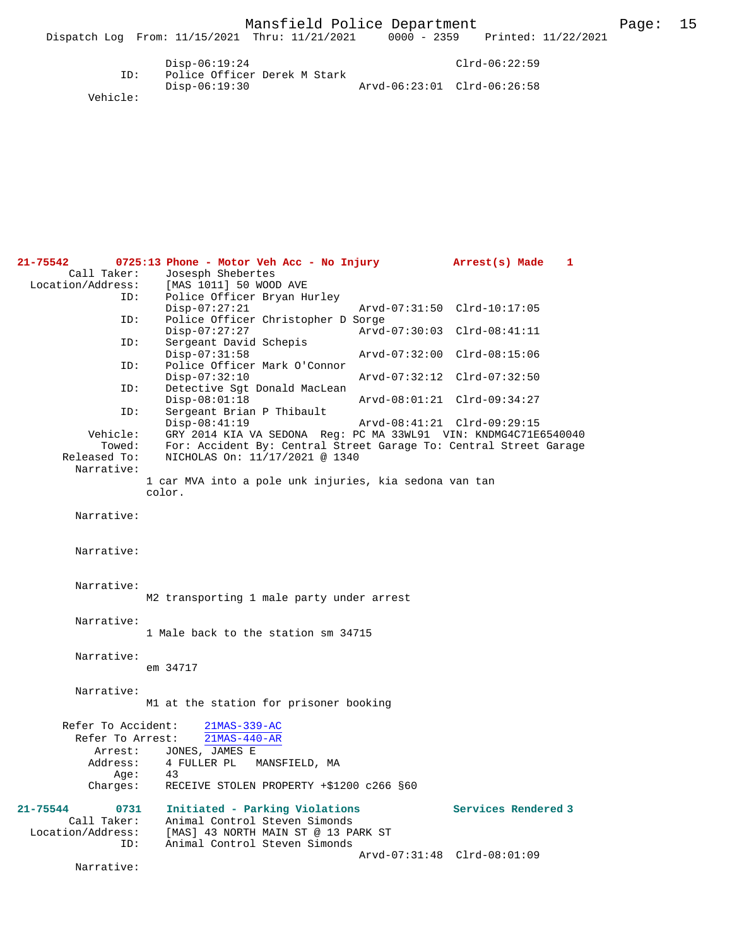Vehicle:

**21-75542 0725:13 Phone - Motor Veh Acc - No Injury Arrest(s) Made 1**  Call Taker: Josesph Shebertes<br>Location/Address: [MAS 1011] 50 WOOI ess: [MAS 1011] 50 WOOD AVE<br>ID: Police Officer Bryan H Police Officer Bryan Hurley<br>Disp-07:27:21 Disp-07:27:21 Arvd-07:31:50 Clrd-10:17:05<br>TD: Police Officer Christopher D Sorge Police Officer Christopher D Sorge Disp-07:27:27 Arvd-07:30:03 Clrd-08:41:11<br>TD: Sergeant David Schepis Sergeant David Schepis<br>Disp-07:31:58 Disp-07:31:58 Arvd-07:32:00 Clrd-08:15:06<br>ID: Police Officer Mark O'Connor Police Officer Mark O'Connor Disp-07:32:10 Arvd-07:32:12 Clrd-07:32:50 ID: Detective Sgt Donald MacLean Disp-08:01:18 Arvd-08:01:21 Clrd-09:34:27<br>TD: Sergeant Brian P Thibault Sergeant Brian P Thibault<br>Disp-08:41:19 Disp-08:41:19 <br>
Vehicle: GRY 2014 KIA VA SEDONA Req: PC MA 33WL91 VIN: KNDMG4C71E hicle: GRY 2014 KIA VA SEDONA Reg: PC MA 33WL91 VIN: KNDMG4C71E6540040<br>Towed: For: Accident By: Central Street Garage To: Central Street Garage Towed: For: Accident By: Central Street Garage To: Central Street Garage Released To: NICHOLAS On: 11/17/2021 @ 1340 Released To: NICHOLAS On: 11/17/2021 @ 1340 Narrative: 1 car MVA into a pole unk injuries, kia sedona van tan color. Narrative: Narrative: Narrative: M2 transporting 1 male party under arrest Narrative: 1 Male back to the station sm 34715 Narrative: em 34717 Narrative: M1 at the station for prisoner booking Refer To Accident: 21MAS-339-AC Refer To Arrest: 21MAS-440-AR Arrest: JONES, JAMES E<br>Address: 4 FULLER PL 4 FULLER PL MANSFIELD, MA<br>43 Age:<br>:Charges RECEIVE STOLEN PROPERTY +\$1200 c266 §60 **21-75544 0731 Initiated - Parking Violations Services Rendered 3**  Call Taker: Animal Control Steven Simonds<br>Location/Address: [MAS] 43 NORTH MAIN ST @ 13 PA [MAS] 43 NORTH MAIN ST @ 13 PARK ST ID: Animal Control Steven Simonds Arvd-07:31:48 Clrd-08:01:09 Narrative: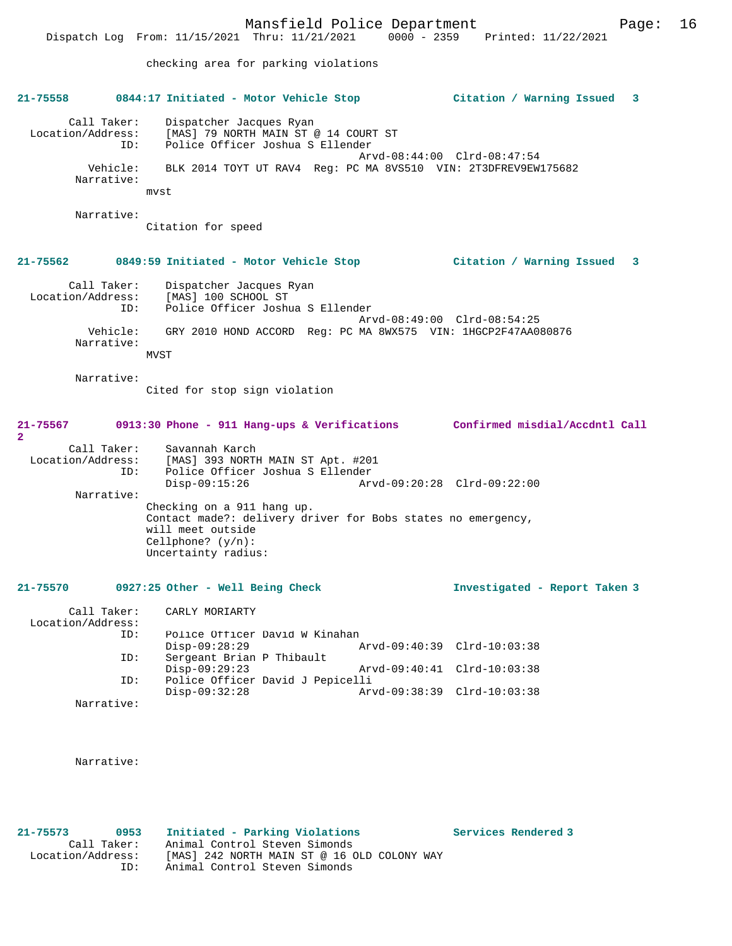checking area for parking violations

|                                     |                        | 21-75558 0844:17 Initiated - Motor Vehicle Stop                                                                                                                | Citation / Warning Issued 3   |
|-------------------------------------|------------------------|----------------------------------------------------------------------------------------------------------------------------------------------------------------|-------------------------------|
| Location/Address:                   | Call Taker:<br>ID:     | Dispatcher Jacques Ryan<br>[MAS] 79 NORTH MAIN ST @ 14 COURT ST<br>Police Officer Joshua S Ellender                                                            |                               |
|                                     | Vehicle:<br>Narrative: | BLK 2014 TOYT UT RAV4 Req: PC MA 8VS510 VIN: 2T3DFREV9EW175682<br>mvst                                                                                         | Arvd-08:44:00 Clrd-08:47:54   |
|                                     | Narrative:             |                                                                                                                                                                |                               |
|                                     |                        | Citation for speed                                                                                                                                             |                               |
| 21-75562                            |                        | 0849:59 Initiated - Motor Vehicle Stop                                                                                                                         | Citation / Warning Issued 3   |
| Location/Address:                   | Call Taker:<br>ID:     | Dispatcher Jacques Ryan<br>[MAS] 100 SCHOOL ST<br>Police Officer Joshua S Ellender                                                                             |                               |
|                                     | Vehicle:<br>Narrative: | GRY 2010 HOND ACCORD Req: PC MA 8WX575 VIN: 1HGCP2F47AA080876<br>MVST                                                                                          | Arvd-08:49:00 Clrd-08:54:25   |
|                                     | Narrative:             | Cited for stop sign violation                                                                                                                                  |                               |
| 21-75567                            |                        | 0913:30 Phone - 911 Hang-ups & Verifications Confirmed misdial/Accdntl Call                                                                                    |                               |
| $\overline{2}$<br>Location/Address: | Call Taker:<br>ID:     | Savannah Karch<br>[MAS] 393 NORTH MAIN ST Apt. #201<br>Police Officer Joshua S Ellender                                                                        |                               |
|                                     | Narrative:             | $Disp-09:15:26$                                                                                                                                                | Arvd-09:20:28 Clrd-09:22:00   |
|                                     |                        | Checking on a 911 hang up.<br>Contact made?: delivery driver for Bobs states no emergency,<br>will meet outside<br>Cellphone? $(y/n)$ :<br>Uncertainty radius: |                               |
| 21-75570                            |                        | 0927:25 Other - Well Being Check                                                                                                                               | Investigated - Report Taken 3 |
| Location/Address:                   |                        | Call Taker: CARLY MORIARTY                                                                                                                                     |                               |
|                                     | ID:                    | Police Officer David W Kinahan                                                                                                                                 |                               |
|                                     | ID:                    | $Disp-09:28:29$<br>Arvd-09:40:39<br>Sergeant Brian P Thibault                                                                                                  | $Clrd-10:03:38$               |
|                                     | ID:                    | $Disp-09:29:23$<br>Arvd-09:40:41<br>Police Officer David J Pepicelli                                                                                           | Clrd-10:03:38                 |
|                                     | Narrative:             | $Disp-09:32:28$                                                                                                                                                | Arvd-09:38:39 Clrd-10:03:38   |
|                                     | Narrative:             |                                                                                                                                                                |                               |
|                                     |                        |                                                                                                                                                                |                               |

**21-75573 0953 Initiated - Parking Violations Services Rendered 3** 

 Call Taker: Animal Control Steven Simonds Location/Address: [MAS] 242 NORTH MAIN ST @ 16 OLD COLONY WAY ID: Animal Control Steven Simonds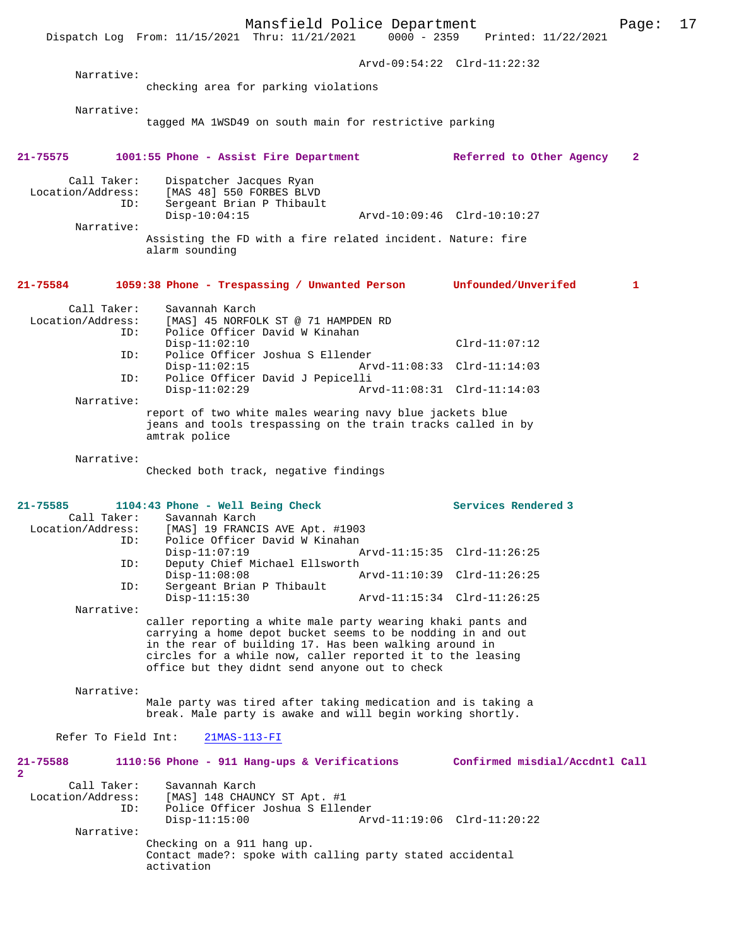Mansfield Police Department<br>Thru:  $11/21/2021$  0000 - 2359 Printed:  $11/22/2021$ Dispatch Log From: 11/15/2021 Thru: 11/21/2021 Arvd-09:54:22 Clrd-11:22:32 Narrative: checking area for parking violations Narrative: tagged MA 1WSD49 on south main for restrictive parking **21-75575 1001:55 Phone - Assist Fire Department Referred to Other Agency 2** Call Taker: Dispatcher Jacques Ryan<br>Location/Address: [MAS 48] 550 FORBES BLVI [MAS 48] 550 FORBES BLVD ID: Sergeant Brian P Thibault Disp-10:04:15 Arvd-10:09:46 Clrd-10:10:27 Narrative: Assisting the FD with a fire related incident. Nature: fire alarm sounding **21-75584 1059:38 Phone - Trespassing / Unwanted Person Unfounded/Unverifed 1** Call Taker: Savannah Karch<br>Location/Address: [MAS] 45 NORFOI ess: [MAS] 45 NORFOLK ST @ 71 HAMPDEN RD<br>ID: Police Officer David W Kinahan Police Officer David W Kinahan Disp-11:02:10 Clrd-11:07:12<br>Th: Police Officer Joshua S Fllender Police Officer Joshua S Ellender<br>Disp-11:02:15 Arv Disp-11:02:15 Arvd-11:08:33 Clrd-11:14:03<br>ID: Police Officer David J Pepicelli Police Officer David J Pepicelli<br>Disp-11:02:29 Arv Disp-11:02:29 Arvd-11:08:31 Clrd-11:14:03 Narrative: report of two white males wearing navy blue jackets blue jeans and tools trespassing on the train tracks called in by amtrak police Narrative: Checked both track, negative findings **21-75585 1104:43 Phone - Well Being Check Services Rendered 3**  Call Taker: Savannah Karch<br>Location/Address: [MAS] 19 FRANCI ess: [MAS] 19 FRANCIS AVE Apt. #1903<br>ID: Police Officer David W Kinahan Police Officer David W Kinahan<br>Disp-11:07:19 Disp-11:07:19 Arvd-11:15:35 Clrd-11:26:25 Deputy Chief Michael Ellsworth<br>Disp-11:08:08 P Disp-11:08:08 Arvd-11:10:39 Clrd-11:26:25<br>ID: Sergeant Brian P Thibault Sergeant Brian P Thibault Disp-11:15:30 Arvd-11:15:34 Clrd-11:26:25 Narrative: caller reporting a white male party wearing khaki pants and carrying a home depot bucket seems to be nodding in and out in the rear of building 17. Has been walking around in circles for a while now, caller reported it to the leasing office but they didnt send anyone out to check Narrative: Male party was tired after taking medication and is taking a break. Male party is awake and will begin working shortly. Refer To Field Int: 21MAS-113-FI **21-75588 1110:56 Phone - 911 Hang-ups & Verifications Confirmed misdial/Accdntl Call 2**  Call Taker: Savannah Karch Location/Address: [MAS] 148 CHAUNCY ST Apt. #1 Police Officer Joshua S Ellender<br>Disp-11:15:00 Ar Arvd-11:19:06 Clrd-11:20:22 Narrative: Checking on a 911 hang up. Contact made?: spoke with calling party stated accidental activation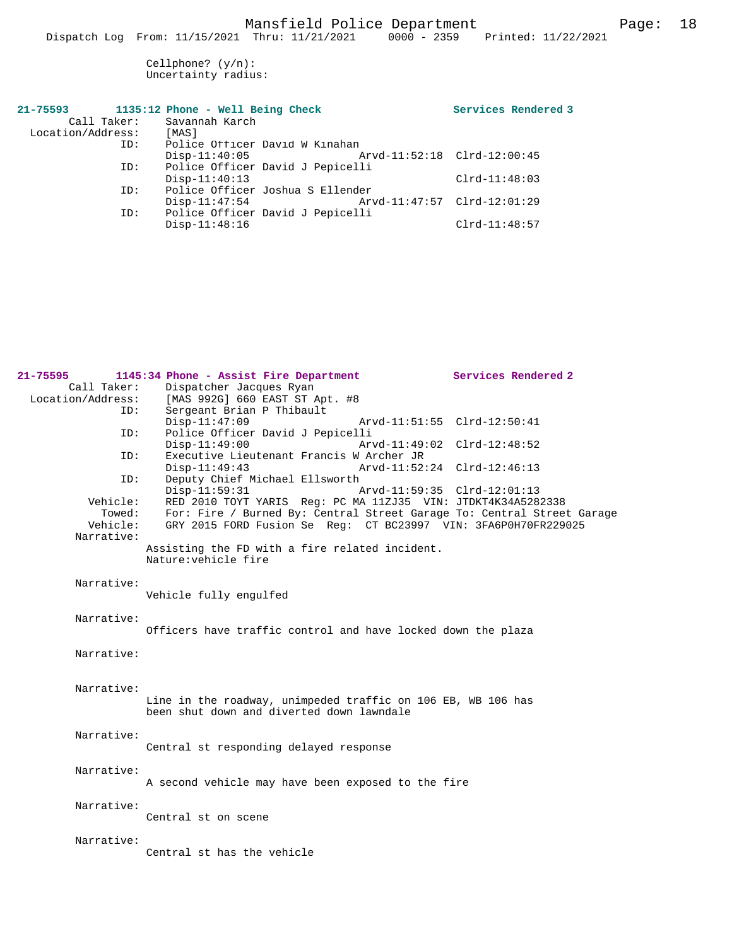Cellphone? (y/n): Uncertainty radius:

| Call Taker:<br>Location/Address: | 21-75593 1135:12 Phone - Well Being Check<br>Savannah Karch<br>[MAS] | Services Rendered 3         |
|----------------------------------|----------------------------------------------------------------------|-----------------------------|
| ID:                              | Police Officer David W Kinahan                                       |                             |
|                                  | $Disp-11:40:05$                                                      | Arvd-11:52:18 Clrd-12:00:45 |
| ID:                              | Police Officer David J Pepicelli                                     |                             |
|                                  | $Disp-11:40:13$                                                      | $Clrd-11:48:03$             |
| ID:                              | Police Officer Joshua S Ellender                                     |                             |
|                                  | $Disp-11:47:54$                                                      | Arvd-11:47:57 Clrd-12:01:29 |
| ID:                              | Police Officer David J Pepicelli                                     |                             |
|                                  | $Disp-11:48:16$                                                      | $Clrd-11:48:57$             |

|                                                     | Services Rendered 2                                                                                                                                                                                                                                                                                                                                                                                                                                                                                                                                                                                                                                                                                                                                                                                                                                                                      |
|-----------------------------------------------------|------------------------------------------------------------------------------------------------------------------------------------------------------------------------------------------------------------------------------------------------------------------------------------------------------------------------------------------------------------------------------------------------------------------------------------------------------------------------------------------------------------------------------------------------------------------------------------------------------------------------------------------------------------------------------------------------------------------------------------------------------------------------------------------------------------------------------------------------------------------------------------------|
| Dispatcher Jacques Ryan                             |                                                                                                                                                                                                                                                                                                                                                                                                                                                                                                                                                                                                                                                                                                                                                                                                                                                                                          |
| Location/Address:<br>[MAS 992G] 660 EAST ST Apt. #8 |                                                                                                                                                                                                                                                                                                                                                                                                                                                                                                                                                                                                                                                                                                                                                                                                                                                                                          |
| Sergeant Brian P Thibault<br>ID:                    |                                                                                                                                                                                                                                                                                                                                                                                                                                                                                                                                                                                                                                                                                                                                                                                                                                                                                          |
| $Disp-11:47:09$                                     | Arvd-11:51:55 Clrd-12:50:41                                                                                                                                                                                                                                                                                                                                                                                                                                                                                                                                                                                                                                                                                                                                                                                                                                                              |
|                                                     |                                                                                                                                                                                                                                                                                                                                                                                                                                                                                                                                                                                                                                                                                                                                                                                                                                                                                          |
|                                                     | Arvd-11:49:02 Clrd-12:48:52                                                                                                                                                                                                                                                                                                                                                                                                                                                                                                                                                                                                                                                                                                                                                                                                                                                              |
|                                                     |                                                                                                                                                                                                                                                                                                                                                                                                                                                                                                                                                                                                                                                                                                                                                                                                                                                                                          |
|                                                     |                                                                                                                                                                                                                                                                                                                                                                                                                                                                                                                                                                                                                                                                                                                                                                                                                                                                                          |
|                                                     |                                                                                                                                                                                                                                                                                                                                                                                                                                                                                                                                                                                                                                                                                                                                                                                                                                                                                          |
|                                                     |                                                                                                                                                                                                                                                                                                                                                                                                                                                                                                                                                                                                                                                                                                                                                                                                                                                                                          |
|                                                     |                                                                                                                                                                                                                                                                                                                                                                                                                                                                                                                                                                                                                                                                                                                                                                                                                                                                                          |
|                                                     |                                                                                                                                                                                                                                                                                                                                                                                                                                                                                                                                                                                                                                                                                                                                                                                                                                                                                          |
|                                                     |                                                                                                                                                                                                                                                                                                                                                                                                                                                                                                                                                                                                                                                                                                                                                                                                                                                                                          |
|                                                     |                                                                                                                                                                                                                                                                                                                                                                                                                                                                                                                                                                                                                                                                                                                                                                                                                                                                                          |
|                                                     |                                                                                                                                                                                                                                                                                                                                                                                                                                                                                                                                                                                                                                                                                                                                                                                                                                                                                          |
|                                                     |                                                                                                                                                                                                                                                                                                                                                                                                                                                                                                                                                                                                                                                                                                                                                                                                                                                                                          |
|                                                     |                                                                                                                                                                                                                                                                                                                                                                                                                                                                                                                                                                                                                                                                                                                                                                                                                                                                                          |
|                                                     |                                                                                                                                                                                                                                                                                                                                                                                                                                                                                                                                                                                                                                                                                                                                                                                                                                                                                          |
|                                                     |                                                                                                                                                                                                                                                                                                                                                                                                                                                                                                                                                                                                                                                                                                                                                                                                                                                                                          |
|                                                     |                                                                                                                                                                                                                                                                                                                                                                                                                                                                                                                                                                                                                                                                                                                                                                                                                                                                                          |
|                                                     |                                                                                                                                                                                                                                                                                                                                                                                                                                                                                                                                                                                                                                                                                                                                                                                                                                                                                          |
|                                                     |                                                                                                                                                                                                                                                                                                                                                                                                                                                                                                                                                                                                                                                                                                                                                                                                                                                                                          |
|                                                     |                                                                                                                                                                                                                                                                                                                                                                                                                                                                                                                                                                                                                                                                                                                                                                                                                                                                                          |
|                                                     |                                                                                                                                                                                                                                                                                                                                                                                                                                                                                                                                                                                                                                                                                                                                                                                                                                                                                          |
|                                                     |                                                                                                                                                                                                                                                                                                                                                                                                                                                                                                                                                                                                                                                                                                                                                                                                                                                                                          |
|                                                     |                                                                                                                                                                                                                                                                                                                                                                                                                                                                                                                                                                                                                                                                                                                                                                                                                                                                                          |
|                                                     |                                                                                                                                                                                                                                                                                                                                                                                                                                                                                                                                                                                                                                                                                                                                                                                                                                                                                          |
|                                                     |                                                                                                                                                                                                                                                                                                                                                                                                                                                                                                                                                                                                                                                                                                                                                                                                                                                                                          |
|                                                     |                                                                                                                                                                                                                                                                                                                                                                                                                                                                                                                                                                                                                                                                                                                                                                                                                                                                                          |
|                                                     |                                                                                                                                                                                                                                                                                                                                                                                                                                                                                                                                                                                                                                                                                                                                                                                                                                                                                          |
|                                                     |                                                                                                                                                                                                                                                                                                                                                                                                                                                                                                                                                                                                                                                                                                                                                                                                                                                                                          |
|                                                     |                                                                                                                                                                                                                                                                                                                                                                                                                                                                                                                                                                                                                                                                                                                                                                                                                                                                                          |
|                                                     |                                                                                                                                                                                                                                                                                                                                                                                                                                                                                                                                                                                                                                                                                                                                                                                                                                                                                          |
|                                                     |                                                                                                                                                                                                                                                                                                                                                                                                                                                                                                                                                                                                                                                                                                                                                                                                                                                                                          |
|                                                     |                                                                                                                                                                                                                                                                                                                                                                                                                                                                                                                                                                                                                                                                                                                                                                                                                                                                                          |
| Central st on scene                                 |                                                                                                                                                                                                                                                                                                                                                                                                                                                                                                                                                                                                                                                                                                                                                                                                                                                                                          |
|                                                     |                                                                                                                                                                                                                                                                                                                                                                                                                                                                                                                                                                                                                                                                                                                                                                                                                                                                                          |
|                                                     |                                                                                                                                                                                                                                                                                                                                                                                                                                                                                                                                                                                                                                                                                                                                                                                                                                                                                          |
| Central st has the vehicle                          |                                                                                                                                                                                                                                                                                                                                                                                                                                                                                                                                                                                                                                                                                                                                                                                                                                                                                          |
|                                                     |                                                                                                                                                                                                                                                                                                                                                                                                                                                                                                                                                                                                                                                                                                                                                                                                                                                                                          |
| ID:<br>ID:<br>Towed:<br>Vehicle:                    | 1145:34 Phone - Assist Fire Department<br>Police Officer David J Pepicelli<br>$Disp-11:49:00$<br>Executive Lieutenant Francis W Archer JR<br>$Disp-11:49:43$<br>Arvd-11:52:24 Clrd-12:46:13<br>Deputy Chief Michael Ellsworth<br>$Disp-11:59:31$<br>Arvd-11:59:35 Clrd-12:01:13<br>Vehicle:<br>RED 2010 TOYT YARIS Req: PC MA 11ZJ35 VIN: JTDKT4K34A5282338<br>For: Fire / Burned By: Central Street Garage To: Central Street Garage<br>GRY 2015 FORD Fusion Se Req: CT BC23997 VIN: 3FA6P0H70FR229025<br>Assisting the FD with a fire related incident.<br>Nature: vehicle fire<br>Vehicle fully engulfed<br>Officers have traffic control and have locked down the plaza<br>Line in the roadway, unimpeded traffic on 106 EB, WB 106 has<br>been shut down and diverted down lawndale<br>Central st responding delayed response<br>A second vehicle may have been exposed to the fire |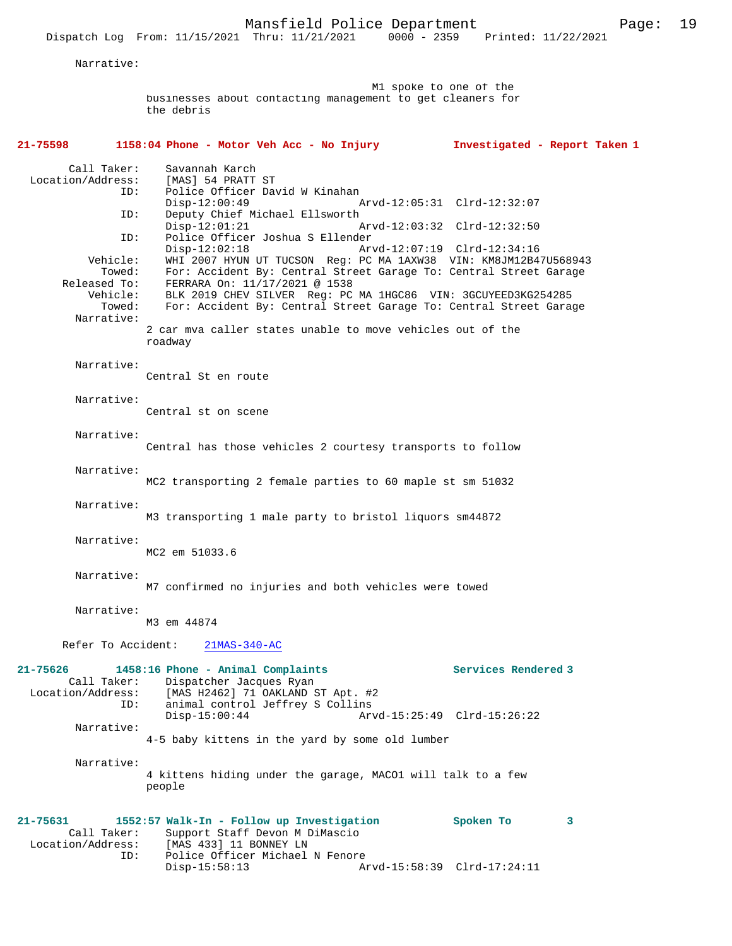Narrative:

 M1 spoke to one of the businesses about contacting management to get cleaners for the debris

# **21-75598 1158:04 Phone - Motor Veh Acc - No Injury Investigated - Report Taken 1** Call Taker: Savannah Karch<br>Location/Address: [MAS] 54 PRATT Location/Address: [MAS] 54 PRATT ST ID: Police Officer David W Kinahan Disp-12:00:49 Arvd-12:05:31 Clrd-12:32:07<br>ID: Deputy Chief Michael Ellsworth Deputy Chief Michael Ellsworth Disp-12:01:21 Arvd-12:03:32 Clrd-12:32:50 ID: Police Officer Joshua S Ellender Disp-12:02:18 Arvd-12:07:19 Clrd-12:34:16<br>Vehicle: WHI 2007 HYUN UT TUCSON Req: PC MA 1AXW38 VIN: KM8JM12B4 hicle: WHI 2007 HYUN UT TUCSON Reg: PC MA 1AXW38 VIN: KM8JM12B47U568943:<br>Towed: For: Accident By: Central Street Garage To: Central Street Garage Towed: For: Accident By: Central Street Garage To: Central Street Garage Released To: FERRARA On: 11/17/2021 @ 1538 eased To: FERRARA On: 11/17/2021 @ 1538<br>Vehicle: BLK 2019 CHEV SILVER Req: PC ehicle: BLK 2019 CHEV SILVER Reg: PC MA 1HGC86 VIN: 3GCUYEED3KG254285<br>Towed: For: Accident By: Central Street Garage To: Central Street Gara For: Accident By: Central Street Garage To: Central Street Garage Narrative: 2 car mva caller states unable to move vehicles out of the roadway Narrative: Central St en route Narrative: Central st on scene Narrative: Central has those vehicles 2 courtesy transports to follow Narrative: MC2 transporting 2 female parties to 60 maple st sm 51032 Narrative: M3 transporting 1 male party to bristol liquors sm44872 Narrative: MC2 em 51033.6 Narrative: M7 confirmed no injuries and both vehicles were towed Narrative: M3 em 44874 Refer To Accident: 21MAS-340-AC **21-75626 1458:16 Phone - Animal Complaints Services Rendered 3**  Call Taker: Dispatcher Jacques Ryan Location/Address: [MAS H2462] 71 OAKLAND ST Apt. #2 ID: animal control Jeffrey S Collins Disp-15:00:44 Arvd-15:25:49 Clrd-15:26:22 Narrative: 4-5 baby kittens in the yard by some old lumber Narrative: 4 kittens hiding under the garage, MACO1 will talk to a few people **21-75631 1552:57 Walk-In - Follow up Investigation Spoken To 3**  Call Taker: Support Staff Devon M DiMascio Location/Address: [MAS 433] 11 BONNEY LN ID: Police Officer Michael N Fenore<br>Disp-15:58:13 Disp-15:58:13 Arvd-15:58:39 Clrd-17:24:11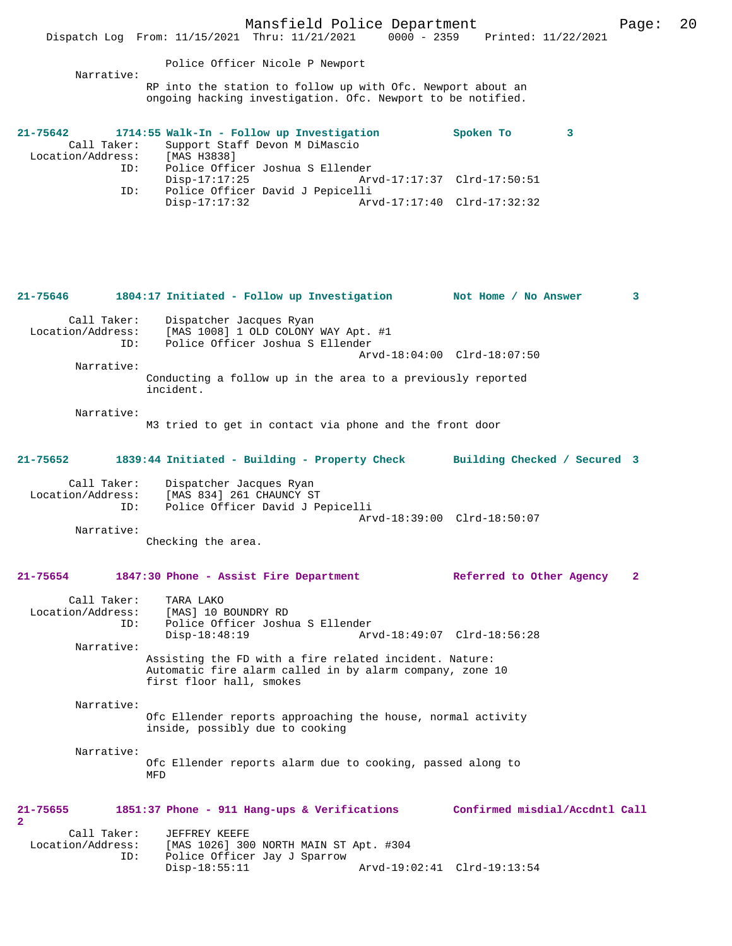| Narrative:                              | Police Officer Nicole P Newport<br>RP into the station to follow up with Ofc. Newport about an                                                 |                                                            |   |
|-----------------------------------------|------------------------------------------------------------------------------------------------------------------------------------------------|------------------------------------------------------------|---|
| $21 - 75642$                            | ongoing hacking investigation. Ofc. Newport to be notified.<br>1714:55 Walk-In - Follow up Investigation                                       | Spoken To<br>3                                             |   |
| Call Taker:<br>Location/Address:<br>ID: | Support Staff Devon M DiMascio<br>[MAS H3838]<br>Police Officer Joshua S Ellender                                                              |                                                            |   |
| ID:                                     | $Disp-17:17:25$<br>Police Officer David J Pepicelli<br>$Disp-17:17:32$                                                                         | Arvd-17:17:37 Clrd-17:50:51<br>Arvd-17:17:40 Clrd-17:32:32 |   |
|                                         |                                                                                                                                                |                                                            |   |
| 21-75646                                | 1804:17 Initiated - Follow up Investigation                                                                                                    | Not Home / No Answer                                       | 3 |
| Call Taker:<br>Location/Address:<br>ID: | Dispatcher Jacques Ryan<br>[MAS 1008] 1 OLD COLONY WAY Apt. #1<br>Police Officer Joshua S Ellender                                             |                                                            |   |
| Narrative:                              |                                                                                                                                                | Arvd-18:04:00 Clrd-18:07:50                                |   |
|                                         | Conducting a follow up in the area to a previously reported<br>incident.                                                                       |                                                            |   |
| Narrative:                              | M3 tried to get in contact via phone and the front door                                                                                        |                                                            |   |
| 21-75652                                | 1839:44 Initiated - Building - Property Check                                                                                                  | Building Checked / Secured 3                               |   |
| Call Taker:<br>Location/Address:<br>ID: | Dispatcher Jacques Ryan<br>[MAS 834] 261 CHAUNCY ST<br>Police Officer David J Pepicelli                                                        | Arvd-18:39:00 Clrd-18:50:07                                |   |
| Narrative:                              | Checking the area.                                                                                                                             |                                                            |   |
| 21-75654                                | 1847:30 Phone - Assist Fire Department                                                                                                         | Referred to Other Agency                                   | 2 |
| Call Taker:<br>Location/Address:<br>ID: | TARA LAKO<br>[MAS] 10 BOUNDRY RD<br>Police Officer Joshua S Ellender                                                                           |                                                            |   |
| Narrative:                              | $Disp-18:48:19$                                                                                                                                | Arvd-18:49:07 Clrd-18:56:28                                |   |
|                                         | Assisting the FD with a fire related incident. Nature:<br>Automatic fire alarm called in by alarm company, zone 10<br>first floor hall, smokes |                                                            |   |
| Narrative:                              | Ofc Ellender reports approaching the house, normal activity<br>inside, possibly due to cooking                                                 |                                                            |   |
| Narrative:                              | Ofc Ellender reports alarm due to cooking, passed along to<br>MFD                                                                              |                                                            |   |
| 21-75655<br>$\mathbf{2}$                | 1851:37 Phone - 911 Hang-ups & Verifications                                                                                                   | Confirmed misdial/Accdntl Call                             |   |
| Call Taker:<br>Location/Address:<br>ID: | JEFFREY KEEFE<br>[MAS 1026] 300 NORTH MAIN ST Apt. #304<br>Police Officer Jay J Sparrow                                                        |                                                            |   |

Disp-18:55:11 Arvd-19:02:41 Clrd-19:13:54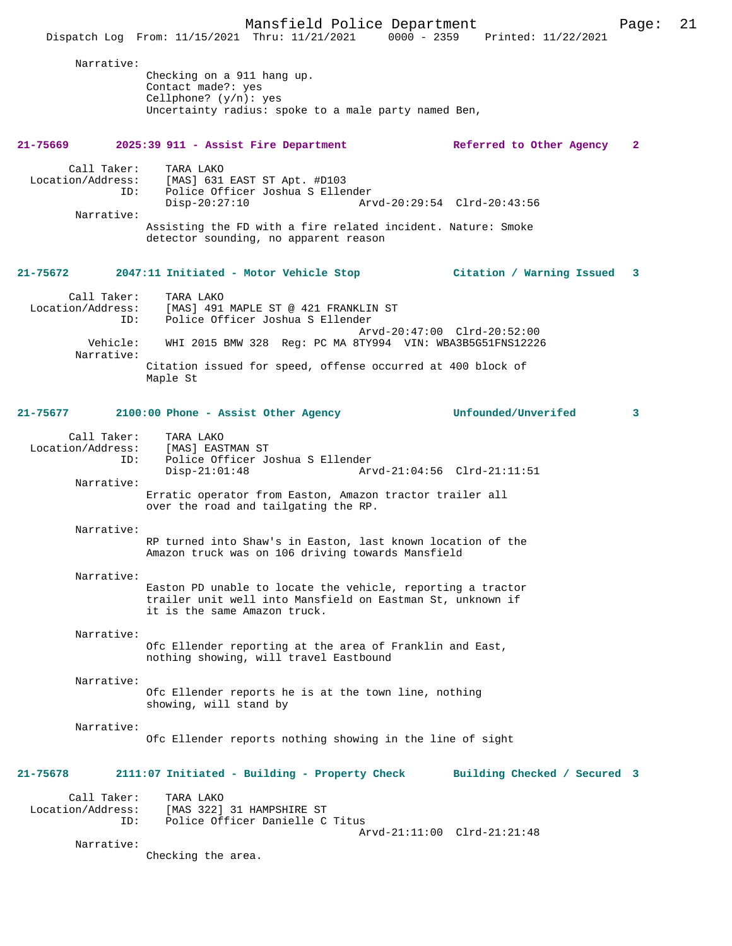Mansfield Police Department Page: 21 Dispatch Log From:  $11/15/2021$  Thru:  $11/21/2021$  0000 - 2359 Narrative: Checking on a 911 hang up. Contact made?: yes Cellphone? (y/n): yes Uncertainty radius: spoke to a male party named Ben, **21-75669 2025:39 911 - Assist Fire Department Referred to Other Agency 2** Call Taker: TARA LAKO Location/Address: [MAS] 631 EAST ST Apt. #D103 ID: Police Officer Joshua S Ellender Disp-20:27:10 Arvd-20:29:54 Clrd-20:43:56 Narrative: Assisting the FD with a fire related incident. Nature: Smoke detector sounding, no apparent reason **21-75672 2047:11 Initiated - Motor Vehicle Stop Citation / Warning Issued 3** Call Taker: TARA LAKO<br>Location/Address: [MAS] 491 Ess: [MAS] 491 MAPLE ST @ 421 FRANKLIN ST<br>ID: Police Officer Joshua S Ellender Police Officer Joshua S Ellender Arvd-20:47:00 Clrd-20:52:00<br>Vehicle: WHI 2015 BMW 328 Reg: PC MA 8TY994 VIN: WBA3B5G51FNS1222 Vehicle: WHI 2015 BMW 328 Reg: PC MA 8TY994 VIN: WBA3B5G51FNS12226 Narrative: Citation issued for speed, offense occurred at 400 block of Maple St **21-75677 2100:00 Phone - Assist Other Agency Unfounded/Unverifed 3** Call Taker: TARA LAKO<br>.on/Address: [MAS] EASTMAN ST Location/Address:<br>TD: Police Officer Joshua S Ellender<br>Disp-21:01:48 Ar Arvd-21:04:56 Clrd-21:11:51 Narrative: Erratic operator from Easton, Amazon tractor trailer all over the road and tailgating the RP. Narrative: RP turned into Shaw's in Easton, last known location of the Amazon truck was on 106 driving towards Mansfield Narrative: Easton PD unable to locate the vehicle, reporting a tractor trailer unit well into Mansfield on Eastman St, unknown if it is the same Amazon truck. Narrative: Ofc Ellender reporting at the area of Franklin and East, nothing showing, will travel Eastbound Narrative: Ofc Ellender reports he is at the town line, nothing showing, will stand by Narrative: Ofc Ellender reports nothing showing in the line of sight **21-75678 2111:07 Initiated - Building - Property Check Building Checked / Secured 3** Call Taker: TARA LAKO Location/Address: [MAS 322] 31 HAMPSHIRE ST Police Officer Danielle C Titus Arvd-21:11:00 Clrd-21:21:48 Narrative: Checking the area.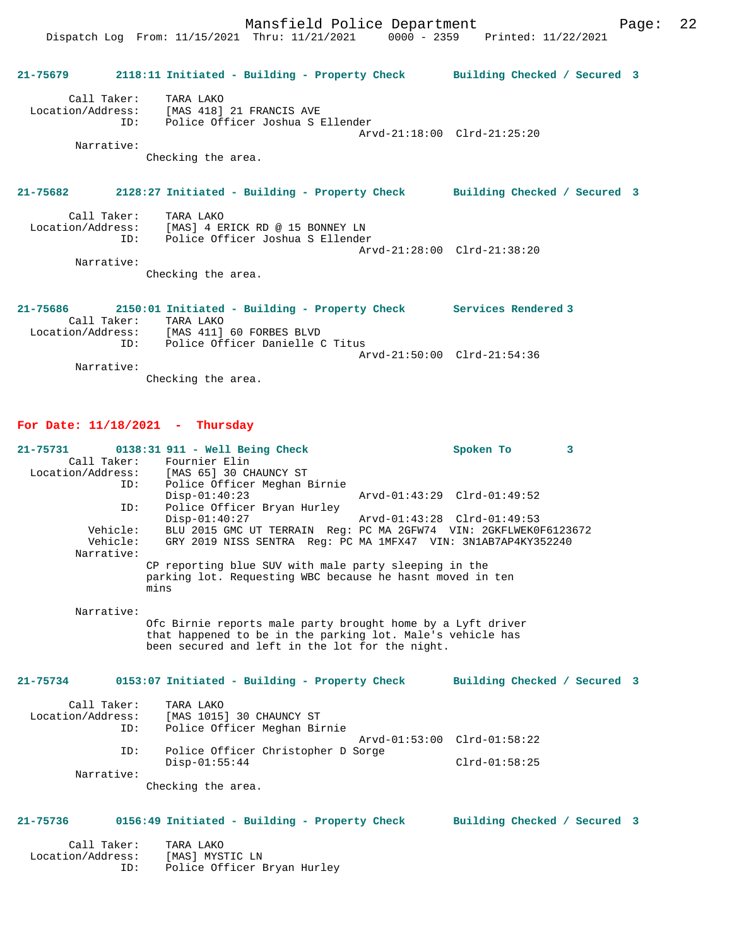**21-75679 2118:11 Initiated - Building - Property Check Building Checked / Secured 3** Call Taker: TARA LAKO Location/Address: [MAS 418] 21 FRANCIS AVE ID: Police Officer Joshua S Ellender Arvd-21:18:00 Clrd-21:25:20 Narrative: Checking the area. **21-75682 2128:27 Initiated - Building - Property Check Building Checked / Secured 3** Call Taker: TARA LAKO Location/Address: [MAS] 4 ERICK RD @ 15 BONNEY LN ID: Police Officer Joshua S Ellender Arvd-21:28:00 Clrd-21:38:20 Narrative: Checking the area. **21-75686 2150:01 Initiated - Building - Property Check Services Rendered 3**  Call Taker: TARA LAKO Location/Address: [MAS 411] 60 FORBES BLVD ID: Police Officer Danielle C Titus Arvd-21:50:00 Clrd-21:54:36

 Narrative: Checking the area.

### **For Date: 11/18/2021 - Thursday**

| $21 - 75731$      | 0138:31 911 - Well Being Check                                             | Spoken To                   | 3 |  |
|-------------------|----------------------------------------------------------------------------|-----------------------------|---|--|
| Call Taker:       | Fournier Elin                                                              |                             |   |  |
|                   | Location/Address: [MAS 65] 30 CHAUNCY ST                                   |                             |   |  |
| ID:               | Police Officer Meghan Birnie                                               |                             |   |  |
|                   | $Disp-01:40:23$                                                            | Arvd-01:43:29 Clrd-01:49:52 |   |  |
| ID:               | Police Officer Bryan Hurley                                                |                             |   |  |
|                   | $Disp-01:40:27$                                                            | Arvd-01:43:28 Clrd-01:49:53 |   |  |
| Vehicle:          | BLU 2015 GMC UT TERRAIN Req: PC MA 2GFW74 VIN: 2GKFLWEK0F6123672           |                             |   |  |
| Vehicle:          | GRY 2019 NISS SENTRA Reg: PC MA 1MFX47 VIN: 3N1AB7AP4KY352240              |                             |   |  |
| Narrative:        |                                                                            |                             |   |  |
|                   | CP reporting blue SUV with male party sleeping in the                      |                             |   |  |
|                   | parking lot. Requesting WBC because he hasnt moved in ten                  |                             |   |  |
|                   | mins                                                                       |                             |   |  |
|                   |                                                                            |                             |   |  |
| Narrative:        |                                                                            |                             |   |  |
|                   | Ofc Birnie reports male party brought home by a Lyft driver                |                             |   |  |
|                   | that happened to be in the parking lot. Male's vehicle has                 |                             |   |  |
|                   | been secured and left in the lot for the night.                            |                             |   |  |
|                   |                                                                            |                             |   |  |
| $21 - 75734$      | 0153:07 Initiated - Building - Property Check Building Checked / Secured 3 |                             |   |  |
|                   |                                                                            |                             |   |  |
| Call Taker:       | TARA LAKO                                                                  |                             |   |  |
| Location/Address: | [MAS 1015] 30 CHAUNCY ST                                                   |                             |   |  |
| ID:               | Police Officer Meghan Birnie                                               |                             |   |  |
|                   |                                                                            | Arvd-01:53:00 Clrd-01:58:22 |   |  |
| ID:               | Police Officer Christopher D Sorge                                         |                             |   |  |
|                   | $Disp-01:55:44$                                                            | $Clrd-01:58:25$             |   |  |
| Narrative:        |                                                                            |                             |   |  |
|                   | Checking the area.                                                         |                             |   |  |
|                   |                                                                            |                             |   |  |
| $21 - 75736$      | 0156:49 Initiated - Building - Property Check Building Checked / Secured 3 |                             |   |  |
|                   |                                                                            |                             |   |  |
| Call Taker:       | TARA LAKO                                                                  |                             |   |  |
| Location/Address: | [MAS] MYSTIC LN                                                            |                             |   |  |

ID: Police Officer Bryan Hurley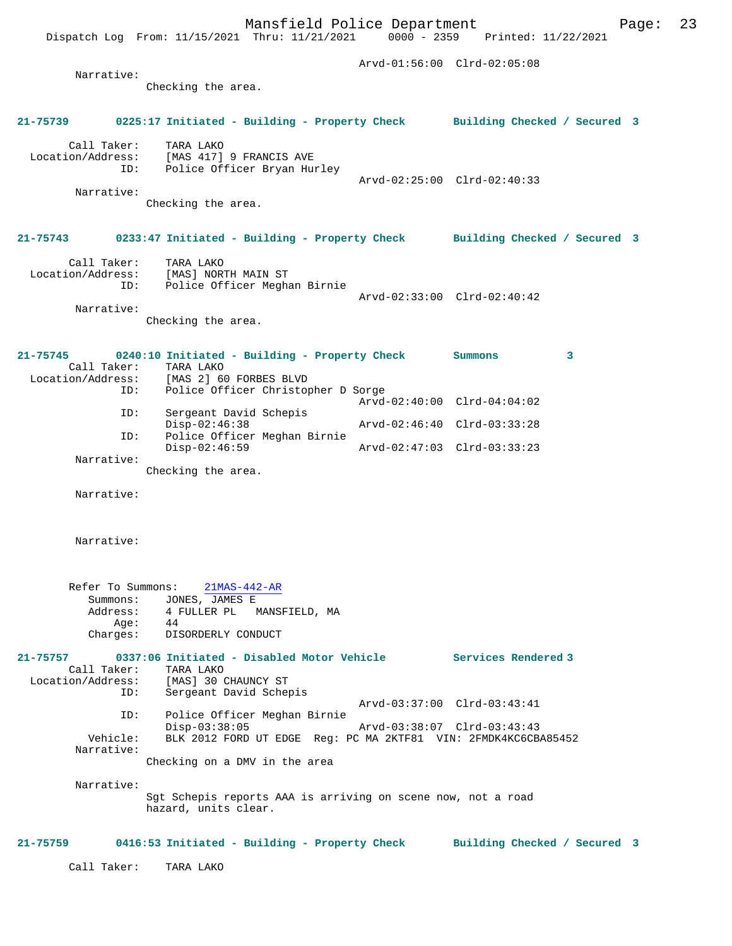Dispatch Log From: 11/15/2021 Thru: 11/21/2021 0000 - 2359 Printed: 11/22/2021

|                                       |                                                                                                                                                  | Arvd-01:56:00 Clrd-02:05:08                                |   |  |
|---------------------------------------|--------------------------------------------------------------------------------------------------------------------------------------------------|------------------------------------------------------------|---|--|
| Narrative:                            | Checking the area.                                                                                                                               |                                                            |   |  |
|                                       | 21-75739 0225:17 Initiated - Building - Property Check Building Checked / Secured 3                                                              |                                                            |   |  |
|                                       | Call Taker: TARA LAKO<br>Location/Address: [MAS 417] 9 FRANCIS AVE<br>ID: Police Officer Bryan Hurley                                            |                                                            |   |  |
| Narrative:                            | Checking the area.                                                                                                                               | Arvd-02:25:00 Clrd-02:40:33                                |   |  |
|                                       | 21-75743 0233:47 Initiated - Building - Property Check Building Checked / Secured 3                                                              |                                                            |   |  |
|                                       | Call Taker: TARA LAKO<br>Location/Address: [MAS] NORTH MAIN ST<br>ID: Police Officer Meghan Birnie                                               | Arvd-02:33:00 Clrd-02:40:42                                |   |  |
| Narrative:                            | Checking the area.                                                                                                                               |                                                            |   |  |
|                                       | 21-75745 0240:10 Initiated - Building - Property Check<br>Call Taker: TARA LAKO<br>Location/Address: [MAS 2] 60 FORBES BLVD                      | Summons                                                    | 3 |  |
|                                       | ID: Police Officer Christopher D Sorge                                                                                                           | Arvd-02:40:00 Clrd-04:04:02                                |   |  |
|                                       | ID:<br>Sergeant David Schepis<br>$Disp-02:46:38$                                                                                                 | Arvd-02:46:40 Clrd-03:33:28                                |   |  |
| ID:                                   | Police Officer Meghan Birnie<br>$Disp-02:46:59$                                                                                                  | Arvd-02:47:03 Clrd-03:33:23                                |   |  |
| Narrative:                            | Checking the area.                                                                                                                               |                                                            |   |  |
| Narrative:                            |                                                                                                                                                  |                                                            |   |  |
| Narrative:                            |                                                                                                                                                  |                                                            |   |  |
| Refer To Summons:<br>Summons:<br>Age: | $21MAS-442-AR$<br>JONES, JAMES E<br>Address: 4 FULLER PL<br>Age: 44<br>MANSFIELD, MA<br>44<br>Charges: DISORDERLY CONDUCT                        |                                                            |   |  |
| 21-75757<br>Call Taker:<br>ID:        | 0337:06 Initiated - Disabled Motor Vehicle Services Rendered 3<br>TARA LAKO<br>Location/Address: [MAS] 30 CHAUNCY ST<br>Sergeant David Schepis   |                                                            |   |  |
| ID:<br>Vehicle:<br>Narrative:         | Police Officer Meghan Birnie<br>Disp-03:38:05<br>BLK 2012 FORD UT EDGE Reg: PC MA 2KTF81 VIN: 2FMDK4KC6CBA85452<br>Checking on a DMV in the area | Arvd-03:37:00 Clrd-03:43:41<br>Arvd-03:38:07 Clrd-03:43:43 |   |  |
| Narrative:                            | Sgt Schepis reports AAA is arriving on scene now, not a road<br>hazard, units clear.                                                             |                                                            |   |  |
|                                       | 21-75759 0416:53 Initiated - Building - Property Check Building Checked / Secured 3                                                              |                                                            |   |  |
| Call Taker:                           | TARA LAKO                                                                                                                                        |                                                            |   |  |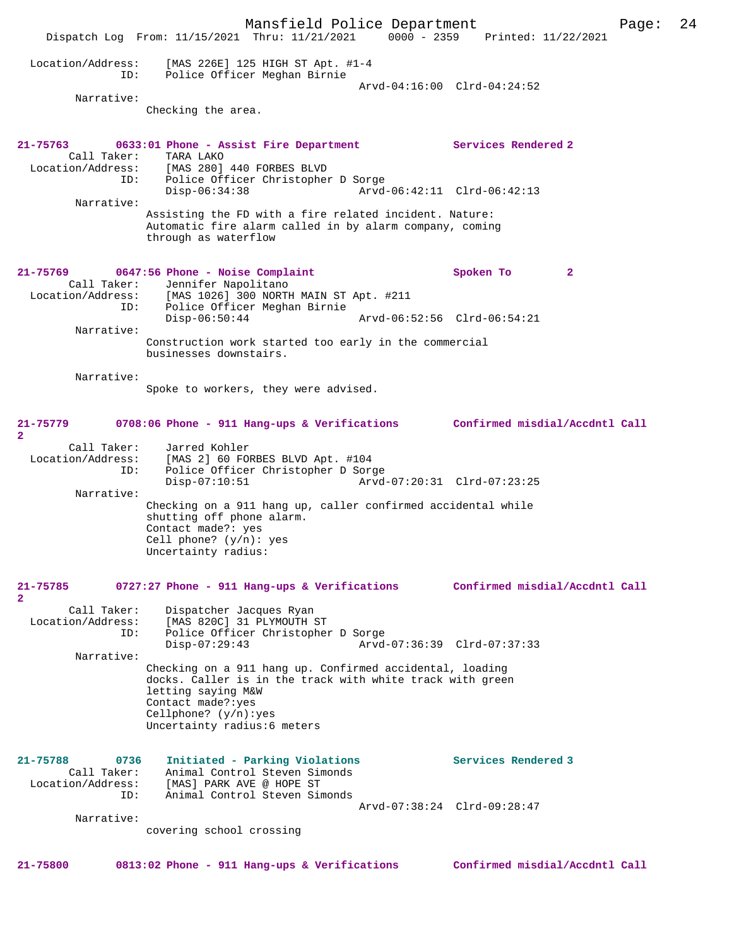Mansfield Police Department Page: 24 Dispatch Log From: 11/15/2021 Thru: 11/21/2021 0000 - 2359 Printed: 11/22/2021 Location/Address: [MAS 226E] 125 HIGH ST Apt. #1-4 ID: Police Officer Meghan Birnie Arvd-04:16:00 Clrd-04:24:52 Narrative: Checking the area. **21-75763 0633:01 Phone - Assist Fire Department Services Rendered 2**  Call Taker: TARA LAKO Location/Address: [MAS 280] 440 FORBES BLVD ID: Police Officer Christopher D Sorge Disp-06:34:38 Arvd-06:42:11 Clrd-06:42:13 Narrative: Assisting the FD with a fire related incident. Nature: Automatic fire alarm called in by alarm company, coming through as waterflow **21-75769 0647:56 Phone - Noise Complaint Spoken To 2**  Call Taker: Jennifer Napolitano Location/Address: [MAS 1026] 300 NORTH MAIN ST Apt. #211 ID: Police Officer Meghan Birnie Disp-06:50:44 Arvd-06:52:56 Clrd-06:54:21 Narrative: Construction work started too early in the commercial businesses downstairs. Narrative: Spoke to workers, they were advised. **21-75779 0708:06 Phone - 911 Hang-ups & Verifications Confirmed misdial/Accdntl Call 2**  Call Taker: Jarred Kohler Location/Address: [MAS 2] 60 FORBES BLVD Apt. #104 ID: Police Officer Christopher D Sorge Disp-07:10:51 Arvd-07:20:31 Clrd-07:23:25 Narrative: Checking on a 911 hang up, caller confirmed accidental while shutting off phone alarm. Contact made?: yes Cell phone? (y/n): yes Uncertainty radius: **21-75785 0727:27 Phone - 911 Hang-ups & Verifications Confirmed misdial/Accdntl Call 2**  Call Taker: Dispatcher Jacques Ryan Location/Address: [MAS 820C] 31 PLYMOUTH ST ID: Police Officer Christopher D Sorge Disp-07:29:43 Arvd-07:36:39 Clrd-07:37:33 Narrative: Checking on a 911 hang up. Confirmed accidental, loading docks. Caller is in the track with white track with green letting saying M&W Contact made?:yes Cellphone? (y/n):yes Uncertainty radius:6 meters **21-75788 0736 Initiated - Parking Violations Services Rendered 3**  Call Taker: Animal Control Steven Simonds Location/Address: [MAS] PARK AVE @ HOPE ST ID: Animal Control Steven Simonds Arvd-07:38:24 Clrd-09:28:47 Narrative: covering school crossing **21-75800 0813:02 Phone - 911 Hang-ups & Verifications Confirmed misdial/Accdntl Call**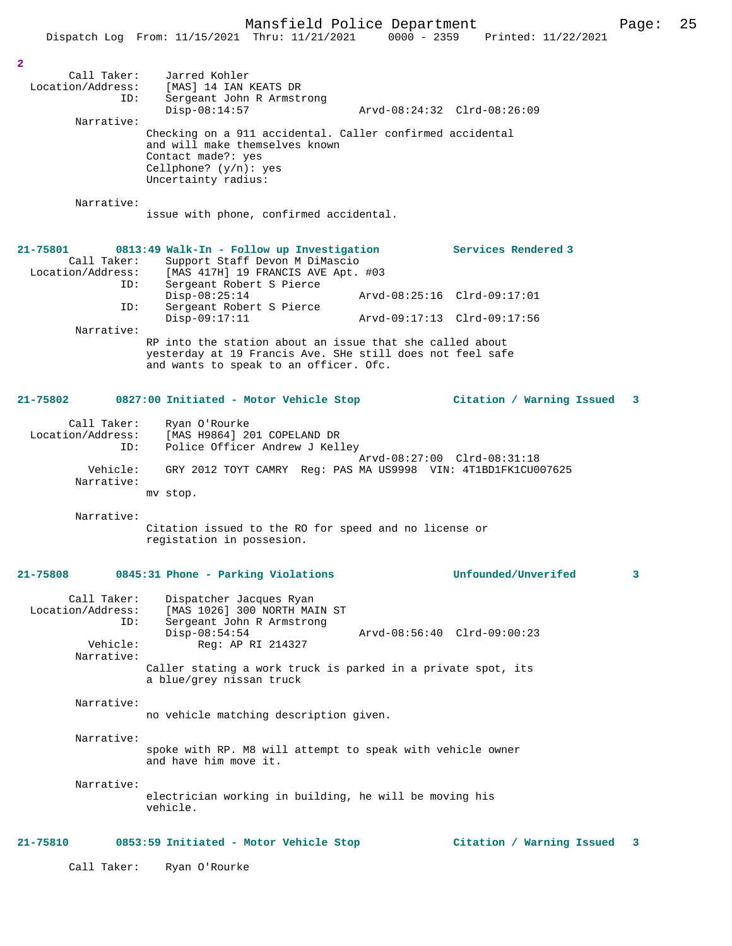|                                              | Dispatch Log From: 11/15/2021 Thru: 11/21/2021                                                                                                                  | $0000 - 2359$ | Printed: 11/22/2021         |   |
|----------------------------------------------|-----------------------------------------------------------------------------------------------------------------------------------------------------------------|---------------|-----------------------------|---|
| 2                                            |                                                                                                                                                                 |               |                             |   |
| Call Taker:<br>Location/Address:<br>ID:      | Jarred Kohler<br>[MAS] 14 IAN KEATS DR                                                                                                                          |               |                             |   |
|                                              | Sergeant John R Armstrong<br>$Disp-08:14:57$                                                                                                                    |               | Arvd-08:24:32 Clrd-08:26:09 |   |
| Narrative:                                   | Checking on a 911 accidental. Caller confirmed accidental<br>and will make themselves known<br>Contact made?: yes                                               |               |                             |   |
|                                              | Cellphone? $(y/n)$ : yes<br>Uncertainty radius:                                                                                                                 |               |                             |   |
| Narrative:                                   | issue with phone, confirmed accidental.                                                                                                                         |               |                             |   |
| 21-75801<br>Call Taker:<br>Location/Address: | 0813:49 Walk-In - Follow up Investigation<br>Support Staff Devon M DiMascio<br>[MAS 417H] 19 FRANCIS AVE Apt. #03                                               |               | Services Rendered 3         |   |
| ID:                                          | Sergeant Robert S Pierce<br>$Disp-08:25:14$                                                                                                                     |               | Arvd-08:25:16 Clrd-09:17:01 |   |
| ID:                                          | Sergeant Robert S Pierce<br>$Disp-09:17:11$                                                                                                                     |               | Arvd-09:17:13 Clrd-09:17:56 |   |
| Narrative:                                   | RP into the station about an issue that she called about<br>yesterday at 19 Francis Ave. SHe still does not feel safe<br>and wants to speak to an officer. Ofc. |               |                             |   |
| 21-75802                                     | 0827:00 Initiated - Motor Vehicle Stop                                                                                                                          |               | Citation / Warning Issued   | 3 |
| Call Taker:<br>Location/Address:<br>ID:      | Ryan O'Rourke<br>[MAS H9864] 201 COPELAND DR<br>Police Officer Andrew J Kelley                                                                                  |               |                             |   |
| Vehicle:<br>Narrative:                       | GRY 2012 TOYT CAMRY Reg: PAS MA US9998 VIN: 4T1BD1FK1CU007625                                                                                                   |               | Arvd-08:27:00 Clrd-08:31:18 |   |
|                                              | mv stop.                                                                                                                                                        |               |                             |   |
| Narrative:                                   | Citation issued to the RO for speed and no license or<br>registation in possesion.                                                                              |               |                             |   |
| 21-75808                                     | 0845:31 Phone - Parking Violations                                                                                                                              |               | Unfounded/Unverifed         | 3 |
| Call Taker:<br>Location/Address:<br>ID:      | Dispatcher Jacques Ryan<br>[MAS 1026] 300 NORTH MAIN ST<br>Sergeant John R Armstrong                                                                            |               |                             |   |
| Vehicle:<br>Narrative:                       | $Disp-08:54:54$<br>Reg: AP RI 214327                                                                                                                            |               | Arvd-08:56:40 Clrd-09:00:23 |   |
|                                              | Caller stating a work truck is parked in a private spot, its<br>a blue/grey nissan truck                                                                        |               |                             |   |
| Narrative:                                   | no vehicle matching description given.                                                                                                                          |               |                             |   |
| Narrative:                                   | spoke with RP. M8 will attempt to speak with vehicle owner<br>and have him move it.                                                                             |               |                             |   |
| Narrative:                                   | electrician working in building, he will be moving his<br>vehicle.                                                                                              |               |                             |   |
| 21-75810                                     | 0853:59 Initiated - Motor Vehicle Stop                                                                                                                          |               | Citation / Warning Issued   | 3 |

Call Taker: Ryan O'Rourke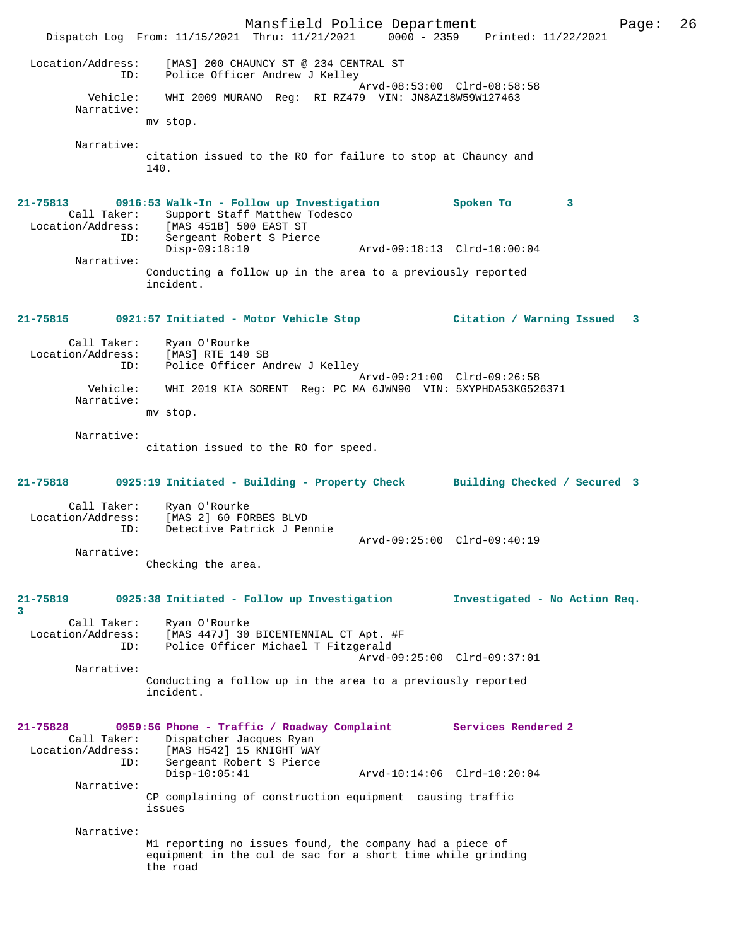Mansfield Police Department Page: 26 Dispatch Log From:  $11/15/2021$  Thru:  $11/21/2021$  0000 - 2359 Location/Address: [MAS] 200 CHAUNCY ST @ 234 CENTRAL ST ID: Police Officer Andrew J Kelley Arvd-08:53:00 Clrd-08:58:58 Vehicle: WHI 2009 MURANO Reg: RI RZ479 VIN: JN8AZ18W59W127463 Narrative: mv stop. Narrative: citation issued to the RO for failure to stop at Chauncy and 140. **21-75813 0916:53 Walk-In - Follow up Investigation Spoken To 3**  Call Taker: Support Staff Matthew Todesco Location/Address: [MAS 451B] 500 EAST ST ID: Sergeant Robert S Pierce Disp-09:18:10 Arvd-09:18:13 Clrd-10:00:04 Narrative: Conducting a follow up in the area to a previously reported incident. **21-75815 0921:57 Initiated - Motor Vehicle Stop Citation / Warning Issued 3** Call Taker: Ryan O'Rourke Location/Address: [MAS] RTE 140 SB<br>TD: Police Officer Ar Police Officer Andrew J Kelley Arvd-09:21:00 Clrd-09:26:58<br>Vehicle: WHI 2019 KIA SORENT Reg: PC MA 6JWN90 VIN: 5XYPHDA53KG52 WHI 2019 KIA SORENT Reg: PC MA 6JWN90 VIN: 5XYPHDA53KG526371 Narrative: mv stop. Narrative: citation issued to the RO for speed. **21-75818 0925:19 Initiated - Building - Property Check Building Checked / Secured 3** Call Taker: Ryan O'Rourke<br>Location/Address: [MAS 2] 60 FOI ess: [MAS 2] 60 FORBES BLVD<br>ID: Detective Patrick J Per Detective Patrick J Pennie Arvd-09:25:00 Clrd-09:40:19 Narrative: Checking the area. **21-75819 0925:38 Initiated - Follow up Investigation Investigated - No Action Req. 3**  Call Taker: Ryan O'Rourke<br>Location/Address: [MAS 447J] 30 [MAS 447J] 30 BICENTENNIAL CT Apt. #F ID: Police Officer Michael T Fitzgerald Arvd-09:25:00 Clrd-09:37:01 Narrative: Conducting a follow up in the area to a previously reported incident. **21-75828 0959:56 Phone - Traffic / Roadway Complaint Services Rendered 2**  Call Taker: Dispatcher Jacques Ryan<br>Location/Address: [MAS H542] 15 KNIGHT WAY ess: [MAS H542] 15 KNIGHT WAY<br>ID: Sergeant Robert S Pierce Sergeant Robert S Pierce Disp-10:05:41 Arvd-10:14:06 Clrd-10:20:04 Narrative: CP complaining of construction equipment causing traffic issues Narrative: M1 reporting no issues found, the company had a piece of equipment in the cul de sac for a short time while grinding the road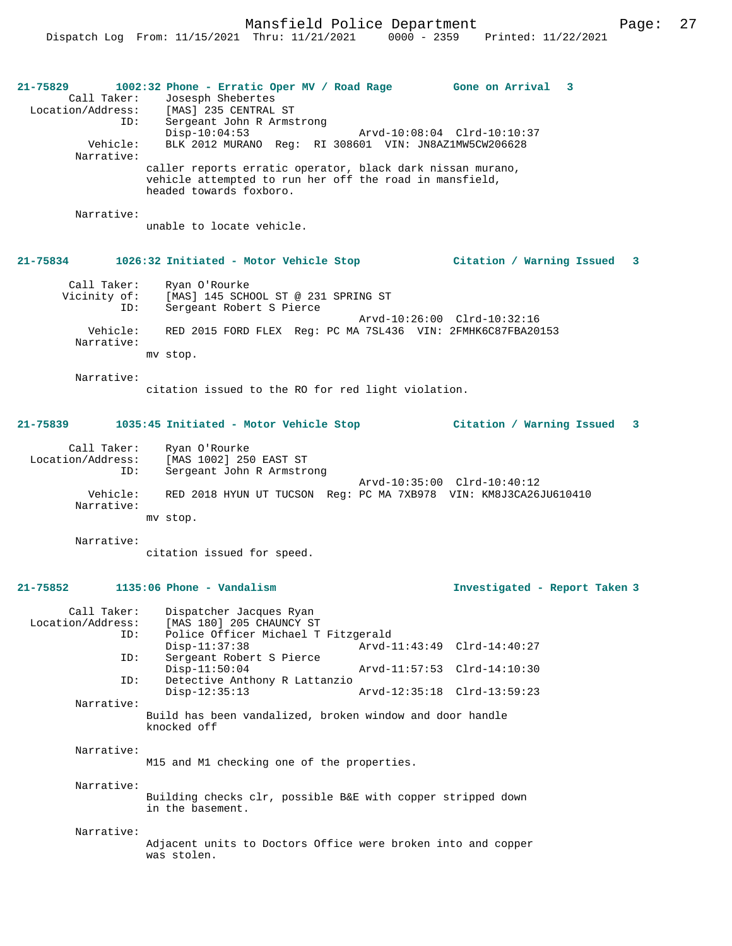Mansfield Police Department Page: 27

**21-75829 1002:32 Phone - Erratic Oper MV / Road Rage Gone on Arrival 3**  Call Taker: Josesph Shebertes<br>Location/Address: [MAS] 235 CENTRAL [MAS] 235 CENTRAL ST ID: Sergeant John R Armstrong Disp-10:04:53 Arvd-10:08:04 Clrd-10:10:37<br>Vehicle: BLK 2012 MURANO Req: RI 308601 VIN: JN8AZ1MW5CW206628 BLK 2012 MURANO Reg: RI 308601 VIN: JN8AZ1MW5CW206628 Narrative: caller reports erratic operator, black dark nissan murano, vehicle attempted to run her off the road in mansfield, headed towards foxboro. Narrative: unable to locate vehicle. **21-75834 1026:32 Initiated - Motor Vehicle Stop Citation / Warning Issued 3** Call Taker: Ryan O'Rourke<br>Vicinity of: [MAS] 145 SCH Vicinity of: [MAS] 145 SCHOOL ST @ 231 SPRING ST ID: Sergeant Robert S Pierce Arvd-10:26:00 Clrd-10:32:16<br>ID: Sergeant Robert S Pierce<br>Arvd-10:26:00 Clrd-10:32:16 Vehicle: RED 2015 FORD FLEX Reg: PC MA 7SL436 VIN: 2FMHK6C87FBA20153 Narrative: mv stop. Narrative: citation issued to the RO for red light violation. **21-75839 1035:45 Initiated - Motor Vehicle Stop Citation / Warning Issued 3** Call Taker: Ryan O'Rourke<br>ion/Address: [MAS 1002] 250 EAST ST Location/Address:<br>ID: Sergeant John R Armstrong Arvd-10:35:00 Clrd-10:40:12 Vehicle: RED 2018 HYUN UT TUCSON Reg: PC MA 7XB978 VIN: KM8J3CA26JU610410 Narrative: mv stop. Narrative: citation issued for speed. **21-75852 1135:06 Phone - Vandalism Investigated - Report Taken 3** Call Taker: Dispatcher Jacques Ryan Location/Address: [MAS 180] 205 CHAUNCY ST Police Officer Michael T Fitzgerald<br>Disp-11:37:38 Arvd-1 Disp-11:37:38 Arvd-11:43:49 Clrd-14:40:27<br>TD: Sergeant Robert S Pierce Sergeant Robert S Pierce<br>Disp-11:50:04 Disp-11:50:04 Arvd-11:57:53 Clrd-14:10:30 ID: Detective Anthony R Lattanzio Disp-12:35:13 Arvd-12:35:18 Clrd-13:59:23 Narrative: Build has been vandalized, broken window and door handle knocked off Narrative: M15 and M1 checking one of the properties. Narrative: Building checks clr, possible B&E with copper stripped down in the basement. Narrative: Adjacent units to Doctors Office were broken into and copper was stolen.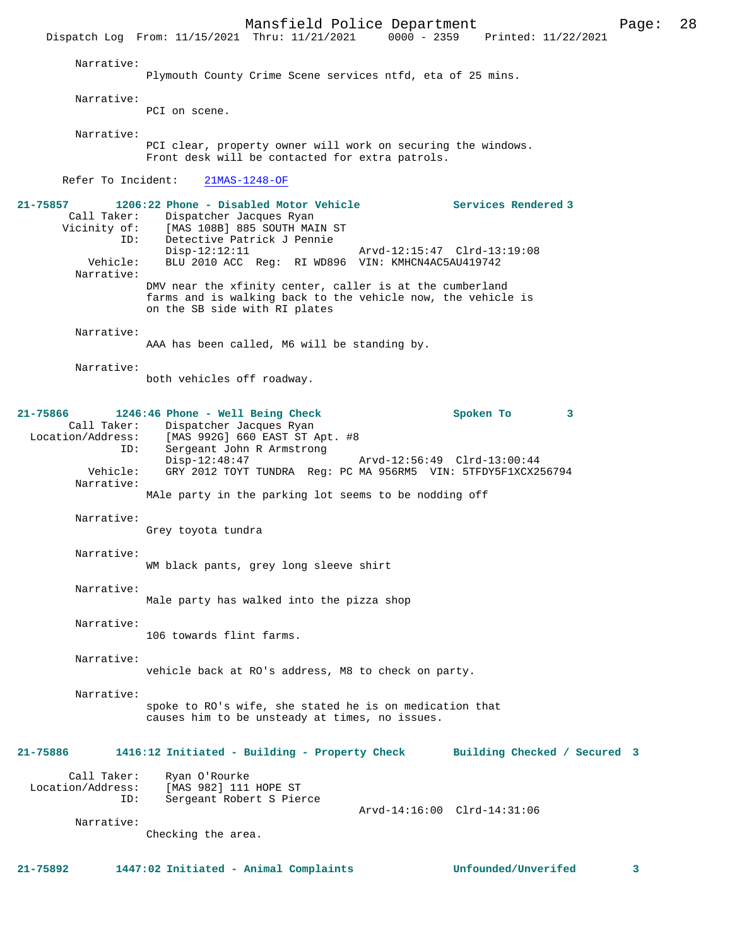Mansfield Police Department<br>Thru: 11/21/2021 0000 - 2359 Printed: 11/22/2021 Dispatch Log From: 11/15/2021 Thru: 11/21/2021 Narrative: Plymouth County Crime Scene services ntfd, eta of 25 mins. Narrative: PCI on scene. Narrative: PCI clear, property owner will work on securing the windows. Front desk will be contacted for extra patrols. Refer To Incident: 21MAS-1248-OF **21-75857 1206:22 Phone - Disabled Motor Vehicle Services Rendered 3**  Call Taker: Dispatcher Jacques Ryan<br>Vicinity of: [MAS 108B] 885 SOUTH MAJ of: [MAS 108B] 885 SOUTH MAIN ST<br>ID: Detective Patrick J Pennie Detective Patrick J Pennie<br>Disp-12:12:11 Disp-12:12:11 Arvd-12:15:47 Clrd-13:19:08<br>Vehicle: BLU 2010 ACC Reg: RI WD896 VIN: KMHCN4AC5AU419742 BLU 2010 ACC Reg: RI WD896 VIN: KMHCN4AC5AU419742 Narrative: DMV near the xfinity center, caller is at the cumberland farms and is walking back to the vehicle now, the vehicle is on the SB side with RI plates Narrative: AAA has been called, M6 will be standing by. Narrative: both vehicles off roadway. **21-75866 1246:46 Phone - Well Being Check Spoken To 3**  Call Taker: Dispatcher Jacques Ryan<br>Location/Address: [MAS 992G] 660 EAST ST *1* ess: [MAS 992G] 660 EAST ST Apt. #8<br>ID: Sergeant John R Armstrong Sergeant John R Armstrong<br>Disp-12:48:47 Disp-12:48:47 Arvd-12:56:49 Clrd-13:00:44<br>Vehicle: GRY 2012 TOYT TUNDRA Req: PC MA 956RM5 VIN: 5TFDY5F1XCX2 GRY 2012 TOYT TUNDRA Reg: PC MA 956RM5 VIN: 5TFDY5F1XCX256794 Narrative: MAle party in the parking lot seems to be nodding off Narrative: Grey toyota tundra Narrative: WM black pants, grey long sleeve shirt Narrative: Male party has walked into the pizza shop Narrative: 106 towards flint farms. Narrative: vehicle back at RO's address, M8 to check on party. Narrative: spoke to RO's wife, she stated he is on medication that causes him to be unsteady at times, no issues. **21-75886 1416:12 Initiated - Building - Property Check Building Checked / Secured 3** Call Taker: Ryan O'Rourke<br>Location/Address: [MAS 982] 111 ess: [MAS 982] 111 HOPE ST<br>ID: Sergeant Robert S Pie Sergeant Robert S Pierce Arvd-14:16:00 Clrd-14:31:06 Narrative: Checking the area.

**21-75892 1447:02 Initiated - Animal Complaints Unfounded/Unverifed 3**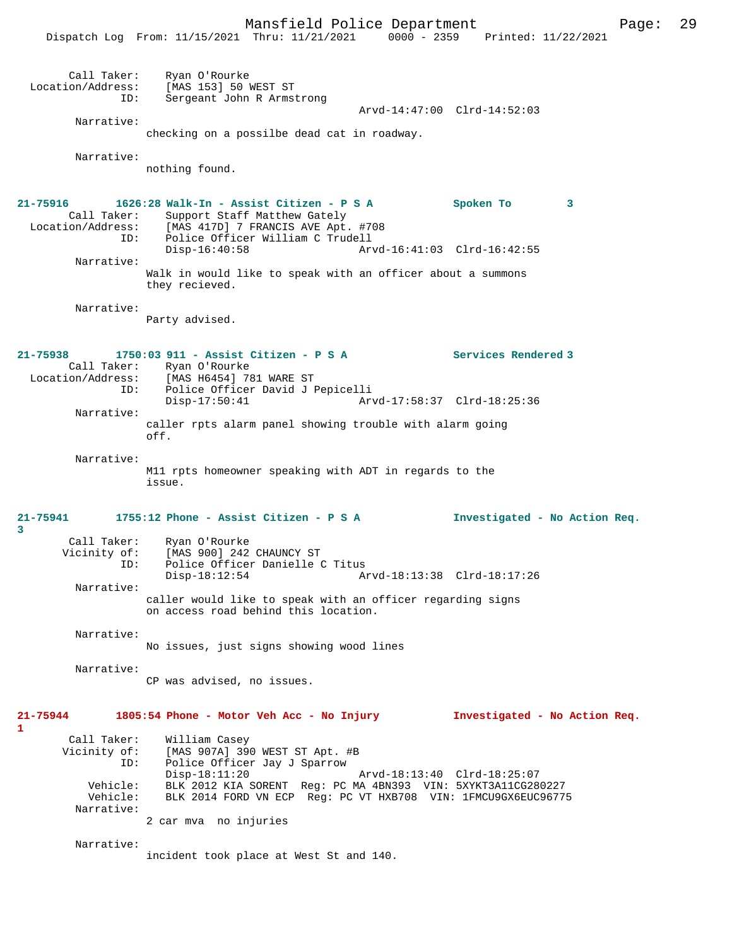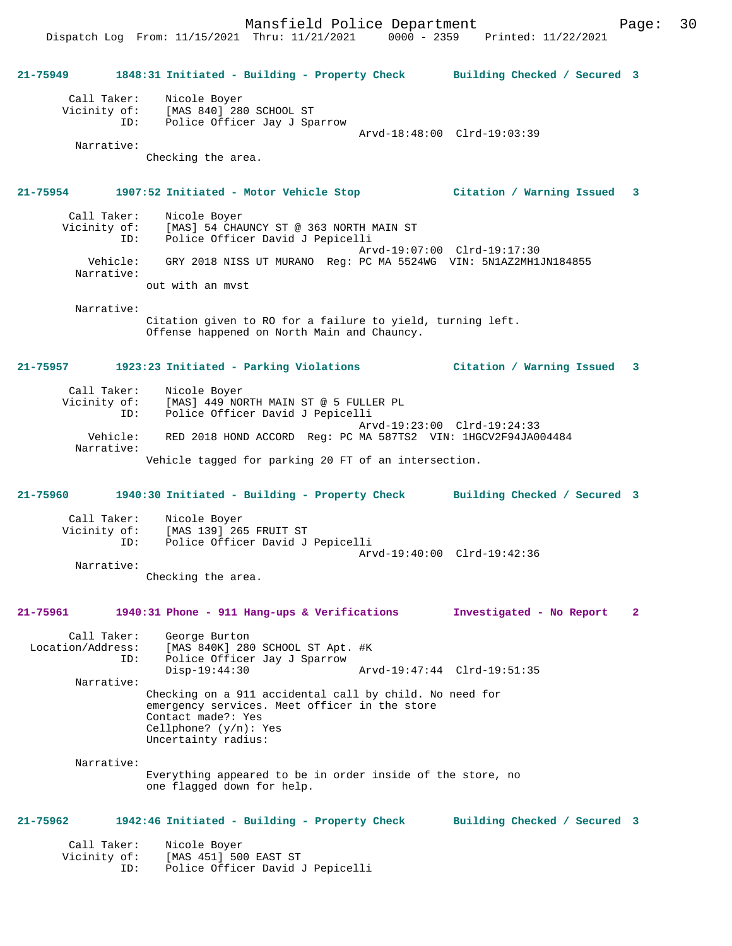**21-75949 1848:31 Initiated - Building - Property Check Building Checked / Secured 3** Call Taker: Nicole Boyer Vicinity of: [MAS 840] 280 SCHOOL ST

 ID: Police Officer Jay J Sparrow Arvd-18:48:00 Clrd-19:03:39

Narrative:

Checking the area.

#### **21-75954 1907:52 Initiated - Motor Vehicle Stop Citation / Warning Issued 3**

 Call Taker: Nicole Boyer Vicinity of: [MAS] 54 CHAUNCY ST @ 363 NORTH MAIN ST<br>ID: Police Officer David J Pepicelli Police Officer David J Pepicelli Arvd-19:07:00 Clrd-19:17:30 Vehicle: GRY 2018 NISS UT MURANO Reg: PC MA 5524WG VIN: 5N1AZ2MH1JN184855 Narrative: out with an mvst

Narrative:

Citation given to RO for a failure to yield, turning left. Offense happened on North Main and Chauncy.

### **21-75957 1923:23 Initiated - Parking Violations Citation / Warning Issued 3**

 Call Taker: Nicole Boyer Vicinity of: [MAS] 449 NORTH MAIN ST @ 5 FULLER PL ID: Police Officer David J Pepicelli Arvd-19:23:00 Clrd-19:24:33 Vehicle: RED 2018 HOND ACCORD Reg: PC MA 587TS2 VIN: 1HGCV2F94JA004484 Narrative: Vehicle tagged for parking 20 FT of an intersection.

**21-75960 1940:30 Initiated - Building - Property Check Building Checked / Secured 3**

| Call Taker:<br>Vicinity of:<br>ID: | Nicole Boyer<br>[MAS 139] 265 FRUIT ST<br>Police Officer David J Pepicelli |  |
|------------------------------------|----------------------------------------------------------------------------|--|
|                                    | Arvd-19:40:00 Clrd-19:42:36                                                |  |
| Narrative:                         |                                                                            |  |

Checking the area.

## **21-75961 1940:31 Phone - 911 Hang-ups & Verifications Investigated - No Report 2**

Call Taker: George Burton<br>Location/Address: [MAS 840K] 280 [MAS 840K] 280 SCHOOL ST Apt. #K ID: Police Officer Jay J Sparrow Disp-19:44:30 Arvd-19:47:44 Clrd-19:51:35 Narrative: Checking on a 911 accidental call by child. No need for emergency services. Meet officer in the store Contact made?: Yes Cellphone? (y/n): Yes Uncertainty radius:

 Narrative: Everything appeared to be in order inside of the store, no one flagged down for help.

#### **21-75962 1942:46 Initiated - Building - Property Check Building Checked / Secured 3**

| Call Taker:  | Nicole Boyer                     |
|--------------|----------------------------------|
| Vicinity of: | [MAS 451] 500 EAST ST            |
| TD:          | Police Officer David J Pepicelli |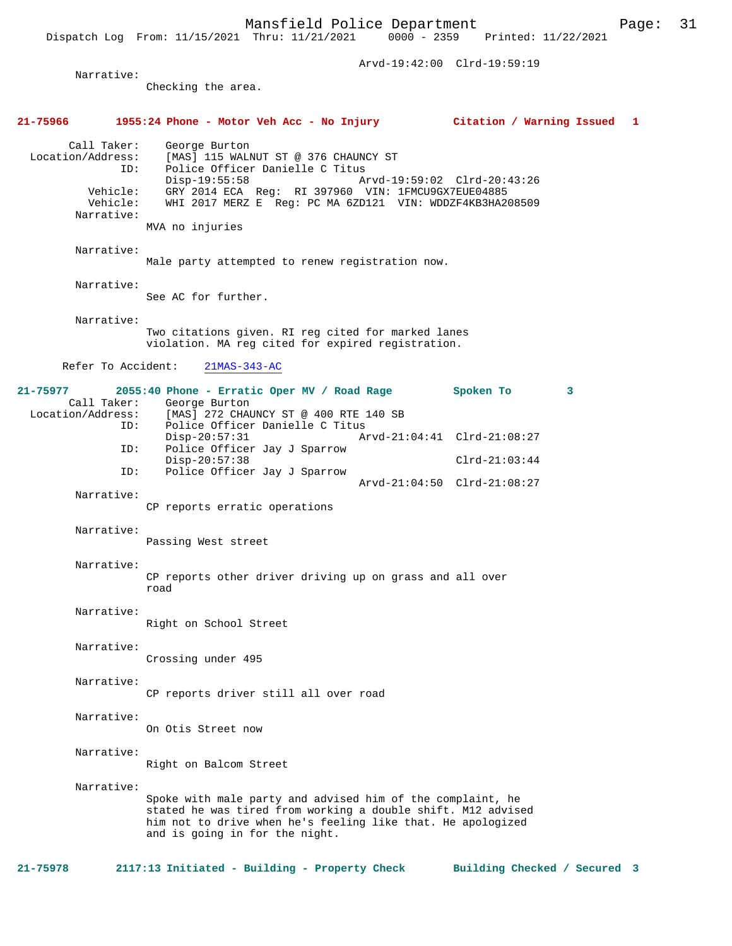|                                                                               | Arvd-19:42:00 Clrd-19:59:19                                                                                                                                                                                                                                                                                                                                                                    |                 |  |   |  |
|-------------------------------------------------------------------------------|------------------------------------------------------------------------------------------------------------------------------------------------------------------------------------------------------------------------------------------------------------------------------------------------------------------------------------------------------------------------------------------------|-----------------|--|---|--|
| Narrative:                                                                    | Checking the area.                                                                                                                                                                                                                                                                                                                                                                             |                 |  |   |  |
|                                                                               | 21-75966    1955:24 Phone - Motor Veh Acc - No Injury       Citation / Warning Issued  1                                                                                                                                                                                                                                                                                                       |                 |  |   |  |
| Call Taker:<br>Location/Address:<br>ID:<br>Vehicle:<br>Vehicle:<br>Narrative: | George Burton<br>[MAS] 115 WALNUT ST @ 376 CHAUNCY ST<br>Police Officer Danielle C Titus<br>$Disp-19:55:58$<br>Arvd-19:59:02 Clrd-20:43:26<br>GRY 2014 ECA Reg: RI 397960 VIN: 1FMCU9GX7EUE04885<br>WHI 2017 MERZ E Reg: PC MA 6ZD121 VIN: WDDZF4KB3HA208509<br>MVA no injuries                                                                                                                |                 |  |   |  |
| Narrative:                                                                    | Male party attempted to renew registration now.                                                                                                                                                                                                                                                                                                                                                |                 |  |   |  |
| Narrative:                                                                    | See AC for further.                                                                                                                                                                                                                                                                                                                                                                            |                 |  |   |  |
| Narrative:                                                                    | Two citations given. RI reg cited for marked lanes<br>violation. MA reg cited for expired registration.                                                                                                                                                                                                                                                                                        |                 |  |   |  |
| Refer To Accident:                                                            | $21MAS-343-AC$                                                                                                                                                                                                                                                                                                                                                                                 |                 |  |   |  |
| ID:<br>ID:<br>ID:<br>Narrative:                                               | 21-75977 2055:40 Phone - Erratic Oper MV / Road Rage Spoken To<br>Call Taker: George Burton<br>Location/Address: [MAS] 272 CHAUNCY ST @ 400 RTE 140 SB<br>Police Officer Danielle C Titus<br>$Disp-20:57:31$<br>Arvd-21:04:41 Clrd-21:08:27<br>Police Officer Jay J Sparrow<br>$Disp-20:57:38$<br>Police Officer Jay J Sparrow<br>Arvd-21:04:50 Clrd-21:08:27<br>CP reports erratic operations | $Clrd-21:03:44$ |  | 3 |  |
| Narrative:                                                                    | Passing West street                                                                                                                                                                                                                                                                                                                                                                            |                 |  |   |  |
| Narrative:                                                                    | CP reports other driver driving up on grass and all over<br>road                                                                                                                                                                                                                                                                                                                               |                 |  |   |  |
| Narrative:                                                                    | Right on School Street                                                                                                                                                                                                                                                                                                                                                                         |                 |  |   |  |
| Narrative:                                                                    | Crossing under 495                                                                                                                                                                                                                                                                                                                                                                             |                 |  |   |  |
| Narrative:                                                                    | CP reports driver still all over road                                                                                                                                                                                                                                                                                                                                                          |                 |  |   |  |
| Narrative:                                                                    | On Otis Street now                                                                                                                                                                                                                                                                                                                                                                             |                 |  |   |  |
| Narrative:                                                                    | Right on Balcom Street                                                                                                                                                                                                                                                                                                                                                                         |                 |  |   |  |
| Narrative:                                                                    | Spoke with male party and advised him of the complaint, he<br>stated he was tired from working a double shift. M12 advised<br>him not to drive when he's feeling like that. He apologized<br>and is going in for the night.                                                                                                                                                                    |                 |  |   |  |

**21-75978 2117:13 Initiated - Building - Property Check Building Checked / Secured 3**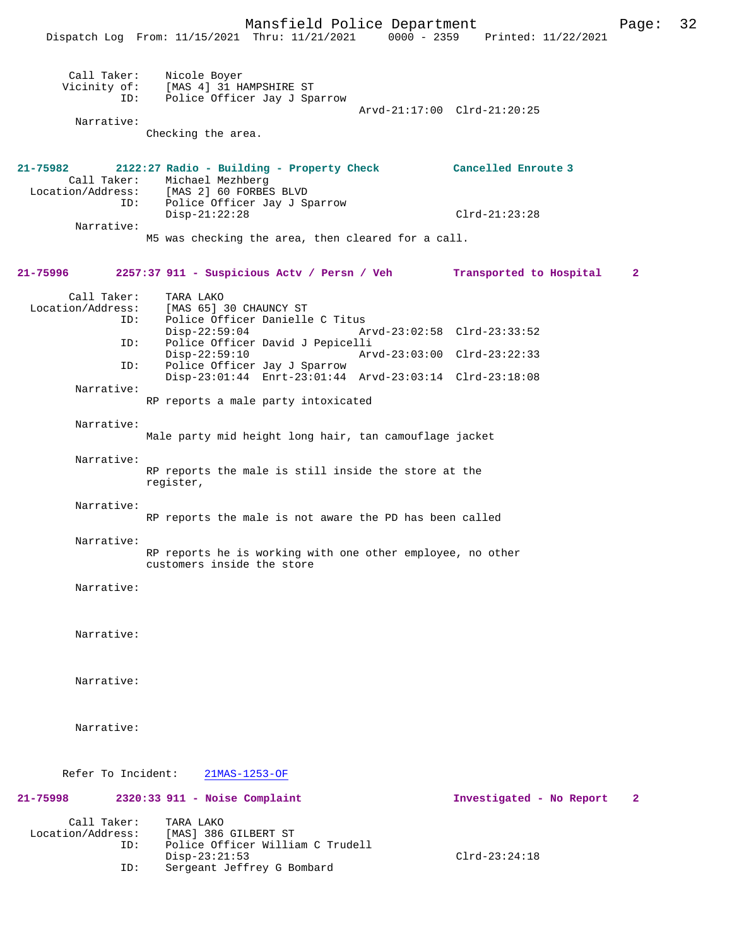Mansfield Police Department Page: 32

|                                         | $100110 + 1010$ $10100$ $1000$ $1000$<br>Dispatch Log From: 11/15/2021 Thru: 11/21/2021 0000 - 2359 Printed: 11/22/2021                   |                             |                          |              |
|-----------------------------------------|-------------------------------------------------------------------------------------------------------------------------------------------|-----------------------------|--------------------------|--------------|
| ID:                                     | Call Taker: Nicole Boyer<br>Vicinity of: [MAS 4] 31 HAMPSHIRE ST<br>Police Officer Jay J Sparrow                                          |                             |                          |              |
|                                         |                                                                                                                                           | Arvd-21:17:00 Clrd-21:20:25 |                          |              |
| Narrative:                              | Checking the area.                                                                                                                        |                             |                          |              |
| 21-75982                                | 2122:27 Radio - Building - Property Check Cancelled Enroute 3<br>Call Taker: Michael Mezhberg<br>Location/Address: [MAS 2] 60 FORBES BLVD |                             |                          |              |
| ID:                                     | Police Officer Jay J Sparrow<br>$Disp-21:22:28$                                                                                           |                             | $Clrd-21:23:28$          |              |
| Narrative:                              | M5 was checking the area, then cleared for a call.                                                                                        |                             |                          |              |
| 21-75996                                | 2257:37 911 - Suspicious Actv / Persn / Veh Transported to Hospital                                                                       |                             |                          | $\mathbf{2}$ |
| Call Taker:                             | TARA LAKO                                                                                                                                 |                             |                          |              |
| Location/Address:<br>ID:                | [MAS 65] 30 CHAUNCY ST<br>Police Officer Danielle C Titus<br>$Disp-22:59:04$                                                              | Arvd-23:02:58 Clrd-23:33:52 |                          |              |
| ID:                                     | Police Officer David J Pepicelli                                                                                                          |                             |                          |              |
| ID:                                     | $Disp-22:59:10$<br>Police Officer Jay J Sparrow                                                                                           | Arvd-23:03:00 Clrd-23:22:33 |                          |              |
| Narrative:                              | Disp-23:01:44 Enrt-23:01:44 Arvd-23:03:14 Clrd-23:18:08                                                                                   |                             |                          |              |
|                                         | RP reports a male party intoxicated                                                                                                       |                             |                          |              |
| Narrative:                              | Male party mid height long hair, tan camouflage jacket                                                                                    |                             |                          |              |
| Narrative:                              | RP reports the male is still inside the store at the<br>register,                                                                         |                             |                          |              |
| Narrative:                              | RP reports the male is not aware the PD has been called                                                                                   |                             |                          |              |
| Narrative:                              |                                                                                                                                           |                             |                          |              |
|                                         | RP reports he is working with one other employee, no other<br>customers inside the store                                                  |                             |                          |              |
| Narrative:                              |                                                                                                                                           |                             |                          |              |
| Narrative:                              |                                                                                                                                           |                             |                          |              |
| Narrative:                              |                                                                                                                                           |                             |                          |              |
| Narrative:                              |                                                                                                                                           |                             |                          |              |
| Refer To Incident:                      | 21MAS-1253-OF                                                                                                                             |                             |                          |              |
| 21-75998                                | $2320:33$ 911 - Noise Complaint                                                                                                           |                             | Investigated - No Report | 2            |
| Call Taker:<br>Location/Address:<br>ID: | TARA LAKO<br>[MAS] 386 GILBERT ST<br>Police Officer William C Trudell<br>$Disp-23:21:53$                                                  |                             | $Clrd-23:24:18$          |              |
| ID:                                     | Sergeant Jeffrey G Bombard                                                                                                                |                             |                          |              |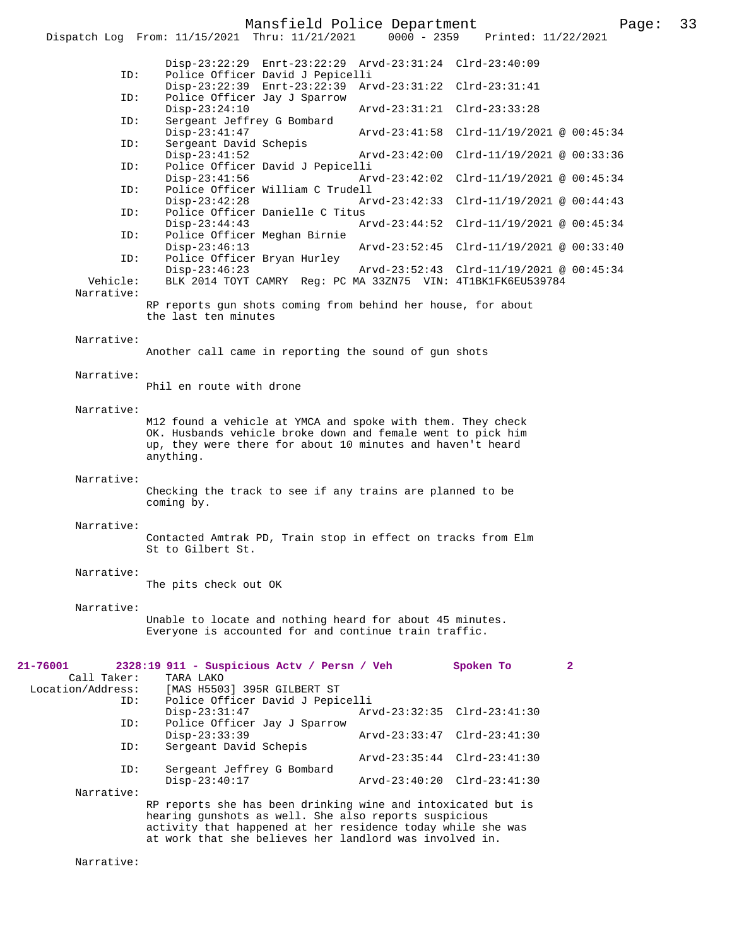# Mansfield Police Department Fage: 33

|                          | ==== ===== = ----<br>0000 - 2359 Printed: 11/22/2021<br>Dispatch Log From: 11/15/2021 Thru: 11/21/2021                                                                                                                                          |
|--------------------------|-------------------------------------------------------------------------------------------------------------------------------------------------------------------------------------------------------------------------------------------------|
|                          | Disp-23:22:29 Enrt-23:22:29 Arvd-23:31:24 Clrd-23:40:09                                                                                                                                                                                         |
| ID:                      | Police Officer David J Pepicelli<br>Disp-23:22:39 Enrt-23:22:39 Arvd-23:31:22 Clrd-23:31:41                                                                                                                                                     |
| ID:                      | Police Officer Jay J Sparrow<br>$Disp-23:24:10$<br>Arvd-23:31:21 Clrd-23:33:28                                                                                                                                                                  |
| ID:                      | Sergeant Jeffrey G Bombard<br>$Disp-23:41:47$<br>Arvd-23:41:58 Clrd-11/19/2021 @ 00:45:34                                                                                                                                                       |
| ID:                      | Sergeant David Schepis<br>$Disp-23:41:52$<br>Arvd-23:42:00 Clrd-11/19/2021 @ 00:33:36                                                                                                                                                           |
| ID:                      | Police Officer David J Pepicelli<br>$Disp-23:41:56$<br>Arvd-23:42:02 Clrd-11/19/2021 @ 00:45:34                                                                                                                                                 |
| ID:                      | Police Officer William C Trudell                                                                                                                                                                                                                |
| ID:                      | $Disp-23:42:28$<br>Arvd-23:42:33 Clrd-11/19/2021 @ 00:44:43<br>Police Officer Danielle C Titus                                                                                                                                                  |
| ID:                      | $Disp-23:44:43$<br>Arvd-23:44:52 Clrd-11/19/2021 @ 00:45:34<br>Police Officer Meghan Birnie                                                                                                                                                     |
| ID:                      | $Disp-23:46:13$<br>Arvd-23:52:45 Clrd-11/19/2021 @ 00:33:40<br>Police Officer Bryan Hurley                                                                                                                                                      |
| Vehicle:                 | $Disp-23:46:23$<br>Arvd-23:52:43 Clrd-11/19/2021 @ 00:45:34<br>BLK 2014 TOYT CAMRY Reg: PC MA 33ZN75 VIN: 4T1BK1FK6EU539784                                                                                                                     |
| Narrative:               |                                                                                                                                                                                                                                                 |
|                          | RP reports gun shots coming from behind her house, for about<br>the last ten minutes                                                                                                                                                            |
| Narrative:               |                                                                                                                                                                                                                                                 |
|                          | Another call came in reporting the sound of gun shots                                                                                                                                                                                           |
| Narrative:               | Phil en route with drone                                                                                                                                                                                                                        |
|                          |                                                                                                                                                                                                                                                 |
| Narrative:               | M12 found a vehicle at YMCA and spoke with them. They check                                                                                                                                                                                     |
|                          | OK. Husbands vehicle broke down and female went to pick him<br>up, they were there for about 10 minutes and haven't heard<br>anything.                                                                                                          |
| Narrative:               | Checking the track to see if any trains are planned to be<br>coming by.                                                                                                                                                                         |
| Narrative:               |                                                                                                                                                                                                                                                 |
|                          | Contacted Amtrak PD, Train stop in effect on tracks from Elm<br>St to Gilbert St.                                                                                                                                                               |
| Narrative:               |                                                                                                                                                                                                                                                 |
|                          | The pits check out OK                                                                                                                                                                                                                           |
| Narrative:               | Unable to locate and nothing heard for about 45 minutes.                                                                                                                                                                                        |
|                          | Everyone is accounted for and continue train traffic.                                                                                                                                                                                           |
| 21-76001<br>Call Taker:  | $\overline{a}$<br>2328:19 911 - Suspicious Actv / Persn / Veh<br>Spoken To<br>TARA LAKO                                                                                                                                                         |
| Location/Address:<br>ID: | [MAS H5503] 395R GILBERT ST<br>Police Officer David J Pepicelli                                                                                                                                                                                 |
| ID:                      | $Disp-23:31:47$<br>Arvd-23:32:35 Clrd-23:41:30<br>Police Officer Jay J Sparrow                                                                                                                                                                  |
| ID:                      | $Disp-23:33:39$<br>Arvd-23:33:47 Clrd-23:41:30<br>Sergeant David Schepis                                                                                                                                                                        |
| ID:                      | Arvd-23:35:44 Clrd-23:41:30<br>Sergeant Jeffrey G Bombard                                                                                                                                                                                       |
|                          | $Disp-23:40:17$<br>Arvd-23:40:20 Clrd-23:41:30                                                                                                                                                                                                  |
| Narrative:               | RP reports she has been drinking wine and intoxicated but is<br>hearing qunshots as well. She also reports suspicious<br>activity that happened at her residence today while she was<br>at work that she believes her landlord was involved in. |

Narrative: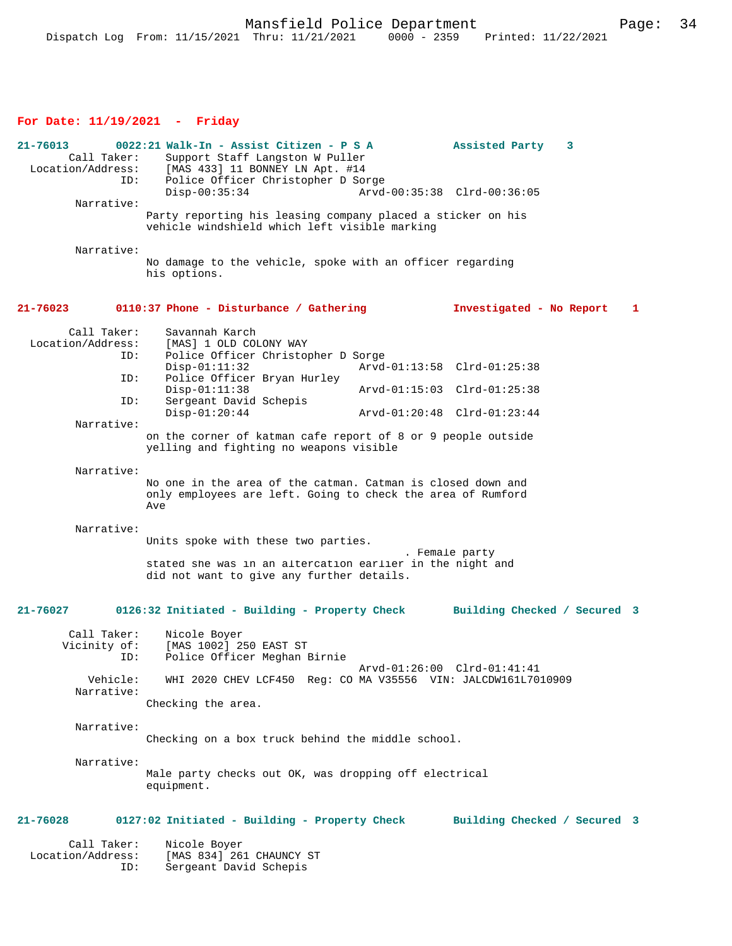### **For Date: 11/19/2021 - Friday**

**21-76013 0022:21 Walk-In - Assist Citizen - P S A Assisted Party 3**  Call Taker: Support Staff Langston W Puller<br>Location/Address: [MAS 433] 11 BONNEY LN Apt. #14 ess: [MAS 433] 11 BONNEY LN Apt. #14<br>ID: Police Officer Christopher D Som Police Officer Christopher D Sorge<br>Disp-00:35:34 Arvd Disp-00:35:34 Arvd-00:35:38 Clrd-00:36:05 Narrative: Party reporting his leasing company placed a sticker on his vehicle windshield which left visible marking Narrative: No damage to the vehicle, spoke with an officer regarding his options. **21-76023 0110:37 Phone - Disturbance / Gathering Investigated - No Report 1** Call Taker: Savannah Karch<br>Location/Address: [MAS] 1 OLD CO [MAS] 1 OLD COLONY WAY ID: Police Officer Christopher D Sorge Disp-01:11:32 Arvd-01:13:58 Clrd-01:25:38<br>ID: Police Officer Brvan Hurley Police Officer Bryan Hurley<br>Disp-01:11:38 Disp-01:11:38 Arvd-01:15:03 Clrd-01:25:38<br>TD: Sergeant David Schepis Sergeant David Schepis<br>Disp-01:20:44 Disp-01:20:44 Arvd-01:20:48 Clrd-01:23:44 Narrative: on the corner of katman cafe report of 8 or 9 people outside yelling and fighting no weapons visible Narrative: No one in the area of the catman. Catman is closed down and only employees are left. Going to check the area of Rumford Ave Narrative: Units spoke with these two parties. . Female party stated she was in an altercation earlier in the night and did not want to give any further details. **21-76027 0126:32 Initiated - Building - Property Check Building Checked / Secured 3** Call Taker: Nicole Boyer<br>Vicinity of: [MAS 1002] 2 [MAS 1002] 250 EAST ST ID: Police Officer Meghan Birnie Arvd-01:26:00 Clrd-01:41:41 Vehicle: WHI 2020 CHEV LCF450 Reg: CO MA V35556 VIN: JALCDW161L7010909 Narrative: Checking the area. Narrative: Checking on a box truck behind the middle school. Narrative: Male party checks out OK, was dropping off electrical equipment. **21-76028 0127:02 Initiated - Building - Property Check Building Checked / Secured 3** Call Taker: Nicole Boyer Location/Address: [MAS 834] 261 CHAUNCY ST Sergeant David Schepis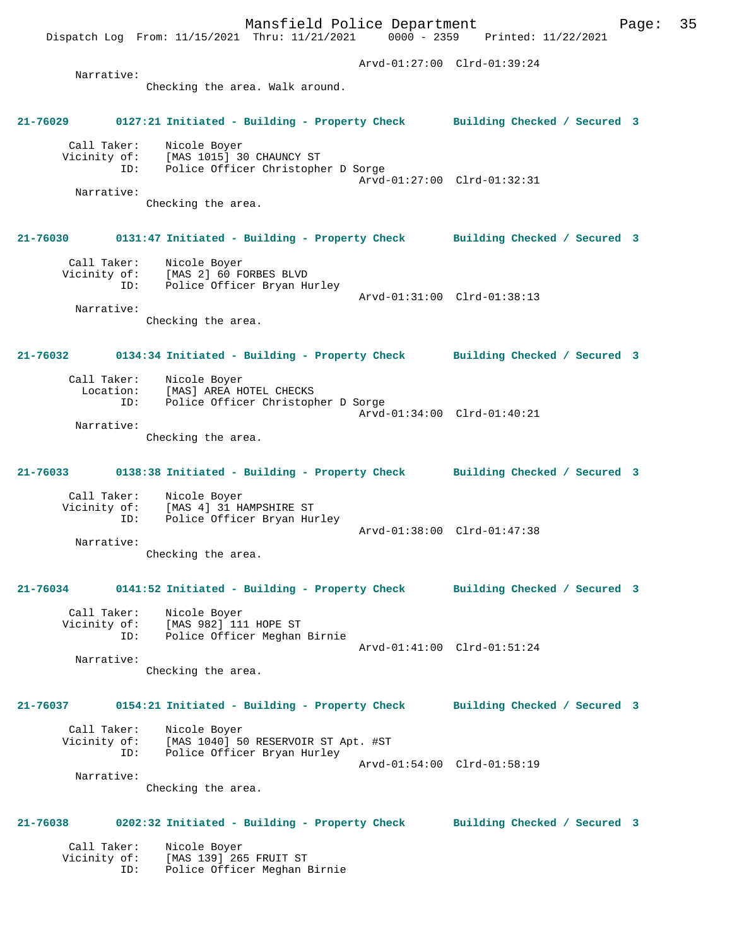Dispatch Log From: 11/15/2021 Thru: 11/21/2021 0000 - 2359 Printed: 11/22/2021 Arvd-01:27:00 Clrd-01:39:24 Narrative: Checking the area. Walk around. **21-76029 0127:21 Initiated - Building - Property Check Building Checked / Secured 3** Call Taker: Nicole Boyer Vicinity of: [MAS 1015] 30 CHAUNCY ST ID: Police Officer Christopher D Sorge Arvd-01:27:00 Clrd-01:32:31 Narrative: Checking the area. **21-76030 0131:47 Initiated - Building - Property Check Building Checked / Secured 3** Call Taker: Nicole Boyer Vicinity of: [MAS 2] 60 FORBES BLVD ID: Police Officer Bryan Hurley Arvd-01:31:00 Clrd-01:38:13 Narrative: Checking the area. **21-76032 0134:34 Initiated - Building - Property Check Building Checked / Secured 3** Call Taker: Nicole Boyer<br>Location: [MAS] AREA HO [MAS] AREA HOTEL CHECKS ID: Police Officer Christopher D Sorge Arvd-01:34:00 Clrd-01:40:21 Narrative: Checking the area. **21-76033 0138:38 Initiated - Building - Property Check Building Checked / Secured 3** Call Taker: Nicole Boyer Vicinity of: [MAS 4] 31 HAMPSHIRE ST ID: Police Officer Bryan Hurley Arvd-01:38:00 Clrd-01:47:38 Narrative: Checking the area. **21-76034 0141:52 Initiated - Building - Property Check Building Checked / Secured 3** Call Taker: Nicole Boyer<br>Vicinity of: [MAS 982] 111 Vicinity of: [MAS 982] 111 HOPE ST ID: Police Officer Meghan Birnie Arvd-01:41:00 Clrd-01:51:24 Narrative: Checking the area. **21-76037 0154:21 Initiated - Building - Property Check Building Checked / Secured 3** Call Taker: Nicole Boyer Vicinity of: [MAS 1040] 50 RESERVOIR ST Apt. #ST ID: Police Officer Bryan Hurley Arvd-01:54:00 Clrd-01:58:19 Narrative: Checking the area. **21-76038 0202:32 Initiated - Building - Property Check Building Checked / Secured 3** Call Taker: Nicole Boyer<br>Vicinity of: [MAS 139] 26! of: [MAS 139] 265 FRUIT ST<br>ID: Police Officer Meghan I Police Officer Meghan Birnie

Mansfield Police Department Fage: 35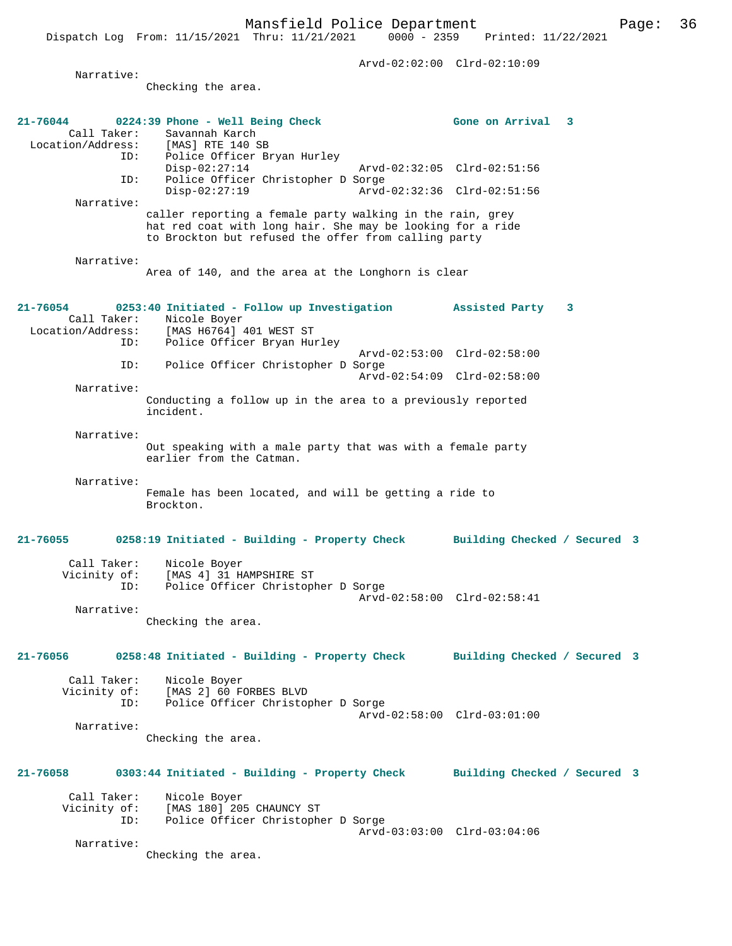Dispatch Log From: 11/15/2021 Thru: 11/21/2021 Arvd-02:02:00 Clrd-02:10:09 Narrative: Checking the area. **21-76044 0224:39 Phone - Well Being Check Gone on Arrival 3**  Call Taker: Savannah Karch<br>Location/Address: [MAS] RTE 140 S Location/Address: [MAS] RTE 140 SB ID: Police Officer Bryan Hurley Disp-02:27:14 Arvd-02:32:05 Clrd-02:51:56 ID: Police Officer Christopher D Sorge Disp-02:27:19 Arvd-02:32:36 Clrd-02:51:56 Narrative: caller reporting a female party walking in the rain, grey hat red coat with long hair. She may be looking for a ride to Brockton but refused the offer from calling party Narrative: Area of 140, and the area at the Longhorn is clear **21-76054 0253:40 Initiated - Follow up Investigation Assisted Party 3**  Call Taker: Nicole Boyer<br>Location/Address: [MAS H6764] ess: [MAS H6764] 401 WEST ST<br>ID: Police Officer Bryan Hu Police Officer Bryan Hurley Arvd-02:53:00 Clrd-02:58:00 ID: Police Officer Christopher D Sorge Arvd-02:54:09 Clrd-02:58:00 Narrative: Conducting a follow up in the area to a previously reported incident. Narrative: Out speaking with a male party that was with a female party earlier from the Catman. Narrative: Female has been located, and will be getting a ride to Brockton. **21-76055 0258:19 Initiated - Building - Property Check Building Checked / Secured 3** Call Taker: Nicole Boyer Vicinity of: [MAS 4] 31 HAMPSHIRE ST<br>ID: Police Officer Christoph Police Officer Christopher D Sorge Arvd-02:58:00 Clrd-02:58:41 Narrative: Checking the area. **21-76056 0258:48 Initiated - Building - Property Check Building Checked / Secured 3** Call Taker: Nicole Boyer<br>Vicinity of: [MAS 2] 60 F of: [MAS 2] 60 FORBES BLVD<br>TD: Police Officer Christop Police Officer Christopher D Sorge Arvd-02:58:00 Clrd-03:01:00 Narrative: Checking the area. **21-76058 0303:44 Initiated - Building - Property Check Building Checked / Secured 3** Call Taker: Nicole Boyer<br>Vicinity of: [MAS 180] 20! of: [MAS 180] 205 CHAUNCY ST<br>ID: Police Officer Christophe Police Officer Christopher D Sorge Arvd-03:03:00 Clrd-03:04:06 Narrative: Checking the area.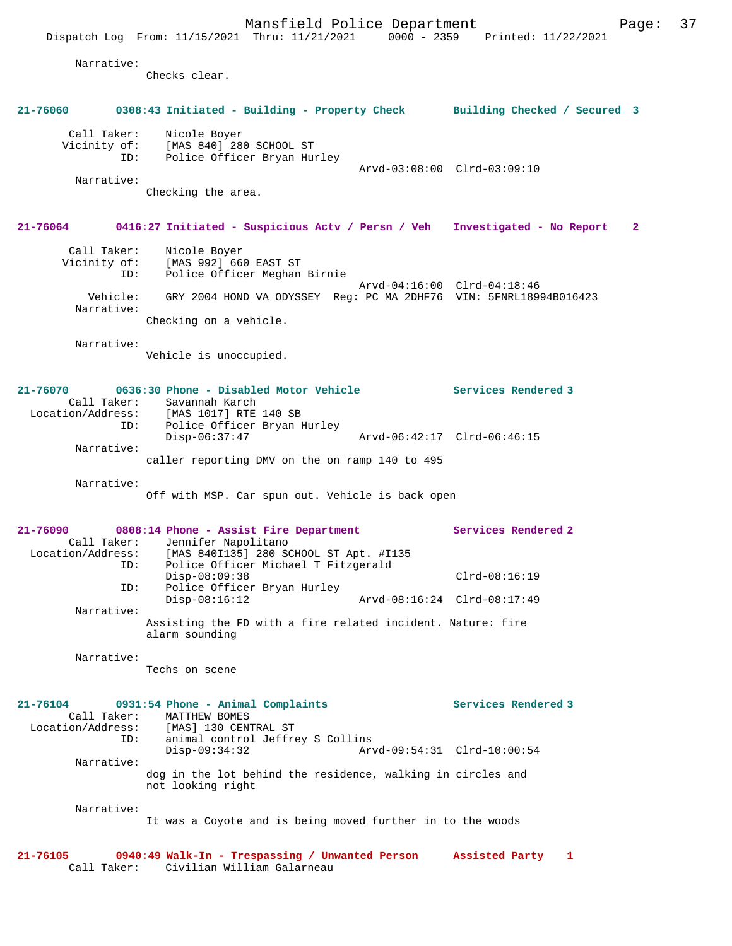Mansfield Police Department Fage: 37 Dispatch Log From: 11/15/2021 Thru: 11/21/2021 0000 - 2359 Printed: 11/22/2021 Narrative: Checks clear.

# **21-76060 0308:43 Initiated - Building - Property Check Building Checked / Secured 3** Call Taker: Nicole Boyer Vicinity of: [MAS 840] 280 SCHOOL ST ID: Police Officer Bryan Hurley Arvd-03:08:00 Clrd-03:09:10 Narrative: Checking the area. **21-76064 0416:27 Initiated - Suspicious Actv / Persn / Veh Investigated - No Report 2** Call Taker: Nicole Boyer Vicinity of: [MAS 992] 660 EAST ST ID: Police Officer Meghan Birnie Arvd-04:16:00 Clrd-04:18:46 Vehicle: GRY 2004 HOND VA ODYSSEY Reg: PC MA 2DHF76 VIN: 5FNRL18994B016423 Narrative: Checking on a vehicle. Narrative: Vehicle is unoccupied. **21-76070 0636:30 Phone - Disabled Motor Vehicle Services Rendered 3**  Call Taker: Savannah Karch<br>ion/Address: [MAS 1017] RTE 140 SB Location/Address: ID: Police Officer Bryan Hurley Disp-06:37:47 Arvd-06:42:17 Clrd-06:46:15 Narrative: caller reporting DMV on the on ramp 140 to 495 Narrative: Off with MSP. Car spun out. Vehicle is back open **21-76090 0808:14 Phone - Assist Fire Department Services Rendered 2**  Call Taker: Jennifer Napolitano<br>Location/Address: [MAS 840I135] 280 S [MAS 840I135] 280 SCHOOL ST Apt. #I135 ID: Police Officer Michael T Fitzgerald Disp-08:09:38 Clrd-08:16:19<br>TD: Police Officer Brvan Hurley Police Officer Bryan Hurley<br>Disp-08:16:12 Disp-08:16:12 Arvd-08:16:24 Clrd-08:17:49 Narrative: Assisting the FD with a fire related incident. Nature: fire alarm sounding Narrative: Techs on scene **21-76104 0931:54 Phone - Animal Complaints Services Rendered 3**  Call Taker: MATTHEW BOMES<br>Location/Address: [MAS] 130 CENT ess: [MAS] 130 CENTRAL ST<br>ID: animal control Jeffre animal control Jeffrey S Collins<br>Disp-09:34:32 Ary Disp-09:34:32 Arvd-09:54:31 Clrd-10:00:54

Narrative:

dog in the lot behind the residence, walking in circles and not looking right

Narrative:

It was a Coyote and is being moved further in to the woods

**21-76105 0940:49 Walk-In - Trespassing / Unwanted Person Assisted Party 1**  Call Taker: Civilian William Galarneau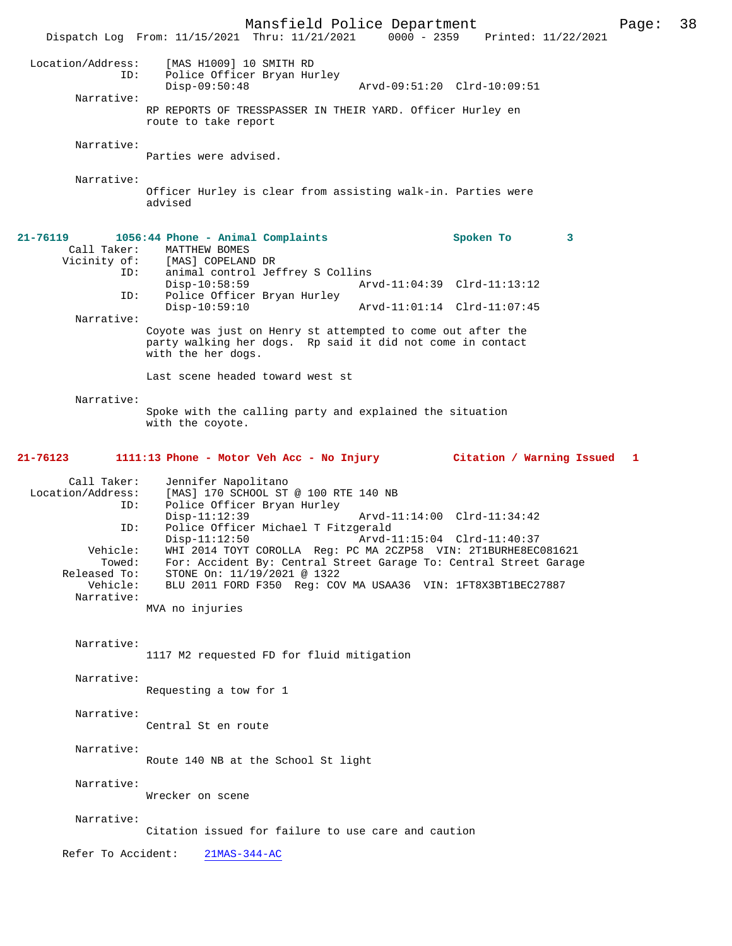Mansfield Police Department Page: 38 Dispatch Log From: 11/15/2021 Thru: 11/21/2021 Location/Address: [MAS H1009] 10 SMITH RD ID: Police Officer Bryan Hurley<br>Disp-09:50:48 Disp-09:50:48 Arvd-09:51:20 Clrd-10:09:51 Narrative: RP REPORTS OF TRESSPASSER IN THEIR YARD. Officer Hurley en route to take report Narrative: Parties were advised. Narrative: Officer Hurley is clear from assisting walk-in. Parties were advised **21-76119 1056:44 Phone - Animal Complaints Spoken To 3**  Call Taker: MATTHEW BOMES Vicinity of: [MAS] COPELAND DR ID: animal control Jeffrey S Collins Disp-10:58:59 Arvd-11:04:39 Clrd-11:13:12<br>ID: Police Officer Bryan Hurley Police Officer Bryan Hurley<br>Disp-10:59:10 Arvd-11:01:14 Clrd-11:07:45 Narrative: Coyote was just on Henry st attempted to come out after the party walking her dogs. Rp said it did not come in contact with the her dogs. Last scene headed toward west st Narrative: Spoke with the calling party and explained the situation with the coyote. **21-76123 1111:13 Phone - Motor Veh Acc - No Injury Citation / Warning Issued 1** Call Taker: Jennifer Napolitano Location/Address: [MAS] 170 SCHOOL ST @ 100 RTE 140 NB<br>ID: Police Officer Bryan Hurley Police Officer Bryan Hurley Disp-11:12:39 Arvd-11:14:00 Clrd-11:34:42<br>TD: Police Officer Michael T Fitzgerald Police Officer Michael T Fitzgerald<br>Disp-11:12:50 Arvd-1 Arvd-11:15:04 Clrd-11:40:37 Vehicle: WHI 2014 TOYT COROLLA Reg: PC MA 2CZP58 VIN: 2T1BURHE8EC081621 Towed: For: Accident By: Central Street Garage To: Central Street Garage<br>Released To: STONE On: 11/19/2021 @ 1322 eased To: STONE On: 11/19/2021 @ 1322<br>Vehicle: BLU 2011 FORD F350 Req: CO BLU 2011 FORD F350 Reg: COV MA USAA36 VIN: 1FT8X3BT1BEC27887 Narrative: MVA no injuries Narrative: 1117 M2 requested FD for fluid mitigation Narrative: Requesting a tow for 1 Narrative: Central St en route Narrative: Route 140 NB at the School St light Narrative: Wrecker on scene Narrative: Citation issued for failure to use care and caution Refer To Accident: 21MAS-344-AC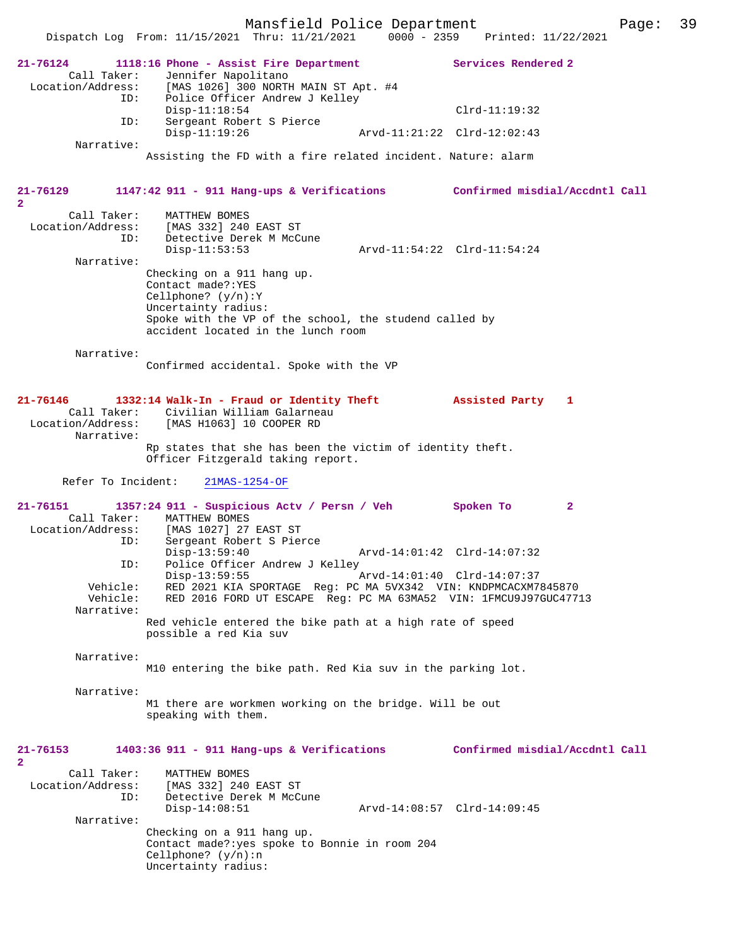|                                                         | Mansfield Police Department                                                                                                                                                                                                               |                             |                                 | Page: | 39 |
|---------------------------------------------------------|-------------------------------------------------------------------------------------------------------------------------------------------------------------------------------------------------------------------------------------------|-----------------------------|---------------------------------|-------|----|
|                                                         | Dispatch Log From: 11/15/2021 Thru: 11/21/2021                                                                                                                                                                                            |                             | 0000 - 2359 Printed: 11/22/2021 |       |    |
| $21 - 76124$<br>Call Taker:<br>Location/Address:        | 1118:16 Phone - Assist Fire Department<br>Jennifer Napolitano<br>[MAS 1026] 300 NORTH MAIN ST Apt. #4                                                                                                                                     |                             | Services Rendered 2             |       |    |
| ID:                                                     | Police Officer Andrew J Kelley<br>$Disp-11:18:54$                                                                                                                                                                                         |                             | $Clrd-11:19:32$                 |       |    |
| ID:<br>Narrative:                                       | Sergeant Robert S Pierce<br>$Disp-11:19:26$                                                                                                                                                                                               |                             | Arvd-11:21:22 Clrd-12:02:43     |       |    |
|                                                         | Assisting the FD with a fire related incident. Nature: alarm                                                                                                                                                                              |                             |                                 |       |    |
| 21-76129<br>$\mathbf{2}$                                | 1147:42 911 - 911 Hang-ups & Verifications Confirmed misdial/Accdntl Call                                                                                                                                                                 |                             |                                 |       |    |
| Call Taker:<br>ID:                                      | MATTHEW BOMES<br>Location/Address: [MAS 332] 240 EAST ST<br>Detective Derek M McCune<br>$Disp-11:53:53$                                                                                                                                   |                             | Arvd-11:54:22 Clrd-11:54:24     |       |    |
| Narrative:                                              | Checking on a 911 hang up.<br>Contact made?: YES<br>Cellphone? $(y/n):Y$<br>Uncertainty radius:<br>Spoke with the VP of the school, the studend called by<br>accident located in the lunch room                                           |                             |                                 |       |    |
| Narrative:                                              | Confirmed accidental. Spoke with the VP                                                                                                                                                                                                   |                             |                                 |       |    |
| 21-76146<br>Call Taker:<br>Narrative:                   | 1332:14 Walk-In - Fraud or Identity Theft Massisted Party 1<br>Civilian William Galarneau<br>Location/Address: [MAS H1063] 10 COOPER RD<br>Rp states that she has been the victim of identity theft.<br>Officer Fitzgerald taking report. |                             |                                 |       |    |
| Refer To Incident:                                      | $21MAS-1254-OF$                                                                                                                                                                                                                           |                             |                                 |       |    |
| $21 - 76151$<br>Call Taker:<br>Location/Address:<br>ID: | 1357:24 911 - Suspicious Actv / Persn / Veh<br>MATTHEW BOMES<br>[MAS 1027] 27 EAST ST<br>Sergeant Robert S Pierce                                                                                                                         |                             | Spoken To<br>$\mathbf{2}$       |       |    |
| ID:<br>Vehicle:<br>Vehicle:                             | $Disp-13:59:40$<br>Police Officer Andrew J Kelley<br>$Disp-13:59:55$<br>RED 2021 KIA SPORTAGE Reg: PC MA 5VX342 VIN: KNDPMCACXM7845870<br>RED 2016 FORD UT ESCAPE Reg: PC MA 63MA52 VIN: 1FMCU9J97GUC47713                                | Arvd-14:01:42 Clrd-14:07:32 | Arvd-14:01:40 Clrd-14:07:37     |       |    |
| Narrative:                                              | Red vehicle entered the bike path at a high rate of speed<br>possible a red Kia suv                                                                                                                                                       |                             |                                 |       |    |
| Narrative:                                              | M10 entering the bike path. Red Kia suv in the parking lot.                                                                                                                                                                               |                             |                                 |       |    |
| Narrative:                                              | M1 there are workmen working on the bridge. Will be out<br>speaking with them.                                                                                                                                                            |                             |                                 |       |    |
| 21-76153<br>$\mathbf{2}$                                | 1403:36 911 - 911 Hang-ups & Verifications                                                                                                                                                                                                |                             | Confirmed misdial/Accdntl Call  |       |    |
| Call Taker:<br>Location/Address:<br>ID:                 | MATTHEW BOMES<br>[MAS 332] 240 EAST ST<br>Detective Derek M McCune<br>$Disp-14:08:51$                                                                                                                                                     |                             | Arvd-14:08:57 Clrd-14:09:45     |       |    |
| Narrative:                                              | Checking on a 911 hang up.<br>Contact made?: yes spoke to Bonnie in room 204<br>Cellphone? $(y/n):n$                                                                                                                                      |                             |                                 |       |    |
|                                                         | Uncertainty radius:                                                                                                                                                                                                                       |                             |                                 |       |    |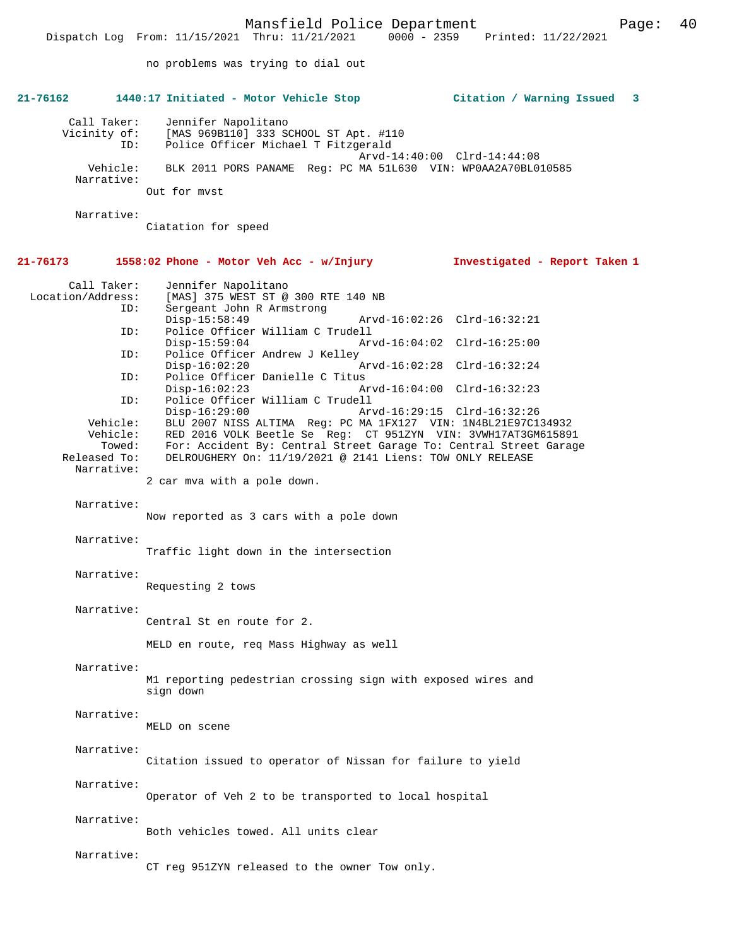Dispatch Log From: 11/15/2021 Thru: 11/21/2021 0000 - 2359 Printed: 11/22/2021

no problems was trying to dial out

| 21-76162                           | 1440:17 Initiated - Motor Vehicle Stop                                                              | Citation / Warning Issued 3   |
|------------------------------------|-----------------------------------------------------------------------------------------------------|-------------------------------|
| Call Taker:<br>Vicinity of:<br>ID: | Jennifer Napolitano<br>[MAS 969B110] 333 SCHOOL ST Apt. #110<br>Police Officer Michael T Fitzgerald |                               |
| Vehicle:                           | BLK 2011 PORS PANAME Req: PC MA 51L630 VIN: WP0AA2A70BL010585                                       | Arvd-14:40:00 Clrd-14:44:08   |
| Narrative:                         | Out for myst                                                                                        |                               |
| Narrative:                         |                                                                                                     |                               |
|                                    | Ciatation for speed                                                                                 |                               |
| 21-76173                           | 1558:02 Phone - Motor Veh Acc - w/Injury                                                            | Investigated - Report Taken 1 |
| Call Taker:<br>Location/Address:   | Jennifer Napolitano<br>[MAS] 375 WEST ST @ 300 RTE 140 NB                                           |                               |
| ID:                                | Sergeant John R Armstrong                                                                           |                               |
| ID:                                | $Disp-15:58:49$<br>Police Officer William C Trudell                                                 | Arvd-16:02:26 Clrd-16:32:21   |
|                                    | $Disp-15:59:04$                                                                                     | Arvd-16:04:02 Clrd-16:25:00   |
| ID:                                | Police Officer Andrew J Kelley<br>$Disp-16:02:20$                                                   | Arvd-16:02:28 Clrd-16:32:24   |
| ID:                                | Police Officer Danielle C Titus<br>$Disp-16:02:23$                                                  | Arvd-16:04:00 Clrd-16:32:23   |
| ID:                                | Police Officer William C Trudell<br>$Disp-16:29:00$                                                 | Arvd-16:29:15 Clrd-16:32:26   |
| Vehicle:                           | BLU 2007 NISS ALTIMA Reg: PC MA 1FX127 VIN: 1N4BL21E97C134932                                       |                               |
| Vehicle:                           | RED 2016 VOLK Beetle Se Req: CT 951ZYN VIN: 3VWH17AT3GM615891                                       |                               |
| Towed:                             | For: Accident By: Central Street Garage To: Central Street Garage                                   |                               |
| Released To:                       | DELROUGHERY On: 11/19/2021 @ 2141 Liens: TOW ONLY RELEASE                                           |                               |
| Narrative:                         | 2 car mva with a pole down.                                                                         |                               |
| Narrative:                         |                                                                                                     |                               |
|                                    | Now reported as 3 cars with a pole down                                                             |                               |
| Narrative:                         |                                                                                                     |                               |
|                                    | Traffic light down in the intersection                                                              |                               |
| Narrative:                         |                                                                                                     |                               |
|                                    | Requesting 2 tows                                                                                   |                               |
| Narrative:                         |                                                                                                     |                               |
|                                    | Central St en route for 2.                                                                          |                               |
|                                    | MELD en route, req Mass Highway as well                                                             |                               |
| Narrative:                         |                                                                                                     |                               |
|                                    | M1 reporting pedestrian crossing sign with exposed wires and<br>sign down                           |                               |
| Narrative:                         |                                                                                                     |                               |
|                                    | MELD on scene                                                                                       |                               |
| Narrative:                         |                                                                                                     |                               |
|                                    | Citation issued to operator of Nissan for failure to yield                                          |                               |
| Narrative:                         |                                                                                                     |                               |
|                                    | Operator of Veh 2 to be transported to local hospital                                               |                               |
|                                    |                                                                                                     |                               |
| Narrative:                         | Both vehicles towed. All units clear                                                                |                               |
|                                    |                                                                                                     |                               |
| Narrative:                         |                                                                                                     |                               |
|                                    | CT reg 951ZYN released to the owner Tow only.                                                       |                               |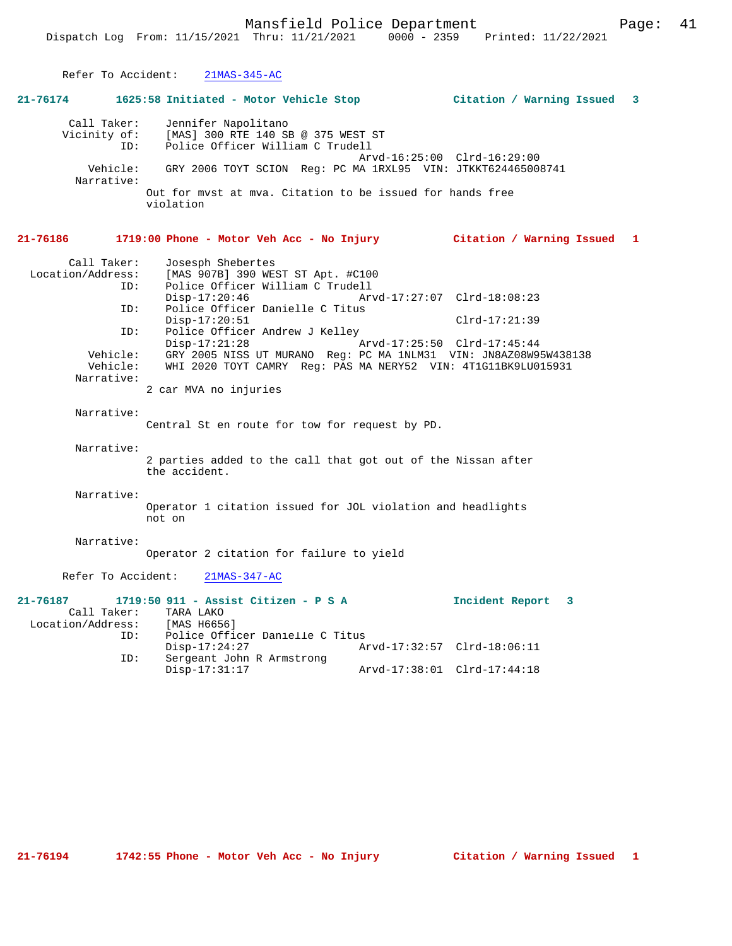| Refer To Accident:            | $21MAS-345-AC$                                                                                                 |                             |
|-------------------------------|----------------------------------------------------------------------------------------------------------------|-----------------------------|
| $21 - 76174$                  |                                                                                                                | 3                           |
| Call Taker:                   | Jennifer Napolitano<br>Vicinity of: [MAS] 300 RTE 140 SB @ 375 WEST ST<br>ID: Police Officer William C Trudell | Arvd-16:25:00 Clrd-16:29:00 |
| Narrative:                    | Vehicle: GRY 2006 TOYT SCION Reg: PC MA 1RXL95 VIN: JTKKT624465008741                                          |                             |
|                               | Out for myst at mya. Citation to be issued for hands free<br>violation                                         |                             |
| 21-76186                      | 1719:00 Phone - Motor Veh Acc - No Injury Citation / Warning Issued                                            | 1                           |
| Call Taker:                   | Josesph Shebertes                                                                                              |                             |
| Location/Address:             | [MAS 907B] 390 WEST ST Apt. #C100                                                                              |                             |
| ID:                           | Police Officer William C Trudell                                                                               |                             |
|                               | $Disp-17:20:46$                                                                                                | Arvd-17:27:07 Clrd-18:08:23 |
| ID:                           | Police Officer Danielle C Titus                                                                                |                             |
|                               | $Disp-17:20:51$                                                                                                | $Clrd-17:21:39$             |
| ID:                           | Police Officer Andrew J Kelley                                                                                 |                             |
|                               | $Disp-17:21:28$                                                                                                | Arvd-17:25:50 Clrd-17:45:44 |
|                               | Vehicle: GRY 2005 NISS UT MURANO Reg: PC MA 1NLM31 VIN: JN8AZ08W95W438138                                      |                             |
| Vehicle:                      | WHI 2020 TOYT CAMRY Reg: PAS MA NERY52 VIN: 4T1G11BK9LU015931                                                  |                             |
| Narrative:                    | 2 car MVA no injuries                                                                                          |                             |
|                               |                                                                                                                |                             |
| Narrative:                    |                                                                                                                |                             |
|                               | Central St en route for tow for request by PD.                                                                 |                             |
| Narrative:                    |                                                                                                                |                             |
|                               | 2 parties added to the call that got out of the Nissan after<br>the accident.                                  |                             |
| Narrative:                    |                                                                                                                |                             |
|                               | Operator 1 citation issued for JOL violation and headlights<br>not on                                          |                             |
| Narrative:                    | Operator 2 citation for failure to yield                                                                       |                             |
| Refer To Accident:            | $21MAS-347-AC$                                                                                                 |                             |
| 21-76187                      | 1719:50 911 - Assist Citizen - P S A                                                                           | Incident Report 3           |
|                               | Call Taker: TARA LAKO                                                                                          |                             |
| Location/Address: [MAS H6656] |                                                                                                                |                             |
| ID:                           | Police Officer Danielle C Titus                                                                                |                             |
|                               | $Disp-17:24:27$                                                                                                | Arvd-17:32:57 Clrd-18:06:11 |
| ID:                           | Sergeant John R Armstrong                                                                                      |                             |

Disp-17:31:17 Arvd-17:38:01 Clrd-17:44:18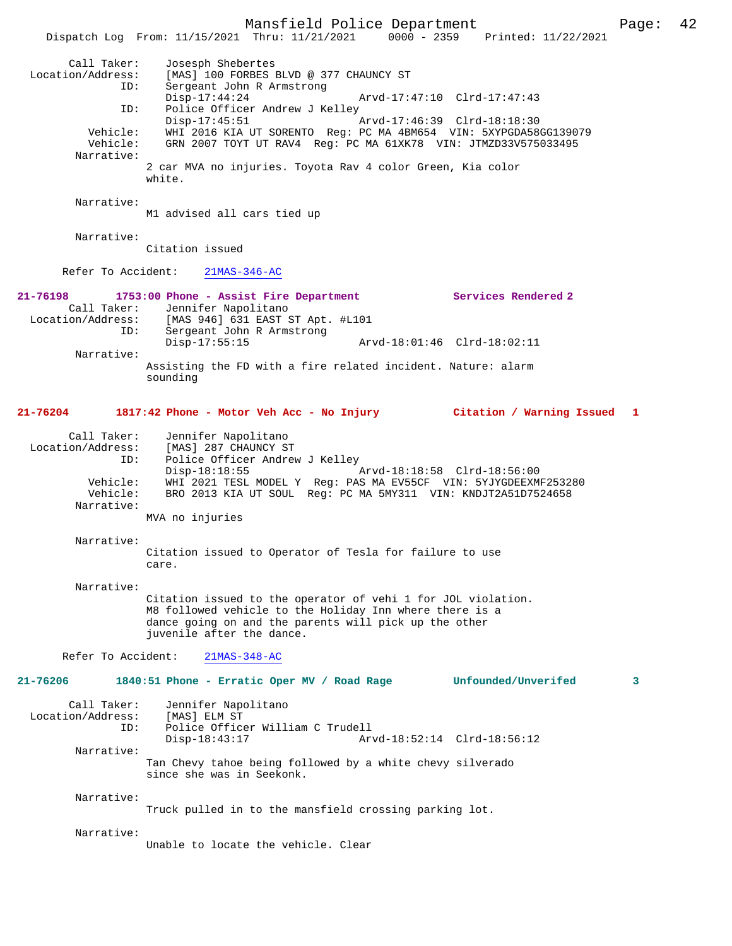Call Taker: Josesph Shebertes Location/Address: [MAS] 100 FORBES BLVD @ 377 CHAUNCY ST ESS: [MAS] 100 FORDED DIRECT ON<br>ID: Sergeant John R Armstrong<br>Disp-17:44:24 Disp-17:44:24 Arvd-17:47:10 Clrd-17:47:43 ID: Police Officer Andrew J Kelley<br>Disp-17:45:51 Disp-17:45:51 Arvd-17:46:39 Clrd-18:18:30 Vehicle: WHI 2016 KIA UT SORENTO Reg: PC MA 4BM654 VIN: 5XYPGDA58GG139079 Vehicle: GRN 2007 TOYT UT RAV4 Reg: PC MA 61XK78 VIN: JTMZD33V575033495 Narrative: 2 car MVA no injuries. Toyota Rav 4 color Green, Kia color white. Narrative: M1 advised all cars tied up Narrative: Citation issued Refer To Accident: 21MAS-346-AC **21-76198 1753:00 Phone - Assist Fire Department Services Rendered 2**  Call Taker: Jennifer Napolitano Location/Address: [MAS 946] 631 EAST ST Apt. #L101 ID: Sergeant John R Armstrong Disp-17:55:15 Arvd-18:01:46 Clrd-18:02:11 Narrative: Assisting the FD with a fire related incident. Nature: alarm sounding **21-76204 1817:42 Phone - Motor Veh Acc - No Injury Citation / Warning Issued 1** Call Taker: Jennifer Napolitano<br>Location/Address: [MAS] 287 CHAUNCY ST Location/Address: [MAS] 287 CHAUNCY ST ID: Police Officer Andrew J Kelley Disp-18:18:55 Arvd-18:18:58 Clrd-18:56:00 Vehicle: WHI 2021 TESL MODEL Y Reg: PAS MA EV55CF VIN: 5YJYGDEEXMF253280 BRO 2013 KIA UT SOUL Reg: PC MA 5MY311 VIN: KNDJT2A51D7524658 Narrative: MVA no injuries Narrative: Citation issued to Operator of Tesla for failure to use care. Narrative: Citation issued to the operator of vehi 1 for JOL violation. M8 followed vehicle to the Holiday Inn where there is a dance going on and the parents will pick up the other juvenile after the dance. Refer To Accident: 21MAS-348-AC **21-76206 1840:51 Phone - Erratic Oper MV / Road Rage Unfounded/Unverifed 3** Call Taker: Jennifer Napolitano<br>.on/Address: [MAS] ELM ST Location/Address:<br>ID: Police Officer William C Trudell<br>Disp-18:43:17 Ar Disp-18:43:17 Arvd-18:52:14 Clrd-18:56:12 Narrative: Tan Chevy tahoe being followed by a white chevy silverado since she was in Seekonk. Narrative:

Truck pulled in to the mansfield crossing parking lot.

Narrative:

Unable to locate the vehicle. Clear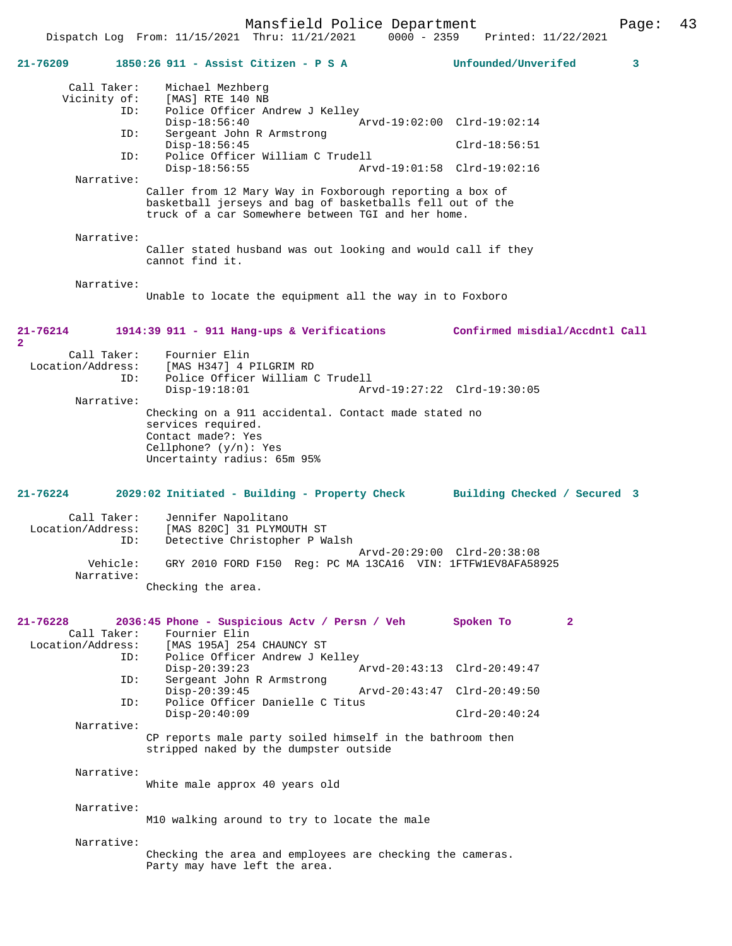Dispatch Log From: 11/15/2021 Thru: 11/21/2021 0000 - 2359 Printed: 11/22/2021

| 21-76209                         | 1850:26 911 - Assist Citizen - P S A                                                                                                                                        | Unfounded/Unverifed<br>3       |
|----------------------------------|-----------------------------------------------------------------------------------------------------------------------------------------------------------------------------|--------------------------------|
| Call Taker:                      | Michael Mezhberg                                                                                                                                                            |                                |
| Vicinity of:                     | [MAS] RTE 140 NB                                                                                                                                                            |                                |
| ID:                              | Police Officer Andrew J Kelley                                                                                                                                              |                                |
| ID:                              | $Disp-18:56:40$<br>Sergeant John R Armstrong                                                                                                                                | Arvd-19:02:00 Clrd-19:02:14    |
|                                  | $Disp-18:56:45$                                                                                                                                                             | $Clrd-18:56:51$                |
| ID:                              | Police Officer William C Trudell                                                                                                                                            |                                |
|                                  | $Disp-18:56:55$                                                                                                                                                             | Arvd-19:01:58 Clrd-19:02:16    |
| Narrative:                       |                                                                                                                                                                             |                                |
|                                  | Caller from 12 Mary Way in Foxborough reporting a box of<br>basketball jerseys and bag of basketballs fell out of the<br>truck of a car Somewhere between TGI and her home. |                                |
| Narrative:                       |                                                                                                                                                                             |                                |
|                                  | Caller stated husband was out looking and would call if they<br>cannot find it.                                                                                             |                                |
| Narrative:                       |                                                                                                                                                                             |                                |
|                                  | Unable to locate the equipment all the way in to Foxboro                                                                                                                    |                                |
| 21-76214                         | 1914:39 911 - 911 Hang-ups & Verifications                                                                                                                                  | Confirmed misdial/Accdntl Call |
| $\mathbf{2}$                     |                                                                                                                                                                             |                                |
| Call Taker:<br>Location/Address: | Fournier Elin<br>[MAS H347] 4 PILGRIM RD                                                                                                                                    |                                |
| ID:                              | Police Officer William C Trudell                                                                                                                                            |                                |
|                                  | $Disp-19:18:01$                                                                                                                                                             | Arvd-19:27:22 Clrd-19:30:05    |
| Narrative:                       |                                                                                                                                                                             |                                |
|                                  | Checking on a 911 accidental. Contact made stated no<br>services required.<br>Contact made?: Yes                                                                            |                                |
|                                  | Cellphone? $(y/n):$ Yes                                                                                                                                                     |                                |
|                                  | Uncertainty radius: 65m 95%                                                                                                                                                 |                                |
|                                  |                                                                                                                                                                             |                                |
|                                  |                                                                                                                                                                             |                                |
| 21-76224                         | 2029:02 Initiated - Building - Property Check Building Checked / Secured 3                                                                                                  |                                |
| Call Taker:                      | Jennifer Napolitano                                                                                                                                                         |                                |
| Location/Address:                | [MAS 820C] 31 PLYMOUTH ST                                                                                                                                                   |                                |
| ID:                              | Detective Christopher P Walsh                                                                                                                                               |                                |
| Vehicle:                         | GRY 2010 FORD F150 Req: PC MA 13CA16 VIN: 1FTFW1EV8AFA58925                                                                                                                 | Arvd-20:29:00 Clrd-20:38:08    |
| Narrative:                       | Checking the area.                                                                                                                                                          |                                |
|                                  |                                                                                                                                                                             |                                |
|                                  |                                                                                                                                                                             |                                |
| 21-76228                         | 2036:45 Phone - Suspicious Actv / Persn / Veh                                                                                                                               | Spoken To<br>$\mathbf{2}$      |
| Call Taker:                      | Fournier Elin                                                                                                                                                               |                                |
| ID:                              | Location/Address: [MAS 195A] 254 CHAUNCY ST<br>Police Officer Andrew J Kelley                                                                                               |                                |
|                                  | $Disp-20:39:23$                                                                                                                                                             | Arvd-20:43:13 Clrd-20:49:47    |
| ID:                              | Sergeant John R Armstrong                                                                                                                                                   |                                |
| ID:                              | $Disp-20:39:45$<br>Police Officer Danielle C Titus                                                                                                                          | Arvd-20:43:47 Clrd-20:49:50    |
|                                  | $Disp-20:40:09$                                                                                                                                                             | $Clrd-20:40:24$                |
| Narrative:                       |                                                                                                                                                                             |                                |
|                                  | CP reports male party soiled himself in the bathroom then<br>stripped naked by the dumpster outside                                                                         |                                |
|                                  |                                                                                                                                                                             |                                |
| Narrative:                       |                                                                                                                                                                             |                                |
|                                  | White male approx 40 years old                                                                                                                                              |                                |
| Narrative:                       |                                                                                                                                                                             |                                |
|                                  | M10 walking around to try to locate the male                                                                                                                                |                                |
|                                  |                                                                                                                                                                             |                                |
| Narrative:                       | Checking the area and employees are checking the cameras.                                                                                                                   |                                |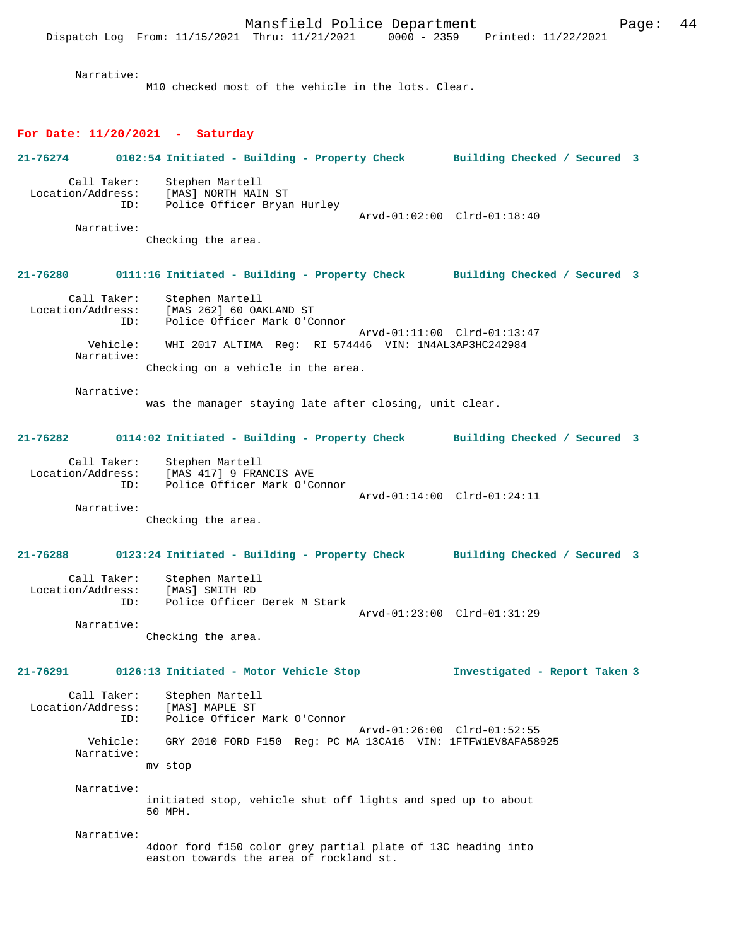Narrative:

Narrative:

M10 checked most of the vehicle in the lots. Clear.

## **For Date: 11/20/2021 - Saturday**

**21-76274 0102:54 Initiated - Building - Property Check Building Checked / Secured 3**

 Call Taker: Stephen Martell Location/Address: [MAS] NORTH MAIN ST ID: Police Officer Bryan Hurley Arvd-01:02:00 Clrd-01:18:40

Checking the area.

#### **21-76280 0111:16 Initiated - Building - Property Check Building Checked / Secured 3**

| Call Taker:       | Stephen Martell                                       |
|-------------------|-------------------------------------------------------|
| Location/Address: | [MAS 262] 60 OAKLAND ST                               |
| ID:               | Police Officer Mark O'Connor                          |
|                   | Arvd-01:11:00 Clrd-01:13:47                           |
| Vehicle:          | WHI 2017 ALTIMA Req: RI 574446 VIN: 1N4AL3AP3HC242984 |
| Narrative:        |                                                       |
|                   | Checking on a vehicle in the area.                    |

Narrative:

was the manager staying late after closing, unit clear.

#### **21-76282 0114:02 Initiated - Building - Property Check Building Checked / Secured 3**

| Call Taker:       | Stephen Martell              |                             |  |
|-------------------|------------------------------|-----------------------------|--|
| Location/Address: | [MAS 417] 9 FRANCIS AVE      |                             |  |
| TD:               | Police Officer Mark O'Connor |                             |  |
|                   |                              | Arvd-01:14:00 Clrd-01:24:11 |  |
| Narrative:        |                              |                             |  |

Checking the area.

#### **21-76288 0123:24 Initiated - Building - Property Check Building Checked / Secured 3**

| Call Taker:       | Stephen Martell              |                             |  |
|-------------------|------------------------------|-----------------------------|--|
| Location/Address: | [MAS] SMITH RD               |                             |  |
| TD:               | Police Officer Derek M Stark |                             |  |
|                   |                              | Arvd-01:23:00 Clrd-01:31:29 |  |
| Narrative:        |                              |                             |  |

Checking the area.

## **21-76291 0126:13 Initiated - Motor Vehicle Stop Investigated - Report Taken 3**

| Call Taker:<br>Location/Address:<br>ID: | Stephen Martell<br>[MAS] MAPLE ST<br>Police Officer Mark O'Connor |
|-----------------------------------------|-------------------------------------------------------------------|
|                                         | Arvd-01:26:00 Clrd-01:52:55                                       |
| Vehicle:<br>Narrative:                  | GRY 2010 FORD F150 Req: PC MA 13CA16 VIN: 1FTFW1EV8AFA58925       |
|                                         | mv stop                                                           |
| Narrative:                              |                                                                   |

initiated stop, vehicle shut off lights and sped up to about 50 MPH.

Narrative:

4door ford f150 color grey partial plate of 13C heading into easton towards the area of rockland st.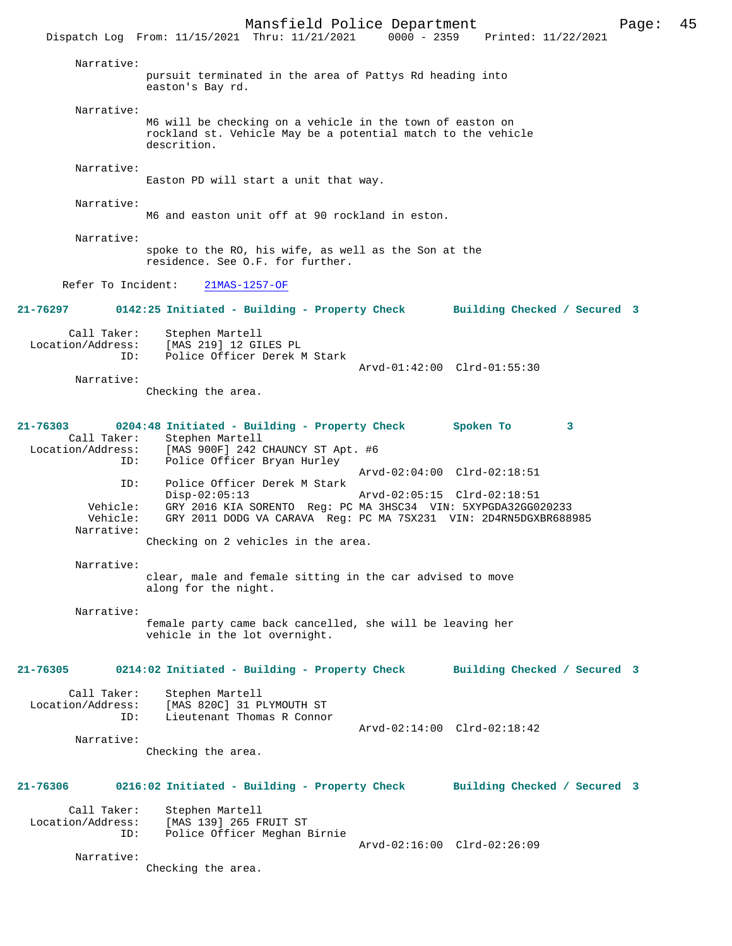Mansfield Police Department Page: 45 Dispatch Log From: 11/15/2021 Thru: 11/21/2021 Narrative: pursuit terminated in the area of Pattys Rd heading into easton's Bay rd. Narrative: M6 will be checking on a vehicle in the town of easton on rockland st. Vehicle May be a potential match to the vehicle descrition. Narrative: Easton PD will start a unit that way. Narrative: M6 and easton unit off at 90 rockland in eston. Narrative: spoke to the RO, his wife, as well as the Son at the residence. See O.F. for further. Refer To Incident: 21MAS-1257-OF **21-76297 0142:25 Initiated - Building - Property Check Building Checked / Secured 3** Call Taker: Stephen Martell Location/Address: [MAS 219] 12 GILES PL ID: Police Officer Derek M Stark Arvd-01:42:00 Clrd-01:55:30 Narrative: Checking the area. **21-76303 0204:48 Initiated - Building - Property Check Spoken To 3**  Call Taker: Stephen Martell Location/Address: [MAS 900F] 242 CHAUNCY ST Apt. #6 Police Officer Bryan Hurley Arvd-02:04:00 Clrd-02:18:51 ID: Police Officer Derek M Stark Disp-02:05:13 Arvd-02:05:15 Clrd-02:18:51 Vehicle: GRY 2016 KIA SORENTO Reg: PC MA 3HSC34 VIN: 5XYPGDA32GG020233 GRY 2011 DODG VA CARAVA Reg: PC MA 7SX231 VIN: 2D4RN5DGXBR688985 Narrative: Checking on 2 vehicles in the area. Narrative: clear, male and female sitting in the car advised to move along for the night. Narrative: female party came back cancelled, she will be leaving her vehicle in the lot overnight. **21-76305 0214:02 Initiated - Building - Property Check Building Checked / Secured 3** Call Taker: Stephen Martell Location/Address: [MAS 820C] 31 PLYMOUTH ST ID: Lieutenant Thomas R Connor Arvd-02:14:00 Clrd-02:18:42 Narrative: Checking the area. **21-76306 0216:02 Initiated - Building - Property Check Building Checked / Secured 3** Call Taker: Stephen Martell Location/Address: [MAS 139] 265 FRUIT ST Police Officer Meghan Birnie Arvd-02:16:00 Clrd-02:26:09 Narrative: Checking the area.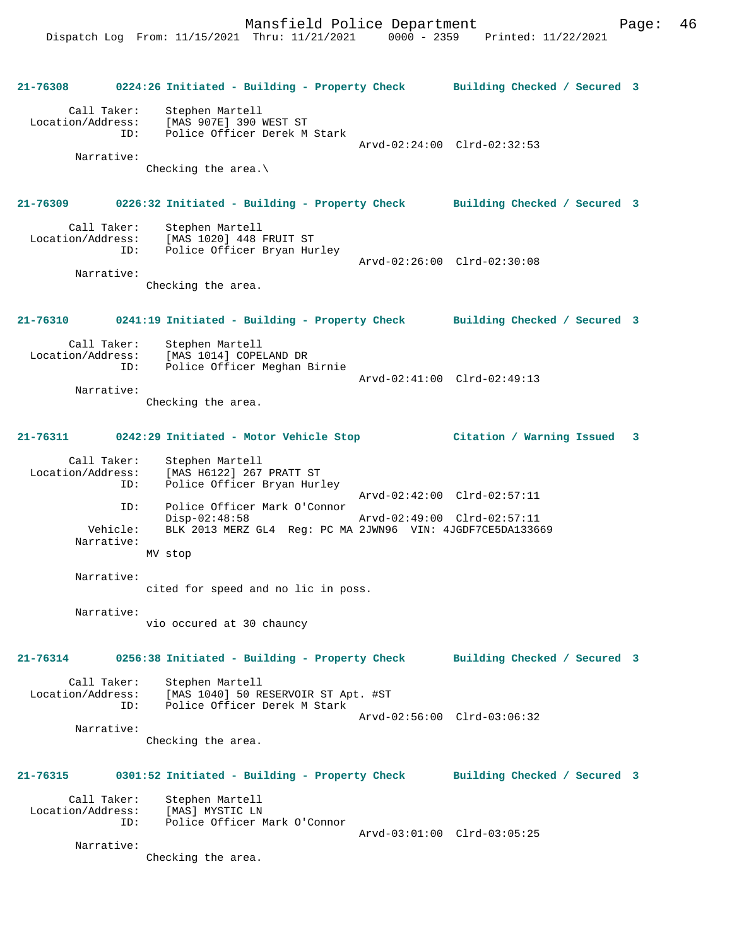**21-76308 0224:26 Initiated - Building - Property Check Building Checked / Secured 3** Call Taker: Stephen Martell Location/Address: [MAS 907E] 390 WEST ST Police Officer Derek M Stark Arvd-02:24:00 Clrd-02:32:53 Narrative: Checking the area.\ **21-76309 0226:32 Initiated - Building - Property Check Building Checked / Secured 3** Call Taker: Stephen Martell<br>Location/Address: [MAS 1020] 448 1 ess: [MAS 1020] 448 FRUIT ST<br>ID: Police Officer Brvan Hu Police Officer Bryan Hurley Arvd-02:26:00 Clrd-02:30:08 Narrative: Checking the area. **21-76310 0241:19 Initiated - Building - Property Check Building Checked / Secured 3** Call Taker: Stephen Martell Location/Address: [MAS 1014] COPELAND DR ID: Police Officer Meghan Birnie Arvd-02:41:00 Clrd-02:49:13 Narrative: Checking the area. **21-76311 0242:29 Initiated - Motor Vehicle Stop Citation / Warning Issued 3** Call Taker: Stephen Martell Location/Address: [MAS H6122] 267 PRATT ST ID: Police Officer Bryan Hurley Arvd-02:42:00 Clrd-02:57:11 ID: Police Officer Mark O'Connor Disp-02:48:58 Arvd-02:49:00 Clrd-02:57:11 Vehicle: BLK 2013 MERZ GL4 Reg: PC MA 2JWN96 VIN: 4JGDF7CE5DA133669 Narrative: MV stop Narrative: cited for speed and no lic in poss. Narrative: vio occured at 30 chauncy **21-76314 0256:38 Initiated - Building - Property Check Building Checked / Secured 3** Call Taker: Stephen Martell<br>Location/Address: [MAS 1040] 50 R Location (MAG) 50 RESERVOIR ST Apt. #ST ID: Police Officer Derek M Stark Arvd-02:56:00 Clrd-03:06:32 Narrative: Checking the area. **21-76315 0301:52 Initiated - Building - Property Check Building Checked / Secured 3** Call Taker: Stephen Martell Location/Address: [MAS] MYSTIC LN ID: Police Officer Mark O'Connor Arvd-03:01:00 Clrd-03:05:25 Narrative: Checking the area.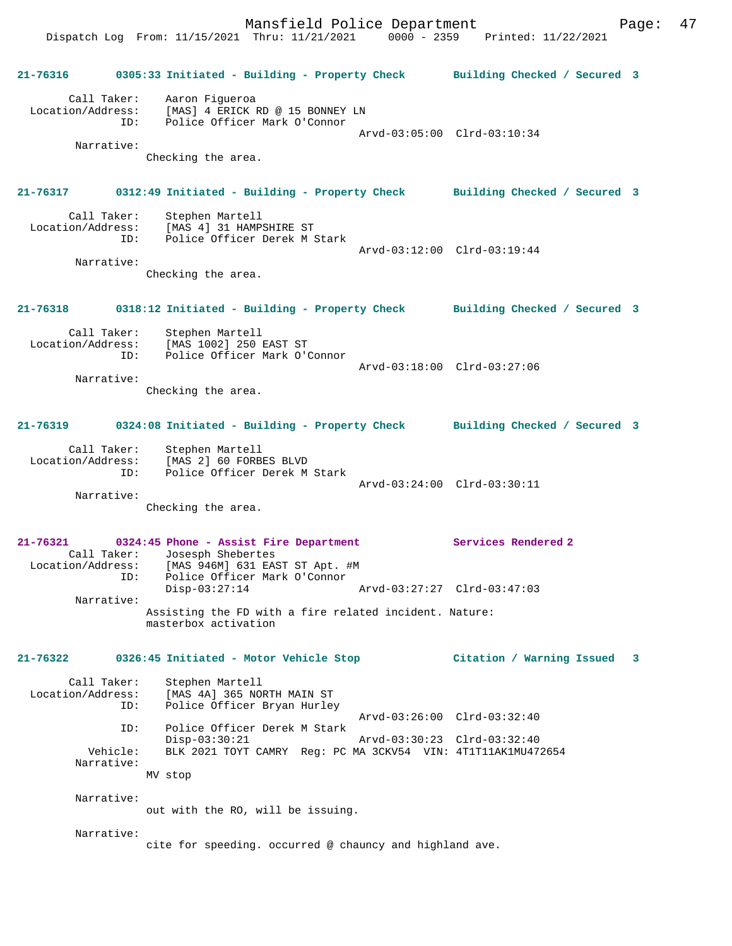Mansfield Police Department Page: 47 Dispatch Log From: 11/15/2021 Thru: 11/21/2021 0000 - 2359 Printed: 11/22/2021

**21-76316 0305:33 Initiated - Building - Property Check Building Checked / Secured 3** Call Taker: Aaron Figueroa Location/Address: [MAS] 4 ERICK RD @ 15 BONNEY LN ID: Police Officer Mark O'Connor Arvd-03:05:00 Clrd-03:10:34 Narrative: Checking the area. **21-76317 0312:49 Initiated - Building - Property Check Building Checked / Secured 3** Call Taker: Stephen Martell<br>Location/Address: [MAS 4] 31 HAMP للحاج المحمول المحمول المحمول المحمول المحمول المحمول المحمول المحمول المحمول المحمول المحمول المحمول المحمول<br>LD: Police Officer Derek M Police Officer Derek M Stark Arvd-03:12:00 Clrd-03:19:44 Narrative: Checking the area. **21-76318 0318:12 Initiated - Building - Property Check Building Checked / Secured 3** Call Taker: Stephen Martell Location/Address: [MAS 1002] 250 EAST ST ID: Police Officer Mark O'Connor Arvd-03:18:00 Clrd-03:27:06 Narrative: Checking the area. **21-76319 0324:08 Initiated - Building - Property Check Building Checked / Secured 3** Call Taker: Stephen Martell Location/Address: [MAS 2] 60 FORBES BLVD ID: Police Officer Derek M Stark Arvd-03:24:00 Clrd-03:30:11 Narrative: Checking the area. **21-76321 0324:45 Phone - Assist Fire Department Services Rendered 2**  Call Taker: Josesph Shebertes Location/Address: [MAS 946M] 631 EAST ST Apt. #M ID: Police Officer Mark O'Connor Disp-03:27:14 Arvd-03:27:27 Clrd-03:47:03 Narrative: Assisting the FD with a fire related incident. Nature: masterbox activation **21-76322 0326:45 Initiated - Motor Vehicle Stop Citation / Warning Issued 3** Call Taker: Stephen Martell<br>Location/Address: [MAS 4A] 365 NO [MAS 4A] 365 NORTH MAIN ST ID: Police Officer Bryan Hurley Arvd-03:26:00 Clrd-03:32:40<br>TD: Police Officer Derek M Stark Police Officer Derek M Stark<br>Disp-03:30:21 Disp-03:30:21 Arvd-03:30:23 Clrd-03:32:40 Vehicle: BLK 2021 TOYT CAMRY Reg: PC MA 3CKV54 VIN: 4T1T11AK1MU472654 Narrative: MV stop Narrative: out with the RO, will be issuing. Narrative: cite for speeding. occurred @ chauncy and highland ave.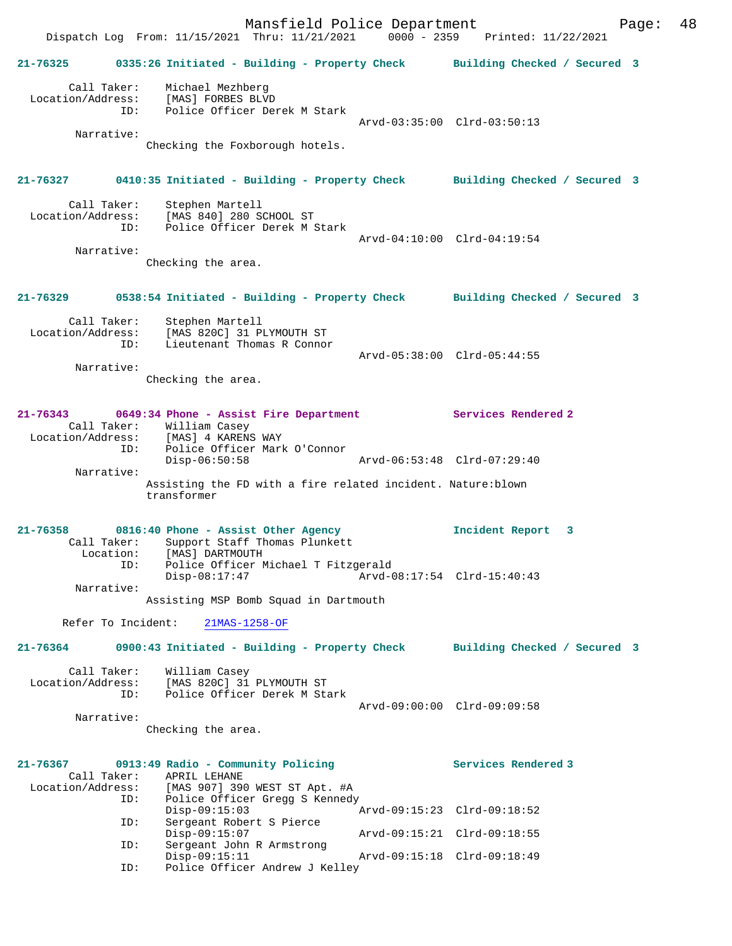Mansfield Police Department Fage: 48 Dispatch Log From: 11/15/2021 Thru: 11/21/2021 0000 - 2359 Printed: 11/22/2021 **21-76325 0335:26 Initiated - Building - Property Check Building Checked / Secured 3** Call Taker: Michael Mezhberg Location/Address: [MAS] FORBES BLVD ID: Police Officer Derek M Stark Arvd-03:35:00 Clrd-03:50:13 Narrative: Checking the Foxborough hotels. **21-76327 0410:35 Initiated - Building - Property Check Building Checked / Secured 3** Call Taker: Stephen Martell Location/Address: [MAS 840] 280 SCHOOL ST<br>TD: Police Officer Derek M \$ Police Officer Derek M Stark Arvd-04:10:00 Clrd-04:19:54 Narrative: Checking the area. **21-76329 0538:54 Initiated - Building - Property Check Building Checked / Secured 3** Call Taker: Stephen Martell Location/Address: [MAS 820C] 31 PLYMOUTH ST ID: Lieutenant Thomas R Connor Arvd-05:38:00 Clrd-05:44:55 Narrative: Checking the area. **21-76343 0649:34 Phone - Assist Fire Department Services Rendered 2**  Call Taker: William Casey Location/Address: [MAS] 4 KARENS WAY ID: Police Officer Mark O'Connor Disp-06:50:58 Arvd-06:53:48 Clrd-07:29:40 Narrative: Assisting the FD with a fire related incident. Nature:blown transformer **21-76358 0816:40 Phone - Assist Other Agency Incident Report 3**  Call Taker: Support Staff Thomas Plunkett Location: [MAS] DARTMOUTH ID: Police Officer Michael T Fitzgerald<br>Disp-08:17:47 Arvd-0 Disp-08:17:47 Arvd-08:17:54 Clrd-15:40:43 Narrative: Assisting MSP Bomb Squad in Dartmouth Refer To Incident: 21MAS-1258-OF **21-76364 0900:43 Initiated - Building - Property Check Building Checked / Secured 3** Call Taker: William Casey Location/Address: [MAS 820C] 31 PLYMOUTH ST Police Officer Derek M Stark Arvd-09:00:00 Clrd-09:09:58 Narrative: Checking the area. **21-76367 0913:49 Radio - Community Policing Services Rendered 3**  Call Taker: APRIL LEHANE<br>Location/Address: [MAS 907] 39 [MAS 907] 390 WEST ST Apt. #A ID: Police Officer Gregg S Kennedy Disp-09:15:03 Arvd-09:15:23 Clrd-09:18:52 ID: Sergeant Robert S Pierce Disp-09:15:07 Arvd-09:15:21 Clrd-09:18:55 ID: Sergeant John R Armstrong Disp-09:15:11 Arvd-09:15:18 Clrd-09:18:49 Disp-09:15:11 A<br>ID: Police Officer Andrew J Kelley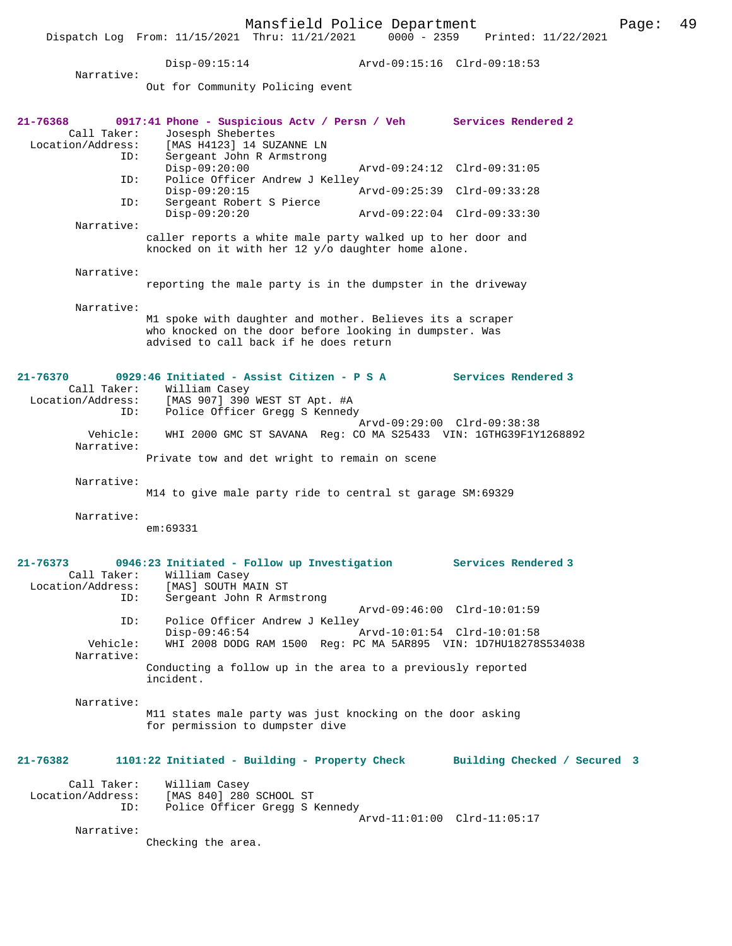Disp-09:15:14 Arvd-09:15:16 Clrd-09:18:53 Narrative: Out for Community Policing event **21-76368 0917:41 Phone - Suspicious Actv / Persn / Veh Services Rendered 2**  Call Taker: Josesph Shebertes<br>Location/Address: [MAS H4123] 14 SU Location/Address: [MAS H4123] 14 SUZANNE LN ID: Sergeant John R Armstrong Disp-09:20:00 Arvd-09:24:12 Clrd-09:31:05 ID: Police Officer Andrew J Kelley Disp-09:20:15 <br>ID: Sergeant Robert S Pierce <br>ID: Sergeant Robert S Pierce Sergeant Robert S Pierce<br>Disp-09:20:20 Disp-09:20:20 Arvd-09:22:04 Clrd-09:33:30 Narrative: caller reports a white male party walked up to her door and knocked on it with her 12 y/o daughter home alone. Narrative: reporting the male party is in the dumpster in the driveway Narrative: M1 spoke with daughter and mother. Believes its a scraper who knocked on the door before looking in dumpster. Was advised to call back if he does return **21-76370 0929:46 Initiated - Assist Citizen - P S A Services Rendered 3**  Call Taker: William Casey Location/Address: [MAS 907] 390 WEST ST Apt. #A ID: Police Officer Gregg S Kennedy Arvd-09:29:00 Clrd-09:38:38 Vehicle: WHI 2000 GMC ST SAVANA Reg: CO MA S25433 VIN: 1GTHG39F1Y1268892 Narrative: Private tow and det wright to remain on scene Narrative: M14 to give male party ride to central st garage SM:69329 Narrative: em:69331 **21-76373 0946:23 Initiated - Follow up Investigation Services Rendered 3**  Call Taker: William Casey<br>Location/Address: [MAS] SOUTH MA Location/Address: [MAS] SOUTH MAIN ST ID: Sergeant John R Armstrong Arvd-09:46:00 Clrd-10:01:59 ID: Police Officer Andrew J Kelley<br>Disp-09:46:54 Disp-09:46:54 Arvd-10:01:54 Clrd-10:01:58<br>Vehicle: WHI 2008 DODG RAM 1500 Reg: PC MA 5AR895 VIN: 1D7HU18278 Vehicle: WHI 2008 DODG RAM 1500 Reg: PC MA 5AR895 VIN: 1D7HU18278S534038 Narrative: Conducting a follow up in the area to a previously reported incident. Narrative: M11 states male party was just knocking on the door asking for permission to dumpster dive **21-76382 1101:22 Initiated - Building - Property Check Building Checked / Secured 3** Call Taker: William Casey<br>Location/Address: [MAS 840] 280 ess: [MAS 840] 280 SCHOOL ST:<br>ID: Police Officer Gregg SP Police Officer Gregg S Kennedy Arvd-11:01:00 Clrd-11:05:17 Narrative: Checking the area.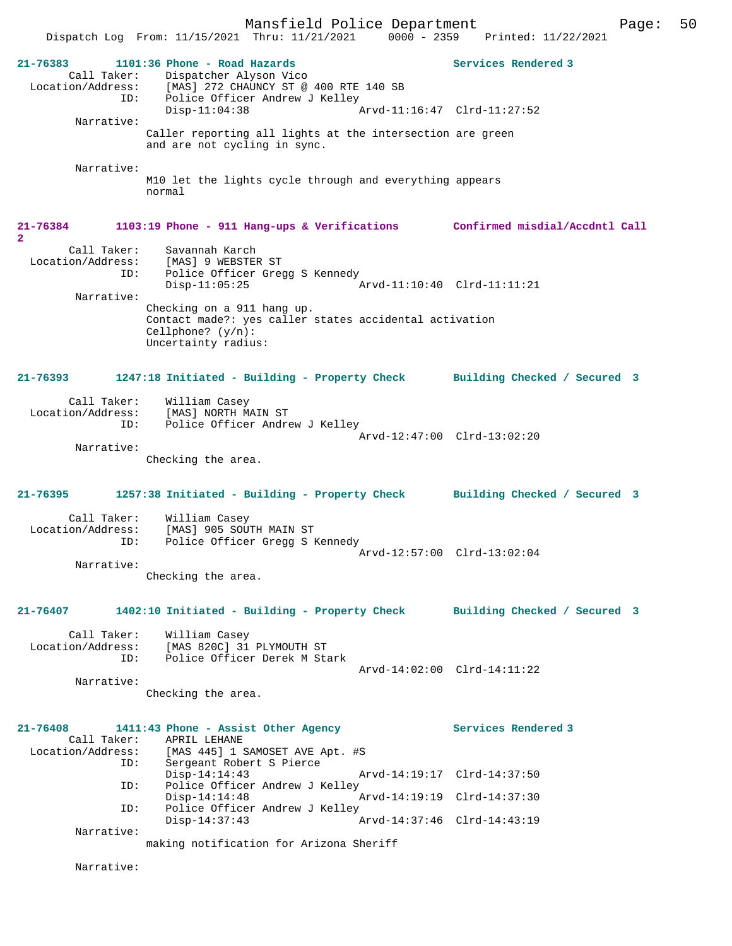Mansfield Police Department Page: 50 Dispatch Log From: 11/15/2021 Thru: 11/21/2021 0000 - 2359 Printed: 11/22/2021 **21-76383 1101:36 Phone - Road Hazards Services Rendered 3**  Call Taker: Dispatcher Alyson Vico Location/Address: [MAS] 272 CHAUNCY ST @ 400 RTE 140 SB ID: Police Officer Andrew J Kelley<br>Disp-11:04:38 Arvd-11:16:47 Clrd-11:27:52 Narrative: Caller reporting all lights at the intersection are green and are not cycling in sync. Narrative: M10 let the lights cycle through and everything appears normal **21-76384 1103:19 Phone - 911 Hang-ups & Verifications Confirmed misdial/Accdntl Call 2**  Call Taker: Savannah Karch Location/Address: [MAS] 9 WEBSTER ST ID: Police Officer Gregg S Kennedy Disp-11:05:25 Arvd-11:10:40 Clrd-11:11:21 Narrative: Checking on a 911 hang up. Contact made?: yes caller states accidental activation Cellphone? (y/n): Uncertainty radius: **21-76393 1247:18 Initiated - Building - Property Check Building Checked / Secured 3** Call Taker: William Casey Location/Address: [MAS] NORTH MAIN ST ID: Police Officer Andrew J Kelley Arvd-12:47:00 Clrd-13:02:20 Narrative: Checking the area. **21-76395 1257:38 Initiated - Building - Property Check Building Checked / Secured 3** Call Taker: William Casey Location/Address: [MAS] 905 SOUTH MAIN ST ID: Police Officer Gregg S Kennedy Arvd-12:57:00 Clrd-13:02:04 Narrative: Checking the area. **21-76407 1402:10 Initiated - Building - Property Check Building Checked / Secured 3** Call Taker: William Casey Location/Address: [MAS 820C] 31 PLYMOUTH ST ID: Police Officer Derek M Stark Arvd-14:02:00 Clrd-14:11:22 Narrative: Checking the area. **21-76408 1411:43 Phone - Assist Other Agency Services Rendered 3**  Call Taker: APRIL LEHANE<br>Location/Address: [MAS 445] 1 : [MAS 445] 1 SAMOSET AVE Apt. #S ID: Sergeant Robert S Pierce Disp-14:14:43 Arvd-14:19:17 Clrd-14:37:50 ID: Police Officer Andrew J Kelley<br>Disp-14:14:48 Arvd-14:19:19 Clrd-14:37:30 ID: Police Officer Andrew J Kelley<br>Disp-14:37:43 A Disp-14:37:43 Arvd-14:37:46 Clrd-14:43:19 Narrative: making notification for Arizona Sheriff Narrative: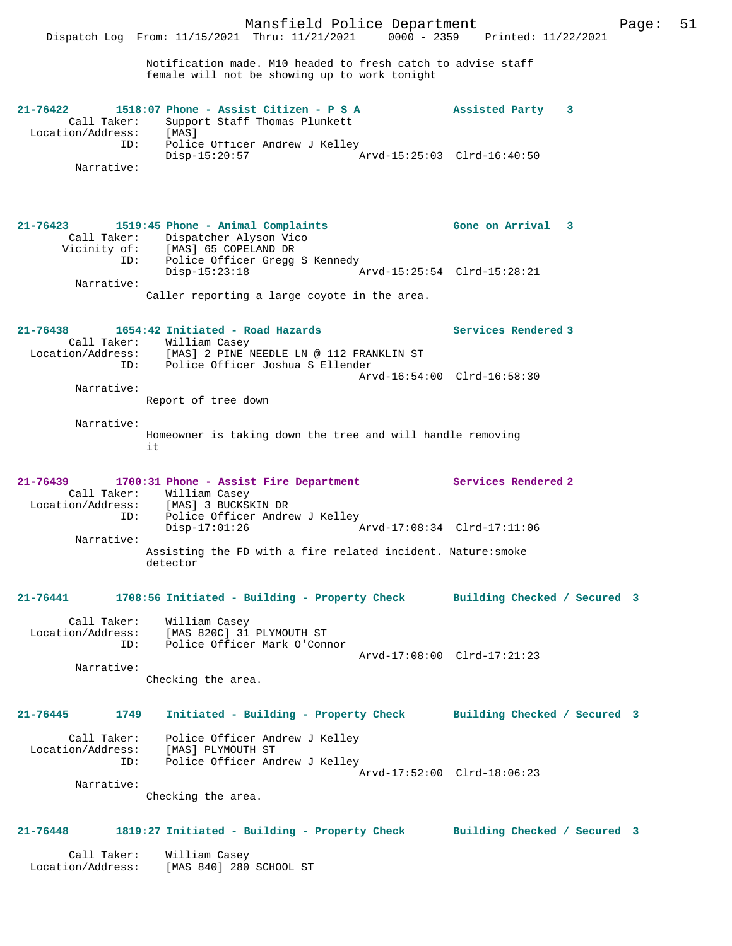Notification made. M10 headed to fresh catch to advise staff female will not be showing up to work tonight

| 21-76422          |             |                 | 1518:07 Phone - Assist Citizen - P S A |                             | Assisted Party |  |
|-------------------|-------------|-----------------|----------------------------------------|-----------------------------|----------------|--|
|                   | Call Taker: |                 | Support Staff Thomas Plunkett          |                             |                |  |
| Location/Address: |             | [MAS]           |                                        |                             |                |  |
|                   | ID:         |                 | Police Officer Andrew J Kelley         |                             |                |  |
|                   |             | $Disp-15:20:57$ |                                        | Arvd-15:25:03 Clrd-16:40:50 |                |  |
|                   | Narrative:  |                 |                                        |                             |                |  |

| $21 - 76423$ |              | 1519:45 Phone - Animal Complaints            |                             | Gone on Arrival 3 |  |
|--------------|--------------|----------------------------------------------|-----------------------------|-------------------|--|
|              | Call Taker:  | Dispatcher Alyson Vico                       |                             |                   |  |
|              | Vicinity of: | [MAS] 65 COPELAND DR                         |                             |                   |  |
|              | ID:          | Police Officer Gregg S Kennedy               |                             |                   |  |
|              |              | Disp-15:23:18                                | Arvd-15:25:54 Clrd-15:28:21 |                   |  |
|              | Narrative:   |                                              |                             |                   |  |
|              |              | Caller reporting a large coyote in the area. |                             |                   |  |

#### **21-76438 1654:42 Initiated - Road Hazards Services Rendered 3**  Call Taker: William Casey Location/Address: [MAS] 2 PINE NEEDLE LN @ 112 FRANKLIN ST ID: Police Officer Joshua S Ellender Arvd-16:54:00 Clrd-16:58:30 Narrative: Report of tree down

 Narrative: Homeowner is taking down the tree and will handle removing it

#### **21-76439 1700:31 Phone - Assist Fire Department Services Rendered 2**  Call Taker: William Casey<br>Location/Address: [MAS] 3 BUCKSI Location/Address: [MAS] 3 BUCKSKIN DR ID: Police Officer Andrew J Kelley Disp-17:01:26 Arvd-17:08:34 Clrd-17:11:06 Narrative: Assisting the FD with a fire related incident. Nature:smoke detector

#### **21-76441 1708:56 Initiated - Building - Property Check Building Checked / Secured 3**

 Call Taker: William Casey Location/Address: [MAS 820C] 31 PLYMOUTH ST ID: Police Officer Mark O'Connor Arvd-17:08:00 Clrd-17:21:23 Narrative:

Checking the area.

```
21-76445 1749 Initiated - Building - Property Check Building Checked / Secured 3
 Call Taker: Police Officer Andrew J Kelley
 Location/Address: [MAS] PLYMOUTH ST
 ID: Police Officer Andrew J Kelley
                                             Arvd-17:52:00 Clrd-18:06:23
        Narrative:
```
Checking the area.

## **21-76448 1819:27 Initiated - Building - Property Check Building Checked / Secured 3**

 Call Taker: William Casey Location/Address: [MAS 840] 280 SCHOOL ST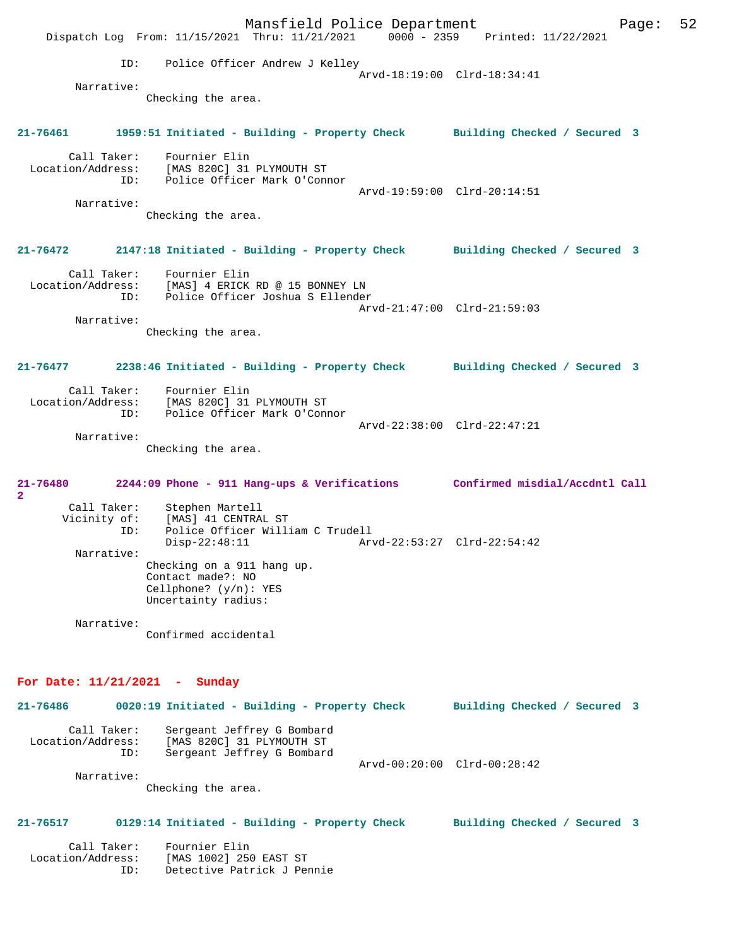Mansfield Police Department Fage: 52 Dispatch Log From: 11/15/2021 Thru: 11/21/2021 0000 - 2359 Printed: 11/22/2021 ID: Police Officer Andrew J Kelley Arvd-18:19:00 Clrd-18:34:41 Narrative: Checking the area. **21-76461 1959:51 Initiated - Building - Property Check Building Checked / Secured 3** Call Taker: Fournier Elin Location/Address: [MAS 820C] 31 PLYMOUTH ST ID: Police Officer Mark O'Connor Arvd-19:59:00 Clrd-20:14:51 Narrative: Checking the area. **21-76472 2147:18 Initiated - Building - Property Check Building Checked / Secured 3** Call Taker: Fournier Elin Location/Address: [MAS] 4 ERICK RD @ 15 BONNEY LN ID: Police Officer Joshua S Ellender Arvd-21:47:00 Clrd-21:59:03 Narrative: Checking the area. **21-76477 2238:46 Initiated - Building - Property Check Building Checked / Secured 3** Call Taker: Fournier Elin<br>Location/Address: [MAS 820Cl 31 [MAS 820C] 31 PLYMOUTH ST ID: Police Officer Mark O'Connor Arvd-22:38:00 Clrd-22:47:21 Narrative: Checking the area. **21-76480 2244:09 Phone - 911 Hang-ups & Verifications Confirmed misdial/Accdntl Call 2**  Call Taker: Stephen Martell Vicinity of: [MAS] 41 CENTRAL ST<br>ID: Police Officer Willi Police Officer William C Trudell<br>Disp-22:48:11 Arv Disp-22:48:11 Arvd-22:53:27 Clrd-22:54:42 Narrative: Checking on a 911 hang up. Contact made?: NO Cellphone? (y/n): YES Uncertainty radius: Narrative: Confirmed accidental **For Date: 11/21/2021 - Sunday 21-76486 0020:19 Initiated - Building - Property Check Building Checked / Secured 3** Call Taker: Sergeant Jeffrey G Bombard Location/Address: [MAS 820C] 31 PLYMOUTH ST ID: Sergeant Jeffrey G Bombard Arvd-00:20:00 Clrd-00:28:42 Narrative: Checking the area. **21-76517 0129:14 Initiated - Building - Property Check Building Checked / Secured 3**

Call Taker: Fournier Elin<br>Location/Address: [MAS 1002] 250 ess: [MAS 1002] 250 EAST ST<br>ID: Detective Patrick J Per Detective Patrick J Pennie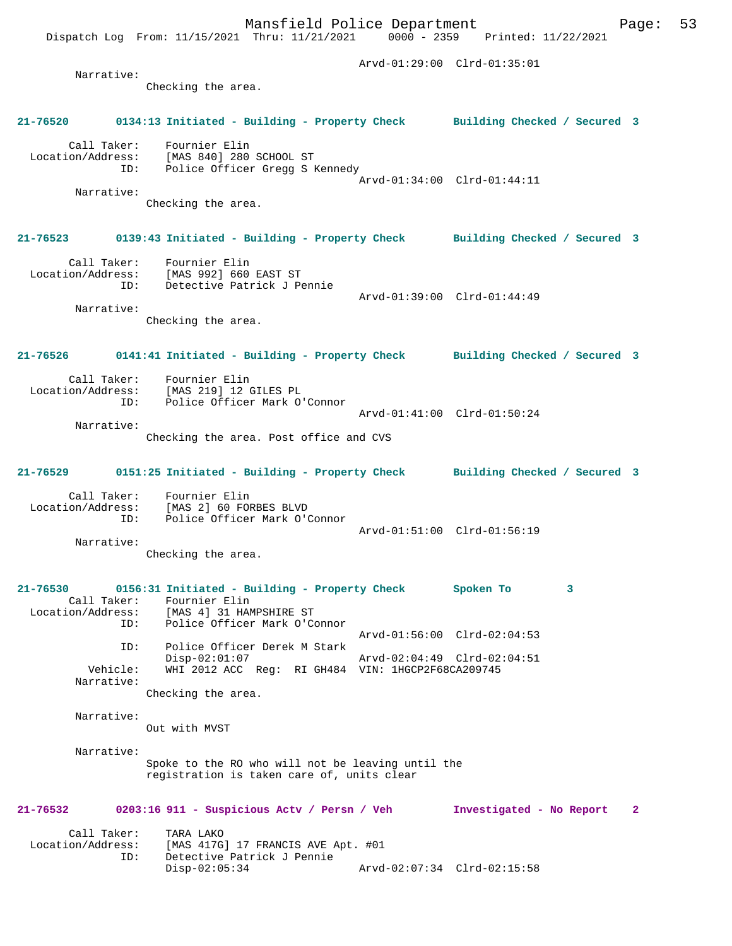## **21-76520 0134:13 Initiated - Building - Property Check Building Checked / Secured 3**

 Call Taker: Fournier Elin Location/Address: [MAS 840] 280 SCHOOL ST ID: Police Officer Gregg S Kennedy Arvd-01:34:00 Clrd-01:44:11 Narrative: Checking the area.

## **21-76523 0139:43 Initiated - Building - Property Check Building Checked / Secured 3**

 Call Taker: Fournier Elin Location/Address: [MAS 992] 660 EAST ST ID: Detective Patrick J Pennie Arvd-01:39:00 Clrd-01:44:49

 Narrative: Checking the area.

# **21-76526 0141:41 Initiated - Building - Property Check Building Checked / Secured 3** Call Taker: Fournier Elin Location/Address: [MAS 219] 12 GILES PL ID: Police Officer Mark O'Connor

Arvd-01:41:00 Clrd-01:50:24

 Narrative: Checking the area. Post office and CVS

#### **21-76529 0151:25 Initiated - Building - Property Check Building Checked / Secured 3**

 Call Taker: Fournier Elin Location/Address: [MAS 2] 60 FORBES BLVD ID: Police Officer Mark O'Connor Arvd-01:51:00 Clrd-01:56:19 Narrative:

Checking the area.

#### **21-76530 0156:31 Initiated - Building - Property Check Spoken To 3**  Call Taker: Fournier Elin<br>Location/Address: [MAS 4] 31 HAM Location/Address: [MAS 4] 31 HAMPSHIRE ST ID: Police Officer Mark O'Connor Arvd-01:56:00 Clrd-02:04:53 ID: Police Officer Derek M Stark Disp-02:01:07 Arvd-02:04:49 Clrd-02:04:51 Vehicle: WHI 2012 ACC Reg: RI GH484 VIN: 1HGCP2F68CA209745 Narrative:

Checking the area.

 Narrative: Out with MVST

Narrative:

Spoke to the RO who will not be leaving until the registration is taken care of, units clear

#### **21-76532 0203:16 911 - Suspicious Actv / Persn / Veh Investigated - No Report 2**

| Call Taker:       | TARA LAKO                          |  |
|-------------------|------------------------------------|--|
| Location/Address: | [MAS 417G] 17 FRANCIS AVE Apt. #01 |  |
| TD:               | Detective Patrick J Pennie         |  |
|                   | Disp-02:05:34                      |  |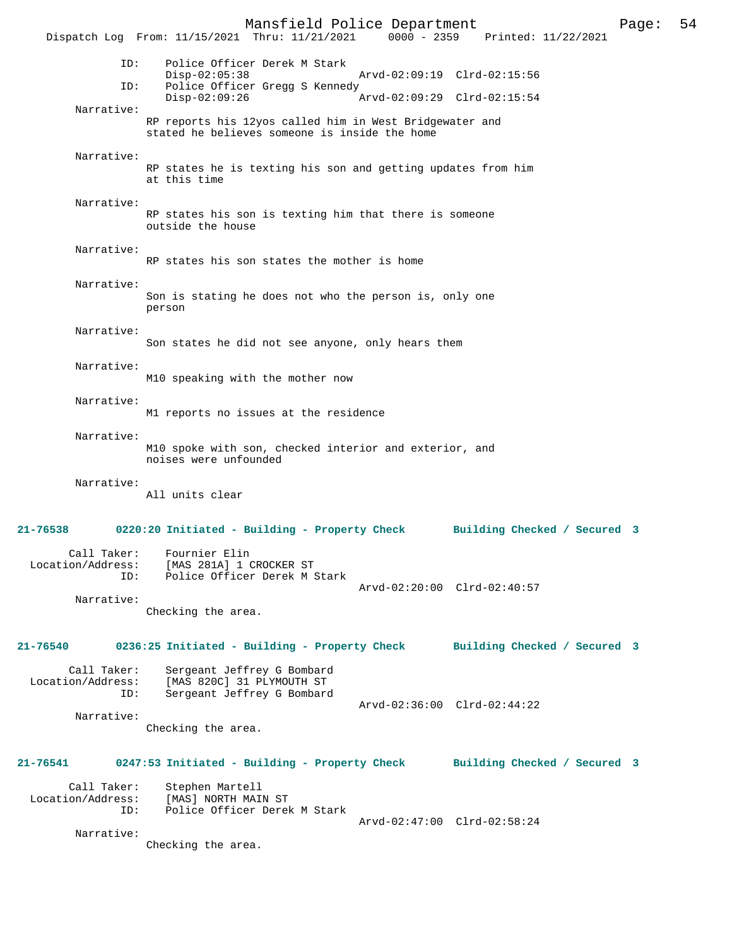Mansfield Police Department Page: 54 Dispatch Log From: 11/15/2021 Thru: 11/21/2021 ID: Police Officer Derek M Stark Disp-02:05:38 Arvd-02:09:19 Clrd-02:15:56<br>TD: Police Officer Greas S Kennedy Police Officer Gregg S Kennedy<br>Disp-02:09:26 Disp-02:09:26 Arvd-02:09:29 Clrd-02:15:54 Narrative: RP reports his 12yos called him in West Bridgewater and stated he believes someone is inside the home Narrative: RP states he is texting his son and getting updates from him at this time Narrative: RP states his son is texting him that there is someone outside the house Narrative: RP states his son states the mother is home Narrative: Son is stating he does not who the person is, only one person Narrative: Son states he did not see anyone, only hears them Narrative: M10 speaking with the mother now Narrative: M1 reports no issues at the residence Narrative: M10 spoke with son, checked interior and exterior, and noises were unfounded Narrative: All units clear **21-76538 0220:20 Initiated - Building - Property Check Building Checked / Secured 3** Call Taker: Fournier Elin Location/Address: [MAS 281A] 1 CROCKER ST ID: Police Officer Derek M Stark Arvd-02:20:00 Clrd-02:40:57 Narrative: Checking the area. **21-76540 0236:25 Initiated - Building - Property Check Building Checked / Secured 3** Call Taker: Sergeant Jeffrey G Bombard<br>Location/Address: [MAS 820C] 31 PLYMOUTH ST ess: [MAS 820C] 31 PLYMOUTH ST<br>ID: Sergeant Jeffrey G Bombard Sergeant Jeffrey G Bombard Arvd-02:36:00 Clrd-02:44:22 Narrative: Checking the area. **21-76541 0247:53 Initiated - Building - Property Check Building Checked / Secured 3** Call Taker: Stephen Martell Location/Address: [MAS] NORTH MAIN ST ID: Police Officer Derek M Stark Arvd-02:47:00 Clrd-02:58:24 Narrative: Checking the area.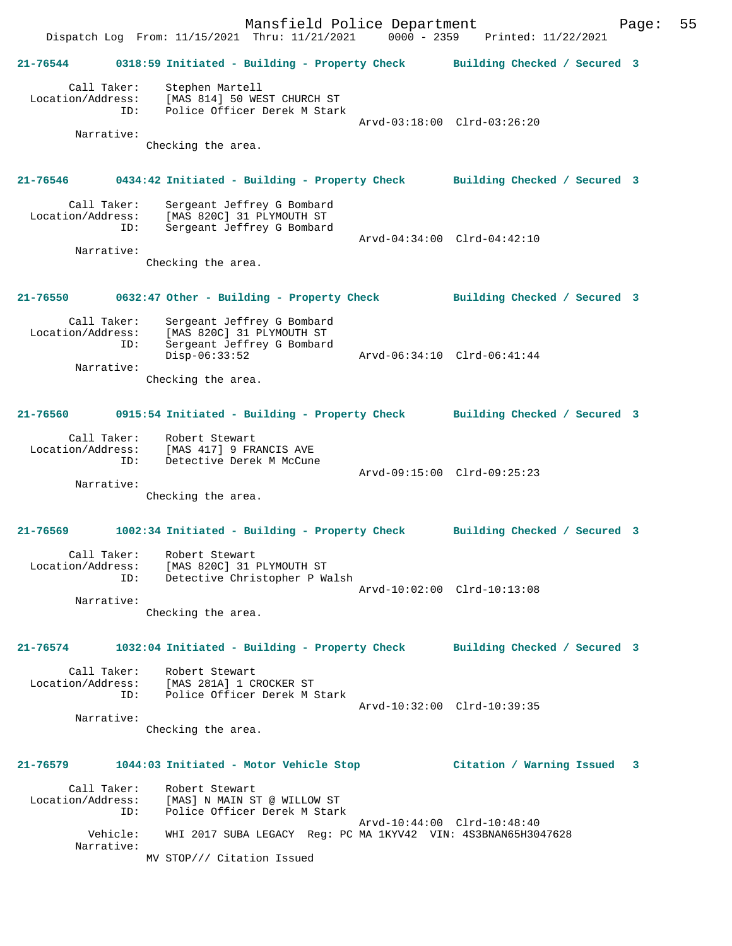Mansfield Police Department Form Page: 55 Dispatch Log From: 11/15/2021 Thru: 11/21/2021 0000 - 2359 Printed: 11/22/2021 **21-76544 0318:59 Initiated - Building - Property Check Building Checked / Secured 3** Call Taker: Stephen Martell Location/Address: [MAS 814] 50 WEST CHURCH ST ID: Police Officer Derek M Stark Arvd-03:18:00 Clrd-03:26:20 Narrative: Checking the area. **21-76546 0434:42 Initiated - Building - Property Check Building Checked / Secured 3** Call Taker: Sergeant Jeffrey G Bombard Location/Address: [MAS 820C] 31 PLYMOUTH ST ID: Sergeant Jeffrey G Bombard Arvd-04:34:00 Clrd-04:42:10 Narrative: Checking the area. **21-76550 0632:47 Other - Building - Property Check Building Checked / Secured 3** Call Taker: Sergeant Jeffrey G Bombard Location/Address: [MAS 820C] 31 PLYMOUTH ST ID: Sergeant Jeffrey G Bombard Disp-06:33:52 Arvd-06:34:10 Clrd-06:41:44 Narrative: Checking the area. **21-76560 0915:54 Initiated - Building - Property Check Building Checked / Secured 3** Call Taker: Robert Stewart Location/Address: [MAS 417] 9 FRANCIS AVE ID: Detective Derek M McCune Arvd-09:15:00 Clrd-09:25:23 Narrative: Checking the area. **21-76569 1002:34 Initiated - Building - Property Check Building Checked / Secured 3** Call Taker: Robert Stewart Location/Address: [MAS 820C] 31 PLYMOUTH ST ID: Detective Christopher P Walsh Arvd-10:02:00 Clrd-10:13:08 Narrative: Checking the area. **21-76574 1032:04 Initiated - Building - Property Check Building Checked / Secured 3** Call Taker: Robert Stewart Location/Address: [MAS 281A] 1 CROCKER ST ID: Police Officer Derek M Stark Arvd-10:32:00 Clrd-10:39:35 Narrative: Checking the area. **21-76579 1044:03 Initiated - Motor Vehicle Stop Citation / Warning Issued 3** Call Taker: Robert Stewart Location/Address: [MAS] N MAIN ST @ WILLOW ST ID: Police Officer Derek M Stark Arvd-10:44:00 Clrd-10:48:40 Vehicle: WHI 2017 SUBA LEGACY Reg: PC MA 1KYV42 VIN: 4S3BNAN65H3047628 Narrative: MV STOP/// Citation Issued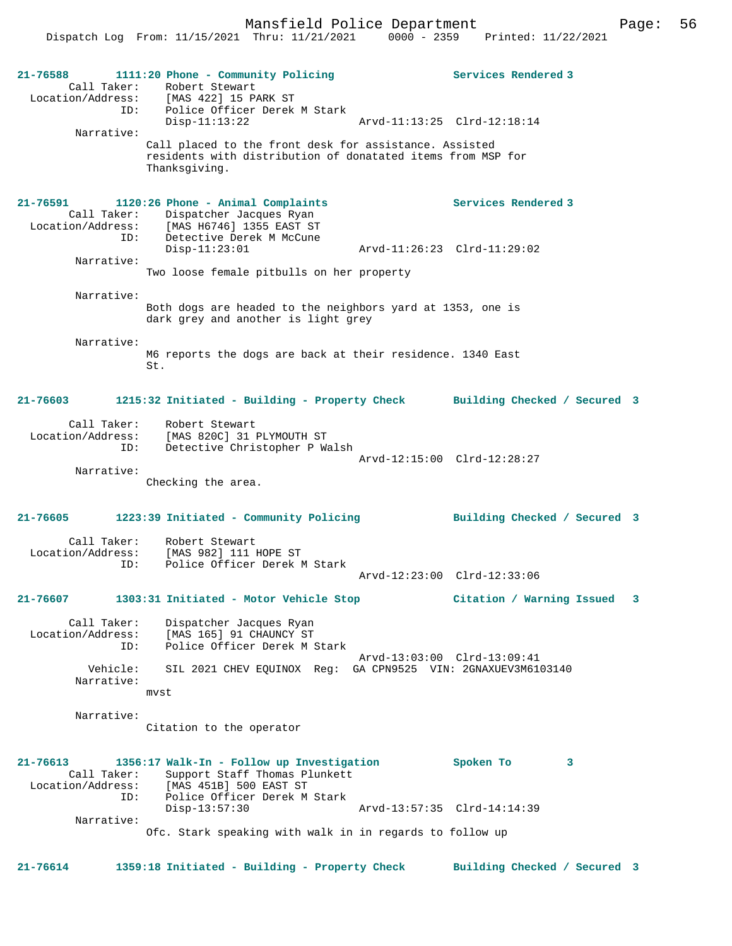

Ofc. Stark speaking with walk in in regards to follow up

**21-76614 1359:18 Initiated - Building - Property Check Building Checked / Secured 3**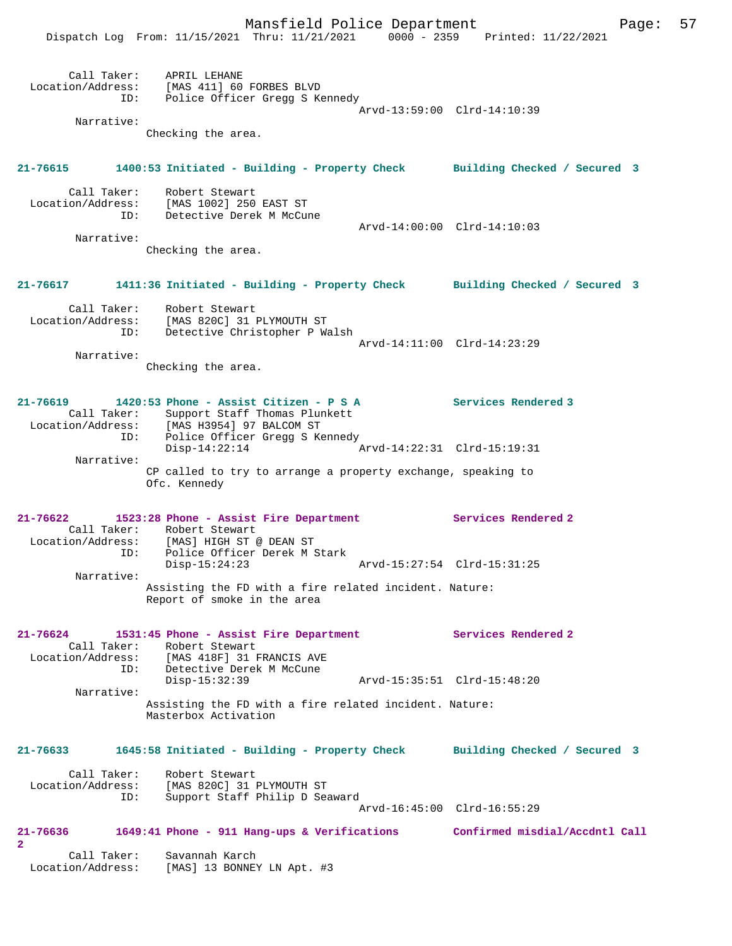|                                                  | Mansfield Police Department<br>Dispatch Log From: 11/15/2021 Thru: 11/21/2021 0000 - 2359 Printed: 11/22/2021                     |                             | 57<br>Page: |
|--------------------------------------------------|-----------------------------------------------------------------------------------------------------------------------------------|-----------------------------|-------------|
| ID:                                              | Call Taker: APRIL LEHANE<br>Location/Address: [MAS 411] 60 FORBES BLVD<br>Police Officer Gregg S Kennedy                          | Arvd-13:59:00 Clrd-14:10:39 |             |
| Narrative:                                       |                                                                                                                                   |                             |             |
|                                                  | Checking the area.                                                                                                                |                             |             |
|                                                  | 21-76615 1400:53 Initiated - Building - Property Check Building Checked / Secured 3                                               |                             |             |
|                                                  | Call Taker: Robert Stewart<br>Location/Address: [MAS 1002] 250 EAST ST<br>ID: Detective Derek M McCune                            |                             |             |
|                                                  |                                                                                                                                   | Arvd-14:00:00 Clrd-14:10:03 |             |
| Narrative:                                       | Checking the area.                                                                                                                |                             |             |
| 21-76617                                         | 1411:36 Initiated - Building - Property Check Building Checked / Secured 3                                                        |                             |             |
|                                                  | Call Taker: Robert Stewart<br>Location/Address: [MAS 820C] 31 PLYMOUTH ST<br>Detective Christopher P Walsh<br>ID:                 |                             |             |
| Narrative:                                       |                                                                                                                                   | Arvd-14:11:00 Clrd-14:23:29 |             |
|                                                  | Checking the area.                                                                                                                |                             |             |
| 21-76619                                         | 1420:53 Phone - Assist Citizen - P S A<br>Call Taker: Support Staff Thomas Plunkett<br>Location/Address: [MAS H3954] 97 BALCOM ST | <b>Services Rendered 3</b>  |             |
| ID:<br>Narrative:                                | Police Officer Gregg S Kennedy<br>$Disp-14:22:14$                                                                                 | Arvd-14:22:31 Clrd-15:19:31 |             |
|                                                  | CP called to try to arrange a property exchange, speaking to<br>Ofc. Kennedy                                                      |                             |             |
| Call Taker:<br>Location/Address:                 | 21-76622 1523:28 Phone - Assist Fire Department<br>Robert Stewart<br>[MAS] HIGH ST @ DEAN ST                                      | Services Rendered 2         |             |
|                                                  | ID: Police Officer Derek M Stark<br>$Disp-15:24:23$                                                                               | Arvd-15:27:54 Clrd-15:31:25 |             |
| Narrative:                                       | Assisting the FD with a fire related incident. Nature:<br>Report of smoke in the area                                             |                             |             |
| $21 - 76624$                                     | 1531:45 Phone - Assist Fire Department<br>Call Taker: Robert Stewart<br>Location/Address: [MAS 418F] 31 FRANCIS AVE               | Services Rendered 2         |             |
|                                                  | ID: Detective Derek M McCune<br>$Disp-15:32:39$                                                                                   | Arvd-15:35:51 Clrd-15:48:20 |             |
| Narrative:                                       | Assisting the FD with a fire related incident. Nature:<br>Masterbox Activation                                                    |                             |             |
| $21 - 76633$                                     | 1645:58 Initiated - Building - Property Check Building Checked / Secured 3                                                        |                             |             |
|                                                  | Call Taker: Robert Stewart<br>Location/Address: [MAS 820C] 31 PLYMOUTH ST<br>Support Staff Philip D Seaward<br>ID:                | Arvd-16:45:00 Clrd-16:55:29 |             |
| 21-76636                                         | 1649:41 Phone - 911 Hang-ups & Verifications Confirmed misdial/Accdntl Call                                                       |                             |             |
| $\mathbf{2}$<br>Call Taker:<br>Location/Address: | Savannah Karch<br>[MAS] 13 BONNEY LN Apt. #3                                                                                      |                             |             |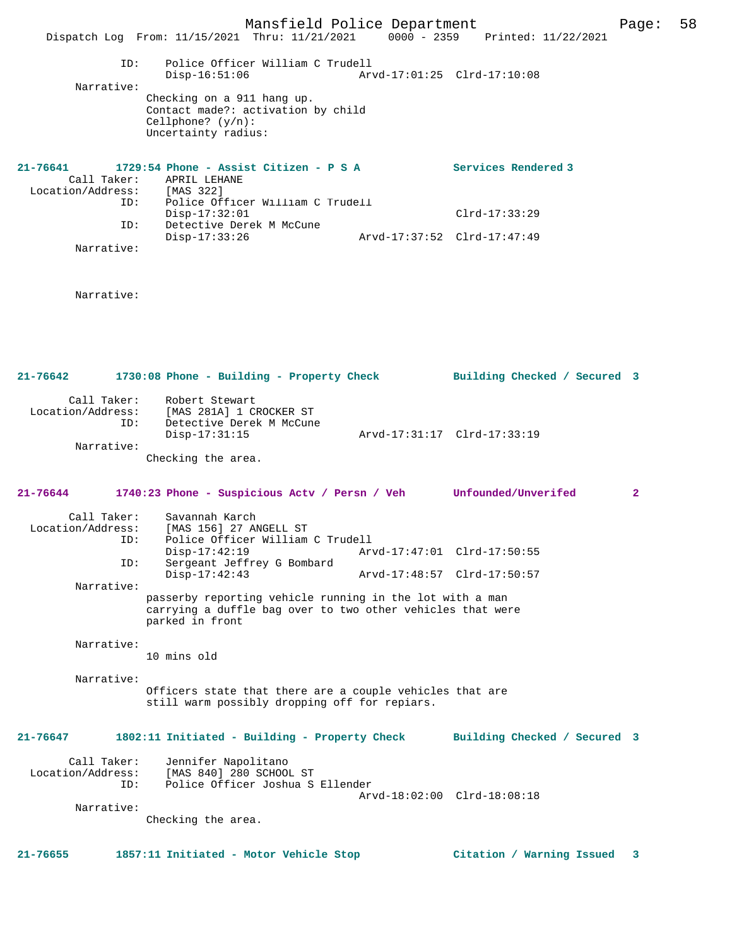|                                                        | Mansfield Police Department<br>Dispatch Log From: 11/15/2021 Thru: 11/21/2021                                                             | 0000 - 2359 Printed: 11/22/2021 | Page: | 58 |
|--------------------------------------------------------|-------------------------------------------------------------------------------------------------------------------------------------------|---------------------------------|-------|----|
| Narrative:                                             | Police Officer William C Trudell<br>ID:<br>$Disp-16:51:06$                                                                                | Arvd-17:01:25 Clrd-17:10:08     |       |    |
|                                                        | Checking on a 911 hang up.<br>Contact made?: activation by child<br>Cellphone? $(y/n)$ :<br>Uncertainty radius:                           |                                 |       |    |
| 21-76641<br>Call Taker:<br>Location/Address: [MAS 322] | 1729:54 Phone - Assist Citizen - P S A<br>APRIL LEHANE                                                                                    | Services Rendered 3             |       |    |
|                                                        | Police Officer William C Trudell<br>ID:<br>$Disp-17:32:01$                                                                                | $Clrd-17:33:29$                 |       |    |
| Narrative:                                             | ID:<br>Detective Derek M McCune<br>$Disp-17:33:26$                                                                                        | Arvd-17:37:52 Clrd-17:47:49     |       |    |
| Narrative:                                             |                                                                                                                                           |                                 |       |    |
| $21 - 76642$                                           | 1730:08 Phone - Building - Property Check                                                                                                 | Building Checked / Secured 3    |       |    |
| Call Taker:<br>Location/Address:                       | Robert Stewart<br>[MAS 281A] 1 CROCKER ST                                                                                                 |                                 |       |    |
|                                                        | ID:<br>Detective Derek M McCune<br>$Disp-17:31:15$                                                                                        | Arvd-17:31:17 Clrd-17:33:19     |       |    |
| Narrative:                                             | Checking the area.                                                                                                                        |                                 |       |    |
| 21-76644                                               | 1740:23 Phone - Suspicious Actv / Persn / Veh Unfounded/Unverifed                                                                         |                                 | 2     |    |
| Call Taker:<br>Location/Address:                       | Savannah Karch<br>[MAS 156] 27 ANGELL ST<br>Police Officer William C Trudell<br>ID:                                                       |                                 |       |    |
|                                                        | Disp-17:42:19 Arvd-17:47:01 Clrd-17:50:55<br>Sergeant Jeffrey G Bombard<br>ID:                                                            |                                 |       |    |
| Narrative:                                             | $Disp-17:42:43$                                                                                                                           | Arvd-17:48:57 Clrd-17:50:57     |       |    |
|                                                        | passerby reporting vehicle running in the lot with a man<br>carrying a duffle bag over to two other vehicles that were<br>parked in front |                                 |       |    |
| Narrative:                                             | 10 mins old                                                                                                                               |                                 |       |    |
| Narrative:                                             | Officers state that there are a couple vehicles that are<br>still warm possibly dropping off for repiars.                                 |                                 |       |    |
| $21 - 76647$                                           | 1802:11 Initiated - Building - Property Check                                                                                             | Building Checked / Secured 3    |       |    |
| Call Taker:<br>Location/Address:                       | Jennifer Napolitano<br>[MAS 840] 280 SCHOOL ST<br>Police Officer Joshua S Ellender<br>ID:                                                 | Arvd-18:02:00 Clrd-18:08:18     |       |    |
| Narrative:                                             | Checking the area.                                                                                                                        |                                 |       |    |
|                                                        |                                                                                                                                           |                                 |       |    |
| $21 - 76655$                                           | 1857:11 Initiated - Motor Vehicle Stop                                                                                                    | Citation / Warning Issued       | 3     |    |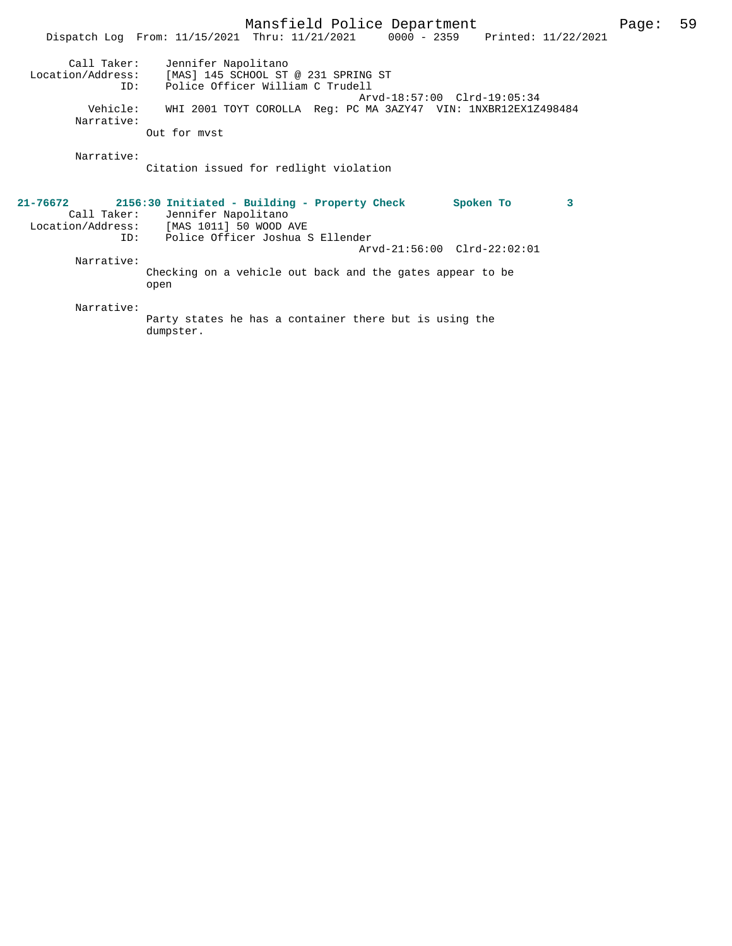|                                                                   | Mansfield Police Department<br>Dispatch Log From: 11/15/2021 Thru: 11/21/2021 0000 - 2359 Printed: 11/22/2021                                                                                                     | Page: | 59 |
|-------------------------------------------------------------------|-------------------------------------------------------------------------------------------------------------------------------------------------------------------------------------------------------------------|-------|----|
| Call Taker:<br>Location/Address:<br>ID:<br>Vehicle:<br>Narrative: | Jennifer Napolitano<br>[MAS] 145 SCHOOL ST @ 231 SPRING ST<br>Police Officer William C Trudell<br>Arvd-18:57:00 Clrd-19:05:34<br>WHI 2001 TOYT COROLLA Req: PC MA 3AZY47 VIN: 1NXBR12EX1Z498484<br>Out for myst   |       |    |
| Narrative:                                                        | Citation issued for redlight violation                                                                                                                                                                            |       |    |
| 21-76672<br>ID:                                                   | 2156:30 Initiated - Building - Property Check<br>Spoken To<br>3<br>Call Taker: Jennifer Napolitano<br>Location/Address: [MAS 1011] 50 WOOD AVE<br>Police Officer Joshua S Ellender<br>Arvd-21:56:00 Clrd-22:02:01 |       |    |
| Narrative:                                                        | Checking on a vehicle out back and the gates appear to be<br>open                                                                                                                                                 |       |    |
| Narrative:                                                        | Party states he has a container there but is using the<br>dumpster.                                                                                                                                               |       |    |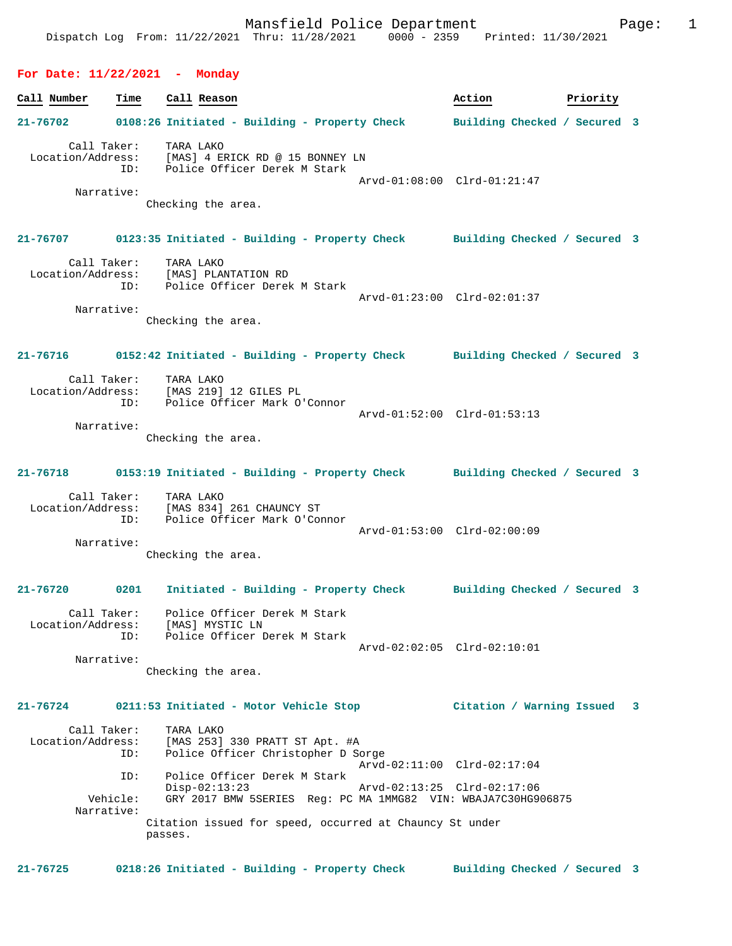#### **For Date: 11/22/2021 - Monday**

**Call Number Time Call Reason 6 and Call Reason Action Action Priority 21-76702 0108:26 Initiated - Building - Property Check Building Checked / Secured 3** Call Taker: TARA LAKO Location/Address: [MAS] 4 ERICK RD @ 15 BONNEY LN ID: Police Officer Derek M Stark Arvd-01:08:00 Clrd-01:21:47 Narrative: Checking the area. **21-76707 0123:35 Initiated - Building - Property Check Building Checked / Secured 3** Call Taker: TARA LAKO Location/Address: [MAS] PLANTATION RD ID: Police Officer Derek M Stark Arvd-01:23:00 Clrd-02:01:37 Narrative: Checking the area. **21-76716 0152:42 Initiated - Building - Property Check Building Checked / Secured 3** Call Taker: TARA LAKO<br>Location/Address: [MAS 219]  $[MAS 219] 12$  GILES PL ID: Police Officer Mark O'Connor Arvd-01:52:00 Clrd-01:53:13 Narrative: Checking the area. **21-76718 0153:19 Initiated - Building - Property Check Building Checked / Secured 3** Call Taker: TARA LAKO Location/Address: [MAS 834] 261 CHAUNCY ST ID: Police Officer Mark O'Connor Arvd-01:53:00 Clrd-02:00:09 Narrative: Checking the area. **21-76720 0201 Initiated - Building - Property Check Building Checked / Secured 3** Call Taker: Police Officer Derek M Stark Location/Address: [MAS] MYSTIC LN ID: Police Officer Derek M Stark Arvd-02:02:05 Clrd-02:10:01 Narrative: Checking the area. **21-76724 0211:53 Initiated - Motor Vehicle Stop Citation / Warning Issued 3** Call Taker: TARA LAKO<br>Location/Address: [MAS 253] ess: [MAS 253] 330 PRATT ST Apt. #A<br>TD: Police Officer Christopher D So Police Officer Christopher D Sorge Arvd-02:11:00 Clrd-02:17:04<br>TD: Police Officer Derek M Stark Police Officer Derek M Stark<br>Disp-02:13:23 Disp-02:13:23 Arvd-02:13:25 Clrd-02:17:06<br>Vehicle: GRY 2017 BMW 5SERIES Reg: PC MA 1MMG82 VIN: WBAJA7C30HG9 GRY 2017 BMW 5SERIES Reg: PC MA 1MMG82 VIN: WBAJA7C30HG906875 Narrative: Citation issued for speed, occurred at Chauncy St under passes.

**21-76725 0218:26 Initiated - Building - Property Check Building Checked / Secured 3**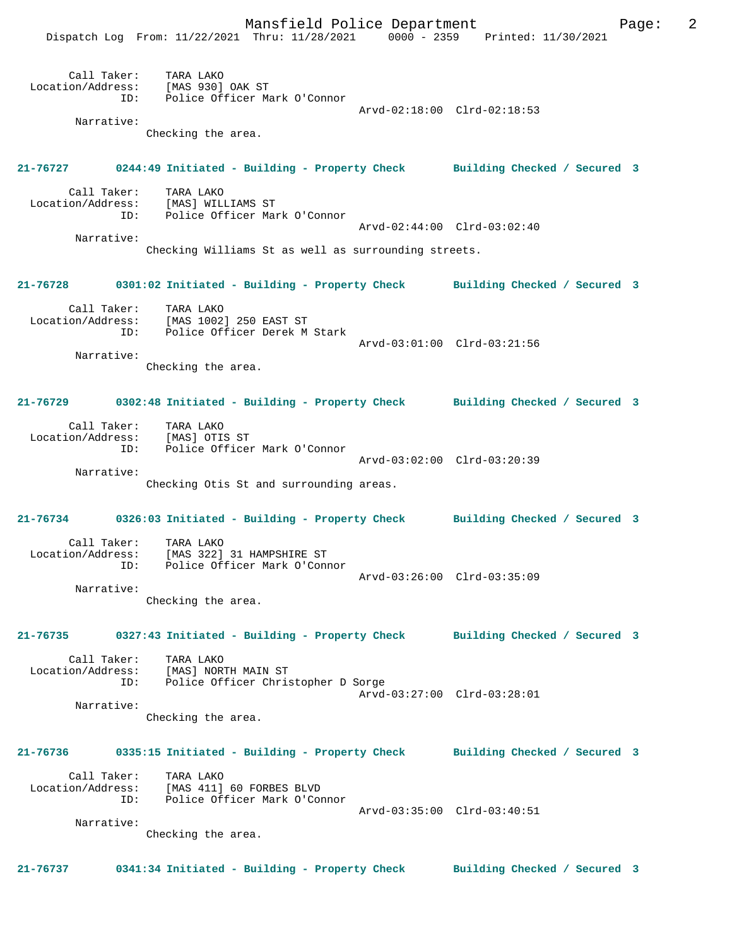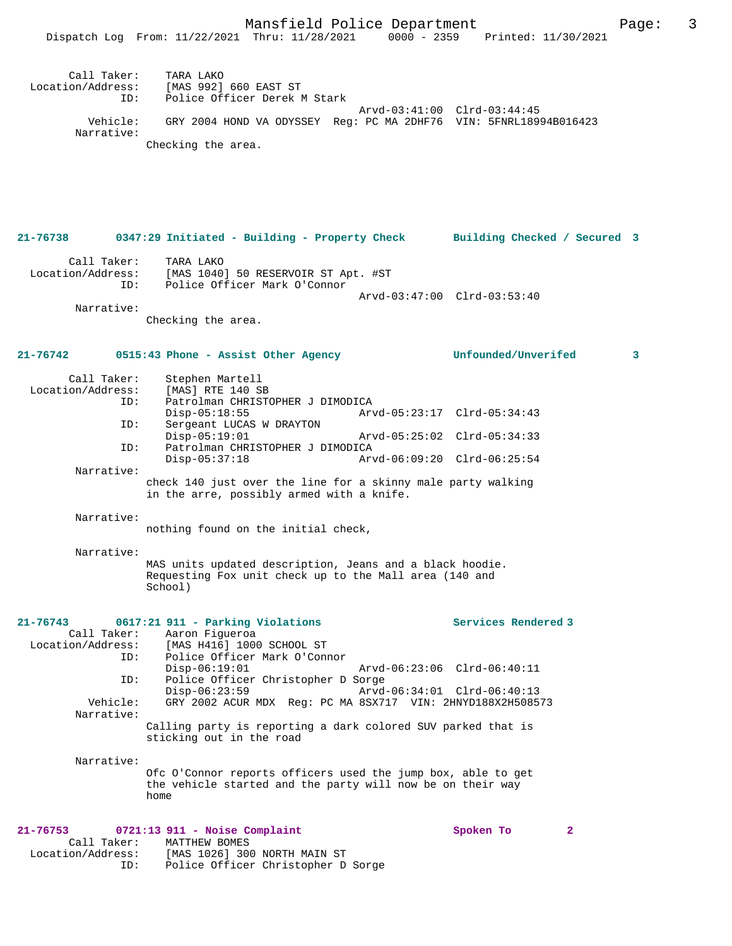Mansfield Police Department Fage: 3 Dispatch Log From: 11/22/2021 Thru: 11/28/2021 0000 - 2359 Printed: 11/30/2021 Call Taker: TARA LAKO<br>Location/Address: [MAS 992] [MAS 992] 660 EAST ST ID: Police Officer Derek M Stark Arvd-03:41:00 Clrd-03:44:45 Vehicle: GRY 2004 HOND VA ODYSSEY Reg: PC MA 2DHF76 VIN: 5FNRL18994B016423 Narrative: Checking the area. **21-76738 0347:29 Initiated - Building - Property Check Building Checked / Secured 3** Call Taker: TARA LAKO Location/Address: [MAS 1040] 50 RESERVOIR ST Apt. #ST Police Officer Mark O'Connor Arvd-03:47:00 Clrd-03:53:40 Narrative: Checking the area. **21-76742 0515:43 Phone - Assist Other Agency Unfounded/Unverifed 3** Call Taker: Stephen Martell Location/Address: [MAS] RTE 140 SB ID: Patrolman CHRISTOPHER J DIMODICA<br>Disp-05:18:55 Arv Disp-05:18:55 Arvd-05:23:17 Clrd-05:34:43<br>TD: Sergeant LUCAS W DRAYTON Sergeant LUCAS W DRAYTON<br>Disp-05:19:01 Disp-05:19:01 Arvd-05:25:02 Clrd-05:34:33 ID: Patrolman CHRISTOPHER J DIMODICA Disp-05:37:18 Arvd-06:09:20 Clrd-06:25:54 Narrative: check 140 just over the line for a skinny male party walking in the arre, possibly armed with a knife. Narrative: nothing found on the initial check, Narrative: MAS units updated description, Jeans and a black hoodie. Requesting Fox unit check up to the Mall area (140 and School) **21-76743 0617:21 911 - Parking Violations Services Rendered 3**  Call Taker: Aaron Figueroa Location/Address: [MAS H416] 1000 SCHOOL ST<br>TD: Police Officer Mark O'Conn Police Officer Mark O'Connor<br>Disp-06:19:01 Disp-06:19:01 Arvd-06:23:06 Clrd-06:40:11 ID: Police Officer Christopher D Sorge Disp-06:23:59 <br>Vehicle: GRY 2002 ACUR MDX Req: PC MA 8SX717 VIN: 2HNYD188X2H5085 GRY 2002 ACUR MDX Reg: PC MA 8SX717 VIN: 2HNYD188X2H508573 Narrative: Calling party is reporting a dark colored SUV parked that is sticking out in the road Narrative: Ofc O'Connor reports officers used the jump box, able to get the vehicle started and the party will now be on their way home **21-76753 0721:13 911 - Noise Complaint Spoken To 2**  Call Taker: MATTHEW BOMES<br>Location/Address: [MAS 1026] 300 ess: [MAS 1026] 300 NORTH MAIN ST<br>ID: Police Officer Christopher D Police Officer Christopher D Sorge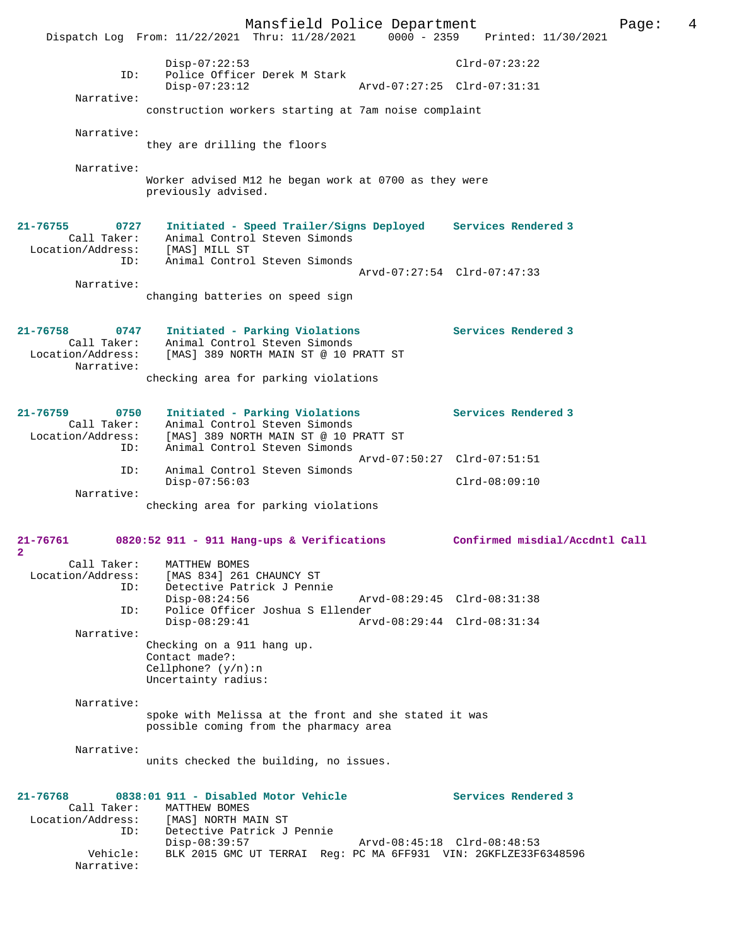Mansfield Police Department Page: 4 Dispatch Log From: 11/22/2021 Thru: 11/28/2021 0000 - 2359 Disp-07:22:53 Clrd-07:23:22 ID: Police Officer Derek M Stark Disp-07:23:12 Arvd-07:27:25 Clrd-07:31:31 Narrative: construction workers starting at 7am noise complaint Narrative: they are drilling the floors Narrative: Worker advised M12 he began work at 0700 as they were previously advised. **21-76755 0727 Initiated - Speed Trailer/Signs Deployed Services Rendered 3**  Animal Control Steven Simonds Call Taker: Animal Control<br>Location/Address: [MAS] MILL ST ID: Animal Control Steven Simonds Arvd-07:27:54 Clrd-07:47:33 Narrative: changing batteries on speed sign **21-76758 0747 Initiated - Parking Violations Services Rendered 3**  Call Taker: Animal Control Steven Simonds Location/Address: [MAS] 389 NORTH MAIN ST @ 10 PRATT ST Narrative: checking area for parking violations **21-76759 0750 Initiated - Parking Violations Services Rendered 3**  Call Taker: Animal Control Steven Simonds<br>Location/Address: [MAS] 389 NORTH MAIN ST @ 10 P [MAS] 389 NORTH MAIN ST @ 10 PRATT ST ID: Animal Control Steven Simonds Arvd-07:50:27 Clrd-07:51:51 ID: Animal Control Steven Simonds Disp-07:56:03 Clrd-08:09:10 Narrative: checking area for parking violations **21-76761 0820:52 911 - 911 Hang-ups & Verifications Confirmed misdial/Accdntl Call 2**  Call Taker: MATTHEW BOMES Location/Address: [MAS 834] 261 CHAUNCY ST<br>ID: Detective Patrick J Penni Detective Patrick J Pennie<br>Disp-08:24:56 Disp-08:24:56 Arvd-08:29:45 Clrd-08:31:38<br>TD: Police Officer Joshua S Ellender Police Officer Joshua S Ellender<br>Disp-08:29:41 Arv Disp-08:29:41 Arvd-08:29:44 Clrd-08:31:34 Narrative: Checking on a 911 hang up. Contact made?: Cellphone? (y/n):n Uncertainty radius: Narrative: spoke with Melissa at the front and she stated it was possible coming from the pharmacy area Narrative: units checked the building, no issues. **21-76768 0838:01 911 - Disabled Motor Vehicle Services Rendered 3**  Call Taker: MATTHEW BOMES<br>Location/Address: [MAS] NORTH MI ess: [MAS] NORTH MAIN ST<br>ID: Detective Patrick J .<br>Detective Patrick J Pennie<br>Disp-08:39:57 Disp-08:39:57 Arvd-08:45:18 Clrd-08:48:53<br>Vehicle: BLK 2015 GMC UT TERRAI Req: PC MA 6FF931 VIN: 2GKFLZE33F BLK 2015 GMC UT TERRAI Reg: PC MA 6FF931 VIN: 2GKFLZE33F6348596 Narrative: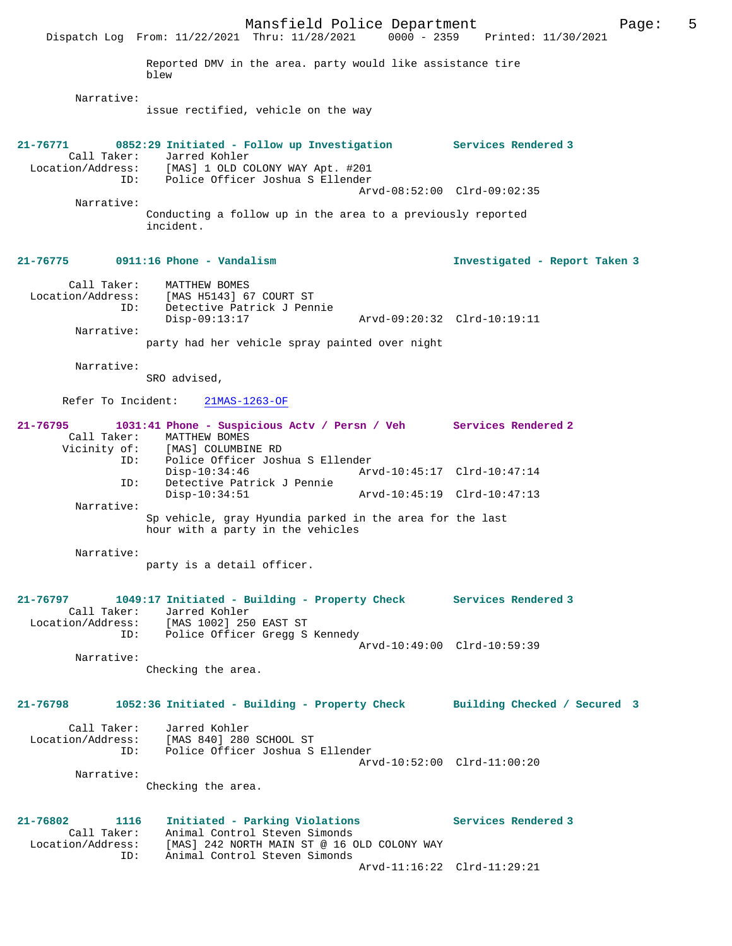Mansfield Police Department Form Page: 5 Dispatch Log From: 11/22/2021 Thru: 11/28/2021 0000 - 2359 Printed: 11/30/2021 Reported DMV in the area. party would like assistance tire blew Narrative: issue rectified, vehicle on the way **21-76771 0852:29 Initiated - Follow up Investigation Services Rendered 3**  Call Taker: Jarred Kohler Location/Address: [MAS] 1 OLD COLONY WAY Apt. #201 ID: Police Officer Joshua S Ellender Arvd-08:52:00 Clrd-09:02:35 Narrative: Conducting a follow up in the area to a previously reported incident. **21-76775 0911:16 Phone - Vandalism Investigated - Report Taken 3** Call Taker: MATTHEW BOMES<br>Location/Address: [MAS H5143] 6 [MAS H5143] 67 COURT ST ID: Detective Patrick J Pennie Disp-09:13:17 Arvd-09:20:32 Clrd-10:19:11 Narrative: party had her vehicle spray painted over night Narrative: SRO advised, Refer To Incident: 21MAS-1263-OF **21-76795 1031:41 Phone - Suspicious Actv / Persn / Veh Services Rendered 2**  Call Taker: MATTHEW BOMES<br>Vicinity of: [MAS] COLUMBII [MAS] COLUMBINE RD ID: Police Officer Joshua S Ellender Disp-10:34:46 Arvd-10:45:17 Clrd-10:47:14 ID: Detective Patrick J Pennie Disp-10:34:51 Arvd-10:45:19 Clrd-10:47:13 Narrative: Sp vehicle, gray Hyundia parked in the area for the last hour with a party in the vehicles Narrative: party is a detail officer. **21-76797 1049:17 Initiated - Building - Property Check Services Rendered 3**  Call Taker: Jarred Kohler Location/Address: [MAS 1002] 250 EAST ST ID: Police Officer Gregg S Kennedy Arvd-10:49:00 Clrd-10:59:39 Narrative: Checking the area. **21-76798 1052:36 Initiated - Building - Property Check Building Checked / Secured 3** Call Taker: Jarred Kohler Location/Address: [MAS 840] 280 SCHOOL ST ID: Police Officer Joshua S Ellender Arvd-10:52:00 Clrd-11:00:20 Narrative: Checking the area. **21-76802 1116 Initiated - Parking Violations Services Rendered 3**  Call Taker: Animal Control Steven Simonds Location/Address: [MAS] 242 NORTH MAIN ST @ 16 OLD COLONY WAY ID: Animal Control Steven Simonds Arvd-11:16:22 Clrd-11:29:21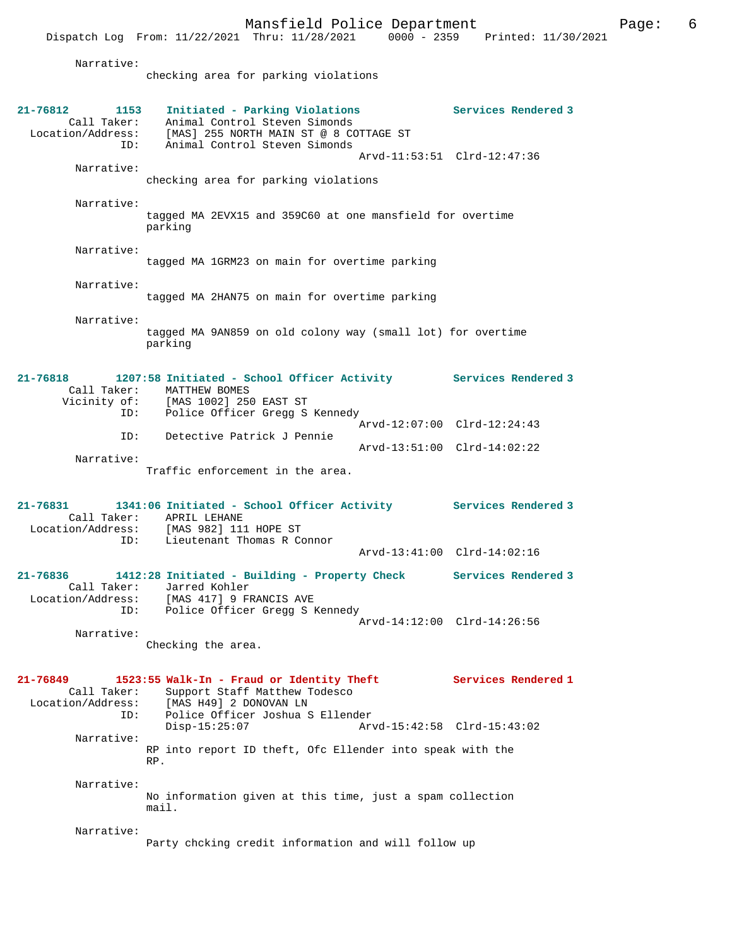Dispatch Log From: 11/22/2021 Thru: 11/28/2021 0000 - 2359 Printed: 11/30/2021

Narrative:

checking area for parking violations

| $21 - 76812$<br>1153<br>Call Taker:<br>Location/Address: | Initiated - Parking Violations<br>Animal Control Steven Simonds<br>[MAS] 255 NORTH MAIN ST @ 8 COTTAGE ST                               | Services Rendered 3         |
|----------------------------------------------------------|-----------------------------------------------------------------------------------------------------------------------------------------|-----------------------------|
| ID:<br>Narrative:                                        | Animal Control Steven Simonds                                                                                                           | Arvd-11:53:51 Clrd-12:47:36 |
|                                                          | checking area for parking violations                                                                                                    |                             |
| Narrative:                                               | tagged MA 2EVX15 and 359C60 at one mansfield for overtime<br>parking                                                                    |                             |
| Narrative:                                               | tagged MA 1GRM23 on main for overtime parking                                                                                           |                             |
| Narrative:                                               | tagged MA 2HAN75 on main for overtime parking                                                                                           |                             |
| Narrative:                                               | tagged MA 9AN859 on old colony way (small lot) for overtime<br>parking                                                                  |                             |
| 21-76818                                                 | 1207:58 Initiated - School Officer Activity Services Rendered 3<br>Call Taker: MATTHEW BOMES<br>Vicinity of: [MAS 1002] 250 EAST ST     |                             |
| ID:                                                      | Police Officer Gregg S Kennedy                                                                                                          | Arvd-12:07:00 Clrd-12:24:43 |
| ID:<br>Narrative:                                        | Detective Patrick J Pennie                                                                                                              | Arvd-13:51:00 Clrd-14:02:22 |
|                                                          | Traffic enforcement in the area.                                                                                                        |                             |
| 21-76831                                                 | 1341:06 Initiated - School Officer Activity Services Rendered 3<br>Call Taker: APRIL LEHANE<br>Location/Address: [MAS 982] 111 HOPE ST  |                             |
| ID:                                                      | Lieutenant Thomas R Connor                                                                                                              | Arvd-13:41:00 Clrd-14:02:16 |
| 21-76836<br>Location/Address:<br>ID:                     | 1412:28 Initiated - Building - Property Check<br>Call Taker: Jarred Kohler<br>[MAS 417] 9 FRANCIS AVE<br>Police Officer Gregg S Kennedy | Services Rendered 3         |
| Narrative:                                               |                                                                                                                                         | Arvd-14:12:00 Clrd-14:26:56 |
|                                                          | Checking the area.                                                                                                                      |                             |
| 21-76849<br>Call Taker:<br>Location/Address:             | 1523:55 Walk-In - Fraud or Identity Theft<br>Support Staff Matthew Todesco<br>[MAS H49] 2 DONOVAN LN                                    | Services Rendered 1         |
| ID:                                                      | Police Officer Joshua S Ellender<br>$Disp-15:25:07$                                                                                     | Arvd-15:42:58 Clrd-15:43:02 |
| Narrative:                                               | RP into report ID theft, Ofc Ellender into speak with the<br>RP.                                                                        |                             |
| Narrative:                                               | No information given at this time, just a spam collection<br>mail.                                                                      |                             |
| Narrative:                                               | Party chcking credit information and will follow up                                                                                     |                             |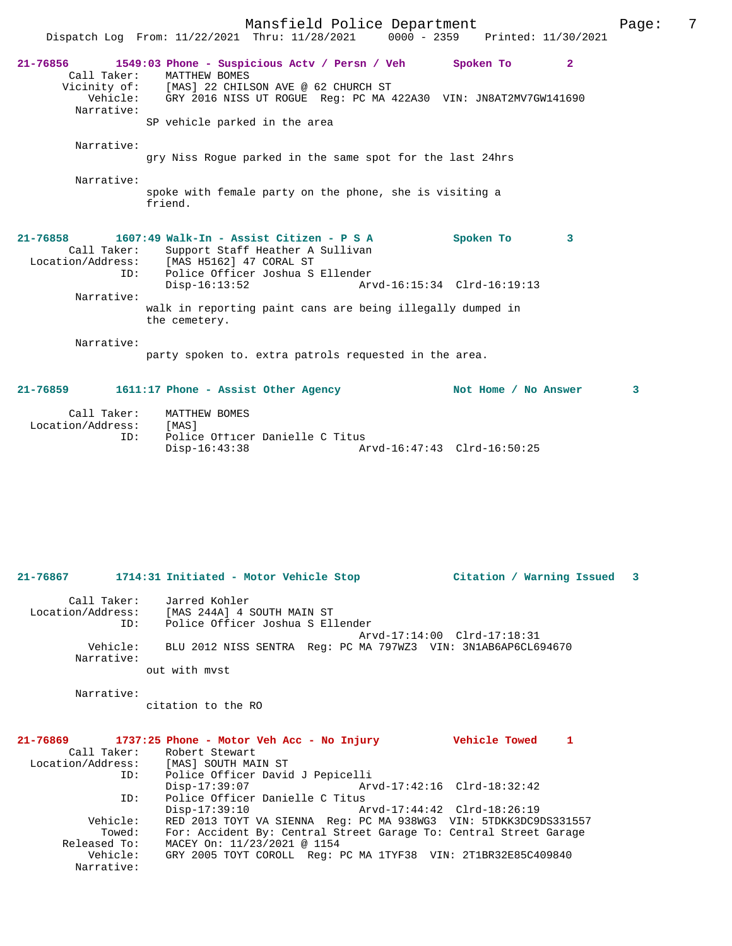|                                                                                |                                                | Mansfield Police Department<br>Dispatch Log From: 11/22/2021 Thru: 11/28/2021 0000 - 2359 Printed: 11/30/2021                                                                              |                             |                      | Page: | 7 |
|--------------------------------------------------------------------------------|------------------------------------------------|--------------------------------------------------------------------------------------------------------------------------------------------------------------------------------------------|-----------------------------|----------------------|-------|---|
| $21 - 76856$<br>Call Taker:<br>Narrative:                                      | MATTHEW BOMES<br>SP vehicle parked in the area | 1549:03 Phone - Suspicious Actv / Persn / Veh Spoken To<br>Vicinity of: [MAS] 22 CHILSON AVE @ 62 CHURCH ST<br>Vehicle: GRY 2016 NISS UT ROGUE Reg: PC MA 422A30 VIN: JN8AT2MV7GW141690    |                             | $\mathbf{2}$         |       |   |
| Narrative:                                                                     |                                                | gry Niss Roque parked in the same spot for the last 24hrs                                                                                                                                  |                             |                      |       |   |
| Narrative:                                                                     | friend.                                        | spoke with female party on the phone, she is visiting a                                                                                                                                    |                             |                      |       |   |
| $21 - 76858$<br>Location/Address: [MAS H5162] 47 CORAL ST<br>ID:<br>Narrative: | $Disp-16:13:52$<br>the cemetery.               | 1607:49 Walk-In - Assist Citizen - P S A<br>Call Taker: Support Staff Heather A Sullivan<br>Police Officer Joshua S Ellender<br>walk in reporting paint cans are being illegally dumped in | Arvd-16:15:34 Clrd-16:19:13 | Spoken To<br>3       |       |   |
| Narrative:                                                                     |                                                | party spoken to. extra patrols requested in the area.                                                                                                                                      |                             |                      |       |   |
| $21-76859$ 1611:17 Phone - Assist Other Agency                                 |                                                |                                                                                                                                                                                            |                             | Not Home / No Answer | 3     |   |
| Call Taker:                                                                    | MATTHEW BOMES                                  |                                                                                                                                                                                            |                             |                      |       |   |

| 21-76867                         |          | 1714:31 Initiated - Motor Vehicle Stop<br>Citation / Warning Issued<br>$\overline{\phantom{a}}$ 3 |
|----------------------------------|----------|---------------------------------------------------------------------------------------------------|
| Call Taker:<br>Location/Address: | ID:      | Jarred Kohler<br>[MAS 244A] 4 SOUTH MAIN ST<br>Police Officer Joshua S Ellender                   |
| Narrative:                       | Vehicle: | Arvd-17:14:00 Clrd-17:18:31<br>BLU 2012 NISS SENTRA Req: PC MA 797WZ3 VIN: 3N1AB6AP6CL694670      |
|                                  |          | out with myst                                                                                     |

Disp-16:43:38 Arvd-16:47:43 Clrd-16:50:25

Narrative:

Location/Address: [MAS]

citation to the RO

ID: Police Officer Danielle C Titus

|                   | $21-76869$ 1737:25 Phone - Motor Veh Acc - No Injury              | <b>Vehicle Towed</b><br>1   |
|-------------------|-------------------------------------------------------------------|-----------------------------|
|                   | Call Taker: Robert Stewart                                        |                             |
| Location/Address: | [MAS] SOUTH MAIN ST                                               |                             |
| ID:               | Police Officer David J Pepicelli                                  |                             |
|                   | $Disp-17:39:07$                                                   | Arvd-17:42:16 Clrd-18:32:42 |
| ID:               | Police Officer Danielle C Titus                                   |                             |
|                   | $Disp-17:39:10$                                                   |                             |
| Vehicle:          | RED 2013 TOYT VA SIENNA Req: PC MA 938WG3 VIN: 5TDKK3DC9DS331557  |                             |
| Towed:            | For: Accident By: Central Street Garage To: Central Street Garage |                             |
| Released To:      | MACEY On: 11/23/2021 @ 1154                                       |                             |
| Vehicle:          | GRY 2005 TOYT COROLL Req: PC MA 1TYF38 VIN: 2T1BR32E85C409840     |                             |
| Narrative:        |                                                                   |                             |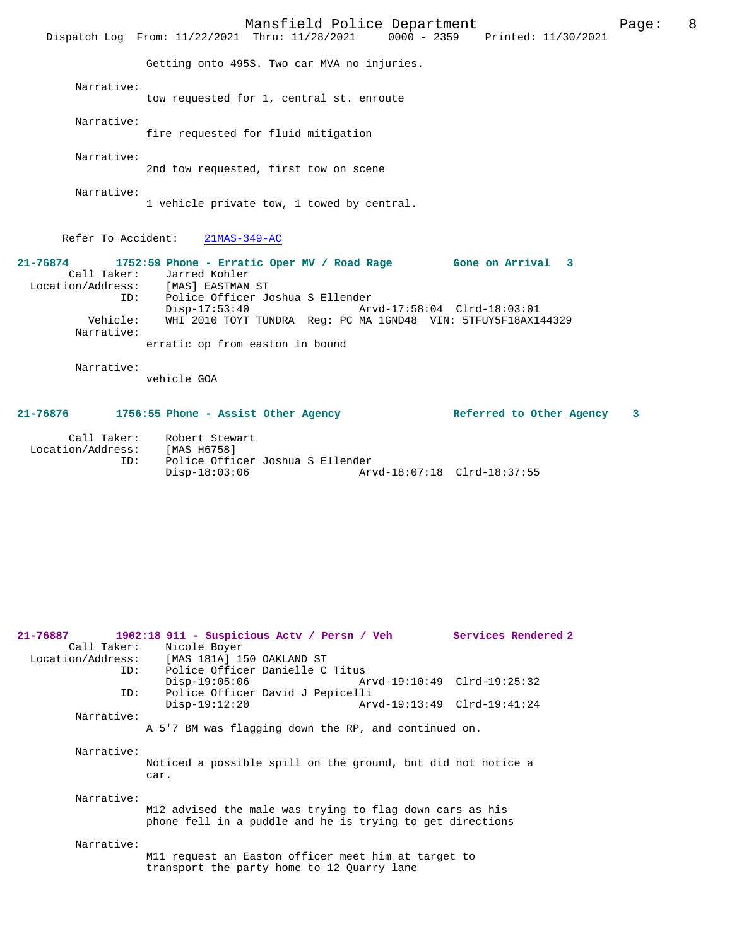|                                                     | Mansfield Police Department<br>Dispatch Log From: 11/22/2021 Thru: 11/28/2021 0000 - 2359 Printed: 11/30/2021                                                                                                                                                                                                                       |                             | Page: | 8 |
|-----------------------------------------------------|-------------------------------------------------------------------------------------------------------------------------------------------------------------------------------------------------------------------------------------------------------------------------------------------------------------------------------------|-----------------------------|-------|---|
|                                                     | Getting onto 495S. Two car MVA no injuries.                                                                                                                                                                                                                                                                                         |                             |       |   |
| Narrative:                                          | tow requested for 1, central st. enroute                                                                                                                                                                                                                                                                                            |                             |       |   |
| Narrative:                                          | fire requested for fluid mitigation                                                                                                                                                                                                                                                                                                 |                             |       |   |
| Narrative:                                          | 2nd tow requested, first tow on scene                                                                                                                                                                                                                                                                                               |                             |       |   |
| Narrative:                                          | 1 vehicle private tow, 1 towed by central.                                                                                                                                                                                                                                                                                          |                             |       |   |
|                                                     | Refer To Accident: 21MAS-349-AC                                                                                                                                                                                                                                                                                                     |                             |       |   |
| ID:<br>Vehicle:<br>Narrative:                       | 21-76874 1752:59 Phone - Erratic Oper MV / Road Rage Gone on Arrival 3<br>Call Taker: Jarred Kohler<br>Location/Address: [MAS] EASTMAN ST<br>Police Officer Joshua S Ellender<br>$Disp-17:53:40$<br>Arvd-17:58:04 Clrd-18:03:01<br>WHI 2010 TOYT TUNDRA Reg: PC MA 1GND48 VIN: 5TFUY5F18AX144329<br>erratic op from easton in bound |                             |       |   |
| Narrative:                                          | vehicle GOA                                                                                                                                                                                                                                                                                                                         |                             |       |   |
|                                                     | 21-76876 1756:55 Phone - Assist Other Agency                                                                                                                                                                                                                                                                                        | Referred to Other Agency    | 3     |   |
| Location/Address: [MAS H6758]<br>ID:                | Call Taker: Robert Stewart<br>Police Officer Joshua S Ellender<br>$Disp-18:03:06$                                                                                                                                                                                                                                                   | Arvd-18:07:18 Clrd-18:37:55 |       |   |
| 21-76887<br>Call Taker:<br>Location/Address:<br>ID: | 1902:18 911 - Suspicious Actv / Persn / Veh<br>Nicole Boyer<br>[MAS 181A] 150 OAKLAND ST<br>Police Officer Danielle C Titus                                                                                                                                                                                                         | Services Rendered 2         |       |   |
| ID:                                                 | $Disp-19:05:06$<br>Police Officer David J Pepicelli                                                                                                                                                                                                                                                                                 | Arvd-19:10:49 Clrd-19:25:32 |       |   |
| Narrative:                                          | $Disp-19:12:20$                                                                                                                                                                                                                                                                                                                     | Arvd-19:13:49 Clrd-19:41:24 |       |   |
|                                                     | A 5'7 BM was flagging down the RP, and continued on.                                                                                                                                                                                                                                                                                |                             |       |   |
|                                                     |                                                                                                                                                                                                                                                                                                                                     |                             |       |   |
| Narrative:                                          | Noticed a possible spill on the ground, but did not notice a<br>car.                                                                                                                                                                                                                                                                |                             |       |   |

M12 advised the male was trying to flag down cars as his phone fell in a puddle and he is trying to get directions

#### Narrative:

M11 request an Easton officer meet him at target to transport the party home to 12 Quarry lane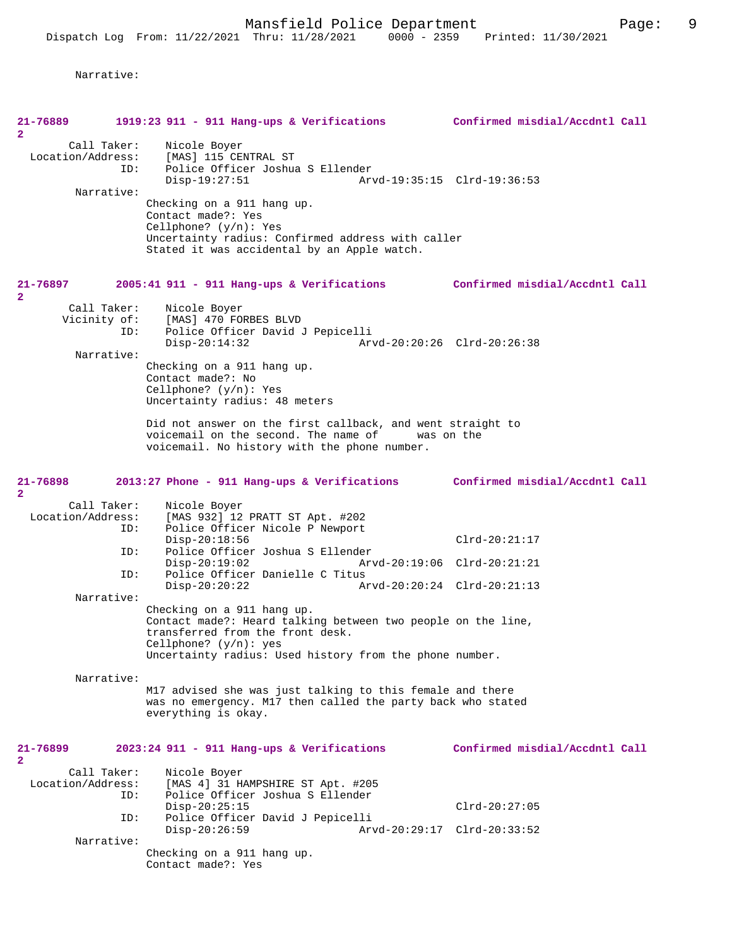Narrative:

| 21-76889<br>$\mathbf{2}$      | 1919:23 911 - 911 Hang-ups & Verifications Confirmed misdial/Accdntl Call                  |                                |
|-------------------------------|--------------------------------------------------------------------------------------------|--------------------------------|
| Call Taker:                   | Nicole Boyer                                                                               |                                |
| Location/Address:             | [MAS] 115 CENTRAL ST                                                                       |                                |
| ID:                           | Police Officer Joshua S Ellender                                                           |                                |
| Narrative:                    | $Disp-19:27:51$                                                                            | Arvd-19:35:15 Clrd-19:36:53    |
|                               | Checking on a 911 hang up.                                                                 |                                |
|                               | Contact made?: Yes                                                                         |                                |
|                               | Cellphone? $(y/n)$ : Yes                                                                   |                                |
|                               | Uncertainty radius: Confirmed address with caller                                          |                                |
|                               | Stated it was accidental by an Apple watch.                                                |                                |
|                               |                                                                                            |                                |
| 21-76897                      | $2005:41$ 911 - 911 Hang-ups & Verifications                                               | Confirmed misdial/Accdntl Call |
| $\overline{a}$<br>Call Taker: |                                                                                            |                                |
|                               | Nicole Boyer<br>Vicinity of: [MAS] 470 FORBES BLVD                                         |                                |
| ID:                           | Police Officer David J Pepicelli                                                           |                                |
|                               | $Disp-20:14:32$                                                                            | Arvd-20:20:26 Clrd-20:26:38    |
| Narrative:                    |                                                                                            |                                |
|                               | Checking on a 911 hang up.                                                                 |                                |
|                               | Contact made?: No                                                                          |                                |
|                               | Cellphone? $(y/n)$ : Yes<br>Uncertainty radius: 48 meters                                  |                                |
|                               |                                                                                            |                                |
|                               | Did not answer on the first callback, and went straight to                                 |                                |
|                               | voicemail on the second. The name of was on the                                            |                                |
|                               | voicemail. No history with the phone number.                                               |                                |
|                               |                                                                                            |                                |
| 21-76898                      | 2013:27 Phone - 911 Hang-ups & Verifications                                               | Confirmed misdial/Accdntl Call |
| $\overline{2}$                |                                                                                            |                                |
| Call Taker:                   | Nicole Boyer                                                                               |                                |
| Location/Address:             | [MAS 932] 12 PRATT ST Apt. #202                                                            |                                |
| ID:                           | Police Officer Nicole P Newport<br>$Disp-20:18:56$                                         |                                |
| ID:                           | Police Officer Joshua S Ellender                                                           | $Clrd-20:21:17$                |
|                               | $Disp-20:19:02$                                                                            | Arvd-20:19:06 Clrd-20:21:21    |
| ID:                           | Police Officer Danielle C Titus                                                            |                                |
|                               | $Disp-20:20:22$                                                                            | Arvd-20:20:24 Clrd-20:21:13    |
| Narrative:                    |                                                                                            |                                |
|                               | Checking on a 911 hang up.<br>Contact made?: Heard talking between two people on the line, |                                |
|                               | transferred from the front desk.                                                           |                                |
|                               | Cellphone? $(y/n)$ : yes                                                                   |                                |
|                               | Uncertainty radius: Used history from the phone number.                                    |                                |
|                               |                                                                                            |                                |
| Narrative:                    | M17 advised she was just talking to this female and there                                  |                                |
|                               | was no emergency. M17 then called the party back who stated                                |                                |
|                               | everything is okay.                                                                        |                                |
|                               |                                                                                            |                                |
|                               |                                                                                            |                                |
| 21-76899<br>2                 | $2023:24$ 911 - 911 Hang-ups & Verifications                                               | Confirmed misdial/Accdntl Call |
| Call Taker:                   | Nicole Boyer                                                                               |                                |
| Location/Address:             | [MAS 4] 31 HAMPSHIRE ST Apt. #205                                                          |                                |
| ID:                           | Police Officer Joshua S Ellender                                                           |                                |
|                               | $Disp-20:25:15$                                                                            | $Clrd-20:27:05$                |
| ID:                           | Police Officer David J Pepicelli                                                           |                                |
| Narrative:                    | $Disp-20:26:59$                                                                            | Arvd-20:29:17 Clrd-20:33:52    |
|                               | Checking on a 911 hang up.                                                                 |                                |
|                               | Contact made?: Yes                                                                         |                                |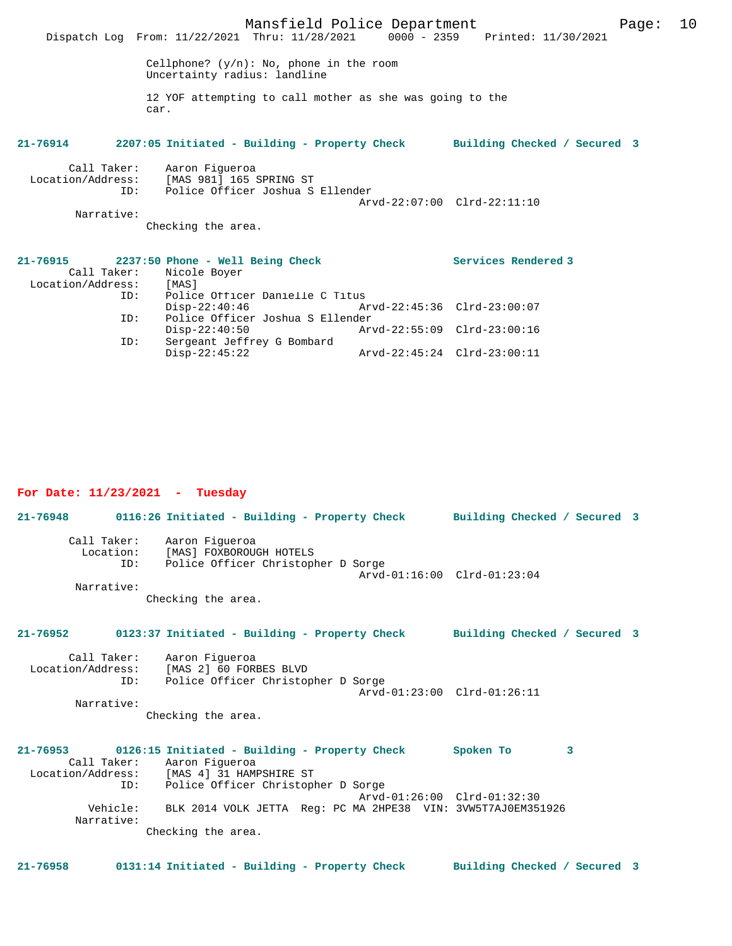|                   | Dispatch Log From: 11/22/2021 Thru: 11/28/2021 0000 - 2359 Printed: 11/30/2021      |                                  | Mansfield Police Department                                 |                     | Page: | 10 |
|-------------------|-------------------------------------------------------------------------------------|----------------------------------|-------------------------------------------------------------|---------------------|-------|----|
|                   |                                                                                     |                                  |                                                             |                     |       |    |
|                   | Cellphone? $(y/n)$ : No, phone in the room<br>Uncertainty radius: landline          |                                  |                                                             |                     |       |    |
|                   | car.                                                                                |                                  | 12 YOF attempting to call mother as she was going to the    |                     |       |    |
|                   | 21-76914 2207:05 Initiated - Building - Property Check Building Checked / Secured 3 |                                  |                                                             |                     |       |    |
|                   | Call Taker: Aaron Fiqueroa<br>Location/Address: [MAS 981] 165 SPRING ST             |                                  |                                                             |                     |       |    |
|                   | ID:                                                                                 | Police Officer Joshua S Ellender |                                                             |                     |       |    |
|                   |                                                                                     |                                  | Arvd-22:07:00 Clrd-22:11:10                                 |                     |       |    |
| Narrative:        |                                                                                     |                                  |                                                             |                     |       |    |
|                   | Checking the area.                                                                  |                                  |                                                             |                     |       |    |
|                   | 21-76915 2237:50 Phone - Well Being Check                                           |                                  |                                                             | Services Rendered 3 |       |    |
|                   | Call Taker: Nicole Boyer                                                            |                                  |                                                             |                     |       |    |
| Location/Address: | [MAS]                                                                               |                                  |                                                             |                     |       |    |
|                   | ID:                                                                                 | Police Officer Danielle C Titus  |                                                             |                     |       |    |
|                   |                                                                                     |                                  | $\rho_1 = 22:40:46$ $\rho_2 = 22:45:36$ $\alpha - 23:00:07$ |                     |       |    |
|                   | ID:                                                                                 | Police Officer Joshua S Ellender |                                                             |                     |       |    |
|                   | $Disp-22:40:50$<br>ID:                                                              | Sergeant Jeffrey G Bombard       | Arvd-22:55:09 Clrd-23:00:16                                 |                     |       |    |
|                   | $Disp-22:45:22$                                                                     |                                  | Arvd-22:45:24 Clrd-23:00:11                                 |                     |       |    |

#### **For Date: 11/23/2021 - Tuesday**

**21-76948 0116:26 Initiated - Building - Property Check Building Checked / Secured 3** Call Taker: Aaron Figueroa Location: [MAS] FOXBOROUGH HOTELS ID: Police Officer Christopher D Sorge Arvd-01:16:00 Clrd-01:23:04 Narrative: Checking the area. **21-76952 0123:37 Initiated - Building - Property Check Building Checked / Secured 3** Call Taker: Aaron Figueroa<br>Location/Address: [MAS 2] 60 FORI ess: [MAS 2] 60 FORBES BLVD<br>ID: Police Officer Christop Police Officer Christopher D Sorge Arvd-01:23:00 Clrd-01:26:11 Narrative: Checking the area. **21-76953 0126:15 Initiated - Building - Property Check Spoken To 3**  Call Taker: Aaron Figueroa Location/Address: [MAS 4] 31 HAMPSHIRE ST Location/Address: [MAS 4] 31 HAMPSHIRE ST<br>ID: Police Officer Christopher D Sorge Arvd-01:26:00 Clrd-01:32:30<br>Vehicle: BLK 2014 VOLK JETTA Req: PC MA 2HPE38 VIN: 3VW5T7AJ0EM35 BLK 2014 VOLK JETTA Reg: PC MA 2HPE38 VIN: 3VW5T7AJ0EM351926 Narrative:

Checking the area.

**21-76958 0131:14 Initiated - Building - Property Check Building Checked / Secured 3**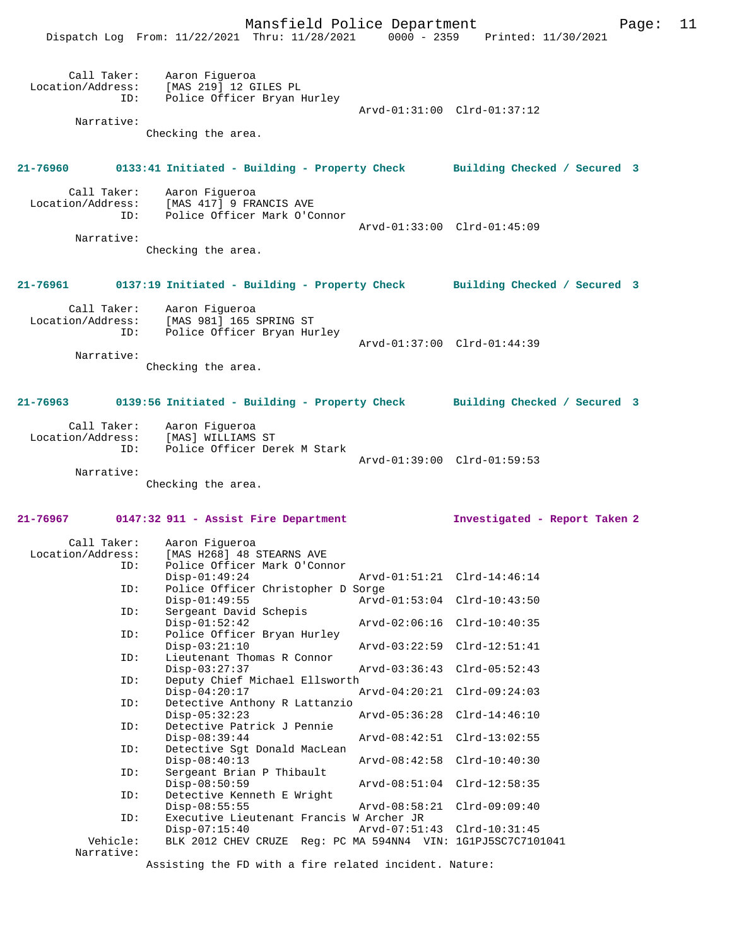|                   |                        | Mansfield Police Department<br>Dispatch Log From: 11/22/2021 Thru: 11/28/2021 0000 - 2359 Printed: 11/30/2021 |                                                |                               | Page: | 11 |
|-------------------|------------------------|---------------------------------------------------------------------------------------------------------------|------------------------------------------------|-------------------------------|-------|----|
|                   | ID:                    | Call Taker: Aaron Figueroa<br>Location/Address: [MAS 219] 12 GILES PL<br>Police Officer Bryan Hurley          | Arvd-01:31:00 Clrd-01:37:12                    |                               |       |    |
|                   | Narrative:             | Checking the area.                                                                                            |                                                |                               |       |    |
|                   |                        |                                                                                                               |                                                |                               |       |    |
|                   |                        | 21-76960 0133:41 Initiated - Building - Property Check Building Checked / Secured 3                           |                                                |                               |       |    |
|                   |                        | Call Taker: Aaron Figueroa<br>Location/Address: [MAS 417] 9 FRANCIS AVE<br>ID: Police Officer Mark O'Connor   | Arvd-01:33:00 Clrd-01:45:09                    |                               |       |    |
|                   | Narrative:             | Checking the area.                                                                                            |                                                |                               |       |    |
|                   |                        | 21-76961 0137:19 Initiated - Building - Property Check Building Checked / Secured 3                           |                                                |                               |       |    |
|                   |                        | Call Taker: Aaron Figueroa<br>Location/Address: [MAS 981] 165 SPRING ST<br>ID: Police Officer Bryan Hurley    | Arvd-01:37:00 Clrd-01:44:39                    |                               |       |    |
|                   | Narrative:             | Checking the area.                                                                                            |                                                |                               |       |    |
| 21-76963          |                        | 0139:56 Initiated - Building - Property Check Building Checked / Secured 3                                    |                                                |                               |       |    |
|                   |                        | Call Taker: Aaron Figueroa<br>Location/Address: [MAS] WILLIAMS ST<br>ID: Police Officer Derek M Stark         |                                                |                               |       |    |
|                   | Narrative:             |                                                                                                               | Arvd-01:39:00 Clrd-01:59:53                    |                               |       |    |
|                   |                        | Checking the area.                                                                                            |                                                |                               |       |    |
| 21-76967          |                        | 0147:32 911 - Assist Fire Department                                                                          |                                                | Investigated - Report Taken 2 |       |    |
| Location/Address: | Call Taker:<br>ID:     | Aaron Figueroa<br>[MAS H268] 48 STEARNS AVE<br>Police Officer Mark O'Connor                                   |                                                |                               |       |    |
|                   | ID:                    | $Disp-01:49:24$<br>Police Officer Christopher D Sorge                                                         | Arvd-01:51:21 Clrd-14:46:14                    |                               |       |    |
|                   | ID:                    | $Disp-01:49:55$<br>Sergeant David Schepis                                                                     |                                                | Arvd-01:53:04 Clrd-10:43:50   |       |    |
|                   | ID:                    | $Disp-01:52:42$<br>Police Officer Bryan Hurley                                                                | Arvd-02:06:16 Clrd-10:40:35                    |                               |       |    |
|                   | ID:                    | $Disp-03:21:10$<br>Lieutenant Thomas R Connor                                                                 |                                                | Arvd-03:22:59 Clrd-12:51:41   |       |    |
|                   | ID:                    | $Disp-03:27:37$<br>Deputy Chief Michael Ellsworth                                                             | Arvd-03:36:43                                  | Clrd-05:52:43                 |       |    |
|                   | ID:                    | $Disp-04:20:17$<br>Detective Anthony R Lattanzio<br>$Disp-05:32:23$                                           | Arvd-04:20:21 Clrd-09:24:03<br>$Arvd-05:36:28$ | $Clrd-14:46:10$               |       |    |
|                   | ID:                    | Detective Patrick J Pennie<br>$Disp-08:39:44$                                                                 |                                                | Arvd-08:42:51 Clrd-13:02:55   |       |    |
|                   | ID:                    | Detective Sqt Donald MacLean<br>$Disp-08:40:13$                                                               | Arvd-08:42:58 Clrd-10:40:30                    |                               |       |    |
|                   | ID:                    | Sergeant Brian P Thibault<br>$Disp-08:50:59$                                                                  |                                                | Arvd-08:51:04 Clrd-12:58:35   |       |    |
|                   | ID:                    | Detective Kenneth E Wright<br>$Disp-08:55:55$                                                                 | Arvd-08:58:21 Clrd-09:09:40                    |                               |       |    |
|                   | ID:                    | Executive Lieutenant Francis W Archer JR                                                                      |                                                |                               |       |    |
|                   | Vehicle:<br>Narrative: | $Disp-07:15:40$<br>BLK 2012 CHEV CRUZE Req: PC MA 594NN4 VIN: 1G1PJ5SC7C7101041                               |                                                | Arvd-07:51:43 Clrd-10:31:45   |       |    |
|                   |                        |                                                                                                               |                                                |                               |       |    |

Assisting the FD with a fire related incident. Nature: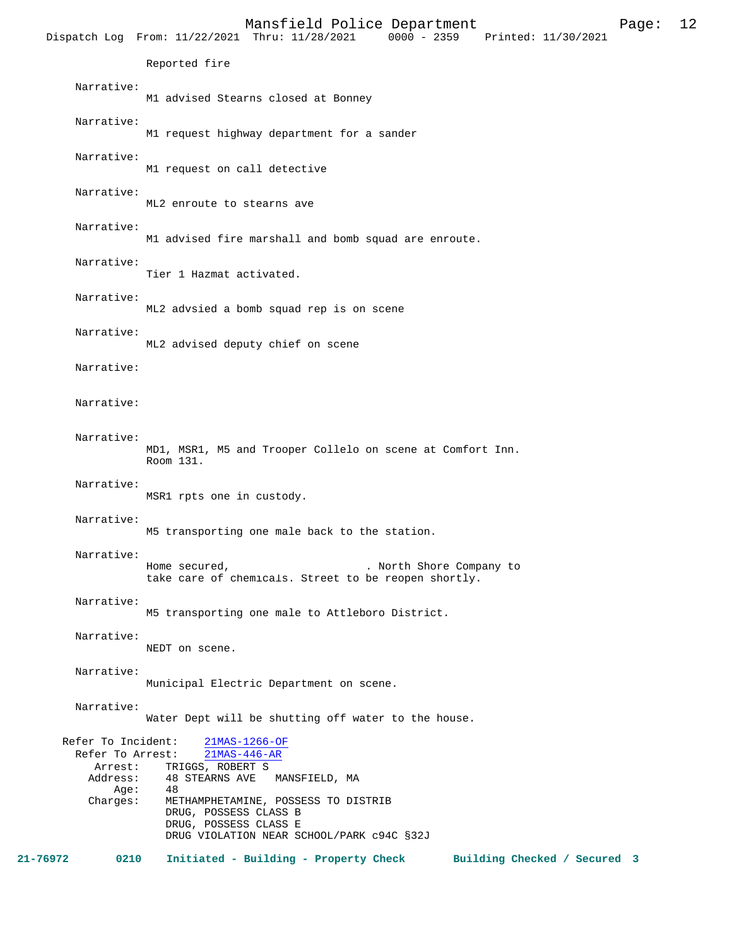Mansfield Police Department Page: 12 Dispatch Log From: 11/22/2021 Thru: 11/28/2021 Reported fire Narrative: M1 advised Stearns closed at Bonney Narrative: M1 request highway department for a sander Narrative: M1 request on call detective Narrative: ML2 enroute to stearns ave Narrative: M1 advised fire marshall and bomb squad are enroute. Narrative: Tier 1 Hazmat activated. Narrative: ML2 advsied a bomb squad rep is on scene Narrative: ML2 advised deputy chief on scene Narrative: Narrative: Narrative: MD1, MSR1, M5 and Trooper Collelo on scene at Comfort Inn. Room 131. Narrative: MSR1 rpts one in custody. Narrative: M5 transporting one male back to the station. Narrative: Home secured,  $\blacksquare$  . North Shore Company to take care of chemicals. Street to be reopen shortly. Narrative: M5 transporting one male to Attleboro District. Narrative: NEDT on scene. Narrative: Municipal Electric Department on scene. Narrative: Water Dept will be shutting off water to the house. Refer To Incident: 21MAS-1266-OF<br>Refer To Arrest: 21MAS-446-AR Refer To Arrest: Arrest: TRIGGS, ROBERT S Address: 48 STEARNS AVE MANSFIELD, MA<br>Add: 48 Age:<br>:Charges METHAMPHETAMINE, POSSESS TO DISTRIB DRUG, POSSESS CLASS B DRUG, POSSESS CLASS E DRUG VIOLATION NEAR SCHOOL/PARK c94C §32J **21-76972 0210 Initiated - Building - Property Check Building Checked / Secured 3**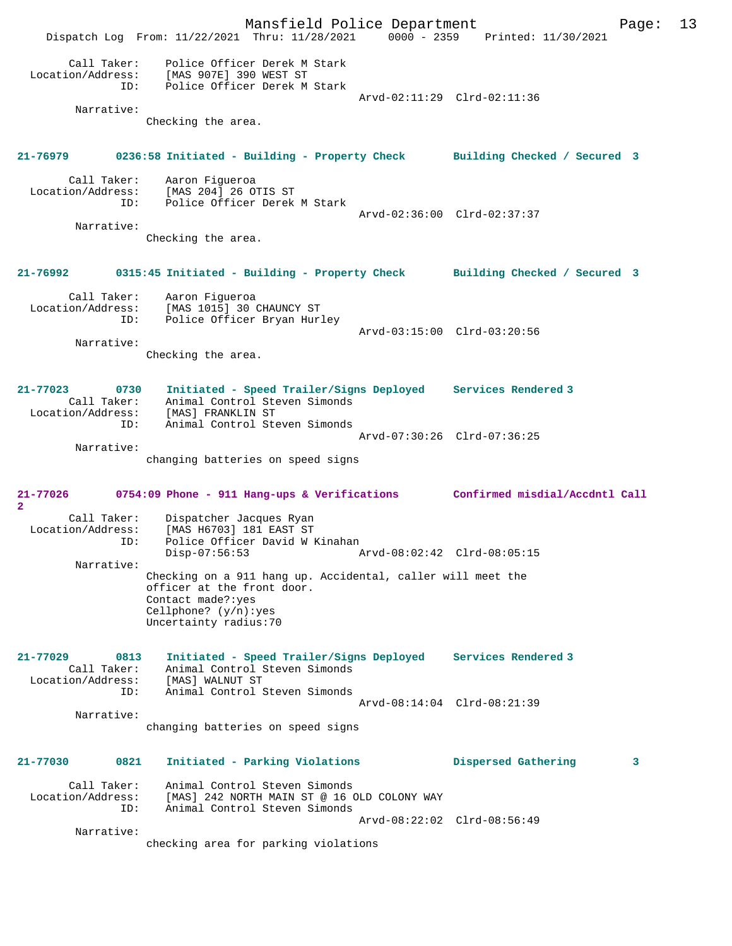Mansfield Police Department Page: 13 Dispatch Log From: 11/22/2021 Thru: 11/28/2021 0000 - 2359 Printed: 11/30/2021 Call Taker: Police Officer Derek M Stark Location/Address: [MAS 907E] 390 WEST ST ID: Police Officer Derek M Stark Arvd-02:11:29 Clrd-02:11:36 Narrative: Checking the area. **21-76979 0236:58 Initiated - Building - Property Check Building Checked / Secured 3** Call Taker: Aaron Figueroa<br>Location/Address: [MAS 204] 26 O' ess: [MAS 204] 26 OTIS ST<br>ID: Police Officer Derek Police Officer Derek M Stark Arvd-02:36:00 Clrd-02:37:37 Narrative: Checking the area. **21-76992 0315:45 Initiated - Building - Property Check Building Checked / Secured 3** Call Taker:<br>Location/Address: Aaron Figueroa<br>[MAS 1015] 30 CHAUNCY ST ID: Police Officer Bryan Hurley Arvd-03:15:00 Clrd-03:20:56 Narrative: Checking the area. **21-77023 0730 Initiated - Speed Trailer/Signs Deployed Services Rendered 3**  Call Taker: Animal Control Steven Simonds Location/Address: [MAS] FRANKLIN ST ID: Animal Control Steven Simonds Arvd-07:30:26 Clrd-07:36:25 Narrative: changing batteries on speed signs **21-77026 0754:09 Phone - 911 Hang-ups & Verifications Confirmed misdial/Accdntl Call 2**  Call Taker: Dispatcher Jacques Ryan<br>Location/Address: [MAS H6703] 181 EAST ST Location/Address: [MAS H6703] 181 EAST ST ID: Police Officer David W Kinahan Disp-07:56:53 Arvd-08:02:42 Clrd-08:05:15 Narrative: Checking on a 911 hang up. Accidental, caller will meet the officer at the front door. Contact made?:yes Cellphone? (y/n):yes Uncertainty radius:70 **21-77029 0813 Initiated - Speed Trailer/Signs Deployed Services Rendered 3**  Call Taker: Animal Control Steven Simonds Location/Address: [MAS] WALNUT ST ID: Animal Control Steven Simonds Arvd-08:14:04 Clrd-08:21:39 Narrative: changing batteries on speed signs **21-77030 0821 Initiated - Parking Violations Dispersed Gathering 3** Call Taker: Animal Control Steven Simonds Location/Address: [MAS] 242 NORTH MAIN ST @ 16 OLD COLONY WAY ID: Animal Control Steven Simonds Arvd-08:22:02 Clrd-08:56:49 Narrative: checking area for parking violations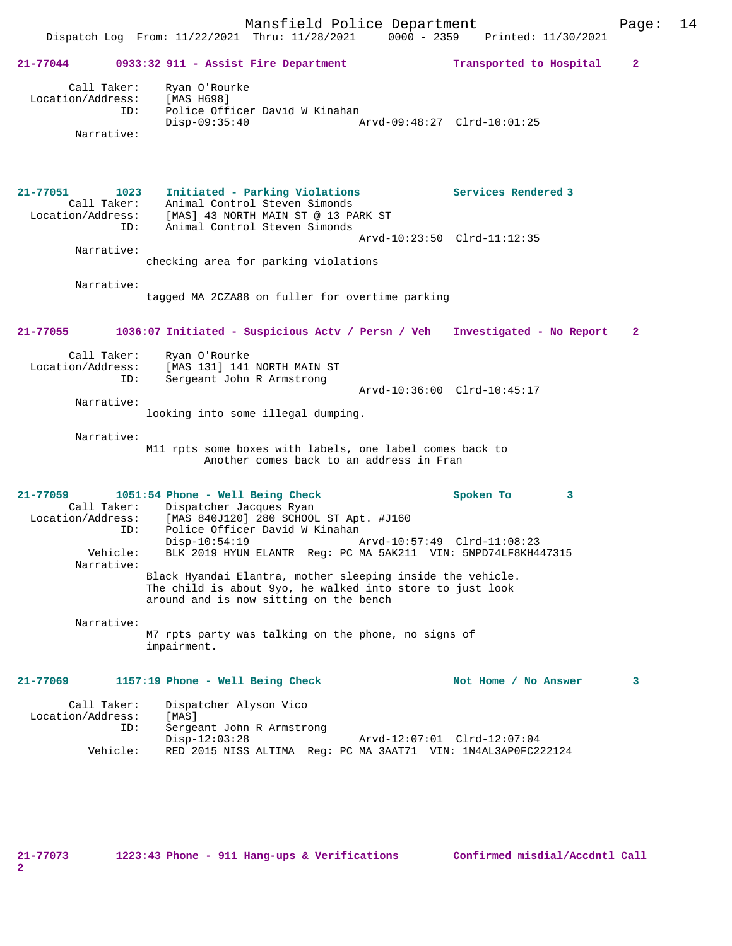# Dispatch Log From: 11/22/2021 Thru: 11/28/2021 0000 - 2359 Printed: 11/30/2021 **21-77044 0933:32 911 - Assist Fire Department Transported to Hospital 2** Call Taker: Ryan O'Rourke Location/Address: [MAS H698] ID: Police Officer David W Kinahan Disp-09:35:40 Arvd-09:48:27 Clrd-10:01:25 Narrative: **21-77051 1023 Initiated - Parking Violations Services Rendered 3**  Call Taker: Animal Control Steven Simonds<br>Location/Address: [MAS] 43 NORTH MAIN ST @ 13 PA<br>Control Simonds Location/Address: [MAS] 43 NORTH MAIN ST @ 13 PARK ST ID: Animal Control Steven Simonds Arvd-10:23:50 Clrd-11:12:35 Narrative: checking area for parking violations Narrative: tagged MA 2CZA88 on fuller for overtime parking **21-77055 1036:07 Initiated - Suspicious Actv / Persn / Veh Investigated - No Report 2** Call Taker: Ryan O'Rourke<br>Location/Address: [MAS 131] 141 ess: [MAS 131] 141 NORTH MAIN ST<br>ID: Sergeant John R Armstrong Sergeant John R Armstrong Arvd-10:36:00 Clrd-10:45:17 Narrative: looking into some illegal dumping. Narrative: M11 rpts some boxes with labels, one label comes back to Another comes back to an address in Fran **21-77059 1051:54 Phone - Well Being Check Spoken To 3**  Call Taker: Dispatcher Jacques Ryan<br>Location/Address: [MAS 840J120] 280 SCHOO [MAS 840J120] 280 SCHOOL ST Apt. #J160 ID: Police Officer David W Kinahan Disp-10:54:19 Arvd-10:57:49 Clrd-11:08:23 Vehicle: BLK 2019 HYUN ELANTR Reg: PC MA 5AK211 VIN: 5NPD74LF8KH447315 Narrative: Black Hyandai Elantra, mother sleeping inside the vehicle. The child is about 9yo, he walked into store to just look around and is now sitting on the bench Narrative: M7 rpts party was talking on the phone, no signs of impairment. 21-77069 1157:19 Phone - Well Being Check Not Home / No Answer 3 Call Taker: Dispatcher Alyson Vico Location/Address: [MAS]<br>ID: Sergea Sergeant John R Armstrong<br>Disp-12:03:28 Disp-12:03:28 Arvd-12:07:01 Clrd-12:07:04 Vehicle: RED 2015 NISS ALTIMA Reg: PC MA 3AAT71 VIN: 1N4AL3AP0FC222124

**21-77073 1223:43 Phone - 911 Hang-ups & Verifications Confirmed misdial/Accdntl Call**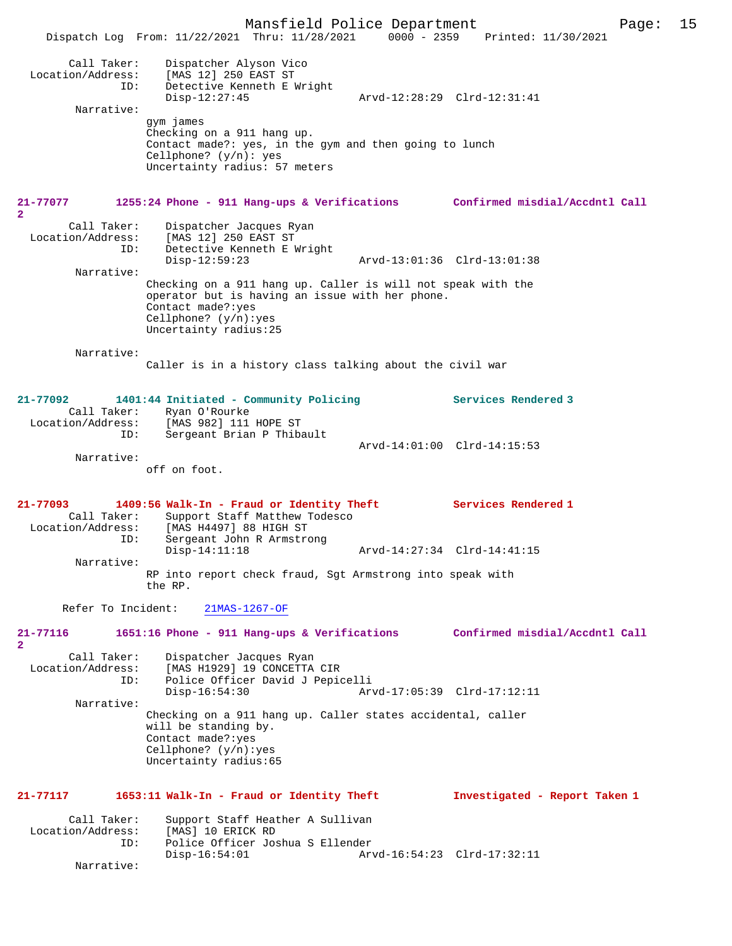Mansfield Police Department Page: 15 Dispatch Log From:  $11/22/2021$  Thru:  $11/28/2021$  0000 - 2359 Call Taker: Dispatcher Alyson Vico Location/Address: [MAS 12] 250 EAST ST ID: Detective Kenneth E Wright<br>Disp-12:27:45 Disp-12:27:45 Arvd-12:28:29 Clrd-12:31:41 Narrative: gym james Checking on a 911 hang up. Contact made?: yes, in the gym and then going to lunch Cellphone? (y/n): yes Uncertainty radius: 57 meters **21-77077 1255:24 Phone - 911 Hang-ups & Verifications Confirmed misdial/Accdntl Call 2**  Call Taker: Dispatcher Jacques Ryan<br>Location/Address: [MAS 12] 250 EAST ST ess: [MAS 12] 250 EAST ST<br>TD: Detective Kenneth EJ Detective Kenneth E Wright<br>Disp-12:59:23 Disp-12:59:23 Arvd-13:01:36 Clrd-13:01:38 Narrative: Checking on a 911 hang up. Caller is will not speak with the operator but is having an issue with her phone. Contact made?:yes Cellphone? (y/n):yes Uncertainty radius:25 Narrative: Caller is in a history class talking about the civil war **21-77092 1401:44 Initiated - Community Policing Services Rendered 3**  Call Taker: Ryan O'Rourke<br>Location/Address: [MAS 982] 111 ess: [MAS 982] 111 HOPE ST<br>ID: Sergeant Brian P Thib Sergeant Brian P Thibault Arvd-14:01:00 Clrd-14:15:53 Narrative: off on foot. **21-77093 1409:56 Walk-In - Fraud or Identity Theft Services Rendered 1**  Call Taker: Support Staff Matthew Todesco<br>Location/Address: [MAS H4497] 88 HIGH ST ess: [MAS H4497] 88 HIGH ST<br>TD: Sergeant John R Armstro Sergeant John R Armstrong<br>Disp-14:11:18 Disp-14:11:18 Arvd-14:27:34 Clrd-14:41:15 Narrative: RP into report check fraud, Sgt Armstrong into speak with the RP. Refer To Incident: 21MAS-1267-OF **21-77116 1651:16 Phone - 911 Hang-ups & Verifications Confirmed misdial/Accdntl Call**  $\mathbf{2}$ Call Taker: Dispatcher Jacques Ryan<br>Location/Address: [MAS H1929] 19 CONCETTA ess: [MAS H1929] 19 CONCETTA CIR<br>ID: Police Officer David J Pepio Police Officer David J Pepicelli<br>Disp-16:54:30 Ar Disp-16:54:30 Arvd-17:05:39 Clrd-17:12:11 Narrative: Checking on a 911 hang up. Caller states accidental, caller will be standing by. Contact made?:yes Cellphone? (y/n):yes Uncertainty radius:65 **21-77117 1653:11 Walk-In - Fraud or Identity Theft Investigated - Report Taken 1** Call Taker: Support Staff Heather A Sullivan<br>.on/Address: [MAS] 10 ERICK RD Location/Address:<br>ID: Police Officer Joshua S Ellender Disp-16:54:01 Arvd-16:54:23 Clrd-17:32:11 Narrative: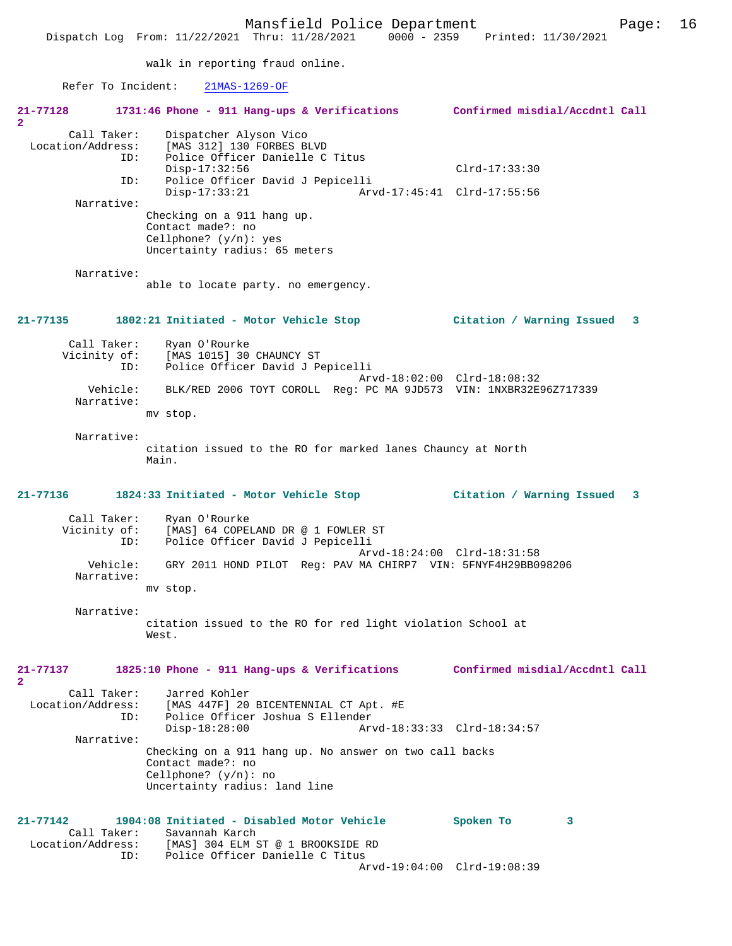Dispatch Log From: 11/22/2021 Thru: 11/28/2021 0000 - 2359 Printed: 11/30/2021

walk in reporting fraud online.

Refer To Incident: 21MAS-1269-OF

| 21-77128<br>$\overline{2}$                     | 1731:46 Phone - 911 Hang-ups & Verifications                                                                                                                     | Confirmed misdial/Accdntl Call                 |   |
|------------------------------------------------|------------------------------------------------------------------------------------------------------------------------------------------------------------------|------------------------------------------------|---|
| Call Taker:<br>Location/Address:<br>ID:<br>ID: | Dispatcher Alyson Vico<br>[MAS 312] 130 FORBES BLVD<br>Police Officer Danielle C Titus<br>$Disp-17:32:56$<br>Police Officer David J Pepicelli<br>$Disp-17:33:21$ | $Clrd-17:33:30$<br>Arvd-17:45:41 Clrd-17:55:56 |   |
| Narrative:                                     | Checking on a 911 hang up.<br>Contact made?: no<br>Cellphone? $(y/n)$ : yes<br>Uncertainty radius: 65 meters                                                     |                                                |   |
| Narrative:                                     | able to locate party. no emergency.                                                                                                                              |                                                |   |
| 21-77135                                       | 1802:21 Initiated - Motor Vehicle Stop                                                                                                                           | Citation / Warning Issued                      | 3 |
| Call Taker:<br>Vicinity of:<br>ID:             | Ryan O'Rourke<br>[MAS 1015] 30 CHAUNCY ST<br>Police Officer David J Pepicelli                                                                                    | Arvd-18:02:00 Clrd-18:08:32                    |   |
| Vehicle:<br>Narrative:                         | BLK/RED 2006 TOYT COROLL Req: PC MA 9JD573 VIN: 1NXBR32E96Z717339<br>mv stop.                                                                                    |                                                |   |
| Narrative:                                     | citation issued to the RO for marked lanes Chauncy at North<br>Main.                                                                                             |                                                |   |
| 21-77136                                       | 1824:33 Initiated - Motor Vehicle Stop                                                                                                                           | Citation / Warning Issued                      | 3 |
| Call Taker:<br>Vicinity of:<br>ID:             | Ryan O'Rourke<br>[MAS] 64 COPELAND DR @ 1 FOWLER ST<br>Police Officer David J Pepicelli                                                                          | Arvd-18:24:00 Clrd-18:31:58                    |   |
| Vehicle:<br>Narrative:                         | GRY 2011 HOND PILOT Req: PAV MA CHIRP7 VIN: 5FNYF4H29BB098206<br>mv stop.                                                                                        |                                                |   |
| Narrative:                                     | citation issued to the RO for red light violation School at<br>West.                                                                                             |                                                |   |
| 21-77137<br>$\mathbf{2}$                       | 1825:10 Phone - 911 Hang-ups & Verifications                                                                                                                     | Confirmed misdial/Accdntl Call                 |   |
| Call Taker:<br>Location/Address:<br>ID:        | Jarred Kohler<br>[MAS 447F] 20 BICENTENNIAL CT Apt. #E<br>Police Officer Joshua S Ellender<br>$Disp-18:28:00$                                                    | Arvd-18:33:33 Clrd-18:34:57                    |   |
| Narrative:                                     | Checking on a 911 hang up. No answer on two call backs<br>Contact made?: no<br>Cellphone? $(y/n)$ : no<br>Uncertainty radius: land line                          |                                                |   |
| 21-77142<br>Call Taker:                        | 1904:08 Initiated - Disabled Motor Vehicle<br>Savannah Karch<br>Location/Address: [MAS] 304 ELM ST @ 1 BROOKSIDE RD<br>Police Officer Danielle C Titus<br>ID:    | Spoken To<br>3<br>Arvd-19:04:00 Clrd-19:08:39  |   |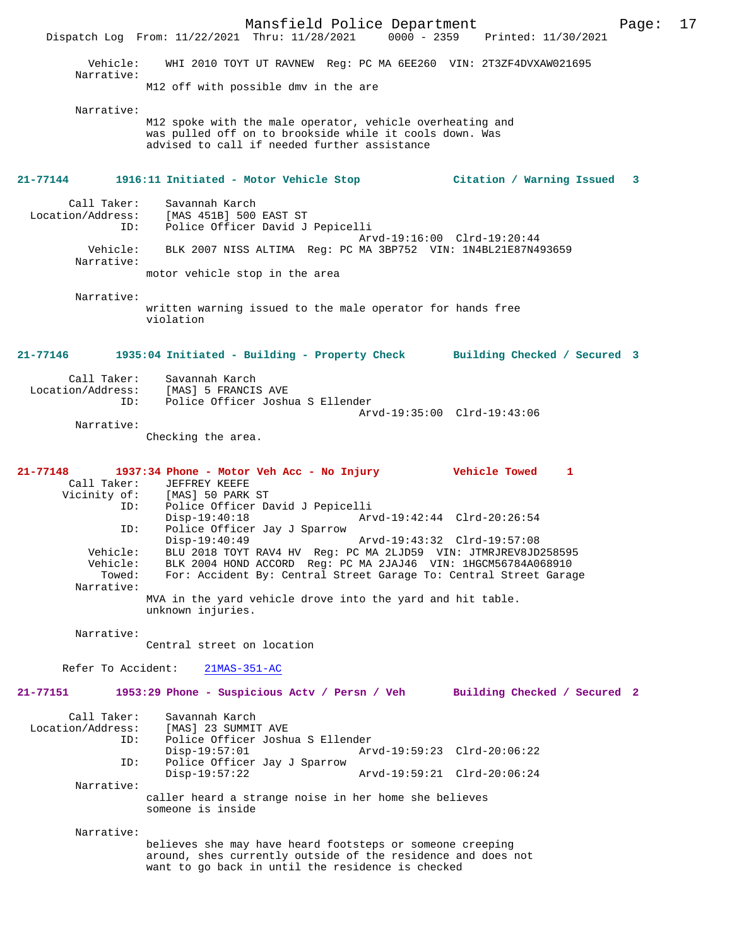Mansfield Police Department Page: 17 Dispatch Log From: 11/22/2021 Thru: 11/28/2021 Vehicle: WHI 2010 TOYT UT RAVNEW Reg: PC MA 6EE260 VIN: 2T3ZF4DVXAW021695 Narrative: M12 off with possible dmv in the are Narrative: M12 spoke with the male operator, vehicle overheating and was pulled off on to brookside while it cools down. Was advised to call if needed further assistance **21-77144 1916:11 Initiated - Motor Vehicle Stop Citation / Warning Issued 3** Call Taker: Savannah Karch<br>Location/Address: [MAS 451B] 500 للمستعمل المعروبية<br>SS: [MAS 451B] 500 EAST ST:<br>ID: Police Officer David J Police Officer David J Pepicelli Arvd-19:16:00 Clrd-19:20:44<br>Vehicle: BLK 2007 NISS ALTIMA Reg: PC MA 3BP752 VIN: 1N4BL21E87N49 Vehicle: BLK 2007 NISS ALTIMA Reg: PC MA 3BP752 VIN: 1N4BL21E87N493659 Narrative: motor vehicle stop in the area Narrative: written warning issued to the male operator for hands free violation **21-77146 1935:04 Initiated - Building - Property Check Building Checked / Secured 3** Call Taker: Savannah Karch<br>ion/Address: Location/Address: [MAS] 5 FRANCIS AVE ID: Police Officer Joshua S Ellender Arvd-19:35:00 Clrd-19:43:06 Narrative: Checking the area. **21-77148 1937:34 Phone - Motor Veh Acc - No Injury Vehicle Towed 1**  Call Taker: JEFFREY KEEFE<br>Vicinity of: [MAS] 50 PARK [MAS] 50 PARK ST ID: Police Officer David J Pepicelli<br>Disp-19:40:18 Ary Disp-19:40:18 Arvd-19:42:44 Clrd-20:26:54<br>ID: Police Officer Jay J Sparrow Police Officer Jay J Sparrow<br>Disp-19:40:49 Arvd-19:43:32 Clrd-19:57:08 Vehicle: BLU 2018 TOYT RAV4 HV Reg: PC MA 2LJD59 VIN: JTMRJREV8JD258595 Vehicle: BLK 2004 HOND ACCORD Reg: PC MA 2JAJ46 VIN: 1HGCM56784A068910 For: Accident By: Central Street Garage To: Central Street Garage Narrative: MVA in the yard vehicle drove into the yard and hit table. unknown injuries. Narrative: Central street on location Refer To Accident: 21MAS-351-AC **21-77151 1953:29 Phone - Suspicious Actv / Persn / Veh Building Checked / Secured 2** Call Taker: Savannah Karch Location/Address: [MAS] 23 SUMMIT AVE ID: Police Officer Joshua S Ellender Disp-19:57:01 Arvd-19:59:23 Clrd-20:06:22<br>ID: Police Officer Jay J Sparrow Police Officer Jay J Sparrow<br>Disp-19:57:22 Disp-19:57:22 Arvd-19:59:21 Clrd-20:06:24 Narrative: caller heard a strange noise in her home she believes someone is inside Narrative: believes she may have heard footsteps or someone creeping around, shes currently outside of the residence and does not want to go back in until the residence is checked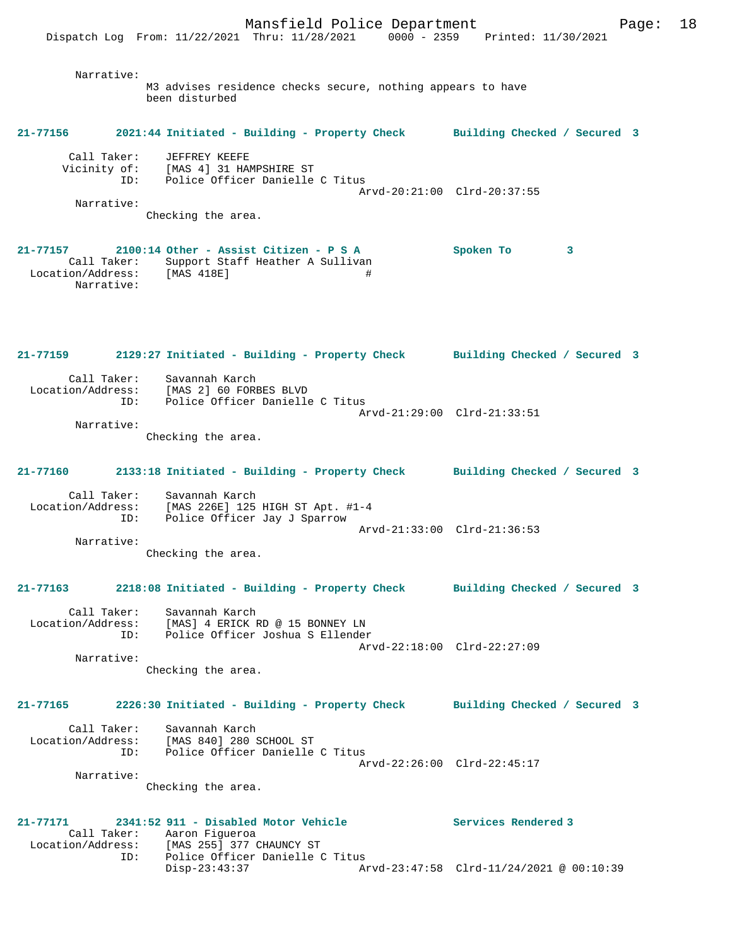Narrative: M3 advises residence checks secure, nothing appears to have been disturbed

#### **21-77156 2021:44 Initiated - Building - Property Check Building Checked / Secured 3**

| Call Taker:  | JEFFREY KEEFE                   |                             |
|--------------|---------------------------------|-----------------------------|
| Vicinity of: | [MAS 4] 31 HAMPSHIRE ST         |                             |
| TD:          | Police Officer Danielle C Titus |                             |
|              |                                 | Arvd-20:21:00 Clrd-20:37:55 |
| Narrative:   |                                 |                             |

Checking the area.

**21-77157 2100:14 Other - Assist Citizen - P S A Spoken To 3**  Call Taker: Support Staff Heather A Sullivan Location/Address: [MAS 418E] # Narrative:

**21-77159 2129:27 Initiated - Building - Property Check Building Checked / Secured 3** Call Taker: Savannah Karch Location/Address: [MAS 2] 60 FORBES BLVD ID: Police Officer Danielle C Titus Arvd-21:29:00 Clrd-21:33:51 Narrative:

Checking the area.

# **21-77160 2133:18 Initiated - Building - Property Check Building Checked / Secured 3**

 Call Taker: Savannah Karch Location/Address: [MAS 226E] 125 HIGH ST Apt. #1-4 ID: Police Officer Jay J Sparrow Arvd-21:33:00 Clrd-21:36:53

 Narrative: Checking the area.

# **21-77163 2218:08 Initiated - Building - Property Check Building Checked / Secured 3**

 Call Taker: Savannah Karch Location/Address: [MAS] 4 ERICK RD @ 15 BONNEY LN ID: Police Officer Joshua S Ellender Arvd-22:18:00 Clrd-22:27:09

Narrative:

Checking the area.

### **21-77165 2226:30 Initiated - Building - Property Check Building Checked / Secured 3**

| Call Taker:       | Savannah Karch                  |  |
|-------------------|---------------------------------|--|
| Location/Address: | [MAS 840] 280 SCHOOL ST         |  |
| TD:               | Police Officer Danielle C Titus |  |
|                   | Arvd-22:26:00 Clrd-22:45:17     |  |
| Narrative:        |                                 |  |

Checking the area.

#### **21-77171 2341:52 911 - Disabled Motor Vehicle Services Rendered 3**  Call Taker: Aaron Figueroa<br>Location/Address: [MAS 255] 377 ( Location/Address: [MAS 255] 377 CHAUNCY ST ID: Police Officer Danielle C Titus Disp-23:43:37 Arvd-23:47:58 Clrd-11/24/2021 @ 00:10:39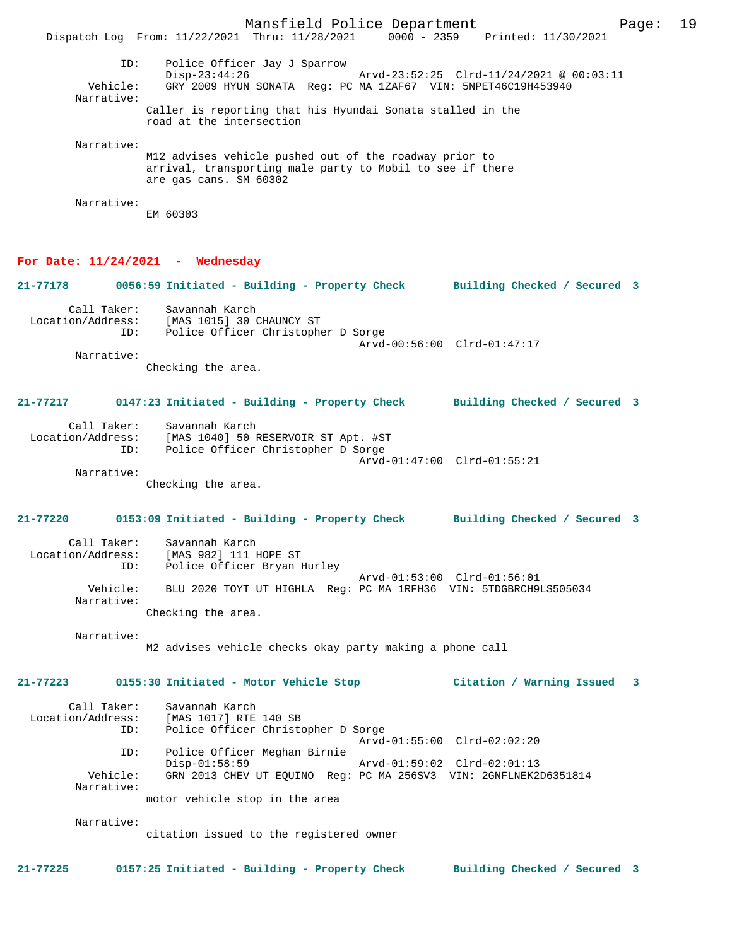Mansfield Police Department Page: 19 Dispatch Log From: 11/22/2021 Thru: 11/28/2021 0000 - 2359 Printed: 11/30/2021 ID: Police Officer Jay J Sparrow Disp-23:44:26 Arvd-23:52:25 Clrd-11/24/2021 @ 00:03:11 Vehicle: GRY 2009 HYUN SONATA Reg: PC MA 1ZAF67 VIN: 5NPET46C19H453940 Narrative: Caller is reporting that his Hyundai Sonata stalled in the road at the intersection Narrative: M12 advises vehicle pushed out of the roadway prior to arrival, transporting male party to Mobil to see if there are gas cans. SM 60302 Narrative: EM 60303 **For Date: 11/24/2021 - Wednesday**

**21-77178 0056:59 Initiated - Building - Property Check Building Checked / Secured 3** Call Taker: Savannah Karch

 Location/Address: [MAS 1015] 30 CHAUNCY ST ID: Police Officer Christopher D Sorge Arvd-00:56:00 Clrd-01:47:17 Narrative:

Checking the area.

# **21-77217 0147:23 Initiated - Building - Property Check Building Checked / Secured 3**

| Call Taker:       | Savannah Karch                      |  |
|-------------------|-------------------------------------|--|
| Location/Address: | [MAS 1040] 50 RESERVOIR ST Apt. #ST |  |
| ID:               | Police Officer Christopher D Sorge  |  |
|                   | Arvd-01:47:00 Clrd-01:55:21         |  |
| Narrative:        |                                     |  |

Checking the area.

## **21-77220 0153:09 Initiated - Building - Property Check Building Checked / Secured 3**

| Call Taker:       | Savannah Karch                                                   |
|-------------------|------------------------------------------------------------------|
| Location/Address: | [MAS 982] 111 HOPE ST                                            |
| ID:               | Police Officer Bryan Hurley                                      |
| Vehicle:          | Arvd-01:53:00 Clrd-01:56:01                                      |
| Narrative:        | BLU 2020 TOYT UT HIGHLA Req: PC MA 1RFH36 VIN: 5TDGBRCH9LS505034 |
|                   | Checking the area.                                               |

Narrative:

### M2 advises vehicle checks okay party making a phone call

## **21-77223 0155:30 Initiated - Motor Vehicle Stop Citation / Warning Issued 3**

| Call Taker:       | Savannah Karch                                                   |
|-------------------|------------------------------------------------------------------|
| Location/Address: | [MAS 1017] RTE 140 SB                                            |
| ID:               | Police Officer Christopher D Sorge                               |
|                   | Arvd-01:55:00 Clrd-02:02:20                                      |
| ID:               | Police Officer Meghan Birnie                                     |
|                   | $Disp-01:58:59$<br>Arvd-01:59:02 Clrd-02:01:13                   |
| Vehicle:          | GRN 2013 CHEV UT EQUINO Req: PC MA 256SV3 VIN: 2GNFLNEK2D6351814 |
| Narrative:        |                                                                  |
|                   | motor vehicle stop in the area                                   |
|                   |                                                                  |

Narrative:

citation issued to the registered owner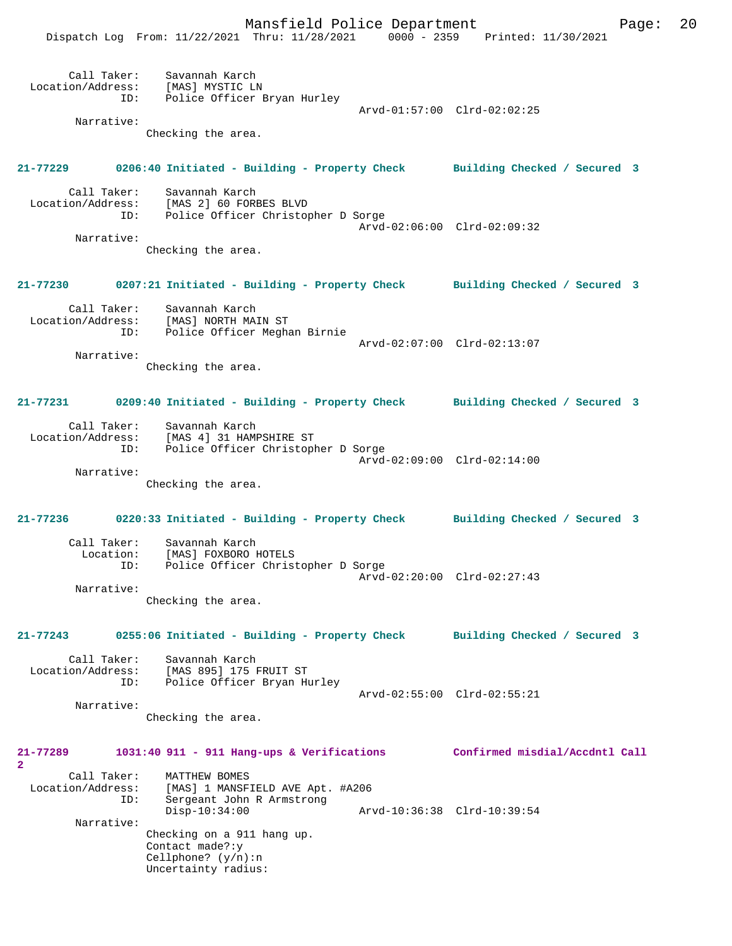Mansfield Police Department Page: 20

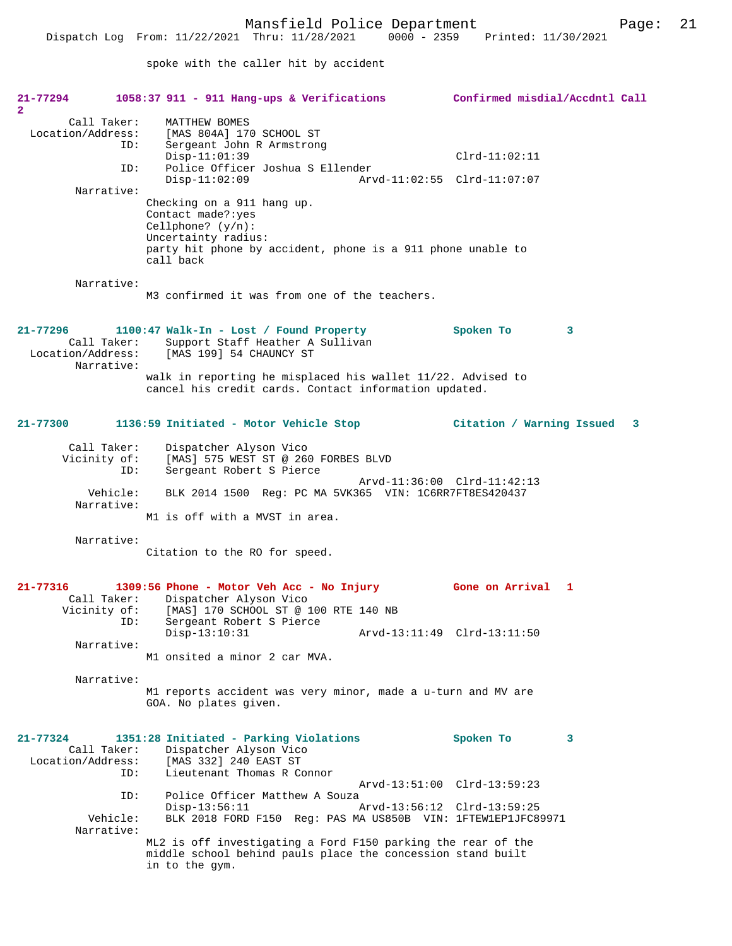spoke with the caller hit by accident

| 21-77294<br>$\mathbf{2}$                                       | $1058:37$ 911 - 911 Hang-ups & Verifications                                                                                                                                | Confirmed misdial/Accdntl Call |
|----------------------------------------------------------------|-----------------------------------------------------------------------------------------------------------------------------------------------------------------------------|--------------------------------|
| Call Taker:<br>Location/Address:                               | MATTHEW BOMES<br>[MAS 804A] 170 SCHOOL ST<br>Sergeant John R Armstrong<br>ID:                                                                                               |                                |
| ID:                                                            | $Disp-11:01:39$<br>Police Officer Joshua S Ellender                                                                                                                         | $Clrd-11:02:11$                |
| Narrative:                                                     | $Disp-11:02:09$                                                                                                                                                             | Arvd-11:02:55 Clrd-11:07:07    |
|                                                                | Checking on a 911 hang up.<br>Contact made?: yes<br>Cellphone? $(y/n)$ :<br>Uncertainty radius:<br>party hit phone by accident, phone is a 911 phone unable to<br>call back |                                |
| Narrative:                                                     | M3 confirmed it was from one of the teachers.                                                                                                                               |                                |
| $21 - 77296$<br>Call Taker:<br>Location/Address:<br>Narrative: | 1100:47 Walk-In - Lost / Found Property<br>Support Staff Heather A Sullivan<br>[MAS 199] 54 CHAUNCY ST                                                                      | Spoken To<br>3                 |
|                                                                | walk in reporting he misplaced his wallet 11/22. Advised to<br>cancel his credit cards. Contact information updated.                                                        |                                |
| $21 - 77300$                                                   | 1136:59 Initiated - Motor Vehicle Stop                                                                                                                                      | Citation / Warning Issued 3    |
| Call Taker:<br>Vicinity of:                                    | Dispatcher Alyson Vico<br>[MAS] 575 WEST ST @ 260 FORBES BLVD<br>ID:<br>Sergeant Robert S Pierce                                                                            |                                |
| Vehicle:<br>Narrative:                                         | BLK 2014 1500 Reg: PC MA 5VK365 VIN: 1C6RR7FT8ES420437<br>M1 is off with a MVST in area.                                                                                    | Arvd-11:36:00 Clrd-11:42:13    |
| Narrative:                                                     |                                                                                                                                                                             |                                |
|                                                                | Citation to the RO for speed.                                                                                                                                               |                                |
| 21-77316<br>Call Taker:<br>Vicinity of:                        | 1309:56 Phone - Motor Veh Acc - No Injury<br>Dispatcher Alyson Vico<br>[MAS] 170 SCHOOL ST @ 100 RTE 140 NB<br>Sergeant Robert S Pierce<br>ID:                              | Gone on Arrival 1              |
| Narrative:                                                     | $Disp-13:10:31$<br>M1 onsited a minor 2 car MVA.                                                                                                                            | Arvd-13:11:49 Clrd-13:11:50    |
|                                                                |                                                                                                                                                                             |                                |
| Narrative:                                                     | M1 reports accident was very minor, made a u-turn and MV are<br>GOA. No plates given.                                                                                       |                                |
| $21 - 77324$<br>Call Taker:<br>Location/Address:               | 1351:28 Initiated - Parking Violations<br>Dispatcher Alyson Vico<br>[MAS 332] 240 EAST ST<br>Lieutenant Thomas R Connor<br>ID:                                              | Spoken To<br>3                 |
| ID:                                                            | Police Officer Matthew A Souza                                                                                                                                              | Arvd-13:51:00 Clrd-13:59:23    |
| Vehicle:                                                       | $Disp-13:56:11$<br>BLK 2018 FORD F150 Req: PAS MA US850B VIN: 1FTEW1EP1JFC89971                                                                                             | Arvd-13:56:12 Clrd-13:59:25    |
| Narrative:                                                     | ML2 is off investigating a Ford F150 parking the rear of the<br>middle school behind pauls place the concession stand built<br>in to the gym.                               |                                |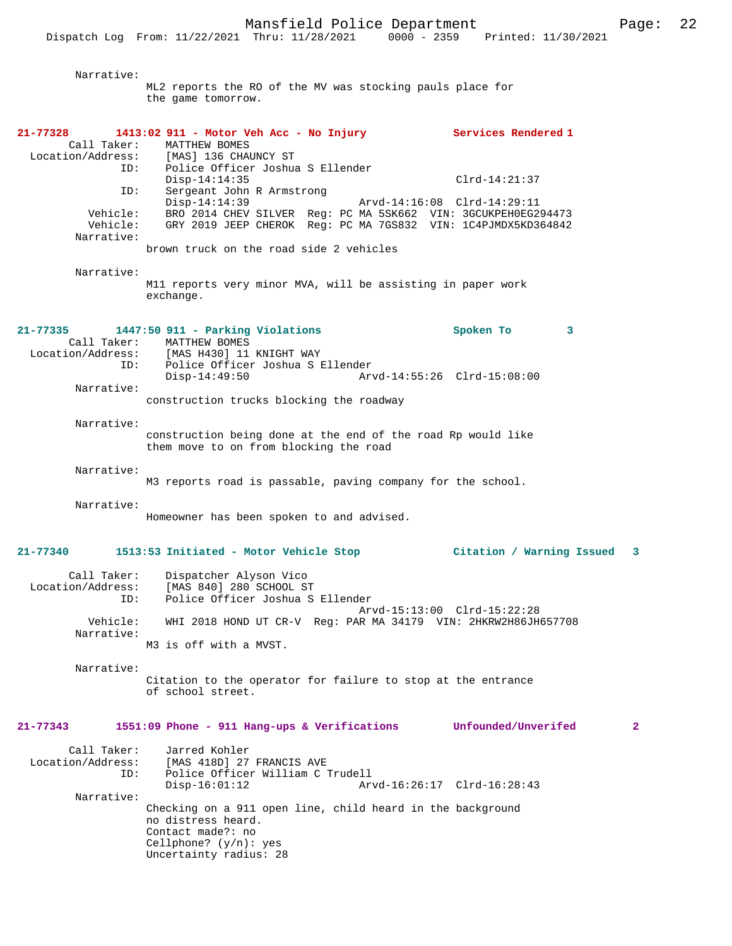Narrative: ML2 reports the RO of the MV was stocking pauls place for the game tomorrow. **21-77328 1413:02 911 - Motor Veh Acc - No Injury Services Rendered 1**  Call Taker: MATTHEW BOMES<br>Location/Address: [MAS] 136 CHA [MAS] 136 CHAUNCY ST ID: Police Officer Joshua S Ellender Disp-14:14:35 Clrd-14:21:37<br>TD: Sergeant John R Armstrong Sergeant John R Armstrong<br>Disp-14:14:39 Disp-14:14:39 <br>Vehicle: BRO 2014 CHEV SILVER Req: PC MA 5SK662 VIN: 3GCUKPEH0EG2 Vehicle: BRO 2014 CHEV SILVER Reg: PC MA 5SK662 VIN: 3GCUKPEH0EG294473 Vehicle: GRY 2019 JEEP CHEROK Reg: PC MA 7GS832 VIN: 1C4PJMDX5KD364842 Narrative: brown truck on the road side 2 vehicles Narrative: M11 reports very minor MVA, will be assisting in paper work exchange. **21-77335 1447:50 911 - Parking Violations Spoken To 3**  Call Taker: MATTHEW BOMES<br>Location/Address: [MAS H430] 11 [MAS H430] 11 KNIGHT WAY ID: Police Officer Joshua S Ellender Disp-14:49:50 Arvd-14:55:26 Clrd-15:08:00 Narrative: construction trucks blocking the roadway Narrative: construction being done at the end of the road Rp would like them move to on from blocking the road Narrative: M3 reports road is passable, paving company for the school. Narrative: Homeowner has been spoken to and advised. **21-77340 1513:53 Initiated - Motor Vehicle Stop Citation / Warning Issued 3** Call Taker: Dispatcher Alyson Vico Location/Address: [MAS 840] 280 SCHOOL ST Police Officer Joshua S Ellender Arvd-15:13:00 Clrd-15:22:28<br>Vehicle: WHI 2018 HOND UT CR-V Req: PAR MA 34179 VIN: 2HKRW2H86JH Vehicle: WHI 2018 HOND UT CR-V Reg: PAR MA 34179 VIN: 2HKRW2H86JH657708 Narrative: M3 is off with a MVST. Narrative: Citation to the operator for failure to stop at the entrance of school street. **21-77343 1551:09 Phone - 911 Hang-ups & Verifications Unfounded/Unverifed 2** Call Taker: Jarred Kohler<br>Location/Address: [MAS 418D] 27 [MAS 418D] 27 FRANCIS AVE ID: Police Officer William C Trudell Disp-16:01:12 Arvd-16:26:17 Clrd-16:28:43 Narrative: Checking on a 911 open line, child heard in the background no distress heard. Contact made?: no Cellphone? (y/n): yes Uncertainty radius: 28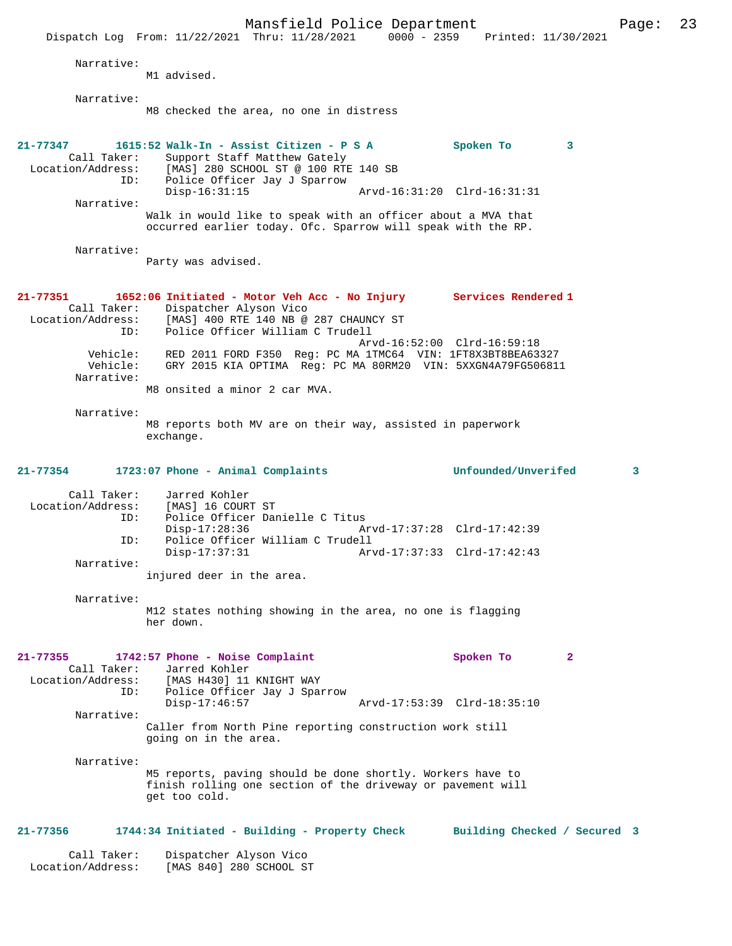Mansfield Police Department Page: 23 Dispatch Log From: 11/22/2021 Thru: 11/28/2021 0000 - 2359 Printed: 11/30/2021 Narrative: M1 advised. Narrative: M8 checked the area, no one in distress **21-77347 1615:52 Walk-In - Assist Citizen - P S A Spoken To 3**  Call Taker: Support Staff Matthew Gately<br>Location/Address: [MAS] 280 SCHOOL ST @ 100 RTI ess: [MAS] 280 SCHOOL ST @ 100 RTE 140 SB<br>ID: Police Officer Jay J Sparrow Police Officer Jay J Sparrow<br>Disp-16:31:15 Disp-16:31:15 Arvd-16:31:20 Clrd-16:31:31 Narrative: Walk in would like to speak with an officer about a MVA that occurred earlier today. Ofc. Sparrow will speak with the RP. Narrative: Party was advised. **21-77351 1652:06 Initiated - Motor Veh Acc - No Injury Services Rendered 1**  Call Taker: Dispatcher Alyson Vico Location/Address: [MAS] 400 RTE 140 NB @ 287 CHAUNCY ST ID: Police Officer William C Trudell Arvd-16:52:00 Clrd-16:59:18 Vehicle: RED 2011 FORD F350 Reg: PC MA 1TMC64 VIN: 1FT8X3BT8BEA63327 Vehicle: GRY 2015 KIA OPTIMA Reg: PC MA 80RM20 VIN: 5XXGN4A79FG506811 Narrative: M8 onsited a minor 2 car MVA. Narrative: M8 reports both MV are on their way, assisted in paperwork exchange. **21-77354 1723:07 Phone - Animal Complaints Unfounded/Unverifed 3** Call Taker: Jarred Kohler<br>Location/Address: [MAS] 16 COURT ess: [MAS] 16 COURT ST<br>ID: Police Officer Dam Police Officer Danielle C Titus<br>Disp-17:28:36 Am Disp-17:28:36 Arvd-17:37:28 Clrd-17:42:39<br>ID: Police Officer William C Trudell ID: Police Officer William C Trudell Disp-17:37:31 Arvd-17:37:33 Clrd-17:42:43 Narrative: injured deer in the area. Narrative: M12 states nothing showing in the area, no one is flagging her down. **21-77355 1742:57 Phone - Noise Complaint Spoken To 2**  Call Taker: Jarred Kohler Location/Address: [MAS H430] 11 KNIGHT WAY<br>ID: Police Officer Jav J Span Police Officer Jay J Sparrow<br>Disp-17:46:57 Disp-17:46:57 Arvd-17:53:39 Clrd-18:35:10 Narrative: Caller from North Pine reporting construction work still going on in the area. Narrative: M5 reports, paving should be done shortly. Workers have to finish rolling one section of the driveway or pavement will get too cold. **21-77356 1744:34 Initiated - Building - Property Check Building Checked / Secured 3** Call Taker: Dispatcher Alyson Vico Location/Address: [MAS 840] 280 SCHOOL ST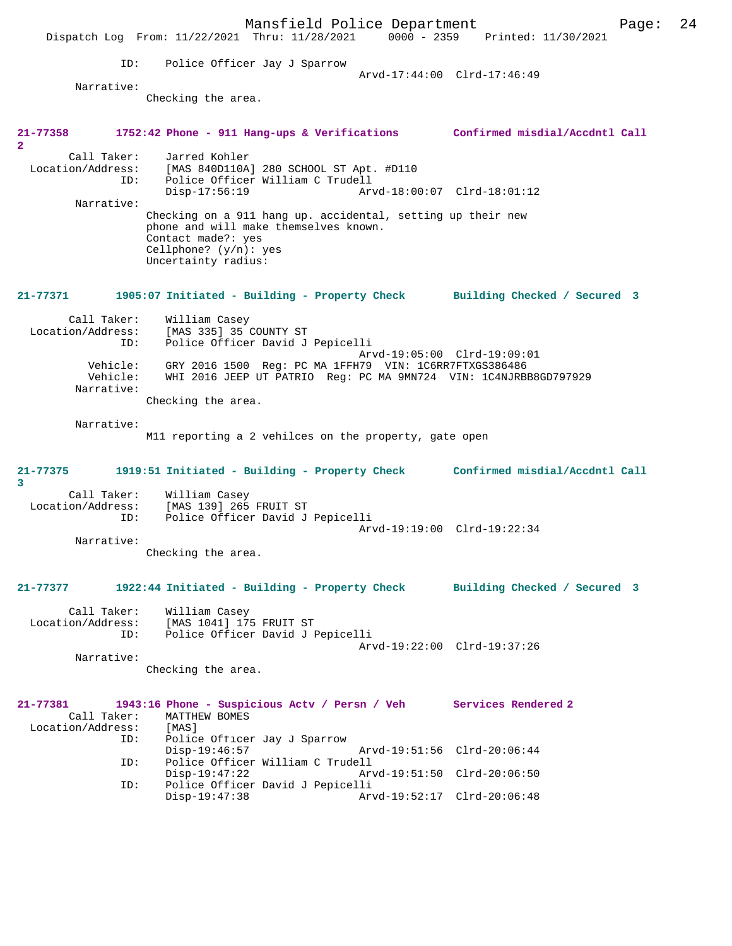Mansfield Police Department Page: 24 Dispatch Log From: 11/22/2021 Thru: 11/28/2021 0000 - 2359 Printed: 11/30/2021 ID: Police Officer Jay J Sparrow Arvd-17:44:00 Clrd-17:46:49 Narrative: Checking the area. **21-77358 1752:42 Phone - 911 Hang-ups & Verifications Confirmed misdial/Accdntl Call 2**  Call Taker: Jarred Kohler Location/Address: [MAS 840D110A] 280 SCHOOL ST Apt. #D110 ID: Police Officer William C Trudell Disp-17:56:19 Arvd-18:00:07 Clrd-18:01:12 Narrative: Checking on a 911 hang up. accidental, setting up their new phone and will make themselves known. Contact made?: yes Cellphone? (y/n): yes Uncertainty radius: **21-77371 1905:07 Initiated - Building - Property Check Building Checked / Secured 3** Call Taker: William Casey Location/Address: [MAS 335] 35 COUNTY ST ID: Police Officer David J Pepicelli Arvd-19:05:00 Clrd-19:09:01 Vehicle: GRY 2016 1500 Reg: PC MA 1FFH79 VIN: 1C6RR7FTXGS386486 Vehicle: WHI 2016 JEEP UT PATRIO Reg: PC MA 9MN724 VIN: 1C4NJRBB8GD797929 Narrative: Checking the area. Narrative: M11 reporting a 2 vehilces on the property, gate open **21-77375 1919:51 Initiated - Building - Property Check Confirmed misdial/Accdntl Call 3**  Call Taker: William Casey Location/Address: [MAS 139] 265 FRUIT ST Police Officer David J Pepicelli Arvd-19:19:00 Clrd-19:22:34 Narrative: Checking the area. **21-77377 1922:44 Initiated - Building - Property Check Building Checked / Secured 3** Call Taker: William Casey Location/Address: [MAS 1041] 175 FRUIT ST ID: Police Officer David J Pepicelli Arvd-19:22:00 Clrd-19:37:26 Narrative: Checking the area. **21-77381 1943:16 Phone - Suspicious Actv / Persn / Veh Services Rendered 2**  Call Taker: MATTHEW BOMES<br>ion/Address: [MAS] Location/Address:<br>ID: Police Officer Jay J Sparrow<br>Disp-19:46:57 Disp-19:46:57 Arvd-19:51:56 Clrd-20:06:44<br>ID: Police Officer William C Trudell Police Officer William C Trudell<br>Disp-19:47:22 Arv Disp-19:47:22 Arvd-19:51:50 Clrd-20:06:50 ID: Police Officer David J Pepicelli Arvd-19:52:17 Clrd-20:06:48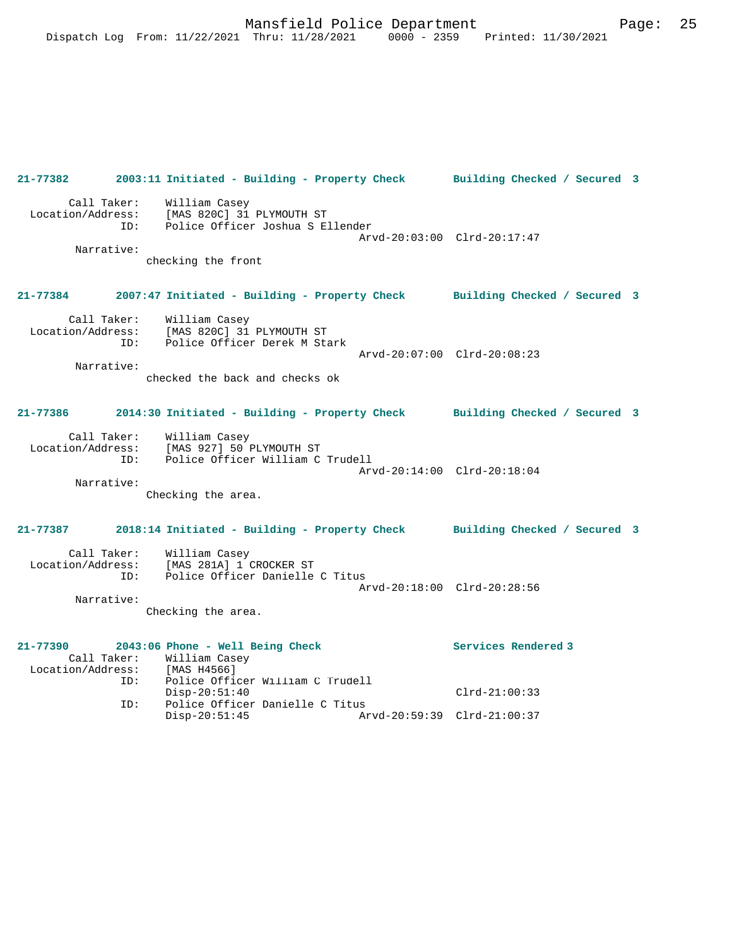**21-77382 2003:11 Initiated - Building - Property Check Building Checked / Secured 3** Call Taker: William Casey Location/Address: [MAS 820C] 31 PLYMOUTH ST ID: Police Officer Joshua S Ellender Arvd-20:03:00 Clrd-20:17:47 Narrative: checking the front **21-77384 2007:47 Initiated - Building - Property Check Building Checked / Secured 3** Call Taker: William Casey Location/Address: [MAS 820C] 31 PLYMOUTH ST ID: Police Officer Derek M Stark Arvd-20:07:00 Clrd-20:08:23 Narrative: checked the back and checks ok **21-77386 2014:30 Initiated - Building - Property Check Building Checked / Secured 3** Call Taker: William Casey Location/Address: [MAS 927] 50 PLYMOUTH ST ID: Police Officer William C Trudell Arvd-20:14:00 Clrd-20:18:04 Narrative: Checking the area. **21-77387 2018:14 Initiated - Building - Property Check Building Checked / Secured 3** Call Taker: William Casey Location/Address: [MAS 281A] 1 CROCKER ST ID: Police Officer Danielle C Titus Arvd-20:18:00 Clrd-20:28:56 Narrative: Checking the area. **21-77390 2043:06 Phone - Well Being Check Services Rendered 3**  Call Taker: William Casey<br>ion/Address: [MAS H4566] Location/Address:<br>ID: Police Officer William C Trudell Disp-20:51:40 Clrd-21:00:33 ID: Police Officer Danielle C Titus Disp-20:51:45 Arvd-20:59:39 Clrd-21:00:37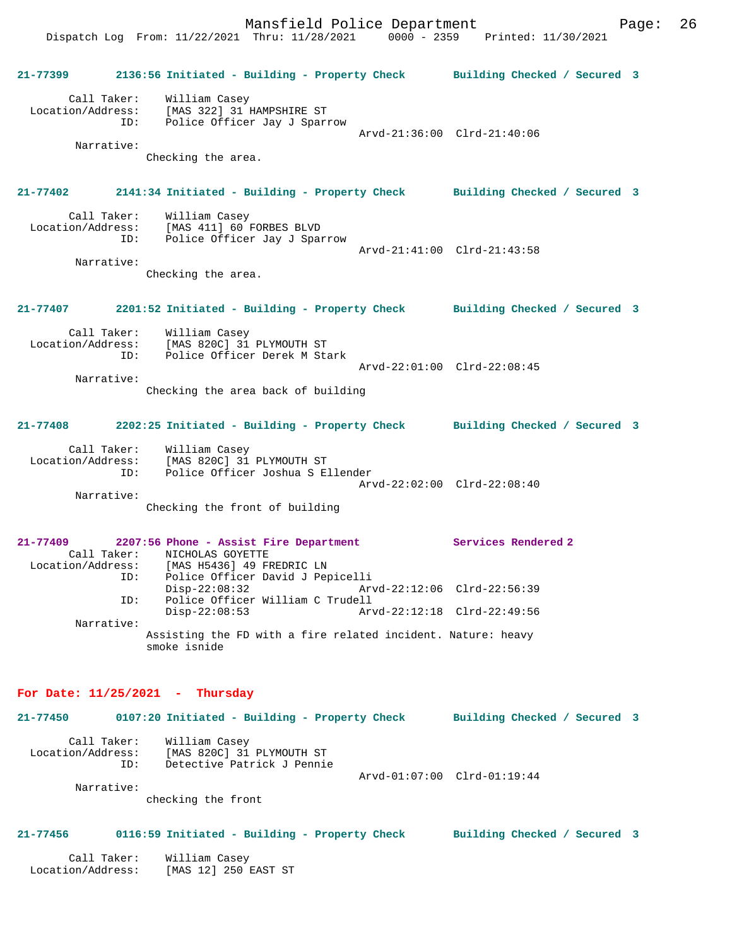Dispatch Log From: 11/22/2021 Thru: 11/28/2021 0000 - 2359 Printed: 11/30/2021 **21-77399 2136:56 Initiated - Building - Property Check Building Checked / Secured 3** Call Taker: William Casey Location/Address: [MAS 322] 31 HAMPSHIRE ST ID: Police Officer Jay J Sparrow Arvd-21:36:00 Clrd-21:40:06 Narrative: Checking the area. **21-77402 2141:34 Initiated - Building - Property Check Building Checked / Secured 3** Call Taker: William Casey Location/Address: [MAS 411] 60 FORBES BLVD ID: Police Officer Jay J Sparrow Arvd-21:41:00 Clrd-21:43:58 Narrative: Checking the area. **21-77407 2201:52 Initiated - Building - Property Check Building Checked / Secured 3** Call Taker: William Casey Location/Address: [MAS 820C] 31 PLYMOUTH ST ID: Police Officer Derek M Stark Arvd-22:01:00 Clrd-22:08:45 Narrative: Checking the area back of building **21-77408 2202:25 Initiated - Building - Property Check Building Checked / Secured 3** Call Taker: William Casey Location/Address: [MAS 820C] 31 PLYMOUTH ST ID: Police Officer Joshua S Ellender Arvd-22:02:00 Clrd-22:08:40 Narrative: Checking the front of building **21-77409 2207:56 Phone - Assist Fire Department Services Rendered 2**  Call Taker: NICHOLAS GOYETTE Location/Address: [MAS H5436] 49 FREDRIC LN ID: Police Officer David J Pepicelli Arvd-22:12:06 Clrd-22:56:39 ID: Police Officer William C Trudell Disp-22:08:53 Arvd-22:12:18 Clrd-22:49:56 Narrative: Assisting the FD with a fire related incident. Nature: heavy smoke isnide **For Date: 11/25/2021 - Thursday 21-77450 0107:20 Initiated - Building - Property Check Building Checked / Secured 3** Call Taker: William Casey Location/Address: [MAS 820C] 31 PLYMOUTH ST ID: Detective Patrick J Pennie

 Arvd-01:07:00 Clrd-01:19:44 Narrative:

checking the front

# **21-77456 0116:59 Initiated - Building - Property Check Building Checked / Secured 3**

| Call Taker:       | William Casey        |
|-------------------|----------------------|
| Location/Address: | [MAS 12] 250 EAST ST |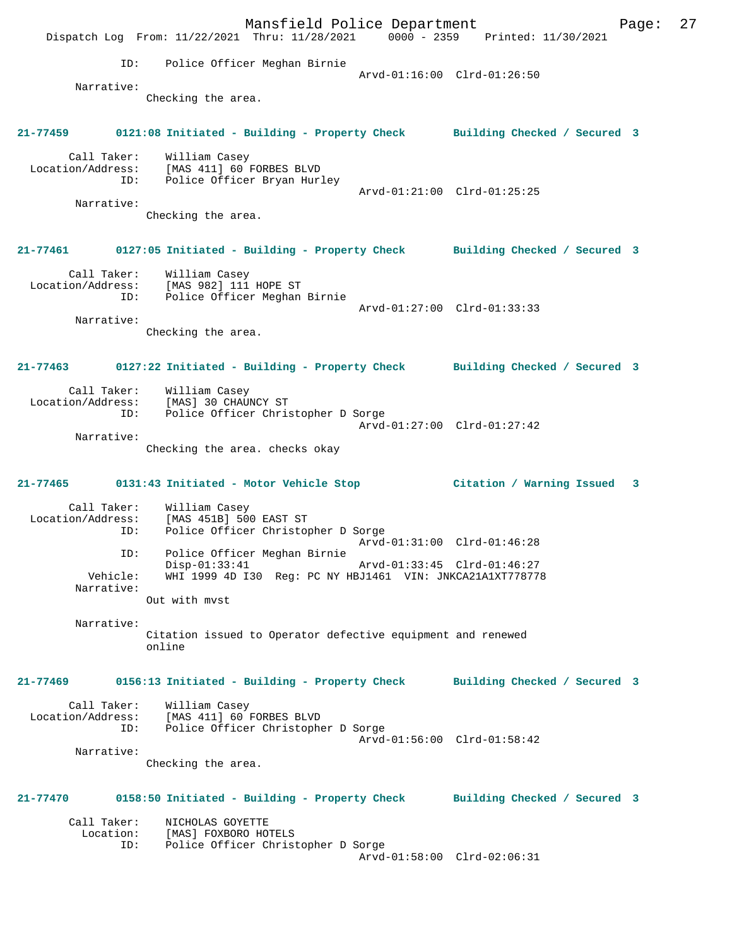Mansfield Police Department Fage: 27 Dispatch Log From: 11/22/2021 Thru: 11/28/2021 0000 - 2359 Printed: 11/30/2021 ID: Police Officer Meghan Birnie Arvd-01:16:00 Clrd-01:26:50 Narrative: Checking the area. **21-77459 0121:08 Initiated - Building - Property Check Building Checked / Secured 3** Call Taker: William Casey Location/Address: [MAS 411] 60 FORBES BLVD ID: Police Officer Bryan Hurley Arvd-01:21:00 Clrd-01:25:25 Narrative: Checking the area. **21-77461 0127:05 Initiated - Building - Property Check Building Checked / Secured 3** Call Taker: William Casey Location/Address: [MAS 982] 111 HOPE ST ID: Police Officer Meghan Birnie Arvd-01:27:00 Clrd-01:33:33 Narrative: Checking the area. **21-77463 0127:22 Initiated - Building - Property Check Building Checked / Secured 3** Call Taker: William Casey Location/Address: [MAS] 30 CHAUNCY ST ID: Police Officer Christopher D Sorge Arvd-01:27:00 Clrd-01:27:42 Narrative: Checking the area. checks okay **21-77465 0131:43 Initiated - Motor Vehicle Stop Citation / Warning Issued 3** Call Taker: William Casey Location/Address: [MAS 451B] 500 EAST ST Police Officer Christopher D Sorge Arvd-01:31:00 Clrd-01:46:28<br>ID: Police Officer Meghan Birnie Police Officer Meghan Birnie<br>Disp-01:33:41 Disp-01:33:41 Arvd-01:33:45 Clrd-01:46:27 Vehicle: WHI 1999 4D I30 Reg: PC NY HBJ1461 VIN: JNKCA21A1XT778778 Narrative: Out with mvst Narrative: Citation issued to Operator defective equipment and renewed online **21-77469 0156:13 Initiated - Building - Property Check Building Checked / Secured 3** Call Taker: William Casey Location/Address: [MAS 411] 60 FORBES BLVD ID: Police Officer Christopher D Sorge Arvd-01:56:00 Clrd-01:58:42 Narrative: Checking the area. **21-77470 0158:50 Initiated - Building - Property Check Building Checked / Secured 3** Call Taker: NICHOLAS GOYETTE Location: [MAS] FOXBORO HOTELS<br>ID: Police Officer Christ Police Officer Christopher D Sorge Arvd-01:58:00 Clrd-02:06:31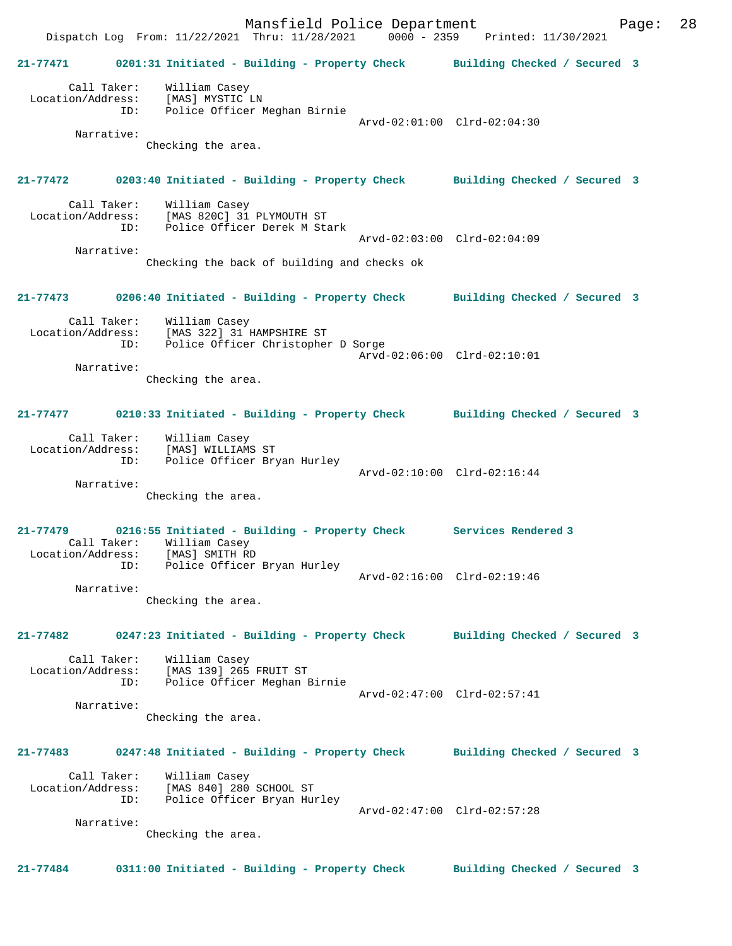Mansfield Police Department Page: 28 Dispatch Log From: 11/22/2021 Thru: 11/28/2021 0000 - 2359 Printed: 11/30/2021 **21-77471 0201:31 Initiated - Building - Property Check Building Checked / Secured 3** Call Taker: William Casey Location/Address: [MAS] MYSTIC LN ID: Police Officer Meghan Birnie Arvd-02:01:00 Clrd-02:04:30 Narrative: Checking the area. **21-77472 0203:40 Initiated - Building - Property Check Building Checked / Secured 3** Call Taker: William Casey Location/Address: [MAS 820C] 31 PLYMOUTH ST Police Officer Derek M Stark Arvd-02:03:00 Clrd-02:04:09 Narrative: Checking the back of building and checks ok **21-77473 0206:40 Initiated - Building - Property Check Building Checked / Secured 3** Call Taker: William Casey Location/Address: [MAS 322] 31 HAMPSHIRE ST ID: Police Officer Christopher D Sorge Arvd-02:06:00 Clrd-02:10:01 Narrative: Checking the area. **21-77477 0210:33 Initiated - Building - Property Check Building Checked / Secured 3** Call Taker: William Casey Location/Address: [MAS] WILLIAMS ST ID: Police Officer Bryan Hurley Arvd-02:10:00 Clrd-02:16:44 Narrative: Checking the area. **21-77479 0216:55 Initiated - Building - Property Check Services Rendered 3**  Call Taker: William Casey<br>tion/Address: [MAS] SMITH RD Location/Address: ID: Police Officer Bryan Hurley Arvd-02:16:00 Clrd-02:19:46 Narrative: Checking the area. **21-77482 0247:23 Initiated - Building - Property Check Building Checked / Secured 3** Call Taker: William Casey Location/Address: [MAS 139] 265 FRUIT ST ID: Police Officer Meghan Birnie Arvd-02:47:00 Clrd-02:57:41 Narrative: Checking the area. **21-77483 0247:48 Initiated - Building - Property Check Building Checked / Secured 3** Call Taker: William Casey Location/Address: [MAS 840] 280 SCHOOL ST ID: Police Officer Bryan Hurley Arvd-02:47:00 Clrd-02:57:28 Narrative: Checking the area. **21-77484 0311:00 Initiated - Building - Property Check Building Checked / Secured 3**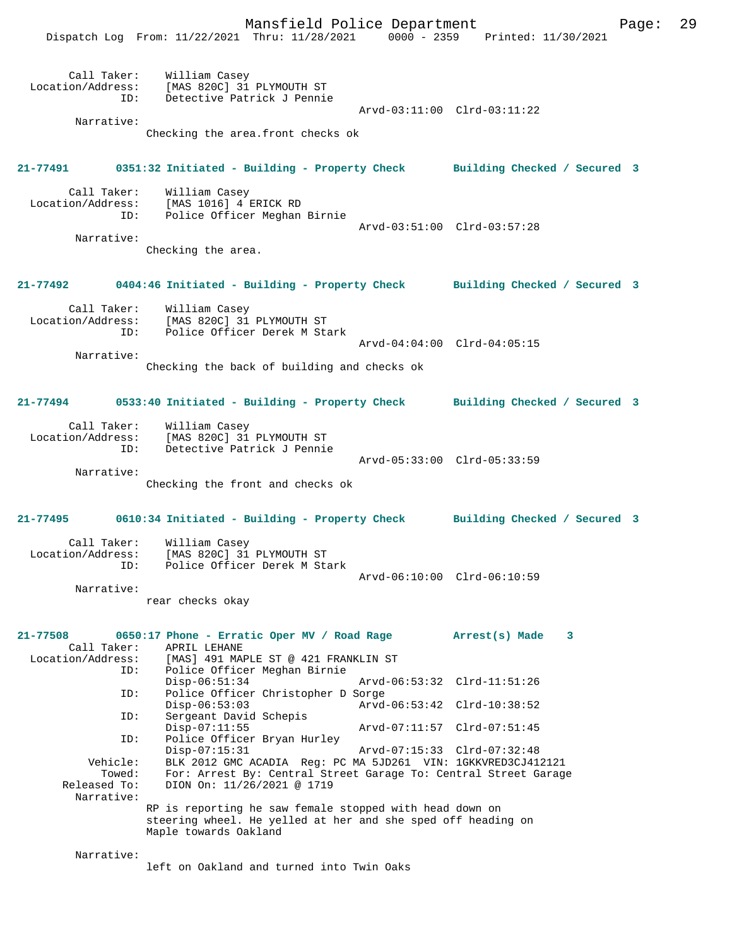|                                         | Mansfield Police Department<br>Dispatch Log From: 11/22/2021 Thru: 11/28/2021 0000 - 2359 Printed: 11/30/2021                                                                    |                             | Page: | 29 |
|-----------------------------------------|----------------------------------------------------------------------------------------------------------------------------------------------------------------------------------|-----------------------------|-------|----|
| ID:<br>Narrative:                       | Call Taker: William Casey<br>Location/Address: [MAS 820C] 31 PLYMOUTH ST<br>Detective Patrick J Pennie<br>Checking the area.front checks ok                                      | Arvd-03:11:00 Clrd-03:11:22 |       |    |
|                                         |                                                                                                                                                                                  |                             |       |    |
|                                         | 21-77491 0351:32 Initiated - Building - Property Check Building Checked / Secured 3                                                                                              |                             |       |    |
| Call Taker:<br>Location/Address:<br>ID: | William Casey<br>[MAS 1016] 4 ERICK RD<br>Police Officer Meghan Birnie                                                                                                           | Arvd-03:51:00 Clrd-03:57:28 |       |    |
| Narrative:                              | Checking the area.                                                                                                                                                               |                             |       |    |
|                                         | 21-77492 0404:46 Initiated - Building - Property Check Building Checked / Secured 3                                                                                              |                             |       |    |
| Location/Address:<br>ID:                | Call Taker: William Casey<br>[MAS 820C] 31 PLYMOUTH ST<br>Police Officer Derek M Stark                                                                                           | Arvd-04:04:00 Clrd-04:05:15 |       |    |
| Narrative:                              | Checking the back of building and checks ok                                                                                                                                      |                             |       |    |
|                                         | 21-77494 0533:40 Initiated - Building - Property Check Building Checked / Secured 3                                                                                              |                             |       |    |
| ID:                                     | Call Taker: William Casey<br>Location/Address: [MAS 820C] 31 PLYMOUTH ST<br>Detective Patrick J Pennie                                                                           |                             |       |    |
| Narrative:                              | Checking the front and checks ok                                                                                                                                                 | Arvd-05:33:00 Clrd-05:33:59 |       |    |
|                                         | 21-77495 6610:34 Initiated - Building - Property Check Building Checked / Secured 3                                                                                              |                             |       |    |
| Call Taker:<br>ID:                      | William Casey<br>Location/Address: [MAS 820C] 31 PLYMOUTH ST<br>Police Officer Derek M Stark                                                                                     | Arvd-06:10:00 Clrd-06:10:59 |       |    |
| Narrative:                              | rear checks okay                                                                                                                                                                 |                             |       |    |
| 21-77508<br>Call Taker:                 | 0650:17 Phone - Erratic Oper MV / Road Rage<br>APRIL LEHANE                                                                                                                      | Arrest(s) Made<br>3         |       |    |
| Location/Address:<br>ID:                | [MAS] 491 MAPLE ST @ 421 FRANKLIN ST<br>Police Officer Meghan Birnie<br>$Disp-06:51:34$                                                                                          | Arvd-06:53:32 Clrd-11:51:26 |       |    |
| ID:                                     | Police Officer Christopher D Sorge<br>$Disp-06:53:03$                                                                                                                            | Arvd-06:53:42 Clrd-10:38:52 |       |    |
| ID:<br>ID:                              | Sergeant David Schepis<br>$Disp-07:11:55$<br>Police Officer Bryan Hurley                                                                                                         | Arvd-07:11:57 Clrd-07:51:45 |       |    |
| Vehicle:<br>Towed:<br>Released To:      | $Disp-07:15:31$<br>BLK 2012 GMC ACADIA Reg: PC MA 5JD261 VIN: 1GKKVRED3CJ412121<br>For: Arrest By: Central Street Garage To: Central Street Garage<br>DION On: 11/26/2021 @ 1719 | Arvd-07:15:33 Clrd-07:32:48 |       |    |
| Narrative:                              | RP is reporting he saw female stopped with head down on<br>steering wheel. He yelled at her and she sped off heading on<br>Maple towards Oakland                                 |                             |       |    |
| Narrative:                              |                                                                                                                                                                                  |                             |       |    |

left on Oakland and turned into Twin Oaks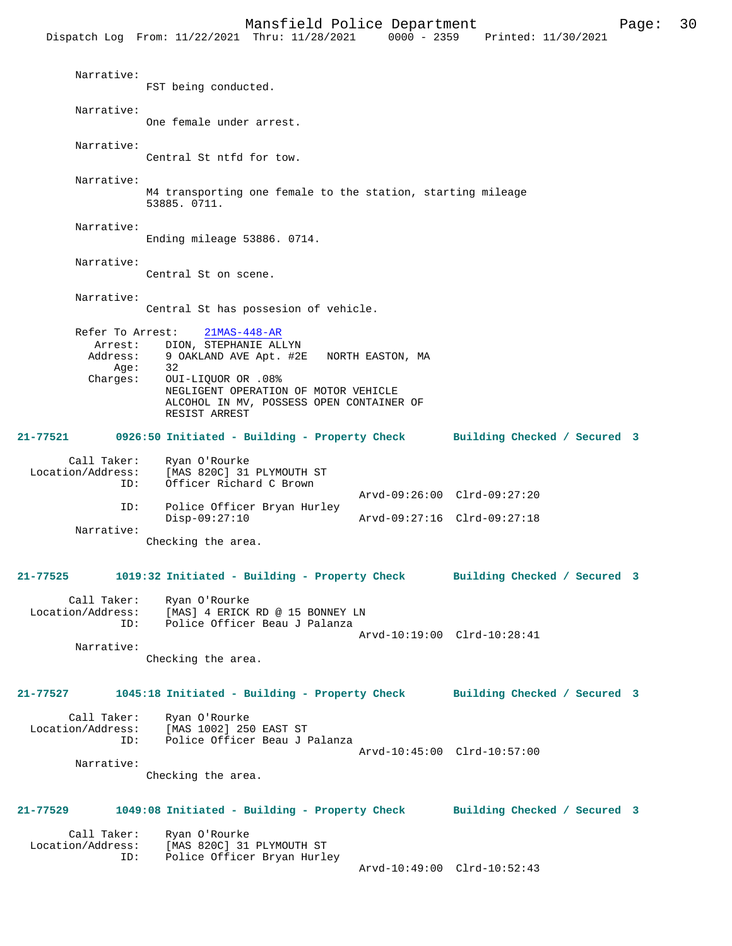|                                                             | Dispatch Log From: 11/22/2021 Thru: 11/28/2021                                                                                                                                                                      | $0000 - 2359$                                              | Printed: 11/30/2021          |  |
|-------------------------------------------------------------|---------------------------------------------------------------------------------------------------------------------------------------------------------------------------------------------------------------------|------------------------------------------------------------|------------------------------|--|
| Narrative:                                                  | FST being conducted.                                                                                                                                                                                                |                                                            |                              |  |
| Narrative:                                                  | One female under arrest.                                                                                                                                                                                            |                                                            |                              |  |
| Narrative:                                                  | Central St ntfd for tow.                                                                                                                                                                                            |                                                            |                              |  |
| Narrative:                                                  | M4 transporting one female to the station, starting mileage<br>53885. 0711.                                                                                                                                         |                                                            |                              |  |
| Narrative:                                                  | Ending mileage 53886. 0714.                                                                                                                                                                                         |                                                            |                              |  |
| Narrative:                                                  | Central St on scene.                                                                                                                                                                                                |                                                            |                              |  |
| Narrative:                                                  | Central St has possesion of vehicle.                                                                                                                                                                                |                                                            |                              |  |
| Refer To Arrest:<br>Arrest:<br>Address:<br>Age:<br>Charges: | $21MAS-448-AR$<br>DION, STEPHANIE ALLYN<br>9 OAKLAND AVE Apt. #2E NORTH EASTON, MA<br>32<br>OUI-LIOUOR OR .08%<br>NEGLIGENT OPERATION OF MOTOR VEHICLE<br>ALCOHOL IN MV, POSSESS OPEN CONTAINER OF<br>RESIST ARREST |                                                            |                              |  |
| 21-77521                                                    | 0926:50 Initiated - Building - Property Check                                                                                                                                                                       |                                                            | Building Checked / Secured 3 |  |
| Call Taker:<br>Location/Address:<br>ID:                     | Ryan O'Rourke<br>[MAS 820C] 31 PLYMOUTH ST<br>Officer Richard C Brown                                                                                                                                               |                                                            |                              |  |
| ID:                                                         | Police Officer Bryan Hurley<br>$Disp-09:27:10$                                                                                                                                                                      | Arvd-09:26:00 Clrd-09:27:20<br>Arvd-09:27:16 Clrd-09:27:18 |                              |  |
| Narrative:                                                  | Checking the area.                                                                                                                                                                                                  |                                                            |                              |  |
|                                                             | 21-77525 1019:32 Initiated - Building - Property Check Building Checked / Secured 3                                                                                                                                 |                                                            |                              |  |
| Call Taker:<br>Location/Address:<br>ID:                     | Ryan O'Rourke<br>[MAS] 4 ERICK RD @ 15 BONNEY LN<br>Police Officer Beau J Palanza                                                                                                                                   |                                                            |                              |  |
| Narrative:                                                  | Checking the area.                                                                                                                                                                                                  | Arvd-10:19:00 Clrd-10:28:41                                |                              |  |
|                                                             | 21-77527 1045:18 Initiated - Building - Property Check Building Checked / Secured 3                                                                                                                                 |                                                            |                              |  |
| Call Taker:<br>Narrative:                                   | Ryan O'Rourke<br>Location/Address: [MAS 1002] 250 EAST ST<br>ID: Police Officer Beau J Palanza                                                                                                                      | Arvd-10:45:00 Clrd-10:57:00                                |                              |  |
|                                                             | Checking the area.                                                                                                                                                                                                  |                                                            |                              |  |
| 21-77529                                                    | 1049:08 Initiated - Building - Property Check Building Checked / Secured 3                                                                                                                                          |                                                            |                              |  |
| Call Taker:<br>ID:                                          | Ryan O'Rourke<br>Location/Address: [MAS 820C] 31 PLYMOUTH ST<br>Police Officer Bryan Hurley                                                                                                                         | Arvd-10:49:00 Clrd-10:52:43                                |                              |  |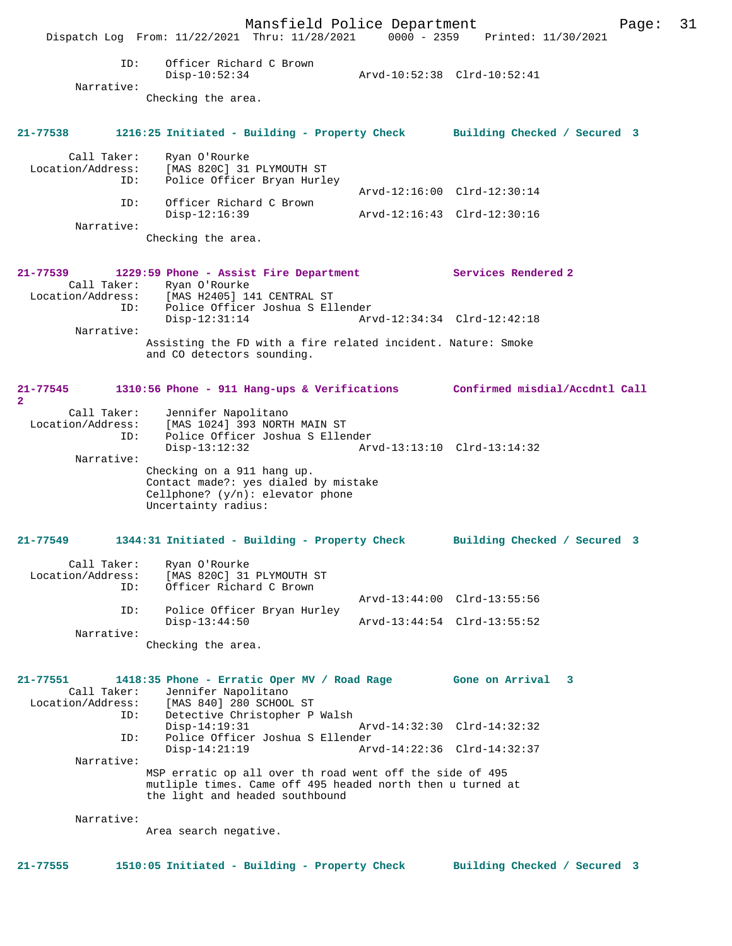Mansfield Police Department Page: 31 Dispatch Log From: 11/22/2021 Thru: 11/28/2021 0000 - 2359 Printed: 11/30/2021 ID: Officer Richard C Brown Disp-10:52:34 Arvd-10:52:38 Clrd-10:52:41 Narrative: Checking the area. **21-77538 1216:25 Initiated - Building - Property Check Building Checked / Secured 3** Call Taker: Ryan O'Rourke Location/Address: [MAS 820C] 31 PLYMOUTH ST ID: Police Officer Bryan Hurley Arvd-12:16:00 Clrd-12:30:14 ID: Officer Richard C Brown Disp-12:16:39 Arvd-12:16:43 Clrd-12:30:16 Narrative: Checking the area. **21-77539 1229:59 Phone - Assist Fire Department Services Rendered 2**  Call Taker: Ryan O'Rourke<br>Location/Address: [MAS H2405] 14 Location/Address: [MAS H2405] 141 CENTRAL ST ID: Police Officer Joshua S Ellender Disp-12:31:14 Arvd-12:34:34 Clrd-12:42:18 Narrative: Assisting the FD with a fire related incident. Nature: Smoke and CO detectors sounding. **21-77545 1310:56 Phone - 911 Hang-ups & Verifications Confirmed misdial/Accdntl Call 2**  Call Taker: Jennifer Napolitano Location/Address: [MAS 1024] 393 NORTH MAIN ST ID: Police Officer Joshua S Ellender Disp-13:12:32 Arvd-13:13:10 Clrd-13:14:32 Narrative: Checking on a 911 hang up. Contact made?: yes dialed by mistake Cellphone? (y/n): elevator phone Uncertainty radius: **21-77549 1344:31 Initiated - Building - Property Check Building Checked / Secured 3** Call Taker: Ryan O'Rourke Location/Address: [MAS 820C] 31 PLYMOUTH ST<br>ID: Officer Richard C Brown Officer Richard C Brown Arvd-13:44:00 Clrd-13:55:56 ID: Police Officer Bryan Hurley Disp-13:44:50 Arvd-13:44:54 Clrd-13:55:52 Narrative: Checking the area. **21-77551 1418:35 Phone - Erratic Oper MV / Road Rage Gone on Arrival 3**  Call Taker: Jennifer Napolitano<br>Location/Address: [MAS 840] 280 SCHOOL ess: [MAS 840] 280 SCHOOL ST<br>TD: Detective Christopher P Detective Christopher P Walsh Disp-14:19:31 Arvd-14:32:30 Clrd-14:32:32 ID: Police Officer Joshua S Ellender Disp-14:21:19 Arvd-14:22:36 Clrd-14:32:37 Narrative: MSP erratic op all over th road went off the side of 495 mutliple times. Came off 495 headed north then u turned at the light and headed southbound Narrative: Area search negative. **21-77555 1510:05 Initiated - Building - Property Check Building Checked / Secured 3**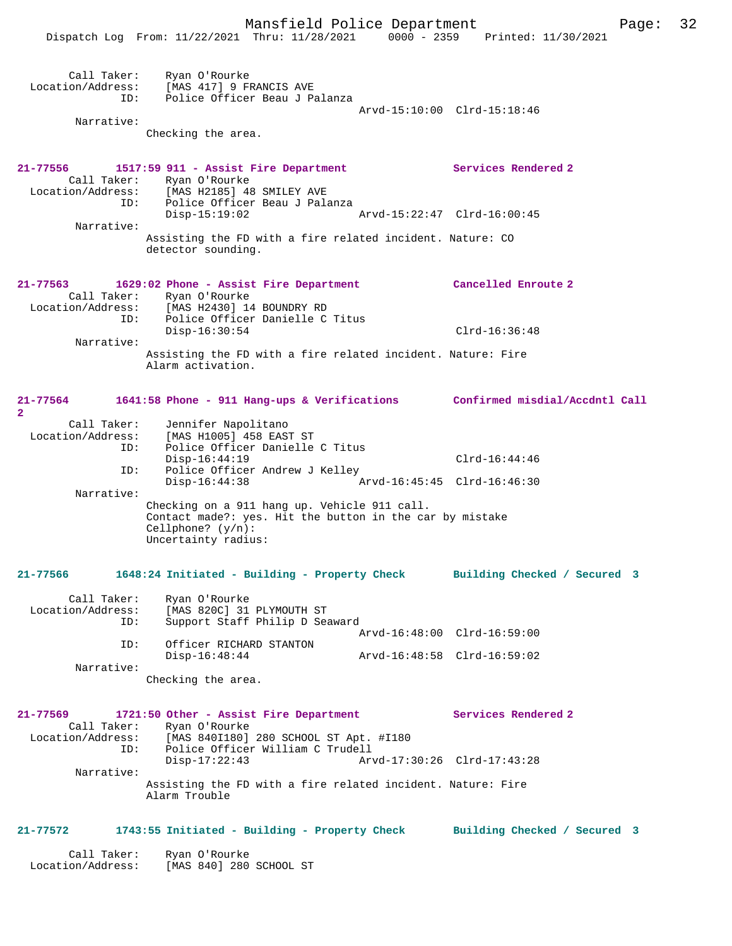|                                         | Dispatch Log From: 11/22/2021 Thru: 11/28/2021 0000 - 2359                                                                                              | Printed: 11/30/2021            |
|-----------------------------------------|---------------------------------------------------------------------------------------------------------------------------------------------------------|--------------------------------|
| Call Taker:<br>ID:                      | Ryan O'Rourke<br>Location/Address: [MAS 417] 9 FRANCIS AVE<br>Police Officer Beau J Palanza                                                             | Arvd-15:10:00 Clrd-15:18:46    |
| Narrative:                              |                                                                                                                                                         |                                |
|                                         | Checking the area.                                                                                                                                      |                                |
| 21-77556                                | 1517:59 911 - Assist Fire Department                                                                                                                    | Services Rendered 2            |
| Location/Address:<br>. הז<br>ID:        | Call Taker: Ryan O'Rourke<br>[MAS H2185] 48 SMILEY AVE<br>Police Officer Beau J Palanza                                                                 |                                |
| Narrative:                              | $Disp-15:19:02$                                                                                                                                         | Arvd-15:22:47 Clrd-16:00:45    |
|                                         | Assisting the FD with a fire related incident. Nature: CO<br>detector sounding.                                                                         |                                |
|                                         | 21-77563 1629:02 Phone - Assist Fire Department<br>Call Taker: Ryan O'Rourke                                                                            | Cancelled Enroute 2            |
|                                         | Location/Address: [MAS H2430] 14 BOUNDRY RD                                                                                                             |                                |
| ID:<br>Narrative:                       | Police Officer Danielle C Titus<br>$Disp-16:30:54$                                                                                                      | $Clrd-16:36:48$                |
|                                         | Assisting the FD with a fire related incident. Nature: Fire<br>Alarm activation.                                                                        |                                |
| 21-77564<br>2                           | 1641:58 Phone - 911 Hang-ups & Verifications                                                                                                            | Confirmed misdial/Accdntl Call |
| Call Taker:                             | Jennifer Napolitano                                                                                                                                     |                                |
| Location/Address:<br>ID:                | [MAS H1005] 458 EAST ST<br>Police Officer Danielle C Titus                                                                                              |                                |
|                                         | $Disp-16:44:19$                                                                                                                                         | $Clrd-16:44:46$                |
| ID:<br>Narrative:                       | Police Officer Andrew J Kelley<br>$Disp-16:44:38$                                                                                                       | Arvd-16:45:45 Clrd-16:46:30    |
|                                         | Checking on a 911 hang up. Vehicle 911 call.<br>Contact made?: yes. Hit the button in the car by mistake<br>Cellphone? $(y/n)$ :<br>Uncertainty radius: |                                |
| 21-77566                                | 1648:24 Initiated - Building - Property Check                                                                                                           | Building Checked / Secured 3   |
| Call Taker:<br>Location/Address:<br>ID: | Ryan O'Rourke<br>[MAS 820C] 31 PLYMOUTH ST<br>Support Staff Philip D Seaward                                                                            |                                |
|                                         |                                                                                                                                                         | Arvd-16:48:00 Clrd-16:59:00    |
| ID:<br>Narrative:                       | Officer RICHARD STANTON<br>$Disp-16:48:44$                                                                                                              | Arvd-16:48:58 Clrd-16:59:02    |
|                                         | Checking the area.                                                                                                                                      |                                |
| 21-77569<br>Call Taker:                 | 1721:50 Other - Assist Fire Department<br>Ryan O'Rourke                                                                                                 | Services Rendered 2            |
| Location/Address:<br>ID:                | [MAS 840I180] 280 SCHOOL ST Apt. #I180<br>Police Officer William C Trudell                                                                              |                                |
| Narrative:                              | $Disp-17:22:43$                                                                                                                                         | Arvd-17:30:26 Clrd-17:43:28    |
|                                         | Assisting the FD with a fire related incident. Nature: Fire<br>Alarm Trouble                                                                            |                                |
| 21-77572                                | 1743:55 Initiated - Building - Property Check Building Checked / Secured 3                                                                              |                                |
| Call Taker:                             | Ryan O'Rourke                                                                                                                                           |                                |

Location/Address: [MAS 840] 280 SCHOOL ST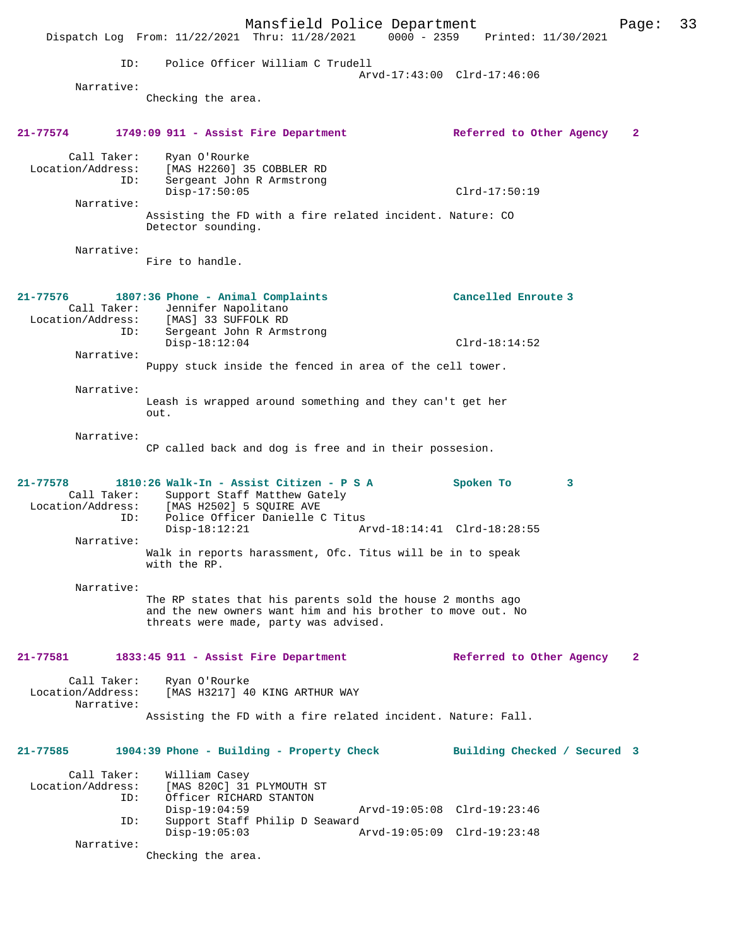|                                                | Dispatch Log From: 11/22/2021 Thru: 11/28/2021 0000 - 2359 Printed: 11/30/2021                                                                                               | Mansfield Police Department |                             |                              | Page:        | 33 |
|------------------------------------------------|------------------------------------------------------------------------------------------------------------------------------------------------------------------------------|-----------------------------|-----------------------------|------------------------------|--------------|----|
|                                                |                                                                                                                                                                              |                             |                             |                              |              |    |
|                                                | Police Officer William C Trudell<br>ID:                                                                                                                                      |                             | Arvd-17:43:00 Clrd-17:46:06 |                              |              |    |
| Narrative:                                     | Checking the area.                                                                                                                                                           |                             |                             |                              |              |    |
|                                                |                                                                                                                                                                              |                             |                             |                              |              |    |
| 21-77574                                       | 1749:09 911 - Assist Fire Department                                                                                                                                         |                             |                             | Referred to Other Agency     | $\mathbf{2}$ |    |
| Call Taker:<br>Location/Address:               | Ryan O'Rourke<br>[MAS H2260] 35 COBBLER RD<br>ID:<br>Sergeant John R Armstrong                                                                                               |                             |                             |                              |              |    |
| Narrative:                                     | $Disp-17:50:05$                                                                                                                                                              |                             |                             | $Clrd-17:50:19$              |              |    |
|                                                | Assisting the FD with a fire related incident. Nature: CO<br>Detector sounding.                                                                                              |                             |                             |                              |              |    |
| Narrative:                                     |                                                                                                                                                                              |                             |                             |                              |              |    |
|                                                | Fire to handle.                                                                                                                                                              |                             |                             |                              |              |    |
| 21-77576                                       | 1807:36 Phone - Animal Complaints<br>Call Taker: Jennifer Napolitano<br>Location/Address: [MAS] 33 SUFFOLK RD                                                                |                             |                             | Cancelled Enroute 3          |              |    |
|                                                | ID:<br>Sergeant John R Armstrong<br>$Disp-18:12:04$                                                                                                                          |                             |                             | $Clrd-18:14:52$              |              |    |
| Narrative:                                     | Puppy stuck inside the fenced in area of the cell tower.                                                                                                                     |                             |                             |                              |              |    |
|                                                |                                                                                                                                                                              |                             |                             |                              |              |    |
| Narrative:                                     | Leash is wrapped around something and they can't get her<br>out.                                                                                                             |                             |                             |                              |              |    |
| Narrative:                                     | CP called back and dog is free and in their possesion.                                                                                                                       |                             |                             |                              |              |    |
| $21 - 77578$                                   | 1810:26 Walk-In - Assist Citizen - P S A<br>Call Taker: Support Staff Matthew Gately<br>Location/Address: [MAS H2502] 5 SQUIRE AVE<br>Police Officer Danielle C Titus<br>ID: |                             |                             | Spoken To<br>3               |              |    |
| Narrative:                                     | $Disp-18:12:21$                                                                                                                                                              |                             | Arvd-18:14:41 Clrd-18:28:55 |                              |              |    |
|                                                | Walk in reports harassment, Ofc. Titus will be in to speak<br>with the RP.                                                                                                   |                             |                             |                              |              |    |
| Narrative:                                     | The RP states that his parents sold the house 2 months ago<br>and the new owners want him and his brother to move out. No<br>threats were made, party was advised.           |                             |                             |                              |              |    |
| 21-77581                                       | 1833:45 911 - Assist Fire Department                                                                                                                                         |                             |                             | Referred to Other Agency     | 2            |    |
| Call Taker:<br>Location/Address:<br>Narrative: | Ryan O'Rourke<br>[MAS H3217] 40 KING ARTHUR WAY                                                                                                                              |                             |                             |                              |              |    |
|                                                | Assisting the FD with a fire related incident. Nature: Fall.                                                                                                                 |                             |                             |                              |              |    |
| 21-77585                                       | 1904:39 Phone - Building - Property Check                                                                                                                                    |                             |                             | Building Checked / Secured 3 |              |    |
| Call Taker:<br>Location/Address:               | William Casey<br>[MAS 820C] 31 PLYMOUTH ST<br>ID:<br>Officer RICHARD STANTON                                                                                                 |                             |                             |                              |              |    |
|                                                | $Disp-19:04:59$<br>ID:<br>Support Staff Philip D Seaward                                                                                                                     |                             | Arvd-19:05:08 Clrd-19:23:46 |                              |              |    |
|                                                | $Disp-19:05:03$                                                                                                                                                              |                             | Arvd-19:05:09 Clrd-19:23:48 |                              |              |    |
| Narrative:                                     | Checking the area.                                                                                                                                                           |                             |                             |                              |              |    |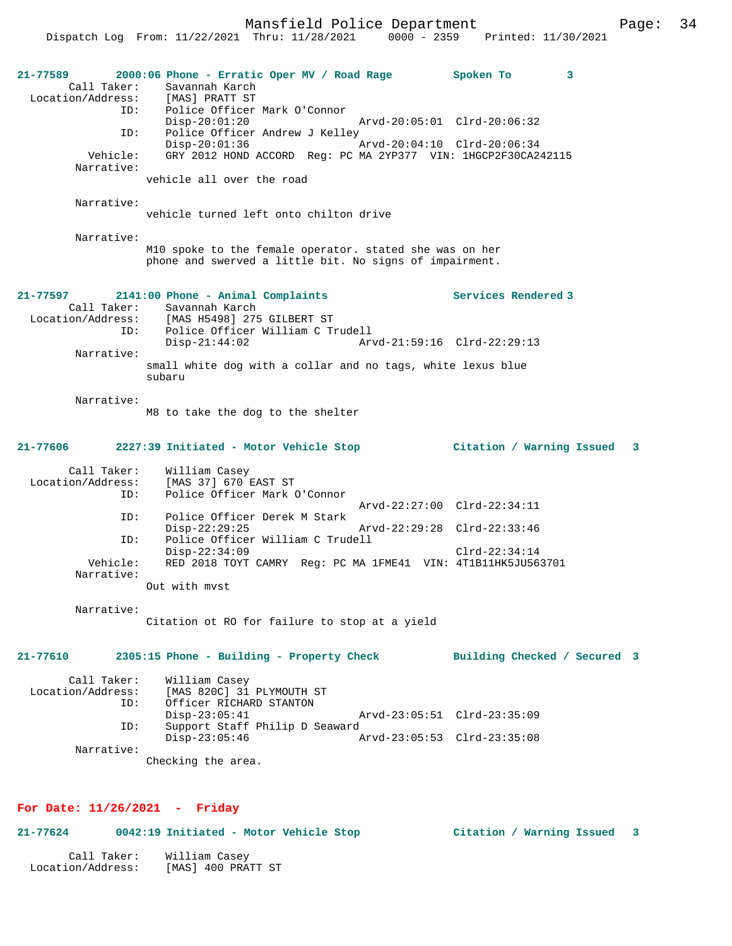Mansfield Police Department Fage: 34

Dispatch Log From: 11/22/2021 Thru: 11/28/2021 0000 - 2359 Printed: 11/30/2021

| 21-77589<br>Call Taker:<br>Location/Address: | 2000:06 Phone - Erratic Oper MV / Road Rage<br>Savannah Karch<br>[MAS] PRATT ST                                                                                    | Spoken To                    | 3 |
|----------------------------------------------|--------------------------------------------------------------------------------------------------------------------------------------------------------------------|------------------------------|---|
| ID:<br>ID:                                   | Police Officer Mark O'Connor<br>$Disp-20:01:20$<br>Arvd-20:05:01 Clrd-20:06:32<br>Police Officer Andrew J Kelley<br>$Disp-20:01:36$<br>Arvd-20:04:10 Clrd-20:06:34 |                              |   |
| Vehicle:<br>Narrative:                       | GRY 2012 HOND ACCORD Reg: PC MA 2YP377 VIN: 1HGCP2F30CA242115<br>vehicle all over the road                                                                         |                              |   |
| Narrative:                                   | vehicle turned left onto chilton drive                                                                                                                             |                              |   |
| Narrative:                                   | M10 spoke to the female operator. stated she was on her<br>phone and swerved a little bit. No signs of impairment.                                                 |                              |   |
| $21 - 77597$                                 | 2141:00 Phone - Animal Complaints<br>Call Taker: Savannah Karch<br>Location/Address: [MAS H5498] 275 GILBERT ST<br>Police Officer William C Trudell                | Services Rendered 3          |   |
| ID:<br>Narrative:                            | $Disp-21:44:02$<br>Arvd-21:59:16 Clrd-22:29:13                                                                                                                     |                              |   |
|                                              | small white dog with a collar and no tags, white lexus blue<br>subaru                                                                                              |                              |   |
| Narrative:                                   | M8 to take the dog to the shelter                                                                                                                                  |                              |   |
|                                              | 21-77606 2227:39 Initiated - Motor Vehicle Stop                                                                                                                    | Citation / Warning Issued 3  |   |
| Call Taker:<br>Location/Address:<br>ID:      | William Casey<br>[MAS 37] 670 EAST ST<br>Police Officer Mark O'Connor                                                                                              |                              |   |
| ID:                                          | Arvd-22:27:00 Clrd-22:34:11<br>Police Officer Derek M Stark<br>$Disp-22:29:25$<br>Arvd-22:29:28 Clrd-22:33:46                                                      |                              |   |
| ID:                                          | Police Officer William C Trudell<br>$Disp-22:34:09$                                                                                                                | $Clrd-22:34:14$              |   |
| Vehicle:<br>Narrative:                       | RED 2018 TOYT CAMRY Req: PC MA 1FME41 VIN: 4T1B11HK5JU563701<br>Out with myst                                                                                      |                              |   |
| Narrative:                                   | Citation ot RO for failure to stop at a yield                                                                                                                      |                              |   |
| 21-77610                                     | 2305:15 Phone - Building - Property Check                                                                                                                          | Building Checked / Secured 3 |   |
| Call Taker:<br>Location/Address:<br>ID:      | William Casey<br>[MAS 820C] 31 PLYMOUTH ST<br>Officer RICHARD STANTON<br>Arvd-23:05:51 Clrd-23:35:09<br>$Disp-23:05:41$                                            |                              |   |
| ID:                                          | Support Staff Philip D Seaward<br>$Disp-23:05:46$<br>Arvd-23:05:53 Clrd-23:35:08                                                                                   |                              |   |
| Narrative:                                   | Checking the area.                                                                                                                                                 |                              |   |
| For Date: $11/26/2021$ - Friday              |                                                                                                                                                                    |                              |   |

**21-77624 0042:19 Initiated - Motor Vehicle Stop Citation / Warning Issued 3**

| Call Taker:       | William Casey      |
|-------------------|--------------------|
| Location/Address: | [MAS] 400 PRATT ST |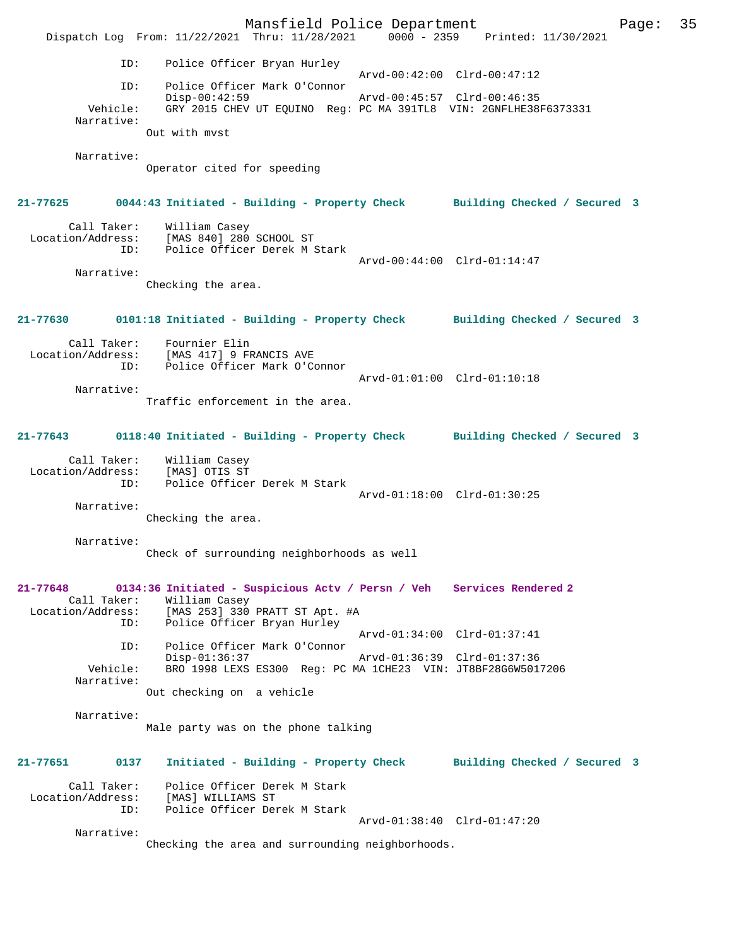|                                  |                                                                                                            | Mansfield Police Department |                     | Page: | 35 |
|----------------------------------|------------------------------------------------------------------------------------------------------------|-----------------------------|---------------------|-------|----|
|                                  | Dispatch Log From: 11/22/2021 Thru: 11/28/2021 0000 - 2359 Printed: 11/30/2021                             |                             |                     |       |    |
| ID:                              | Police Officer Bryan Hurley                                                                                | Arvd-00:42:00 Clrd-00:47:12 |                     |       |    |
| ID:                              | Police Officer Mark O'Connor                                                                               |                             |                     |       |    |
| Vehicle:                         | $Disp-00:42:59$<br>GRY 2015 CHEV UT EQUINO Reg: PC MA 391TL8 VIN: 2GNFLHE38F6373331                        | Arvd-00:45:57 Clrd-00:46:35 |                     |       |    |
| Narrative:                       | Out with myst                                                                                              |                             |                     |       |    |
| Narrative:                       |                                                                                                            |                             |                     |       |    |
|                                  | Operator cited for speeding                                                                                |                             |                     |       |    |
|                                  | 21-77625 0044:43 Initiated - Building - Property Check Building Checked / Secured 3                        |                             |                     |       |    |
|                                  | Call Taker: William Casey<br>Location/Address: [MAS 840] 280 SCHOOL ST<br>ID: Police Officer Derek M Stark |                             |                     |       |    |
| Narrative:                       |                                                                                                            | Arvd-00:44:00 Clrd-01:14:47 |                     |       |    |
|                                  | Checking the area.                                                                                         |                             |                     |       |    |
|                                  | 21-77630 0101:18 Initiated - Building - Property Check Building Checked / Secured 3                        |                             |                     |       |    |
| Call Taker:                      | Fournier Elin                                                                                              |                             |                     |       |    |
| ID:                              | Location/Address: [MAS 417] 9 FRANCIS AVE<br>Police Officer Mark O'Connor                                  |                             |                     |       |    |
|                                  |                                                                                                            | Arvd-01:01:00 Clrd-01:10:18 |                     |       |    |
| Narrative:                       | Traffic enforcement in the area.                                                                           |                             |                     |       |    |
|                                  |                                                                                                            |                             |                     |       |    |
|                                  | 21-77643 0118:40 Initiated - Building - Property Check Building Checked / Secured 3                        |                             |                     |       |    |
|                                  | Call Taker: William Casey                                                                                  |                             |                     |       |    |
| Location/Address:<br>ID:         | [MAS] OTIS ST<br>Police Officer Derek M Stark                                                              |                             |                     |       |    |
|                                  |                                                                                                            | Arvd-01:18:00 Clrd-01:30:25 |                     |       |    |
| Narrative:                       | Checking the area.                                                                                         |                             |                     |       |    |
|                                  |                                                                                                            |                             |                     |       |    |
| Narrative:                       | Check of surrounding neighborhoods as well                                                                 |                             |                     |       |    |
| 21-77648                         | 0134:36 Initiated - Suspicious Actv / Persn / Veh                                                          |                             | Services Rendered 2 |       |    |
| Call Taker:<br>Location/Address: | William Casey<br>[MAS 253] 330 PRATT ST Apt. #A                                                            |                             |                     |       |    |
| ID:                              | Police Officer Bryan Hurley                                                                                |                             |                     |       |    |
| ID:                              | Police Officer Mark O'Connor                                                                               | Arvd-01:34:00 Clrd-01:37:41 |                     |       |    |
| Vehicle:                         | $Disp-01:36:37$<br>BRO 1998 LEXS ES300 Req: PC MA 1CHE23 VIN: JT8BF28G6W5017206                            | Arvd-01:36:39 Clrd-01:37:36 |                     |       |    |
| Narrative:                       |                                                                                                            |                             |                     |       |    |
|                                  | Out checking on a vehicle                                                                                  |                             |                     |       |    |
| Narrative:                       |                                                                                                            |                             |                     |       |    |
|                                  | Male party was on the phone talking                                                                        |                             |                     |       |    |
| 21-77651<br>0137                 | Initiated - Building - Property Check Building Checked / Secured 3                                         |                             |                     |       |    |
| Call Taker:                      | Police Officer Derek M Stark                                                                               |                             |                     |       |    |
| Location/Address:<br>ID:         | [MAS] WILLIAMS ST<br>Police Officer Derek M Stark                                                          |                             |                     |       |    |
|                                  |                                                                                                            | Arvd-01:38:40 Clrd-01:47:20 |                     |       |    |
| Narrative:                       | Checking the area and surrounding neighborhoods.                                                           |                             |                     |       |    |
|                                  |                                                                                                            |                             |                     |       |    |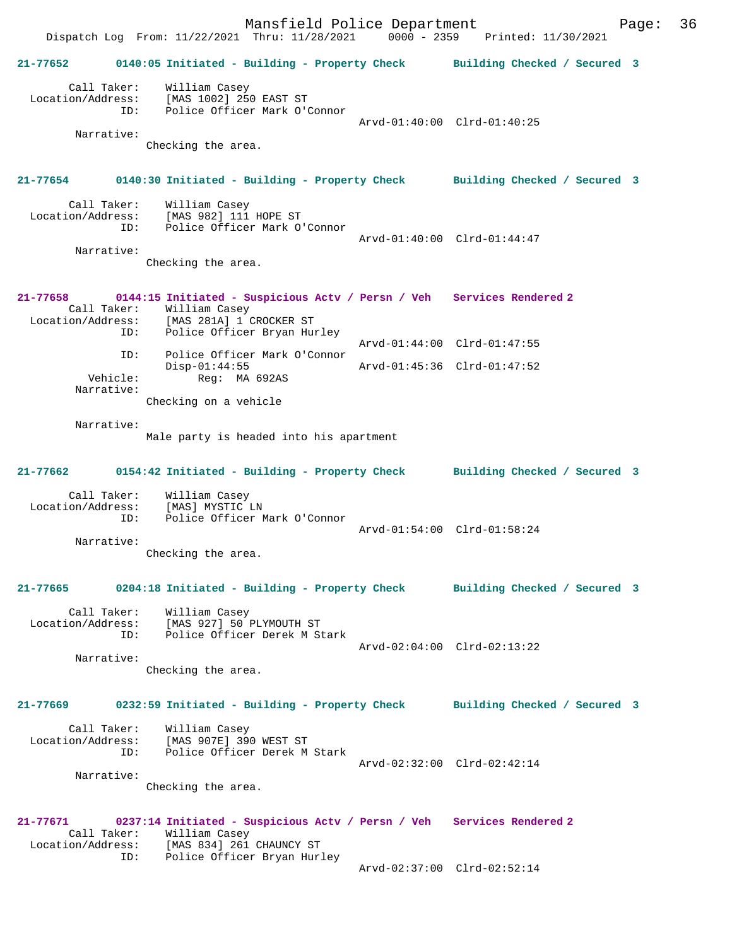Mansfield Police Department Page: 36 Dispatch Log From: 11/22/2021 Thru: 11/28/2021 0000 - 2359 Printed: 11/30/2021 **21-77652 0140:05 Initiated - Building - Property Check Building Checked / Secured 3** Call Taker: William Casey Location/Address: [MAS 1002] 250 EAST ST ID: Police Officer Mark O'Connor Arvd-01:40:00 Clrd-01:40:25 Narrative: Checking the area. **21-77654 0140:30 Initiated - Building - Property Check Building Checked / Secured 3** Call Taker: William Casey Location/Address: [MAS 982] 111 HOPE ST<br>Th: Police Officer Mark O Police Officer Mark O'Connor Arvd-01:40:00 Clrd-01:44:47 Narrative: Checking the area. **21-77658 0144:15 Initiated - Suspicious Actv / Persn / Veh Services Rendered 2**  Call Taker: William Casey Location/Address: [MAS 281A] 1 CROCKER ST ID: Police Officer Bryan Hurley Arvd-01:44:00 Clrd-01:47:55 ID: Police Officer Mark O'Connor Disp-01:44:55 Arvd-01:45:36 Clrd-01:47:52 Vehicle: Reg: MA 692AS Narrative: Checking on a vehicle Narrative: Male party is headed into his apartment **21-77662 0154:42 Initiated - Building - Property Check Building Checked / Secured 3** Call Taker: William Casey Location/Address: [MAS] MYSTIC LN ID: Police Officer Mark O'Connor Arvd-01:54:00 Clrd-01:58:24 Narrative: Checking the area. **21-77665 0204:18 Initiated - Building - Property Check Building Checked / Secured 3** Call Taker: William Casey Location/Address: [MAS 927] 50 PLYMOUTH ST ID: Police Officer Derek M Stark Arvd-02:04:00 Clrd-02:13:22 Narrative: Checking the area. **21-77669 0232:59 Initiated - Building - Property Check Building Checked / Secured 3** Call Taker: William Casey Location/Address: [MAS 907E] 390 WEST ST ID: Police Officer Derek M Stark Arvd-02:32:00 Clrd-02:42:14 Narrative: Checking the area. **21-77671 0237:14 Initiated - Suspicious Actv / Persn / Veh Services Rendered 2**  Call Taker: William Casey<br>Location/Address: [MAS 834] 261 Location/Address: [MAS 834] 261 CHAUNCY ST ID: Police Officer Bryan Hurley Arvd-02:37:00 Clrd-02:52:14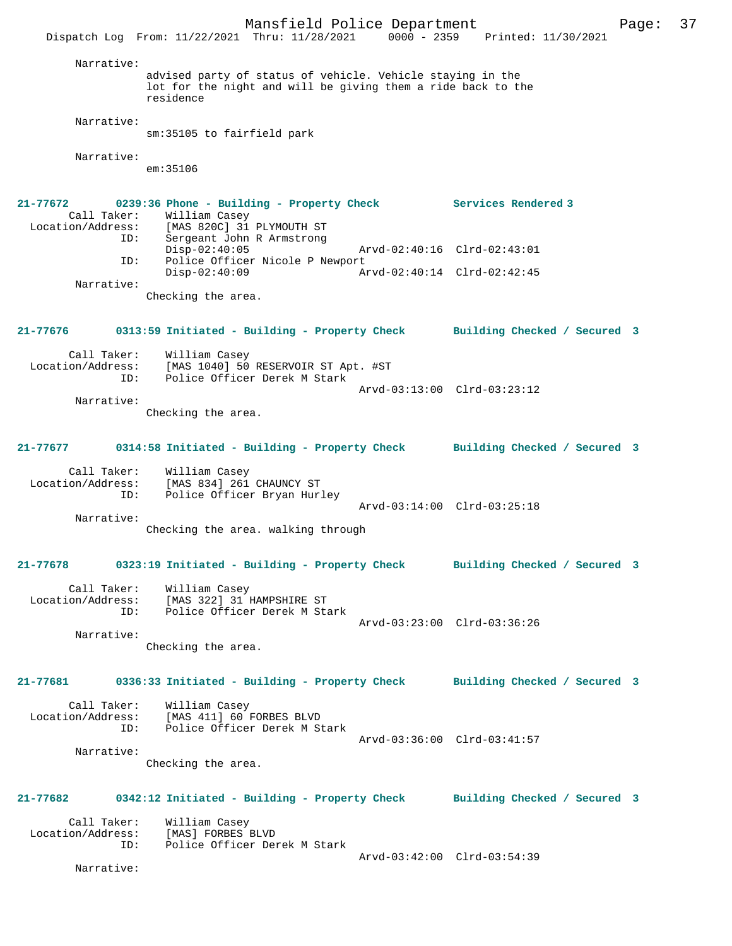Mansfield Police Department Page: 37 Dispatch Log From: 11/22/2021 Thru: 11/28/2021 0000 - 2359 Printed: 11/30/2021 Narrative: advised party of status of vehicle. Vehicle staying in the lot for the night and will be giving them a ride back to the residence Narrative: sm:35105 to fairfield park Narrative:  $em:35106$ **21-77672 0239:36 Phone - Building - Property Check Services Rendered 3**  Call Taker: William Casey<br>Location/Address: [MAS 820C] 31 [MAS 820C] 31 PLYMOUTH ST ID: Sergeant John R Armstrong Disp-02:40:05 Arvd-02:40:16 Clrd-02:43:01 ID: Police Officer Nicole P Newport<br>Disp-02:40:09 Ar Disp-02:40:09 Arvd-02:40:14 Clrd-02:42:45 Narrative: Checking the area. **21-77676 0313:59 Initiated - Building - Property Check Building Checked / Secured 3** Call Taker: William Casey<br>Location/Address: [MAS 1040] 50 ess: [MAS 1040] 50 RESERVOIR ST Apt. #ST<br>ID: Police Officer Derek M Stark Police Officer Derek M Stark Arvd-03:13:00 Clrd-03:23:12 Narrative: Checking the area. **21-77677 0314:58 Initiated - Building - Property Check Building Checked / Secured 3** Call Taker: William Casey Location/Address: [MAS 834] 261 CHAUNCY ST ID: Police Officer Bryan Hurley Arvd-03:14:00 Clrd-03:25:18 Narrative: Checking the area. walking through **21-77678 0323:19 Initiated - Building - Property Check Building Checked / Secured 3** Call Taker: William Casey Location/Address: [MAS 322] 31 HAMPSHIRE ST<br>ID: Police Officer Derek M Sta Police Officer Derek M Stark Arvd-03:23:00 Clrd-03:36:26 Narrative: Checking the area. **21-77681 0336:33 Initiated - Building - Property Check Building Checked / Secured 3** Call Taker: William Casey<br>Location/Address: [MAS 411] 60 ess: [MAS 411] 60 FORBES BLVD<br>TD: Police Officer Derek M St Police Officer Derek M Stark Arvd-03:36:00 Clrd-03:41:57 Narrative: Checking the area. **21-77682 0342:12 Initiated - Building - Property Check Building Checked / Secured 3** Call Taker: William Casey<br>Location/Address: [MAS] FORBES 1 ess: [MAS] FORBES BLVD<br>ID: Police Officer Dem Police Officer Derek M Stark Arvd-03:42:00 Clrd-03:54:39 Narrative: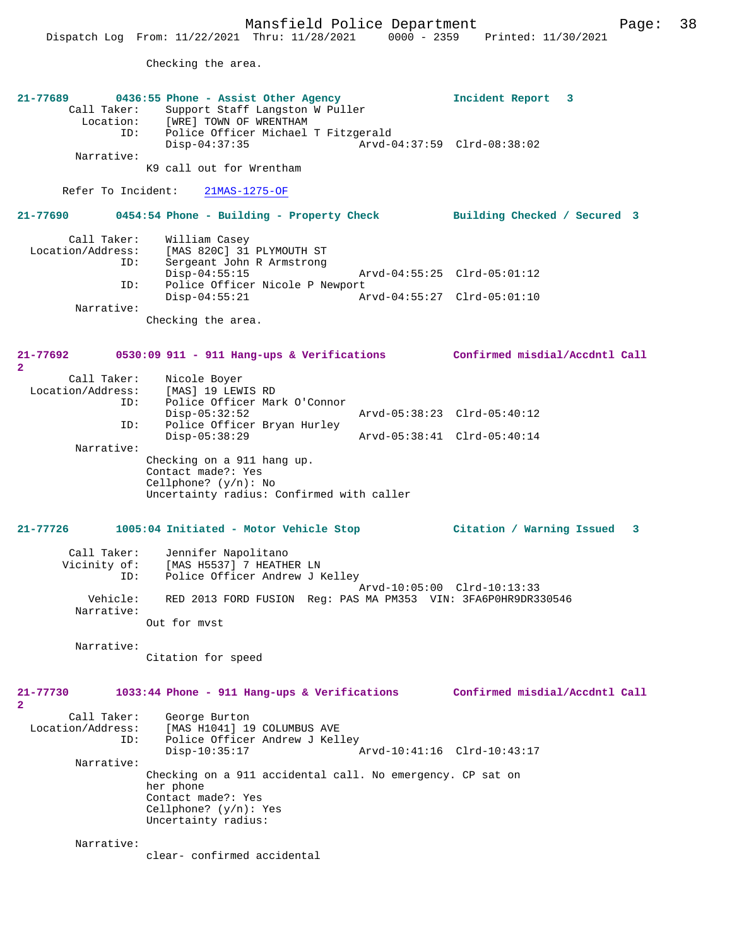Checking the area.

| 21-77689<br>ID:                         | 0436:55 Phone - Assist Other Agency<br>Call Taker: Support Staff Langston W Puller<br>Location: [WRE] TOWN OF WRENTHAM<br>Police Officer Michael T Fitzgerald | Incident Report 3              |   |
|-----------------------------------------|---------------------------------------------------------------------------------------------------------------------------------------------------------------|--------------------------------|---|
| Narrative:                              | $Disp-04:37:35$<br>K9 call out for Wrentham                                                                                                                   | Arvd-04:37:59 Clrd-08:38:02    |   |
| Refer To Incident:                      | 21MAS-1275-OF                                                                                                                                                 |                                |   |
| 21-77690                                | 0454:54 Phone - Building - Property Check                                                                                                                     | Building Checked / Secured 3   |   |
| Call Taker:<br>Location/Address:<br>ID: | William Casey<br>[MAS 820C] 31 PLYMOUTH ST<br>Sergeant John R Armstrong                                                                                       |                                |   |
| ID:                                     | $Disp-04:55:15$<br>Police Officer Nicole P Newport                                                                                                            | Arvd-04:55:25 Clrd-05:01:12    |   |
| Narrative:                              | $Disp-04:55:21$                                                                                                                                               |                                |   |
|                                         | Checking the area.                                                                                                                                            |                                |   |
| 21-77692<br>$\mathbf{2}$                | 0530:09 911 - 911 Hang-ups & Verifications Confirmed misdial/Accdntl Call                                                                                     |                                |   |
| Call Taker:<br>Location/Address:<br>ID: | Nicole Boyer<br>[MAS] 19 LEWIS RD<br>Police Officer Mark O'Connor<br>$Disp-05:32:52$                                                                          | Arvd-05:38:23 Clrd-05:40:12    |   |
| ID:                                     | Police Officer Bryan Hurley                                                                                                                                   |                                |   |
| Narrative:                              | $Disp-05:38:29$                                                                                                                                               | Arvd-05:38:41 Clrd-05:40:14    |   |
|                                         | Checking on a 911 hang up.<br>Contact made?: Yes<br>Cellphone? $(y/n)$ : No<br>Uncertainty radius: Confirmed with caller                                      |                                |   |
| $21 - 77726$                            | 1005:04 Initiated - Motor Vehicle Stop                                                                                                                        | Citation / Warning Issued      | 3 |
| Call Taker:<br>Vicinity of:<br>ID:      | Jennifer Napolitano<br>[MAS H5537] 7 HEATHER LN<br>Police Officer Andrew J Kelley                                                                             |                                |   |
| Vehicle:<br>Narrative:                  | RED 2013 FORD FUSION Reg: PAS MA PM353 VIN: 3FA6P0HR9DR330546                                                                                                 | Arvd-10:05:00 Clrd-10:13:33    |   |
|                                         | Out for mvst                                                                                                                                                  |                                |   |
| Narrative:                              | Citation for speed                                                                                                                                            |                                |   |
| 21-77730<br>$\overline{2}$              | 1033:44 Phone - 911 Hang-ups & Verifications                                                                                                                  | Confirmed misdial/Accdntl Call |   |
| Call Taker:<br>Location/Address:<br>ID: | George Burton<br>[MAS H1041] 19 COLUMBUS AVE<br>Police Officer Andrew J Kelley<br>$Disp-10:35:17$                                                             | Arvd-10:41:16 Clrd-10:43:17    |   |
| Narrative:                              |                                                                                                                                                               |                                |   |
|                                         | Checking on a 911 accidental call. No emergency. CP sat on<br>her phone<br>Contact made?: Yes<br>Cellphone? $(y/n)$ : Yes<br>Uncertainty radius:              |                                |   |
| Narrative:                              | clear- confirmed accidental                                                                                                                                   |                                |   |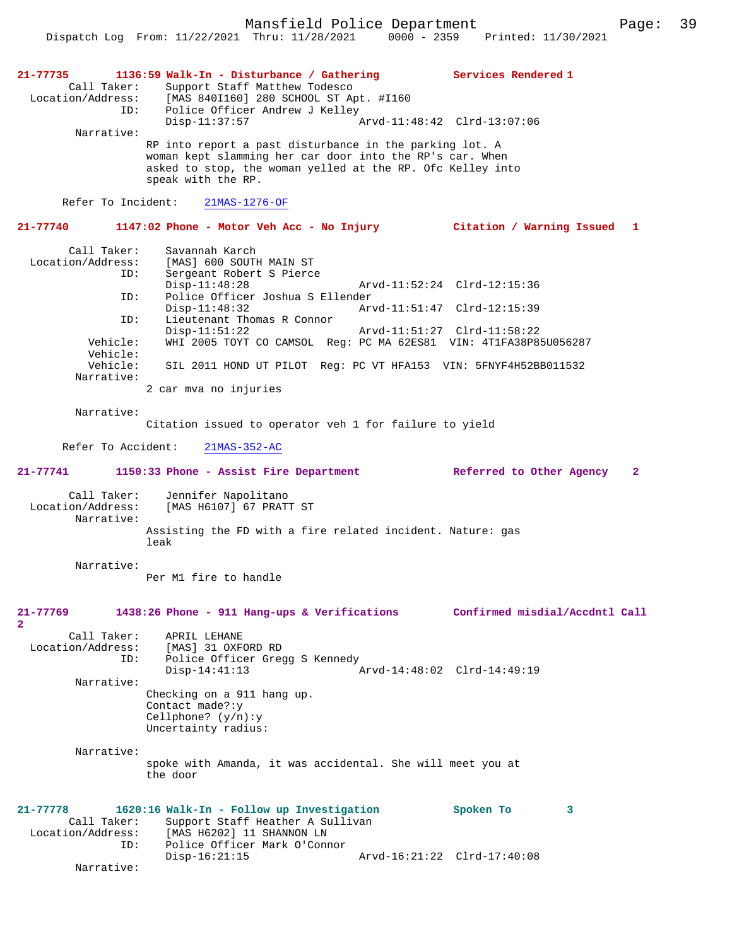Mansfield Police Department Page: 39

**21-77735 1136:59 Walk-In - Disturbance / Gathering Services Rendered 1**  Call Taker: Support Staff Matthew Todesco<br>Location/Address: [MAS 8401160] 280 SCHOOL ST Ap [MAS 840I160] 280 SCHOOL ST Apt. #I160 ID: Police Officer Andrew J Kelley Disp-11:37:57 Arvd-11:48:42 Clrd-13:07:06 Narrative: RP into report a past disturbance in the parking lot. A woman kept slamming her car door into the RP's car. When asked to stop, the woman yelled at the RP. Ofc Kelley into speak with the RP. Refer To Incident: 21MAS-1276-OF **21-77740 1147:02 Phone - Motor Veh Acc - No Injury Citation / Warning Issued 1** Call Taker: Savannah Karch<br>Location/Address: [MAS] 600 SOUTH Location/Address: [MAS] 600 SOUTH MAIN ST ID: Sergeant Robert S Pierce Disp-11:48:28 Arvd-11:52:24 Clrd-12:15:36<br>TD: Police Officer Joshua S Ellender ID: Police Officer Joshua S Ellender Disp-11:48:32 Arvd-11:51:47 Clrd-12:15:39<br>Th: Lieutenant Thomas R Connor Lieutenant Thomas R Connor<br>Disp-11:51:22 Disp-11:51:22 Arvd-11:51:27 Clrd-11:58:22 WHI 2005 TOYT CO CAMSOL Reg: PC MA 62ES81 VIN: 4T1FA38P85U056287 Vehicle: SIL 2011 HOND UT PILOT Reg: PC VT HFA153 VIN: 5FNYF4H52BB011532 Narrative: 2 car mva no injuries Narrative: Citation issued to operator veh 1 for failure to yield Refer To Accident: 21MAS-352-AC **21-77741 1150:33 Phone - Assist Fire Department Referred to Other Agency 2** Call Taker: Jennifer Napolitano Location/Address: [MAS H6107] 67 PRATT ST Narrative: Assisting the FD with a fire related incident. Nature: gas leak Narrative: Per M1 fire to handle **21-77769 1438:26 Phone - 911 Hang-ups & Verifications Confirmed misdial/Accdntl Call 2**  Call Taker: APRIL LEHANE<br>Location/Address: [MAS] 31 OXE ess: [MAS] 31 OXFORD RD<br>ID: Police Officer Gree Police Officer Gregg S Kennedy Disp-14:41:13 Arvd-14:48:02 Clrd-14:49:19 Narrative: Checking on a 911 hang up. Contact made?:y Cellphone? (y/n):y Uncertainty radius: Narrative: spoke with Amanda, it was accidental. She will meet you at the door **21-77778 1620:16 Walk-In - Follow up Investigation Spoken To 3**  Call Taker: Support Staff Heather A Sullivan<br>Location/Address: [MAS H6202] 11 SHANNON LN ess: [MAS H6202] 11 SHANNON LN<br>ID: Police Officer Mark O'Com Police Officer Mark O'Connor<br>Disp-16:21:15 Arvd-16:21:22 Clrd-17:40:08

Narrative: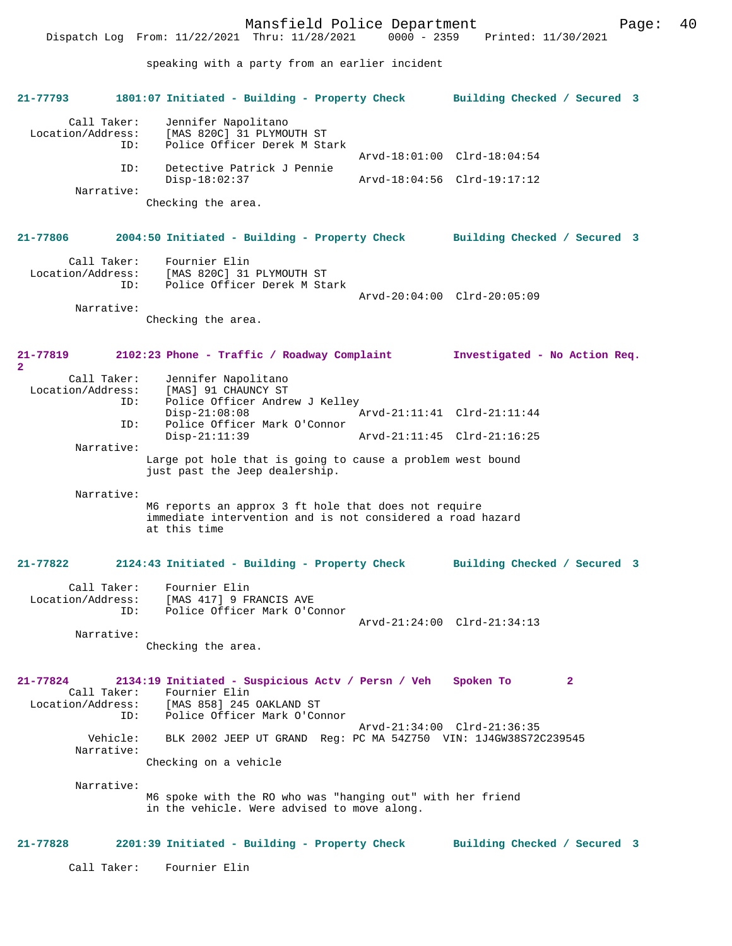**21-77793 1801:07 Initiated - Building - Property Check Building Checked / Secured 3** Call Taker: Jennifer Napolitano<br>Location/Address: [MAS 820C] 31 PLYMOU ess: [MAS 820C] 31 PLYMOUTH ST<br>ID: Police Officer Derek M Sta Police Officer Derek M Stark Arvd-18:01:00 Clrd-18:04:54 ID: Detective Patrick J Pennie Disp-18:02:37 Arvd-18:04:56 Clrd-19:17:12 Narrative: Checking the area. **21-77806 2004:50 Initiated - Building - Property Check Building Checked / Secured 3** Call Taker: Fournier Elin Location/Address: [MAS 820C] 31 PLYMOUTH ST Police Officer Derek M Stark Arvd-20:04:00 Clrd-20:05:09 Narrative: Checking the area. **21-77819 2102:23 Phone - Traffic / Roadway Complaint Investigated - No Action Req. 2**  Call Taker: Jennifer Napolitano Location/Address: [MAS] 91 CHAUNCY ST<br>ID: Police Officer Andre Police Officer Andrew J Kelley<br>Disp-21:08:08 Disp-21:08:08 <br>TD: Police Officer Mark O'Connor<br>TD: Police Officer Mark O'Connor Police Officer Mark O'Connor<br>Disp-21:11:39 Arvd-21:11:45 Clrd-21:16:25 Narrative: Large pot hole that is going to cause a problem west bound just past the Jeep dealership. Narrative: M6 reports an approx 3 ft hole that does not require immediate intervention and is not considered a road hazard at this time **21-77822 2124:43 Initiated - Building - Property Check Building Checked / Secured 3** Call Taker: Fournier Elin<br>Location/Address: [MAS 417] 9 FF Example of the state of the seasons are in the seasons and the seasons are in the seasons are in the seasons a<br>The spotter of the seasons of the seasons and the seasons are in the seasons are in the seasons are in the seas Police Officer Mark O'Connor Arvd-21:24:00 Clrd-21:34:13 Narrative: Checking the area. **21-77824 2134:19 Initiated - Suspicious Actv / Persn / Veh Spoken To 2**  Call Taker: Fournier Elin<br>Location/Address: [MAS 858] 245 [MAS 858] 245 OAKLAND ST ID: Police Officer Mark O'Connor Arvd-21:34:00 Clrd-21:36:35 Vehicle: BLK 2002 JEEP UT GRAND Reg: PC MA 54Z750 VIN: 1J4GW38S72C239545 Narrative: Checking on a vehicle Narrative: M6 spoke with the RO who was "hanging out" with her friend in the vehicle. Were advised to move along. **21-77828 2201:39 Initiated - Building - Property Check Building Checked / Secured 3** Call Taker: Fournier Elin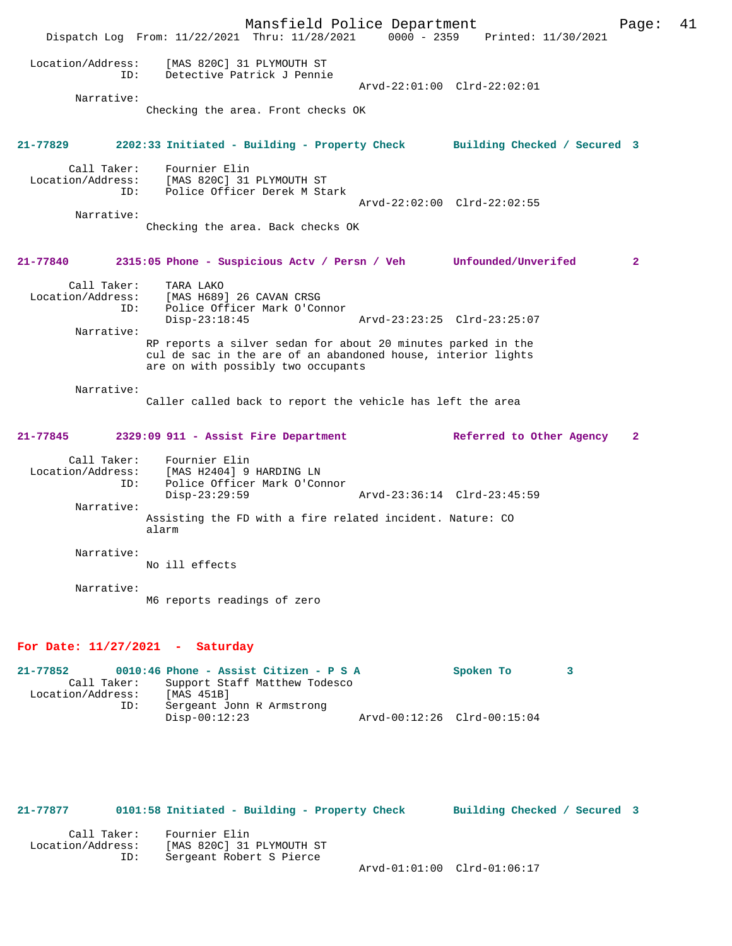Mansfield Police Department Fage: 41 Dispatch Log From: 11/22/2021 Thru: 11/28/2021 0000 - 2359 Printed: 11/30/2021 Location/Address: [MAS 820C] 31 PLYMOUTH ST ID: Detective Patrick J Pennie Arvd-22:01:00 Clrd-22:02:01 Narrative: Checking the area. Front checks OK **21-77829 2202:33 Initiated - Building - Property Check Building Checked / Secured 3** Call Taker: Fournier Elin Location/Address: [MAS 820C] 31 PLYMOUTH ST ID: Police Officer Derek M Stark Arvd-22:02:00 Clrd-22:02:55 Narrative: Checking the area. Back checks OK **21-77840 2315:05 Phone - Suspicious Actv / Persn / Veh Unfounded/Unverifed 2** Call Taker: TARA LAKO Location/Address: [MAS H689] 26 CAVAN CRSG ID: Police Officer Mark O'Connor Disp-23:18:45 Arvd-23:23:25 Clrd-23:25:07 Narrative: RP reports a silver sedan for about 20 minutes parked in the cul de sac in the are of an abandoned house, interior lights are on with possibly two occupants Narrative: Caller called back to report the vehicle has left the area **21-77845 2329:09 911 - Assist Fire Department Referred to Other Agency 2** Call Taker: Fournier Elin Location/Address: [MAS H2404] 9 HARDING LN ID: Police Officer Mark O'Connor Disp-23:29:59 Arvd-23:36:14 Clrd-23:45:59 Narrative: Assisting the FD with a fire related incident. Nature: CO alarm Narrative: No ill effects Narrative: M6 reports readings of zero **For Date: 11/27/2021 - Saturday 21-77852 0010:46 Phone - Assist Citizen - P S A Spoken To 3**  Call Taker: Support Staff Matthew Todesco<br>ion/Address: [MAS 451B]

Location/Address:<br>ID: ID: Sergeant John R Armstrong Disp-00:12:23 Arvd-00:12:26 Clrd-00:15:04

**21-77877 0101:58 Initiated - Building - Property Check Building Checked / Secured 3**

| Call Taker:       | Fournier Elin             |                             |  |
|-------------------|---------------------------|-----------------------------|--|
| Location/Address: | [MAS 820C] 31 PLYMOUTH ST |                             |  |
| ID:               | Sergeant Robert S Pierce  |                             |  |
|                   |                           | Arvd-01:01:00 Clrd-01:06:17 |  |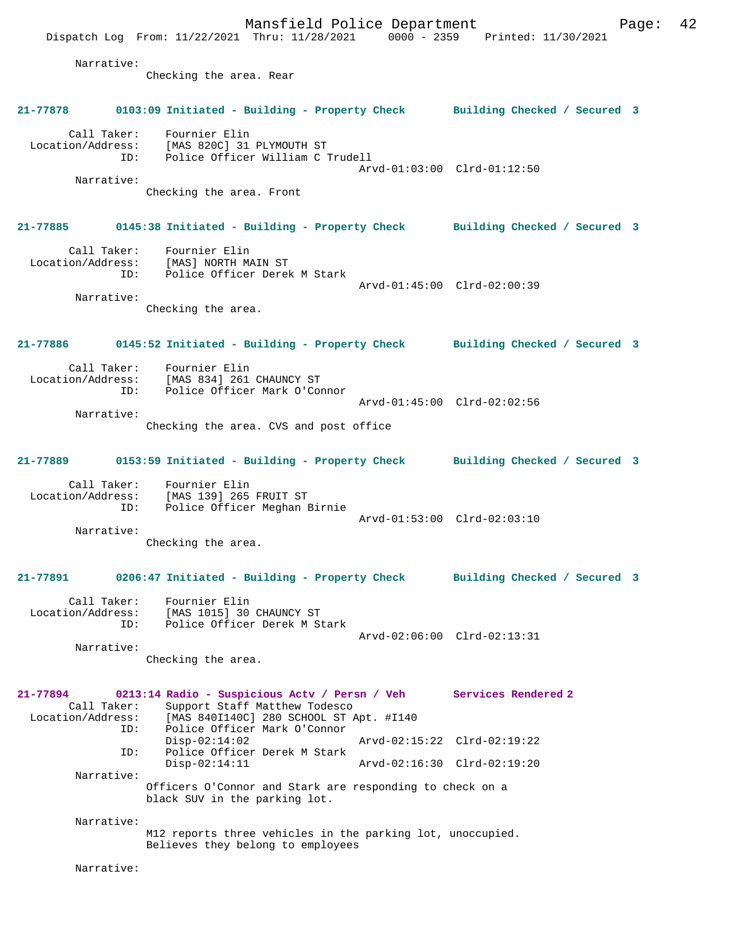Mansfield Police Department Form Page: 42 Dispatch Log From: 11/22/2021 Thru: 11/28/2021 0000 - 2359 Printed: 11/30/2021 Narrative: Checking the area. Rear **21-77878 0103:09 Initiated - Building - Property Check Building Checked / Secured 3** Call Taker: Fournier Elin Location/Address: [MAS 820C] 31 PLYMOUTH ST ID: Police Officer William C Trudell Arvd-01:03:00 Clrd-01:12:50 Narrative: Checking the area. Front **21-77885 0145:38 Initiated - Building - Property Check Building Checked / Secured 3** Call Taker: Fournier Elin Location/Address: [MAS] NORTH MAIN ST ID: Police Officer Derek M Stark Arvd-01:45:00 Clrd-02:00:39 Narrative: Checking the area. **21-77886 0145:52 Initiated - Building - Property Check Building Checked / Secured 3** Call Taker: Fournier Elin<br>Location/Address: [MAS 834] 261 ess: [MAS 834] 261 CHAUNCY ST<br>ID: Police Officer Mark O'Com Police Officer Mark O'Connor Arvd-01:45:00 Clrd-02:02:56 Narrative: Checking the area. CVS and post office **21-77889 0153:59 Initiated - Building - Property Check Building Checked / Secured 3** Call Taker: Fournier Elin Location/Address: [MAS 139] 265 FRUIT ST ID: Police Officer Meghan Birnie Arvd-01:53:00 Clrd-02:03:10 Narrative: Checking the area. **21-77891 0206:47 Initiated - Building - Property Check Building Checked / Secured 3** Call Taker: Fournier Elin Location/Address: [MAS 1015] 30 CHAUNCY ST ID: Police Officer Derek M Stark Arvd-02:06:00 Clrd-02:13:31 Narrative: Checking the area. **21-77894 0213:14 Radio - Suspicious Actv / Persn / Veh Services Rendered 2**  Call Taker: Support Staff Matthew Todesco Location/Address: [MAS 840I140C] 280 SCHOOL ST Apt. #I140<br>ID: Police Officer Mark O'Connor Police Officer Mark O'Connor<br>Disp-02:14:02 Disp-02:14:02 Arvd-02:15:22 Clrd-02:19:22 ID: Police Officer Derek M Stark Disp-02:14:11 Arvd-02:16:30 Clrd-02:19:20 Narrative: Officers O'Connor and Stark are responding to check on a black SUV in the parking lot. Narrative: M12 reports three vehicles in the parking lot, unoccupied. Believes they belong to employees Narrative: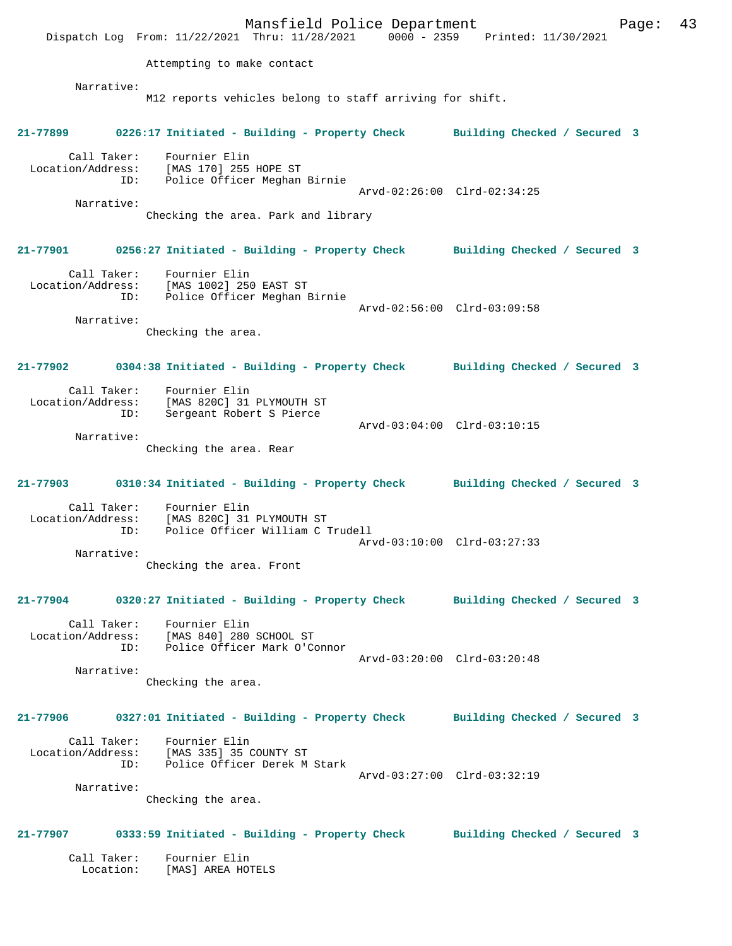Mansfield Police Department Fage: 43 Dispatch Log From: 11/22/2021 Thru: 11/28/2021 0000 - 2359 Printed: 11/30/2021 Attempting to make contact Narrative: M12 reports vehicles belong to staff arriving for shift. **21-77899 0226:17 Initiated - Building - Property Check Building Checked / Secured 3** Call Taker: Fournier Elin Location/Address: [MAS 170] 255 HOPE ST ID: Police Officer Meghan Birnie Arvd-02:26:00 Clrd-02:34:25 Narrative: Checking the area. Park and library **21-77901 0256:27 Initiated - Building - Property Check Building Checked / Secured 3** Call Taker: Fournier Elin Location/Address: [MAS 1002] 250 EAST ST ID: Police Officer Meghan Birnie Arvd-02:56:00 Clrd-03:09:58 Narrative: Checking the area. **21-77902 0304:38 Initiated - Building - Property Check Building Checked / Secured 3** Call Taker: Fournier Elin Location/Address: [MAS 820C] 31 PLYMOUTH ST ID: Sergeant Robert S Pierce Arvd-03:04:00 Clrd-03:10:15 Narrative: Checking the area. Rear **21-77903 0310:34 Initiated - Building - Property Check Building Checked / Secured 3** Call Taker: Fournier Elin Location/Address: [MAS 820C] 31 PLYMOUTH ST Police Officer William C Trudell Arvd-03:10:00 Clrd-03:27:33 Narrative: Checking the area. Front **21-77904 0320:27 Initiated - Building - Property Check Building Checked / Secured 3** Call Taker: Fournier Elin Location/Address: [MAS 840] 280 SCHOOL ST ID: Police Officer Mark O'Connor Arvd-03:20:00 Clrd-03:20:48 Narrative: Checking the area. **21-77906 0327:01 Initiated - Building - Property Check Building Checked / Secured 3** Call Taker: Fournier Elin Location/Address: [MAS 335] 35 COUNTY ST Police Officer Derek M Stark Arvd-03:27:00 Clrd-03:32:19 Narrative: Checking the area. **21-77907 0333:59 Initiated - Building - Property Check Building Checked / Secured 3** Call Taker: Fournier Elin Location: [MAS] AREA HOTELS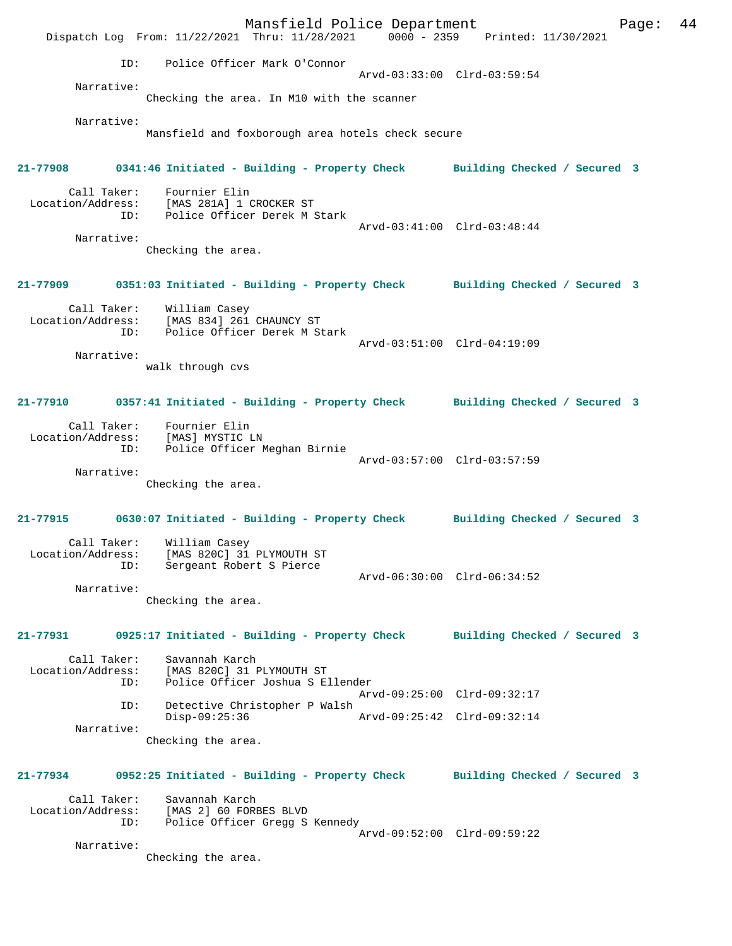Mansfield Police Department Fage: 44 Dispatch Log From: 11/22/2021 Thru: 11/28/2021 0000 - 2359 Printed: 11/30/2021 ID: Police Officer Mark O'Connor Arvd-03:33:00 Clrd-03:59:54 Narrative: Checking the area. In M10 with the scanner Narrative: Mansfield and foxborough area hotels check secure **21-77908 0341:46 Initiated - Building - Property Check Building Checked / Secured 3** Call Taker: Fournier Elin Location/Address: [MAS 281A] 1 CROCKER ST Police Officer Derek M Stark Arvd-03:41:00 Clrd-03:48:44 Narrative: Checking the area. **21-77909 0351:03 Initiated - Building - Property Check Building Checked / Secured 3** Call Taker: William Casey Location/Address: [MAS 834] 261 CHAUNCY ST ID: Police Officer Derek M Stark Arvd-03:51:00 Clrd-04:19:09 Narrative: walk through cvs **21-77910 0357:41 Initiated - Building - Property Check Building Checked / Secured 3** Call Taker: Fournier Elin Location/Address: [MAS] MYSTIC LN Police Officer Meghan Birnie Arvd-03:57:00 Clrd-03:57:59 Narrative: Checking the area. **21-77915 0630:07 Initiated - Building - Property Check Building Checked / Secured 3** Call Taker: William Casey Location/Address: [MAS 820C] 31 PLYMOUTH ST ID: Sergeant Robert S Pierce Arvd-06:30:00 Clrd-06:34:52 Narrative: Checking the area. **21-77931 0925:17 Initiated - Building - Property Check Building Checked / Secured 3** Call Taker: Savannah Karch Location/Address: [MAS 820C] 31 PLYMOUTH ST ID: Police Officer Joshua S Ellender Arvd-09:25:00 Clrd-09:32:17 ID: Detective Christopher P Walsh Disp-09:25:36 Arvd-09:25:42 Clrd-09:32:14 Narrative: Checking the area. **21-77934 0952:25 Initiated - Building - Property Check Building Checked / Secured 3** Call Taker: Savannah Karch Location/Address: [MAS 2] 60 FORBES BLVD ID: Police Officer Gregg S Kennedy Arvd-09:52:00 Clrd-09:59:22 Narrative: Checking the area.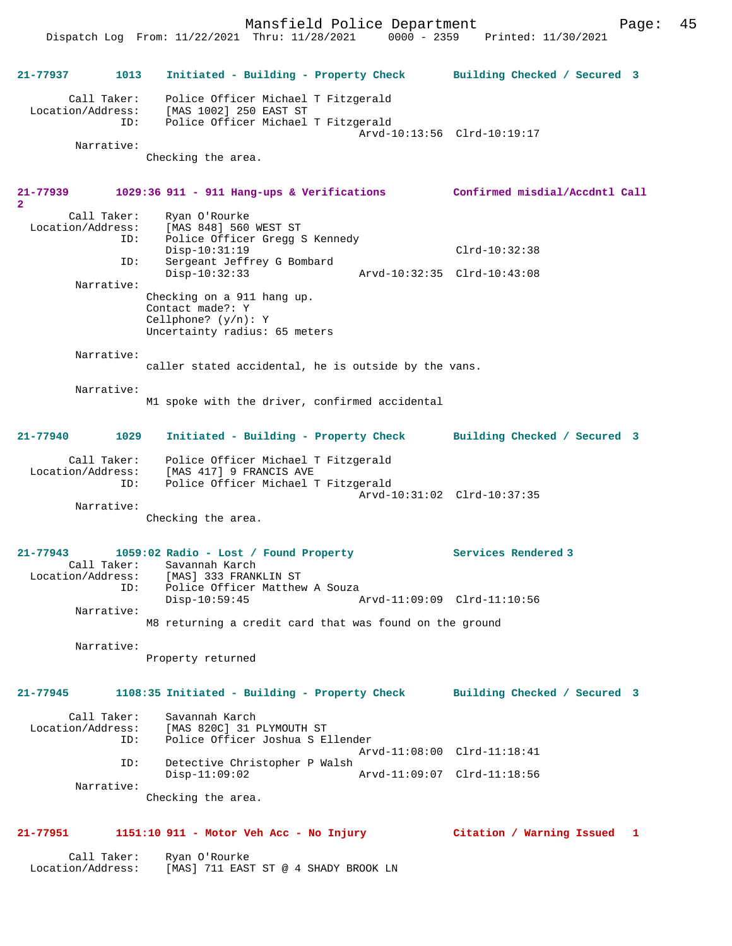Mansfield Police Department Page: 45 Dispatch Log From: 11/22/2021 Thru: 11/28/2021 0000 - 2359 Printed: 11/30/2021 **21-77937 1013 Initiated - Building - Property Check Building Checked / Secured 3** Call Taker: Police Officer Michael T Fitzgerald Location/Address: [MAS 1002] 250 EAST ST ID: Police Officer Michael T Fitzgerald Arvd-10:13:56 Clrd-10:19:17 Narrative: Checking the area. **21-77939 1029:36 911 - 911 Hang-ups & Verifications Confirmed misdial/Accdntl Call 2**  Call Taker: Ryan O'Rourke<br>Location/Address: [MAS 848] 560 ess: [MAS 848] 560 WEST ST<br>ID: Police Officer Gregg S Police Officer Gregg S Kennedy Disp-10:31:19 Clrd-10:32:38 ID: Sergeant Jeffrey G Bombard Disp-10:32:33 Arvd-10:32:35 Clrd-10:43:08 Narrative: Checking on a 911 hang up. Contact made?: Y Cellphone? (y/n): Y Uncertainty radius: 65 meters Narrative: caller stated accidental, he is outside by the vans. Narrative: M1 spoke with the driver, confirmed accidental **21-77940 1029 Initiated - Building - Property Check Building Checked / Secured 3** Call Taker: Police Officer Michael T Fitzgerald Location/Address: [MAS 417] 9 FRANCIS AVE ID: Police Officer Michael T Fitzgerald Arvd-10:31:02 Clrd-10:37:35 Narrative: Checking the area. **21-77943 1059:02 Radio - Lost / Found Property Services Rendered 3**  Call Taker: Savannah Karch Location/Address: [MAS] 333 FRANKLIN ST<br>ID: Police Officer Matthew Police Officer Matthew A Souza<br>Disp-10:59:45 P Disp-10:59:45 Arvd-11:09:09 Clrd-11:10:56 Narrative: M8 returning a credit card that was found on the ground Narrative: Property returned **21-77945 1108:35 Initiated - Building - Property Check Building Checked / Secured 3** Call Taker: Savannah Karch Location/Address: [MAS 820C] 31 PLYMOUTH ST ID: Police Officer Joshua S Ellender Arvd-11:08:00 Clrd-11:18:41 ID: Detective Christopher P Walsh Disp-11:09:02 Arvd-11:09:07 Clrd-11:18:56 Narrative: Checking the area. **21-77951 1151:10 911 - Motor Veh Acc - No Injury Citation / Warning Issued 1**

 Call Taker: Ryan O'Rourke Location/Address: [MAS] 711 EAST ST @ 4 SHADY BROOK LN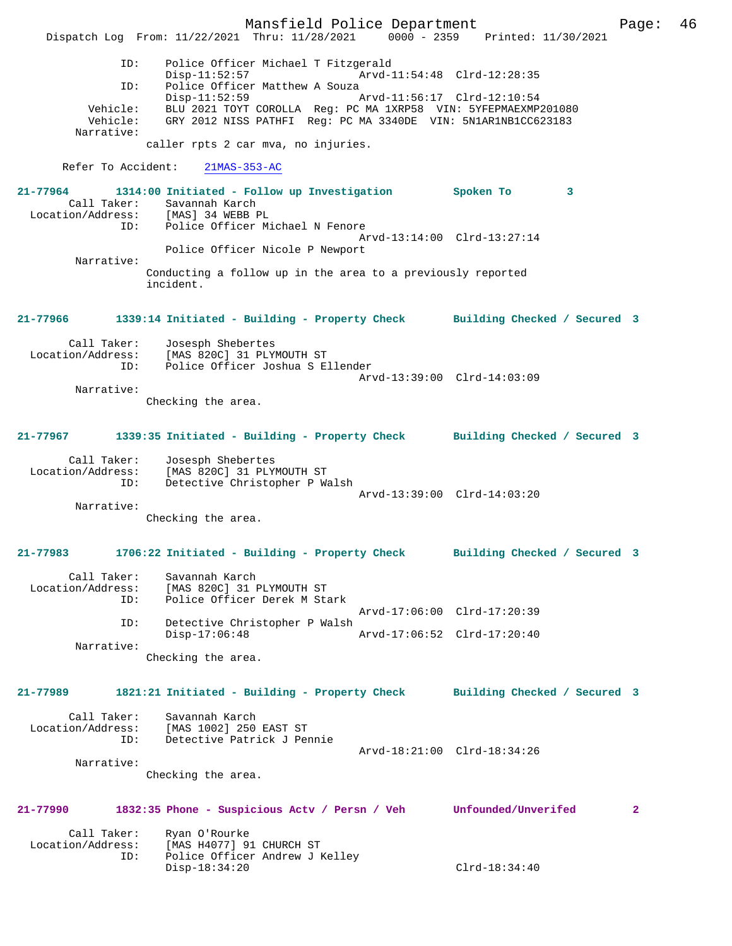Mansfield Police Department Page: 46 Dispatch Log From: 11/22/2021 Thru: 11/28/2021 0000 - 2359 Printed: 11/30/2021 ID: Police Officer Michael T Fitzgerald Disp-11:52:57 Arvd-11:54:48 Clrd-12:28:35<br>ID: Police Officer Matthew A Souza Police Officer Matthew A Souza<br>Disp-11:52:59 A Disp-11:52:59 Arvd-11:56:17 Clrd-12:10:54 Vehicle: BLU 2021 TOYT COROLLA Reg: PC MA 1XRP58 VIN: 5YFEPMAEXMP201080 Vehicle: GRY 2012 NISS PATHFI Reg: PC MA 3340DE VIN: 5N1AR1NB1CC623183 Narrative: caller rpts 2 car mva, no injuries. Refer To Accident: 21MAS-353-AC **21-77964 1314:00 Initiated - Follow up Investigation Spoken To 3**  Call Taker: Savannah Karch<br>ion/Address: [MAS] 34 WEBB PL Location/Address: ID: Police Officer Michael N Fenore Arvd-13:14:00 Clrd-13:27:14 Police Officer Nicole P Newport Narrative: Conducting a follow up in the area to a previously reported incident. **21-77966 1339:14 Initiated - Building - Property Check Building Checked / Secured 3** Call Taker: Josesph Shebertes Location/Address: [MAS 820C] 31 PLYMOUTH ST<br>ID: Police Officer Joshua S E Police Officer Joshua S Ellender Arvd-13:39:00 Clrd-14:03:09 Narrative: Checking the area. **21-77967 1339:35 Initiated - Building - Property Check Building Checked / Secured 3** Call Taker: Josesph Shebertes Location/Address: [MAS 820C] 31 PLYMOUTH ST ESS: ITAN VIVO, UT IT IT IT WALSH Arvd-13:39:00 Clrd-14:03:20 Narrative: Checking the area. **21-77983 1706:22 Initiated - Building - Property Check Building Checked / Secured 3** Call Taker: Savannah Karch Location/Address: [MAS 820C] 31 PLYMOUTH ST ID: Police Officer Derek M Stark Arvd-17:06:00 Clrd-17:20:39 ID: Detective Christopher P Walsh Disp-17:06:48 Arvd-17:06:52 Clrd-17:20:40 Narrative: Checking the area. **21-77989 1821:21 Initiated - Building - Property Check Building Checked / Secured 3** Call Taker: Savannah Karch Location/Address: [MAS 1002] 250 EAST ST ID: Detective Patrick J Pennie Arvd-18:21:00 Clrd-18:34:26 Narrative: Checking the area. **21-77990 1832:35 Phone - Suspicious Actv / Persn / Veh Unfounded/Unverifed 2** Call Taker: Ryan O'Rourke<br>Location/Address: [MAS H4077] 91 ess: [MAS H4077] 91 CHURCH ST<br>ID: Police Officer Andrew JJ Police Officer Andrew J Kelley Disp-18:34:20 Clrd-18:34:40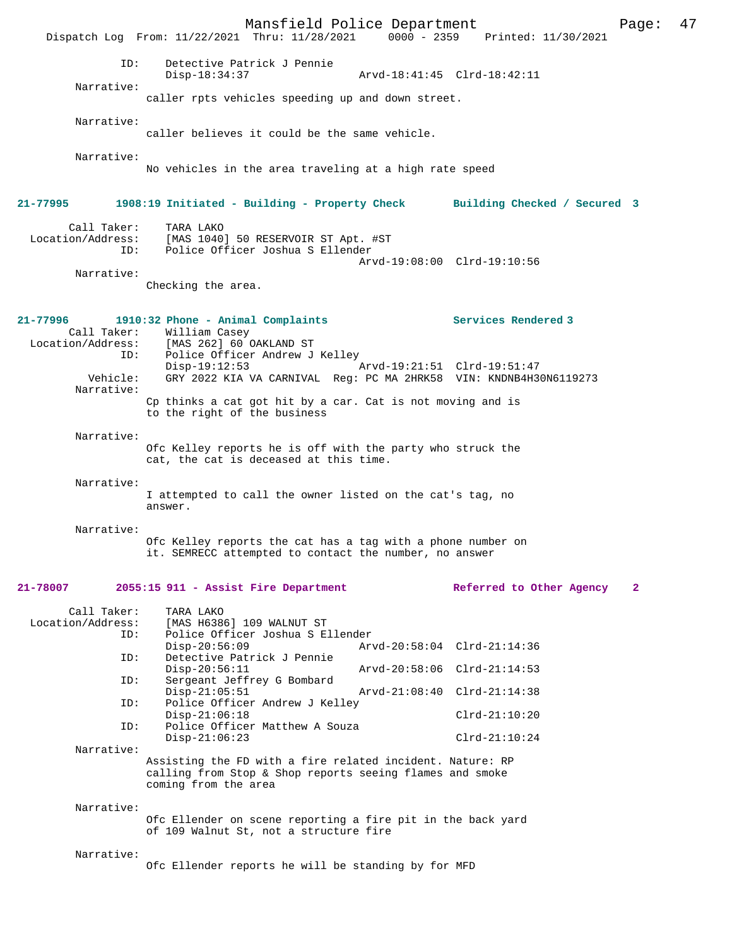|                                         | Mansfield Police Department<br>Dispatch Log From: 11/22/2021 Thru: 11/28/2021                                                                 |                             | 0000 - 2359 Printed: 11/30/2021 | 47<br>Page:  |
|-----------------------------------------|-----------------------------------------------------------------------------------------------------------------------------------------------|-----------------------------|---------------------------------|--------------|
| ID:                                     | Detective Patrick J Pennie<br>$Disp-18:34:37$                                                                                                 |                             | Arvd-18:41:45 Clrd-18:42:11     |              |
| Narrative:                              | caller rpts vehicles speeding up and down street.                                                                                             |                             |                                 |              |
| Narrative:                              | caller believes it could be the same vehicle.                                                                                                 |                             |                                 |              |
| Narrative:                              | No vehicles in the area traveling at a high rate speed                                                                                        |                             |                                 |              |
| 21-77995                                | 1908:19 Initiated - Building - Property Check Building Checked / Secured 3                                                                    |                             |                                 |              |
| Call Taker:<br>ID:                      | TARA LAKO<br>Location/Address: [MAS 1040] 50 RESERVOIR ST Apt. #ST<br>Police Officer Joshua S Ellender                                        |                             | Arvd-19:08:00 Clrd-19:10:56     |              |
| Narrative:                              | Checking the area.                                                                                                                            |                             |                                 |              |
| 21-77996                                | 1910:32 Phone - Animal Complaints<br>Call Taker: William Casey<br>Location/Address: [MAS 262] 60 OAKLAND ST                                   |                             | Services Rendered 3             |              |
| ID:<br>Vehicle:<br>Narrative:           | Police Officer Andrew J Kelley<br>$Disp-19:12:53$<br>GRY 2022 KIA VA CARNIVAL Req: PC MA 2HRK58 VIN: KNDNB4H30N6119273                        | Arvd-19:21:51 Clrd-19:51:47 |                                 |              |
|                                         | Cp thinks a cat got hit by a car. Cat is not moving and is<br>to the right of the business                                                    |                             |                                 |              |
| Narrative:                              | Ofc Kelley reports he is off with the party who struck the<br>cat, the cat is deceased at this time.                                          |                             |                                 |              |
| Narrative:                              | I attempted to call the owner listed on the cat's tag, no<br>answer.                                                                          |                             |                                 |              |
| Narrative:                              | Ofc Kelley reports the cat has a tag with a phone number on<br>it. SEMRECC attempted to contact the number, no answer                         |                             |                                 |              |
| 21-78007                                | 2055:15 911 - Assist Fire Department                                                                                                          |                             | Referred to Other Agency        | $\mathbf{2}$ |
| Call Taker:<br>Location/Address:<br>ID: | TARA LAKO<br>[MAS H6386] 109 WALNUT ST<br>Police Officer Joshua S Ellender<br>$Disp-20:56:09$                                                 |                             | Arvd-20:58:04 Clrd-21:14:36     |              |
| ID:<br>ID:                              | Detective Patrick J Pennie<br>$Disp-20:56:11$<br>Sergeant Jeffrey G Bombard                                                                   |                             | Arvd-20:58:06 Clrd-21:14:53     |              |
| ID:                                     | $Disp-21:05:51$<br>Police Officer Andrew J Kelley                                                                                             |                             | Arvd-21:08:40 Clrd-21:14:38     |              |
| ID:                                     | $Disp-21:06:18$<br>Police Officer Matthew A Souza                                                                                             |                             | $Clrd-21:10:20$                 |              |
| Narrative:                              | $Disp-21:06:23$                                                                                                                               |                             | $Clrd-21:10:24$                 |              |
|                                         | Assisting the FD with a fire related incident. Nature: RP<br>calling from Stop & Shop reports seeing flames and smoke<br>coming from the area |                             |                                 |              |
| Narrative:                              | Ofc Ellender on scene reporting a fire pit in the back yard<br>of 109 Walnut St, not a structure fire                                         |                             |                                 |              |
| Narrative:                              | Ofc Ellender reports he will be standing by for MFD                                                                                           |                             |                                 |              |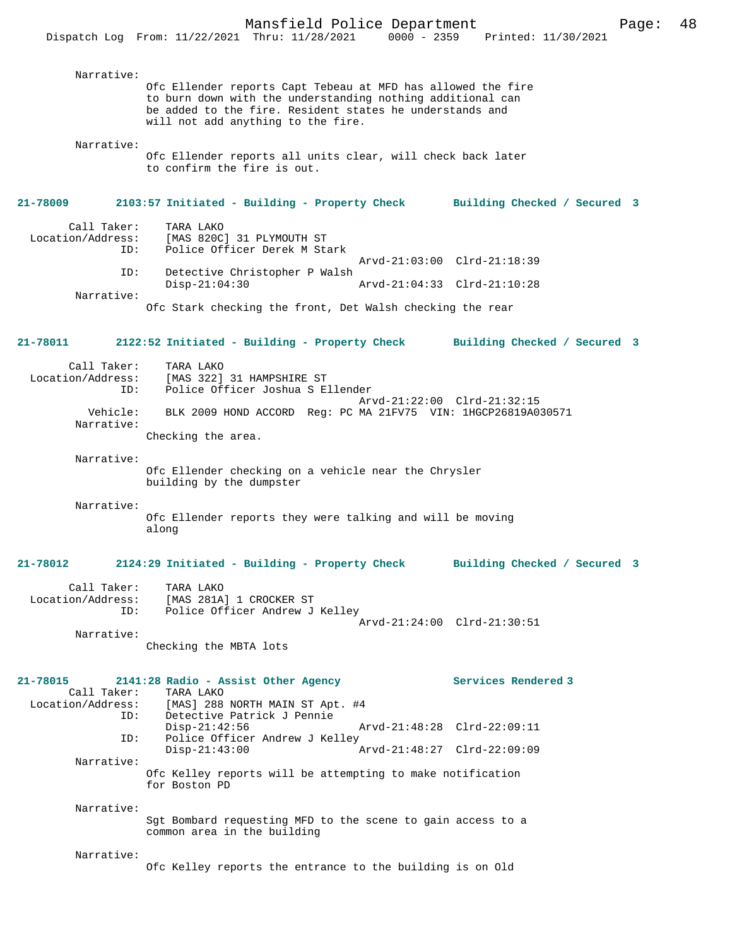| Narrative:<br>Ofc Ellender reports all units clear, will check back later<br>to confirm the fire is out.<br>21-78009<br>2103:57 Initiated - Building - Property Check Building Checked / Secured 3<br>Call Taker:<br>TARA LAKO<br>Location/Address:<br>[MAS 820C] 31 PLYMOUTH ST<br>Police Officer Derek M Stark<br>ID:<br>Arvd-21:03:00 Clrd-21:18:39<br>Detective Christopher P Walsh<br>ID:<br>$Disp-21:04:30$<br>Arvd-21:04:33 Clrd-21:10:28<br>Narrative:<br>Ofc Stark checking the front, Det Walsh checking the rear<br>21-78011<br>2122:52 Initiated - Building - Property Check<br>Building Checked / Secured 3<br>Call Taker:<br>TARA LAKO<br>Location/Address:<br>[MAS 322] 31 HAMPSHIRE ST<br>Police Office<br>Police Officer Joshua S Ellender<br>ID:<br>Arvd-21:22:00 Clrd-21:32:15<br>Vehicle:<br>BLK 2009 HOND ACCORD Req: PC MA 21FV75 VIN: 1HGCP26819A030571<br>Narrative:<br>Checking the area.<br>Narrative:<br>Ofc Ellender checking on a vehicle near the Chrysler<br>building by the dumpster<br>Narrative:<br>Ofc Ellender reports they were talking and will be moving<br>along<br>21-78012<br>2124:29 Initiated - Building - Property Check<br>Building Checked / Secured 3<br>Call Taker:<br>TARA LAKO<br>Location/Address:<br>[MAS 281A] 1 CROCKER ST<br>Police Officer Andrew J Kelley<br>ID:<br>Arvd-21:24:00 Clrd-21:30:51<br>Narrative:<br>Checking the MBTA lots<br>Services Rendered 3<br>21-78015<br>2141:28 Radio - Assist Other Agency<br>Call Taker:<br>TARA LAKO<br>[MAS] 288 NORTH MAIN ST Apt. #4<br>Location/Address:<br>ID:<br>Detective Patrick J Pennie<br>$Disp-21:42:56$<br>Arvd-21:48:28 Clrd-22:09:11<br>Police Officer Andrew J Kelley<br>ID:<br>$Disp-21:43:00$<br>Arvd-21:48:27 Clrd-22:09:09<br>Narrative:<br>Ofc Kelley reports will be attempting to make notification<br>for Boston PD<br>Narrative:<br>Sgt Bombard requesting MFD to the scene to gain access to a<br>common area in the building<br>Narrative:<br>Ofc Kelley reports the entrance to the building is on Old | Narrative: | Ofc Ellender reports Capt Tebeau at MFD has allowed the fire<br>to burn down with the understanding nothing additional can<br>be added to the fire. Resident states he understands and<br>will not add anything to the fire. |  |
|---------------------------------------------------------------------------------------------------------------------------------------------------------------------------------------------------------------------------------------------------------------------------------------------------------------------------------------------------------------------------------------------------------------------------------------------------------------------------------------------------------------------------------------------------------------------------------------------------------------------------------------------------------------------------------------------------------------------------------------------------------------------------------------------------------------------------------------------------------------------------------------------------------------------------------------------------------------------------------------------------------------------------------------------------------------------------------------------------------------------------------------------------------------------------------------------------------------------------------------------------------------------------------------------------------------------------------------------------------------------------------------------------------------------------------------------------------------------------------------------------------------------------------------------------------------------------------------------------------------------------------------------------------------------------------------------------------------------------------------------------------------------------------------------------------------------------------------------------------------------------------------------------------------------------------------------------------------------------------------------------------------------------------------|------------|------------------------------------------------------------------------------------------------------------------------------------------------------------------------------------------------------------------------------|--|
|                                                                                                                                                                                                                                                                                                                                                                                                                                                                                                                                                                                                                                                                                                                                                                                                                                                                                                                                                                                                                                                                                                                                                                                                                                                                                                                                                                                                                                                                                                                                                                                                                                                                                                                                                                                                                                                                                                                                                                                                                                       |            |                                                                                                                                                                                                                              |  |
|                                                                                                                                                                                                                                                                                                                                                                                                                                                                                                                                                                                                                                                                                                                                                                                                                                                                                                                                                                                                                                                                                                                                                                                                                                                                                                                                                                                                                                                                                                                                                                                                                                                                                                                                                                                                                                                                                                                                                                                                                                       |            |                                                                                                                                                                                                                              |  |
|                                                                                                                                                                                                                                                                                                                                                                                                                                                                                                                                                                                                                                                                                                                                                                                                                                                                                                                                                                                                                                                                                                                                                                                                                                                                                                                                                                                                                                                                                                                                                                                                                                                                                                                                                                                                                                                                                                                                                                                                                                       |            |                                                                                                                                                                                                                              |  |
|                                                                                                                                                                                                                                                                                                                                                                                                                                                                                                                                                                                                                                                                                                                                                                                                                                                                                                                                                                                                                                                                                                                                                                                                                                                                                                                                                                                                                                                                                                                                                                                                                                                                                                                                                                                                                                                                                                                                                                                                                                       |            |                                                                                                                                                                                                                              |  |
|                                                                                                                                                                                                                                                                                                                                                                                                                                                                                                                                                                                                                                                                                                                                                                                                                                                                                                                                                                                                                                                                                                                                                                                                                                                                                                                                                                                                                                                                                                                                                                                                                                                                                                                                                                                                                                                                                                                                                                                                                                       |            |                                                                                                                                                                                                                              |  |
|                                                                                                                                                                                                                                                                                                                                                                                                                                                                                                                                                                                                                                                                                                                                                                                                                                                                                                                                                                                                                                                                                                                                                                                                                                                                                                                                                                                                                                                                                                                                                                                                                                                                                                                                                                                                                                                                                                                                                                                                                                       |            |                                                                                                                                                                                                                              |  |
|                                                                                                                                                                                                                                                                                                                                                                                                                                                                                                                                                                                                                                                                                                                                                                                                                                                                                                                                                                                                                                                                                                                                                                                                                                                                                                                                                                                                                                                                                                                                                                                                                                                                                                                                                                                                                                                                                                                                                                                                                                       |            |                                                                                                                                                                                                                              |  |
|                                                                                                                                                                                                                                                                                                                                                                                                                                                                                                                                                                                                                                                                                                                                                                                                                                                                                                                                                                                                                                                                                                                                                                                                                                                                                                                                                                                                                                                                                                                                                                                                                                                                                                                                                                                                                                                                                                                                                                                                                                       |            |                                                                                                                                                                                                                              |  |
|                                                                                                                                                                                                                                                                                                                                                                                                                                                                                                                                                                                                                                                                                                                                                                                                                                                                                                                                                                                                                                                                                                                                                                                                                                                                                                                                                                                                                                                                                                                                                                                                                                                                                                                                                                                                                                                                                                                                                                                                                                       |            |                                                                                                                                                                                                                              |  |
|                                                                                                                                                                                                                                                                                                                                                                                                                                                                                                                                                                                                                                                                                                                                                                                                                                                                                                                                                                                                                                                                                                                                                                                                                                                                                                                                                                                                                                                                                                                                                                                                                                                                                                                                                                                                                                                                                                                                                                                                                                       |            |                                                                                                                                                                                                                              |  |
|                                                                                                                                                                                                                                                                                                                                                                                                                                                                                                                                                                                                                                                                                                                                                                                                                                                                                                                                                                                                                                                                                                                                                                                                                                                                                                                                                                                                                                                                                                                                                                                                                                                                                                                                                                                                                                                                                                                                                                                                                                       |            |                                                                                                                                                                                                                              |  |
|                                                                                                                                                                                                                                                                                                                                                                                                                                                                                                                                                                                                                                                                                                                                                                                                                                                                                                                                                                                                                                                                                                                                                                                                                                                                                                                                                                                                                                                                                                                                                                                                                                                                                                                                                                                                                                                                                                                                                                                                                                       |            |                                                                                                                                                                                                                              |  |
|                                                                                                                                                                                                                                                                                                                                                                                                                                                                                                                                                                                                                                                                                                                                                                                                                                                                                                                                                                                                                                                                                                                                                                                                                                                                                                                                                                                                                                                                                                                                                                                                                                                                                                                                                                                                                                                                                                                                                                                                                                       |            |                                                                                                                                                                                                                              |  |
|                                                                                                                                                                                                                                                                                                                                                                                                                                                                                                                                                                                                                                                                                                                                                                                                                                                                                                                                                                                                                                                                                                                                                                                                                                                                                                                                                                                                                                                                                                                                                                                                                                                                                                                                                                                                                                                                                                                                                                                                                                       |            |                                                                                                                                                                                                                              |  |
|                                                                                                                                                                                                                                                                                                                                                                                                                                                                                                                                                                                                                                                                                                                                                                                                                                                                                                                                                                                                                                                                                                                                                                                                                                                                                                                                                                                                                                                                                                                                                                                                                                                                                                                                                                                                                                                                                                                                                                                                                                       |            |                                                                                                                                                                                                                              |  |
|                                                                                                                                                                                                                                                                                                                                                                                                                                                                                                                                                                                                                                                                                                                                                                                                                                                                                                                                                                                                                                                                                                                                                                                                                                                                                                                                                                                                                                                                                                                                                                                                                                                                                                                                                                                                                                                                                                                                                                                                                                       |            |                                                                                                                                                                                                                              |  |
|                                                                                                                                                                                                                                                                                                                                                                                                                                                                                                                                                                                                                                                                                                                                                                                                                                                                                                                                                                                                                                                                                                                                                                                                                                                                                                                                                                                                                                                                                                                                                                                                                                                                                                                                                                                                                                                                                                                                                                                                                                       |            |                                                                                                                                                                                                                              |  |
|                                                                                                                                                                                                                                                                                                                                                                                                                                                                                                                                                                                                                                                                                                                                                                                                                                                                                                                                                                                                                                                                                                                                                                                                                                                                                                                                                                                                                                                                                                                                                                                                                                                                                                                                                                                                                                                                                                                                                                                                                                       |            |                                                                                                                                                                                                                              |  |
|                                                                                                                                                                                                                                                                                                                                                                                                                                                                                                                                                                                                                                                                                                                                                                                                                                                                                                                                                                                                                                                                                                                                                                                                                                                                                                                                                                                                                                                                                                                                                                                                                                                                                                                                                                                                                                                                                                                                                                                                                                       |            |                                                                                                                                                                                                                              |  |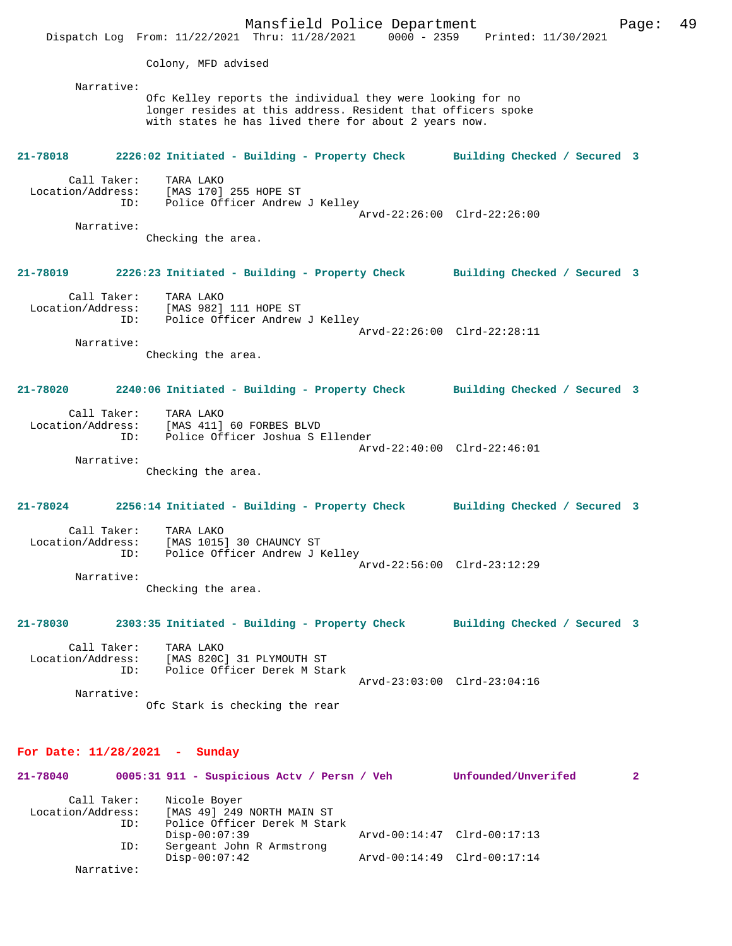Mansfield Police Department Fage: 49 Dispatch Log From: 11/22/2021 Thru: 11/28/2021 0000 - 2359 Printed: 11/30/2021 Colony, MFD advised Narrative: Ofc Kelley reports the individual they were looking for no longer resides at this address. Resident that officers spoke with states he has lived there for about 2 years now. **21-78018 2226:02 Initiated - Building - Property Check Building Checked / Secured 3** Call Taker: TARA LAKO Location/Address: [MAS 170] 255 HOPE ST ID: Police Officer Andrew J Kelley Arvd-22:26:00 Clrd-22:26:00 Narrative: Checking the area. **21-78019 2226:23 Initiated - Building - Property Check Building Checked / Secured 3** Call Taker: TARA LAKO Location/Address: [MAS 982] 111 HOPE ST ID: Police Officer Andrew J Kelley Arvd-22:26:00 Clrd-22:28:11 Narrative: Checking the area. **21-78020 2240:06 Initiated - Building - Property Check Building Checked / Secured 3** Call Taker: TARA LAKO Location/Address: [MAS 411] 60 FORBES BLVD ID: Police Officer Joshua S Ellender Arvd-22:40:00 Clrd-22:46:01 Narrative: Checking the area. **21-78024 2256:14 Initiated - Building - Property Check Building Checked / Secured 3** Call Taker: TARA LAKO<br>Location/Address: [MAS 1015 [MAS 1015] 30 CHAUNCY ST ESS. ITHE IVIS IS RESORTED: Police Officer Andrew J Kelley Arvd-22:56:00 Clrd-23:12:29 Narrative: Checking the area. **21-78030 2303:35 Initiated - Building - Property Check Building Checked / Secured 3** Call Taker: TARA LAKO Location/Address: [MAS 820C] 31 PLYMOUTH ST ID: Police Officer Derek M Stark Arvd-23:03:00 Clrd-23:04:16 Narrative: Ofc Stark is checking the rear

### **For Date: 11/28/2021 - Sunday**

| 21-78040          |     | 0005:31 911 - Suspicious Acty / Persn / Veh | Unfounded/Unverifed         |  |
|-------------------|-----|---------------------------------------------|-----------------------------|--|
| Call Taker:       |     | Nicole Boyer                                |                             |  |
| Location/Address: |     | [MAS 49] 249 NORTH MAIN ST                  |                             |  |
|                   | ID: | Police Officer Derek M Stark                |                             |  |
|                   |     | Disp-00:07:39                               | Arvd-00:14:47 Clrd-00:17:13 |  |
|                   | ID: | Sergeant John R Armstrong                   |                             |  |
|                   |     | $Disp-00:07:42$                             | Arvd-00:14:49 Clrd-00:17:14 |  |
| Narrative:        |     |                                             |                             |  |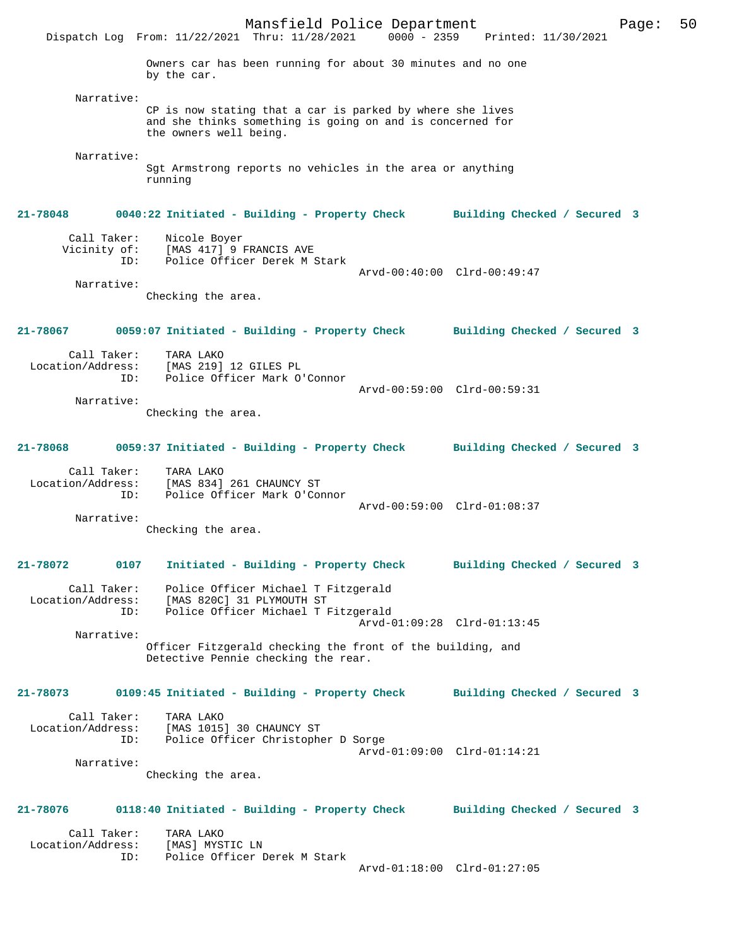Mansfield Police Department Page: 50 Dispatch Log From: 11/22/2021 Thru: 11/28/2021 Owners car has been running for about 30 minutes and no one by the car. Narrative: CP is now stating that a car is parked by where she lives and she thinks something is going on and is concerned for the owners well being. Narrative: Sgt Armstrong reports no vehicles in the area or anything running **21-78048 0040:22 Initiated - Building - Property Check Building Checked / Secured 3** Call Taker: Nicole Boyer<br>Vicinity of: [MAS 417] 9 [MAS 417] 9 FRANCIS AVE ID: Police Officer Derek M Stark Arvd-00:40:00 Clrd-00:49:47 Narrative: Checking the area. **21-78067 0059:07 Initiated - Building - Property Check Building Checked / Secured 3** Call Taker: TARA LAKO<br>Location/Address: [MAS 219] [MAS 219] 12 GILES PL ID: Police Officer Mark O'Connor Arvd-00:59:00 Clrd-00:59:31 Narrative: Checking the area. **21-78068 0059:37 Initiated - Building - Property Check Building Checked / Secured 3** Call Taker: TARA LAKO Location/Address: [MAS 834] 261 CHAUNCY ST ID: Police Officer Mark O'Connor Arvd-00:59:00 Clrd-01:08:37 Narrative: Checking the area. **21-78072 0107 Initiated - Building - Property Check Building Checked / Secured 3** Call Taker: Police Officer Michael T Fitzgerald<br>Location/Address: [MAS 820C] 31 PLYMOUTH ST ess: [MAS 820C] 31 PLYMOUTH ST<br>ID: Police Officer Michael T F Police Officer Michael T Fitzgerald Arvd-01:09:28 Clrd-01:13:45 Narrative: Officer Fitzgerald checking the front of the building, and Detective Pennie checking the rear. **21-78073 0109:45 Initiated - Building - Property Check Building Checked / Secured 3** Call Taker: TARA LAKO Location/Address: [MAS 1015] 30 CHAUNCY ST Police Officer Christopher D Sorge Arvd-01:09:00 Clrd-01:14:21 Narrative: Checking the area. **21-78076 0118:40 Initiated - Building - Property Check Building Checked / Secured 3** Call Taker: TARA LAKO<br>ion/Address: [MAS] MYSTIC LN Location/Address: ID: Police Officer Derek M Stark Arvd-01:18:00 Clrd-01:27:05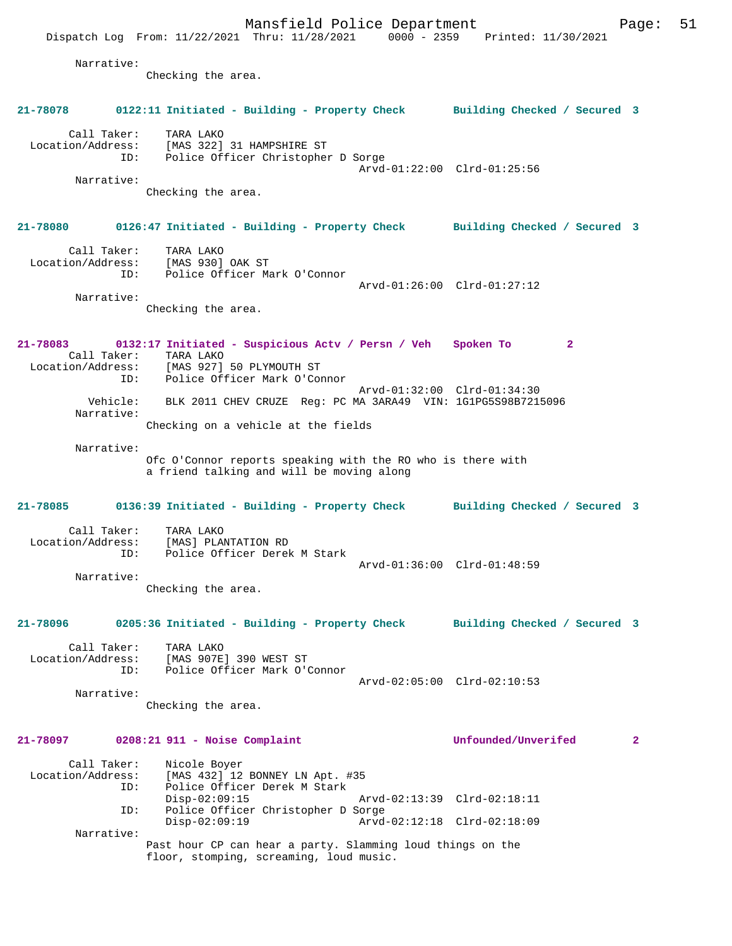Mansfield Police Department Page: 51 Dispatch Log From: 11/22/2021 Thru: 11/28/2021 0000 - 2359 Printed: 11/30/2021 Narrative: Checking the area. **21-78078 0122:11 Initiated - Building - Property Check Building Checked / Secured 3** Call Taker: TARA LAKO Location/Address: [MAS 322] 31 HAMPSHIRE ST ID: Police Officer Christopher D Sorge Arvd-01:22:00 Clrd-01:25:56 Narrative: Checking the area. **21-78080 0126:47 Initiated - Building - Property Check Building Checked / Secured 3** Call Taker: TARA LAKO Location/Address: [MAS 930] OAK ST ID: Police Officer Mark O'Connor Arvd-01:26:00 Clrd-01:27:12 Narrative: Checking the area. **21-78083 0132:17 Initiated - Suspicious Actv / Persn / Veh Spoken To 2**  Call Taker: TARA LAKO Location/Address: [MAS 927] 50 PLYMOUTH ST<br>TD: Police Officer Mark O'Com Police Officer Mark O'Connor Arvd-01:32:00 Clrd-01:34:30 Vehicle: BLK 2011 CHEV CRUZE Reg: PC MA 3ARA49 VIN: 1G1PG5S98B7215096 Narrative: Checking on a vehicle at the fields Narrative: Ofc O'Connor reports speaking with the RO who is there with a friend talking and will be moving along **21-78085 0136:39 Initiated - Building - Property Check Building Checked / Secured 3** Call Taker: TARA LAKO Location/Address: [MAS] PLANTATION RD ID: Police Officer Derek M Stark Arvd-01:36:00 Clrd-01:48:59 Narrative: Checking the area. **21-78096 0205:36 Initiated - Building - Property Check Building Checked / Secured 3** Call Taker: TARA LAKO Location/Address: [MAS 907E] 390 WEST ST ID: Police Officer Mark O'Connor Arvd-02:05:00 Clrd-02:10:53 Narrative: Checking the area. **21-78097 0208:21 911 - Noise Complaint Unfounded/Unverifed 2** Call Taker: Nicole Boyer<br>Location/Address: [MAS 432] 12 ess: [MAS 432] 12 BONNEY LN Apt. #35<br>ID: Police Officer Derek M Stark Police Officer Derek M Stark Disp-02:09:15 Arvd-02:13:39 Clrd-02:18:11 ID: Police Officer Christopher D Sorge Disp-02:09:19 Arvd-02:12:18 Clrd-02:18:09 Narrative: Past hour CP can hear a party. Slamming loud things on the floor, stomping, screaming, loud music.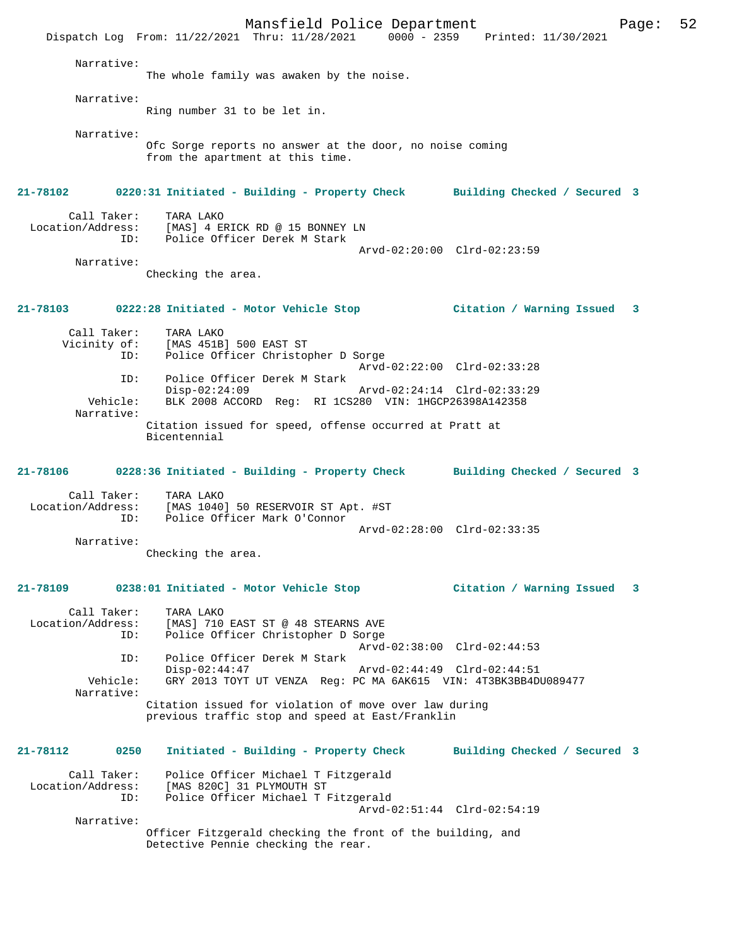Mansfield Police Department Fage: 52 Dispatch Log From: 11/22/2021 Thru: 11/28/2021 0000 - 2359 Printed: 11/30/2021 Narrative: The whole family was awaken by the noise. Narrative: Ring number 31 to be let in. Narrative: Ofc Sorge reports no answer at the door, no noise coming from the apartment at this time. **21-78102 0220:31 Initiated - Building - Property Check Building Checked / Secured 3** Call Taker: TARA LAKO Location/Address: [MAS] 4 ERICK RD @ 15 BONNEY LN ID: Police Officer Derek M Stark Arvd-02:20:00 Clrd-02:23:59 Narrative: Checking the area. **21-78103 0222:28 Initiated - Motor Vehicle Stop Citation / Warning Issued 3** Call Taker: TARA LAKO<br>Vicinity of: [MAS 451B of: [MAS 451B] 500 EAST ST<br>ID: Police Officer Christop Police Officer Christopher D Sorge Arvd-02:22:00 Clrd-02:33:28<br>ID: Police Officer Derek M Stark Police Officer Derek M Stark Disp-02:24:09 Arvd-02:24:14 Clrd-02:33:29<br>Vehicle: BLK 2008 ACCORD Req: BI 1CS280 VIN: 1HGCP26398A142358 BLK 2008 ACCORD Reg: RI 1CS280 VIN: 1HGCP26398A142358 Narrative: Citation issued for speed, offense occurred at Pratt at Bicentennial **21-78106 0228:36 Initiated - Building - Property Check Building Checked / Secured 3** Call Taker: TARA LAKO Location/Address: [MAS 1040] 50 RESERVOIR ST Apt. #ST Police Officer Mark O'Connor Arvd-02:28:00 Clrd-02:33:35 Narrative: Checking the area. **21-78109 0238:01 Initiated - Motor Vehicle Stop Citation / Warning Issued 3** Call Taker: TARA LAKO Location/Address: [MAS] 710 EAST ST @ 48 STEARNS AVE ID: Police Officer Christopher D Sorge Arvd-02:38:00 Clrd-02:44:53 ID: Police Officer Derek M Stark Disp-02:44:47 Arvd-02:44:49 Clrd-02:44:51<br>Vehicle: GRY 2013 TOYT UT VENZA Reg: PC MA 6AK615 VIN: 4T3BK3BB4D Vehicle: GRY 2013 TOYT UT VENZA Reg: PC MA 6AK615 VIN: 4T3BK3BB4DU089477 Narrative: Citation issued for violation of move over law during previous traffic stop and speed at East/Franklin **21-78112 0250 Initiated - Building - Property Check Building Checked / Secured 3** Call Taker: Police Officer Michael T Fitzgerald Location/Address: [MAS 820C] 31 PLYMOUTH ST ID: Police Officer Michael T Fitzgerald Arvd-02:51:44 Clrd-02:54:19 Narrative: Officer Fitzgerald checking the front of the building, and Detective Pennie checking the rear.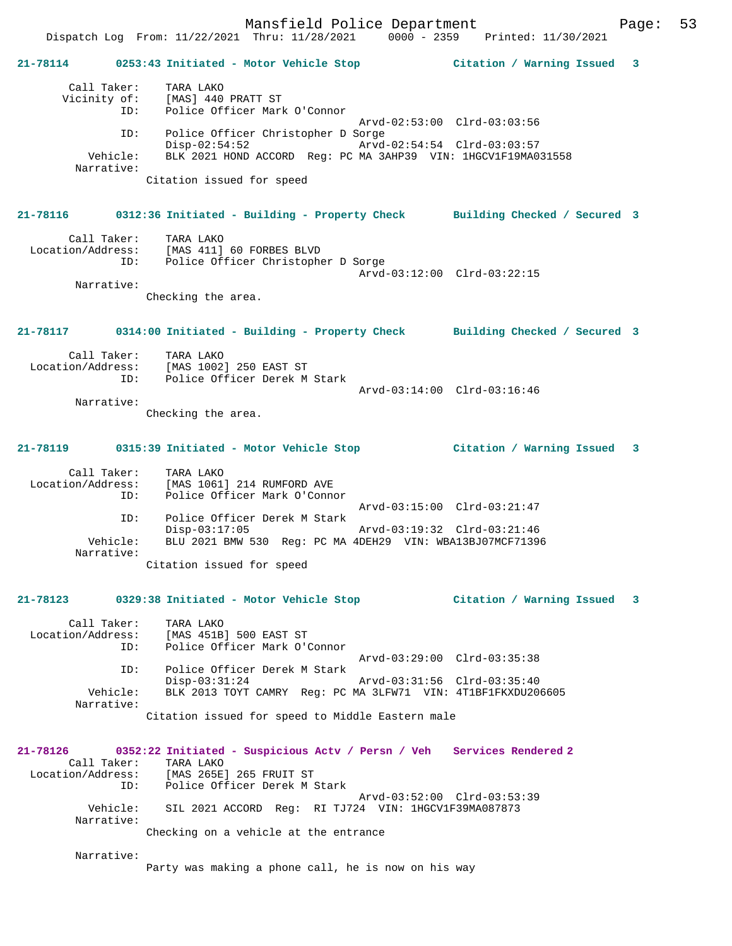Mansfield Police Department Page: 53 Dispatch Log From: 11/22/2021 Thru: 11/28/2021 0000 - 2359 Printed: 11/30/2021 **21-78114 0253:43 Initiated - Motor Vehicle Stop Citation / Warning Issued 3** Call Taker: TARA LAKO Vicinity of: [MAS] 440 PRATT ST ID: Police Officer Mark O'Connor Arvd-02:53:00 Clrd-03:03:56 ID: Police Officer Christopher D Sorge Disp-02:54:52 Arvd-02:54:54 Clrd-03:03:57<br>Vehicle: BLK 2021 HOND ACCORD Reg: PC MA 3AHP39 VIN: 1HGCV1F19MA0 BLK 2021 HOND ACCORD Reg: PC MA 3AHP39 VIN: 1HGCV1F19MA031558 Narrative: Citation issued for speed **21-78116 0312:36 Initiated - Building - Property Check Building Checked / Secured 3** Call Taker: TARA LAKO Location/Address: [MAS 411] 60 FORBES BLVD ID: Police Officer Christopher D Sorge Arvd-03:12:00 Clrd-03:22:15 Narrative: Checking the area. **21-78117 0314:00 Initiated - Building - Property Check Building Checked / Secured 3** Call Taker: TARA LAKO Location/Address: [MAS 1002] 250 EAST ST Police Officer Derek M Stark Arvd-03:14:00 Clrd-03:16:46 Narrative: Checking the area. **21-78119 0315:39 Initiated - Motor Vehicle Stop Citation / Warning Issued 3** Call Taker: TARA LAKO Location/Address: [MAS 1061] 214 RUMFORD AVE ID: Police Officer Mark O'Connor Arvd-03:15:00 Clrd-03:21:47 ID: Police Officer Derek M Stark Disp-03:17:05 Arvd-03:19:32 Clrd-03:21:46 Vehicle: BLU 2021 BMW 530 Reg: PC MA 4DEH29 VIN: WBA13BJ07MCF71396 Narrative: Citation issued for speed **21-78123 0329:38 Initiated - Motor Vehicle Stop Citation / Warning Issued 3** Call Taker: TARA LAKO Location/Address: [MAS 451B] 500 EAST ST ID: Police Officer Mark O'Connor Arvd-03:29:00 Clrd-03:35:38 ID: Police Officer Derek M Stark Disp-03:31:24 Arvd-03:31:56 Clrd-03:35:40<br>Vehicle: BLK 2013 TOYT CAMRY Reg: PC MA 3LFW71 VIN: 4T1BF1FKXDU20 BLK 2013 TOYT CAMRY Reg: PC MA 3LFW71 VIN: 4T1BF1FKXDU206605 Narrative: Citation issued for speed to Middle Eastern male **21-78126 0352:22 Initiated - Suspicious Actv / Persn / Veh Services Rendered 2**  Call Taker: TARA LAKO Location/Address: [MAS 265E] 265 FRUIT ST ID: Police Officer Derek M Stark Arvd-03:52:00 Clrd-03:53:39 Vehicle: SIL 2021 ACCORD Reg: RI TJ724 VIN: 1HGCV1F39MA087873 Narrative: Checking on a vehicle at the entrance Narrative: Party was making a phone call, he is now on his way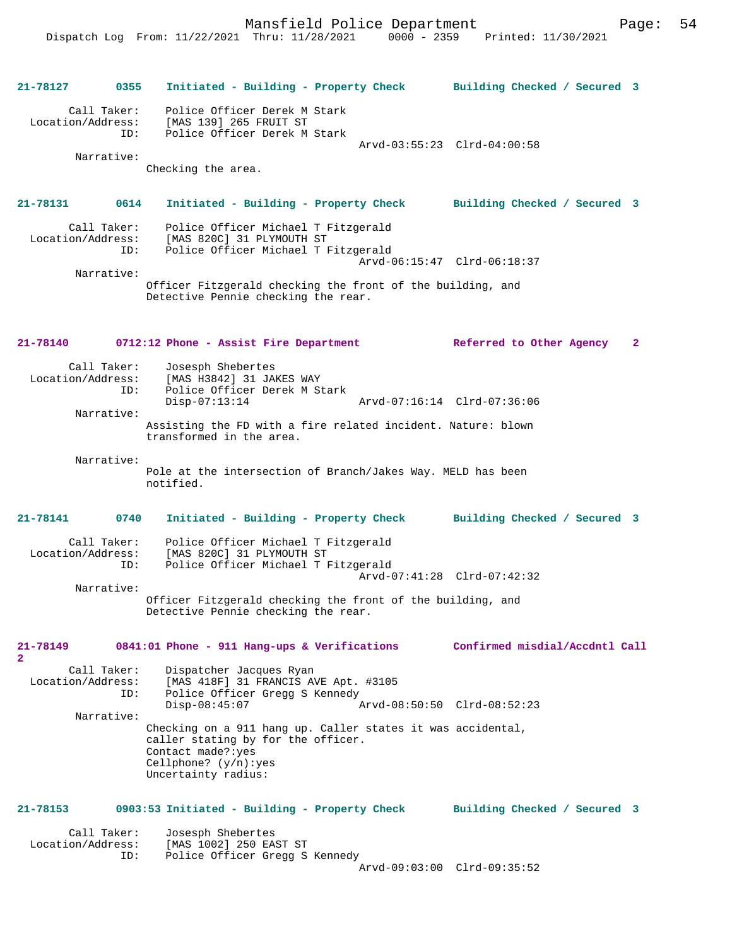# **21-78127 0355 Initiated - Building - Property Check Building Checked / Secured 3** Call Taker: Police Officer Derek M Stark<br>Location/Address: [MAS 139] 265 FRUIT ST ess: [MAS 139] 265 FRUIT ST<br>ID: Police Officer Derek M Police Officer Derek M Stark Arvd-03:55:23 Clrd-04:00:58 Narrative: Checking the area. **21-78131 0614 Initiated - Building - Property Check Building Checked / Secured 3** Call Taker: Police Officer Michael T Fitzgerald<br>Location/Address: [MAS 820C] 31 PLYMOUTH ST [MAS 820C] 31 PLYMOUTH ST ID: Police Officer Michael T Fitzgerald Arvd-06:15:47 Clrd-06:18:37 Narrative: Officer Fitzgerald checking the front of the building, and Detective Pennie checking the rear. **21-78140 0712:12 Phone - Assist Fire Department Referred to Other Agency 2** Call Taker: Josesph Shebertes<br>Location/Address: [MAS H3842] 31 JA [MAS H3842] 31 JAKES WAY ID: Police Officer Derek M Stark Disp-07:13:14 Arvd-07:16:14 Clrd-07:36:06 Narrative: Assisting the FD with a fire related incident. Nature: blown transformed in the area. Narrative: Pole at the intersection of Branch/Jakes Way. MELD has been notified. **21-78141 0740 Initiated - Building - Property Check Building Checked / Secured 3** Call Taker: Police Officer Michael T Fitzgerald<br>Location/Address: [MAS 820C] 31 PLYMOUTH ST [MAS 820C] 31 PLYMOUTH ST ID: Police Officer Michael T Fitzgerald Arvd-07:41:28 Clrd-07:42:32 Narrative: Officer Fitzgerald checking the front of the building, and Detective Pennie checking the rear. **21-78149 0841:01 Phone - 911 Hang-ups & Verifications Confirmed misdial/Accdntl Call 2**  Call Taker: Dispatcher Jacques Ryan<br>Location/Address: [MAS 418F] 31 FRANCIS AN ess: [MAS 418F] 31 FRANCIS AVE Apt. #3105<br>ID: Police Officer Gregg S Kennedy Police Officer Gregg S Kennedy<br>Disp-08:45:07 Arvd-08:50:50 Clrd-08:52:23 Narrative: Checking on a 911 hang up. Caller states it was accidental, caller stating by for the officer. Contact made?:yes Cellphone? (y/n):yes Uncertainty radius: **21-78153 0903:53 Initiated - Building - Property Check Building Checked / Secured 3** Call Taker: Josesph Shebertes<br>Location/Address: [MAS 1002] 250 EA: [MAS 1002] 250 EAST ST ID: Police Officer Gregg S Kennedy Arvd-09:03:00 Clrd-09:35:52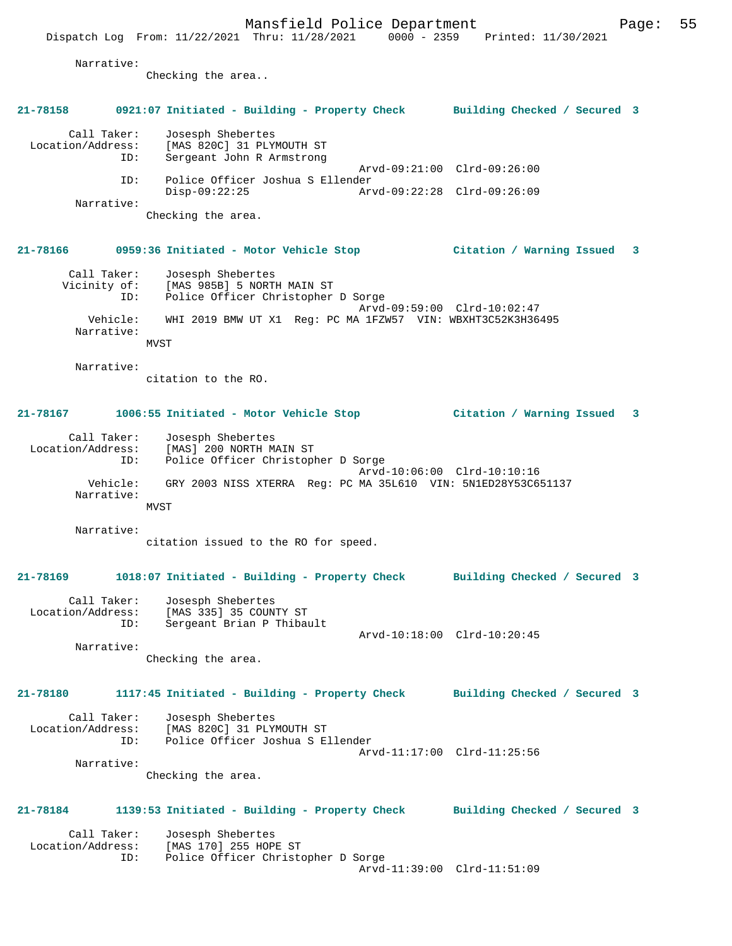Dispatch Log From: 11/22/2021 Thru: 11/28/2021 0000 - 2359 Printed: 11/30/2021 Narrative: Checking the area.. **21-78158 0921:07 Initiated - Building - Property Check Building Checked / Secured 3** Call Taker: Josesph Shebertes<br>Location/Address: [MAS 820C] 31 PLY [MAS 820C] 31 PLYMOUTH ST ID: Sergeant John R Armstrong Arvd-09:21:00 Clrd-09:26:00 ID: Police Officer Joshua S Ellender Disp-09:22:25 Arvd-09:22:28 Clrd-09:26:09 Narrative: Checking the area. **21-78166 0959:36 Initiated - Motor Vehicle Stop Citation / Warning Issued 3** Call Taker: Josesph Shebertes Vicinity of: [MAS 985B] 5 NORTH MAIN ST<br>ID: Police Officer Christopher Police Officer Christopher D Sorge Arvd-09:59:00 Clrd-10:02:47 Vehicle: WHI 2019 BMW UT X1 Reg: PC MA 1FZW57 VIN: WBXHT3C52K3H36495 Narrative: MVST Narrative: citation to the RO. **21-78167 1006:55 Initiated - Motor Vehicle Stop Citation / Warning Issued 3** Call Taker: Josesph Shebertes Location/Address: [MAS] 200 NORTH MAIN ST ID: Police Officer Christopher D Sorge Arvd-10:06:00 Clrd-10:10:16 Vehicle: GRY 2003 NISS XTERRA Reg: PC MA 35L610 VIN: 5N1ED28Y53C651137 Narrative: MVST Narrative: citation issued to the RO for speed. **21-78169 1018:07 Initiated - Building - Property Check Building Checked / Secured 3** Call Taker: Josesph Shebertes Location/Address: [MAS 335] 35 COUNTY ST ID: Sergeant Brian P Thibault Arvd-10:18:00 Clrd-10:20:45 Narrative: Checking the area. **21-78180 1117:45 Initiated - Building - Property Check Building Checked / Secured 3** Call Taker: Josesph Shebertes Location/Address: [MAS 820C] 31 PLYMOUTH ST ID: Police Officer Joshua S Ellender Arvd-11:17:00 Clrd-11:25:56 Narrative: Checking the area. **21-78184 1139:53 Initiated - Building - Property Check Building Checked / Secured 3** Call Taker: Josesph Shebertes<br>Location/Address: [MAS 170] 255 HOP ess: [MAS 170] 255 HOPE ST<br>ID: Police Officer Christo Police Officer Christopher D Sorge Arvd-11:39:00 Clrd-11:51:09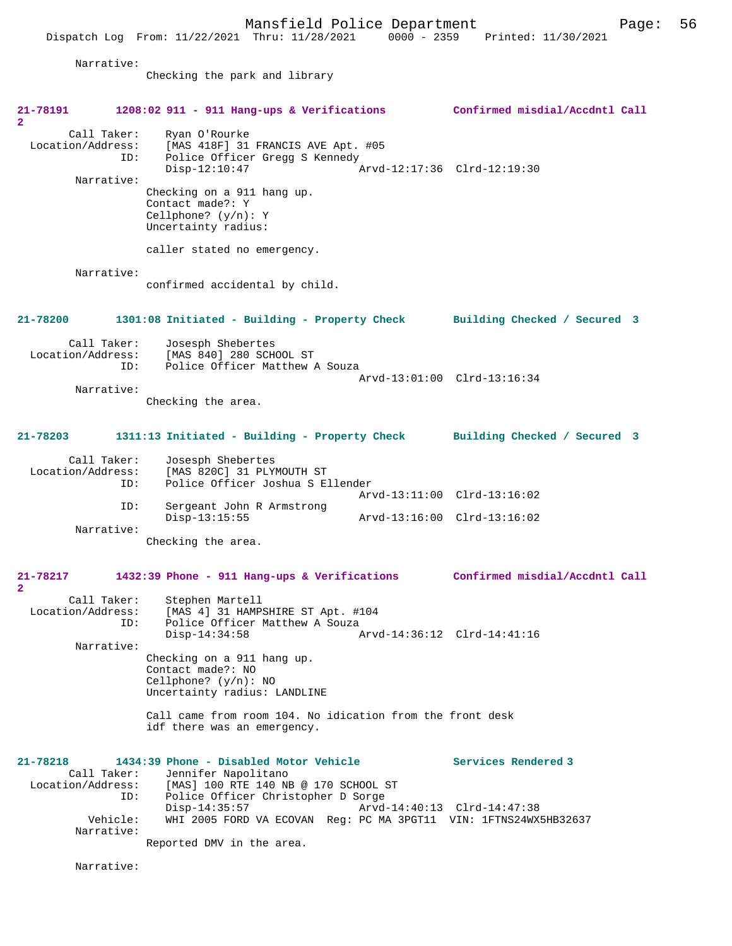|                                   |                        | Dispatch Log From: 11/22/2021 Thru: 11/28/2021                                                                                              | $0000 - 2359$ | Printed: 11/30/2021                                        |
|-----------------------------------|------------------------|---------------------------------------------------------------------------------------------------------------------------------------------|---------------|------------------------------------------------------------|
|                                   | Narrative:             | Checking the park and library                                                                                                               |               |                                                            |
| 21-78191                          |                        | 1208:02 911 - 911 Hang-ups & Verifications Confirmed misdial/Accdntl Call                                                                   |               |                                                            |
| 2<br>Location/Address:            | Call Taker:<br>ID:     | Ryan O'Rourke<br>[MAS 418F] 31 FRANCIS AVE Apt. #05<br>Police Officer Gregg S Kennedy<br>$Disp-12:10:47$                                    |               | Arvd-12:17:36 Clrd-12:19:30                                |
|                                   | Narrative:             | Checking on a 911 hang up.<br>Contact made?: Y<br>Cellphone? $(y/n): Y$                                                                     |               |                                                            |
|                                   |                        | Uncertainty radius:<br>caller stated no emergency.                                                                                          |               |                                                            |
|                                   | Narrative:             | confirmed accidental by child.                                                                                                              |               |                                                            |
| 21-78200                          |                        | 1301:08 Initiated - Building - Property Check                                                                                               |               | Building Checked / Secured 3                               |
| Location/Address:                 | Call Taker:<br>ID:     | Josesph Shebertes<br>[MAS 840] 280 SCHOOL ST<br>Police Officer Matthew A Souza                                                              |               |                                                            |
|                                   | Narrative:             | Checking the area.                                                                                                                          |               | Arvd-13:01:00 Clrd-13:16:34                                |
| 21-78203                          |                        | 1311:13 Initiated - Building - Property Check Building Checked / Secured 3                                                                  |               |                                                            |
| Location/Address:                 | Call Taker:<br>ID:     | Josesph Shebertes<br>[MAS 820C] 31 PLYMOUTH ST<br>Police Officer Joshua S Ellender                                                          |               |                                                            |
|                                   | ID:                    | Sergeant John R Armstrong<br>$Disp-13:15:55$                                                                                                |               | Arvd-13:11:00 Clrd-13:16:02<br>Arvd-13:16:00 Clrd-13:16:02 |
|                                   | Narrative:             | Checking the area.                                                                                                                          |               |                                                            |
| 21-78217<br>$\overline{a}$        |                        | 1432:39 Phone - 911 Hang-ups & Verifications                                                                                                |               | Confirmed misdial/Accdntl Call                             |
| Location/Address:                 | Call Taker:<br>ID:     | Stephen Martell<br>[MAS 4] 31 HAMPSHIRE ST Apt. #104<br>Police Officer Matthew A Souza                                                      |               |                                                            |
|                                   | Narrative:             | $Disp-14:34:58$<br>Checking on a 911 hang up.                                                                                               |               | Arvd-14:36:12 Clrd-14:41:16                                |
|                                   |                        | Contact made?: NO<br>Cellphone? $(y/n)$ : NO<br>Uncertainty radius: LANDLINE                                                                |               |                                                            |
|                                   |                        | Call came from room 104. No idication from the front desk<br>idf there was an emergency.                                                    |               |                                                            |
| $21 - 78218$<br>Location/Address: | Call Taker:<br>ID:     | 1434:39 Phone - Disabled Motor Vehicle<br>Jennifer Napolitano<br>[MAS] 100 RTE 140 NB @ 170 SCHOOL ST<br>Police Officer Christopher D Sorge |               | Services Rendered 3                                        |
|                                   | Vehicle:<br>Narrative: | $Disp-14:35:57$<br>WHI 2005 FORD VA ECOVAN Req: PC MA 3PGT11 VIN: 1FTNS24WX5HB32637<br>Reported DMV in the area.                            |               | Arvd-14:40:13 Clrd-14:47:38                                |
|                                   | Narrative:             |                                                                                                                                             |               |                                                            |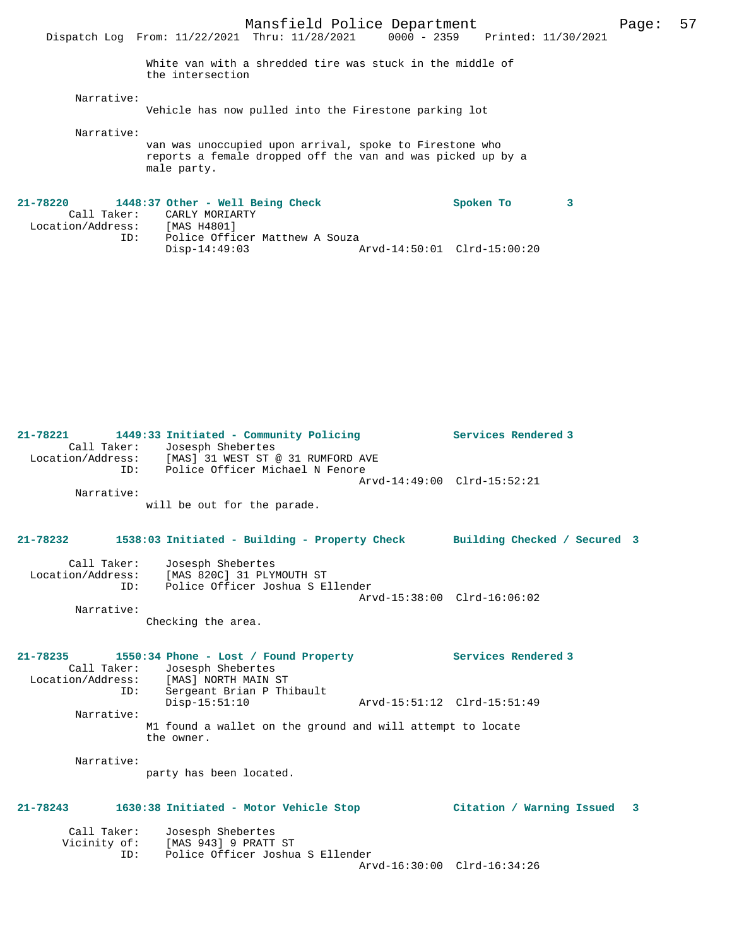White van with a shredded tire was stuck in the middle of

the intersection

#### Narrative:

Vehicle has now pulled into the Firestone parking lot

Narrative:

van was unoccupied upon arrival, spoke to Firestone who reports a female dropped off the van and was picked up by a male party.

| 21-78220          |             | 1448:37 Other - Well Being Check |                             | Spoken To |  |
|-------------------|-------------|----------------------------------|-----------------------------|-----------|--|
|                   | Call Taker: | CARLY MORIARTY                   |                             |           |  |
| Location/Address: |             | [MAS H4801]                      |                             |           |  |
|                   | ID:         | Police Officer Matthew A Souza   |                             |           |  |
|                   |             | $Disp-14:49:03$                  | Arvd-14:50:01 Clrd-15:00:20 |           |  |

| 21-78221<br>Call Taker: | 1449:33 Initiated - Community Policing<br>Josesph Shebertes<br>Location/Address: [MAS] 31 WEST ST @ 31 RUMFORD AVE                                  |                             | Services Rendered 3         |  |
|-------------------------|-----------------------------------------------------------------------------------------------------------------------------------------------------|-----------------------------|-----------------------------|--|
|                         | Police Officer Michael N Fenore<br>ID:                                                                                                              | Arvd-14:49:00 Clrd-15:52:21 |                             |  |
| Narrative:              |                                                                                                                                                     |                             |                             |  |
|                         | will be out for the parade.                                                                                                                         |                             |                             |  |
| $21 - 78232$            | 1538:03 Initiated - Building - Property Check Building Checked / Secured 3                                                                          |                             |                             |  |
| Call Taker:             | Josesph Shebertes<br>Location/Address: [MAS 820C] 31 PLYMOUTH ST<br>ID:<br>Police Officer Joshua S Ellender                                         |                             |                             |  |
|                         |                                                                                                                                                     | Arvd-15:38:00 Clrd-16:06:02 |                             |  |
| Narrative:              | Checking the area.                                                                                                                                  |                             |                             |  |
| $21 - 78235$            | 1550:34 Phone - Lost / Found Property<br>Call Taker: Josesph Shebertes<br>Location/Address: [MAS] NORTH MAIN ST<br>Sergeant Brian P Thibault<br>ID: |                             | Services Rendered 3         |  |
|                         |                                                                                                                                                     |                             |                             |  |
|                         | $Disp-15:51:10$                                                                                                                                     | Arvd-15:51:12 Clrd-15:51:49 |                             |  |
| Narrative:              | M1 found a wallet on the ground and will attempt to locate<br>the owner.                                                                            |                             |                             |  |
| Narrative:              | party has been located.                                                                                                                             |                             |                             |  |
| $21 - 78243$            | 1630:38 Initiated - Motor Vehicle Stop                                                                                                              |                             | Citation / Warning Issued 3 |  |
| Call Taker:<br>ID:      | Josesph Shebertes<br>Vicinity of: [MAS 943] 9 PRATT ST<br>Police Officer Joshua S Ellender                                                          | Arvd-16:30:00 Clrd-16:34:26 |                             |  |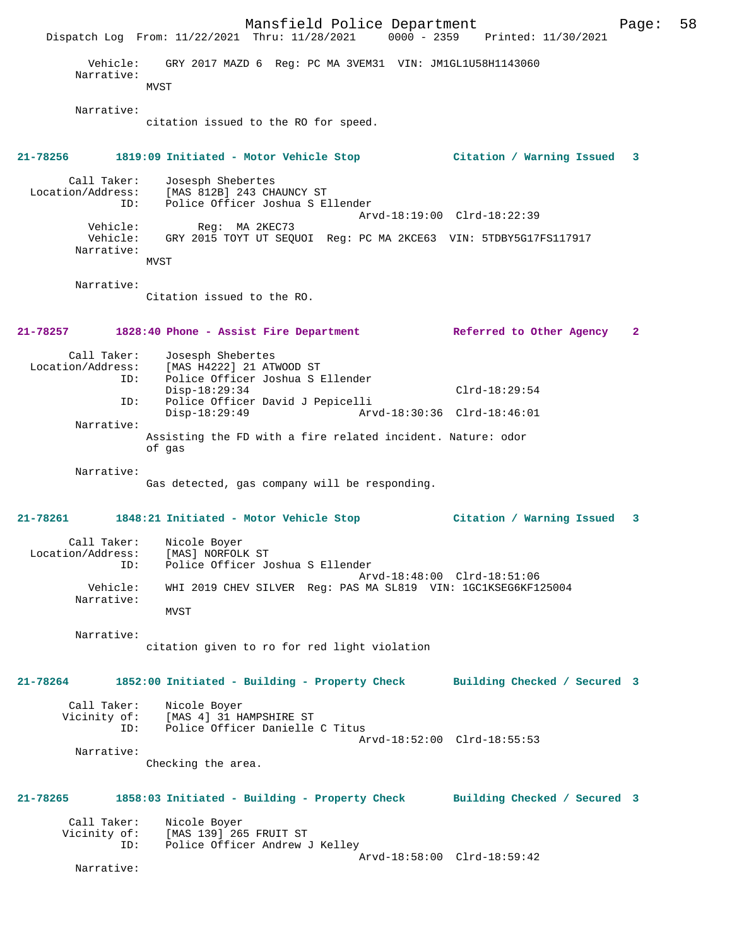Mansfield Police Department Page: 58 Dispatch Log From: 11/22/2021 Thru: 11/28/2021 0000 - 2359 Printed: 11/30/2021 Vehicle: GRY 2017 MAZD 6 Reg: PC MA 3VEM31 VIN: JM1GL1U58H1143060 Narrative: **MVST**  Narrative: citation issued to the RO for speed. **21-78256 1819:09 Initiated - Motor Vehicle Stop Citation / Warning Issued 3** Call Taker: Josesph Shebertes Location/Address: [MAS 812B] 243 CHAUNCY ST ID: Police Officer Joshua S Ellender Arvd-18:19:00 Clrd-18:22:39 Vehicle: Reg: MA 2KEC73 Vehicle: GRY 2015 TOYT UT SEQUOI Reg: PC MA 2KCE63 VIN: 5TDBY5G17FS117917 Narrative: MVST Narrative: Citation issued to the RO. **21-78257 1828:40 Phone - Assist Fire Department Referred to Other Agency 2** Call Taker: Josesph Shebertes<br>Location/Address: [MAS H4222] 21 AT ess: [MAS H4222] 21 ATWOOD ST<br>ID: Police Officer Joshua S H Police Officer Joshua S Ellender Disp-18:29:34 Clrd-18:29:54 ID: Police Officer David J Pepicelli Disp-18:29:49 Arvd-18:30:36 Clrd-18:46:01 Narrative: Assisting the FD with a fire related incident. Nature: odor of gas Narrative: Gas detected, gas company will be responding. **21-78261 1848:21 Initiated - Motor Vehicle Stop Citation / Warning Issued 3** Call Taker: Nicole Boyer Location/Address: [MAS] NORFOLK ST ID: Police Officer Joshua S Ellender Arvd-18:48:00 Clrd-18:51:06 Vehicle: WHI 2019 CHEV SILVER Reg: PAS MA SL819 VIN: 1GC1KSEG6KF125004 Narrative: MVST Narrative: citation given to ro for red light violation **21-78264 1852:00 Initiated - Building - Property Check Building Checked / Secured 3** Call Taker: Nicole Boyer Vicinity of: [MAS 4] 31 HAMPSHIRE ST ID: Police Officer Danielle C Titus Arvd-18:52:00 Clrd-18:55:53 Narrative: Checking the area. **21-78265 1858:03 Initiated - Building - Property Check Building Checked / Secured 3** Call Taker: Nicole Boyer<br>Vicinity of: [MAS 139] 26! of: [MAS 139] 265 FRUIT ST<br>ID: Police Officer Andrew Police Officer Andrew J Kelley Arvd-18:58:00 Clrd-18:59:42 Narrative: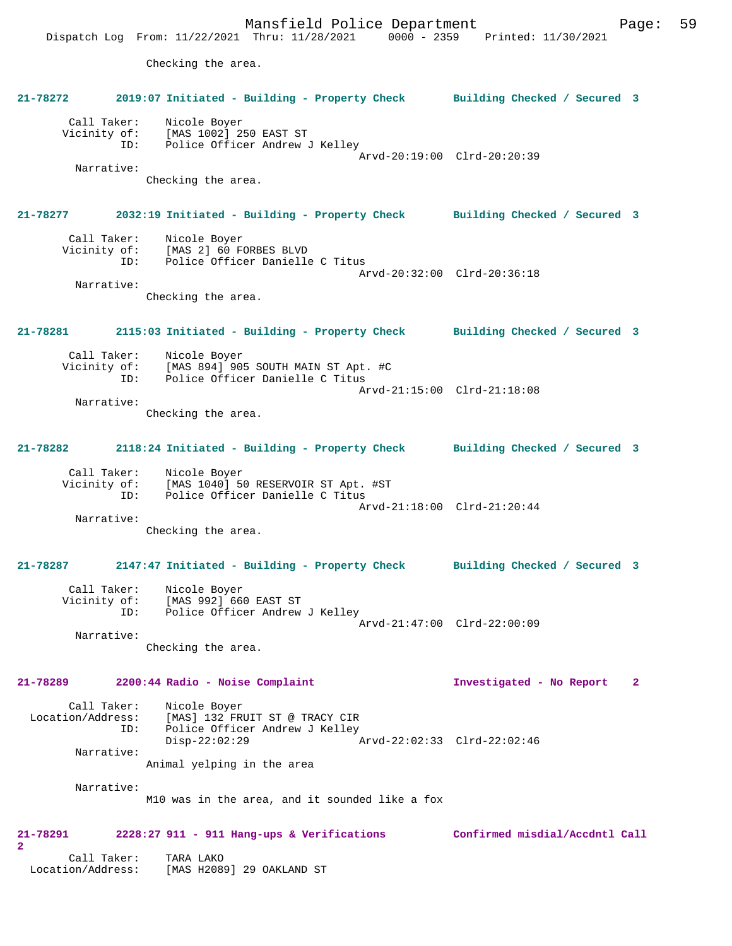Mansfield Police Department Page: 59 Dispatch Log From: 11/22/2021 Thru: 11/28/2021 0000 - 2359 Printed: 11/30/2021 Checking the area. **21-78272 2019:07 Initiated - Building - Property Check Building Checked / Secured 3** Call Taker: Nicole Boyer Vicinity of: [MAS 1002] 250 EAST ST ID: Police Officer Andrew J Kelley Arvd-20:19:00 Clrd-20:20:39 Narrative: Checking the area. **21-78277 2032:19 Initiated - Building - Property Check Building Checked / Secured 3** Call Taker: Nicole Boyer Vicinity of: [MAS 2] 60 FORBES BLVD ID: Police Officer Danielle C Titus Arvd-20:32:00 Clrd-20:36:18 Narrative: Checking the area. **21-78281 2115:03 Initiated - Building - Property Check Building Checked / Secured 3** Call Taker: Nicole Boyer<br>Vicinity of: [MAS 894] 90 of: [MAS 894] 905 SOUTH MAIN ST Apt. #C<br>ID: Police Officer Danielle C Titus Police Officer Danielle C Titus Arvd-21:15:00 Clrd-21:18:08 Narrative: Checking the area. **21-78282 2118:24 Initiated - Building - Property Check Building Checked / Secured 3** Call Taker: Nicole Boyer Vicinity of: [MAS 1040] 50 RESERVOIR ST Apt. #ST ID: Police Officer Danielle C Titus Arvd-21:18:00 Clrd-21:20:44 Narrative: Checking the area. **21-78287 2147:47 Initiated - Building - Property Check Building Checked / Secured 3** Call Taker: Nicole Boyer Vicinity of: [MAS 992] 660 EAST ST<br>ID: Police Officer Andrew Police Officer Andrew J Kelley Arvd-21:47:00 Clrd-22:00:09 Narrative: Checking the area. **21-78289 2200:44 Radio - Noise Complaint Investigated - No Report 2** Call Taker: Nicole Boyer Location/Address: [MAS] 132 FRUIT ST @ TRACY CIR ID: Police Officer Andrew J Kelley<br>Disp-22:02:29 Disp-22:02:29 Arvd-22:02:33 Clrd-22:02:46 Narrative: Animal yelping in the area Narrative: M10 was in the area, and it sounded like a fox **21-78291 2228:27 911 - 911 Hang-ups & Verifications Confirmed misdial/Accdntl Call 2**  Call Taker: TARA LAKO Location/Address: [MAS H2089] 29 OAKLAND ST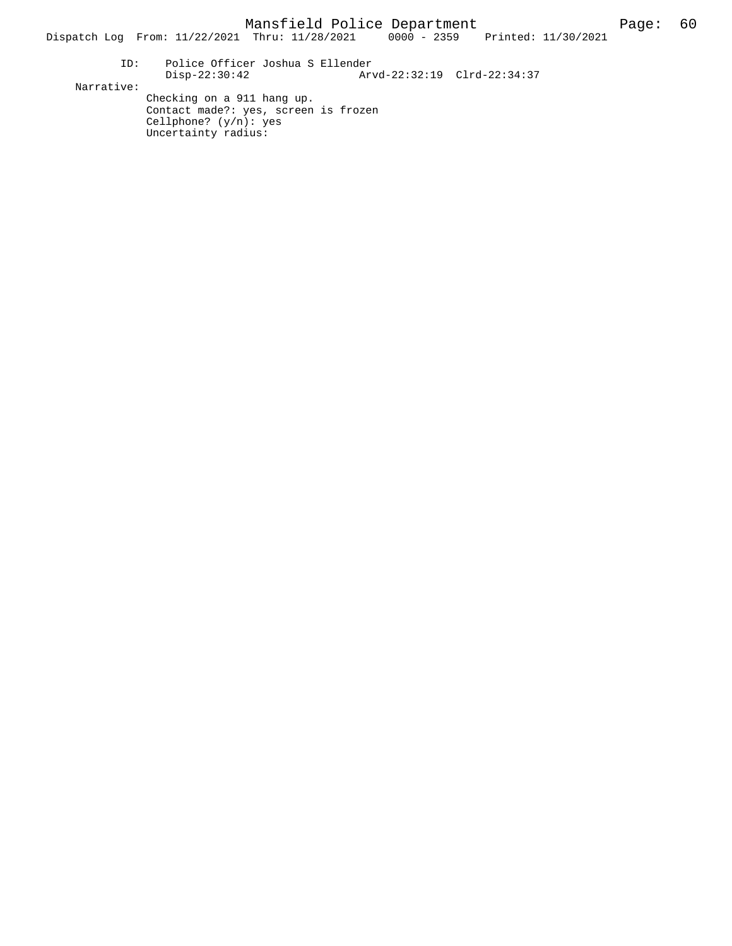Dispatch Log From: 11/22/2021 Thru: 11/28/2021 0000 - 2359 Printed: 11/30/2021

 ID: Police Officer Joshua S Ellender Disp-22:30:42 Arvd-22:32:19 Clrd-22:34:37 Narrative: Checking on a 911 hang up. Contact made?: yes, screen is frozen

> Cellphone? (y/n): yes Uncertainty radius: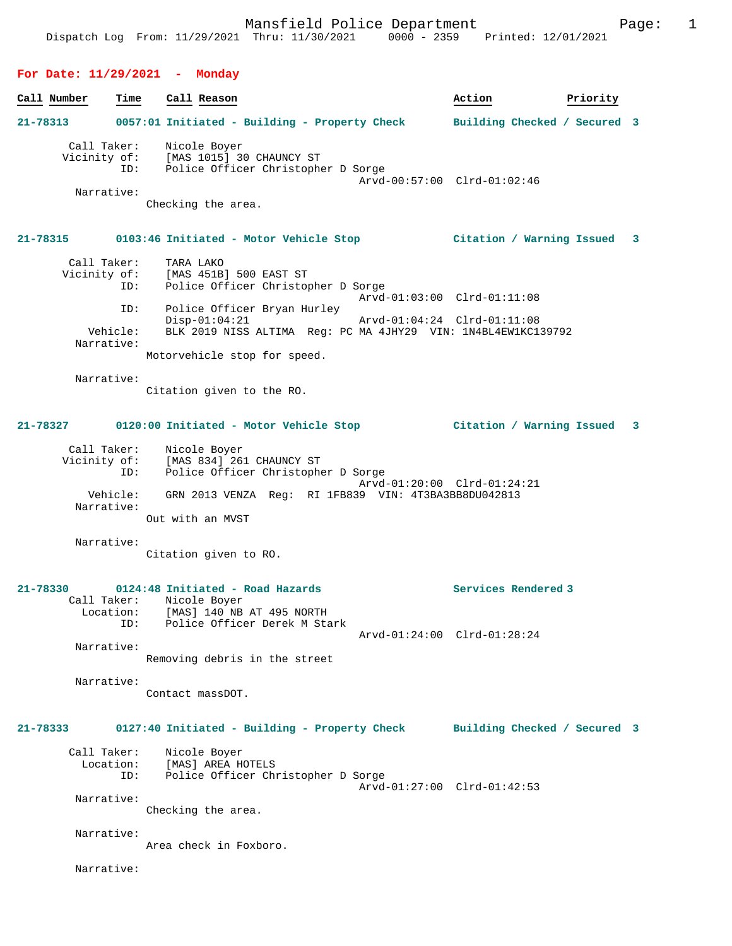# **For Date: 11/29/2021 - Monday**

| Call Number | Time     | Call Reason                                                                                                           |                             | Action                       | Priority |  |
|-------------|----------|-----------------------------------------------------------------------------------------------------------------------|-----------------------------|------------------------------|----------|--|
|             |          | 21-78313 0057:01 Initiated - Building - Property Check                                                                |                             | Building Checked / Secured 3 |          |  |
|             |          | Call Taker: Nicole Boyer<br>Vicinity of: [MAS 1015] 30 CHAUNCY ST<br>ID: Police Officer Christopher D Sorge           |                             |                              |          |  |
| Narrative:  |          |                                                                                                                       |                             | Arvd-00:57:00 Clrd-01:02:46  |          |  |
|             |          | Checking the area.                                                                                                    |                             |                              |          |  |
|             |          | 21-78315 0103:46 Initiated - Motor Vehicle Stop 6 (itation / Warning Issued 3                                         |                             |                              |          |  |
| Call Taker: |          | TARA LAKO<br>Vicinity of: [MAS 451B] 500 EAST ST<br>ID: Police Officer Christop<br>Police Officer Christopher D Sorge |                             |                              |          |  |
|             | ID:      | Police Officer Bryan Hurley                                                                                           | Arvd-01:03:00 Clrd-01:11:08 |                              |          |  |
| Narrative:  | Vehicle: | $Disp-01:04:21$<br>BLK 2019 NISS ALTIMA Reg: PC MA 4JHY29 VIN: 1N4BL4EW1KC139792                                      | Arvd-01:04:24 Clrd-01:11:08 |                              |          |  |
|             |          | Motorvehicle stop for speed.                                                                                          |                             |                              |          |  |
| Narrative:  |          | Citation given to the RO.                                                                                             |                             |                              |          |  |
|             |          | 21-78327 0120:00 Initiated - Motor Vehicle Stop                 Citation / Warning Issued   3                         |                             |                              |          |  |
|             |          | Call Taker: Nicole Boyer<br>Vicinity of: [MAS 834] 261 CHAUNCY ST<br>ID: Police Officer Christopher D Sorge           |                             | Arvd-01:20:00 Clrd-01:24:21  |          |  |
| Narrative:  | Vehicle: | GRN 2013 VENZA Req: RI 1FB839 VIN: 4T3BA3BB8DU042813<br>Out with an MVST                                              |                             |                              |          |  |
| Narrative:  |          |                                                                                                                       |                             |                              |          |  |
|             |          | Citation given to RO.                                                                                                 |                             |                              |          |  |
|             |          | $21-78330$ 0124:48 Initiated - Road Hazards                                                                           |                             | Services Rendered 3          |          |  |
|             |          | Call Taker: Nicole Boyer<br>Location: [MAS] 140 NB AT 495 NORTH<br>ID: Police Officer Derek M Stark                   |                             |                              |          |  |
| Narrative:  |          |                                                                                                                       |                             | Arvd-01:24:00 Clrd-01:28:24  |          |  |
|             |          | Removing debris in the street                                                                                         |                             |                              |          |  |
| Narrative:  |          | Contact massDOT.                                                                                                      |                             |                              |          |  |
| 21-78333    |          | 0127:40 Initiated - Building - Property Check Building Checked / Secured 3                                            |                             |                              |          |  |
| Call Taker: | ID:      | Nicole Boyer<br>Location: [MAS] AREA HOTELS<br>Police Officer Christopher D Sorge                                     |                             |                              |          |  |
| Narrative:  |          |                                                                                                                       |                             | Arvd-01:27:00 Clrd-01:42:53  |          |  |
|             |          | Checking the area.                                                                                                    |                             |                              |          |  |
| Narrative:  |          | Area check in Foxboro.                                                                                                |                             |                              |          |  |
| Narrative:  |          |                                                                                                                       |                             |                              |          |  |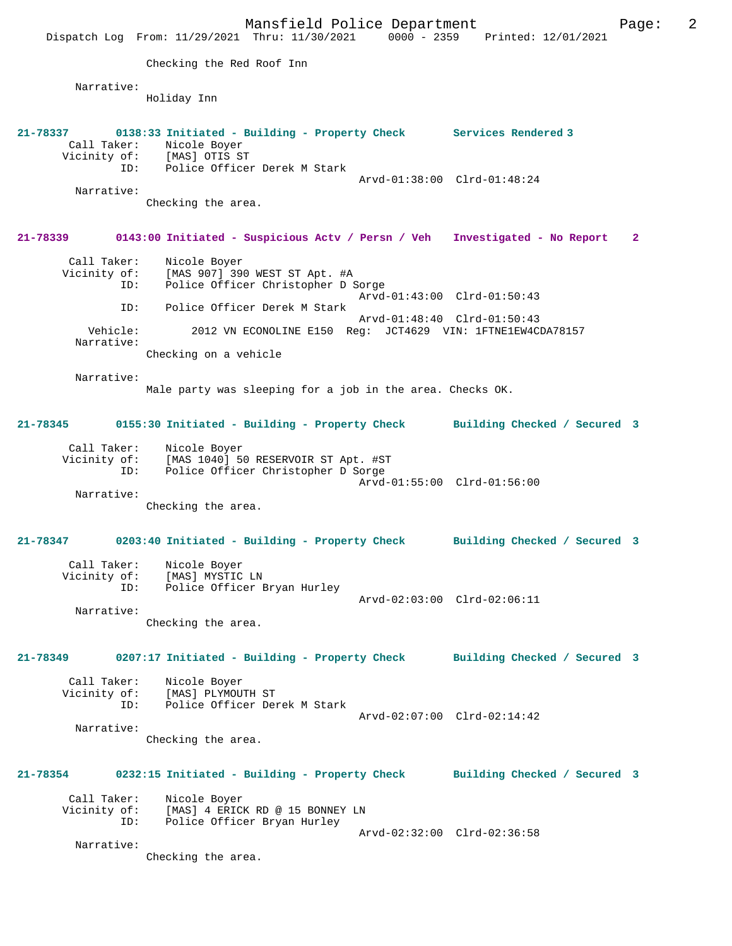Mansfield Police Department Fage: 2 Dispatch Log From: 11/29/2021 Thru: 11/30/2021 0000 - 2359 Printed: 12/01/2021 Checking the Red Roof Inn Narrative: Holiday Inn **21-78337 0138:33 Initiated - Building - Property Check Services Rendered 3**  Call Taker: Nicole Boyer Vicinity of: [MAS] OTIS ST ID: Police Officer Derek M Stark Arvd-01:38:00 Clrd-01:48:24 Narrative: Checking the area. **21-78339 0143:00 Initiated - Suspicious Actv / Persn / Veh Investigated - No Report 2** Call Taker: Nicole Boyer<br>Vicinity of: [MAS 907] 39 of: [MAS 907] 390 WEST ST Apt. #A<br>ID: Police Officer Christopher D 9 Police Officer Christopher D Sorge Arvd-01:43:00 Clrd-01:50:43 ID: Police Officer Derek M Stark Arvd-01:48:40 Clrd-01:50:43<br>Vehicle: 2012 VN ECONOLINE E150 Req: JCT4629 VIN: 1FTNE1EW4CI 2012 VN ECONOLINE E150 Req: JCT4629 VIN: 1FTNE1EW4CDA78157 Narrative: Checking on a vehicle Narrative: Male party was sleeping for a job in the area. Checks OK. **21-78345 0155:30 Initiated - Building - Property Check Building Checked / Secured 3** Call Taker: Nicole Boyer<br>Vicinity of: [MAS 1040] 5 of: [MAS 1040] 50 RESERVOIR ST Apt. #ST<br>ID: Police Officer Christopher D Sorge Police Officer Christopher D Sorge Arvd-01:55:00 Clrd-01:56:00 Narrative: Checking the area. **21-78347 0203:40 Initiated - Building - Property Check Building Checked / Secured 3** Call Taker: Nicole Boyer Vicinity of: [MAS] MYSTIC LN<br>TD: Police Officer 1 Police Officer Bryan Hurley Arvd-02:03:00 Clrd-02:06:11 Narrative: Checking the area. **21-78349 0207:17 Initiated - Building - Property Check Building Checked / Secured 3** Call Taker: Nicole Boyer<br>Vicinity of: [MAS] PLYMOU [MAS] PLYMOUTH ST ID: Police Officer Derek M Stark Arvd-02:07:00 Clrd-02:14:42 Narrative: Checking the area. **21-78354 0232:15 Initiated - Building - Property Check Building Checked / Secured 3** Call Taker: Nicole Boyer<br>Vicinity of: [MAS] 4 ERICI of: [MAS] 4 ERICK RD @ 15 BONNEY LN<br>ID: Police Officer Bryan Hurley Police Officer Bryan Hurley Arvd-02:32:00 Clrd-02:36:58 Narrative: Checking the area.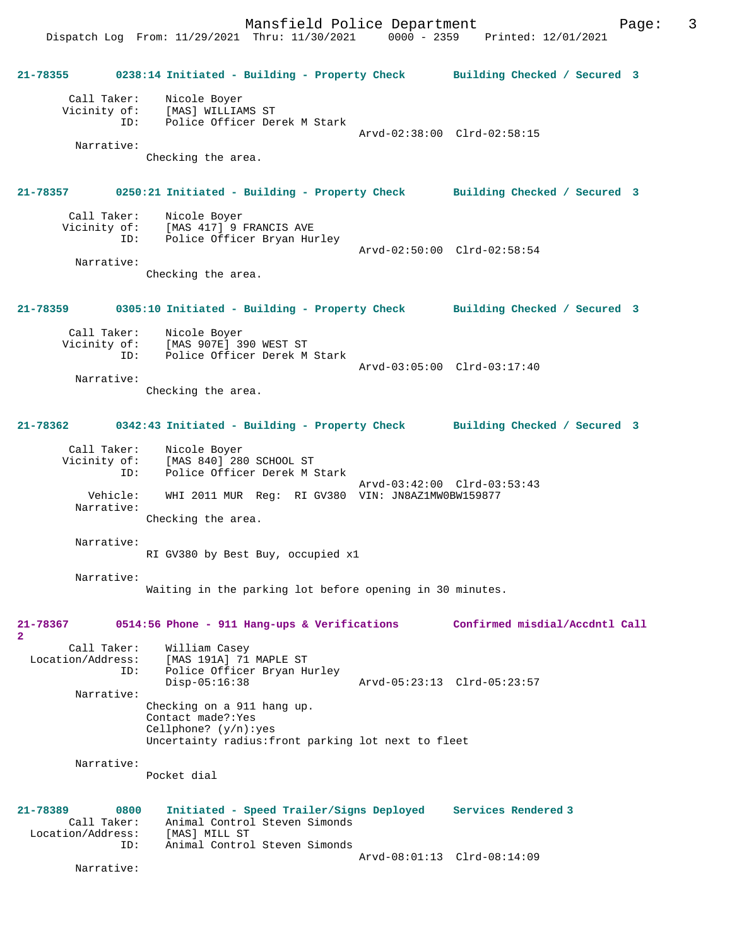**21-78355 0238:14 Initiated - Building - Property Check Building Checked / Secured 3** Call Taker: Nicole Boyer Vicinity of: [MAS] WILLIAMS ST ID: Police Officer Derek M Stark Arvd-02:38:00 Clrd-02:58:15 Narrative: Checking the area. **21-78357 0250:21 Initiated - Building - Property Check Building Checked / Secured 3** Call Taker: Nicole Boyer<br>Vicinity of: [MAS 417] 9 B of: [MAS 417] 9 FRANCIS AVE<br>ID: [Police Officer Bryan Hum Police Officer Bryan Hurley Arvd-02:50:00 Clrd-02:58:54 Narrative: Checking the area. **21-78359 0305:10 Initiated - Building - Property Check Building Checked / Secured 3** Call Taker: Nicole Boyer<br>Vicinity of: [MAS 907E] 3 of: [MAS 907E] 390 WEST ST<br>ID: Police Officer Derek M Police Officer Derek M Stark Arvd-03:05:00 Clrd-03:17:40 Narrative: Checking the area. **21-78362 0342:43 Initiated - Building - Property Check Building Checked / Secured 3** Call Taker: Nicole Boyer<br>Vicinity of: [MAS 840] 280 of: [MAS 840]<sup>[280 SCHOOL ST</sup><br>ID: Police Officer Derek M; Police Officer Derek M Stark Arvd-03:42:00 Clrd-03:53:43<br>Vehicle: WHI 2011 MIIR Reg: RI GV380 VIN: JN8AZ1MW0RW159877 WHI 2011 MUR Reg: RI GV380 VIN: JN8AZ1MW0BW159877 Narrative: Checking the area. Narrative: RI GV380 by Best Buy, occupied x1 Narrative: Waiting in the parking lot before opening in 30 minutes. **21-78367 0514:56 Phone - 911 Hang-ups & Verifications Confirmed misdial/Accdntl Call 2**  Call Taker: William Casey<br>Location/Address: [MAS 191A] 71 ess: [MAS 191A] 71 MAPLE ST<br>ID: Police Officer Bryan H Police Officer Bryan Hurley<br>Disp-05:16:38 Disp-05:16:38 Arvd-05:23:13 Clrd-05:23:57 Narrative: Checking on a 911 hang up. Contact made?:Yes Cellphone? (y/n):yes Uncertainty radius:front parking lot next to fleet Narrative: Pocket dial **21-78389 0800 Initiated - Speed Trailer/Signs Deployed Services Rendered 3**  Call Taker: Animal Control Steven Simonds<br>ion/Address: [MAS] MILL ST Location/Address:<br>ID: Animal Control Steven Simonds Arvd-08:01:13 Clrd-08:14:09

Narrative: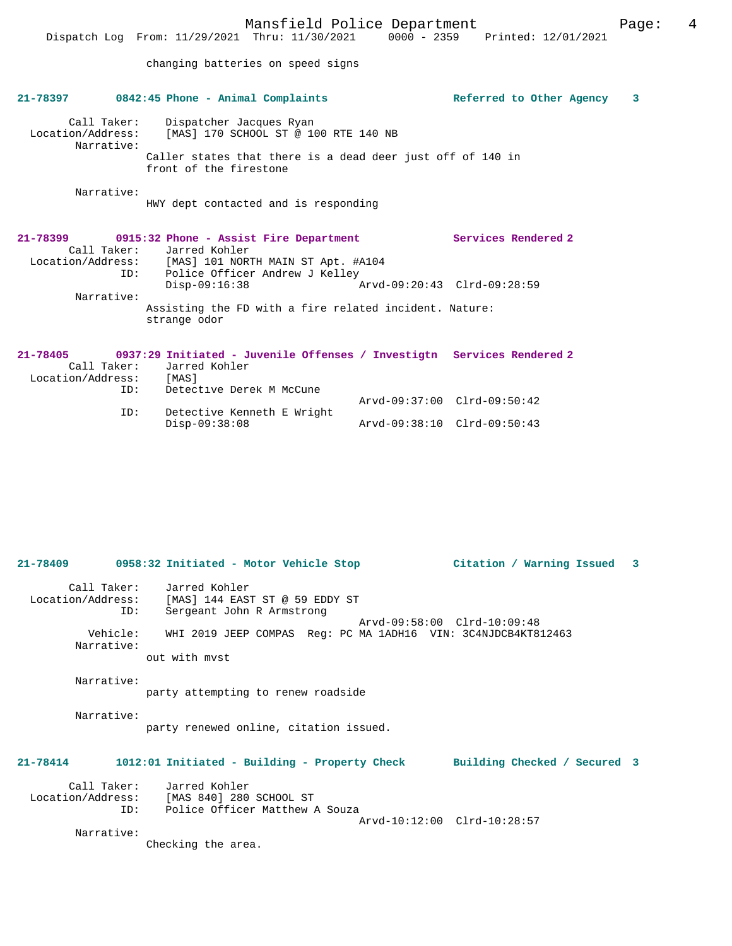Dispatch Log From: 11/29/2021 Thru: 11/30/2021 0000 - 2359 Printed: 12/01/2021

changing batteries on speed signs

|                                                               | $21-78397$ 0842:45 Phone - Animal Complaints                                                                                                                           |                             | Referred to Other Agency   | 3 |
|---------------------------------------------------------------|------------------------------------------------------------------------------------------------------------------------------------------------------------------------|-----------------------------|----------------------------|---|
| Call Taker:<br>Narrative:                                     | Dispatcher Jacques Ryan<br>Location/Address: [MAS] 170 SCHOOL ST @ 100 RTE 140 NB                                                                                      |                             |                            |   |
|                                                               | Caller states that there is a dead deer just off of 140 in<br>front of the firestone                                                                                   |                             |                            |   |
| Narrative:                                                    | HWY dept contacted and is responding                                                                                                                                   |                             |                            |   |
| ID:                                                           | 21-78399 0915:32 Phone - Assist Fire Department<br>Call Taker: Jarred Kohler<br>Location/Address: [MAS] 101 NORTH MAIN ST Apt. #A104<br>Police Officer Andrew J Kelley | Arvd-09:20:43 Clrd-09:28:59 | <b>Services Rendered 2</b> |   |
| Narrative:                                                    | $Disp-09:16:38$                                                                                                                                                        |                             |                            |   |
|                                                               | Assisting the FD with a fire related incident. Nature:<br>strange odor                                                                                                 |                             |                            |   |
| $21 - 78405$<br>Call Taker:<br>Location/Address: [MAS]<br>ID: | 0937:29 Initiated - Juvenile Offenses / Investigtn Services Rendered 2<br>Jarred Kohler<br>Detective Derek M McCune                                                    |                             |                            |   |
|                                                               |                                                                                                                                                                        | Arvd-09:37:00 Clrd-09:50:42 |                            |   |
| ID:                                                           | Detective Kenneth E Wright<br>$Disp-09:38:08$                                                                                                                          | Arvd-09:38:10 Clrd-09:50:43 |                            |   |

|              | 21-78409 0958:32 Initiated - Motor Vehicle Stop                                                            | Citation / Warning Issued 3 |  |
|--------------|------------------------------------------------------------------------------------------------------------|-----------------------------|--|
| ID:          | Call Taker: Jarred Kohler<br>Location/Address: [MAS] 144 EAST ST @ 59 EDDY ST<br>Sergeant John R Armstrong | Arvd-09:58:00 Clrd-10:09:48 |  |
| Narrative:   | Vehicle: WHI 2019 JEEP COMPAS Reg: PC MA 1ADH16 VIN: 3C4NJDCB4KT812463<br>out with myst                    |                             |  |
| Narrative:   | party attempting to renew roadside                                                                         |                             |  |
| Narrative:   | party renewed online, citation issued.                                                                     |                             |  |
| $21 - 78414$ | 1012:01 Initiated - Building - Property Check Building Checked / Secured 3                                 |                             |  |
| ID:          | Call Taker: Jarred Kohler<br>Location/Address: [MAS 840] 280 SCHOOL ST<br>Police Officer Matthew A Souza   | Arvd-10:12:00 Clrd-10:28:57 |  |
| Narrative:   | Checking the area.                                                                                         |                             |  |
|              |                                                                                                            |                             |  |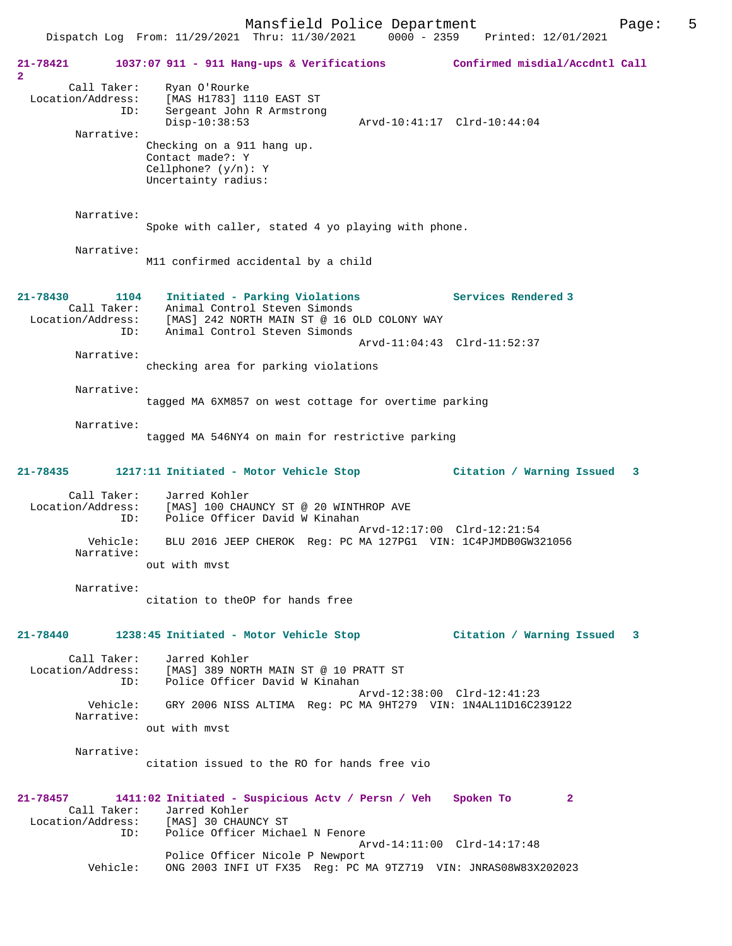|                                                |                 | Dispatch Log From: 11/29/2021 Thru: 11/30/2021<br>$0000 - 2359$                                                                                                                             | Printed: 12/01/2021                                      |
|------------------------------------------------|-----------------|---------------------------------------------------------------------------------------------------------------------------------------------------------------------------------------------|----------------------------------------------------------|
| 21-78421<br>$\overline{a}$                     |                 | 1037:07 911 - 911 Hang-ups & Verifications Confirmed misdial/Accdntl Call                                                                                                                   |                                                          |
| Call Taker:<br>Location/Address:<br>Narrative: | ID:             | Ryan O'Rourke<br>[MAS H1783] 1110 EAST ST<br>Sergeant John R Armstrong<br>$Disp-10:38:53$<br>Checking on a 911 hang up.<br>Contact made?: Y<br>Cellphone? $(y/n): Y$<br>Uncertainty radius: | Arvd-10:41:17 Clrd-10:44:04                              |
| Narrative:                                     |                 | Spoke with caller, stated 4 yo playing with phone.                                                                                                                                          |                                                          |
| Narrative:                                     |                 | M11 confirmed accidental by a child                                                                                                                                                         |                                                          |
| $21 - 78430$<br>Call Taker:                    | 1104<br>ID:     | Initiated - Parking Violations<br>Animal Control Steven Simonds<br>Location/Address: [MAS] 242 NORTH MAIN ST @ 16 OLD COLONY WAY<br>Animal Control Steven Simonds                           | Services Rendered 3                                      |
| Narrative:                                     |                 | checking area for parking violations                                                                                                                                                        | Arvd-11:04:43 Clrd-11:52:37                              |
| Narrative:                                     |                 | tagged MA 6XM857 on west cottage for overtime parking                                                                                                                                       |                                                          |
| Narrative:                                     |                 | tagged MA 546NY4 on main for restrictive parking                                                                                                                                            |                                                          |
| 21-78435                                       |                 | 1217:11 Initiated - Motor Vehicle Stop                                                                                                                                                      | Citation / Warning Issued<br>$\mathbf{3}$                |
| Call Taker:<br>Location/Address:<br>Narrative: | ID:<br>Vehicle: | Jarred Kohler<br>[MAS] 100 CHAUNCY ST @ 20 WINTHROP AVE<br>Police Officer David W Kinahan<br>BLU 2016 JEEP CHEROK Req: PC MA 127PG1 VIN: 1C4PJMDB0GW321056<br>out with myst                 | Arvd-12:17:00 Clrd-12:21:54                              |
| Narrative:                                     |                 | citation to theOP for hands free                                                                                                                                                            |                                                          |
| 21-78440                                       |                 | 1238:45 Initiated - Motor Vehicle Stop                                                                                                                                                      | Citation / Warning Issued<br>3                           |
| Call Taker:<br>Location/Address:<br>Narrative: | ID:<br>Vehicle: | Jarred Kohler<br>[MAS] 389 NORTH MAIN ST @ 10 PRATT ST<br>Police Officer David W Kinahan<br>GRY 2006 NISS ALTIMA Reg: PC MA 9HT279 VIN: 1N4AL11D16C239122                                   | Arvd-12:38:00 Clrd-12:41:23                              |
| Narrative:                                     |                 | out with myst<br>citation issued to the RO for hands free vio                                                                                                                               |                                                          |
| 21-78457<br>Call Taker:                        | ID:             | 1411:02 Initiated - Suspicious Actv / Persn / Veh<br>Jarred Kohler<br>Location/Address: [MAS] 30 CHAUNCY ST<br>Police Officer Michael N Fenore                                              | Spoken To<br>$\mathbf{2}$<br>Arvd-14:11:00 Clrd-14:17:48 |
|                                                | Vehicle:        | Police Officer Nicole P Newport<br>ONG 2003 INFI UT FX35 Reg: PC MA 9TZ719 VIN: JNRAS08W83X202023                                                                                           |                                                          |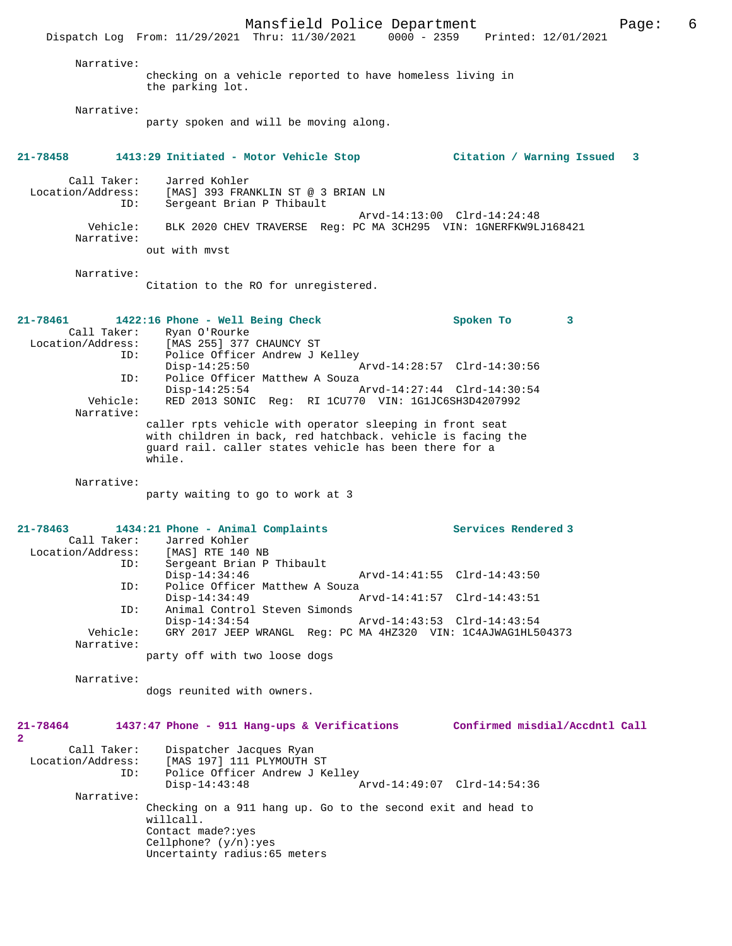Mansfield Police Department Page: 6 Dispatch Log From: 11/29/2021 Thru: 11/30/2021 Narrative: checking on a vehicle reported to have homeless living in the parking lot. Narrative: party spoken and will be moving along. **21-78458 1413:29 Initiated - Motor Vehicle Stop Citation / Warning Issued 3** Call Taker: Jarred Kohler<br>Location/Address: [MAS] 393 FRA Location/Address: [MAS] 393 FRANKLIN ST @ 3 BRIAN LN ID: Sergeant Brian P Thibault Arvd-14:13:00 Clrd-14:24:48<br>Vehicle: BLK 2020 CHEV TRAVERSE Reg: PC MA 3CH295 VIN: 1GNERFKW9L BLK 2020 CHEV TRAVERSE Reg: PC MA 3CH295 VIN: 1GNERFKW9LJ168421 Narrative: out with mvst Narrative: Citation to the RO for unregistered. **21-78461 1422:16 Phone - Well Being Check Spoken To 3**  Call Taker: Ryan O'Rourke Location/Address: [MAS 255] 377 CHAUNCY ST ID: Police Officer Andrew J Kelley Disp-14:25:50 <br>Disp-14:25:50 Arvd-14:28:57 Clrd-14:30:56 <br>Dice Officer Matthew A Souza Police Officer Matthew A Souza Disp-14:25:54 Arvd-14:27:44 Clrd-14:30:54 Vehicle: RED 2013 SONIC Reg: RI 1CU770 VIN: 1G1JC6SH3D4207992 Narrative: caller rpts vehicle with operator sleeping in front seat with children in back, red hatchback. vehicle is facing the guard rail. caller states vehicle has been there for a while. Narrative: party waiting to go to work at 3 **21-78463 1434:21 Phone - Animal Complaints Services Rendered 3**  Call Taker: Jarred Kohler<br>ion/Address: [MAS] RTE 140 NB Location/Address:<br>TD: Sergeant Brian P Thibault<br>Disp-14:34:46 Disp-14:34:46 Arvd-14:41:55 Clrd-14:43:50<br>ID: Police Officer Matthew A Souza Police Officer Matthew A Souza Disp-14:34:49 Arvd-14:41:57 Clrd-14:43:51 ID: Animal Control Steven Simonds Disp-14:34:54 Arvd-14:43:53 Clrd-14:43:54<br>Vehicle: GRY 2017 JEEP WRANGL Req: PC MA 4HZ320 VIN: 1C4AJWAG1HL5 Vehicle: GRY 2017 JEEP WRANGL Reg: PC MA 4HZ320 VIN: 1C4AJWAG1HL504373 Narrative: party off with two loose dogs Narrative: dogs reunited with owners. **21-78464 1437:47 Phone - 911 Hang-ups & Verifications Confirmed misdial/Accdntl Call 2**  Call Taker: Dispatcher Jacques Ryan<br>Location/Address: [MAS 197] 111 PLYMOUTH ; ess: [MAS 197] 111 PLYMOUTH ST<br>ID: Police Officer Andrew J K Police Officer Andrew J Kelley Disp-14:43:48 Arvd-14:49:07 Clrd-14:54:36 Narrative: Checking on a 911 hang up. Go to the second exit and head to willcall. Contact made?:yes Cellphone? (y/n):yes Uncertainty radius:65 meters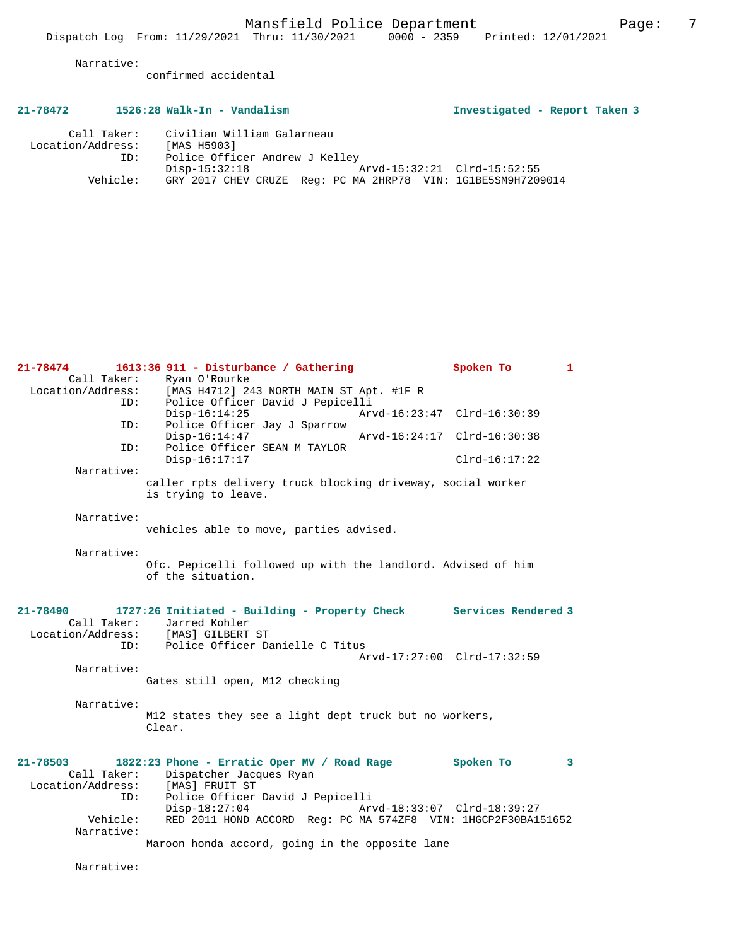confirmed accidental

# **21-78472 1526:28 Walk-In - Vandalism Investigated - Report Taken 3**

| Call Taker:       | Civilian William Galarneau                                   |  |
|-------------------|--------------------------------------------------------------|--|
| Location/Address: | [MAS H5903]                                                  |  |
| ID:               | Police Officer Andrew J Kelley                               |  |
|                   | Arvd-15:32:21 Clrd-15:52:55<br>Disp-15:32:18                 |  |
| Vehicle:          | GRY 2017 CHEV CRUZE Req: PC MA 2HRP78 VIN: 1G1BE5SM9H7209014 |  |

| $21 - 78474$                     | 1613:36 911 - Disturbance / Gathering                                              | Spoken To<br>1              |  |
|----------------------------------|------------------------------------------------------------------------------------|-----------------------------|--|
| Call Taker:                      | Ryan O'Rourke                                                                      |                             |  |
|                                  | Location/Address: [MAS H4712] 243 NORTH MAIN ST Apt. #1F R                         |                             |  |
| ID:                              | Police Officer David J Pepicelli<br>$Disp-16:14:25$                                | Arvd-16:23:47 Clrd-16:30:39 |  |
| ID:                              | Police Officer Jay J Sparrow<br>$Disp-16:14:47$<br>Police Officer SEAN M TAYLOR    | Arvd-16:24:17 Clrd-16:30:38 |  |
| ID:                              | $Disp-16:17:17$                                                                    | $Clrd-16:17:22$             |  |
| Narrative:                       |                                                                                    |                             |  |
|                                  | caller rpts delivery truck blocking driveway, social worker<br>is trying to leave. |                             |  |
| Narrative:                       |                                                                                    |                             |  |
|                                  | vehicles able to move, parties advised.                                            |                             |  |
| Narrative:                       |                                                                                    |                             |  |
|                                  | Ofc. Pepicelli followed up with the landlord. Advised of him<br>of the situation.  |                             |  |
| 21-78490                         | 1727:26 Initiated - Building - Property Check Services Rendered 3                  |                             |  |
| Call Taker:                      | Jarred Kohler                                                                      |                             |  |
|                                  | Location/Address: [MAS] GILBERT ST                                                 |                             |  |
| TD:                              | Police Officer Danielle C Titus                                                    | Arvd-17:27:00 Clrd-17:32:59 |  |
| Narrative:                       |                                                                                    |                             |  |
|                                  | Gates still open, M12 checking                                                     |                             |  |
| Narrative:                       |                                                                                    |                             |  |
|                                  | M12 states they see a light dept truck but no workers,<br>Clear.                   |                             |  |
|                                  |                                                                                    |                             |  |
| 21-78503                         | 1822:23 Phone - Erratic Oper MV / Road Rage                                        | Spoken To<br>3              |  |
| Call Taker:<br>Location/Address: | Dispatcher Jacques Ryan<br>[MAS] FRUIT ST                                          |                             |  |
| ID:                              | Police Officer David J Pepicelli                                                   |                             |  |
|                                  | $Disp-18:27:04$                                                                    | Arvd-18:33:07 Clrd-18:39:27 |  |
| Vehicle:                         | RED 2011 HOND ACCORD Reg: PC MA 574ZF8 VIN: 1HGCP2F30BA151652                      |                             |  |
| Narrative:                       | Maroon honda accord, going in the opposite lane                                    |                             |  |
|                                  |                                                                                    |                             |  |

Narrative: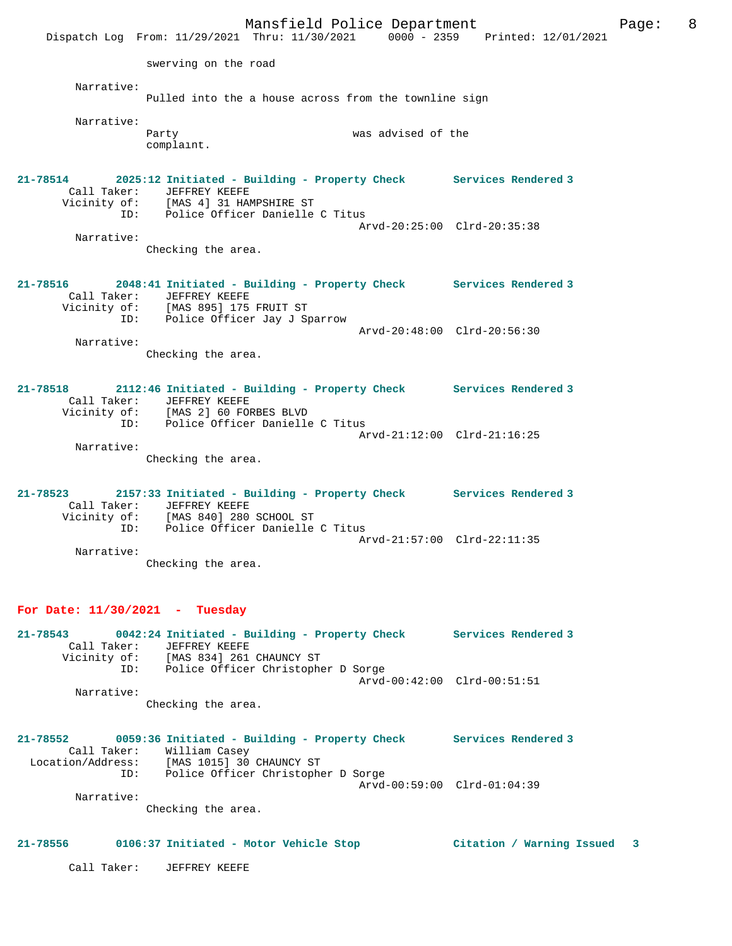Mansfield Police Department Form Page: 8 Dispatch Log From: 11/29/2021 Thru: 11/30/2021 0000 - 2359 Printed: 12/01/2021 swerving on the road Narrative: Pulled into the a house across from the townline sign Narrative: was advised of the complaint. **21-78514 2025:12 Initiated - Building - Property Check Services Rendered 3**  Call Taker: JEFFREY KEEFE Vicinity of: [MAS 4] 31 HAMPSHIRE ST ID: Police Officer Danielle C Titus Arvd-20:25:00 Clrd-20:35:38 Narrative: Checking the area. **21-78516 2048:41 Initiated - Building - Property Check Services Rendered 3**  Call Taker: JEFFREY KEEFE Vicinity of: [MAS 895] 175 FRUIT ST ID: Police Officer Jay J Sparrow Arvd-20:48:00 Clrd-20:56:30 Narrative: Checking the area. **21-78518 2112:46 Initiated - Building - Property Check Services Rendered 3**  Call Taker: JEFFREY KEEFE Vicinity of: [MAS 2] 60 FORBES BLVD ID: Police Officer Danielle C Titus Arvd-21:12:00 Clrd-21:16:25 Narrative: Checking the area. **21-78523 2157:33 Initiated - Building - Property Check Services Rendered 3**  Call Taker: JEFFREY KEEFE<br>Vicinity of: [MAS 840] 280 Vicinity of: [MAS 840] 280 SCHOOL ST ID: Police Officer Danielle C Titus Arvd-21:57:00 Clrd-22:11:35 Narrative: Checking the area.

### **For Date: 11/30/2021 - Tuesday**

**21-78543 0042:24 Initiated - Building - Property Check Services Rendered 3**  Call Taker: JEFFREY KEEFE Vicinity of: [MAS 834] 261 CHAUNCY ST ID: Police Officer Christopher D Sorge Arvd-00:42:00 Clrd-00:51:51 Narrative: Checking the area.

**21-78552 0059:36 Initiated - Building - Property Check Services Rendered 3**  Call Taker: William Casey Location/Address: [MAS 1015] 30 CHAUNCY ST ID: Police Officer Christopher D Sorge Arvd-00:59:00 Clrd-01:04:39 Narrative:

Checking the area.

#### **21-78556 0106:37 Initiated - Motor Vehicle Stop Citation / Warning Issued 3**

Call Taker: JEFFREY KEEFE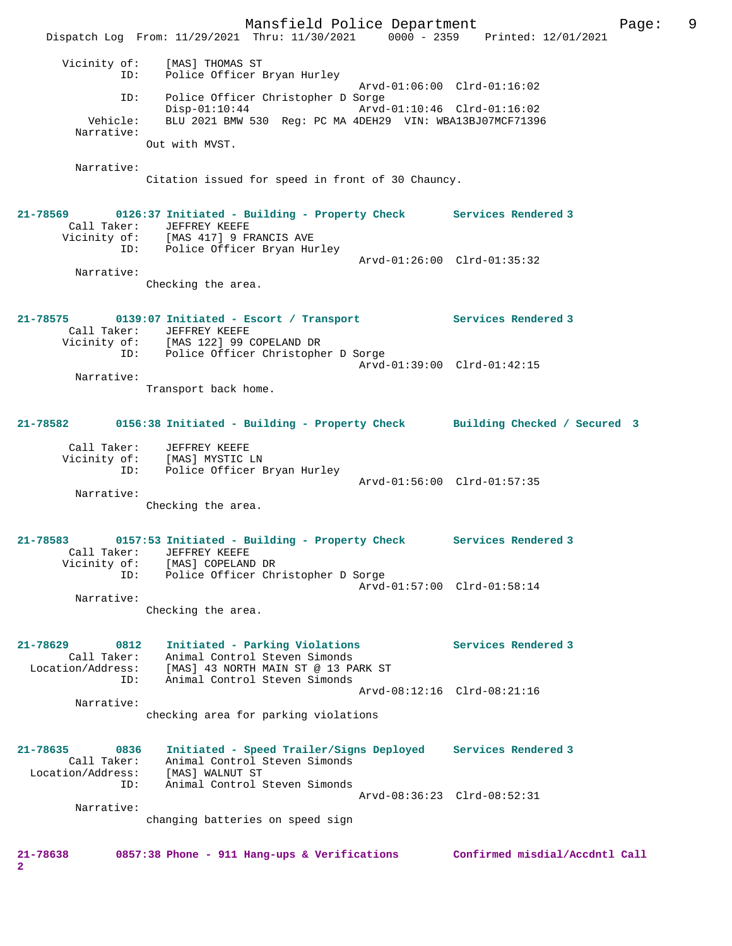Mansfield Police Department Fage: 9 Dispatch Log From: 11/29/2021 Thru: 11/30/2021 0000 - 2359 Printed: 12/01/2021 Vicinity of: [MAS] THOMAS ST ID: Police Officer Bryan Hurley Arvd-01:06:00 Clrd-01:16:02 ID: Police Officer Christopher D Sorge Disp-01:10:44 Arvd-01:10:46 Clrd-01:16:02 Vehicle: BLU 2021 BMW 530 Reg: PC MA 4DEH29 VIN: WBA13BJ07MCF71396 Narrative: Out with MVST. Narrative: Citation issued for speed in front of 30 Chauncy. **21-78569 0126:37 Initiated - Building - Property Check Services Rendered 3**  Call Taker: JEFFREY KEEFE Vicinity of: [MAS 417] 9 FRANCIS AVE ID: Police Officer Bryan Hurley Arvd-01:26:00 Clrd-01:35:32 Narrative: Checking the area. **21-78575 0139:07 Initiated - Escort / Transport Services Rendered 3**  Call Taker: JEFFREY KEEFE Vicinity of: [MAS 122] 99 COPELAND DR ID: Police Officer Christopher D Sorge Arvd-01:39:00 Clrd-01:42:15 Narrative: Transport back home. **21-78582 0156:38 Initiated - Building - Property Check Building Checked / Secured 3** Call Taker: JEFFREY KEEFE Vicinity of: [MAS] MYSTIC LN ID: Police Officer Bryan Hurley Arvd-01:56:00 Clrd-01:57:35 Narrative: Checking the area. **21-78583 0157:53 Initiated - Building - Property Check Services Rendered 3**  Call Taker: JEFFREY KEEFE Vicinity of: [MAS] COPELAND DR ID: Police Officer Christopher D Sorge Arvd-01:57:00 Clrd-01:58:14 Narrative: Checking the area. **21-78629 0812 Initiated - Parking Violations Services Rendered 3**  Call Taker: Animal Control Steven Simonds Location/Address: [MAS] 43 NORTH MAIN ST @ 13 PARK ST ID: Animal Control Steven Simonds Arvd-08:12:16 Clrd-08:21:16 Narrative: checking area for parking violations **21-78635 0836 Initiated - Speed Trailer/Signs Deployed Services Rendered 3**  Call Taker: Animal Control Steven Simonds Location/Address: [MAS] WALNUT ST ID: Animal Control Steven Simonds Arvd-08:36:23 Clrd-08:52:31 Narrative: changing batteries on speed sign **21-78638 0857:38 Phone - 911 Hang-ups & Verifications Confirmed misdial/Accdntl Call 2**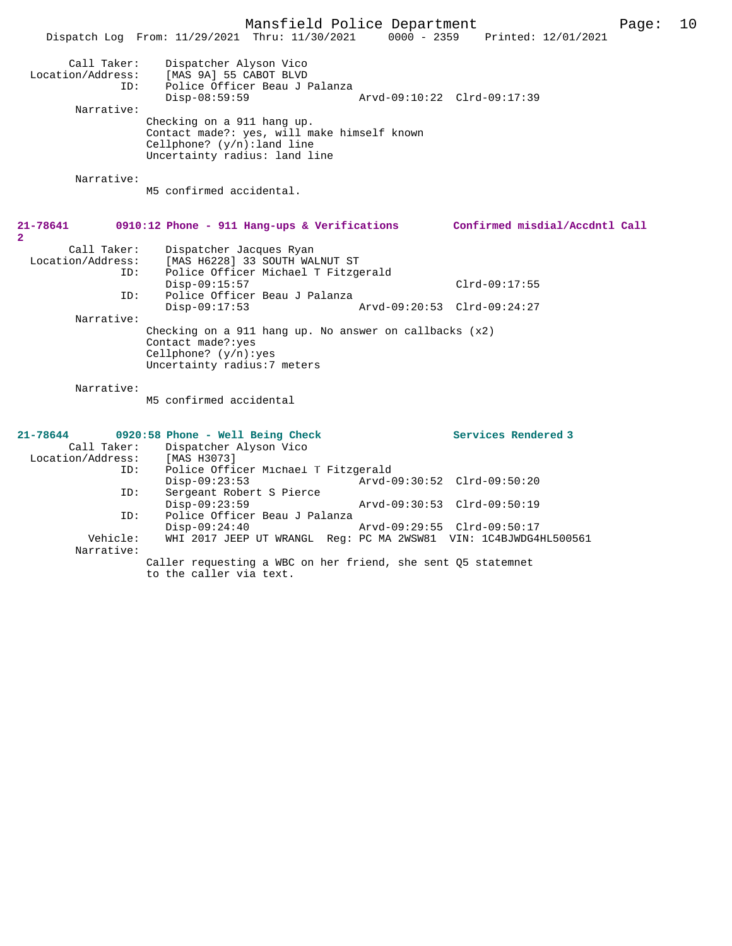|                   | Mansfield Police Department                                                             |                             |                                 | Page: | 10 |
|-------------------|-----------------------------------------------------------------------------------------|-----------------------------|---------------------------------|-------|----|
|                   | Dispatch Log From: 11/29/2021 Thru: 11/30/2021                                          |                             | 0000 - 2359 Printed: 12/01/2021 |       |    |
|                   |                                                                                         |                             |                                 |       |    |
| Call Taker:       | Dispatcher Alyson Vico                                                                  |                             |                                 |       |    |
| Location/Address: | [MAS 9A] 55 CABOT BLVD                                                                  |                             |                                 |       |    |
| ID:               | Police Officer Beau J Palanza                                                           |                             |                                 |       |    |
|                   | $Disp-08:59:59$                                                                         | Arvd-09:10:22 Clrd-09:17:39 |                                 |       |    |
| Narrative:        |                                                                                         |                             |                                 |       |    |
|                   | Checking on a 911 hang up.                                                              |                             |                                 |       |    |
|                   | Contact made?: yes, will make himself known                                             |                             |                                 |       |    |
|                   | Cellphone? $(y/n)$ : land line                                                          |                             |                                 |       |    |
|                   | Uncertainty radius: land line                                                           |                             |                                 |       |    |
| Narrative:        |                                                                                         |                             |                                 |       |    |
|                   | M5 confirmed accidental.                                                                |                             |                                 |       |    |
|                   |                                                                                         |                             |                                 |       |    |
|                   |                                                                                         |                             |                                 |       |    |
| 21-78641          | $0910:12$ Phone - 911 Hang-ups & Verifications                                          |                             | Confirmed misdial/Accdntl Call  |       |    |
| $\overline{2}$    |                                                                                         |                             |                                 |       |    |
| Call Taker:       | Dispatcher Jacques Ryan                                                                 |                             |                                 |       |    |
| Location/Address: | [MAS H6228] 33 SOUTH WALNUT ST                                                          |                             |                                 |       |    |
| ID:               | Police Officer Michael T Fitzgerald                                                     |                             |                                 |       |    |
|                   | $Disp-09:15:57$                                                                         |                             | $Clrd-09:17:55$                 |       |    |
| ID:               | Police Officer Beau J Palanza<br>$Disp-09:17:53$                                        | Arvd-09:20:53 Clrd-09:24:27 |                                 |       |    |
| Narrative:        |                                                                                         |                             |                                 |       |    |
|                   | Checking on a 911 hang up. No answer on callbacks (x2)                                  |                             |                                 |       |    |
|                   | Contact made?: yes                                                                      |                             |                                 |       |    |
|                   | Cellphone? $(y/n):yes$                                                                  |                             |                                 |       |    |
|                   | Uncertainty radius: 7 meters                                                            |                             |                                 |       |    |
|                   |                                                                                         |                             |                                 |       |    |
| Narrative:        |                                                                                         |                             |                                 |       |    |
|                   | M5 confirmed accidental                                                                 |                             |                                 |       |    |
|                   |                                                                                         |                             |                                 |       |    |
| $21 - 78644$      | 0920:58 Phone - Well Being Check                                                        |                             | Services Rendered 3             |       |    |
| Call Taker:       | Dispatcher Alyson Vico                                                                  |                             |                                 |       |    |
| Location/Address: | [MAS H3073]                                                                             |                             |                                 |       |    |
| ID:               | Police Officer Michael T Fitzgerald                                                     |                             |                                 |       |    |
|                   | $Disp-09:23:53$                                                                         |                             | Arvd-09:30:52 Clrd-09:50:20     |       |    |
| ID:               | Sergeant Robert S Pierce                                                                |                             |                                 |       |    |
|                   | $Disp-09:23:59$                                                                         | Arvd-09:30:53 Clrd-09:50:19 |                                 |       |    |
| ID:               | Police Officer Beau J Palanza                                                           |                             |                                 |       |    |
|                   | $Disp-09:24:40$                                                                         |                             | Arvd-09:29:55 Clrd-09:50:17     |       |    |
| Vehicle:          | WHI 2017 JEEP UT WRANGL Reg: PC MA 2WSW81 VIN: 1C4BJWDG4HL500561                        |                             |                                 |       |    |
| Narrative:        |                                                                                         |                             |                                 |       |    |
|                   | Caller requesting a WBC on her friend, she sent Q5 statemnet<br>to the caller via text. |                             |                                 |       |    |
|                   |                                                                                         |                             |                                 |       |    |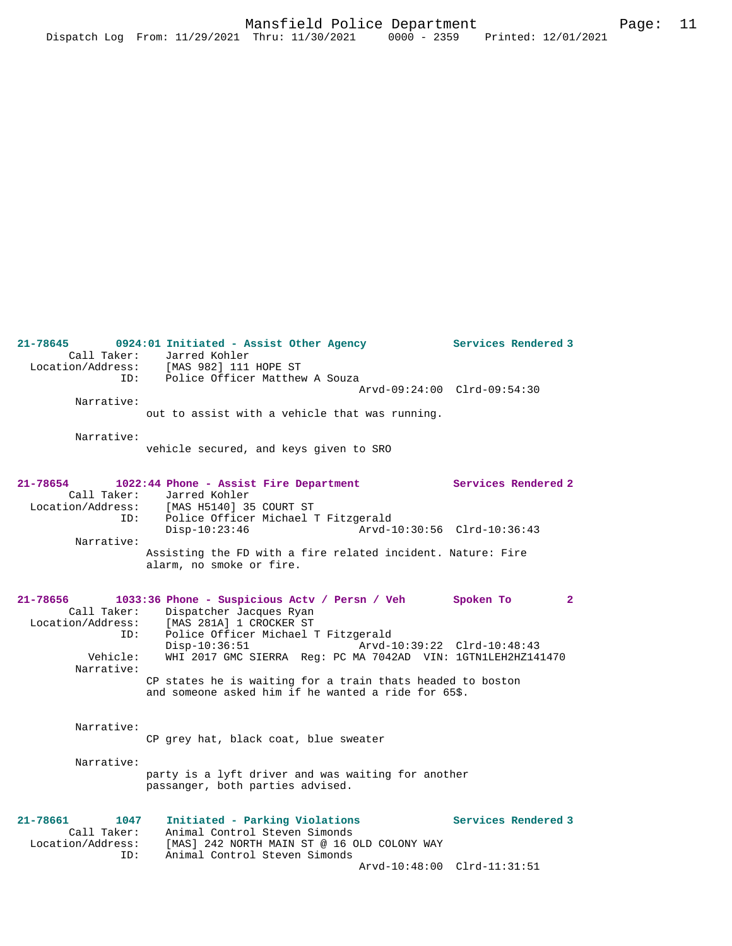**21-78645 0924:01 Initiated - Assist Other Agency Services Rendered 3**  Call Taker: Jarred Kohler<br>Location/Address: [MAS 982] 111 Location/Address: [MAS 982] 111 HOPE ST ID: Police Officer Matthew A Souza Arvd-09:24:00 Clrd-09:54:30 Narrative: out to assist with a vehicle that was running. Narrative: vehicle secured, and keys given to SRO **21-78654 1022:44 Phone - Assist Fire Department Services Rendered 2**  Call Taker: Jarred Kohler Location/Address: [MAS H5140] 35 COURT ST<br>ID: Police Officer Michael 1 Police Officer Michael T Fitzgerald<br>Disp-10:23:46 Arvd-1 Disp-10:23:46 Arvd-10:30:56 Clrd-10:36:43 Narrative: Assisting the FD with a fire related incident. Nature: Fire alarm, no smoke or fire. **21-78656 1033:36 Phone - Suspicious Actv / Persn / Veh Spoken To 2**  Call Taker: Dispatcher Jacques Ryan Location/Address: [MAS 281A] 1 CROCKER ST ID: Police Officer Michael T Fitzgerald Disp-10:36:51 Arvd-10:39:22 Clrd-10:48:43<br>Vehicle: WHI 2017 GMC SIERRA Reg: PC MA 7042AD VIN: 1GTN1LEH2HZ14! WHI 2017 GMC SIERRA Reg: PC MA 7042AD VIN: 1GTN1LEH2HZ141470 Narrative: CP states he is waiting for a train thats headed to boston and someone asked him if he wanted a ride for 65\$. Narrative: CP grey hat, black coat, blue sweater Narrative: party is a lyft driver and was waiting for another passanger, both parties advised. **21-78661 1047 Initiated - Parking Violations Services Rendered 3**  Call Taker: Animal Control Steven Simonds Location/Address: [MAS] 242 NORTH MAIN ST @ 16 OLD COLONY WAY ID: Animal Control Steven Simonds

Arvd-10:48:00 Clrd-11:31:51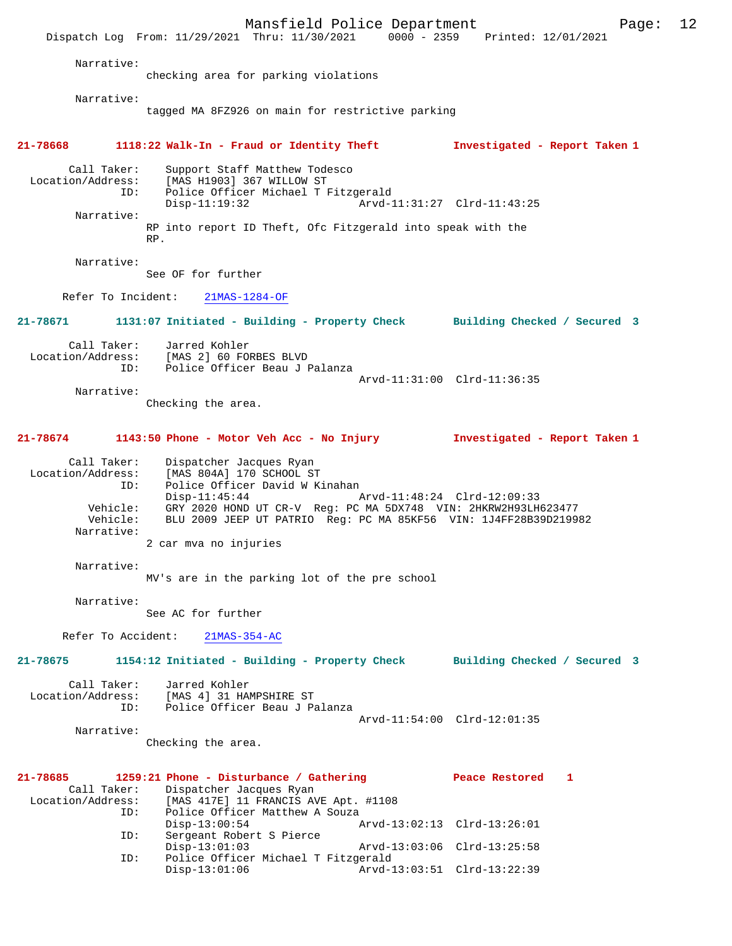Mansfield Police Department Page: 12 Dispatch Log From: 11/29/2021 Thru: 11/30/2021 0000 - 2359 Printed: 12/01/2021 Narrative: checking area for parking violations Narrative: tagged MA 8FZ926 on main for restrictive parking **21-78668 1118:22 Walk-In - Fraud or Identity Theft Investigated - Report Taken 1** Call Taker: Support Staff Matthew Todesco Location/Address: [MAS H1903] 367 WILLOW ST ID: Police Officer Michael T Fitzgerald Disp-11:19:32 Arvd-11:31:27 Clrd-11:43:25 Narrative: RP into report ID Theft, Ofc Fitzgerald into speak with the RP. Narrative: See OF for further Refer To Incident: 21MAS-1284-OF **21-78671 1131:07 Initiated - Building - Property Check Building Checked / Secured 3** Call Taker: Jarred Kohler Location/Address: [MAS 2] 60 FORBES BLVD ID: Police Officer Beau J Palanza Arvd-11:31:00 Clrd-11:36:35 Narrative: Checking the area. **21-78674 1143:50 Phone - Motor Veh Acc - No Injury Investigated - Report Taken 1** Call Taker: Dispatcher Jacques Ryan Location/Address: [MAS 804A] 170 SCHOOL ST ID: Police Officer David W Kinahan Disp-11:45:44 Arvd-11:48:24 Clrd-12:09:33 Vehicle: GRY 2020 HOND UT CR-V Reg: PC MA 5DX748 VIN: 2HKRW2H93LH623477 Vehicle: BLU 2009 JEEP UT PATRIO Reg: PC MA 85KF56 VIN: 1J4FF28B39D219982 Narrative: 2 car mva no injuries Narrative: MV's are in the parking lot of the pre school Narrative: See AC for further Refer To Accident: 21MAS-354-AC **21-78675 1154:12 Initiated - Building - Property Check Building Checked / Secured 3** Call Taker: Jarred Kohler Location/Address: [MAS 4] 31 HAMPSHIRE ST ID: Police Officer Beau J Palanza Arvd-11:54:00 Clrd-12:01:35 Narrative: Checking the area. **21-78685 1259:21 Phone - Disturbance / Gathering Peace Restored 1**  Call Taker: Dispatcher Jacques Ryan<br>Location/Address: [MAS 417E] 11 FRANCIS AV Location/Address: [MAS 417E] 11 FRANCIS AVE Apt. #1108 ID: Police Officer Matthew A Souza Disp-13:00:54 Arvd-13:02:13 Clrd-13:26:01 ID: Sergeant Robert S Pierce Disp-13:01:03 Arvd-13:03:06 Clrd-13:25:58<br>ID: Police Officer Michael T Fitzgerald Police Officer Michael T Fitzgerald<br>Disp-13:01:06 Arvd-1 Disp-13:01:06 Arvd-13:03:51 Clrd-13:22:39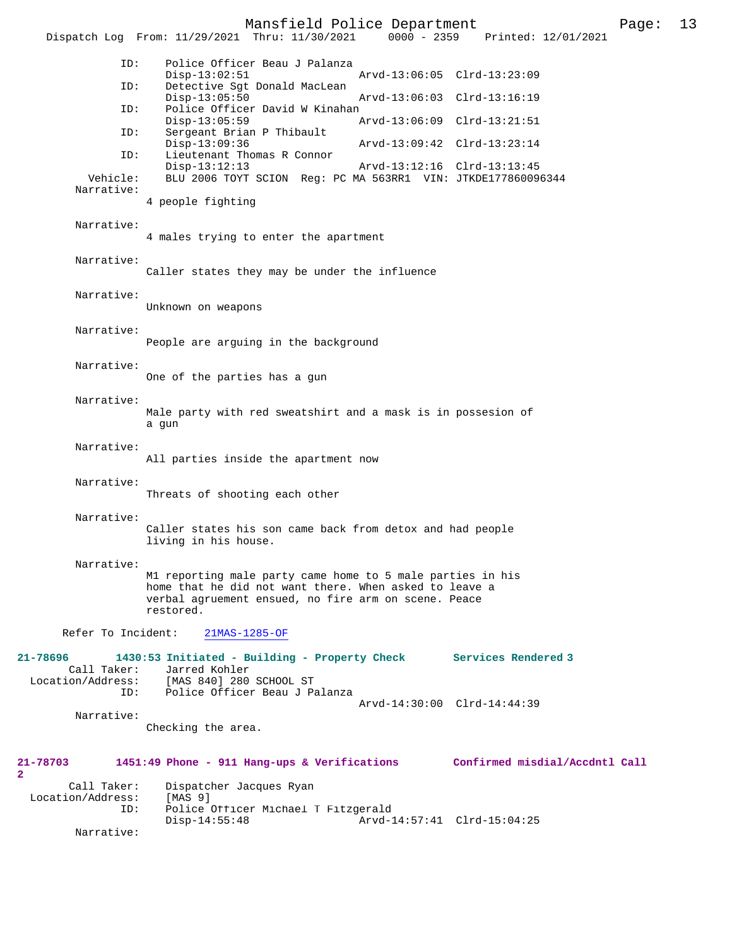Mansfield Police Department Page: 13 Dispatch Log From: 11/29/2021 Thru: 11/30/2021 ID: Police Officer Beau J Palanza Disp-13:02:51 Arvd-13:06:05 Clrd-13:23:09<br>TD: Detective Sat Donald MacLean Detective Sgt Donald MacLean<br>Disp-13:05:50 Disp-13:05:50 Arvd-13:06:03 Clrd-13:16:19<br>TD: Police Officer David W Kinahan Police Officer David W Kinahan<br>Disp-13:05:59 Disp-13:05:59 Arvd-13:06:09 Clrd-13:21:51 ID: Sergeant Brian P Thibault Disp-13:09:36 Arvd-13:09:42 Clrd-13:23:14<br>ID: Lieutenant Thomas R Connor Lieutenant Thomas R Connor<br>Disp-13:12:13 Disp-13:12:13 Arvd-13:12:16 Clrd-13:13:45 Vehicle: BLU 2006 TOYT SCION Reg: PC MA 563RR1 VIN: JTKDE177860096344 Narrative: 4 people fighting Narrative: 4 males trying to enter the apartment Narrative: Caller states they may be under the influence Narrative: Unknown on weapons Narrative: People are arguing in the background Narrative: One of the parties has a gun Narrative: Male party with red sweatshirt and a mask is in possesion of a gun Narrative: All parties inside the apartment now Narrative: Threats of shooting each other Narrative: Caller states his son came back from detox and had people living in his house. Narrative: M1 reporting male party came home to 5 male parties in his home that he did not want there. When asked to leave a verbal agruement ensued, no fire arm on scene. Peace restored. Refer To Incident: 21MAS-1285-OF **21-78696 1430:53 Initiated - Building - Property Check Services Rendered 3**  Call Taker: Jarred Kohler<br>Location/Address: [MAS 840] 280 [MAS 840] 280 SCHOOL ST ID: Police Officer Beau J Palanza Arvd-14:30:00 Clrd-14:44:39 Narrative: Checking the area. **21-78703 1451:49 Phone - 911 Hang-ups & Verifications Confirmed misdial/Accdntl Call** Call Taker: Dispatcher Jacques Ryan Location/Address: [MAS 9] ID: Police Officer Michael T Fitzgerald Disp-14:55:48 Arvd-14:57:41 Clrd-15:04:25

Narrative:

 $\mathbf{2}$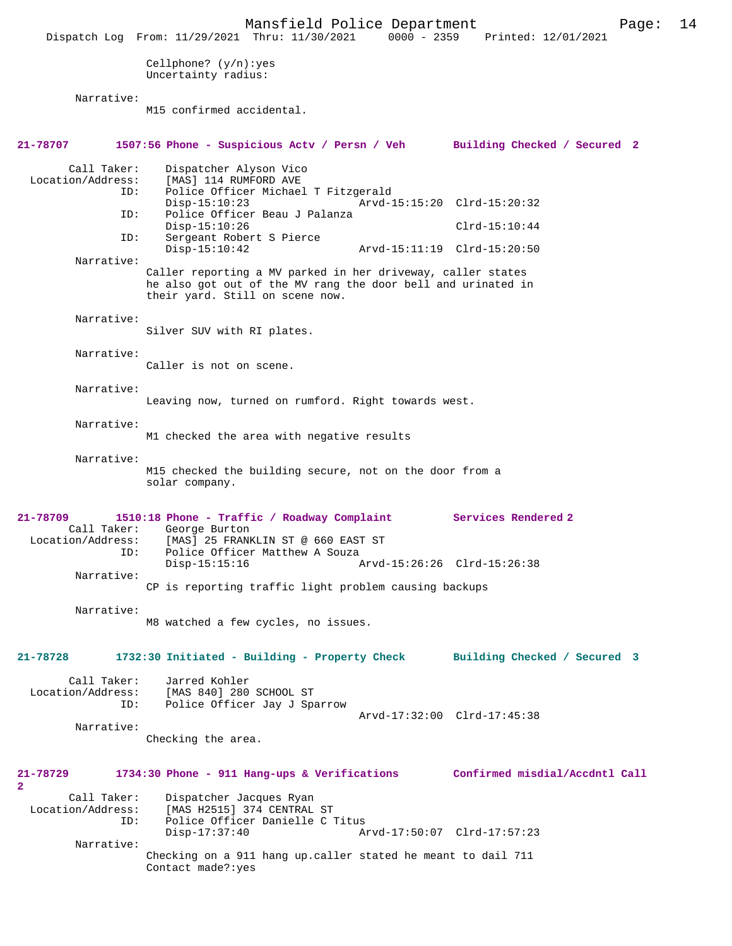Mansfield Police Department Page: 14 Dispatch Log From: 11/29/2021 Thru: 11/30/2021 Cellphone? (y/n):yes Uncertainty radius: Narrative: M15 confirmed accidental. **21-78707 1507:56 Phone - Suspicious Actv / Persn / Veh Building Checked / Secured 2** Call Taker: Dispatcher Alyson Vico<br>Location/Address: [MAS] 114 RUMFORD AVE ess: [MAS] 114 RUMFORD AVE<br>ID: Police Officer Michae Police Officer Michael T Fitzgerald<br>Disp-15:10:23 Arvd-1 Disp-15:10:23 Arvd-15:15:20 Clrd-15:20:32<br>ID: Police Officer Beau J Palanza Police Officer Beau J Palanza Disp-15:10:26 Clrd-15:10:44<br>TD: Sergeant Robert S Pierce Sergeant Robert S Pierce<br>Disp-15:10:42 Disp-15:10:42 Arvd-15:11:19 Clrd-15:20:50 Narrative: Caller reporting a MV parked in her driveway, caller states he also got out of the MV rang the door bell and urinated in their yard. Still on scene now. Narrative: Silver SUV with RI plates. Narrative: Caller is not on scene. Narrative: Leaving now, turned on rumford. Right towards west. Narrative: M1 checked the area with negative results Narrative: M15 checked the building secure, not on the door from a solar company. **21-78709 1510:18 Phone - Traffic / Roadway Complaint Services Rendered 2**  Call Taker: George Burton Location/Address: [MAS] 25 FRANKLIN ST @ 660 EAST ST<br>ID: Police Officer Matthew A Souza Police Officer Matthew A Souza<br>Disp-15:15:16 Disp-15:15:16 Arvd-15:26:26 Clrd-15:26:38 Narrative: CP is reporting traffic light problem causing backups Narrative: M8 watched a few cycles, no issues. **21-78728 1732:30 Initiated - Building - Property Check Building Checked / Secured 3** Call Taker: Jarred Kohler Location/Address: [MAS 840] 280 SCHOOL ST ID: Police Officer Jay J Sparrow Arvd-17:32:00 Clrd-17:45:38 Narrative: Checking the area. **21-78729 1734:30 Phone - 911 Hang-ups & Verifications Confirmed misdial/Accdntl Call 2**  Call Taker: Dispatcher Jacques Ryan Location/Address: [MAS H2515] 374 CENTRAL ST Police Officer Danielle C Titus<br>Disp-17:37:40 A Arvd-17:50:07 Clrd-17:57:23 Narrative: Checking on a 911 hang up.caller stated he meant to dail 711 Contact made?:yes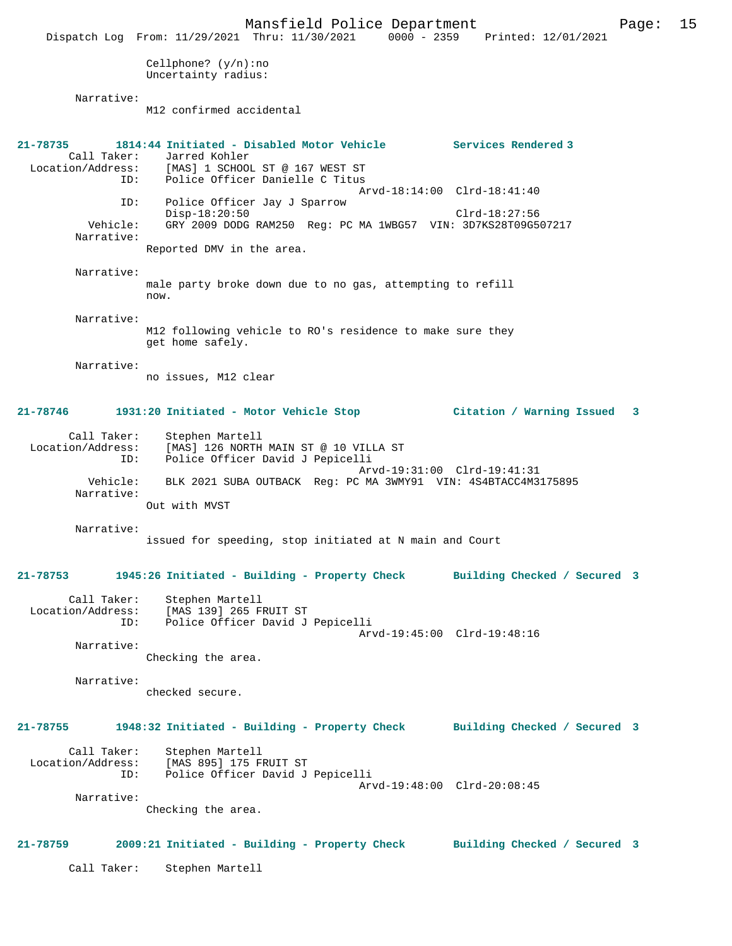Mansfield Police Department Page: 15 Dispatch Log From: 11/29/2021 Thru: 11/30/2021 0000 - 2359 Printed: 12/01/2021 Cellphone? (y/n):no Uncertainty radius: Narrative: M12 confirmed accidental **21-78735 1814:44 Initiated - Disabled Motor Vehicle Services Rendered 3**  Call Taker: Jarred Kohler<br>Location/Address: [MAS] 1 SCHOO! [MAS] 1 SCHOOL ST @ 167 WEST ST ID: Police Officer Danielle C Titus Arvd-18:14:00 Clrd-18:41:40 ID: Police Officer Jay J Sparrow Disp-18:20:50 Clrd-18:27:56<br>Vehicle: GRY 2009 DODG RAM250 Reg: PC MA 1WBG57 VIN: 3D7KS28T09G5 GRY 2009 DODG RAM250 Reg: PC MA 1WBG57 VIN: 3D7KS28T09G507217 Narrative: Reported DMV in the area. Narrative: male party broke down due to no gas, attempting to refill now. Narrative: M12 following vehicle to RO's residence to make sure they get home safely. Narrative: no issues, M12 clear **21-78746 1931:20 Initiated - Motor Vehicle Stop Citation / Warning Issued 3** Call Taker: Stephen Martell Location/Address: [MAS] 126 NORTH MAIN ST @ 10 VILLA ST ID: Police Officer David J Pepicelli Arvd-19:31:00 Clrd-19:41:31 Vehicle: BLK 2021 SUBA OUTBACK Reg: PC MA 3WMY91 VIN: 4S4BTACC4M3175895 Narrative: Out with MVST Narrative: issued for speeding, stop initiated at N main and Court **21-78753 1945:26 Initiated - Building - Property Check Building Checked / Secured 3** Call Taker: Stephen Martell<br>Location/Address: [MAS 139] 265 F Location: [MAS 139] 265 FRUIT ST<br>ID: Police Officer David Police Officer David J Pepicelli Arvd-19:45:00 Clrd-19:48:16 Narrative: Checking the area. Narrative: checked secure. **21-78755 1948:32 Initiated - Building - Property Check Building Checked / Secured 3** Call Taker: Stephen Martell Location/Address: [MAS 895] 175 FRUIT ST<br>ID: Police Officer David J ID: Police Officer David J Pepicelli Arvd-19:48:00 Clrd-20:08:45 Narrative: Checking the area. **21-78759 2009:21 Initiated - Building - Property Check Building Checked / Secured 3** Call Taker: Stephen Martell